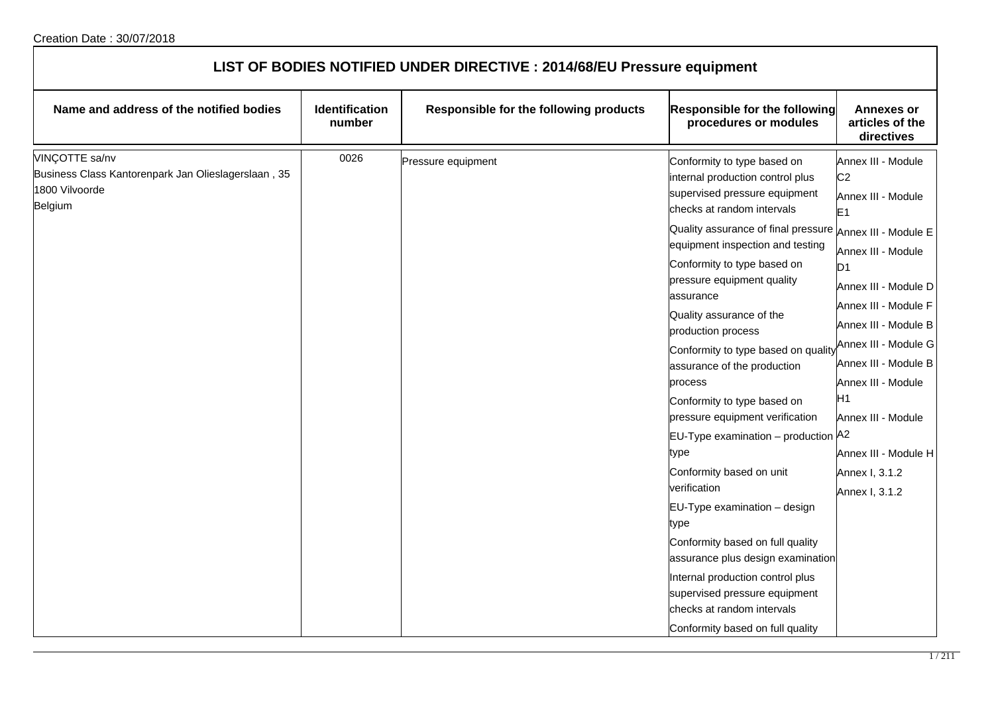| LIST OF BODIES NOTIFIED UNDER DIRECTIVE : 2014/68/EU Pressure equipment                                   |                          |                                        |                                                                                                                                                                                                                                                                                                                                                                                                                                                                                                                                                                                                                                                                                                                                                                                                                                                                  |                                                                                                                                                                                                                                                                                                                                                                        |  |
|-----------------------------------------------------------------------------------------------------------|--------------------------|----------------------------------------|------------------------------------------------------------------------------------------------------------------------------------------------------------------------------------------------------------------------------------------------------------------------------------------------------------------------------------------------------------------------------------------------------------------------------------------------------------------------------------------------------------------------------------------------------------------------------------------------------------------------------------------------------------------------------------------------------------------------------------------------------------------------------------------------------------------------------------------------------------------|------------------------------------------------------------------------------------------------------------------------------------------------------------------------------------------------------------------------------------------------------------------------------------------------------------------------------------------------------------------------|--|
| Name and address of the notified bodies                                                                   | Identification<br>number | Responsible for the following products | Responsible for the following<br>procedures or modules                                                                                                                                                                                                                                                                                                                                                                                                                                                                                                                                                                                                                                                                                                                                                                                                           | <b>Annexes or</b><br>articles of the<br>directives                                                                                                                                                                                                                                                                                                                     |  |
| VINÇOTTE sa/nv<br>Business Class Kantorenpark Jan Olieslagerslaan, 35<br>1800 Vilvoorde<br><b>Belgium</b> | 0026                     | Pressure equipment                     | Conformity to type based on<br>internal production control plus<br>supervised pressure equipment<br>checks at random intervals<br>Quality assurance of final pressure Annex III - Module E<br>equipment inspection and testing<br>Conformity to type based on<br>pressure equipment quality<br>assurance<br>Quality assurance of the<br>production process<br>Conformity to type based on quality<br>assurance of the production<br>process<br>Conformity to type based on<br>pressure equipment verification<br>EU-Type examination - production A2<br>type<br>Conformity based on unit<br>verification<br>EU-Type examination - design<br>type<br>Conformity based on full quality<br>assurance plus design examination<br>Internal production control plus<br>supervised pressure equipment<br>checks at random intervals<br>Conformity based on full quality | Annex III - Module<br>C <sub>2</sub><br>Annex III - Module<br>E <sub>1</sub><br>Annex III - Module<br>D <sub>1</sub><br>Annex III - Module D<br>Annex III - Module F<br>Annex III - Module B<br>Annex III - Module G<br>Annex III - Module B<br>Annex III - Module<br>H <sub>1</sub><br>Annex III - Module<br>Annex III - Module H<br>Annex I, 3.1.2<br>Annex I, 3.1.2 |  |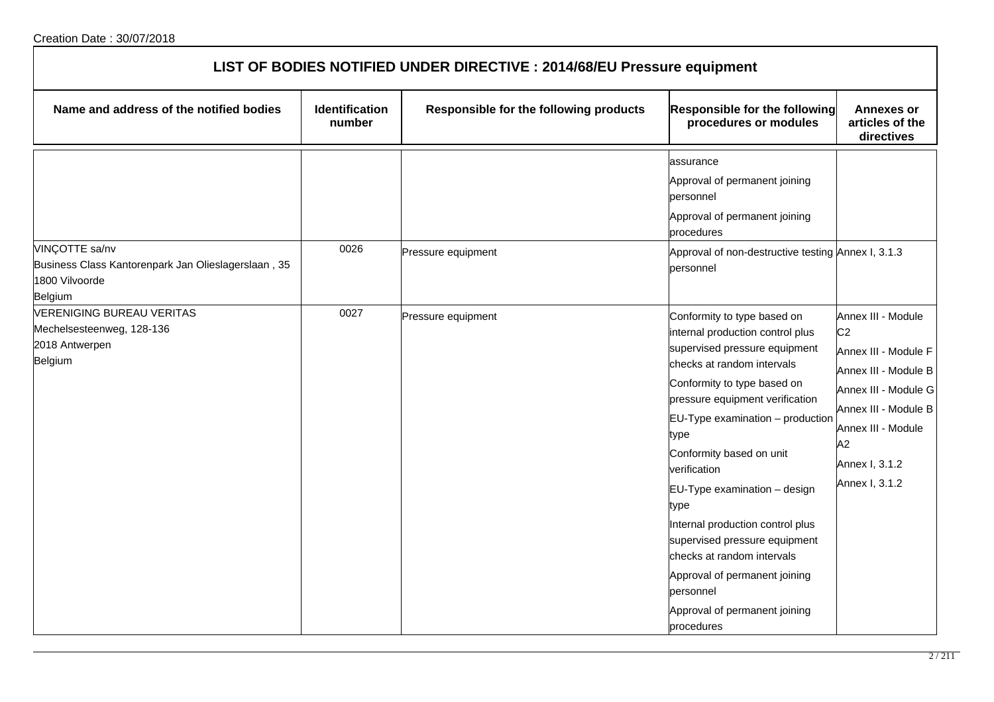| LIST OF BODIES NOTIFIED UNDER DIRECTIVE : 2014/68/EU Pressure equipment                            |                                 |                                        |                                                                                                                                                                                                                                                                                                                                                                                                                                                                                                                                  |                                                                                                                                                                                                      |  |
|----------------------------------------------------------------------------------------------------|---------------------------------|----------------------------------------|----------------------------------------------------------------------------------------------------------------------------------------------------------------------------------------------------------------------------------------------------------------------------------------------------------------------------------------------------------------------------------------------------------------------------------------------------------------------------------------------------------------------------------|------------------------------------------------------------------------------------------------------------------------------------------------------------------------------------------------------|--|
| Name and address of the notified bodies                                                            | <b>Identification</b><br>number | Responsible for the following products | Responsible for the following<br>procedures or modules                                                                                                                                                                                                                                                                                                                                                                                                                                                                           | <b>Annexes or</b><br>articles of the<br>directives                                                                                                                                                   |  |
| VINÇOTTE sa/nv<br>Business Class Kantorenpark Jan Olieslagerslaan, 35<br>1800 Vilvoorde<br>Belgium | 0026                            | Pressure equipment                     | assurance<br>Approval of permanent joining<br>personnel<br>Approval of permanent joining<br>procedures<br>Approval of non-destructive testing Annex I, 3.1.3<br>personnel                                                                                                                                                                                                                                                                                                                                                        |                                                                                                                                                                                                      |  |
| <b>VERENIGING BUREAU VERITAS</b><br>Mechelsesteenweg, 128-136<br>2018 Antwerpen<br>Belgium         | 0027                            | Pressure equipment                     | Conformity to type based on<br>internal production control plus<br>supervised pressure equipment<br>checks at random intervals<br>Conformity to type based on<br>pressure equipment verification<br>EU-Type examination - production<br>type<br>Conformity based on unit<br>verification<br>EU-Type examination - design<br>type<br>Internal production control plus<br>supervised pressure equipment<br>checks at random intervals<br>Approval of permanent joining<br>personnel<br>Approval of permanent joining<br>procedures | Annex III - Module<br>C <sub>2</sub><br>Annex III - Module F<br>Annex III - Module B<br>Annex III - Module G<br>Annex III - Module B<br>Annex III - Module<br>A2<br>Annex I, 3.1.2<br>Annex I, 3.1.2 |  |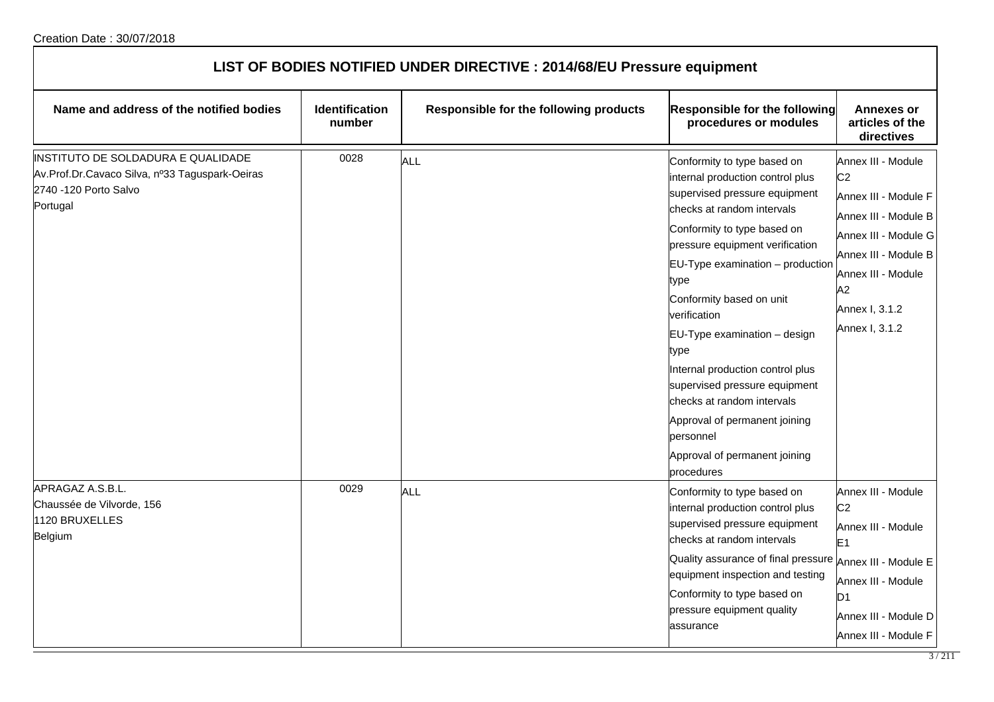| LIST OF BODIES NOTIFIED UNDER DIRECTIVE : 2014/68/EU Pressure equipment                                                   |                                 |                                        |                                                                                                                                                                                                                                                                                                                                                                                                                                                                                                                                      |                                                                                                                                                                                                      |  |
|---------------------------------------------------------------------------------------------------------------------------|---------------------------------|----------------------------------------|--------------------------------------------------------------------------------------------------------------------------------------------------------------------------------------------------------------------------------------------------------------------------------------------------------------------------------------------------------------------------------------------------------------------------------------------------------------------------------------------------------------------------------------|------------------------------------------------------------------------------------------------------------------------------------------------------------------------------------------------------|--|
| Name and address of the notified bodies                                                                                   | <b>Identification</b><br>number | Responsible for the following products | Responsible for the following<br>procedures or modules                                                                                                                                                                                                                                                                                                                                                                                                                                                                               | <b>Annexes or</b><br>articles of the<br>directives                                                                                                                                                   |  |
| INSTITUTO DE SOLDADURA E QUALIDADE<br>Av.Prof.Dr.Cavaco Silva, nº33 Taguspark-Oeiras<br>2740 -120 Porto Salvo<br>Portugal | 0028                            | <b>ALL</b>                             | Conformity to type based on<br>internal production control plus<br>supervised pressure equipment<br>checks at random intervals<br>Conformity to type based on<br>pressure equipment verification<br>$EU-Type$ examination $-$ production<br>type<br>Conformity based on unit<br>verification<br>EU-Type examination - design<br>type<br>Internal production control plus<br>supervised pressure equipment<br>checks at random intervals<br>Approval of permanent joining<br>personnel<br>Approval of permanent joining<br>procedures | Annex III - Module<br>C <sub>2</sub><br>Annex III - Module F<br>Annex III - Module B<br>Annex III - Module G<br>Annex III - Module B<br>Annex III - Module<br>A2<br>Annex I, 3.1.2<br>Annex I, 3.1.2 |  |
| APRAGAZ A.S.B.L.<br>Chaussée de Vilvorde, 156<br>1120 BRUXELLES<br>Belgium                                                | 0029                            | <b>ALL</b>                             | Conformity to type based on<br>internal production control plus<br>supervised pressure equipment<br>checks at random intervals<br>Quality assurance of final pressure Annex III - Module E<br>equipment inspection and testing<br>Conformity to type based on<br>pressure equipment quality<br>assurance                                                                                                                                                                                                                             | Annex III - Module<br>C <sub>2</sub><br>Annex III - Module<br>E <sub>1</sub><br>Annex III - Module<br>D <sub>1</sub><br>Annex III - Module D<br>Annex III - Module F                                 |  |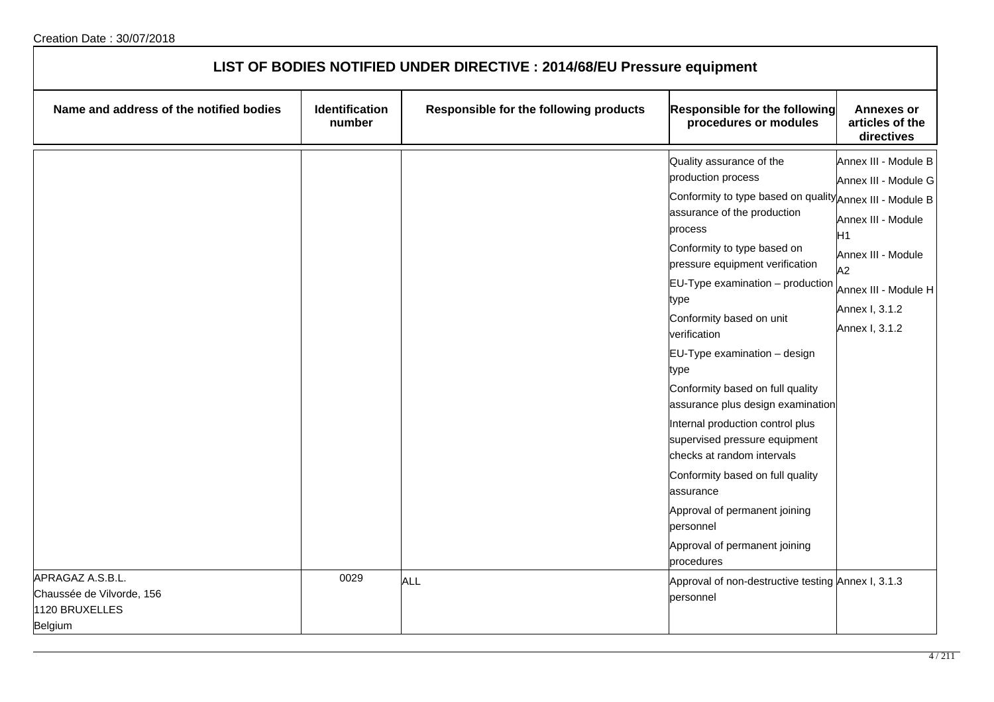| LIST OF BODIES NOTIFIED UNDER DIRECTIVE : 2014/68/EU Pressure equipment |                          |                                        |                                                                                                                                                                                                                                                                                                                                                                                                                                                                                                                                                                                                                                                                                      |                                                                                                                                                                              |  |
|-------------------------------------------------------------------------|--------------------------|----------------------------------------|--------------------------------------------------------------------------------------------------------------------------------------------------------------------------------------------------------------------------------------------------------------------------------------------------------------------------------------------------------------------------------------------------------------------------------------------------------------------------------------------------------------------------------------------------------------------------------------------------------------------------------------------------------------------------------------|------------------------------------------------------------------------------------------------------------------------------------------------------------------------------|--|
| Name and address of the notified bodies                                 | Identification<br>number | Responsible for the following products | Responsible for the following<br>procedures or modules                                                                                                                                                                                                                                                                                                                                                                                                                                                                                                                                                                                                                               | <b>Annexes or</b><br>articles of the<br>directives                                                                                                                           |  |
| APRAGAZ A.S.B.L.                                                        | 0029                     |                                        | Quality assurance of the<br>production process<br>Conformity to type based on quality Annex III - Module B<br>assurance of the production<br>process<br>Conformity to type based on<br>pressure equipment verification<br>$EU-Type$ examination $-$ production<br>type<br>Conformity based on unit<br>verification<br>EU-Type examination - design<br>type<br>Conformity based on full quality<br>assurance plus design examination<br>Internal production control plus<br>supervised pressure equipment<br>checks at random intervals<br>Conformity based on full quality<br>assurance<br>Approval of permanent joining<br>personnel<br>Approval of permanent joining<br>procedures | Annex III - Module B<br>Annex III - Module G<br>Annex III - Module<br>H <sub>1</sub><br>Annex III - Module<br>A2<br>Annex III - Module H<br>Annex I, 3.1.2<br>Annex I, 3.1.2 |  |
| Chaussée de Vilvorde, 156<br>1120 BRUXELLES<br>Belgium                  |                          | ALL                                    | Approval of non-destructive testing Annex I, 3.1.3<br>personnel                                                                                                                                                                                                                                                                                                                                                                                                                                                                                                                                                                                                                      |                                                                                                                                                                              |  |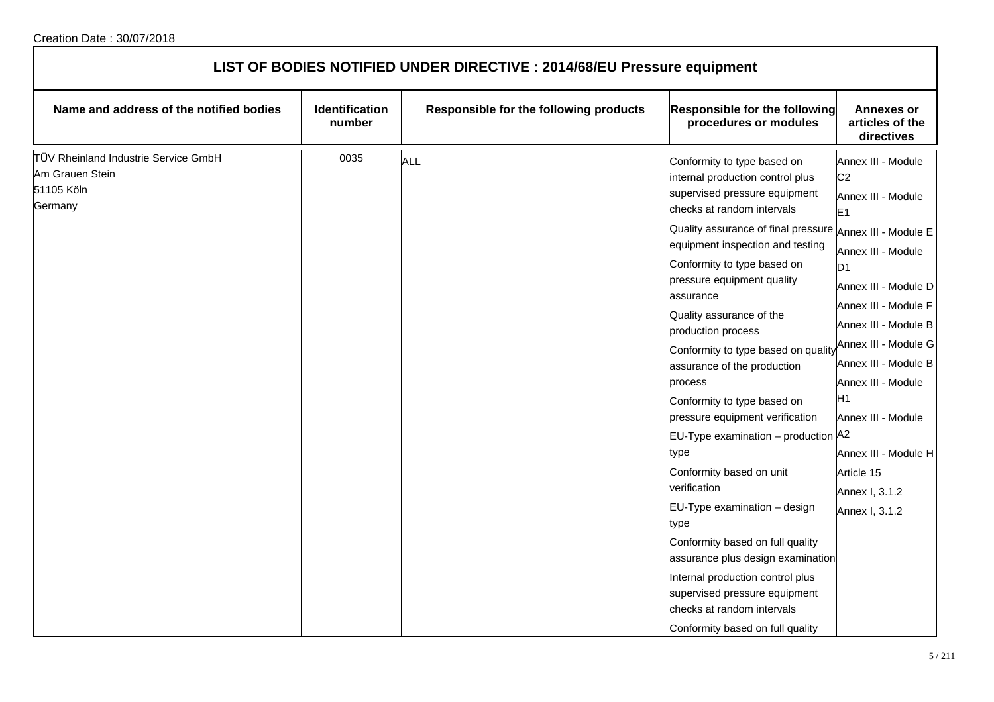| LIST OF BODIES NOTIFIED UNDER DIRECTIVE : 2014/68/EU Pressure equipment          |                          |                                        |                                                                                                                                                                                                                                                                                                                                                                                                                                                                                                                                                                                                                                                                                                                                                                                                                                                                  |                                                                                                                                                                                                                                                                                                                                                                                      |  |
|----------------------------------------------------------------------------------|--------------------------|----------------------------------------|------------------------------------------------------------------------------------------------------------------------------------------------------------------------------------------------------------------------------------------------------------------------------------------------------------------------------------------------------------------------------------------------------------------------------------------------------------------------------------------------------------------------------------------------------------------------------------------------------------------------------------------------------------------------------------------------------------------------------------------------------------------------------------------------------------------------------------------------------------------|--------------------------------------------------------------------------------------------------------------------------------------------------------------------------------------------------------------------------------------------------------------------------------------------------------------------------------------------------------------------------------------|--|
| Name and address of the notified bodies                                          | Identification<br>number | Responsible for the following products | Responsible for the following<br>procedures or modules                                                                                                                                                                                                                                                                                                                                                                                                                                                                                                                                                                                                                                                                                                                                                                                                           | <b>Annexes or</b><br>articles of the<br>directives                                                                                                                                                                                                                                                                                                                                   |  |
| TÜV Rheinland Industrie Service GmbH<br>Am Grauen Stein<br>51105 Köln<br>Germany | 0035                     | <b>ALL</b>                             | Conformity to type based on<br>internal production control plus<br>supervised pressure equipment<br>checks at random intervals<br>Quality assurance of final pressure Annex III - Module E<br>equipment inspection and testing<br>Conformity to type based on<br>pressure equipment quality<br>assurance<br>Quality assurance of the<br>production process<br>Conformity to type based on quality<br>assurance of the production<br>process<br>Conformity to type based on<br>pressure equipment verification<br>EU-Type examination - production A2<br>type<br>Conformity based on unit<br>verification<br>EU-Type examination - design<br>type<br>Conformity based on full quality<br>assurance plus design examination<br>Internal production control plus<br>supervised pressure equipment<br>checks at random intervals<br>Conformity based on full quality | Annex III - Module<br>C <sub>2</sub><br>Annex III - Module<br>E <sub>1</sub><br>Annex III - Module<br>D <sub>1</sub><br>Annex III - Module D<br>Annex III - Module F<br>Annex III - Module B<br>Annex III - Module G<br>Annex III - Module B<br>Annex III - Module<br>H <sub>1</sub><br>Annex III - Module<br>Annex III - Module H<br>Article 15<br>Annex I, 3.1.2<br>Annex I, 3.1.2 |  |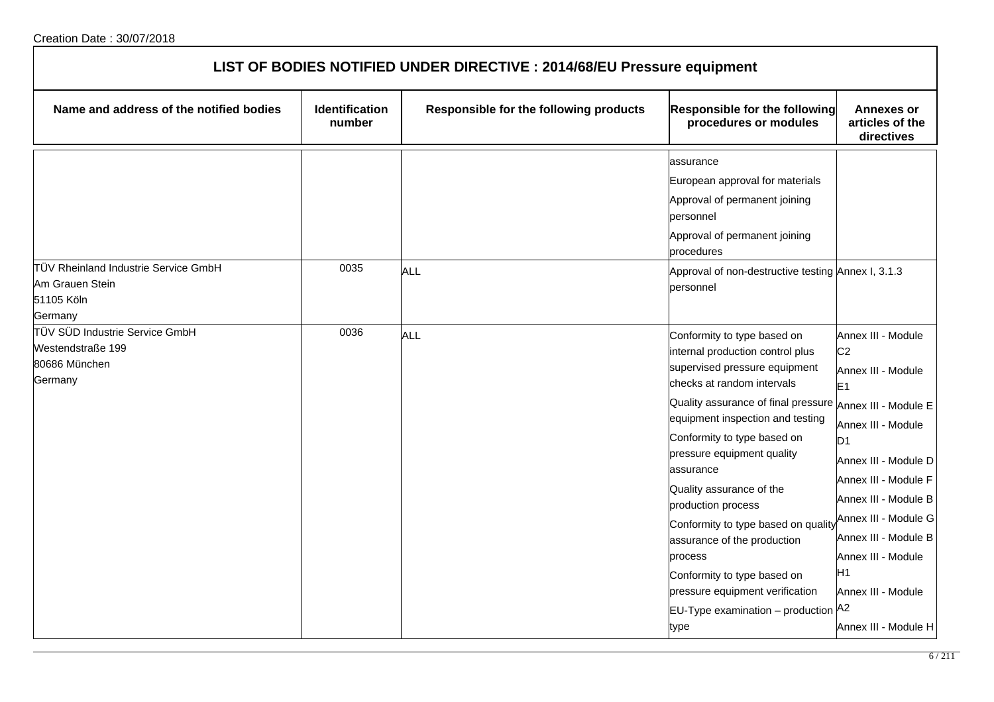| LIST OF BODIES NOTIFIED UNDER DIRECTIVE : 2014/68/EU Pressure equipment                    |                                 |                                        |                                                                                                                                                                                                                                                                                                                                                                                                                                                                                                                                                              |                                                                                                                                                                                                                                                                                                                        |  |
|--------------------------------------------------------------------------------------------|---------------------------------|----------------------------------------|--------------------------------------------------------------------------------------------------------------------------------------------------------------------------------------------------------------------------------------------------------------------------------------------------------------------------------------------------------------------------------------------------------------------------------------------------------------------------------------------------------------------------------------------------------------|------------------------------------------------------------------------------------------------------------------------------------------------------------------------------------------------------------------------------------------------------------------------------------------------------------------------|--|
| Name and address of the notified bodies                                                    | <b>Identification</b><br>number | Responsible for the following products | Responsible for the following<br>procedures or modules                                                                                                                                                                                                                                                                                                                                                                                                                                                                                                       | <b>Annexes or</b><br>articles of the<br>directives                                                                                                                                                                                                                                                                     |  |
| TÜV Rheinland Industrie Service GmbH<br>Am Grauen Stein<br>51105 Köln                      | 0035                            | <b>ALL</b>                             | assurance<br>European approval for materials<br>Approval of permanent joining<br>personnel<br>Approval of permanent joining<br>procedures<br>Approval of non-destructive testing Annex I, 3.1.3<br>personnel                                                                                                                                                                                                                                                                                                                                                 |                                                                                                                                                                                                                                                                                                                        |  |
| Germany<br>TÜV SÜD Industrie Service GmbH<br>Westendstraße 199<br>80686 München<br>Germany | 0036                            | <b>ALL</b>                             | Conformity to type based on<br>internal production control plus<br>supervised pressure equipment<br>checks at random intervals<br>Quality assurance of final pressure Annex III - Module E<br>equipment inspection and testing<br>Conformity to type based on<br>pressure equipment quality<br>assurance<br>Quality assurance of the<br>production process<br>Conformity to type based on quality<br>assurance of the production<br>process<br>Conformity to type based on<br>pressure equipment verification<br>EU-Type examination - production A2<br>type | Annex III - Module<br>C <sub>2</sub><br>Annex III - Module<br>E <sub>1</sub><br>Annex III - Module<br>D <sub>1</sub><br>Annex III - Module D<br>Annex III - Module F<br>Annex III - Module B<br>Annex III - Module G<br>Annex III - Module B<br>Annex III - Module<br>H1<br>Annex III - Module<br>Annex III - Module H |  |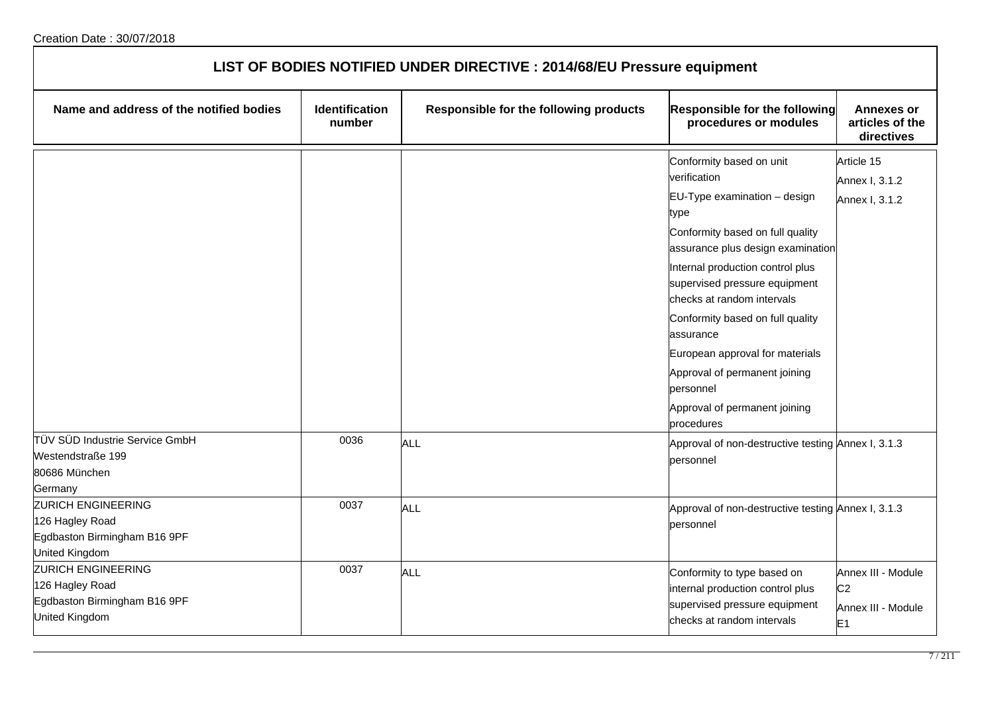| LIST OF BODIES NOTIFIED UNDER DIRECTIVE : 2014/68/EU Pressure equipment                                                                                         |                                 |                                        |                                                                                                                                                                                                                                                                                                                                                                                                                                                   |                                                                              |  |
|-----------------------------------------------------------------------------------------------------------------------------------------------------------------|---------------------------------|----------------------------------------|---------------------------------------------------------------------------------------------------------------------------------------------------------------------------------------------------------------------------------------------------------------------------------------------------------------------------------------------------------------------------------------------------------------------------------------------------|------------------------------------------------------------------------------|--|
| Name and address of the notified bodies                                                                                                                         | <b>Identification</b><br>number | Responsible for the following products | Responsible for the following<br>procedures or modules                                                                                                                                                                                                                                                                                                                                                                                            | <b>Annexes or</b><br>articles of the<br>directives                           |  |
|                                                                                                                                                                 |                                 |                                        | Conformity based on unit<br>verification<br>$EU-Type$ examination $-$ design<br>type<br>Conformity based on full quality<br>assurance plus design examination<br>Internal production control plus<br>supervised pressure equipment<br>checks at random intervals<br>Conformity based on full quality<br>assurance<br>European approval for materials<br>Approval of permanent joining<br>personnel<br>Approval of permanent joining<br>procedures | Article 15<br>Annex I, 3.1.2<br>Annex I, 3.1.2                               |  |
| TÜV SÜD Industrie Service GmbH<br>Westendstraße 199<br>80686 München<br>Germany<br><b>ZURICH ENGINEERING</b><br>126 Hagley Road<br>Egdbaston Birmingham B16 9PF | 0036<br>0037                    | <b>ALL</b><br><b>ALL</b>               | Approval of non-destructive testing Annex I, 3.1.3<br>personnel<br>Approval of non-destructive testing Annex I, 3.1.3<br>personnel                                                                                                                                                                                                                                                                                                                |                                                                              |  |
| United Kingdom<br><b>ZURICH ENGINEERING</b><br>126 Hagley Road<br>Egdbaston Birmingham B16 9PF<br>United Kingdom                                                | 0037                            | <b>ALL</b>                             | Conformity to type based on<br>internal production control plus<br>supervised pressure equipment<br>checks at random intervals                                                                                                                                                                                                                                                                                                                    | Annex III - Module<br>C <sub>2</sub><br>Annex III - Module<br>E <sub>1</sub> |  |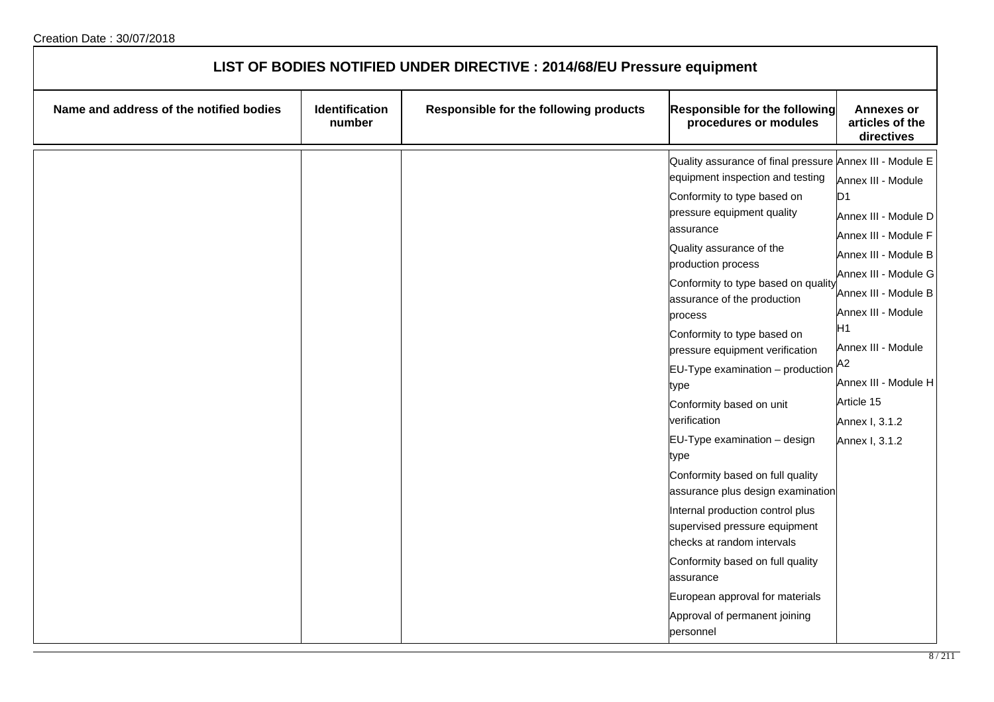| LIST OF BODIES NOTIFIED UNDER DIRECTIVE : 2014/68/EU Pressure equipment |                          |                                        |                                                                                                                                                                                                                                                                                                                                                                                                                                                                                                                                                                                                                                                                                                                                                                                                                               |                                                                                                                                                                                                                                                                                    |
|-------------------------------------------------------------------------|--------------------------|----------------------------------------|-------------------------------------------------------------------------------------------------------------------------------------------------------------------------------------------------------------------------------------------------------------------------------------------------------------------------------------------------------------------------------------------------------------------------------------------------------------------------------------------------------------------------------------------------------------------------------------------------------------------------------------------------------------------------------------------------------------------------------------------------------------------------------------------------------------------------------|------------------------------------------------------------------------------------------------------------------------------------------------------------------------------------------------------------------------------------------------------------------------------------|
| Name and address of the notified bodies                                 | Identification<br>number | Responsible for the following products | Responsible for the following<br>procedures or modules                                                                                                                                                                                                                                                                                                                                                                                                                                                                                                                                                                                                                                                                                                                                                                        | <b>Annexes or</b><br>articles of the<br>directives                                                                                                                                                                                                                                 |
|                                                                         |                          |                                        | Quality assurance of final pressure Annex III - Module E<br>equipment inspection and testing<br>Conformity to type based on<br>pressure equipment quality<br>assurance<br>Quality assurance of the<br>production process<br>Conformity to type based on quality<br>assurance of the production<br>process<br>Conformity to type based on<br>pressure equipment verification<br>$EU-Type$ examination $-$ production<br>type<br>Conformity based on unit<br>verification<br>EU-Type examination - design<br>type<br>Conformity based on full quality<br>assurance plus design examination<br>Internal production control plus<br>supervised pressure equipment<br>checks at random intervals<br>Conformity based on full quality<br>assurance<br>European approval for materials<br>Approval of permanent joining<br>personnel | Annex III - Module<br>D1<br>Annex III - Module D<br>Annex III - Module F<br>Annex III - Module B<br>Annex III - Module G<br>Annex III - Module B<br>Annex III - Module<br>H1<br>Annex III - Module<br>A2<br>Annex III - Module H<br>Article 15<br>Annex I, 3.1.2<br>Annex I, 3.1.2 |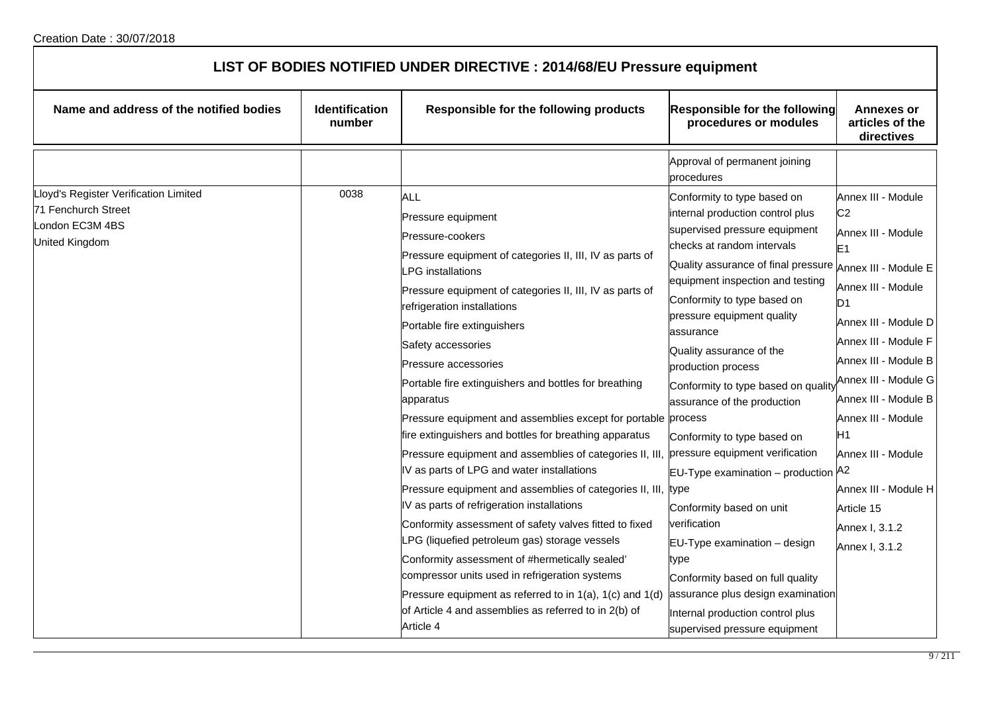| LIST OF BODIES NOTIFIED UNDER DIRECTIVE : 2014/68/EU Pressure equipment                           |                          |                                                                                                                                                                                                                                                                                                                                                                                                                                                                                                                                                                                                                                                                                                                                                                                                                                                                                                                                                                                                                                                                       |                                                                                                                                                                                                                                                                                                                                                                                                                                                                                                                                                                                                                                                                                                                                |                                                                                                                                                                                                                                                                                                                                                                                            |  |
|---------------------------------------------------------------------------------------------------|--------------------------|-----------------------------------------------------------------------------------------------------------------------------------------------------------------------------------------------------------------------------------------------------------------------------------------------------------------------------------------------------------------------------------------------------------------------------------------------------------------------------------------------------------------------------------------------------------------------------------------------------------------------------------------------------------------------------------------------------------------------------------------------------------------------------------------------------------------------------------------------------------------------------------------------------------------------------------------------------------------------------------------------------------------------------------------------------------------------|--------------------------------------------------------------------------------------------------------------------------------------------------------------------------------------------------------------------------------------------------------------------------------------------------------------------------------------------------------------------------------------------------------------------------------------------------------------------------------------------------------------------------------------------------------------------------------------------------------------------------------------------------------------------------------------------------------------------------------|--------------------------------------------------------------------------------------------------------------------------------------------------------------------------------------------------------------------------------------------------------------------------------------------------------------------------------------------------------------------------------------------|--|
| Name and address of the notified bodies                                                           | Identification<br>number | Responsible for the following products                                                                                                                                                                                                                                                                                                                                                                                                                                                                                                                                                                                                                                                                                                                                                                                                                                                                                                                                                                                                                                | <b>Responsible for the following</b><br>procedures or modules                                                                                                                                                                                                                                                                                                                                                                                                                                                                                                                                                                                                                                                                  | <b>Annexes or</b><br>articles of the<br>directives                                                                                                                                                                                                                                                                                                                                         |  |
|                                                                                                   |                          |                                                                                                                                                                                                                                                                                                                                                                                                                                                                                                                                                                                                                                                                                                                                                                                                                                                                                                                                                                                                                                                                       | Approval of permanent joining<br>procedures                                                                                                                                                                                                                                                                                                                                                                                                                                                                                                                                                                                                                                                                                    |                                                                                                                                                                                                                                                                                                                                                                                            |  |
| Lloyd's Register Verification Limited<br>71 Fenchurch Street<br>London EC3M 4BS<br>United Kingdom | 0038                     | <b>ALL</b><br>Pressure equipment<br>Pressure-cookers<br>Pressure equipment of categories II, III, IV as parts of<br>PG installations<br>Pressure equipment of categories II, III, IV as parts of<br>refrigeration installations<br>Portable fire extinguishers<br>Safety accessories<br>Pressure accessories<br>Portable fire extinguishers and bottles for breathing<br>apparatus<br>Pressure equipment and assemblies except for portable process<br>fire extinguishers and bottles for breathing apparatus<br>Pressure equipment and assemblies of categories II, III,<br>IV as parts of LPG and water installations<br>Pressure equipment and assemblies of categories II, III,<br>IV as parts of refrigeration installations<br>Conformity assessment of safety valves fitted to fixed<br>LPG (liquefied petroleum gas) storage vessels<br>Conformity assessment of #hermetically sealed'<br>compressor units used in refrigeration systems<br>Pressure equipment as referred to in 1(a), 1(c) and 1(d)<br>of Article 4 and assemblies as referred to in 2(b) of | Conformity to type based on<br>internal production control plus<br>supervised pressure equipment<br>checks at random intervals<br>Quality assurance of final pressure<br>equipment inspection and testing<br>Conformity to type based on<br>pressure equipment quality<br>assurance<br>Quality assurance of the<br>production process<br>Conformity to type based on qualit<br>assurance of the production<br>Conformity to type based on<br>pressure equipment verification<br>$EU-Type$ examination – production<br>type<br>Conformity based on unit<br>verification<br>$EU$ -Type examination – design<br>type<br>Conformity based on full quality<br>assurance plus design examination<br>Internal production control plus | Annex III - Module<br>C <sub>2</sub><br>Annex III - Module<br>E <sub>1</sub><br>Annex III - Module E<br>Annex III - Module<br>D1<br>Annex III - Module D<br>Annex III - Module F<br>Annex III - Module B<br>Annex III - Module G<br>Annex III - Module B<br>Annex III - Module<br>Η1<br>Annex III - Module<br>А2<br>Annex III - Module H<br>Article 15<br>Annex I, 3.1.2<br>Annex I, 3.1.2 |  |
|                                                                                                   |                          | Article 4                                                                                                                                                                                                                                                                                                                                                                                                                                                                                                                                                                                                                                                                                                                                                                                                                                                                                                                                                                                                                                                             | supervised pressure equipment                                                                                                                                                                                                                                                                                                                                                                                                                                                                                                                                                                                                                                                                                                  |                                                                                                                                                                                                                                                                                                                                                                                            |  |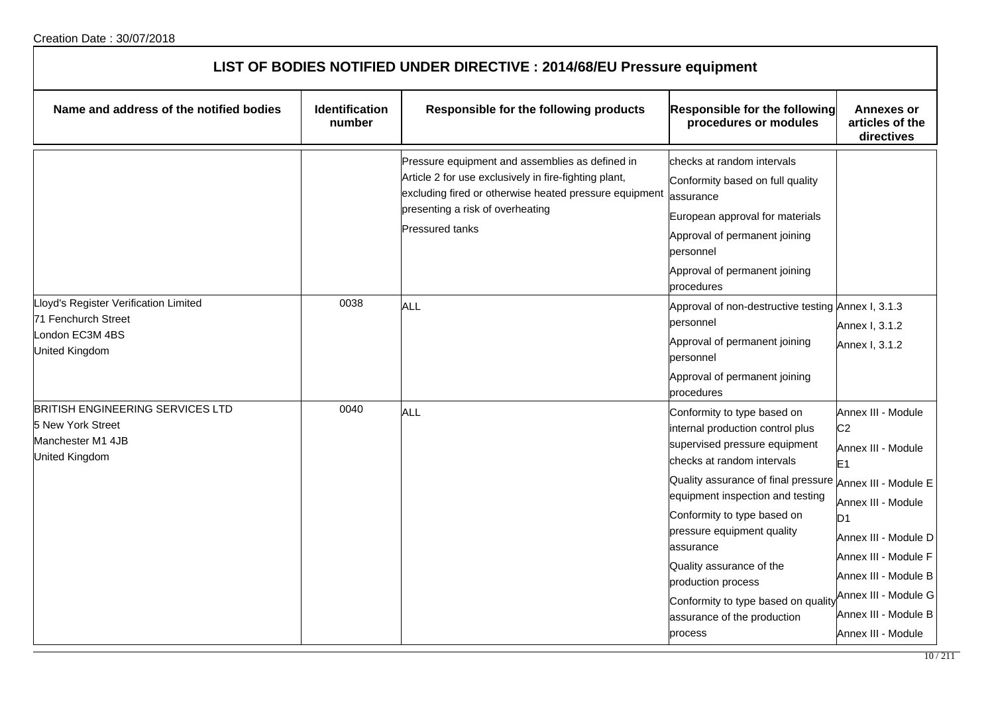| LIST OF BODIES NOTIFIED UNDER DIRECTIVE : 2014/68/EU Pressure equipment                                  |                                 |                                                                                                                                                                                                                                  |                                                                                                                                                                                                                                                                                                                                                                                                                        |                                                                                                                                                                                                                                                                                            |  |
|----------------------------------------------------------------------------------------------------------|---------------------------------|----------------------------------------------------------------------------------------------------------------------------------------------------------------------------------------------------------------------------------|------------------------------------------------------------------------------------------------------------------------------------------------------------------------------------------------------------------------------------------------------------------------------------------------------------------------------------------------------------------------------------------------------------------------|--------------------------------------------------------------------------------------------------------------------------------------------------------------------------------------------------------------------------------------------------------------------------------------------|--|
| Name and address of the notified bodies                                                                  | <b>Identification</b><br>number | Responsible for the following products                                                                                                                                                                                           | Responsible for the following<br>procedures or modules                                                                                                                                                                                                                                                                                                                                                                 | <b>Annexes or</b><br>articles of the<br>directives                                                                                                                                                                                                                                         |  |
|                                                                                                          |                                 | Pressure equipment and assemblies as defined in<br>Article 2 for use exclusively in fire-fighting plant,<br>excluding fired or otherwise heated pressure equipment<br>presenting a risk of overheating<br><b>Pressured tanks</b> | checks at random intervals<br>Conformity based on full quality<br>assurance<br>European approval for materials<br>Approval of permanent joining<br>personnel<br>Approval of permanent joining<br>procedures                                                                                                                                                                                                            |                                                                                                                                                                                                                                                                                            |  |
| Lloyd's Register Verification Limited<br>71 Fenchurch Street<br>London EC3M 4BS<br><b>United Kingdom</b> | 0038                            | <b>ALL</b>                                                                                                                                                                                                                       | Approval of non-destructive testing Annex I, 3.1.3<br>personnel<br>Approval of permanent joining<br>personnel<br>Approval of permanent joining<br>procedures                                                                                                                                                                                                                                                           | Annex I, 3.1.2<br>Annex I, 3.1.2                                                                                                                                                                                                                                                           |  |
| BRITISH ENGINEERING SERVICES LTD<br>5 New York Street<br>Manchester M1 4JB<br>United Kingdom             | 0040                            | ALL                                                                                                                                                                                                                              | Conformity to type based on<br>internal production control plus<br>supervised pressure equipment<br>checks at random intervals<br>Quality assurance of final pressure<br>equipment inspection and testing<br>Conformity to type based on<br>pressure equipment quality<br>assurance<br>Quality assurance of the<br>production process<br>Conformity to type based on quality<br>assurance of the production<br>process | Annex III - Module<br>C <sub>2</sub><br>Annex III - Module<br>E <sub>1</sub><br>Annex III - Module E<br>Annex III - Module<br>D <sub>1</sub><br>Annex III - Module D<br>Annex III - Module F<br>Annex III - Module B<br>Annex III - Module G<br>Annex III - Module B<br>Annex III - Module |  |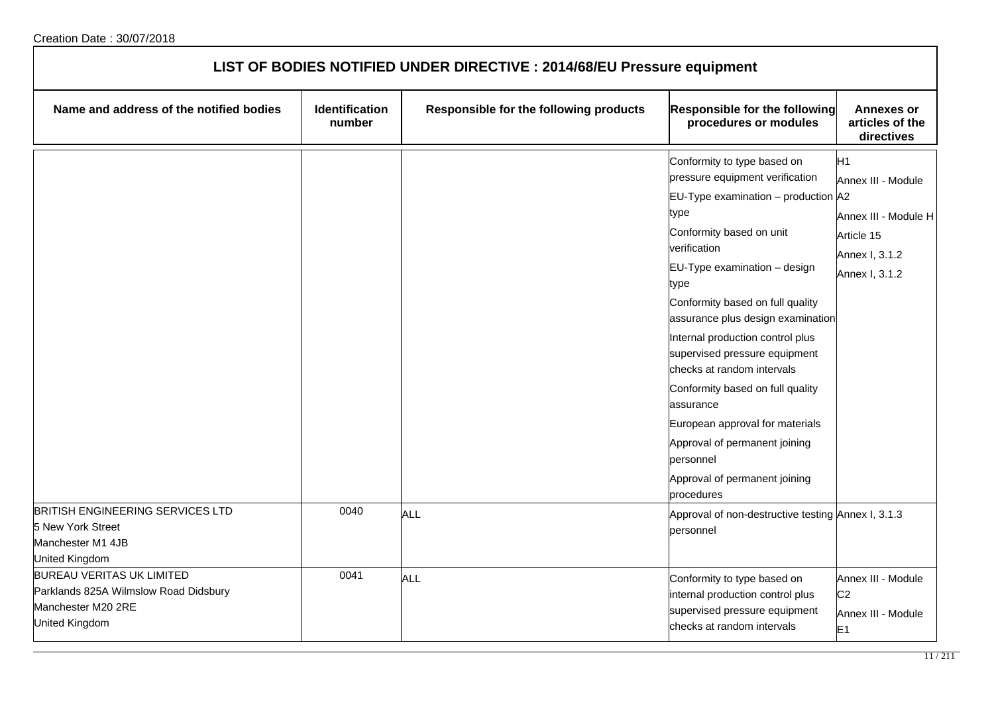| LIST OF BODIES NOTIFIED UNDER DIRECTIVE : 2014/68/EU Pressure equipment                                           |                                 |                                        |                                                                                                                                                                                                                                                                                                                                                                                                                                                                                                                                                                    |                                                                                                                |  |
|-------------------------------------------------------------------------------------------------------------------|---------------------------------|----------------------------------------|--------------------------------------------------------------------------------------------------------------------------------------------------------------------------------------------------------------------------------------------------------------------------------------------------------------------------------------------------------------------------------------------------------------------------------------------------------------------------------------------------------------------------------------------------------------------|----------------------------------------------------------------------------------------------------------------|--|
| Name and address of the notified bodies                                                                           | <b>Identification</b><br>number | Responsible for the following products | Responsible for the following<br>procedures or modules                                                                                                                                                                                                                                                                                                                                                                                                                                                                                                             | <b>Annexes or</b><br>articles of the<br>directives                                                             |  |
|                                                                                                                   |                                 |                                        | Conformity to type based on<br>pressure equipment verification<br>EU-Type examination $-$ production $A2$<br>type<br>Conformity based on unit<br>verification<br>EU-Type examination - design<br>type<br>Conformity based on full quality<br>assurance plus design examination<br>Internal production control plus<br>supervised pressure equipment<br>checks at random intervals<br>Conformity based on full quality<br>assurance<br>European approval for materials<br>Approval of permanent joining<br>personnel<br>Approval of permanent joining<br>procedures | H <sub>1</sub><br>Annex III - Module<br>Annex III - Module H<br>Article 15<br>Annex I, 3.1.2<br>Annex I, 3.1.2 |  |
| <b>BRITISH ENGINEERING SERVICES LTD</b><br>5 New York Street<br>Manchester M1 4JB<br>United Kingdom               | 0040                            | ALL                                    | Approval of non-destructive testing Annex I, 3.1.3<br>personnel                                                                                                                                                                                                                                                                                                                                                                                                                                                                                                    |                                                                                                                |  |
| <b>BUREAU VERITAS UK LIMITED</b><br>Parklands 825A Wilmslow Road Didsbury<br>Manchester M20 2RE<br>United Kingdom | 0041                            | ALL                                    | Conformity to type based on<br>internal production control plus<br>supervised pressure equipment<br>checks at random intervals                                                                                                                                                                                                                                                                                                                                                                                                                                     | Annex III - Module<br>C <sub>2</sub><br>Annex III - Module<br>E <sub>1</sub>                                   |  |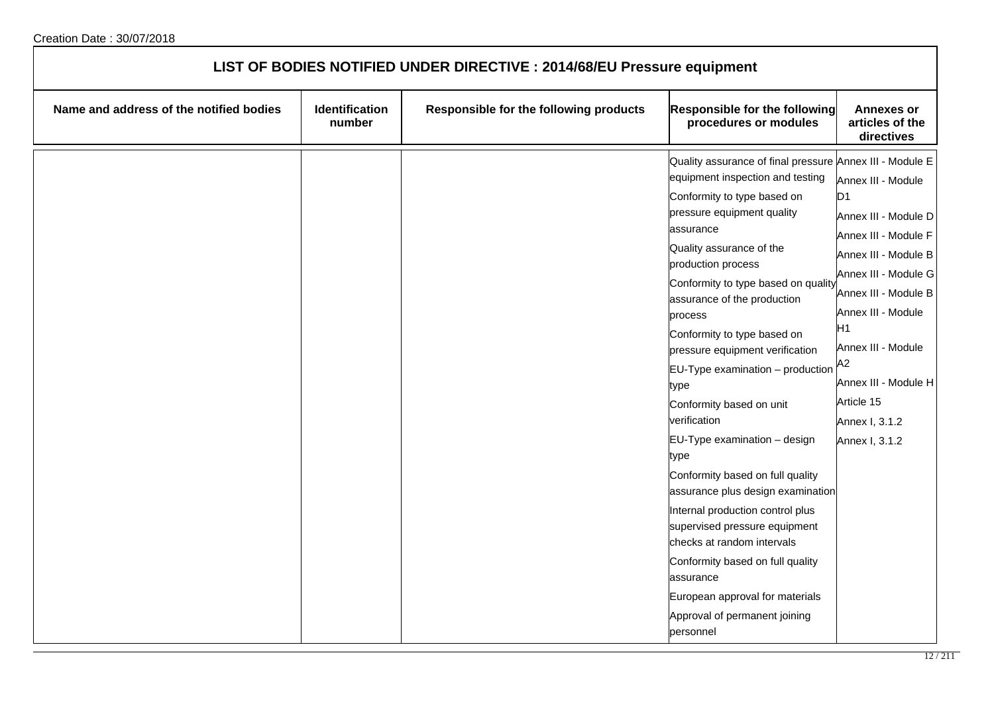| LIST OF BODIES NOTIFIED UNDER DIRECTIVE : 2014/68/EU Pressure equipment |                          |                                        |                                                                                                                                                                                                                                                                                                                                                                                                                                                                                                                                                                                                                                                                                                                                                                                                                               |                                                                                                                                                                                                                                                                                    |
|-------------------------------------------------------------------------|--------------------------|----------------------------------------|-------------------------------------------------------------------------------------------------------------------------------------------------------------------------------------------------------------------------------------------------------------------------------------------------------------------------------------------------------------------------------------------------------------------------------------------------------------------------------------------------------------------------------------------------------------------------------------------------------------------------------------------------------------------------------------------------------------------------------------------------------------------------------------------------------------------------------|------------------------------------------------------------------------------------------------------------------------------------------------------------------------------------------------------------------------------------------------------------------------------------|
| Name and address of the notified bodies                                 | Identification<br>number | Responsible for the following products | Responsible for the following<br>procedures or modules                                                                                                                                                                                                                                                                                                                                                                                                                                                                                                                                                                                                                                                                                                                                                                        | <b>Annexes or</b><br>articles of the<br>directives                                                                                                                                                                                                                                 |
|                                                                         |                          |                                        | Quality assurance of final pressure Annex III - Module E<br>equipment inspection and testing<br>Conformity to type based on<br>pressure equipment quality<br>assurance<br>Quality assurance of the<br>production process<br>Conformity to type based on quality<br>assurance of the production<br>process<br>Conformity to type based on<br>pressure equipment verification<br>$EU-Type$ examination $-$ production<br>type<br>Conformity based on unit<br>verification<br>EU-Type examination - design<br>type<br>Conformity based on full quality<br>assurance plus design examination<br>Internal production control plus<br>supervised pressure equipment<br>checks at random intervals<br>Conformity based on full quality<br>assurance<br>European approval for materials<br>Approval of permanent joining<br>personnel | Annex III - Module<br>D1<br>Annex III - Module D<br>Annex III - Module F<br>Annex III - Module B<br>Annex III - Module G<br>Annex III - Module B<br>Annex III - Module<br>H1<br>Annex III - Module<br>A2<br>Annex III - Module H<br>Article 15<br>Annex I, 3.1.2<br>Annex I, 3.1.2 |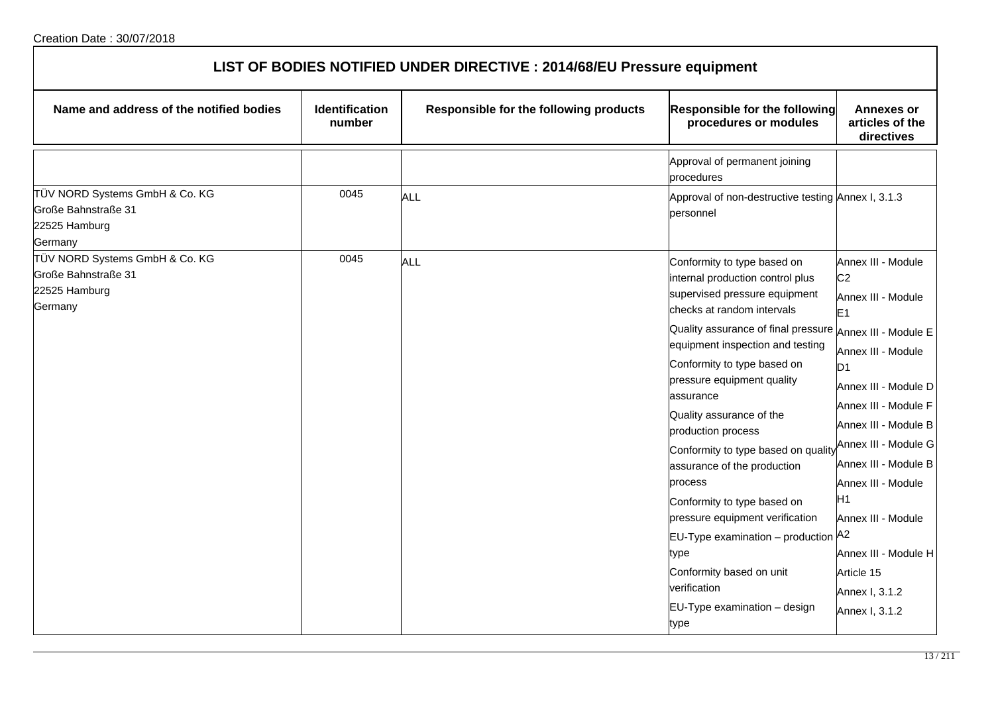| LIST OF BODIES NOTIFIED UNDER DIRECTIVE : 2014/68/EU Pressure equipment           |                          |                                        |                                                                                                                                                                                                                                                                                                                                                                                                                                                                                                                                                                                                                             |                                                                                                                                                                                                                                                                                                                                                                                                  |  |
|-----------------------------------------------------------------------------------|--------------------------|----------------------------------------|-----------------------------------------------------------------------------------------------------------------------------------------------------------------------------------------------------------------------------------------------------------------------------------------------------------------------------------------------------------------------------------------------------------------------------------------------------------------------------------------------------------------------------------------------------------------------------------------------------------------------------|--------------------------------------------------------------------------------------------------------------------------------------------------------------------------------------------------------------------------------------------------------------------------------------------------------------------------------------------------------------------------------------------------|--|
| Name and address of the notified bodies                                           | Identification<br>number | Responsible for the following products | Responsible for the following<br>procedures or modules                                                                                                                                                                                                                                                                                                                                                                                                                                                                                                                                                                      | <b>Annexes or</b><br>articles of the<br>directives                                                                                                                                                                                                                                                                                                                                               |  |
|                                                                                   |                          |                                        | Approval of permanent joining<br>procedures                                                                                                                                                                                                                                                                                                                                                                                                                                                                                                                                                                                 |                                                                                                                                                                                                                                                                                                                                                                                                  |  |
| TÜV NORD Systems GmbH & Co. KG<br>Große Bahnstraße 31<br>22525 Hamburg<br>Germany | 0045                     | ALL                                    | Approval of non-destructive testing Annex I, 3.1.3<br>personnel                                                                                                                                                                                                                                                                                                                                                                                                                                                                                                                                                             |                                                                                                                                                                                                                                                                                                                                                                                                  |  |
| TÜV NORD Systems GmbH & Co. KG<br>Große Bahnstraße 31<br>22525 Hamburg<br>Germany | 0045                     | ALL                                    | Conformity to type based on<br>internal production control plus<br>supervised pressure equipment<br>checks at random intervals<br>Quality assurance of final pressure<br>equipment inspection and testing<br>Conformity to type based on<br>pressure equipment quality<br>assurance<br>Quality assurance of the<br>production process<br>Conformity to type based on quality<br>assurance of the production<br>process<br>Conformity to type based on<br>pressure equipment verification<br>EU-Type examination - production A2<br>type<br>Conformity based on unit<br>verification<br>EU-Type examination - design<br>type | Annex III - Module<br>C <sub>2</sub><br>Annex III - Module<br>E <sub>1</sub><br>Annex III - Module E<br>Annex III - Module<br>D <sub>1</sub><br>Annex III - Module D<br>Annex III - Module F<br>Annex III - Module B<br>Annex III - Module G<br>Annex III - Module B<br>Annex III - Module<br>H1<br>Annex III - Module<br>Annex III - Module H<br>Article 15<br>Annex I, 3.1.2<br>Annex I, 3.1.2 |  |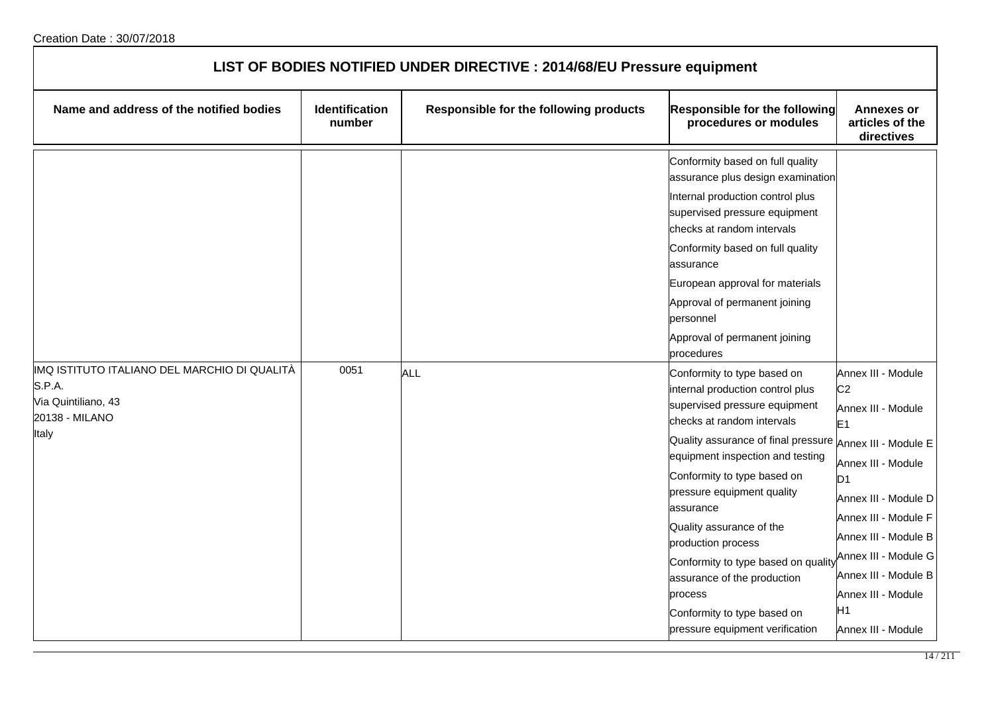| LIST OF BODIES NOTIFIED UNDER DIRECTIVE : 2014/68/EU Pressure equipment |                                 |                                        |                                                                                                                                                                                                                                                                                                                                                                                                                                                                                                               |                                                                                                                                                                                                                                                                                                            |  |
|-------------------------------------------------------------------------|---------------------------------|----------------------------------------|---------------------------------------------------------------------------------------------------------------------------------------------------------------------------------------------------------------------------------------------------------------------------------------------------------------------------------------------------------------------------------------------------------------------------------------------------------------------------------------------------------------|------------------------------------------------------------------------------------------------------------------------------------------------------------------------------------------------------------------------------------------------------------------------------------------------------------|--|
| Name and address of the notified bodies                                 | <b>Identification</b><br>number | Responsible for the following products | Responsible for the following<br>procedures or modules                                                                                                                                                                                                                                                                                                                                                                                                                                                        | <b>Annexes or</b><br>articles of the<br>directives                                                                                                                                                                                                                                                         |  |
| IMQ ISTITUTO ITALIANO DEL MARCHIO DI QUALITÀ                            | 0051                            |                                        | Conformity based on full quality<br>assurance plus design examination<br>Internal production control plus<br>supervised pressure equipment<br>checks at random intervals<br>Conformity based on full quality<br>assurance<br>European approval for materials<br>Approval of permanent joining<br>personnel<br>Approval of permanent joining<br>procedures                                                                                                                                                     |                                                                                                                                                                                                                                                                                                            |  |
| S.P.A.<br>Via Quintiliano, 43<br>20138 - MILANO<br>Italy                |                                 | ALL                                    | Conformity to type based on<br>internal production control plus<br>supervised pressure equipment<br>checks at random intervals<br>Quality assurance of final pressure Annex III - Module E<br>equipment inspection and testing<br>Conformity to type based on<br>pressure equipment quality<br>assurance<br>Quality assurance of the<br>production process<br>Conformity to type based on quality<br>assurance of the production<br>process<br>Conformity to type based on<br>pressure equipment verification | Annex III - Module<br>C <sub>2</sub><br>Annex III - Module<br>E <sub>1</sub><br>Annex III - Module<br>D <sub>1</sub><br>Annex III - Module D<br>Annex III - Module F<br>Annex III - Module B<br>Annex III - Module G<br>Annex III - Module B<br>Annex III - Module<br>H <sub>1</sub><br>Annex III - Module |  |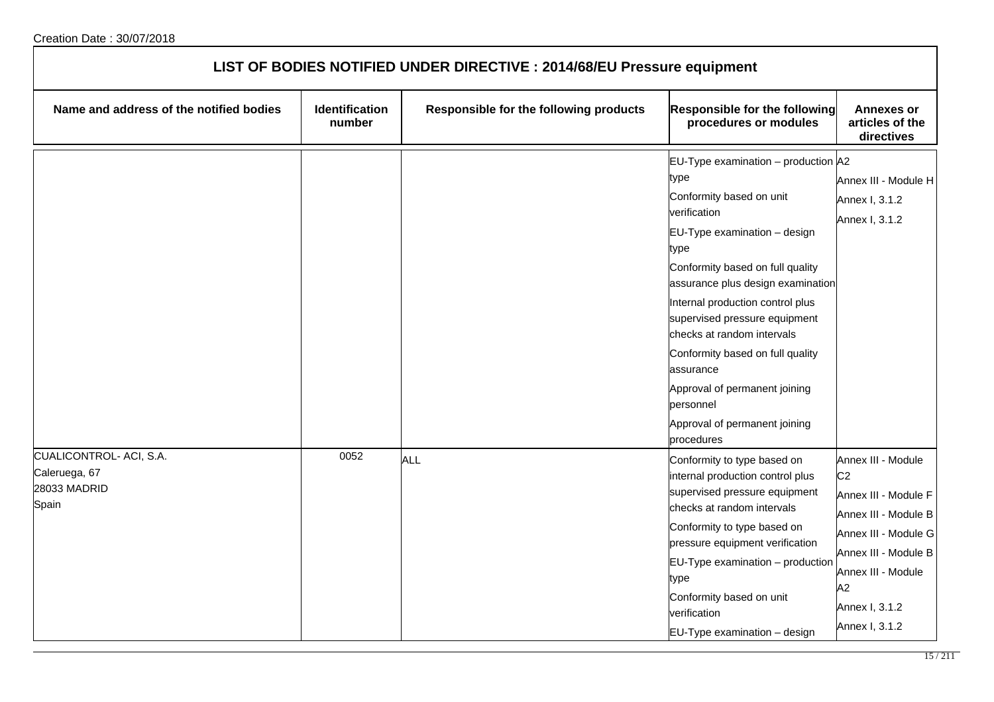| LIST OF BODIES NOTIFIED UNDER DIRECTIVE : 2014/68/EU Pressure equipment |                                 |                                        |                                                                                                                                                                                                                                                                                                                                                                                                                                                               |                                                                                                                                                                                                      |  |
|-------------------------------------------------------------------------|---------------------------------|----------------------------------------|---------------------------------------------------------------------------------------------------------------------------------------------------------------------------------------------------------------------------------------------------------------------------------------------------------------------------------------------------------------------------------------------------------------------------------------------------------------|------------------------------------------------------------------------------------------------------------------------------------------------------------------------------------------------------|--|
| Name and address of the notified bodies                                 | <b>Identification</b><br>number | Responsible for the following products | Responsible for the following<br>procedures or modules                                                                                                                                                                                                                                                                                                                                                                                                        | <b>Annexes or</b><br>articles of the<br>directives                                                                                                                                                   |  |
|                                                                         |                                 |                                        | EU-Type examination $-$ production $A2$<br>type<br>Conformity based on unit<br>verification<br>EU-Type examination - design<br>type<br>Conformity based on full quality<br>assurance plus design examination<br>Internal production control plus<br>supervised pressure equipment<br>checks at random intervals<br>Conformity based on full quality<br>assurance<br>Approval of permanent joining<br>personnel<br>Approval of permanent joining<br>procedures | Annex III - Module H<br>Annex I, 3.1.2<br>Annex I, 3.1.2                                                                                                                                             |  |
| CUALICONTROL- ACI, S.A.<br>Caleruega, 67<br>28033 MADRID<br>Spain       | 0052                            | <b>ALL</b>                             | Conformity to type based on<br>internal production control plus<br>supervised pressure equipment<br>checks at random intervals<br>Conformity to type based on<br>pressure equipment verification<br>$EU-Type$ examination $-$ production<br>type<br>Conformity based on unit<br>verification<br>EU-Type examination - design                                                                                                                                  | Annex III - Module<br>C <sub>2</sub><br>Annex III - Module F<br>Annex III - Module B<br>Annex III - Module G<br>Annex III - Module B<br>Annex III - Module<br>A2<br>Annex I, 3.1.2<br>Annex I, 3.1.2 |  |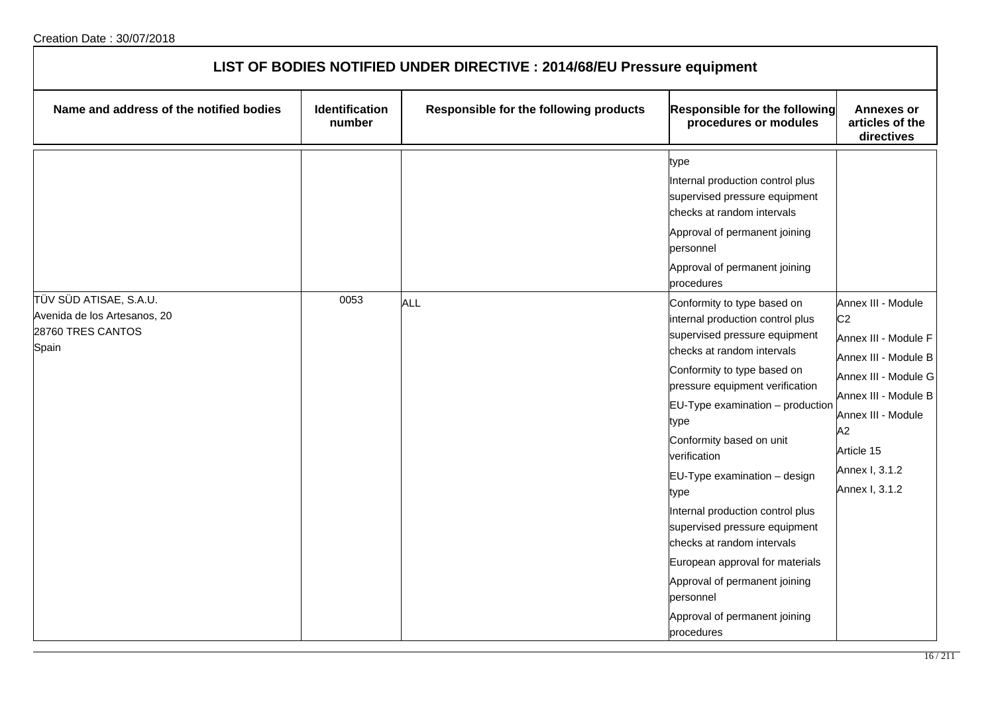| LIST OF BODIES NOTIFIED UNDER DIRECTIVE : 2014/68/EU Pressure equipment              |                                 |                                        |                                                                                                                                                                                                                                                                                                                                                                                                                                                                                                                                                                                                                                                                                                                                                               |                                                                                                                                                                                                                    |  |
|--------------------------------------------------------------------------------------|---------------------------------|----------------------------------------|---------------------------------------------------------------------------------------------------------------------------------------------------------------------------------------------------------------------------------------------------------------------------------------------------------------------------------------------------------------------------------------------------------------------------------------------------------------------------------------------------------------------------------------------------------------------------------------------------------------------------------------------------------------------------------------------------------------------------------------------------------------|--------------------------------------------------------------------------------------------------------------------------------------------------------------------------------------------------------------------|--|
| Name and address of the notified bodies                                              | <b>Identification</b><br>number | Responsible for the following products | Responsible for the following<br>procedures or modules                                                                                                                                                                                                                                                                                                                                                                                                                                                                                                                                                                                                                                                                                                        | <b>Annexes or</b><br>articles of the<br>directives                                                                                                                                                                 |  |
| TÜV SÜD ATISAE, S.A.U.<br>Avenida de los Artesanos, 20<br>28760 TRES CANTOS<br>Spain | 0053                            | <b>ALL</b>                             | type<br>Internal production control plus<br>supervised pressure equipment<br>checks at random intervals<br>Approval of permanent joining<br>personnel<br>Approval of permanent joining<br>procedures<br>Conformity to type based on<br>internal production control plus<br>supervised pressure equipment<br>checks at random intervals<br>Conformity to type based on<br>pressure equipment verification<br>EU-Type examination - production<br>type<br>Conformity based on unit<br>verification<br>EU-Type examination - design<br>type<br>Internal production control plus<br>supervised pressure equipment<br>checks at random intervals<br>European approval for materials<br>Approval of permanent joining<br>personnel<br>Approval of permanent joining | Annex III - Module<br>C <sub>2</sub><br>Annex III - Module F<br>Annex III - Module B<br>Annex III - Module G<br>Annex III - Module B<br>Annex III - Module<br>A2<br>Article 15<br>Annex I, 3.1.2<br>Annex I, 3.1.2 |  |
|                                                                                      |                                 |                                        | procedures                                                                                                                                                                                                                                                                                                                                                                                                                                                                                                                                                                                                                                                                                                                                                    |                                                                                                                                                                                                                    |  |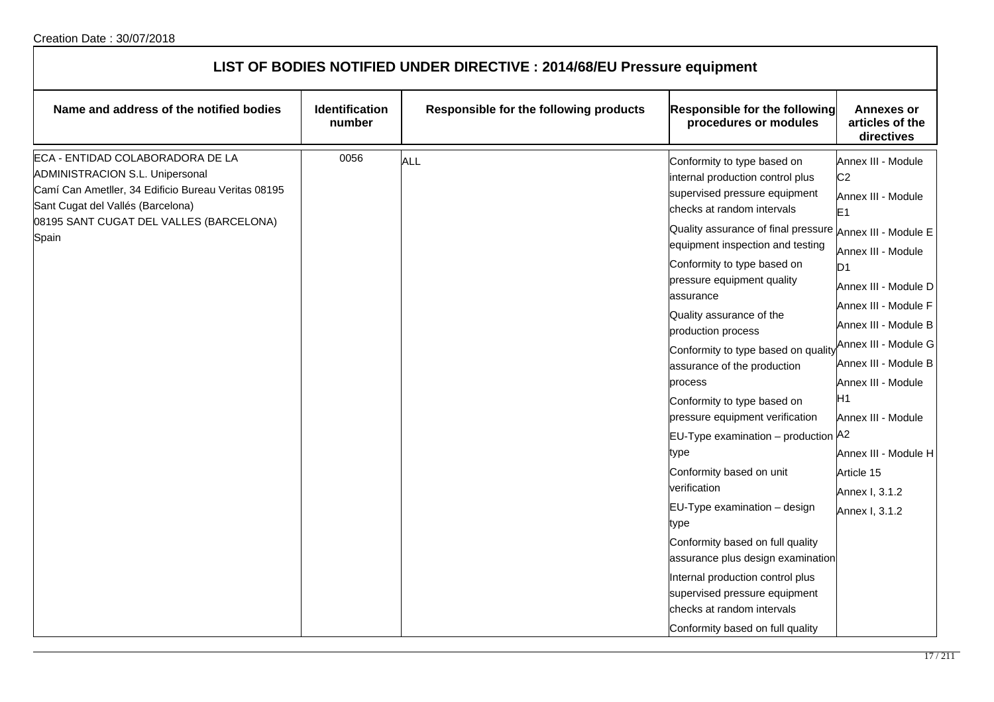| LIST OF BODIES NOTIFIED UNDER DIRECTIVE : 2014/68/EU Pressure equipment                                                                                                                                                    |                                 |                                        |                                                                                                                                                                                                                                                                                                                                                                                                                                                                                                                                                                                                                                                                                                                                                                                                                                                                    |                                                                                                                                                                                                                                                                                                                                                                                      |  |
|----------------------------------------------------------------------------------------------------------------------------------------------------------------------------------------------------------------------------|---------------------------------|----------------------------------------|--------------------------------------------------------------------------------------------------------------------------------------------------------------------------------------------------------------------------------------------------------------------------------------------------------------------------------------------------------------------------------------------------------------------------------------------------------------------------------------------------------------------------------------------------------------------------------------------------------------------------------------------------------------------------------------------------------------------------------------------------------------------------------------------------------------------------------------------------------------------|--------------------------------------------------------------------------------------------------------------------------------------------------------------------------------------------------------------------------------------------------------------------------------------------------------------------------------------------------------------------------------------|--|
| Name and address of the notified bodies                                                                                                                                                                                    | <b>Identification</b><br>number | Responsible for the following products | Responsible for the following<br>procedures or modules                                                                                                                                                                                                                                                                                                                                                                                                                                                                                                                                                                                                                                                                                                                                                                                                             | <b>Annexes or</b><br>articles of the<br>directives                                                                                                                                                                                                                                                                                                                                   |  |
| ECA - ENTIDAD COLABORADORA DE LA<br><b>ADMINISTRACION S.L. Unipersonal</b><br>Camí Can Ametller, 34 Edificio Bureau Veritas 08195<br>Sant Cugat del Vallés (Barcelona)<br>08195 SANT CUGAT DEL VALLES (BARCELONA)<br>Spain | 0056                            | <b>ALL</b>                             | Conformity to type based on<br>internal production control plus<br>supervised pressure equipment<br>checks at random intervals<br>Quality assurance of final pressure Annex III - Module E<br>equipment inspection and testing<br>Conformity to type based on<br>pressure equipment quality<br>assurance<br>Quality assurance of the<br>production process<br>Conformity to type based on quality<br>assurance of the production<br>process<br>Conformity to type based on<br>pressure equipment verification<br>EU-Type examination - production $A2$<br>type<br>Conformity based on unit<br>verification<br>EU-Type examination - design<br>type<br>Conformity based on full quality<br>assurance plus design examination<br>Internal production control plus<br>supervised pressure equipment<br>checks at random intervals<br>Conformity based on full quality | Annex III - Module<br>C <sub>2</sub><br>Annex III - Module<br>E <sub>1</sub><br>Annex III - Module<br>D <sub>1</sub><br>Annex III - Module D<br>Annex III - Module F<br>Annex III - Module B<br>Annex III - Module G<br>Annex III - Module B<br>Annex III - Module<br>H <sub>1</sub><br>Annex III - Module<br>Annex III - Module H<br>Article 15<br>Annex I, 3.1.2<br>Annex I, 3.1.2 |  |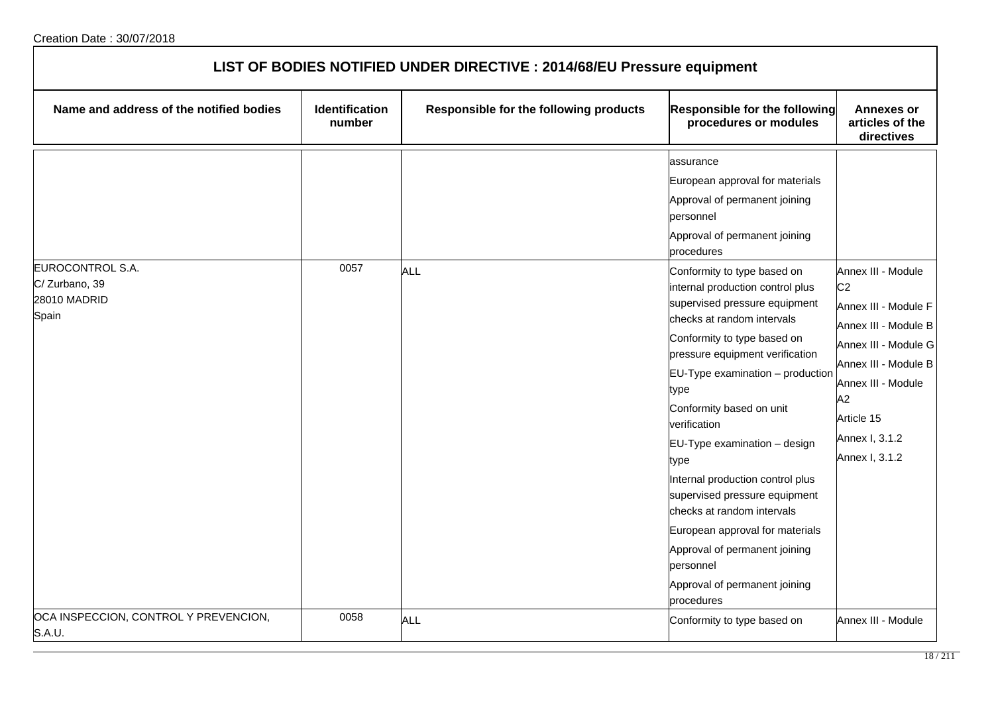| LIST OF BODIES NOTIFIED UNDER DIRECTIVE : 2014/68/EU Pressure equipment |                                 |                                        |                                                                                                                                                                                                                                                                                                                                                                                                                                                                                                                                                                         |                                                                                                                                                                                                                    |  |
|-------------------------------------------------------------------------|---------------------------------|----------------------------------------|-------------------------------------------------------------------------------------------------------------------------------------------------------------------------------------------------------------------------------------------------------------------------------------------------------------------------------------------------------------------------------------------------------------------------------------------------------------------------------------------------------------------------------------------------------------------------|--------------------------------------------------------------------------------------------------------------------------------------------------------------------------------------------------------------------|--|
| Name and address of the notified bodies                                 | <b>Identification</b><br>number | Responsible for the following products | Responsible for the following<br>procedures or modules                                                                                                                                                                                                                                                                                                                                                                                                                                                                                                                  | <b>Annexes or</b><br>articles of the<br>directives                                                                                                                                                                 |  |
|                                                                         |                                 |                                        | assurance<br>European approval for materials<br>Approval of permanent joining<br>personnel<br>Approval of permanent joining<br>procedures                                                                                                                                                                                                                                                                                                                                                                                                                               |                                                                                                                                                                                                                    |  |
| EUROCONTROL S.A.<br>C/Zurbano, 39<br>28010 MADRID<br>Spain              | 0057                            | <b>ALL</b>                             | Conformity to type based on<br>internal production control plus<br>supervised pressure equipment<br>checks at random intervals<br>Conformity to type based on<br>pressure equipment verification<br>$EU-Type$ examination $-$ production<br>type<br>Conformity based on unit<br>verification<br>EU-Type examination - design<br>type<br>Internal production control plus<br>supervised pressure equipment<br>checks at random intervals<br>European approval for materials<br>Approval of permanent joining<br>personnel<br>Approval of permanent joining<br>procedures | Annex III - Module<br>C <sub>2</sub><br>Annex III - Module F<br>Annex III - Module B<br>Annex III - Module G<br>Annex III - Module B<br>Annex III - Module<br>A2<br>Article 15<br>Annex I, 3.1.2<br>Annex I, 3.1.2 |  |
| OCA INSPECCION, CONTROL Y PREVENCION,<br>S.A.U.                         | 0058                            | <b>ALL</b>                             | Conformity to type based on                                                                                                                                                                                                                                                                                                                                                                                                                                                                                                                                             | Annex III - Module                                                                                                                                                                                                 |  |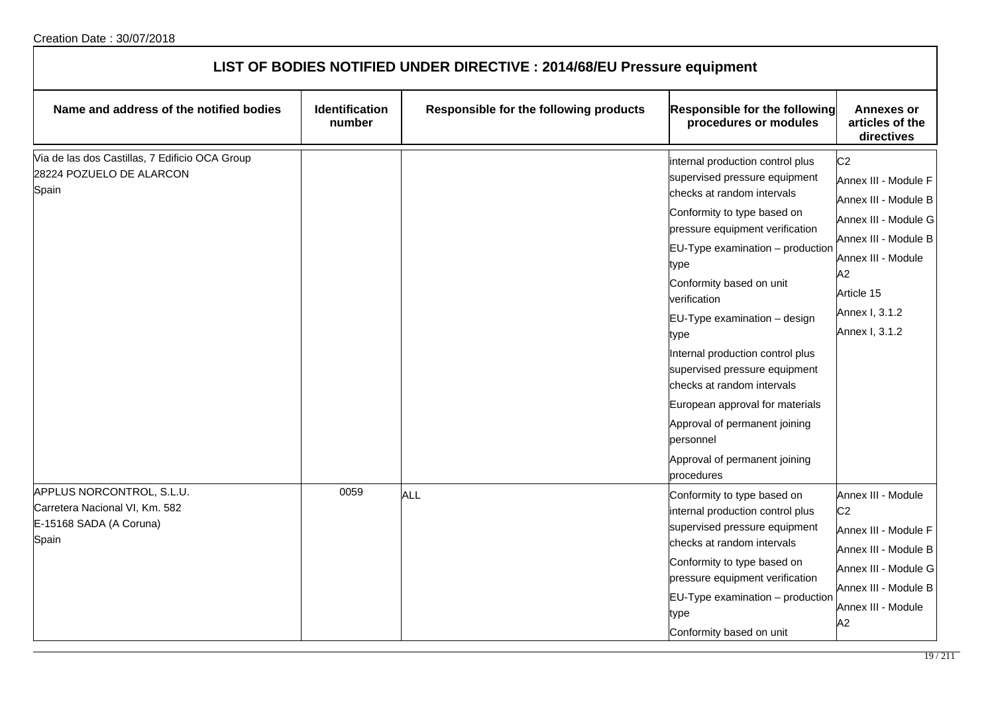| LIST OF BODIES NOTIFIED UNDER DIRECTIVE : 2014/68/EU Pressure equipment                         |                                 |                                        |                                                                                                                                                                                                                                                                                                                                                                                                                                                                                                                                      |                                                                                                                                                                                              |  |
|-------------------------------------------------------------------------------------------------|---------------------------------|----------------------------------------|--------------------------------------------------------------------------------------------------------------------------------------------------------------------------------------------------------------------------------------------------------------------------------------------------------------------------------------------------------------------------------------------------------------------------------------------------------------------------------------------------------------------------------------|----------------------------------------------------------------------------------------------------------------------------------------------------------------------------------------------|--|
| Name and address of the notified bodies                                                         | <b>Identification</b><br>number | Responsible for the following products | Responsible for the following<br>procedures or modules                                                                                                                                                                                                                                                                                                                                                                                                                                                                               | <b>Annexes or</b><br>articles of the<br>directives                                                                                                                                           |  |
| Via de las dos Castillas, 7 Edificio OCA Group<br>28224 POZUELO DE ALARCON<br>Spain             |                                 |                                        | internal production control plus<br>supervised pressure equipment<br>checks at random intervals<br>Conformity to type based on<br>pressure equipment verification<br>EU-Type examination - production<br>type<br>Conformity based on unit<br>verification<br>EU-Type examination - design<br>type<br>Internal production control plus<br>supervised pressure equipment<br>checks at random intervals<br>European approval for materials<br>Approval of permanent joining<br>personnel<br>Approval of permanent joining<br>procedures | C <sub>2</sub><br>Annex III - Module F<br>Annex III - Module B<br>Annex III - Module G<br>Annex III - Module B<br>Annex III - Module<br>A2<br>Article 15<br>Annex I, 3.1.2<br>Annex I, 3.1.2 |  |
| APPLUS NORCONTROL, S.L.U.<br>Carretera Nacional VI, Km. 582<br>E-15168 SADA (A Coruna)<br>Spain | 0059                            | <b>ALL</b>                             | Conformity to type based on<br>internal production control plus<br>supervised pressure equipment<br>checks at random intervals<br>Conformity to type based on<br>pressure equipment verification<br>EU-Type examination - production<br>type<br>Conformity based on unit                                                                                                                                                                                                                                                             | Annex III - Module<br>C <sub>2</sub><br>Annex III - Module F<br>Annex III - Module B<br>Annex III - Module G<br>Annex III - Module B<br>Annex III - Module<br>A2                             |  |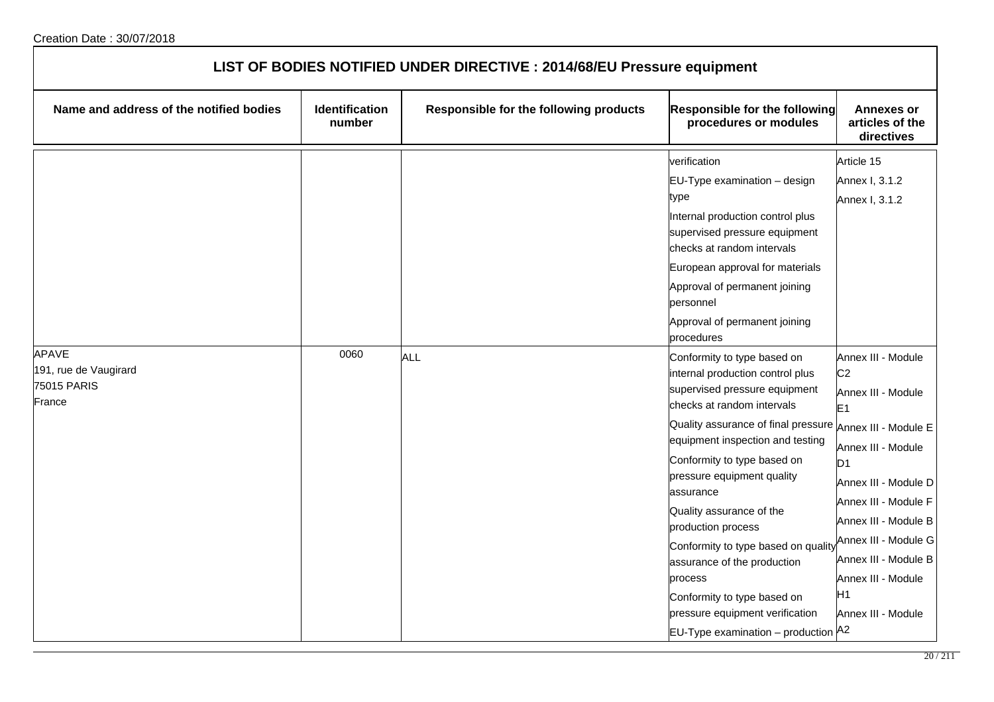| LIST OF BODIES NOTIFIED UNDER DIRECTIVE : 2014/68/EU Pressure equipment |                                 |                                        |                                                                                                                                                                                                                                                                                                                                                                                                                                                                                                                                                                  |                                                                                                                                                                                                                                                                                                |  |
|-------------------------------------------------------------------------|---------------------------------|----------------------------------------|------------------------------------------------------------------------------------------------------------------------------------------------------------------------------------------------------------------------------------------------------------------------------------------------------------------------------------------------------------------------------------------------------------------------------------------------------------------------------------------------------------------------------------------------------------------|------------------------------------------------------------------------------------------------------------------------------------------------------------------------------------------------------------------------------------------------------------------------------------------------|--|
| Name and address of the notified bodies                                 | <b>Identification</b><br>number | Responsible for the following products | <b>Responsible for the following</b><br>procedures or modules                                                                                                                                                                                                                                                                                                                                                                                                                                                                                                    | <b>Annexes or</b><br>articles of the<br>directives                                                                                                                                                                                                                                             |  |
|                                                                         |                                 |                                        | verification<br>EU-Type examination - design<br>type<br>Internal production control plus<br>supervised pressure equipment<br>checks at random intervals<br>European approval for materials<br>Approval of permanent joining<br>personnel<br>Approval of permanent joining<br>procedures                                                                                                                                                                                                                                                                          | Article 15<br>Annex I, 3.1.2<br>Annex I, 3.1.2                                                                                                                                                                                                                                                 |  |
| <b>APAVE</b><br>191, rue de Vaugirard<br>75015 PARIS<br>France          | 0060                            | <b>ALL</b>                             | Conformity to type based on<br>internal production control plus<br>supervised pressure equipment<br>checks at random intervals<br>Quality assurance of final pressure $A_{\text{Nnex III}}$ . Module E<br>equipment inspection and testing<br>Conformity to type based on<br>pressure equipment quality<br>assurance<br>Quality assurance of the<br>production process<br>Conformity to type based on quality<br>assurance of the production<br>process<br>Conformity to type based on<br>pressure equipment verification<br>EU-Type examination - production A2 | Annex III - Module<br>C <sub>2</sub><br>Annex III - Module<br>E <sub>1</sub><br>Annex III - Module<br>D1<br>Annex III - Module D<br>Annex III - Module F<br>Annex III - Module B<br>Annex III - Module G<br>Annex III - Module B<br>Annex III - Module<br>H <sub>1</sub><br>Annex III - Module |  |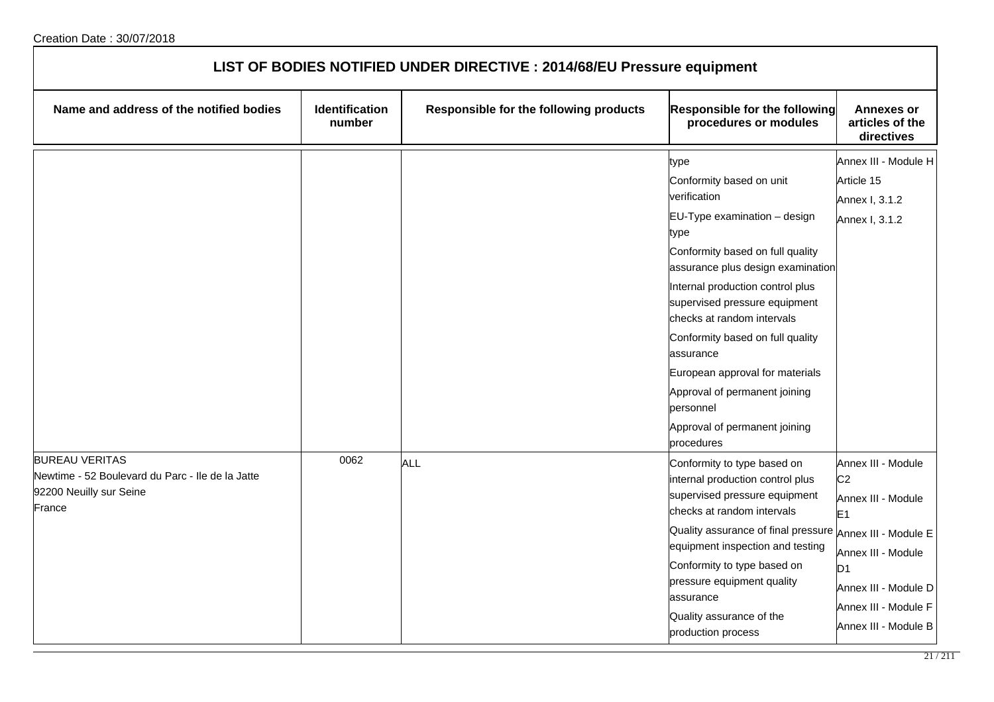| LIST OF BODIES NOTIFIED UNDER DIRECTIVE : 2014/68/EU Pressure equipment                                        |                          |                                        |                                                                                                                                                                                                                                                                                                                                                                                                                                                           |                                                                                                                                                                                              |  |
|----------------------------------------------------------------------------------------------------------------|--------------------------|----------------------------------------|-----------------------------------------------------------------------------------------------------------------------------------------------------------------------------------------------------------------------------------------------------------------------------------------------------------------------------------------------------------------------------------------------------------------------------------------------------------|----------------------------------------------------------------------------------------------------------------------------------------------------------------------------------------------|--|
| Name and address of the notified bodies                                                                        | Identification<br>number | Responsible for the following products | <b>Responsible for the following</b><br>procedures or modules                                                                                                                                                                                                                                                                                                                                                                                             | <b>Annexes or</b><br>articles of the<br>directives                                                                                                                                           |  |
|                                                                                                                |                          |                                        | type<br>Conformity based on unit<br>verification<br>$EU-Type$ examination $-$ design<br>type<br>Conformity based on full quality<br>assurance plus design examination<br>Internal production control plus<br>supervised pressure equipment<br>checks at random intervals<br>Conformity based on full quality<br>assurance<br>European approval for materials<br>Approval of permanent joining<br>personnel<br>Approval of permanent joining<br>procedures | Annex III - Module H<br>Article 15<br>Annex I, 3.1.2<br>Annex I, 3.1.2                                                                                                                       |  |
| <b>BUREAU VERITAS</b><br>Newtime - 52 Boulevard du Parc - Ile de la Jatte<br>92200 Neuilly sur Seine<br>France | 0062                     | ALL                                    | Conformity to type based on<br>internal production control plus<br>supervised pressure equipment<br>checks at random intervals<br>Quality assurance of final pressure Annex III - Module E<br>equipment inspection and testing<br>Conformity to type based on<br>pressure equipment quality<br>assurance<br>Quality assurance of the<br>production process                                                                                                | Annex III - Module<br>C <sub>2</sub><br>Annex III - Module<br>E <sub>1</sub><br>Annex III - Module<br>D <sub>1</sub><br>Annex III - Module D<br>Annex III - Module F<br>Annex III - Module B |  |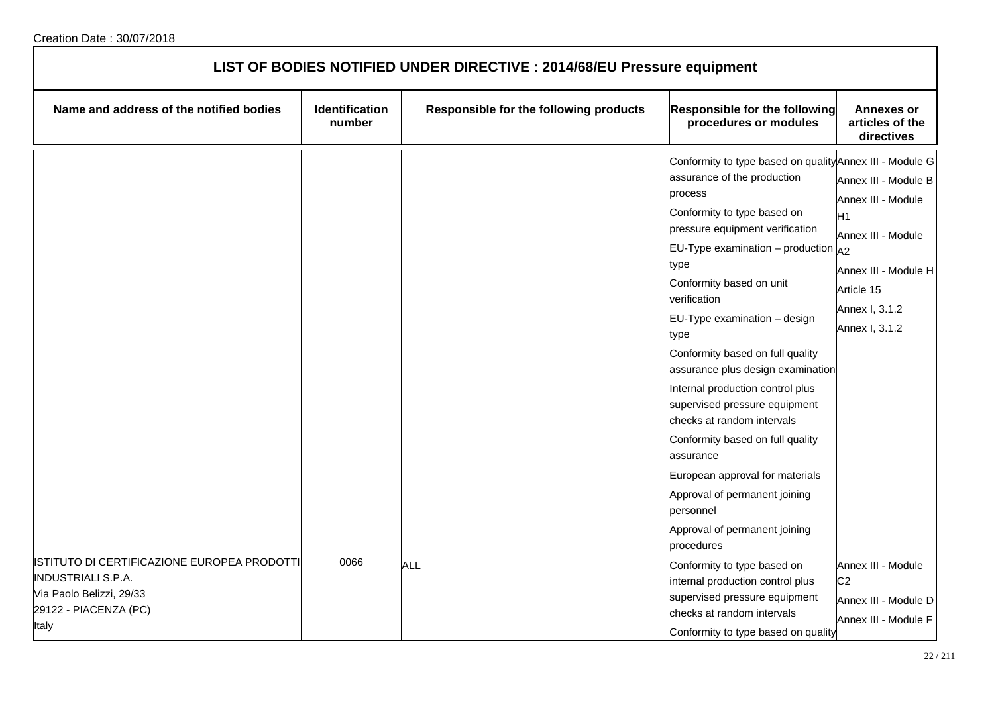| LIST OF BODIES NOTIFIED UNDER DIRECTIVE : 2014/68/EU Pressure equipment                                                                |                                 |                                        |                                                                                                                                                                                                                                                                                                                                                                                                                                                                                                                                                                                                                                                                         |                                                                                                                                                              |
|----------------------------------------------------------------------------------------------------------------------------------------|---------------------------------|----------------------------------------|-------------------------------------------------------------------------------------------------------------------------------------------------------------------------------------------------------------------------------------------------------------------------------------------------------------------------------------------------------------------------------------------------------------------------------------------------------------------------------------------------------------------------------------------------------------------------------------------------------------------------------------------------------------------------|--------------------------------------------------------------------------------------------------------------------------------------------------------------|
| Name and address of the notified bodies                                                                                                | <b>Identification</b><br>number | Responsible for the following products | Responsible for the following<br>procedures or modules                                                                                                                                                                                                                                                                                                                                                                                                                                                                                                                                                                                                                  | <b>Annexes or</b><br>articles of the<br>directives                                                                                                           |
|                                                                                                                                        |                                 |                                        | Conformity to type based on quality Annex III - Module G<br>assurance of the production<br>process<br>Conformity to type based on<br>pressure equipment verification<br>EU-Type examination – production $A_2$<br>type<br>Conformity based on unit<br>verification<br>EU-Type examination - design<br>type<br>Conformity based on full quality<br>assurance plus design examination<br>Internal production control plus<br>supervised pressure equipment<br>checks at random intervals<br>Conformity based on full quality<br>assurance<br>European approval for materials<br>Approval of permanent joining<br>personnel<br>Approval of permanent joining<br>procedures | Annex III - Module B<br>Annex III - Module<br>H <sub>1</sub><br>Annex III - Module<br>Annex III - Module H<br>Article 15<br>Annex I, 3.1.2<br>Annex I, 3.1.2 |
| ISTITUTO DI CERTIFICAZIONE EUROPEA PRODOTTI<br><b>INDUSTRIALI S.P.A.</b><br>Via Paolo Belizzi, 29/33<br>29122 - PIACENZA (PC)<br>Italy | 0066                            | ALL                                    | Conformity to type based on<br>internal production control plus<br>supervised pressure equipment<br>checks at random intervals<br>Conformity to type based on quality                                                                                                                                                                                                                                                                                                                                                                                                                                                                                                   | Annex III - Module<br>C <sub>2</sub><br>Annex III - Module D<br>Annex III - Module F                                                                         |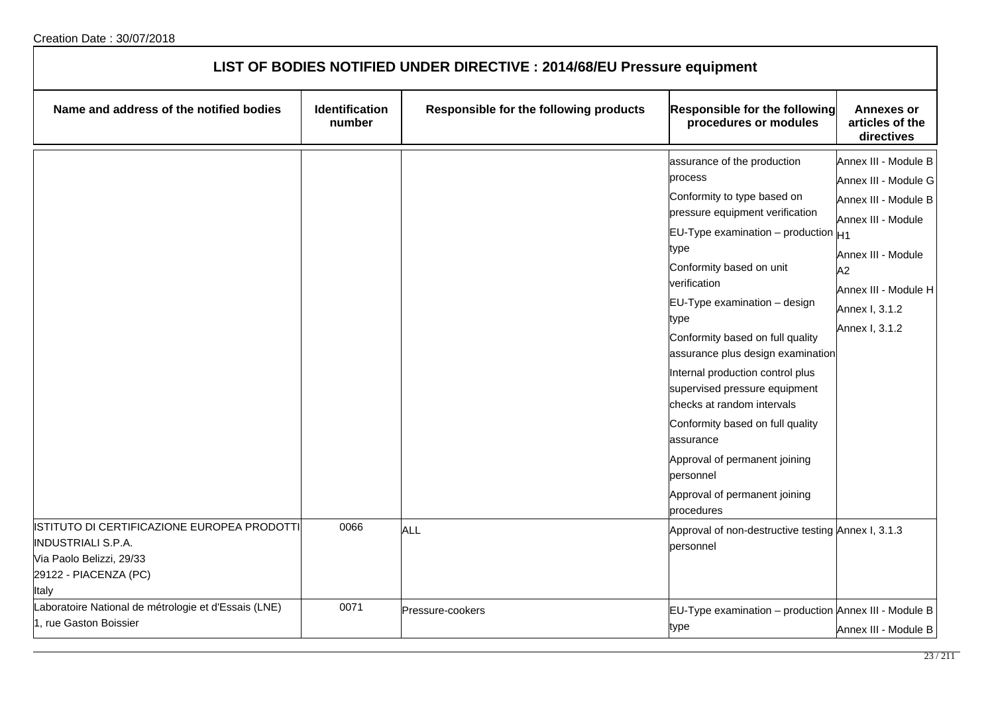| LIST OF BODIES NOTIFIED UNDER DIRECTIVE : 2014/68/EU Pressure equipment                                          |                          |                                        |                                                                                                                                                                                                                                                                                                                                                                                                                                                                                                                                                                                                                                              |                                                                                                                                                                                    |
|------------------------------------------------------------------------------------------------------------------|--------------------------|----------------------------------------|----------------------------------------------------------------------------------------------------------------------------------------------------------------------------------------------------------------------------------------------------------------------------------------------------------------------------------------------------------------------------------------------------------------------------------------------------------------------------------------------------------------------------------------------------------------------------------------------------------------------------------------------|------------------------------------------------------------------------------------------------------------------------------------------------------------------------------------|
| Name and address of the notified bodies                                                                          | Identification<br>number | Responsible for the following products | Responsible for the following<br>procedures or modules                                                                                                                                                                                                                                                                                                                                                                                                                                                                                                                                                                                       | <b>Annexes or</b><br>articles of the<br>directives                                                                                                                                 |
| ISTITUTO DI CERTIFICAZIONE EUROPEA PRODOTTI<br><b>INDUSTRIALI S.P.A.</b><br>Via Paolo Belizzi, 29/33             | 0066                     | <b>ALL</b>                             | assurance of the production<br>process<br>Conformity to type based on<br>pressure equipment verification<br>EU-Type examination – production $H_1$<br>type<br>Conformity based on unit<br>verification<br>EU-Type examination - design<br>type<br>Conformity based on full quality<br>assurance plus design examination<br>Internal production control plus<br>supervised pressure equipment<br>checks at random intervals<br>Conformity based on full quality<br>lassurance<br>Approval of permanent joining<br>bersonnel<br>Approval of permanent joining<br>procedures<br>Approval of non-destructive testing Annex I, 3.1.3<br>personnel | Annex III - Module B<br>Annex III - Module G<br>Annex III - Module B<br>Annex III - Module<br>Annex III - Module<br>A2<br>Annex III - Module H<br>Annex I, 3.1.2<br>Annex I, 3.1.2 |
| 29122 - PIACENZA (PC)<br>Italy<br>Laboratoire National de métrologie et d'Essais (LNE)<br>1, rue Gaston Boissier | 0071                     | Pressure-cookers                       | EU-Type examination - production Annex III - Module B<br>type                                                                                                                                                                                                                                                                                                                                                                                                                                                                                                                                                                                | Annex III - Module B                                                                                                                                                               |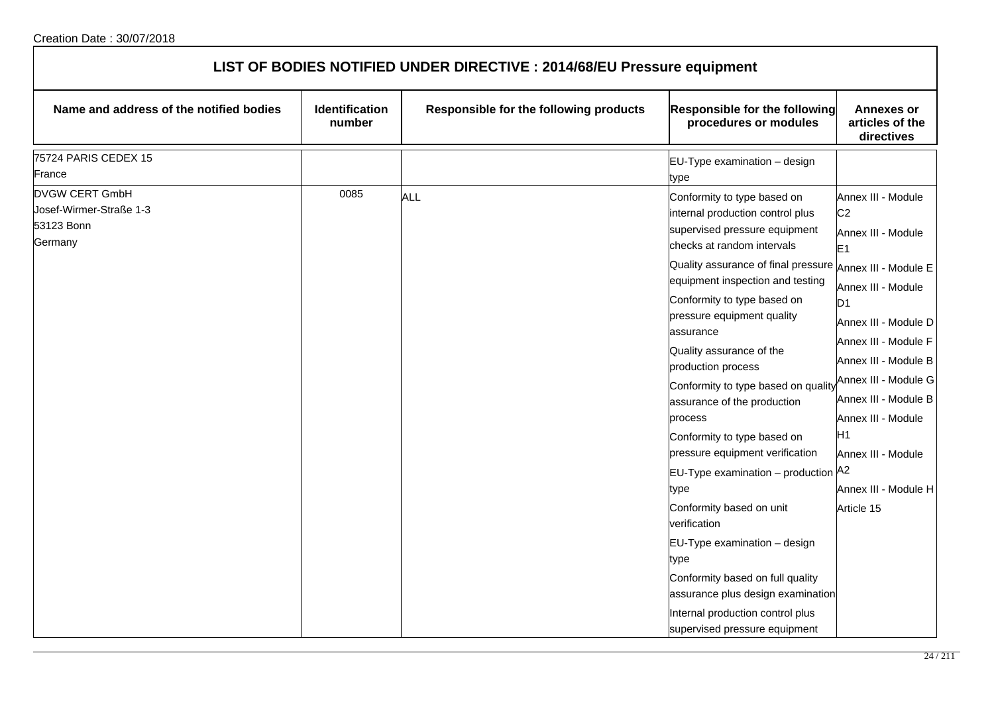| LIST OF BODIES NOTIFIED UNDER DIRECTIVE : 2014/68/EU Pressure equipment   |                                 |                                        |                                                                                                                                                                                                                                                                                                                                                                                                                                                                                                                                                                                                                                                                                                                                                                           |                                                                                                                                                                                                                                                                                                                                                               |  |
|---------------------------------------------------------------------------|---------------------------------|----------------------------------------|---------------------------------------------------------------------------------------------------------------------------------------------------------------------------------------------------------------------------------------------------------------------------------------------------------------------------------------------------------------------------------------------------------------------------------------------------------------------------------------------------------------------------------------------------------------------------------------------------------------------------------------------------------------------------------------------------------------------------------------------------------------------------|---------------------------------------------------------------------------------------------------------------------------------------------------------------------------------------------------------------------------------------------------------------------------------------------------------------------------------------------------------------|--|
| Name and address of the notified bodies                                   | <b>Identification</b><br>number | Responsible for the following products | Responsible for the following<br>procedures or modules                                                                                                                                                                                                                                                                                                                                                                                                                                                                                                                                                                                                                                                                                                                    | <b>Annexes or</b><br>articles of the<br>directives                                                                                                                                                                                                                                                                                                            |  |
| 75724 PARIS CEDEX 15<br>France                                            |                                 |                                        | EU-Type examination - design<br>type                                                                                                                                                                                                                                                                                                                                                                                                                                                                                                                                                                                                                                                                                                                                      |                                                                                                                                                                                                                                                                                                                                                               |  |
| <b>DVGW CERT GmbH</b><br>Josef-Wirmer-Straße 1-3<br>53123 Bonn<br>Germany | 0085                            | <b>ALL</b>                             | Conformity to type based on<br>internal production control plus<br>supervised pressure equipment<br>checks at random intervals<br>Quality assurance of final pressure<br>equipment inspection and testing<br>Conformity to type based on<br>pressure equipment quality<br>assurance<br>Quality assurance of the<br>production process<br>Conformity to type based on quality<br>assurance of the production<br>process<br>Conformity to type based on<br>pressure equipment verification<br>EU-Type examination - production A2<br>type<br>Conformity based on unit<br>verification<br>EU-Type examination - design<br>type<br>Conformity based on full quality<br>assurance plus design examination<br>Internal production control plus<br>supervised pressure equipment | Annex III - Module<br>C <sub>2</sub><br>Annex III - Module<br>E <sub>1</sub><br>Annex III - Module E<br>Annex III - Module<br>ID1<br>Annex III - Module D<br>Annex III - Module F<br>Annex III - Module B<br>Annex III - Module G<br>Annex III - Module B<br>Annex III - Module<br>H <sub>1</sub><br>Annex III - Module<br>Annex III - Module H<br>Article 15 |  |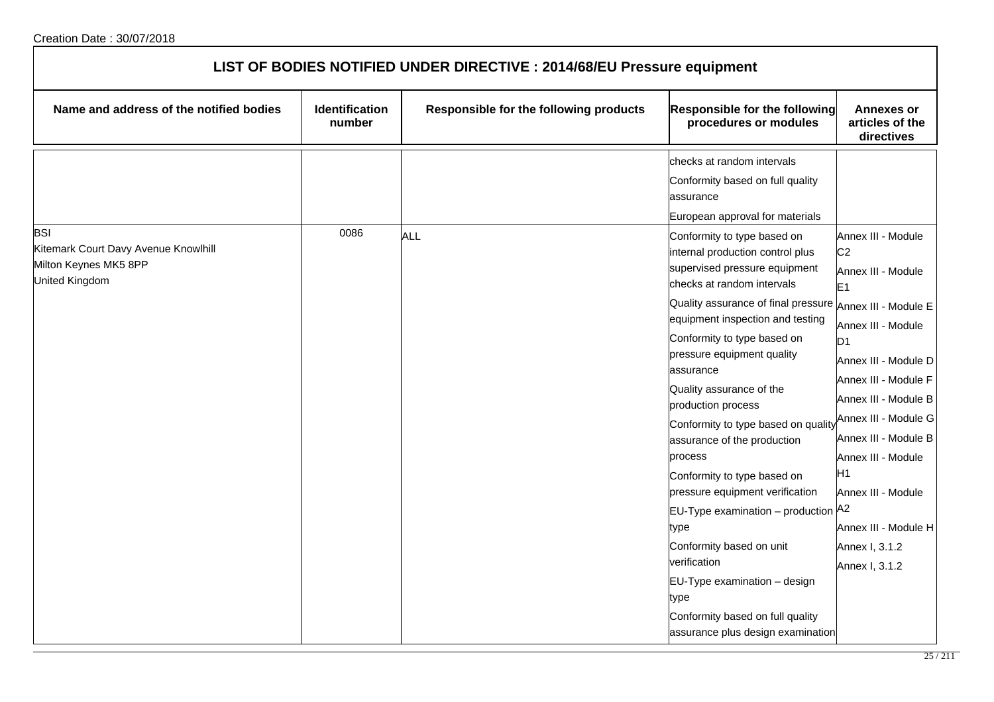| LIST OF BODIES NOTIFIED UNDER DIRECTIVE : 2014/68/EU Pressure equipment         |                                 |                                        |                                                                                                                                                                                                                                                                                                                                                                                                                                                                                                                                                                                            |                                                                                                                                                                                                                                                                            |
|---------------------------------------------------------------------------------|---------------------------------|----------------------------------------|--------------------------------------------------------------------------------------------------------------------------------------------------------------------------------------------------------------------------------------------------------------------------------------------------------------------------------------------------------------------------------------------------------------------------------------------------------------------------------------------------------------------------------------------------------------------------------------------|----------------------------------------------------------------------------------------------------------------------------------------------------------------------------------------------------------------------------------------------------------------------------|
| Name and address of the notified bodies                                         | <b>Identification</b><br>number | Responsible for the following products | <b>Responsible for the following</b><br>procedures or modules                                                                                                                                                                                                                                                                                                                                                                                                                                                                                                                              | <b>Annexes or</b><br>articles of the<br>directives                                                                                                                                                                                                                         |
| <b>BSI</b>                                                                      | 0086                            | <b>ALL</b>                             | checks at random intervals<br>Conformity based on full quality<br>assurance<br>European approval for materials<br>Conformity to type based on                                                                                                                                                                                                                                                                                                                                                                                                                                              | Annex III - Module                                                                                                                                                                                                                                                         |
| Kitemark Court Davy Avenue Knowlhill<br>Milton Keynes MK5 8PP<br>United Kingdom |                                 |                                        | internal production control plus<br>supervised pressure equipment<br>checks at random intervals                                                                                                                                                                                                                                                                                                                                                                                                                                                                                            | C <sub>2</sub><br>Annex III - Module<br>E <sub>1</sub>                                                                                                                                                                                                                     |
|                                                                                 |                                 |                                        | Quality assurance of final pressure Annex III - Module E<br>equipment inspection and testing<br>Conformity to type based on<br>pressure equipment quality<br>assurance<br>Quality assurance of the<br>production process<br>Conformity to type based on quality<br>assurance of the production<br>process<br>Conformity to type based on<br>pressure equipment verification<br>EU-Type examination – production $A^2$<br>type<br>Conformity based on unit<br>verification<br>EU-Type examination - design<br>type<br>Conformity based on full quality<br>assurance plus design examination | Annex III - Module<br>D <sub>1</sub><br>Annex III - Module D<br>Annex III - Module F<br>Annex III - Module B<br>Annex III - Module G<br>Annex III - Module B<br>Annex III - Module<br>H1<br>Annex III - Module<br>Annex III - Module H<br>Annex I, 3.1.2<br>Annex I, 3.1.2 |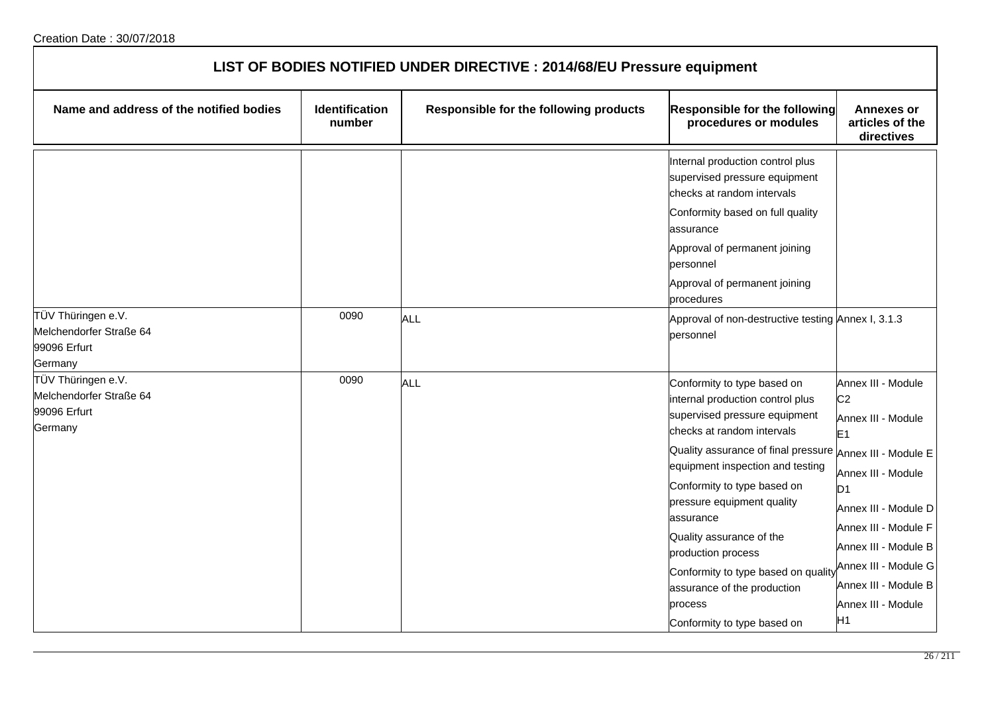| LIST OF BODIES NOTIFIED UNDER DIRECTIVE : 2014/68/EU Pressure equipment  |                                 |                                        |                                                                                                                                                                                                                                                                                                                                                                                                                                                                            |                                                                                                                                                                                                                                                                                      |  |
|--------------------------------------------------------------------------|---------------------------------|----------------------------------------|----------------------------------------------------------------------------------------------------------------------------------------------------------------------------------------------------------------------------------------------------------------------------------------------------------------------------------------------------------------------------------------------------------------------------------------------------------------------------|--------------------------------------------------------------------------------------------------------------------------------------------------------------------------------------------------------------------------------------------------------------------------------------|--|
| Name and address of the notified bodies                                  | <b>Identification</b><br>number | Responsible for the following products | Responsible for the following<br>procedures or modules                                                                                                                                                                                                                                                                                                                                                                                                                     | <b>Annexes or</b><br>articles of the<br>directives                                                                                                                                                                                                                                   |  |
|                                                                          |                                 |                                        | Internal production control plus<br>supervised pressure equipment<br>checks at random intervals<br>Conformity based on full quality<br>assurance<br>Approval of permanent joining<br>personnel<br>Approval of permanent joining                                                                                                                                                                                                                                            |                                                                                                                                                                                                                                                                                      |  |
| TÜV Thüringen e.V.<br>Melchendorfer Straße 64<br>99096 Erfurt<br>Germany | 0090                            | ALL                                    | procedures<br>Approval of non-destructive testing Annex I, 3.1.3<br>personnel                                                                                                                                                                                                                                                                                                                                                                                              |                                                                                                                                                                                                                                                                                      |  |
| TÜV Thüringen e.V.<br>Melchendorfer Straße 64<br>99096 Erfurt<br>Germany | 0090                            | ALL                                    | Conformity to type based on<br>internal production control plus<br>supervised pressure equipment<br>checks at random intervals<br>Quality assurance of final pressure Annex III - Module E<br>equipment inspection and testing<br>Conformity to type based on<br>pressure equipment quality<br>assurance<br>Quality assurance of the<br>production process<br>Conformity to type based on quality<br>assurance of the production<br>process<br>Conformity to type based on | Annex III - Module<br>C <sub>2</sub><br>Annex III - Module<br>E <sub>1</sub><br>Annex III - Module<br>D <sub>1</sub><br>Annex III - Module D<br>Annex III - Module F<br>Annex III - Module B<br>Annex III - Module G<br>Annex III - Module B<br>Annex III - Module<br>H <sub>1</sub> |  |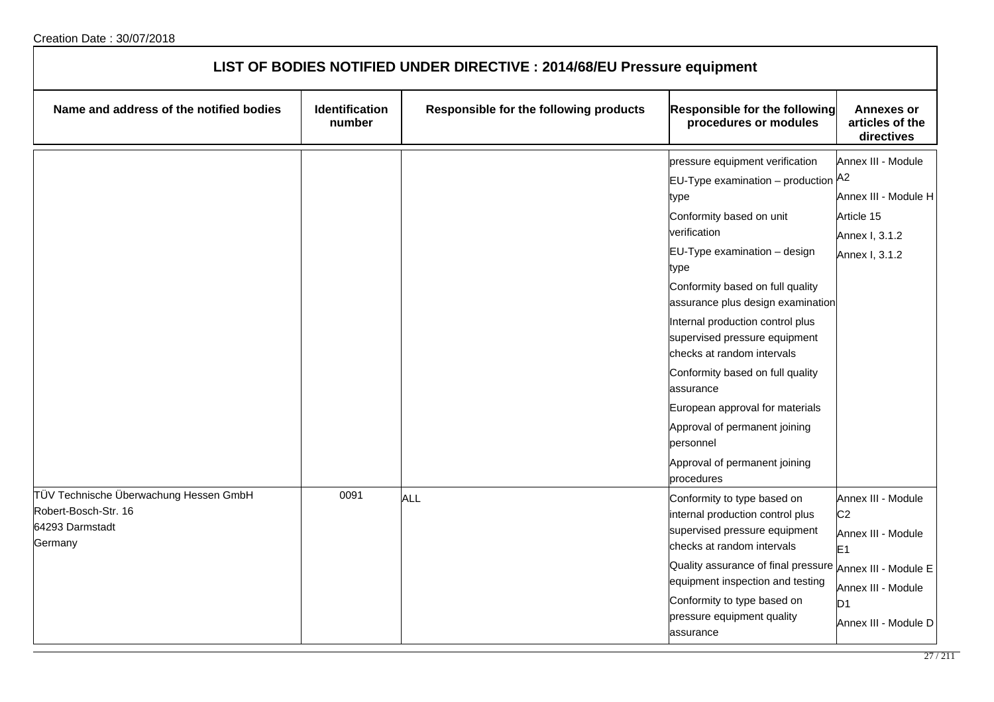| LIST OF BODIES NOTIFIED UNDER DIRECTIVE : 2014/68/EU Pressure equipment                      |                          |                                        |                                                                                                                                                                                                                                                                                                                                                                                                                                                                                                                                           |                                                                                                                                              |
|----------------------------------------------------------------------------------------------|--------------------------|----------------------------------------|-------------------------------------------------------------------------------------------------------------------------------------------------------------------------------------------------------------------------------------------------------------------------------------------------------------------------------------------------------------------------------------------------------------------------------------------------------------------------------------------------------------------------------------------|----------------------------------------------------------------------------------------------------------------------------------------------|
| Name and address of the notified bodies                                                      | Identification<br>number | Responsible for the following products | Responsible for the following<br>procedures or modules                                                                                                                                                                                                                                                                                                                                                                                                                                                                                    | <b>Annexes or</b><br>articles of the<br>directives                                                                                           |
|                                                                                              |                          |                                        | pressure equipment verification<br><b>EU-Type examination</b> – production $A^2$<br>type<br>Conformity based on unit<br>verification<br>EU-Type examination - design<br>type<br>Conformity based on full quality<br>assurance plus design examination<br>Internal production control plus<br>supervised pressure equipment<br>checks at random intervals<br>Conformity based on full quality<br>assurance<br>European approval for materials<br>Approval of permanent joining<br>personnel<br>Approval of permanent joining<br>procedures | Annex III - Module<br>Annex III - Module H<br>Article 15<br>Annex I, 3.1.2<br>Annex I, 3.1.2                                                 |
| TÜV Technische Überwachung Hessen GmbH<br>Robert-Bosch-Str. 16<br>64293 Darmstadt<br>Germany | 0091                     | <b>ALL</b>                             | Conformity to type based on<br>internal production control plus<br>supervised pressure equipment<br>checks at random intervals<br>Quality assurance of final pressure<br>equipment inspection and testing<br>Conformity to type based on<br>pressure equipment quality<br>lassurance                                                                                                                                                                                                                                                      | Annex III - Module<br>C <sub>2</sub><br>Annex III - Module<br>E1<br>Annex III - Module E<br>Annex III - Module<br>D1<br>Annex III - Module D |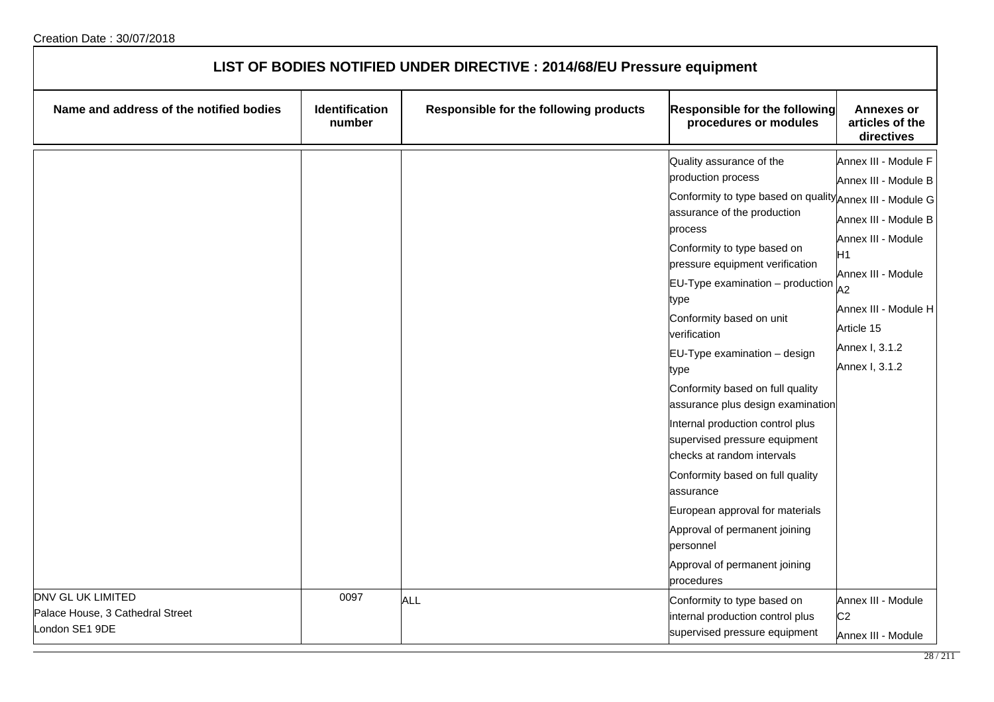| LIST OF BODIES NOTIFIED UNDER DIRECTIVE : 2014/68/EU Pressure equipment |                          |                                        |                                                                                                                                                                                                                                                                                                                                                                                                                                                                                                                                                                                                                                                                                                                         |                                                                                                                                                                                                                    |
|-------------------------------------------------------------------------|--------------------------|----------------------------------------|-------------------------------------------------------------------------------------------------------------------------------------------------------------------------------------------------------------------------------------------------------------------------------------------------------------------------------------------------------------------------------------------------------------------------------------------------------------------------------------------------------------------------------------------------------------------------------------------------------------------------------------------------------------------------------------------------------------------------|--------------------------------------------------------------------------------------------------------------------------------------------------------------------------------------------------------------------|
| Name and address of the notified bodies                                 | Identification<br>number | Responsible for the following products | <b>Responsible for the following</b><br>procedures or modules                                                                                                                                                                                                                                                                                                                                                                                                                                                                                                                                                                                                                                                           | <b>Annexes or</b><br>articles of the<br>directives                                                                                                                                                                 |
|                                                                         |                          |                                        | Quality assurance of the<br>production process<br>Conformity to type based on quality Annex III - Module G<br>assurance of the production<br>process<br>Conformity to type based on<br>pressure equipment verification<br>$EU-Type$ examination $-$ production<br>type<br>Conformity based on unit<br>verification<br>EU-Type examination - design<br>type<br>Conformity based on full quality<br>assurance plus design examination<br>Internal production control plus<br>supervised pressure equipment<br>checks at random intervals<br>Conformity based on full quality<br>assurance<br>European approval for materials<br>Approval of permanent joining<br>personnel<br>Approval of permanent joining<br>procedures | Annex III - Module F<br>Annex III - Module B<br>Annex III - Module B<br>Annex III - Module<br>H <sub>1</sub><br>Annex III - Module<br>A2<br>Annex III - Module H<br>Article 15<br>Annex I, 3.1.2<br>Annex I, 3.1.2 |
| DNV GL UK LIMITED<br>Palace House, 3 Cathedral Street<br>London SE1 9DE | 0097                     | <b>ALL</b>                             | Conformity to type based on<br>internal production control plus<br>supervised pressure equipment                                                                                                                                                                                                                                                                                                                                                                                                                                                                                                                                                                                                                        | Annex III - Module<br>C <sub>2</sub><br>Annex III - Module                                                                                                                                                         |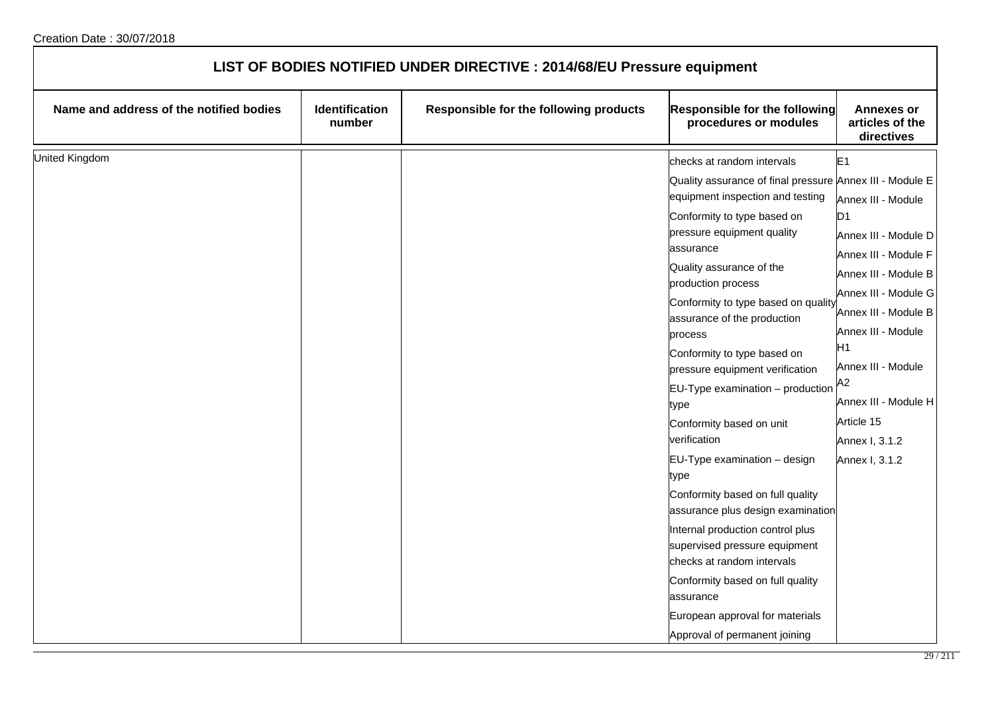| LIST OF BODIES NOTIFIED UNDER DIRECTIVE : 2014/68/EU Pressure equipment |                          |                                        |                                                                                                                                                                                                                                                                                                                                                                                                                                                                                                                                                 |                                                                                                                                                                                                                                                                                                            |
|-------------------------------------------------------------------------|--------------------------|----------------------------------------|-------------------------------------------------------------------------------------------------------------------------------------------------------------------------------------------------------------------------------------------------------------------------------------------------------------------------------------------------------------------------------------------------------------------------------------------------------------------------------------------------------------------------------------------------|------------------------------------------------------------------------------------------------------------------------------------------------------------------------------------------------------------------------------------------------------------------------------------------------------------|
| Name and address of the notified bodies                                 | Identification<br>number | Responsible for the following products | <b>Responsible for the following</b><br>procedures or modules                                                                                                                                                                                                                                                                                                                                                                                                                                                                                   | <b>Annexes or</b><br>articles of the<br>directives                                                                                                                                                                                                                                                         |
| United Kingdom                                                          |                          |                                        | checks at random intervals                                                                                                                                                                                                                                                                                                                                                                                                                                                                                                                      | E1                                                                                                                                                                                                                                                                                                         |
|                                                                         |                          |                                        | Quality assurance of final pressure Annex III - Module E<br>equipment inspection and testing<br>Conformity to type based on<br>pressure equipment quality<br>assurance<br>Quality assurance of the<br>production process<br>Conformity to type based on quality<br>assurance of the production<br>process<br>Conformity to type based on<br>pressure equipment verification<br>EU-Type examination - production<br>type<br>Conformity based on unit<br>verification<br>EU-Type examination - design<br>type<br>Conformity based on full quality | Annex III - Module<br>D <sub>1</sub><br>Annex III - Module D<br>Annex III - Module F<br>Annex III - Module B<br>Annex III - Module G<br>Annex III - Module B<br>Annex III - Module<br>H <sub>1</sub><br>Annex III - Module<br>A2<br>Annex III - Module H<br>Article 15<br>Annex I, 3.1.2<br>Annex I, 3.1.2 |
|                                                                         |                          |                                        | assurance plus design examination<br>Internal production control plus<br>supervised pressure equipment<br>checks at random intervals<br>Conformity based on full quality<br>assurance<br>European approval for materials<br>Approval of permanent joining                                                                                                                                                                                                                                                                                       |                                                                                                                                                                                                                                                                                                            |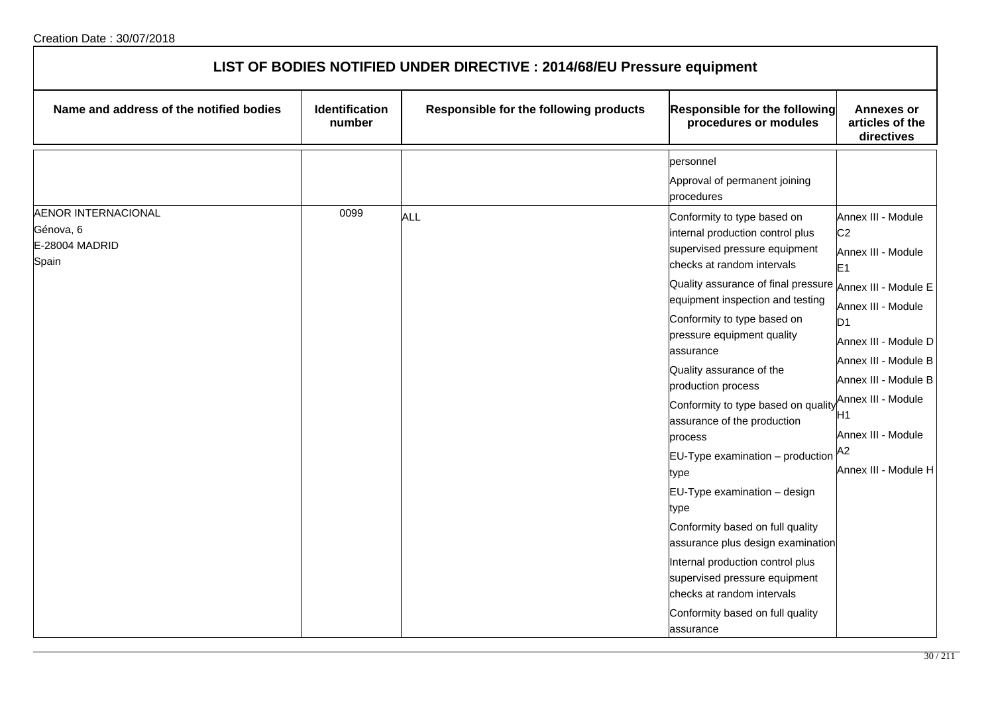| LIST OF BODIES NOTIFIED UNDER DIRECTIVE : 2014/68/EU Pressure equipment |                                 |                                        |                                                                                                                                                                                                                                                                   |                                                                                                                              |  |
|-------------------------------------------------------------------------|---------------------------------|----------------------------------------|-------------------------------------------------------------------------------------------------------------------------------------------------------------------------------------------------------------------------------------------------------------------|------------------------------------------------------------------------------------------------------------------------------|--|
| Name and address of the notified bodies                                 | <b>Identification</b><br>number | Responsible for the following products | <b>Responsible for the following</b><br>procedures or modules                                                                                                                                                                                                     | <b>Annexes or</b><br>articles of the<br>directives                                                                           |  |
| <b>AENOR INTERNACIONAL</b><br>Génova, 6                                 | 0099                            | ALL                                    | personnel<br>Approval of permanent joining<br>procedures<br>Conformity to type based on<br>internal production control plus                                                                                                                                       | Annex III - Module<br>C <sub>2</sub>                                                                                         |  |
| E-28004 MADRID<br>Spain                                                 |                                 |                                        | supervised pressure equipment<br>checks at random intervals<br>Quality assurance of final pressure Annex III - Module E<br>equipment inspection and testing<br>Conformity to type based on<br>pressure equipment quality<br>assurance                             | Annex III - Module<br>E1<br>Annex III - Module<br>D <sub>1</sub><br>Annex III - Module D                                     |  |
|                                                                         |                                 |                                        | Quality assurance of the<br>production process<br>Conformity to type based on quality<br>assurance of the production<br>process<br>EU-Type examination - production<br>type                                                                                       | Annex III - Module B<br>Annex III - Module B<br>Annex III - Module<br>Η1<br>Annex III - Module<br>A2<br>Annex III - Module H |  |
|                                                                         |                                 |                                        | EU-Type examination - design<br>type<br>Conformity based on full quality<br>assurance plus design examination<br>Internal production control plus<br>supervised pressure equipment<br>checks at random intervals<br>Conformity based on full quality<br>assurance |                                                                                                                              |  |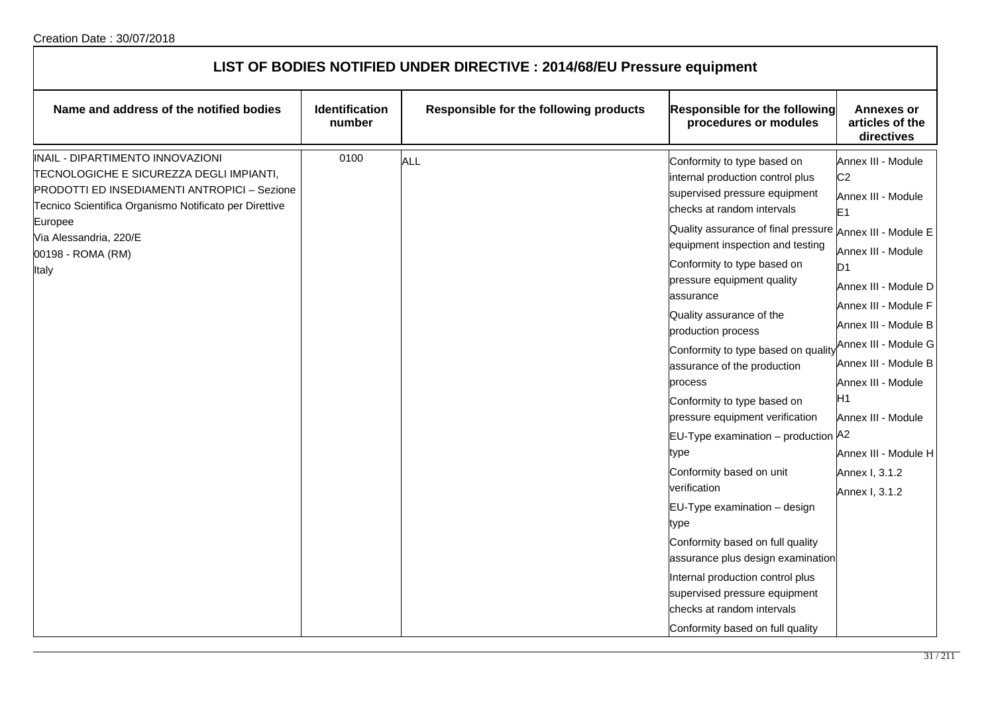| LIST OF BODIES NOTIFIED UNDER DIRECTIVE : 2014/68/EU Pressure equipment                                                                                                                                                                                   |                                 |                                        |                                                                                                                                                                                                                                                                                                                                                                                                                                                                                                                                                                                                                                                                                                                                                                                                                                                                  |                                                                                                                                                                                                                                                                                                                                                                        |
|-----------------------------------------------------------------------------------------------------------------------------------------------------------------------------------------------------------------------------------------------------------|---------------------------------|----------------------------------------|------------------------------------------------------------------------------------------------------------------------------------------------------------------------------------------------------------------------------------------------------------------------------------------------------------------------------------------------------------------------------------------------------------------------------------------------------------------------------------------------------------------------------------------------------------------------------------------------------------------------------------------------------------------------------------------------------------------------------------------------------------------------------------------------------------------------------------------------------------------|------------------------------------------------------------------------------------------------------------------------------------------------------------------------------------------------------------------------------------------------------------------------------------------------------------------------------------------------------------------------|
| Name and address of the notified bodies                                                                                                                                                                                                                   | <b>Identification</b><br>number | Responsible for the following products | Responsible for the following<br>procedures or modules                                                                                                                                                                                                                                                                                                                                                                                                                                                                                                                                                                                                                                                                                                                                                                                                           | <b>Annexes or</b><br>articles of the<br>directives                                                                                                                                                                                                                                                                                                                     |
| INAIL - DIPARTIMENTO INNOVAZIONI<br>TECNOLOGICHE E SICUREZZA DEGLI IMPIANTI,<br>PRODOTTI ED INSEDIAMENTI ANTROPICI - Sezione<br>Tecnico Scientifica Organismo Notificato per Direttive<br>Europee<br>Via Alessandria, 220/E<br>00198 - ROMA (RM)<br>Italy | 0100                            | ALL                                    | Conformity to type based on<br>internal production control plus<br>supervised pressure equipment<br>checks at random intervals<br>Quality assurance of final pressure Annex III - Module E<br>equipment inspection and testing<br>Conformity to type based on<br>pressure equipment quality<br>assurance<br>Quality assurance of the<br>production process<br>Conformity to type based on quality<br>assurance of the production<br>process<br>Conformity to type based on<br>pressure equipment verification<br>EU-Type examination - production A2<br>type<br>Conformity based on unit<br>verification<br>EU-Type examination - design<br>type<br>Conformity based on full quality<br>assurance plus design examination<br>Internal production control plus<br>supervised pressure equipment<br>checks at random intervals<br>Conformity based on full quality | Annex III - Module<br>C <sub>2</sub><br>Annex III - Module<br>E <sub>1</sub><br>Annex III - Module<br>D <sub>1</sub><br>Annex III - Module D<br>Annex III - Module F<br>Annex III - Module B<br>Annex III - Module G<br>Annex III - Module B<br>Annex III - Module<br>H <sub>1</sub><br>Annex III - Module<br>Annex III - Module H<br>Annex I, 3.1.2<br>Annex I, 3.1.2 |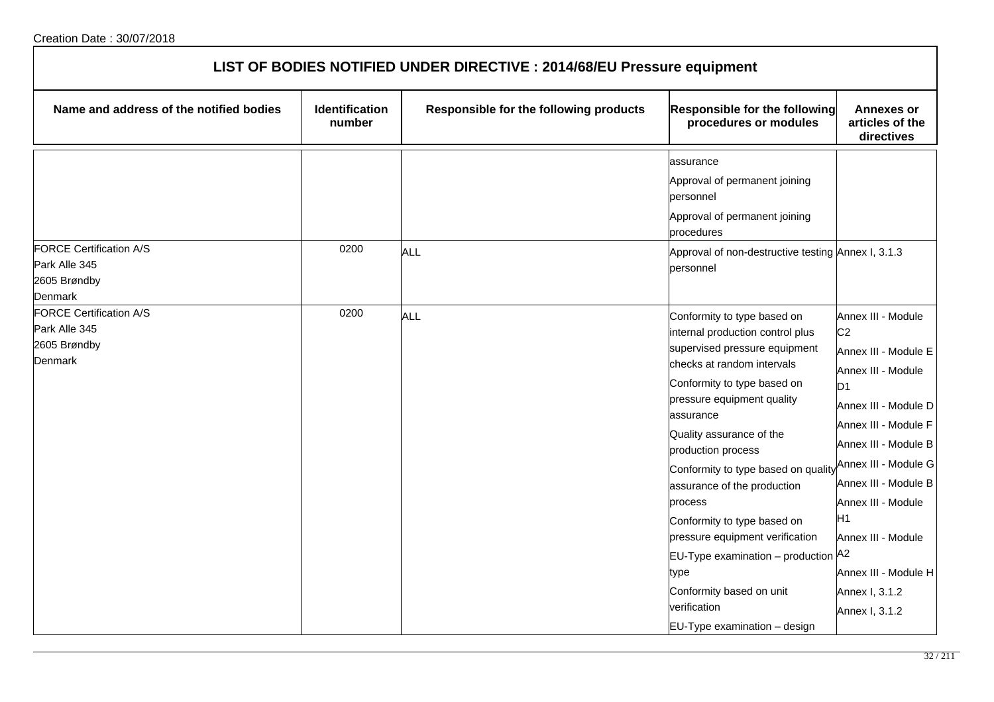| LIST OF BODIES NOTIFIED UNDER DIRECTIVE : 2014/68/EU Pressure equipment    |                                 |                                        |                                                                                                                                                                                                                                                                                                                                                                                                                                                                                                                                          |                                                                                                                                                                                                                                                                                                                                            |  |
|----------------------------------------------------------------------------|---------------------------------|----------------------------------------|------------------------------------------------------------------------------------------------------------------------------------------------------------------------------------------------------------------------------------------------------------------------------------------------------------------------------------------------------------------------------------------------------------------------------------------------------------------------------------------------------------------------------------------|--------------------------------------------------------------------------------------------------------------------------------------------------------------------------------------------------------------------------------------------------------------------------------------------------------------------------------------------|--|
| Name and address of the notified bodies                                    | <b>Identification</b><br>number | Responsible for the following products | <b>Responsible for the following</b><br>procedures or modules                                                                                                                                                                                                                                                                                                                                                                                                                                                                            | <b>Annexes or</b><br>articles of the<br>directives                                                                                                                                                                                                                                                                                         |  |
| <b>FORCE Certification A/S</b><br>Park Alle 345<br>2605 Brøndby<br>Denmark | 0200                            | <b>ALL</b>                             | assurance<br>Approval of permanent joining<br>personnel<br>Approval of permanent joining<br>procedures<br>Approval of non-destructive testing Annex I, 3.1.3<br>personnel                                                                                                                                                                                                                                                                                                                                                                |                                                                                                                                                                                                                                                                                                                                            |  |
| FORCE Certification A/S<br>Park Alle 345<br>2605 Brøndby<br>Denmark        | 0200                            | <b>ALL</b>                             | Conformity to type based on<br>internal production control plus<br>supervised pressure equipment<br>checks at random intervals<br>Conformity to type based on<br>pressure equipment quality<br>assurance<br>Quality assurance of the<br>production process<br>Conformity to type based on quality<br>assurance of the production<br>process<br>Conformity to type based on<br>pressure equipment verification<br>EU-Type examination - production A2<br>type<br>Conformity based on unit<br>verification<br>EU-Type examination - design | Annex III - Module<br>C <sub>2</sub><br>Annex III - Module E<br>Annex III - Module<br>D <sub>1</sub><br>Annex III - Module D<br>Annex III - Module F<br>Annex III - Module B<br>Annex III - Module G<br>Annex III - Module B<br>Annex III - Module<br>H1<br>Annex III - Module<br>Annex III - Module H<br>Annex I, 3.1.2<br>Annex I, 3.1.2 |  |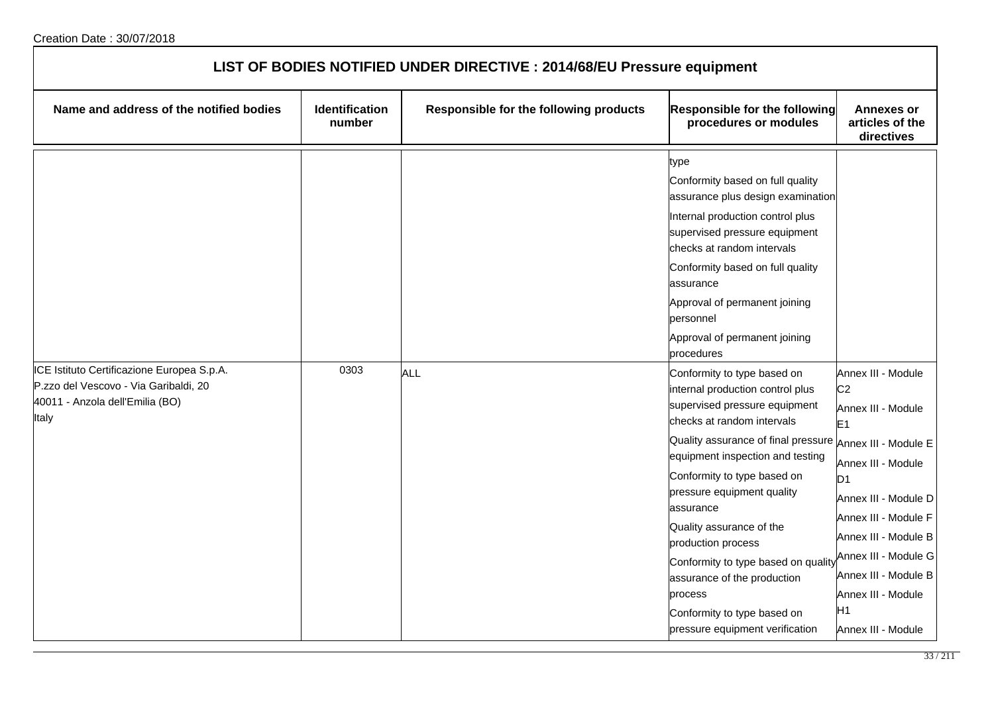| LIST OF BODIES NOTIFIED UNDER DIRECTIVE : 2014/68/EU Pressure equipment                                                         |                          |                                        |                                                                                                                                                                                                                                                                                                                                                                                                                                                                                                                                                                                                                                                                                                                                                                                                                                                |                                                                                                                                                                                                                                                                                                |
|---------------------------------------------------------------------------------------------------------------------------------|--------------------------|----------------------------------------|------------------------------------------------------------------------------------------------------------------------------------------------------------------------------------------------------------------------------------------------------------------------------------------------------------------------------------------------------------------------------------------------------------------------------------------------------------------------------------------------------------------------------------------------------------------------------------------------------------------------------------------------------------------------------------------------------------------------------------------------------------------------------------------------------------------------------------------------|------------------------------------------------------------------------------------------------------------------------------------------------------------------------------------------------------------------------------------------------------------------------------------------------|
| Name and address of the notified bodies                                                                                         | Identification<br>number | Responsible for the following products | Responsible for the following<br>procedures or modules                                                                                                                                                                                                                                                                                                                                                                                                                                                                                                                                                                                                                                                                                                                                                                                         | <b>Annexes or</b><br>articles of the<br>directives                                                                                                                                                                                                                                             |
| ICE Istituto Certificazione Europea S.p.A.<br>P.zzo del Vescovo - Via Garibaldi, 20<br>40011 - Anzola dell'Emilia (BO)<br>Italy | 0303                     | ALL                                    | type<br>Conformity based on full quality<br>assurance plus design examination<br>Internal production control plus<br>supervised pressure equipment<br>checks at random intervals<br>Conformity based on full quality<br>assurance<br>Approval of permanent joining<br>personnel<br>Approval of permanent joining<br>procedures<br>Conformity to type based on<br>internal production control plus<br>supervised pressure equipment<br>checks at random intervals<br>Quality assurance of final pressure Annex III - Module E<br>equipment inspection and testing<br>Conformity to type based on<br>pressure equipment quality<br>assurance<br>Quality assurance of the<br>production process<br>Conformity to type based on qualit<br>assurance of the production<br>process<br>Conformity to type based on<br>pressure equipment verification | Annex III - Module<br>C <sub>2</sub><br>Annex III - Module<br>E <sub>1</sub><br>Annex III - Module<br>D1<br>Annex III - Module D<br>Annex III - Module F<br>Annex III - Module B<br>Annex III - Module G<br>Annex III - Module B<br>Annex III - Module<br>H <sub>1</sub><br>Annex III - Module |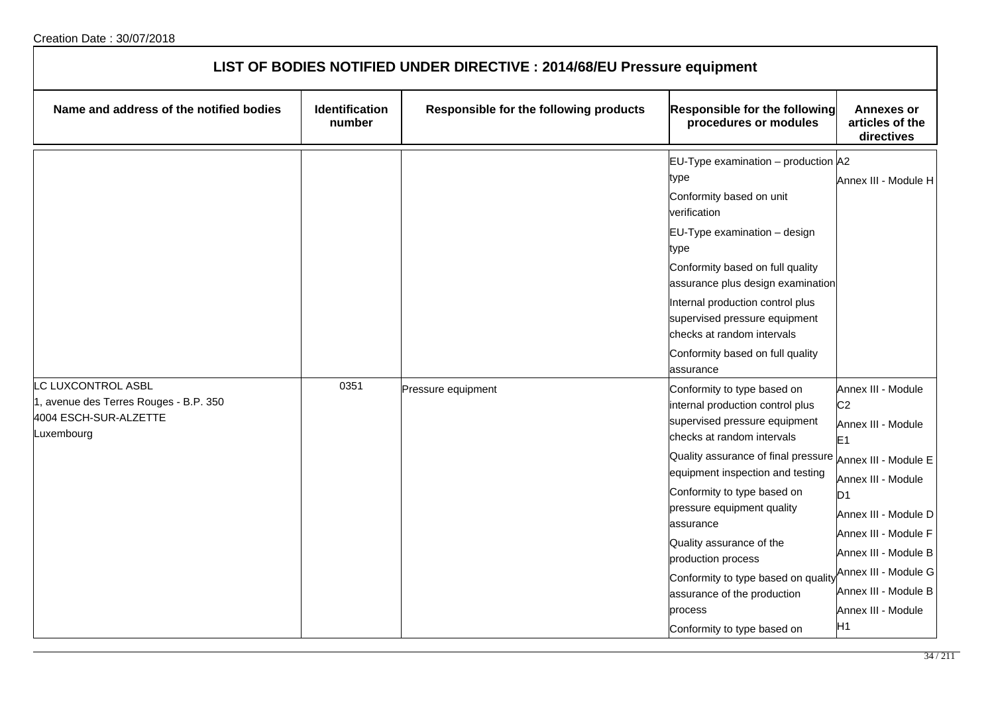| LIST OF BODIES NOTIFIED UNDER DIRECTIVE : 2014/68/EU Pressure equipment                                   |                                 |                                        |                                                                                                                                                                                                                                                                                                                                                                                                                                                                                         |                                                                                                                                                                                                                                                                          |  |
|-----------------------------------------------------------------------------------------------------------|---------------------------------|----------------------------------------|-----------------------------------------------------------------------------------------------------------------------------------------------------------------------------------------------------------------------------------------------------------------------------------------------------------------------------------------------------------------------------------------------------------------------------------------------------------------------------------------|--------------------------------------------------------------------------------------------------------------------------------------------------------------------------------------------------------------------------------------------------------------------------|--|
| Name and address of the notified bodies                                                                   | <b>Identification</b><br>number | Responsible for the following products | Responsible for the following<br>procedures or modules                                                                                                                                                                                                                                                                                                                                                                                                                                  | <b>Annexes or</b><br>articles of the<br>directives                                                                                                                                                                                                                       |  |
|                                                                                                           |                                 |                                        | EU-Type examination - production A2<br>type<br>Conformity based on unit<br>verification<br>EU-Type examination - design<br>type<br>Conformity based on full quality<br>assurance plus design examination<br>Internal production control plus<br>supervised pressure equipment<br>checks at random intervals<br>Conformity based on full quality                                                                                                                                         | Annex III - Module H                                                                                                                                                                                                                                                     |  |
| <b>C LUXCONTROL ASBL</b><br>1, avenue des Terres Rouges - B.P. 350<br>4004 ESCH-SUR-ALZETTE<br>Luxembourg | 0351                            | Pressure equipment                     | assurance<br>Conformity to type based on<br>internal production control plus<br>supervised pressure equipment<br>checks at random intervals<br>Quality assurance of final pressure Annex III - Module E<br>equipment inspection and testing<br>Conformity to type based on<br>pressure equipment quality<br>assurance<br>Quality assurance of the<br>production process<br>Conformity to type based on quality<br>assurance of the production<br>process<br>Conformity to type based on | Annex III - Module<br>C <sub>2</sub><br>Annex III - Module<br>E <sub>1</sub><br>Annex III - Module<br>D <sub>1</sub><br>Annex III - Module D<br>Annex III - Module F<br>Annex III - Module B<br>Annex III - Module G<br>Annex III - Module B<br>Annex III - Module<br>H1 |  |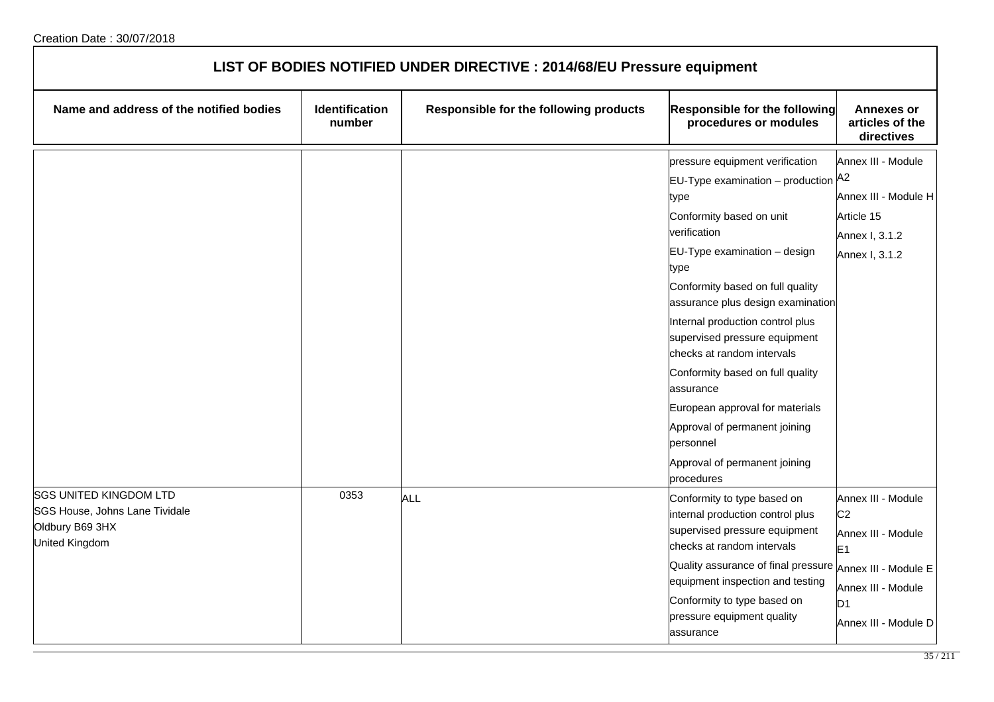| LIST OF BODIES NOTIFIED UNDER DIRECTIVE : 2014/68/EU Pressure equipment                              |                                 |                                        |                                                                                                                                                                                                                                                                                                                                                                                                                                                                                                                                       |                                                                                                                                                          |
|------------------------------------------------------------------------------------------------------|---------------------------------|----------------------------------------|---------------------------------------------------------------------------------------------------------------------------------------------------------------------------------------------------------------------------------------------------------------------------------------------------------------------------------------------------------------------------------------------------------------------------------------------------------------------------------------------------------------------------------------|----------------------------------------------------------------------------------------------------------------------------------------------------------|
| Name and address of the notified bodies                                                              | <b>Identification</b><br>number | Responsible for the following products | Responsible for the following<br>procedures or modules                                                                                                                                                                                                                                                                                                                                                                                                                                                                                | <b>Annexes or</b><br>articles of the<br>directives                                                                                                       |
|                                                                                                      |                                 |                                        | pressure equipment verification<br>$EU$ -Type examination – production $A^2$<br>type<br>Conformity based on unit<br>verification<br>EU-Type examination - design<br>type<br>Conformity based on full quality<br>assurance plus design examination<br>Internal production control plus<br>supervised pressure equipment<br>checks at random intervals<br>Conformity based on full quality<br>assurance<br>European approval for materials<br>Approval of permanent joining<br>personnel<br>Approval of permanent joining<br>procedures | Annex III - Module<br>Annex III - Module H<br>Article 15<br>Annex I, 3.1.2<br>Annex I, 3.1.2                                                             |
| <b>SGS UNITED KINGDOM LTD</b><br>SGS House, Johns Lane Tividale<br>Oldbury B69 3HX<br>United Kingdom | 0353                            | ALL                                    | Conformity to type based on<br>internal production control plus<br>supervised pressure equipment<br>checks at random intervals<br>Quality assurance of final pressure<br>equipment inspection and testing<br>Conformity to type based on<br>pressure equipment quality<br>assurance                                                                                                                                                                                                                                                   | Annex III - Module<br>C <sub>2</sub><br>Annex III - Module<br>E <sub>1</sub><br>Annex III - Module E<br>Annex III - Module<br>D1<br>Annex III - Module D |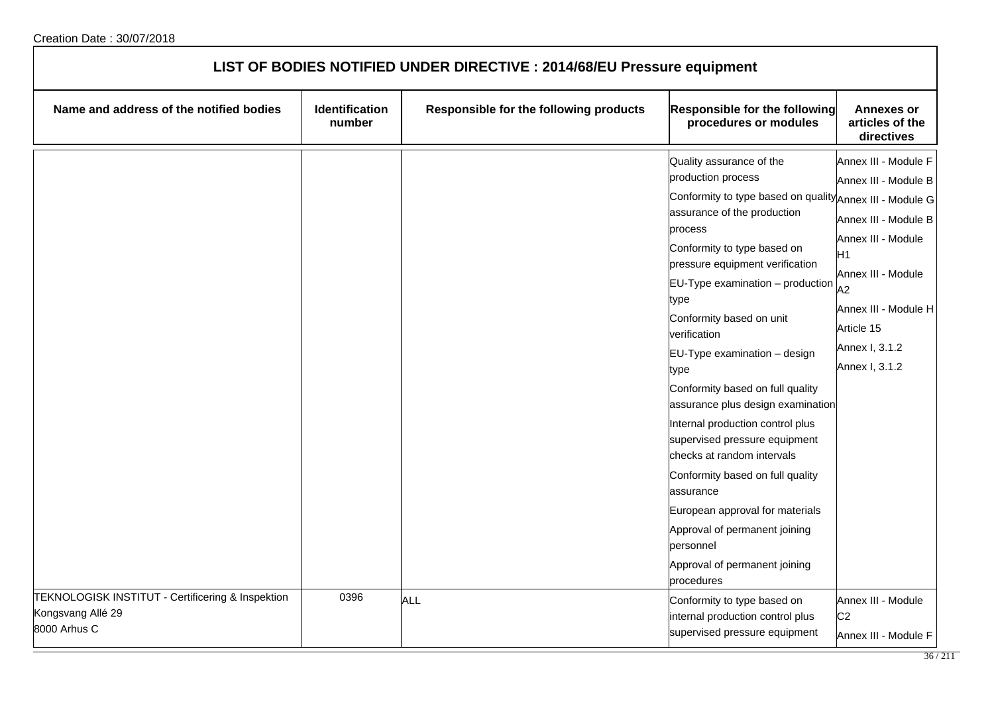| LIST OF BODIES NOTIFIED UNDER DIRECTIVE : 2014/68/EU Pressure equipment                |                          |                                        |                                                                                                                                                                                                                                                                                                                                                                                                                                                                                                                                                                                                                                                                                                                             |                                                                                                                                                                                                        |  |
|----------------------------------------------------------------------------------------|--------------------------|----------------------------------------|-----------------------------------------------------------------------------------------------------------------------------------------------------------------------------------------------------------------------------------------------------------------------------------------------------------------------------------------------------------------------------------------------------------------------------------------------------------------------------------------------------------------------------------------------------------------------------------------------------------------------------------------------------------------------------------------------------------------------------|--------------------------------------------------------------------------------------------------------------------------------------------------------------------------------------------------------|--|
| Name and address of the notified bodies                                                | Identification<br>number | Responsible for the following products | Responsible for the following<br>procedures or modules                                                                                                                                                                                                                                                                                                                                                                                                                                                                                                                                                                                                                                                                      | <b>Annexes or</b><br>articles of the<br>directives                                                                                                                                                     |  |
|                                                                                        |                          |                                        | Quality assurance of the<br>production process<br>Conformity to type based on quality Annex III - Module G<br>assurance of the production<br>process<br>Conformity to type based on<br>pressure equipment verification<br>$EU-Type$ examination $-$ production<br>type<br>Conformity based on unit<br>verification<br>$EU-Type$ examination $-$ design<br>type<br>Conformity based on full quality<br>assurance plus design examination<br>Internal production control plus<br>supervised pressure equipment<br>checks at random intervals<br>Conformity based on full quality<br>assurance<br>European approval for materials<br>Approval of permanent joining<br>personnel<br>Approval of permanent joining<br>procedures | Annex III - Module F<br>Annex III - Module B<br>Annex III - Module B<br>Annex III - Module<br>Η1<br>Annex III - Module<br>A2<br>Annex III - Module H<br>Article 15<br>Annex I, 3.1.2<br>Annex I, 3.1.2 |  |
| TEKNOLOGISK INSTITUT - Certificering & Inspektion<br>Kongsvang Allé 29<br>8000 Arhus C | 0396                     | ALL                                    | Conformity to type based on<br>internal production control plus<br>supervised pressure equipment                                                                                                                                                                                                                                                                                                                                                                                                                                                                                                                                                                                                                            | Annex III - Module<br>C <sub>2</sub><br>Annex III - Module F                                                                                                                                           |  |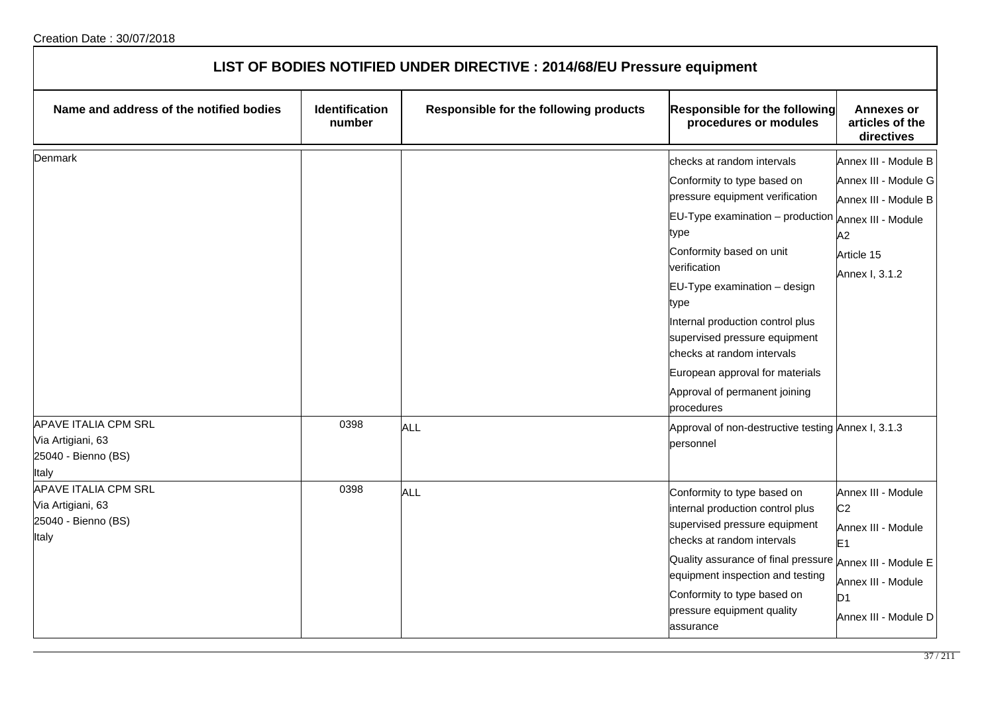| LIST OF BODIES NOTIFIED UNDER DIRECTIVE : 2014/68/EU Pressure equipment                                         |                                 |                                        |                                                                                                                                                                                                                                                                                                                                                                                                                       |                                                                                                                                    |  |
|-----------------------------------------------------------------------------------------------------------------|---------------------------------|----------------------------------------|-----------------------------------------------------------------------------------------------------------------------------------------------------------------------------------------------------------------------------------------------------------------------------------------------------------------------------------------------------------------------------------------------------------------------|------------------------------------------------------------------------------------------------------------------------------------|--|
| Name and address of the notified bodies                                                                         | <b>Identification</b><br>number | Responsible for the following products | <b>Responsible for the following</b><br>procedures or modules                                                                                                                                                                                                                                                                                                                                                         | <b>Annexes or</b><br>articles of the<br>directives                                                                                 |  |
| Denmark                                                                                                         |                                 |                                        | checks at random intervals<br>Conformity to type based on<br>pressure equipment verification<br>$EU-Type$ examination $-$ production<br>type<br>Conformity based on unit<br>verification<br>EU-Type examination - design<br>type<br>Internal production control plus<br>supervised pressure equipment<br>checks at random intervals<br>European approval for materials<br>Approval of permanent joining<br>procedures | Annex III - Module B<br>Annex III - Module G<br>Annex III - Module B<br>Annex III - Module<br>A2<br>Article 15<br>Annex I, 3.1.2   |  |
| <b>APAVE ITALIA CPM SRL</b><br>Via Artigiani, 63<br>25040 - Bienno (BS)<br>Italy<br><b>APAVE ITALIA CPM SRL</b> | 0398<br>0398                    | ALL<br>ALL                             | Approval of non-destructive testing Annex I, 3.1.3<br>personnel<br>Conformity to type based on                                                                                                                                                                                                                                                                                                                        | Annex III - Module                                                                                                                 |  |
| Via Artigiani, 63<br>25040 - Bienno (BS)<br>Italy                                                               |                                 |                                        | internal production control plus<br>supervised pressure equipment<br>checks at random intervals<br>Quality assurance of final pressure<br>equipment inspection and testing<br>Conformity to type based on<br>pressure equipment quality<br>assurance                                                                                                                                                                  | C <sub>2</sub><br>Annex III - Module<br>E <sub>1</sub><br>Annex III - Module E<br>Annex III - Module<br>D1<br>Annex III - Module D |  |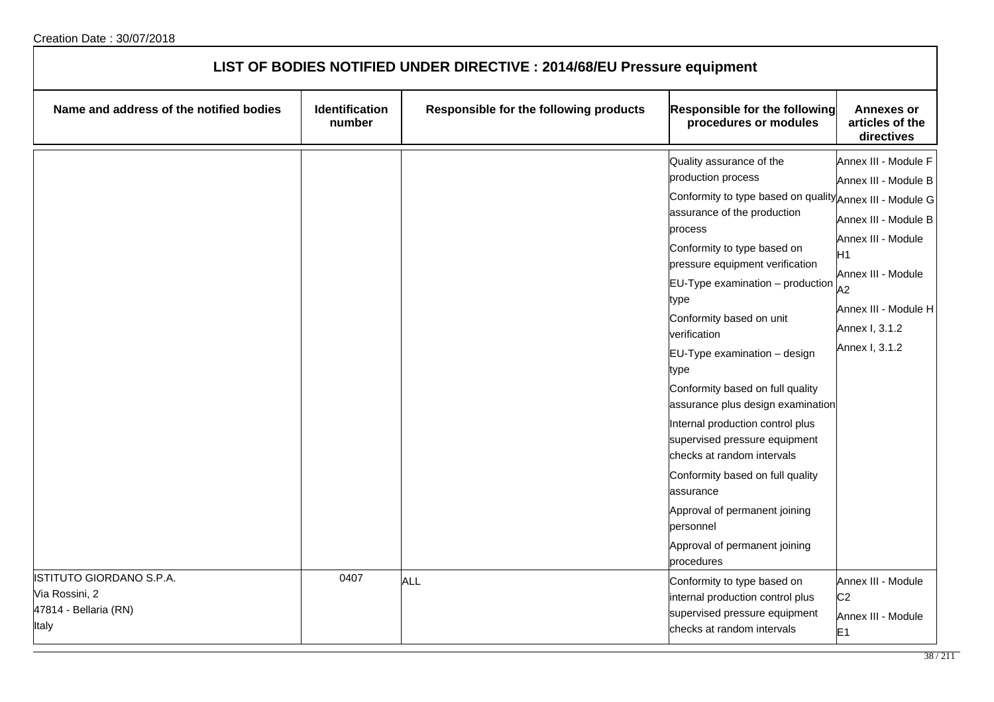| LIST OF BODIES NOTIFIED UNDER DIRECTIVE : 2014/68/EU Pressure equipment      |                          |                                        |                                                                                                                                                                                                                                                                                                                                                                                                                                                                                                                                                                                                                                                                                  |                                                                                                                                                                                          |  |
|------------------------------------------------------------------------------|--------------------------|----------------------------------------|----------------------------------------------------------------------------------------------------------------------------------------------------------------------------------------------------------------------------------------------------------------------------------------------------------------------------------------------------------------------------------------------------------------------------------------------------------------------------------------------------------------------------------------------------------------------------------------------------------------------------------------------------------------------------------|------------------------------------------------------------------------------------------------------------------------------------------------------------------------------------------|--|
| Name and address of the notified bodies                                      | Identification<br>number | Responsible for the following products | <b>Responsible for the following</b><br>procedures or modules                                                                                                                                                                                                                                                                                                                                                                                                                                                                                                                                                                                                                    | <b>Annexes or</b><br>articles of the<br>directives                                                                                                                                       |  |
|                                                                              |                          |                                        | Quality assurance of the<br>production process<br>Conformity to type based on quality Annex III - Module G<br>assurance of the production<br>process<br>Conformity to type based on<br>pressure equipment verification<br>EU-Type examination - production<br>type<br>Conformity based on unit<br>verification<br>EU-Type examination - design<br>type<br>Conformity based on full quality<br>assurance plus design examination<br>Internal production control plus<br>supervised pressure equipment<br>checks at random intervals<br>Conformity based on full quality<br>assurance<br>Approval of permanent joining<br>personnel<br>Approval of permanent joining<br>procedures | Annex III - Module F<br>Annex III - Module B<br>Annex III - Module B<br>Annex III - Module<br>H1<br>Annex III - Module<br>A2<br>Annex III - Module H<br>Annex I, 3.1.2<br>Annex I, 3.1.2 |  |
| ISTITUTO GIORDANO S.P.A.<br>Via Rossini, 2<br>47814 - Bellaria (RN)<br>Italy | 0407                     | <b>ALL</b>                             | Conformity to type based on<br>internal production control plus<br>supervised pressure equipment<br>checks at random intervals                                                                                                                                                                                                                                                                                                                                                                                                                                                                                                                                                   | Annex III - Module<br>C <sub>2</sub><br>Annex III - Module<br>E <sub>1</sub>                                                                                                             |  |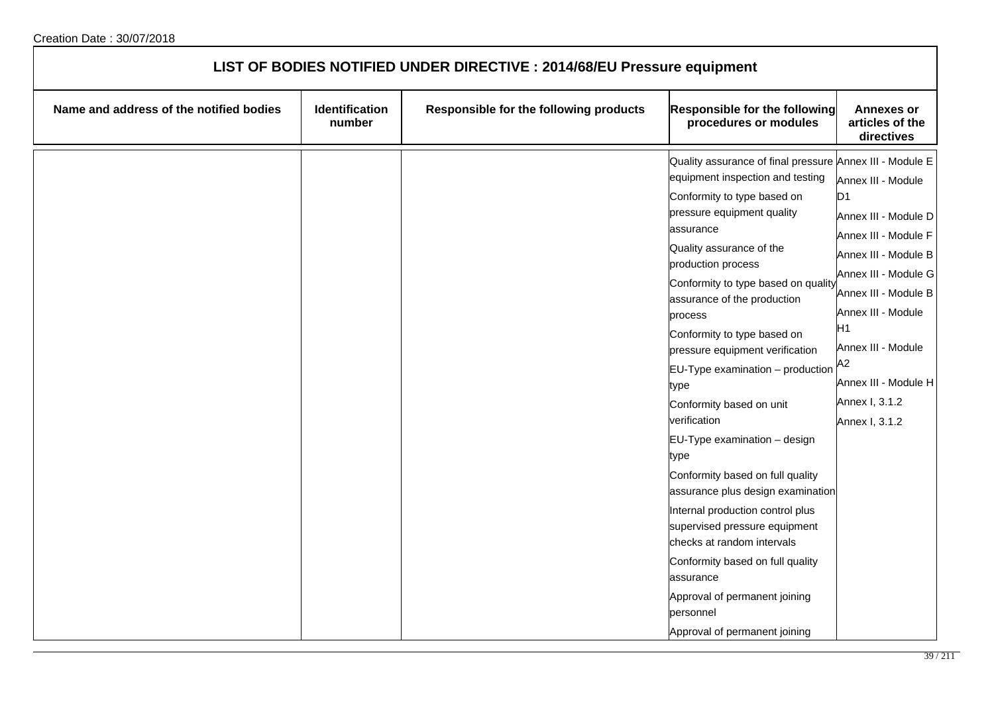| LIST OF BODIES NOTIFIED UNDER DIRECTIVE : 2014/68/EU Pressure equipment |                          |                                        |                                                                                                                                                                                                                                                                                                                                                                                                                                                                                                                                                                                                                                                                                                                                                                                                                                   |                                                                                                                                                                                                                                                                |
|-------------------------------------------------------------------------|--------------------------|----------------------------------------|-----------------------------------------------------------------------------------------------------------------------------------------------------------------------------------------------------------------------------------------------------------------------------------------------------------------------------------------------------------------------------------------------------------------------------------------------------------------------------------------------------------------------------------------------------------------------------------------------------------------------------------------------------------------------------------------------------------------------------------------------------------------------------------------------------------------------------------|----------------------------------------------------------------------------------------------------------------------------------------------------------------------------------------------------------------------------------------------------------------|
| Name and address of the notified bodies                                 | Identification<br>number | Responsible for the following products | Responsible for the following<br>procedures or modules                                                                                                                                                                                                                                                                                                                                                                                                                                                                                                                                                                                                                                                                                                                                                                            | <b>Annexes or</b><br>articles of the<br>directives                                                                                                                                                                                                             |
|                                                                         |                          |                                        | Quality assurance of final pressure Annex III - Module E<br>equipment inspection and testing<br>Conformity to type based on<br>pressure equipment quality<br>assurance<br>Quality assurance of the<br>production process<br>Conformity to type based on quality<br>assurance of the production<br>process<br>Conformity to type based on<br>pressure equipment verification<br>$ EU-Type$ examination – production $ A2 $<br>type<br>Conformity based on unit<br>verification<br>EU-Type examination - design<br>type<br>Conformity based on full quality<br>assurance plus design examination<br>Internal production control plus<br>supervised pressure equipment<br>checks at random intervals<br>Conformity based on full quality<br>assurance<br>Approval of permanent joining<br>personnel<br>Approval of permanent joining | Annex III - Module<br>D1<br>Annex III - Module D<br>Annex III - Module F<br>Annex III - Module B<br>Annex III - Module G<br>Annex III - Module B<br>Annex III - Module<br>H1<br>Annex III - Module<br>Annex III - Module H<br>Annex I, 3.1.2<br>Annex I, 3.1.2 |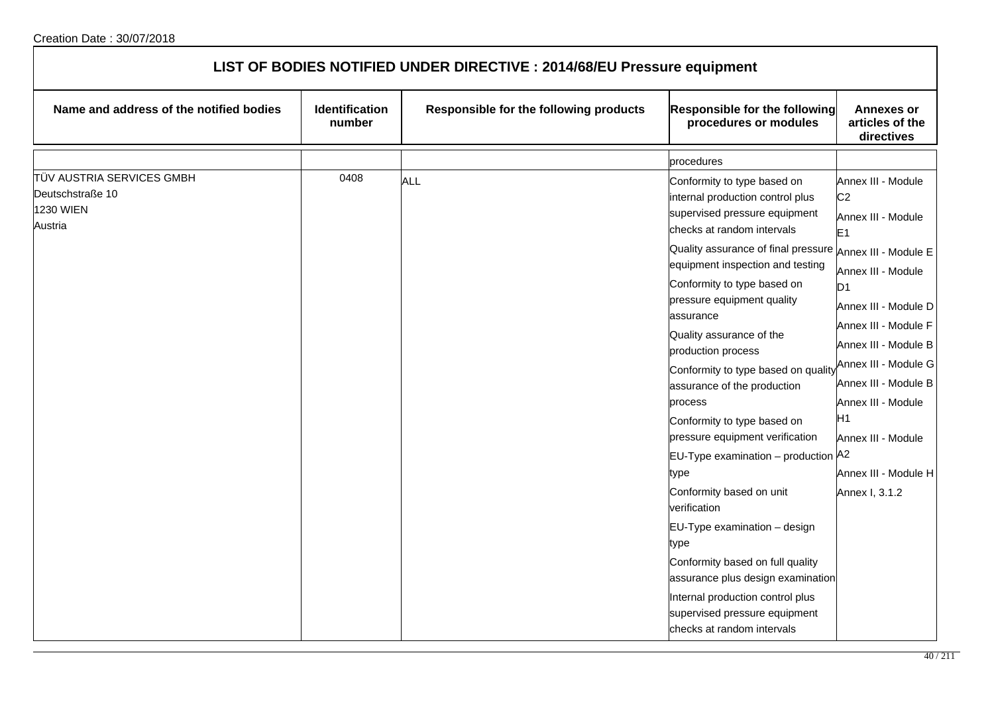| LIST OF BODIES NOTIFIED UNDER DIRECTIVE : 2014/68/EU Pressure equipment |                          |                                        |                                                                                                                                                                                                                                                                                                                                                                                                                                                                                                                                                                                                                                                                                                                                                                                                                              |                                                                                                                                                                                                                                                                                                                                                      |  |
|-------------------------------------------------------------------------|--------------------------|----------------------------------------|------------------------------------------------------------------------------------------------------------------------------------------------------------------------------------------------------------------------------------------------------------------------------------------------------------------------------------------------------------------------------------------------------------------------------------------------------------------------------------------------------------------------------------------------------------------------------------------------------------------------------------------------------------------------------------------------------------------------------------------------------------------------------------------------------------------------------|------------------------------------------------------------------------------------------------------------------------------------------------------------------------------------------------------------------------------------------------------------------------------------------------------------------------------------------------------|--|
| Name and address of the notified bodies                                 | Identification<br>number | Responsible for the following products | Responsible for the following<br>procedures or modules                                                                                                                                                                                                                                                                                                                                                                                                                                                                                                                                                                                                                                                                                                                                                                       | <b>Annexes or</b><br>articles of the<br>directives                                                                                                                                                                                                                                                                                                   |  |
|                                                                         |                          |                                        | procedures                                                                                                                                                                                                                                                                                                                                                                                                                                                                                                                                                                                                                                                                                                                                                                                                                   |                                                                                                                                                                                                                                                                                                                                                      |  |
| TÜV AUSTRIA SERVICES GMBH<br>Deutschstraße 10<br>1230 WIEN<br>Austria   | 0408                     | <b>ALL</b>                             | Conformity to type based on<br>internal production control plus<br>supervised pressure equipment<br>checks at random intervals<br>Quality assurance of final pressure Annex III - Module E<br>equipment inspection and testing<br>Conformity to type based on<br>pressure equipment quality<br>assurance<br>Quality assurance of the<br>production process<br>Conformity to type based on quality<br>assurance of the production<br>process<br>Conformity to type based on<br>pressure equipment verification<br>EU-Type examination - production A2<br>type<br>Conformity based on unit<br>verification<br>EU-Type examination - design<br>type<br>Conformity based on full quality<br>assurance plus design examination<br>Internal production control plus<br>supervised pressure equipment<br>checks at random intervals | Annex III - Module<br>C <sub>2</sub><br>Annex III - Module<br>E <sub>1</sub><br>Annex III - Module<br>D <sub>1</sub><br>Annex III - Module D<br>Annex III - Module F<br>Annex III - Module B<br>Annex III - Module G<br>Annex III - Module B<br>Annex III - Module<br>H <sub>1</sub><br>Annex III - Module<br>Annex III - Module H<br>Annex I, 3.1.2 |  |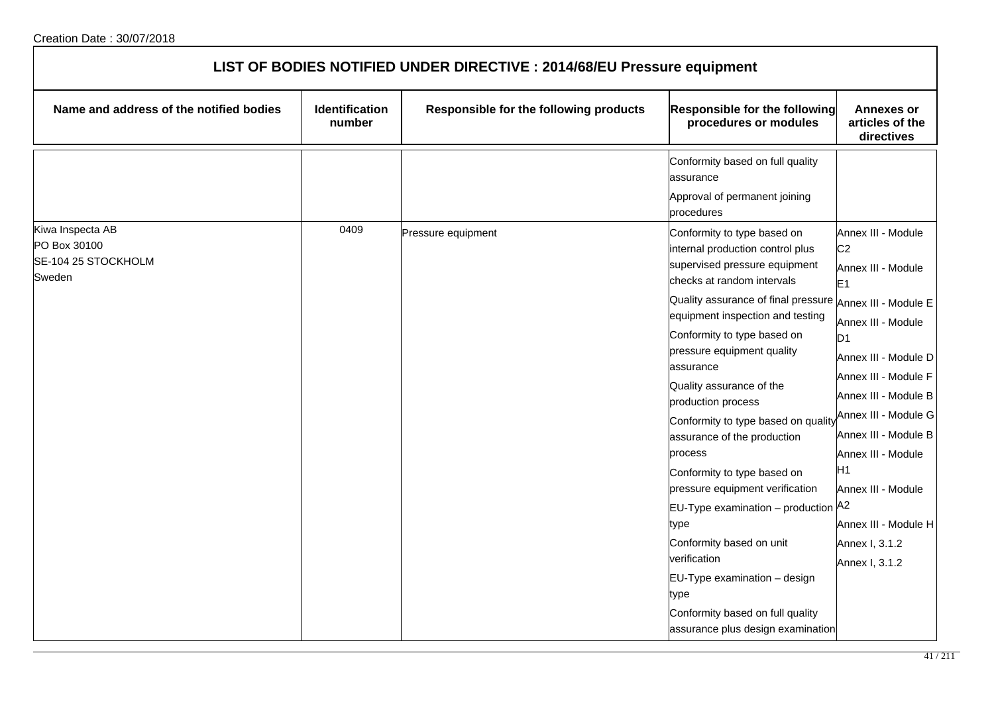| LIST OF BODIES NOTIFIED UNDER DIRECTIVE : 2014/68/EU Pressure equipment |                                 |                                        |                                                                                                                                                                                                                                                                                                                                                                                                                                                       |                                                                                                                                                                                                                                                                                                  |  |
|-------------------------------------------------------------------------|---------------------------------|----------------------------------------|-------------------------------------------------------------------------------------------------------------------------------------------------------------------------------------------------------------------------------------------------------------------------------------------------------------------------------------------------------------------------------------------------------------------------------------------------------|--------------------------------------------------------------------------------------------------------------------------------------------------------------------------------------------------------------------------------------------------------------------------------------------------|--|
| Name and address of the notified bodies                                 | <b>Identification</b><br>number | Responsible for the following products | Responsible for the following<br>procedures or modules                                                                                                                                                                                                                                                                                                                                                                                                | <b>Annexes or</b><br>articles of the<br>directives                                                                                                                                                                                                                                               |  |
|                                                                         |                                 |                                        | Conformity based on full quality<br>assurance<br>Approval of permanent joining<br>procedures                                                                                                                                                                                                                                                                                                                                                          |                                                                                                                                                                                                                                                                                                  |  |
| Kiwa Inspecta AB<br>PO Box 30100<br>SE-104 25 STOCKHOLM<br>Sweden       | 0409                            | Pressure equipment                     | Conformity to type based on<br>internal production control plus<br>supervised pressure equipment<br>checks at random intervals<br>Quality assurance of final pressure<br>equipment inspection and testing<br>Conformity to type based on<br>pressure equipment quality<br>assurance<br>Quality assurance of the<br>production process<br>Conformity to type based on quality<br>assurance of the production<br>process<br>Conformity to type based on | Annex III - Module<br>C <sub>2</sub><br>Annex III - Module<br>E <sub>1</sub><br>Annex III - Module E<br>Annex III - Module<br>D <sub>1</sub><br>Annex III - Module D<br>Annex III - Module F<br>Annex III - Module B<br>Annex III - Module G<br>Annex III - Module B<br>Annex III - Module<br>Н1 |  |
|                                                                         |                                 |                                        | pressure equipment verification<br>EU-Type examination - production A2<br>type<br>Conformity based on unit<br>verification<br>EU-Type examination - design<br>type<br>Conformity based on full quality<br>assurance plus design examination                                                                                                                                                                                                           | Annex III - Module<br>Annex III - Module H<br>Annex I, 3.1.2<br>Annex I, 3.1.2                                                                                                                                                                                                                   |  |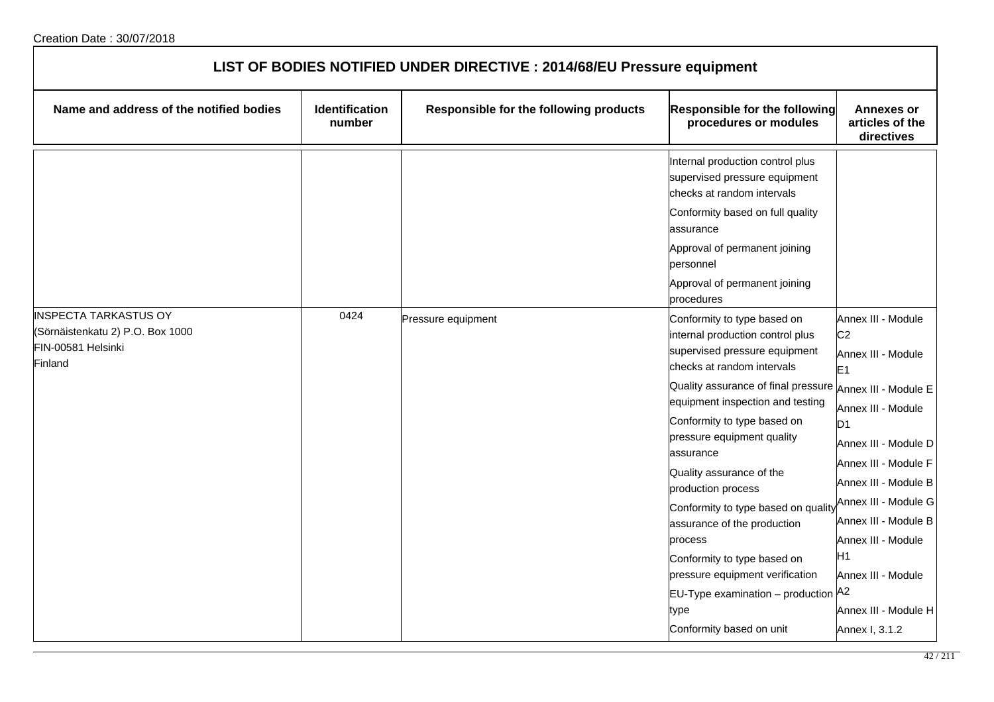| LIST OF BODIES NOTIFIED UNDER DIRECTIVE : 2014/68/EU Pressure equipment                           |                                 |                                        |                                                                                                                                                                                                                                                                                                                                                                                                                                                                                                                                                                                          |                                                                                                                                                                                                                                                                                                                              |  |
|---------------------------------------------------------------------------------------------------|---------------------------------|----------------------------------------|------------------------------------------------------------------------------------------------------------------------------------------------------------------------------------------------------------------------------------------------------------------------------------------------------------------------------------------------------------------------------------------------------------------------------------------------------------------------------------------------------------------------------------------------------------------------------------------|------------------------------------------------------------------------------------------------------------------------------------------------------------------------------------------------------------------------------------------------------------------------------------------------------------------------------|--|
| Name and address of the notified bodies                                                           | <b>Identification</b><br>number | Responsible for the following products | <b>Responsible for the following</b><br>procedures or modules                                                                                                                                                                                                                                                                                                                                                                                                                                                                                                                            | <b>Annexes or</b><br>articles of the<br>directives                                                                                                                                                                                                                                                                           |  |
|                                                                                                   |                                 |                                        | Internal production control plus<br>supervised pressure equipment<br>checks at random intervals<br>Conformity based on full quality<br>assurance<br>Approval of permanent joining<br>personnel<br>Approval of permanent joining<br>procedures                                                                                                                                                                                                                                                                                                                                            |                                                                                                                                                                                                                                                                                                                              |  |
| <b>INSPECTA TARKASTUS OY</b><br>(Sörnäistenkatu 2) P.O. Box 1000<br>FIN-00581 Helsinki<br>Finland | 0424                            | Pressure equipment                     | Conformity to type based on<br>internal production control plus<br>supervised pressure equipment<br>checks at random intervals<br>Quality assurance of final pressure Annex III - Module E<br>equipment inspection and testing<br>Conformity to type based on<br>pressure equipment quality<br>assurance<br>Quality assurance of the<br>production process<br>Conformity to type based on quality<br>assurance of the production<br>process<br>Conformity to type based on<br>pressure equipment verification<br>EU-Type examination - production A2<br>type<br>Conformity based on unit | Annex III - Module<br>C <sub>2</sub><br>Annex III - Module<br>E1<br>Annex III - Module<br>D <sub>1</sub><br>Annex III - Module D<br>Annex III - Module F<br>Annex III - Module B<br>Annex III - Module G<br>Annex III - Module B<br>Annex III - Module<br>H1<br>Annex III - Module<br>Annex III - Module H<br>Annex I, 3.1.2 |  |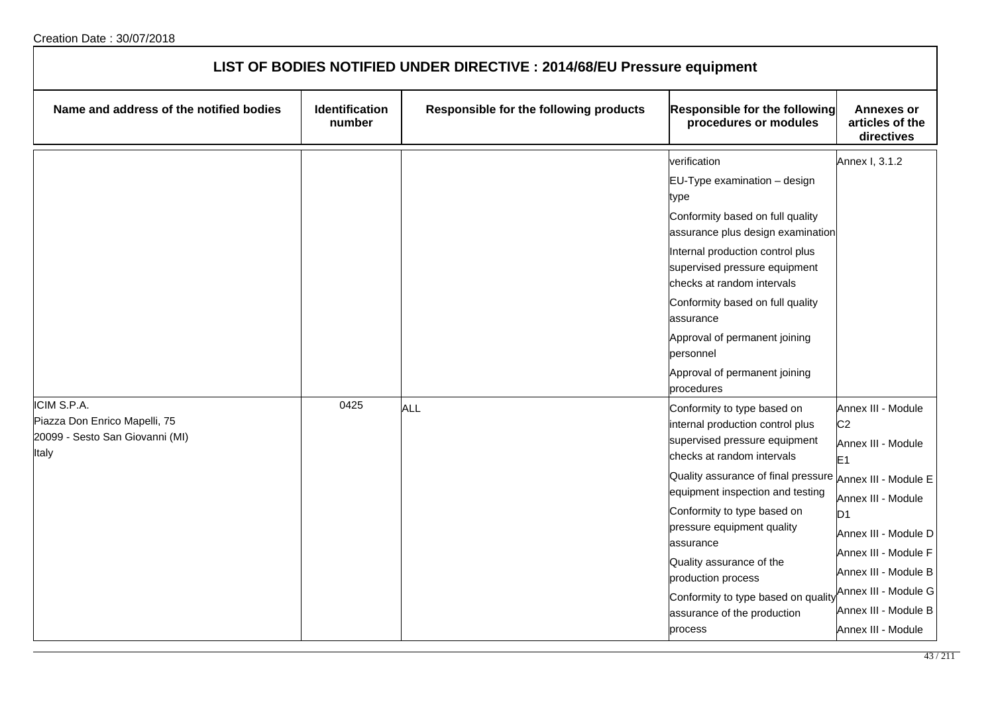| LIST OF BODIES NOTIFIED UNDER DIRECTIVE : 2014/68/EU Pressure equipment                  |                                 |                                        |                                                                                                                                                                                                                                                                                                                                                                                                                                             |                                                                                                                                                                                                                                                                    |  |
|------------------------------------------------------------------------------------------|---------------------------------|----------------------------------------|---------------------------------------------------------------------------------------------------------------------------------------------------------------------------------------------------------------------------------------------------------------------------------------------------------------------------------------------------------------------------------------------------------------------------------------------|--------------------------------------------------------------------------------------------------------------------------------------------------------------------------------------------------------------------------------------------------------------------|--|
| Name and address of the notified bodies                                                  | <b>Identification</b><br>number | Responsible for the following products | <b>Responsible for the following</b><br>procedures or modules                                                                                                                                                                                                                                                                                                                                                                               | <b>Annexes or</b><br>articles of the<br>directives                                                                                                                                                                                                                 |  |
|                                                                                          |                                 |                                        | verification<br>EU-Type examination - design<br>type<br>Conformity based on full quality<br>assurance plus design examination<br>Internal production control plus<br>supervised pressure equipment<br>checks at random intervals<br>Conformity based on full quality<br>assurance<br>Approval of permanent joining<br>personnel<br>Approval of permanent joining<br>procedures                                                              | Annex I, 3.1.2                                                                                                                                                                                                                                                     |  |
| ICIM S.P.A.<br>Piazza Don Enrico Mapelli, 75<br>20099 - Sesto San Giovanni (MI)<br>Italy | 0425                            | <b>ALL</b>                             | Conformity to type based on<br>internal production control plus<br>supervised pressure equipment<br>checks at random intervals<br>Quality assurance of final pressure Annex III - Module E<br>equipment inspection and testing<br>Conformity to type based on<br>pressure equipment quality<br>assurance<br>Quality assurance of the<br>production process<br>Conformity to type based on quality<br>assurance of the production<br>process | Annex III - Module<br>C <sub>2</sub><br>Annex III - Module<br>E <sub>1</sub><br>Annex III - Module<br>D <sub>1</sub><br>Annex III - Module D<br>Annex III - Module F<br>Annex III - Module B<br>Annex III - Module G<br>Annex III - Module B<br>Annex III - Module |  |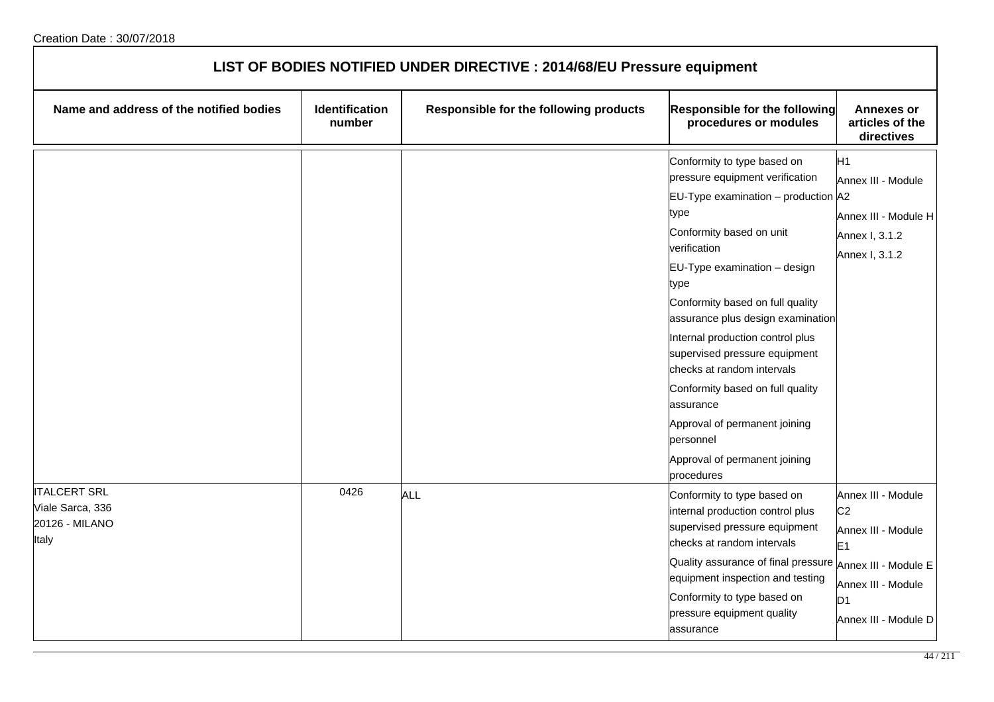| LIST OF BODIES NOTIFIED UNDER DIRECTIVE : 2014/68/EU Pressure equipment |                                 |                                        |                                                                                                                                                                                                                                                                                                                                                                                                                                                                                                                                     |                                                                                                                                  |  |
|-------------------------------------------------------------------------|---------------------------------|----------------------------------------|-------------------------------------------------------------------------------------------------------------------------------------------------------------------------------------------------------------------------------------------------------------------------------------------------------------------------------------------------------------------------------------------------------------------------------------------------------------------------------------------------------------------------------------|----------------------------------------------------------------------------------------------------------------------------------|--|
| Name and address of the notified bodies                                 | <b>Identification</b><br>number | Responsible for the following products | Responsible for the following<br>procedures or modules                                                                                                                                                                                                                                                                                                                                                                                                                                                                              | <b>Annexes or</b><br>articles of the<br>directives                                                                               |  |
|                                                                         |                                 |                                        | Conformity to type based on<br>pressure equipment verification<br>EU-Type examination – production $ $ A2<br>type<br>Conformity based on unit<br>verification<br>$EU-Type$ examination $-$ design<br>type<br>Conformity based on full quality<br>assurance plus design examination<br>Internal production control plus<br>supervised pressure equipment<br>checks at random intervals<br>Conformity based on full quality<br>assurance<br>Approval of permanent joining<br>personnel<br>Approval of permanent joining<br>procedures | H <sub>1</sub><br>Annex III - Module<br>Annex III - Module H<br>Annex I, 3.1.2<br>Annex I, 3.1.2                                 |  |
| <b>ITALCERT SRL</b><br>Viale Sarca, 336<br>20126 - MILANO<br>Italy      | 0426                            | <b>ALL</b>                             | Conformity to type based on<br>internal production control plus<br>supervised pressure equipment<br>checks at random intervals<br>Quality assurance of final pressure Annex III - Module E<br>equipment inspection and testing<br>Conformity to type based on<br>pressure equipment quality<br>assurance                                                                                                                                                                                                                            | Annex III - Module<br>C <sub>2</sub><br>Annex III - Module<br>E1<br>Annex III - Module<br>D <sub>1</sub><br>Annex III - Module D |  |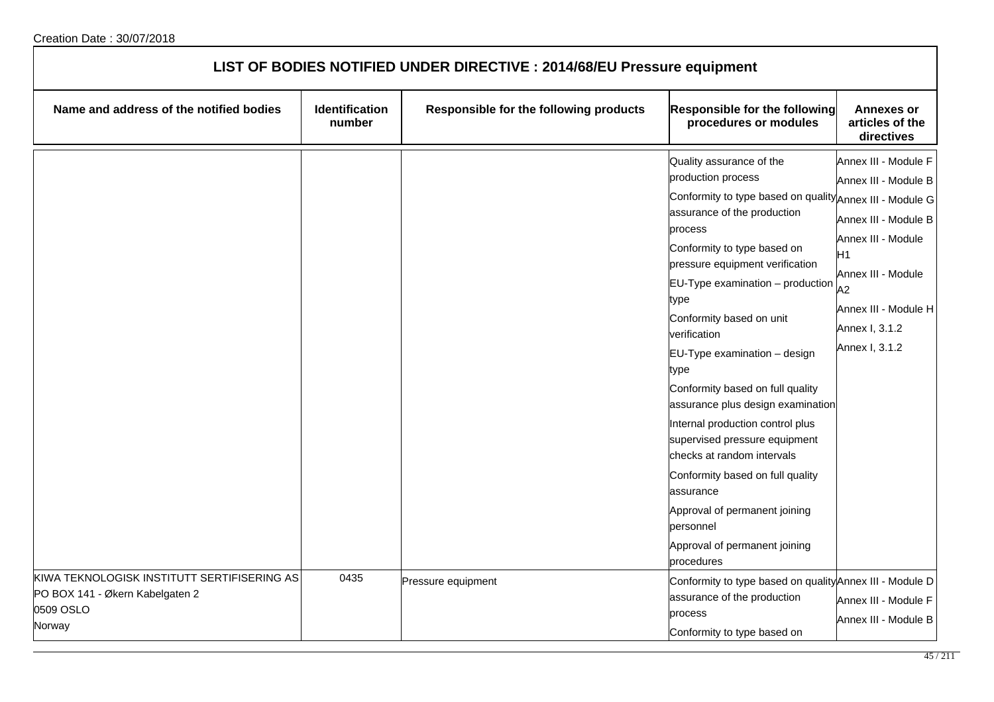| LIST OF BODIES NOTIFIED UNDER DIRECTIVE : 2014/68/EU Pressure equipment                               |                          |                                        |                                                                                                                                                                                                                                                                                                                                                                                                                                                                                                                                                                                                                                                                                      |                                                                                                                                                                                          |  |
|-------------------------------------------------------------------------------------------------------|--------------------------|----------------------------------------|--------------------------------------------------------------------------------------------------------------------------------------------------------------------------------------------------------------------------------------------------------------------------------------------------------------------------------------------------------------------------------------------------------------------------------------------------------------------------------------------------------------------------------------------------------------------------------------------------------------------------------------------------------------------------------------|------------------------------------------------------------------------------------------------------------------------------------------------------------------------------------------|--|
| Name and address of the notified bodies                                                               | Identification<br>number | Responsible for the following products | Responsible for the following<br>procedures or modules                                                                                                                                                                                                                                                                                                                                                                                                                                                                                                                                                                                                                               | <b>Annexes or</b><br>articles of the<br>directives                                                                                                                                       |  |
|                                                                                                       |                          |                                        | Quality assurance of the<br>production process<br>Conformity to type based on quality Annex III - Module G<br>assurance of the production<br>process<br>Conformity to type based on<br>pressure equipment verification<br>$EU-Type$ examination $-$ production<br>type<br>Conformity based on unit<br>verification<br>EU-Type examination - design<br>type<br>Conformity based on full quality<br>assurance plus design examination<br>Internal production control plus<br>supervised pressure equipment<br>checks at random intervals<br>Conformity based on full quality<br>assurance<br>Approval of permanent joining<br>personnel<br>Approval of permanent joining<br>procedures | Annex III - Module F<br>Annex III - Module B<br>Annex III - Module B<br>Annex III - Module<br>H1<br>Annex III - Module<br>A2<br>Annex III - Module H<br>Annex I, 3.1.2<br>Annex I, 3.1.2 |  |
| KIWA TEKNOLOGISK INSTITUTT SERTIFISERING AS<br>PO BOX 141 - Økern Kabelgaten 2<br>0509 OSLO<br>Norway | 0435                     | Pressure equipment                     | Conformity to type based on quality Annex III - Module D<br>assurance of the production<br>process<br>Conformity to type based on                                                                                                                                                                                                                                                                                                                                                                                                                                                                                                                                                    | Annex III - Module F<br>Annex III - Module B                                                                                                                                             |  |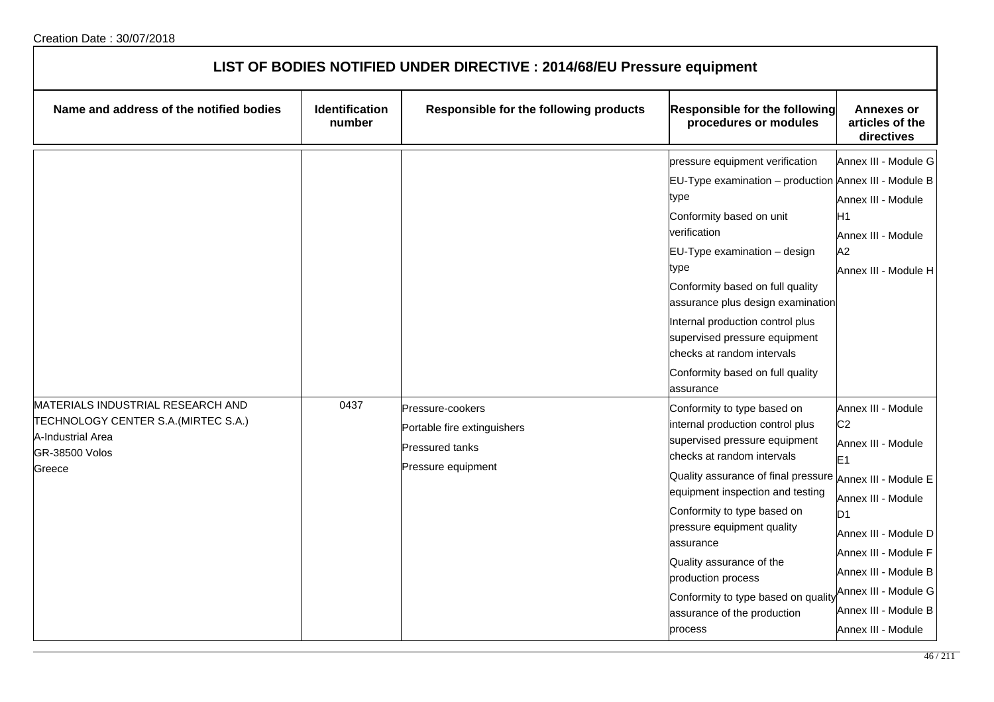| LIST OF BODIES NOTIFIED UNDER DIRECTIVE : 2014/68/EU Pressure equipment                                                           |                                 |                                                                                                 |                                                                                                                                                                                                                                                                                                                                                                                                                                             |                                                                                                                                                                                                                                                                    |  |
|-----------------------------------------------------------------------------------------------------------------------------------|---------------------------------|-------------------------------------------------------------------------------------------------|---------------------------------------------------------------------------------------------------------------------------------------------------------------------------------------------------------------------------------------------------------------------------------------------------------------------------------------------------------------------------------------------------------------------------------------------|--------------------------------------------------------------------------------------------------------------------------------------------------------------------------------------------------------------------------------------------------------------------|--|
| Name and address of the notified bodies                                                                                           | <b>Identification</b><br>number | Responsible for the following products                                                          | Responsible for the following<br>procedures or modules                                                                                                                                                                                                                                                                                                                                                                                      | <b>Annexes or</b><br>articles of the<br>directives                                                                                                                                                                                                                 |  |
|                                                                                                                                   |                                 |                                                                                                 | pressure equipment verification<br>EU-Type examination - production Annex III - Module B<br>type<br>Conformity based on unit<br>verification<br>EU-Type examination - design<br>type<br>Conformity based on full quality<br>assurance plus design examination<br>Internal production control plus<br>supervised pressure equipment<br>checks at random intervals<br>Conformity based on full quality<br>assurance                           | Annex III - Module G<br>Annex III - Module<br>H1<br>Annex III - Module<br>A2<br>Annex III - Module H                                                                                                                                                               |  |
| MATERIALS INDUSTRIAL RESEARCH AND<br>TECHNOLOGY CENTER S.A. (MIRTEC S.A.)<br>A-Industrial Area<br><b>GR-38500 Volos</b><br>Greece | 0437                            | Pressure-cookers<br>Portable fire extinguishers<br><b>Pressured tanks</b><br>Pressure equipment | Conformity to type based on<br>internal production control plus<br>supervised pressure equipment<br>checks at random intervals<br>Quality assurance of final pressure Annex III - Module E<br>equipment inspection and testing<br>Conformity to type based on<br>pressure equipment quality<br>assurance<br>Quality assurance of the<br>production process<br>Conformity to type based on quality<br>assurance of the production<br>process | Annex III - Module<br>C <sub>2</sub><br>Annex III - Module<br>E <sub>1</sub><br>Annex III - Module<br>D <sub>1</sub><br>Annex III - Module D<br>Annex III - Module F<br>Annex III - Module B<br>Annex III - Module G<br>Annex III - Module B<br>Annex III - Module |  |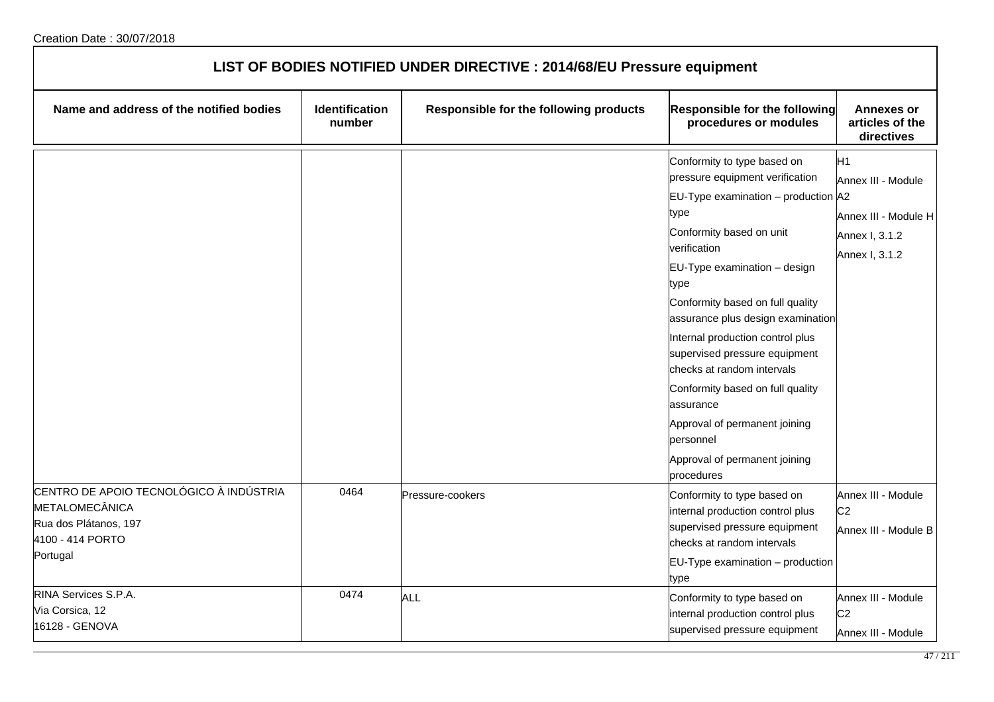| LIST OF BODIES NOTIFIED UNDER DIRECTIVE : 2014/68/EU Pressure equipment                                            |                          |                                        |                                                                                                                                                                                                                                                                                                                                                                                                                                                                                                                   |                                                                                                  |
|--------------------------------------------------------------------------------------------------------------------|--------------------------|----------------------------------------|-------------------------------------------------------------------------------------------------------------------------------------------------------------------------------------------------------------------------------------------------------------------------------------------------------------------------------------------------------------------------------------------------------------------------------------------------------------------------------------------------------------------|--------------------------------------------------------------------------------------------------|
| Name and address of the notified bodies                                                                            | Identification<br>number | Responsible for the following products | Responsible for the following<br>procedures or modules                                                                                                                                                                                                                                                                                                                                                                                                                                                            | <b>Annexes or</b><br>articles of the<br>directives                                               |
|                                                                                                                    |                          |                                        | Conformity to type based on<br>pressure equipment verification<br>$EU-Type$ examination – production $A2$<br>type<br>Conformity based on unit<br>verification<br>EU-Type examination - design<br>type<br>Conformity based on full quality<br>assurance plus design examination<br>Internal production control plus<br>supervised pressure equipment<br>checks at random intervals<br>Conformity based on full quality<br>assurance<br>Approval of permanent joining<br>personnel<br>Approval of permanent joining | H <sub>1</sub><br>Annex III - Module<br>Annex III - Module H<br>Annex I, 3.1.2<br>Annex I, 3.1.2 |
| CENTRO DE APOIO TECNOLÓGICO À INDÚSTRIA<br>METALOMECÂNICA<br>Rua dos Plátanos, 197<br>4100 - 414 PORTO<br>Portugal | 0464                     | Pressure-cookers                       | procedures<br>Conformity to type based on<br>internal production control plus<br>supervised pressure equipment<br>checks at random intervals<br>$EU-Type$ examination $-$ production<br>type                                                                                                                                                                                                                                                                                                                      | Annex III - Module<br>C <sub>2</sub><br>Annex III - Module B                                     |
| RINA Services S.P.A.<br>Via Corsica, 12<br>16128 - GENOVA                                                          | 0474                     | <b>ALL</b>                             | Conformity to type based on<br>internal production control plus<br>supervised pressure equipment                                                                                                                                                                                                                                                                                                                                                                                                                  | Annex III - Module<br>C <sub>2</sub><br>Annex III - Module                                       |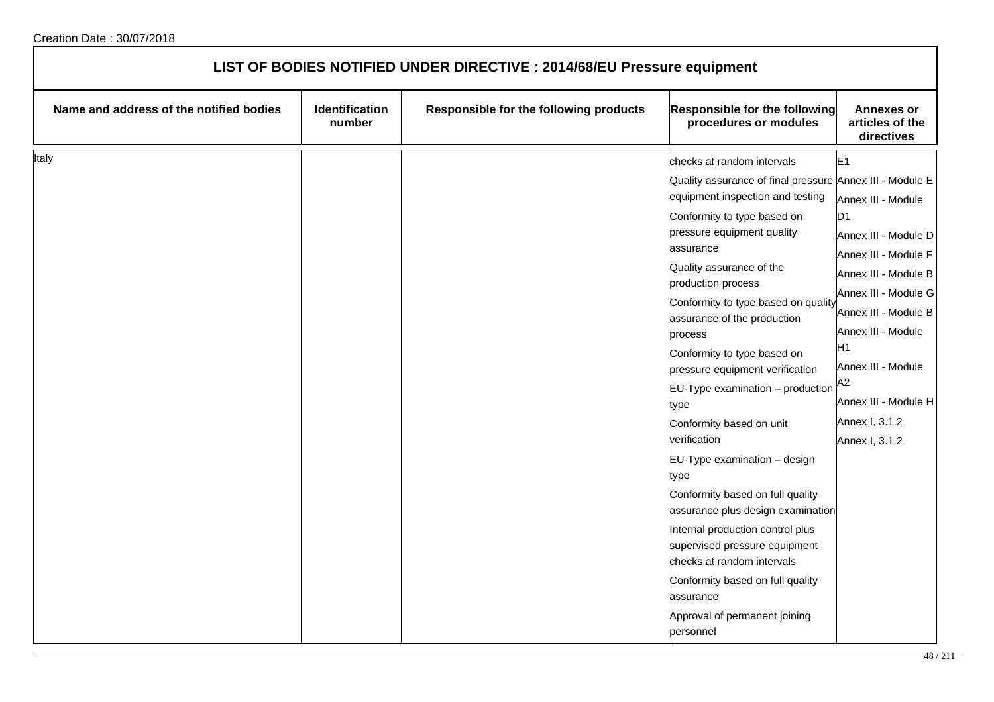| LIST OF BODIES NOTIFIED UNDER DIRECTIVE : 2014/68/EU Pressure equipment |                          |                                        |                                                                                                                                                                                                                                                                                                                                                                                                                                                                                                                                                                                                                                                                                                                           |                                                                                                                                                                                                                                                                                                                |
|-------------------------------------------------------------------------|--------------------------|----------------------------------------|---------------------------------------------------------------------------------------------------------------------------------------------------------------------------------------------------------------------------------------------------------------------------------------------------------------------------------------------------------------------------------------------------------------------------------------------------------------------------------------------------------------------------------------------------------------------------------------------------------------------------------------------------------------------------------------------------------------------------|----------------------------------------------------------------------------------------------------------------------------------------------------------------------------------------------------------------------------------------------------------------------------------------------------------------|
| Name and address of the notified bodies                                 | Identification<br>number | Responsible for the following products | Responsible for the following<br>procedures or modules                                                                                                                                                                                                                                                                                                                                                                                                                                                                                                                                                                                                                                                                    | <b>Annexes or</b><br>articles of the<br>directives                                                                                                                                                                                                                                                             |
| Italy                                                                   |                          |                                        | checks at random intervals<br>Quality assurance of final pressure Annex III - Module E<br>equipment inspection and testing<br>Conformity to type based on<br>pressure equipment quality<br>assurance<br>Quality assurance of the<br>production process<br>Conformity to type based on quality<br>assurance of the production<br>process<br>Conformity to type based on<br>pressure equipment verification<br>$EU-Type$ examination $-$ production<br>type<br>Conformity based on unit<br>verification<br>EU-Type examination - design<br>type<br>Conformity based on full quality<br>assurance plus design examination<br>Internal production control plus<br>supervised pressure equipment<br>checks at random intervals | E <sub>1</sub><br>Annex III - Module<br>D <sub>1</sub><br>Annex III - Module D<br>Annex III - Module F<br>Annex III - Module B<br>Annex III - Module G<br>Annex III - Module B<br>Annex III - Module<br>H1<br>Annex III - Module<br>A <sub>2</sub><br>Annex III - Module H<br>Annex I, 3.1.2<br>Annex I, 3.1.2 |
|                                                                         |                          |                                        | Conformity based on full quality<br>assurance<br>Approval of permanent joining<br>personnel                                                                                                                                                                                                                                                                                                                                                                                                                                                                                                                                                                                                                               |                                                                                                                                                                                                                                                                                                                |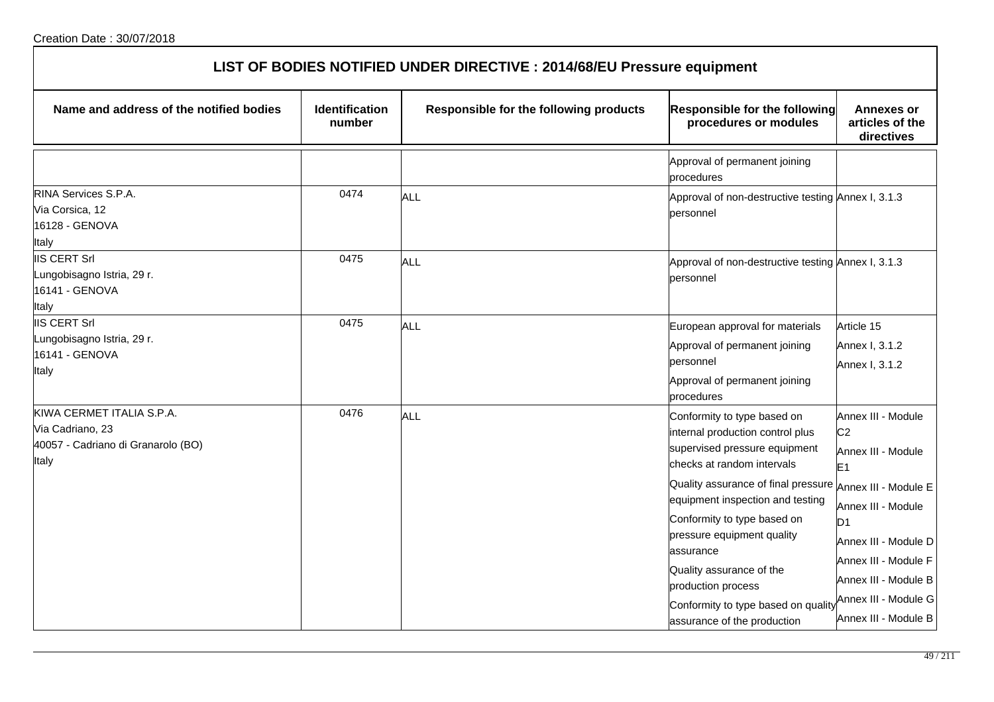| LIST OF BODIES NOTIFIED UNDER DIRECTIVE : 2014/68/EU Pressure equipment                      |                                 |                                        |                                                                                                                                                                                                                                                                                                                                                                                                             |                                                                                                                                                                                                                                              |  |
|----------------------------------------------------------------------------------------------|---------------------------------|----------------------------------------|-------------------------------------------------------------------------------------------------------------------------------------------------------------------------------------------------------------------------------------------------------------------------------------------------------------------------------------------------------------------------------------------------------------|----------------------------------------------------------------------------------------------------------------------------------------------------------------------------------------------------------------------------------------------|--|
| Name and address of the notified bodies                                                      | <b>Identification</b><br>number | Responsible for the following products | <b>Responsible for the following</b><br>procedures or modules                                                                                                                                                                                                                                                                                                                                               | <b>Annexes or</b><br>articles of the<br>directives                                                                                                                                                                                           |  |
|                                                                                              |                                 |                                        | Approval of permanent joining<br>procedures                                                                                                                                                                                                                                                                                                                                                                 |                                                                                                                                                                                                                                              |  |
| RINA Services S.P.A.<br>Via Corsica, 12<br>16128 - GENOVA<br>Italy                           | 0474                            | ALL                                    | Approval of non-destructive testing Annex I, 3.1.3<br>personnel                                                                                                                                                                                                                                                                                                                                             |                                                                                                                                                                                                                                              |  |
| <b>IIS CERT Srl</b><br>ungobisagno Istria, 29 r.<br>16141 - GENOVA<br>Italy                  | 0475                            | ALL                                    | Approval of non-destructive testing Annex I, 3.1.3<br>personnel                                                                                                                                                                                                                                                                                                                                             |                                                                                                                                                                                                                                              |  |
| <b>IIS CERT Srl</b><br>ungobisagno Istria, 29 r.<br>16141 - GENOVA<br>Italy                  | 0475                            | ALL                                    | European approval for materials<br>Approval of permanent joining<br>personnel<br>Approval of permanent joining<br>procedures                                                                                                                                                                                                                                                                                | Article 15<br>Annex I, 3.1.2<br>Annex I, 3.1.2                                                                                                                                                                                               |  |
| KIWA CERMET ITALIA S.P.A.<br>Via Cadriano, 23<br>40057 - Cadriano di Granarolo (BO)<br>Italy | 0476                            | ALL                                    | Conformity to type based on<br>internal production control plus<br>supervised pressure equipment<br>checks at random intervals<br>Quality assurance of final pressure<br>equipment inspection and testing<br>Conformity to type based on<br>pressure equipment quality<br>assurance<br>Quality assurance of the<br>production process<br>Conformity to type based on quality<br>assurance of the production | Annex III - Module<br>C <sub>2</sub><br>Annex III - Module<br>E1<br>Annex III - Module E<br>Annex III - Module<br>D1<br>Annex III - Module D<br>Annex III - Module F<br>Annex III - Module B<br>Annex III - Module G<br>Annex III - Module B |  |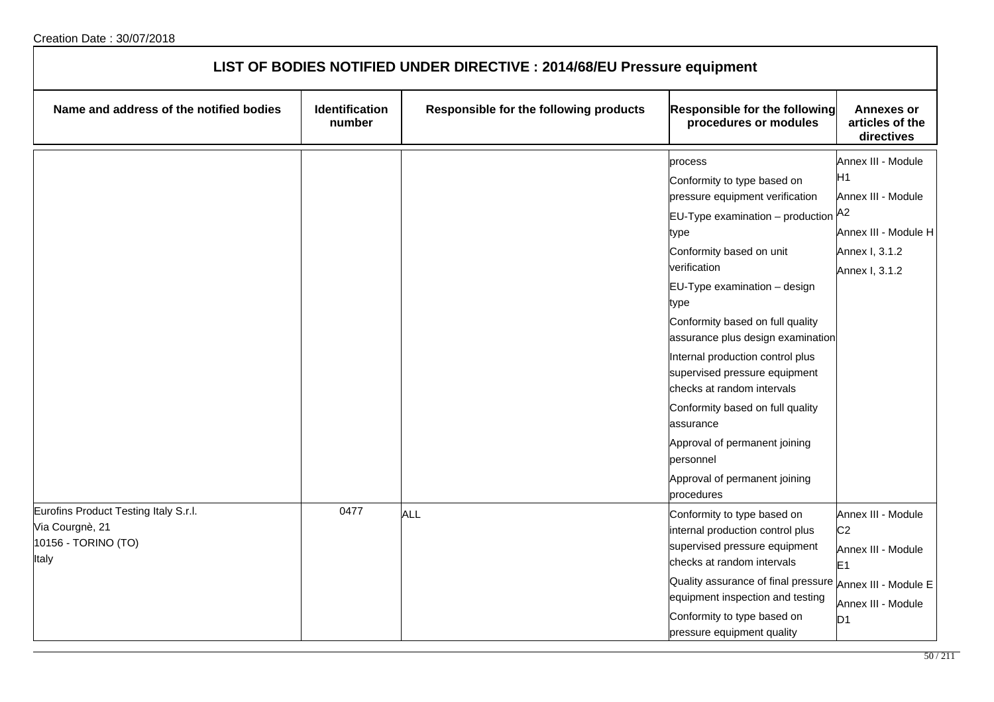| LIST OF BODIES NOTIFIED UNDER DIRECTIVE : 2014/68/EU Pressure equipment                  |                          |                                        |                                                                                                                                                                                                                                                                                                                                                                                                                                                                                                                                              |                                                                                                                      |  |
|------------------------------------------------------------------------------------------|--------------------------|----------------------------------------|----------------------------------------------------------------------------------------------------------------------------------------------------------------------------------------------------------------------------------------------------------------------------------------------------------------------------------------------------------------------------------------------------------------------------------------------------------------------------------------------------------------------------------------------|----------------------------------------------------------------------------------------------------------------------|--|
| Name and address of the notified bodies                                                  | Identification<br>number | Responsible for the following products | Responsible for the following<br>procedures or modules                                                                                                                                                                                                                                                                                                                                                                                                                                                                                       | <b>Annexes or</b><br>articles of the<br>directives                                                                   |  |
|                                                                                          |                          |                                        | process<br>Conformity to type based on<br>pressure equipment verification<br>$EU$ -Type examination – production $A^2$<br>type<br>Conformity based on unit<br>verification<br>EU-Type examination - design<br>type<br>Conformity based on full quality<br>assurance plus design examination<br>Internal production control plus<br>supervised pressure equipment<br>checks at random intervals<br>Conformity based on full quality<br>assurance<br>Approval of permanent joining<br>personnel<br>Approval of permanent joining<br>procedures | Annex III - Module<br>H1<br>Annex III - Module<br>Annex III - Module H<br>Annex I, 3.1.2<br>Annex I, 3.1.2           |  |
| Eurofins Product Testing Italy S.r.l.<br>Via Courgnè, 21<br>10156 - TORINO (TO)<br>Italy | 0477                     | <b>ALL</b>                             | Conformity to type based on<br>internal production control plus<br>supervised pressure equipment<br>checks at random intervals<br>Quality assurance of final pressure Annex III - Module E<br>equipment inspection and testing<br>Conformity to type based on<br>pressure equipment quality                                                                                                                                                                                                                                                  | Annex III - Module<br>C <sub>2</sub><br>Annex III - Module<br>E <sub>1</sub><br>Annex III - Module<br>D <sub>1</sub> |  |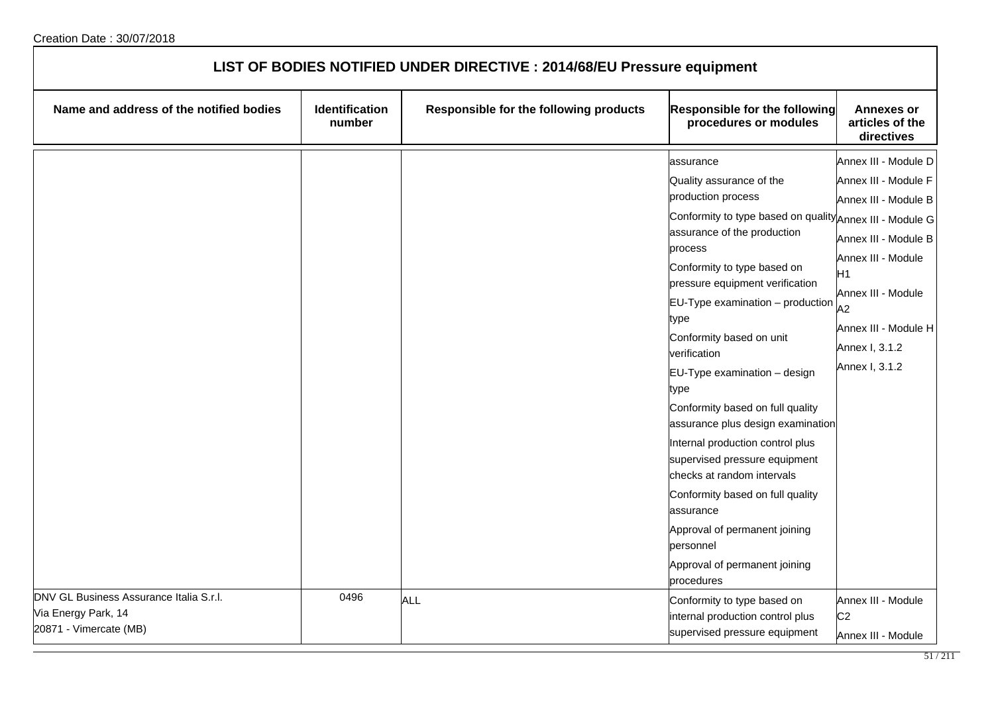| LIST OF BODIES NOTIFIED UNDER DIRECTIVE : 2014/68/EU Pressure equipment                  |                          |                                        |                                                                                                                                                                                                                                                                                                                                                                                                                                                                                                                                                                                                                                                                                                   |                                                                                                                                                                                                                  |  |
|------------------------------------------------------------------------------------------|--------------------------|----------------------------------------|---------------------------------------------------------------------------------------------------------------------------------------------------------------------------------------------------------------------------------------------------------------------------------------------------------------------------------------------------------------------------------------------------------------------------------------------------------------------------------------------------------------------------------------------------------------------------------------------------------------------------------------------------------------------------------------------------|------------------------------------------------------------------------------------------------------------------------------------------------------------------------------------------------------------------|--|
| Name and address of the notified bodies                                                  | Identification<br>number | Responsible for the following products | <b>Responsible for the following</b><br>procedures or modules                                                                                                                                                                                                                                                                                                                                                                                                                                                                                                                                                                                                                                     | <b>Annexes or</b><br>articles of the<br>directives                                                                                                                                                               |  |
|                                                                                          |                          |                                        | assurance<br>Quality assurance of the<br>production process<br>Conformity to type based on quality Annex III - Module G<br>assurance of the production<br>process<br>Conformity to type based on<br>pressure equipment verification<br>$EU-Type$ examination $-$ production<br>type<br>Conformity based on unit<br>verification<br>EU-Type examination - design<br>type<br>Conformity based on full quality<br>assurance plus design examination<br>Internal production control plus<br>supervised pressure equipment<br>checks at random intervals<br>Conformity based on full quality<br>assurance<br>Approval of permanent joining<br>personnel<br>Approval of permanent joining<br>procedures | Annex III - Module D<br>Annex III - Module F<br>Annex III - Module B<br>Annex III - Module B<br>Annex III - Module<br>Η1<br>Annex III - Module<br>A2<br>Annex III - Module H<br>Annex I, 3.1.2<br>Annex I, 3.1.2 |  |
| DNV GL Business Assurance Italia S.r.l.<br>Via Energy Park, 14<br>20871 - Vimercate (MB) | 0496                     | <b>ALL</b>                             | Conformity to type based on<br>internal production control plus<br>supervised pressure equipment                                                                                                                                                                                                                                                                                                                                                                                                                                                                                                                                                                                                  | Annex III - Module<br>C <sub>2</sub><br>Annex III - Module                                                                                                                                                       |  |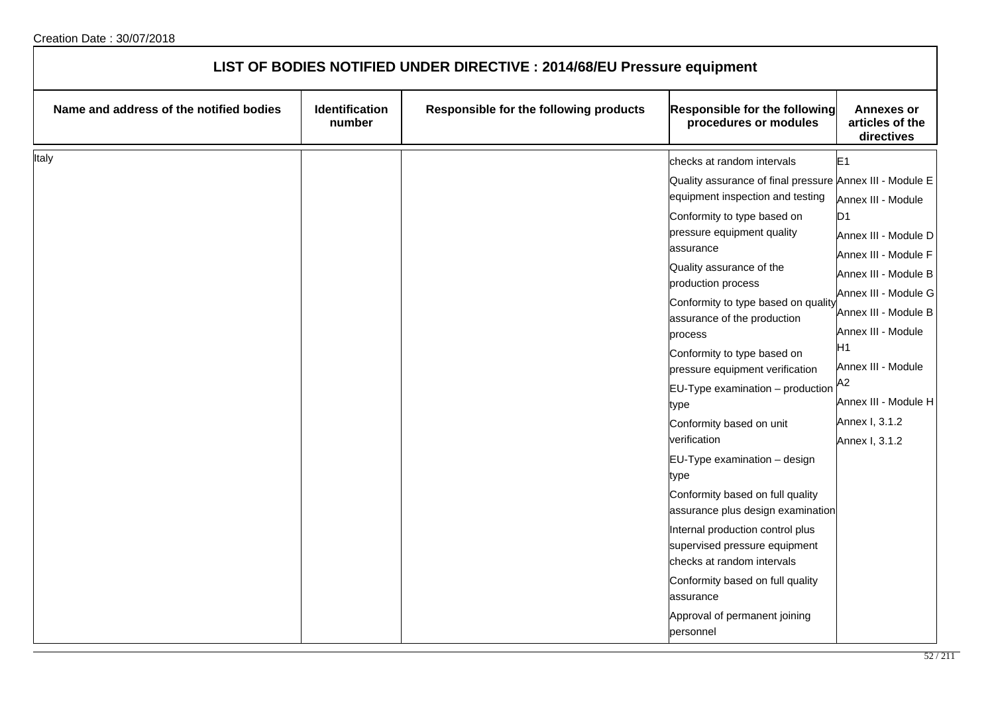| LIST OF BODIES NOTIFIED UNDER DIRECTIVE : 2014/68/EU Pressure equipment |                          |                                        |                                                                                                                                                                                                                                                                                                                                                                                                                                                                                                                                                                                                                                                                                                                           |                                                                                                                                                                                                                                                                                                                |
|-------------------------------------------------------------------------|--------------------------|----------------------------------------|---------------------------------------------------------------------------------------------------------------------------------------------------------------------------------------------------------------------------------------------------------------------------------------------------------------------------------------------------------------------------------------------------------------------------------------------------------------------------------------------------------------------------------------------------------------------------------------------------------------------------------------------------------------------------------------------------------------------------|----------------------------------------------------------------------------------------------------------------------------------------------------------------------------------------------------------------------------------------------------------------------------------------------------------------|
| Name and address of the notified bodies                                 | Identification<br>number | Responsible for the following products | Responsible for the following<br>procedures or modules                                                                                                                                                                                                                                                                                                                                                                                                                                                                                                                                                                                                                                                                    | <b>Annexes or</b><br>articles of the<br>directives                                                                                                                                                                                                                                                             |
| Italy                                                                   |                          |                                        | checks at random intervals<br>Quality assurance of final pressure Annex III - Module E<br>equipment inspection and testing<br>Conformity to type based on<br>pressure equipment quality<br>assurance<br>Quality assurance of the<br>production process<br>Conformity to type based on quality<br>assurance of the production<br>process<br>Conformity to type based on<br>pressure equipment verification<br>$EU-Type$ examination $-$ production<br>type<br>Conformity based on unit<br>verification<br>EU-Type examination - design<br>type<br>Conformity based on full quality<br>assurance plus design examination<br>Internal production control plus<br>supervised pressure equipment<br>checks at random intervals | E <sub>1</sub><br>Annex III - Module<br>D <sub>1</sub><br>Annex III - Module D<br>Annex III - Module F<br>Annex III - Module B<br>Annex III - Module G<br>Annex III - Module B<br>Annex III - Module<br>H1<br>Annex III - Module<br>A <sub>2</sub><br>Annex III - Module H<br>Annex I, 3.1.2<br>Annex I, 3.1.2 |
|                                                                         |                          |                                        | Conformity based on full quality<br>assurance<br>Approval of permanent joining<br>personnel                                                                                                                                                                                                                                                                                                                                                                                                                                                                                                                                                                                                                               |                                                                                                                                                                                                                                                                                                                |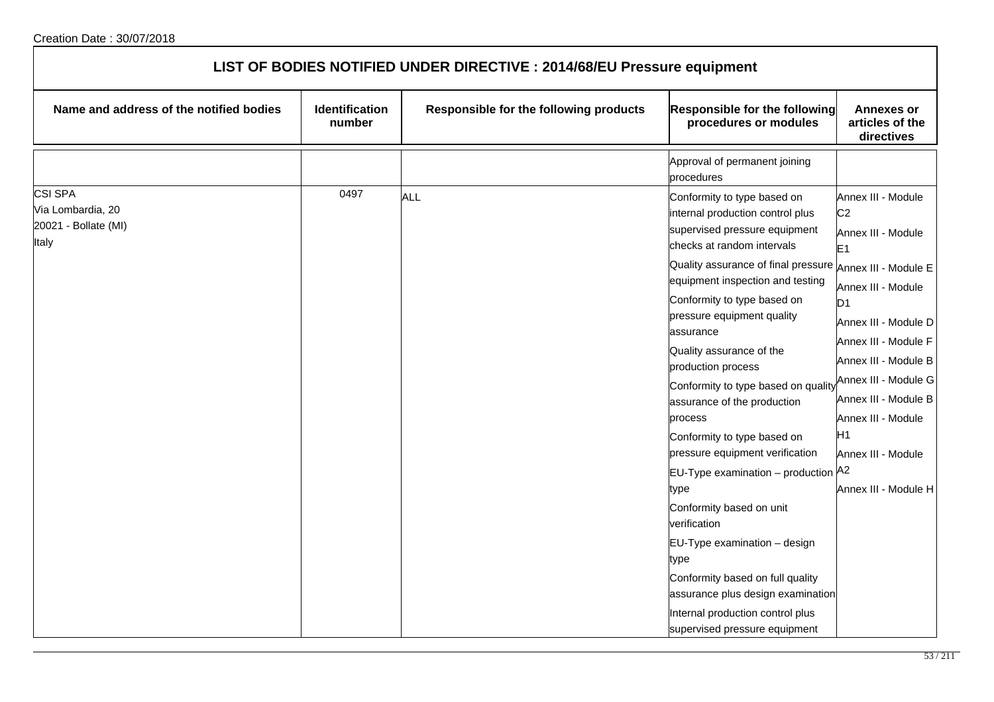| LIST OF BODIES NOTIFIED UNDER DIRECTIVE : 2014/68/EU Pressure equipment |                          |                                        |                                                                                                                                                                                                                                                                                                                                                                                                                                                                                                                                                                                                                                                                                                                                                                                                      |                                                                                                                                                                                                                                                                                                                                    |  |
|-------------------------------------------------------------------------|--------------------------|----------------------------------------|------------------------------------------------------------------------------------------------------------------------------------------------------------------------------------------------------------------------------------------------------------------------------------------------------------------------------------------------------------------------------------------------------------------------------------------------------------------------------------------------------------------------------------------------------------------------------------------------------------------------------------------------------------------------------------------------------------------------------------------------------------------------------------------------------|------------------------------------------------------------------------------------------------------------------------------------------------------------------------------------------------------------------------------------------------------------------------------------------------------------------------------------|--|
| Name and address of the notified bodies                                 | Identification<br>number | Responsible for the following products | Responsible for the following<br>procedures or modules                                                                                                                                                                                                                                                                                                                                                                                                                                                                                                                                                                                                                                                                                                                                               | <b>Annexes or</b><br>articles of the<br>directives                                                                                                                                                                                                                                                                                 |  |
|                                                                         |                          |                                        | Approval of permanent joining<br>procedures                                                                                                                                                                                                                                                                                                                                                                                                                                                                                                                                                                                                                                                                                                                                                          |                                                                                                                                                                                                                                                                                                                                    |  |
| <b>CSI SPA</b><br>Via Lombardia, 20<br>20021 - Bollate (MI)<br>Italy    | 0497                     | <b>ALL</b>                             | Conformity to type based on<br>internal production control plus<br>supervised pressure equipment<br>checks at random intervals<br>Quality assurance of final pressure Annex III - Module E<br>equipment inspection and testing<br>Conformity to type based on<br>pressure equipment quality<br>assurance<br>Quality assurance of the<br>production process<br>Conformity to type based on qualit<br>assurance of the production<br>process<br>Conformity to type based on<br>pressure equipment verification<br>EU-Type examination – production $A^2$<br>type<br>Conformity based on unit<br>verification<br>$EU-Type$ examination $-$ design<br>type<br>Conformity based on full quality<br>assurance plus design examination<br>Internal production control plus<br>supervised pressure equipment | Annex III - Module<br>C <sub>2</sub><br>Annex III - Module<br>E <sub>1</sub><br>Annex III - Module<br>D <sub>1</sub><br>Annex III - Module D<br>Annex III - Module F<br>Annex III - Module B<br>Annex III - Module G<br>Annex III - Module B<br>Annex III - Module<br>H <sub>1</sub><br>Annex III - Module<br>Annex III - Module H |  |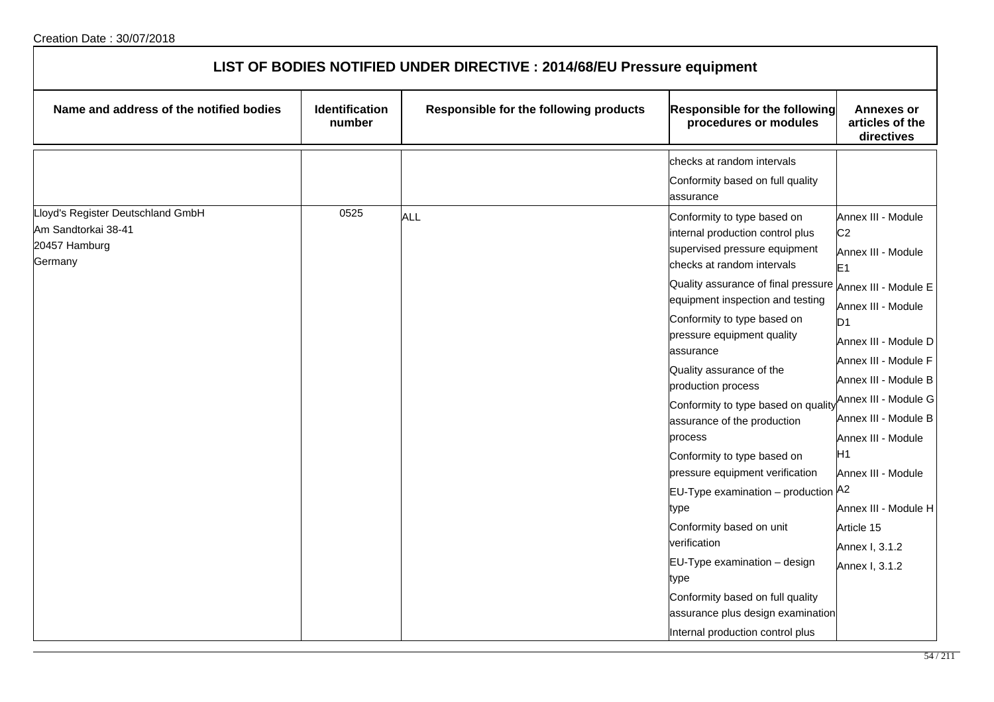| LIST OF BODIES NOTIFIED UNDER DIRECTIVE : 2014/68/EU Pressure equipment |                          |                                        |                                                                                                                                                                           |                                                                              |  |
|-------------------------------------------------------------------------|--------------------------|----------------------------------------|---------------------------------------------------------------------------------------------------------------------------------------------------------------------------|------------------------------------------------------------------------------|--|
| Name and address of the notified bodies                                 | Identification<br>number | Responsible for the following products | Responsible for the following<br>procedures or modules                                                                                                                    | <b>Annexes or</b><br>articles of the<br>directives                           |  |
| Lloyd's Register Deutschland GmbH                                       | 0525                     | <b>ALL</b>                             | checks at random intervals<br>Conformity based on full quality<br>assurance                                                                                               |                                                                              |  |
| Am Sandtorkai 38-41<br>20457 Hamburg<br>Germany                         |                          |                                        | Conformity to type based on<br>internal production control plus<br>supervised pressure equipment<br>checks at random intervals                                            | Annex III - Module<br>C <sub>2</sub><br>Annex III - Module<br>E <sub>1</sub> |  |
|                                                                         |                          |                                        | Quality assurance of final pressure $ _{\mathsf{Annex\ III}}$ . Module E<br>equipment inspection and testing<br>Conformity to type based on<br>pressure equipment quality | Annex III - Module<br>D <sub>1</sub>                                         |  |
|                                                                         |                          |                                        | assurance<br>Quality assurance of the<br>production process                                                                                                               | Annex III - Module D<br>Annex III - Module F<br>Annex III - Module B         |  |
|                                                                         |                          |                                        | Conformity to type based on quality<br>assurance of the production<br>process                                                                                             | Annex III - Module G<br>Annex III - Module B<br>Annex III - Module           |  |
|                                                                         |                          |                                        | Conformity to type based on<br>pressure equipment verification<br>EU-Type examination - production A2                                                                     | H1<br>Annex III - Module                                                     |  |
|                                                                         |                          |                                        | type<br>Conformity based on unit<br>verification                                                                                                                          | Annex III - Module H<br>Article 15<br>Annex I, 3.1.2                         |  |
|                                                                         |                          |                                        | $EU-Type$ examination $-$ design<br>type<br>Conformity based on full quality                                                                                              | Annex I, 3.1.2                                                               |  |
|                                                                         |                          |                                        | assurance plus design examination<br>Internal production control plus                                                                                                     |                                                                              |  |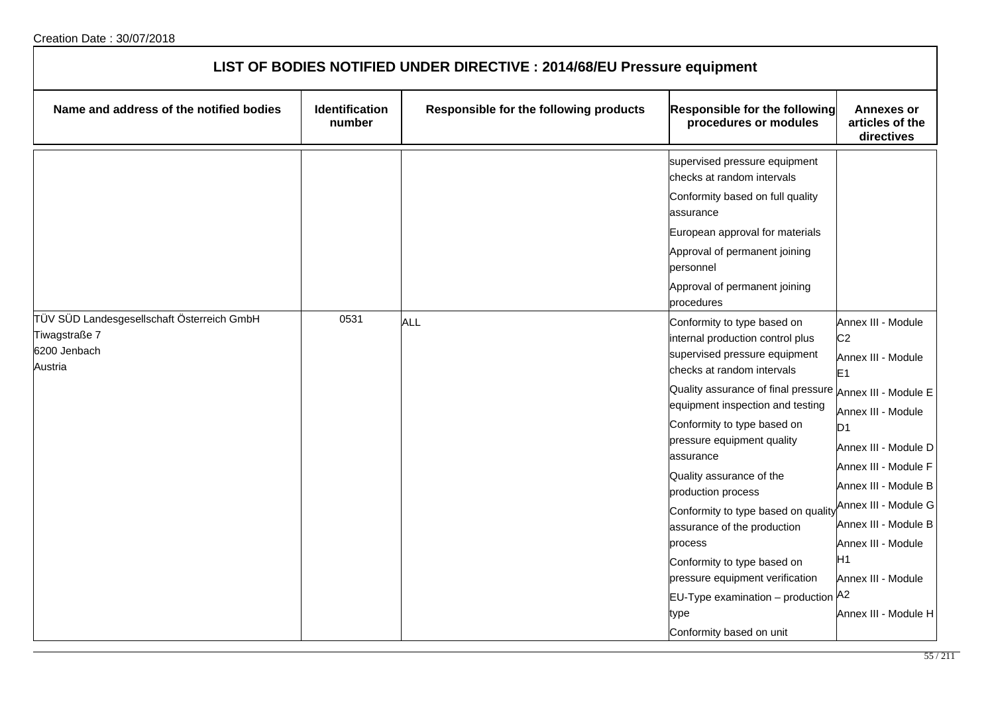| LIST OF BODIES NOTIFIED UNDER DIRECTIVE : 2014/68/EU Pressure equipment                |                          |                                        |                                                                                                                                                                                                                                                                                                                                                                                                                                                                                                                                                                      |                                                                                                                                                                                                                                                                                                                                                |  |
|----------------------------------------------------------------------------------------|--------------------------|----------------------------------------|----------------------------------------------------------------------------------------------------------------------------------------------------------------------------------------------------------------------------------------------------------------------------------------------------------------------------------------------------------------------------------------------------------------------------------------------------------------------------------------------------------------------------------------------------------------------|------------------------------------------------------------------------------------------------------------------------------------------------------------------------------------------------------------------------------------------------------------------------------------------------------------------------------------------------|--|
| Name and address of the notified bodies                                                | Identification<br>number | Responsible for the following products | <b>Responsible for the following</b><br>procedures or modules                                                                                                                                                                                                                                                                                                                                                                                                                                                                                                        | <b>Annexes or</b><br>articles of the<br>directives                                                                                                                                                                                                                                                                                             |  |
|                                                                                        |                          |                                        | supervised pressure equipment<br>checks at random intervals<br>Conformity based on full quality<br>assurance<br>European approval for materials<br>Approval of permanent joining<br>personnel<br>Approval of permanent joining<br>procedures                                                                                                                                                                                                                                                                                                                         |                                                                                                                                                                                                                                                                                                                                                |  |
| TÜV SÜD Landesgesellschaft Österreich GmbH<br>Tiwagstraße 7<br>6200 Jenbach<br>Austria | 0531                     | <b>ALL</b>                             | Conformity to type based on<br>internal production control plus<br>supervised pressure equipment<br>checks at random intervals<br>Quality assurance of final pressure<br>equipment inspection and testing<br>Conformity to type based on<br>pressure equipment quality<br>lassurance<br>Quality assurance of the<br>production process<br>Conformity to type based on quality<br>assurance of the production<br>process<br>Conformity to type based on<br>pressure equipment verification<br>EU-Type examination - production A2<br>type<br>Conformity based on unit | Annex III - Module<br>C <sub>2</sub><br>Annex III - Module<br>E <sub>1</sub><br>Annex III - Module E<br>Annex III - Module<br>D <sub>1</sub><br>Annex III - Module D<br>Annex III - Module F<br>Annex III - Module B<br>Annex III - Module G<br>Annex III - Module B<br>Annex III - Module<br>H1<br>Annex III - Module<br>Annex III - Module H |  |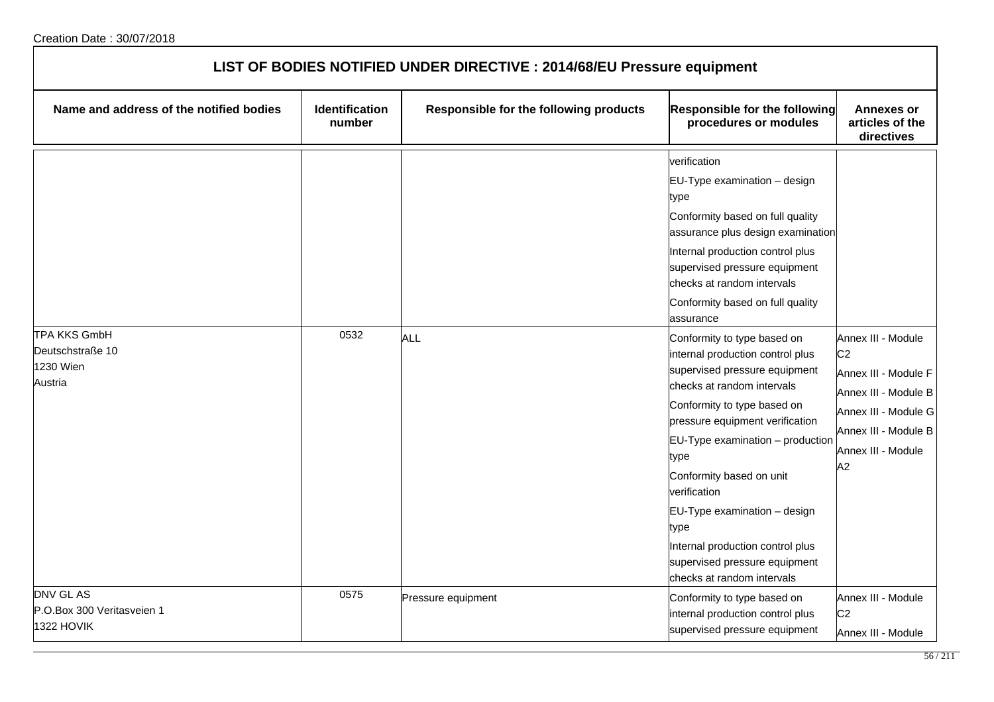| LIST OF BODIES NOTIFIED UNDER DIRECTIVE : 2014/68/EU Pressure equipment |                                 |                                        |                                                                                                                                                                                                                                                                                                                                                                                                                                                                                                                                                                                                                                                                                                                              |                                                                                                                                                                  |  |
|-------------------------------------------------------------------------|---------------------------------|----------------------------------------|------------------------------------------------------------------------------------------------------------------------------------------------------------------------------------------------------------------------------------------------------------------------------------------------------------------------------------------------------------------------------------------------------------------------------------------------------------------------------------------------------------------------------------------------------------------------------------------------------------------------------------------------------------------------------------------------------------------------------|------------------------------------------------------------------------------------------------------------------------------------------------------------------|--|
| Name and address of the notified bodies                                 | <b>Identification</b><br>number | Responsible for the following products | Responsible for the following<br>procedures or modules                                                                                                                                                                                                                                                                                                                                                                                                                                                                                                                                                                                                                                                                       | <b>Annexes or</b><br>articles of the<br>directives                                                                                                               |  |
| <b>TPA KKS GmbH</b><br>Deutschstraße 10<br>1230 Wien<br>Austria         | 0532                            | ALL                                    | verification<br>EU-Type examination - design<br>type<br>Conformity based on full quality<br>assurance plus design examination<br>Internal production control plus<br>supervised pressure equipment<br>checks at random intervals<br>Conformity based on full quality<br>assurance<br>Conformity to type based on<br>internal production control plus<br>supervised pressure equipment<br>checks at random intervals<br>Conformity to type based on<br>pressure equipment verification<br>$EU-Type$ examination $-$ production<br>type<br>Conformity based on unit<br>verification<br>EU-Type examination - design<br>type<br>Internal production control plus<br>supervised pressure equipment<br>checks at random intervals | Annex III - Module<br>C <sub>2</sub><br>Annex III - Module F<br>Annex III - Module B<br>Annex III - Module G<br>Annex III - Module B<br>Annex III - Module<br>A2 |  |
| DNV GL AS<br>P.O.Box 300 Veritasveien 1<br>1322 HOVIK                   | 0575                            | Pressure equipment                     | Conformity to type based on<br>internal production control plus<br>supervised pressure equipment                                                                                                                                                                                                                                                                                                                                                                                                                                                                                                                                                                                                                             | Annex III - Module<br>C <sub>2</sub><br>Annex III - Module                                                                                                       |  |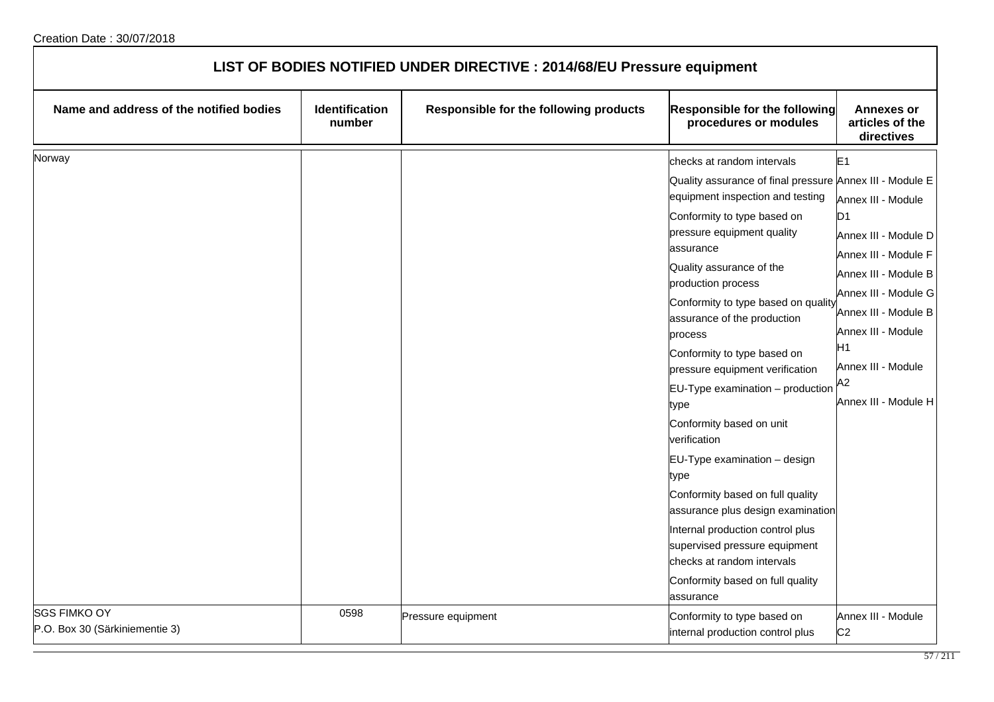| LIST OF BODIES NOTIFIED UNDER DIRECTIVE : 2014/68/EU Pressure equipment |                                 |                                        |                                                                                                                                                                                                                                                                                                                                                                                                                                                                                                                                                                                                                                                                                                                                                                            |                                                                                                                                                                                                                                                    |  |
|-------------------------------------------------------------------------|---------------------------------|----------------------------------------|----------------------------------------------------------------------------------------------------------------------------------------------------------------------------------------------------------------------------------------------------------------------------------------------------------------------------------------------------------------------------------------------------------------------------------------------------------------------------------------------------------------------------------------------------------------------------------------------------------------------------------------------------------------------------------------------------------------------------------------------------------------------------|----------------------------------------------------------------------------------------------------------------------------------------------------------------------------------------------------------------------------------------------------|--|
| Name and address of the notified bodies                                 | <b>Identification</b><br>number | Responsible for the following products | <b>Responsible for the following</b><br>procedures or modules                                                                                                                                                                                                                                                                                                                                                                                                                                                                                                                                                                                                                                                                                                              | <b>Annexes or</b><br>articles of the<br>directives                                                                                                                                                                                                 |  |
| Norway                                                                  |                                 |                                        | checks at random intervals<br>Quality assurance of final pressure Annex III - Module E<br>equipment inspection and testing<br>Conformity to type based on<br>pressure equipment quality<br>assurance<br>Quality assurance of the<br>production process<br>Conformity to type based on quality<br>assurance of the production<br>process<br>Conformity to type based on<br>pressure equipment verification<br>$EU-Type$ examination $-$ production<br>type<br>Conformity based on unit<br>verification<br>EU-Type examination - design<br>type<br>Conformity based on full quality<br>assurance plus design examination<br>Internal production control plus<br>supervised pressure equipment<br>checks at random intervals<br>Conformity based on full quality<br>assurance | E1<br>Annex III - Module<br>D <sub>1</sub><br>Annex III - Module D<br>Annex III - Module F<br>Annex III - Module B<br>Annex III - Module G<br>Annex III - Module B<br>Annex III - Module<br>H1<br>Annex III - Module<br>A2<br>Annex III - Module H |  |
| <b>SGS FIMKO OY</b><br>P.O. Box 30 (Särkiniementie 3)                   | 0598                            | Pressure equipment                     | Conformity to type based on<br>internal production control plus                                                                                                                                                                                                                                                                                                                                                                                                                                                                                                                                                                                                                                                                                                            | Annex III - Module<br>C <sub>2</sub>                                                                                                                                                                                                               |  |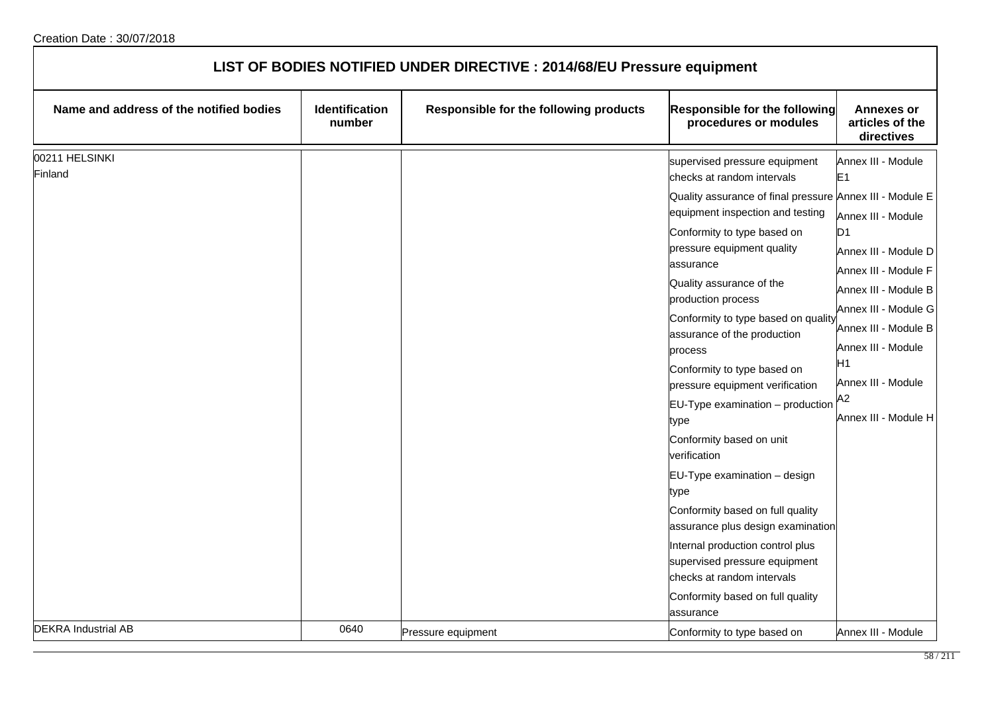| LIST OF BODIES NOTIFIED UNDER DIRECTIVE : 2014/68/EU Pressure equipment |                                 |                                        |                                                                                                                                                                                                                                                                                                                                                                                                                                                                                                                                                                                                                                                                                                                                                                                                             |                                                                                                                                                                                                                                                                          |  |
|-------------------------------------------------------------------------|---------------------------------|----------------------------------------|-------------------------------------------------------------------------------------------------------------------------------------------------------------------------------------------------------------------------------------------------------------------------------------------------------------------------------------------------------------------------------------------------------------------------------------------------------------------------------------------------------------------------------------------------------------------------------------------------------------------------------------------------------------------------------------------------------------------------------------------------------------------------------------------------------------|--------------------------------------------------------------------------------------------------------------------------------------------------------------------------------------------------------------------------------------------------------------------------|--|
| Name and address of the notified bodies                                 | <b>Identification</b><br>number | Responsible for the following products | Responsible for the following<br>procedures or modules                                                                                                                                                                                                                                                                                                                                                                                                                                                                                                                                                                                                                                                                                                                                                      | <b>Annexes or</b><br>articles of the<br>directives                                                                                                                                                                                                                       |  |
| 00211 HELSINKI<br>Finland                                               |                                 |                                        | supervised pressure equipment<br>checks at random intervals<br>Quality assurance of final pressure Annex III - Module E<br>equipment inspection and testing<br>Conformity to type based on<br>pressure equipment quality<br>assurance<br>Quality assurance of the<br>production process<br>Conformity to type based on quality<br>assurance of the production<br>process<br>Conformity to type based on<br>pressure equipment verification<br>$EU-Type$ examination $-$ production<br>type<br>Conformity based on unit<br>verification<br>EU-Type examination - design<br>type<br>Conformity based on full quality<br>assurance plus design examination<br>Internal production control plus<br>supervised pressure equipment<br>checks at random intervals<br>Conformity based on full quality<br>assurance | Annex III - Module<br>E1<br>Annex III - Module<br>D <sub>1</sub><br>Annex III - Module D<br>Annex III - Module F<br>Annex III - Module B<br>Annex III - Module G<br>Annex III - Module B<br>Annex III - Module<br>Η1<br>Annex III - Module<br>A2<br>Annex III - Module H |  |
| <b>DEKRA Industrial AB</b>                                              | 0640                            | Pressure equipment                     | Conformity to type based on                                                                                                                                                                                                                                                                                                                                                                                                                                                                                                                                                                                                                                                                                                                                                                                 | Annex III - Module                                                                                                                                                                                                                                                       |  |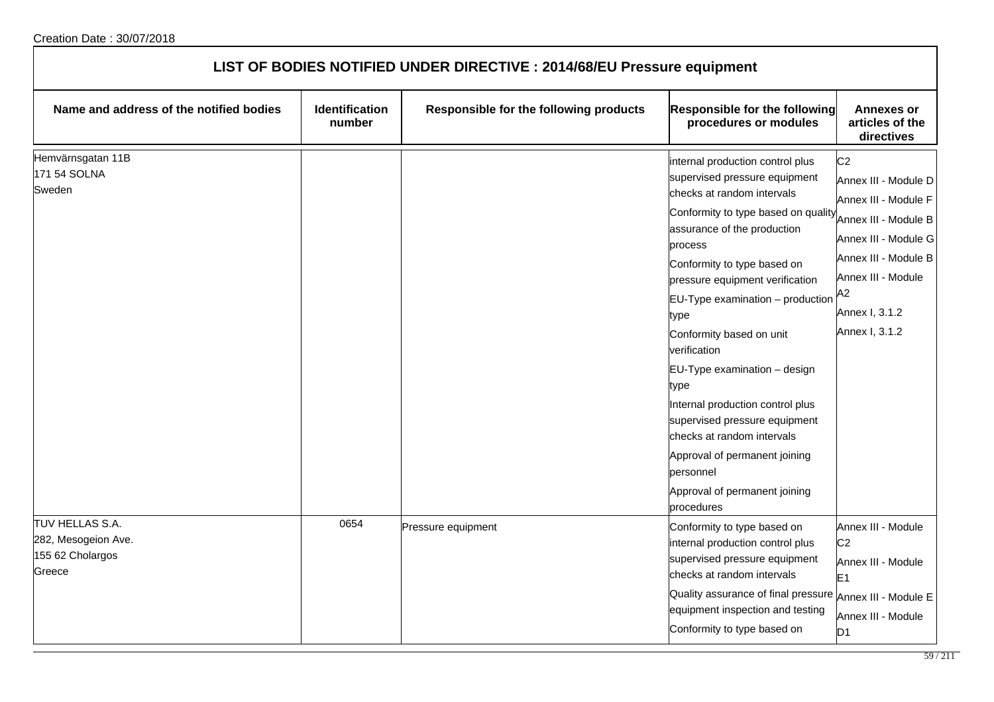|                                                                      | LIST OF BODIES NOTIFIED UNDER DIRECTIVE : 2014/68/EU Pressure equipment |                                        |                                                                                                                                                                                                                                                                                                                                                                                                                                                                                                                                                                                        |                                                                                                                                                                                                        |  |  |
|----------------------------------------------------------------------|-------------------------------------------------------------------------|----------------------------------------|----------------------------------------------------------------------------------------------------------------------------------------------------------------------------------------------------------------------------------------------------------------------------------------------------------------------------------------------------------------------------------------------------------------------------------------------------------------------------------------------------------------------------------------------------------------------------------------|--------------------------------------------------------------------------------------------------------------------------------------------------------------------------------------------------------|--|--|
| Name and address of the notified bodies                              | <b>Identification</b><br>number                                         | Responsible for the following products | Responsible for the following<br>procedures or modules                                                                                                                                                                                                                                                                                                                                                                                                                                                                                                                                 | <b>Annexes or</b><br>articles of the<br>directives                                                                                                                                                     |  |  |
| Hemvärnsgatan 11B<br>171 54 SOLNA<br>Sweden                          |                                                                         |                                        | internal production control plus<br>supervised pressure equipment<br>checks at random intervals<br>Conformity to type based on quality<br>assurance of the production<br>process<br>Conformity to type based on<br>pressure equipment verification<br>$EU-Type$ examination $-$ production<br>type<br>Conformity based on unit<br>verification<br>EU-Type examination - design<br>type<br>Internal production control plus<br>supervised pressure equipment<br>checks at random intervals<br>Approval of permanent joining<br>personnel<br>Approval of permanent joining<br>procedures | C <sub>2</sub><br>Annex III - Module D<br>Annex III - Module F<br>Annex III - Module B<br>Annex III - Module G<br>Annex III - Module B<br>Annex III - Module<br>A2<br>Annex I, 3.1.2<br>Annex I, 3.1.2 |  |  |
| TUV HELLAS S.A.<br>282, Mesogeion Ave.<br>155 62 Cholargos<br>Greece | 0654                                                                    | Pressure equipment                     | Conformity to type based on<br>internal production control plus<br>supervised pressure equipment<br>checks at random intervals<br>Quality assurance of final pressure<br>equipment inspection and testing<br>Conformity to type based on                                                                                                                                                                                                                                                                                                                                               | Annex III - Module<br>C <sub>2</sub><br>Annex III - Module<br>E <sub>1</sub><br>Annex III - Module E<br>Annex III - Module<br>D <sub>1</sub>                                                           |  |  |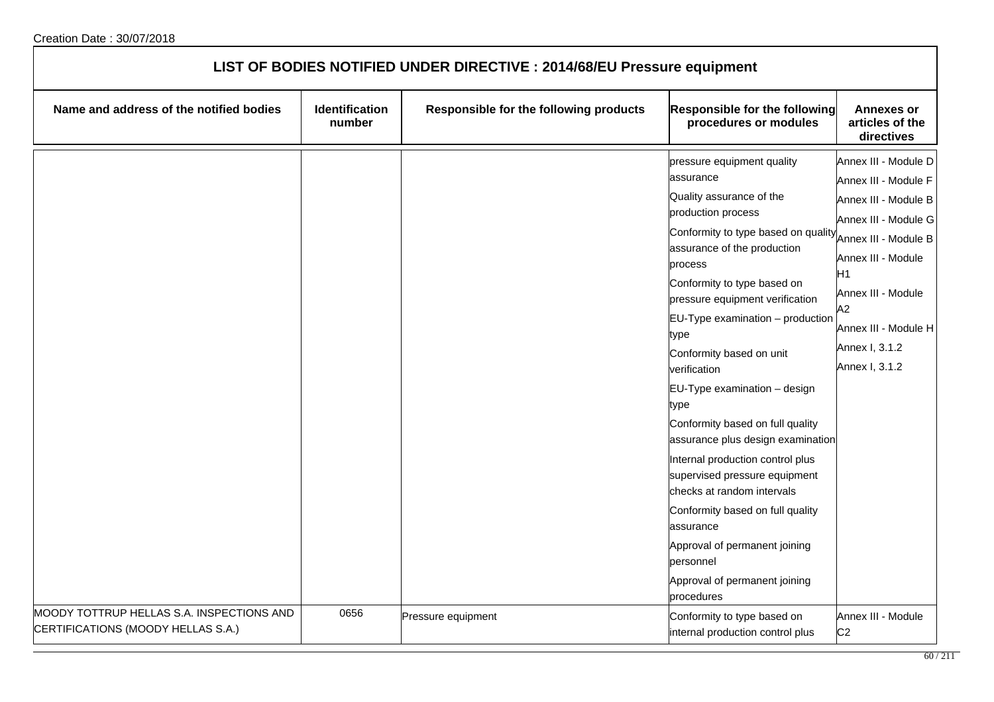| LIST OF BODIES NOTIFIED UNDER DIRECTIVE : 2014/68/EU Pressure equipment         |                          |                                        |                                                                                                                                                                                                                                                                                                                                                                                                                                                                                                                                                                                                                                                                                                        |                                                                                                                                                                                                                                          |  |
|---------------------------------------------------------------------------------|--------------------------|----------------------------------------|--------------------------------------------------------------------------------------------------------------------------------------------------------------------------------------------------------------------------------------------------------------------------------------------------------------------------------------------------------------------------------------------------------------------------------------------------------------------------------------------------------------------------------------------------------------------------------------------------------------------------------------------------------------------------------------------------------|------------------------------------------------------------------------------------------------------------------------------------------------------------------------------------------------------------------------------------------|--|
| Name and address of the notified bodies                                         | Identification<br>number | Responsible for the following products | <b>Responsible for the following</b><br>procedures or modules                                                                                                                                                                                                                                                                                                                                                                                                                                                                                                                                                                                                                                          | <b>Annexes or</b><br>articles of the<br>directives                                                                                                                                                                                       |  |
|                                                                                 |                          |                                        | pressure equipment quality<br>assurance<br>Quality assurance of the<br>production process<br>Conformity to type based on quality<br>assurance of the production<br>process<br>Conformity to type based on<br>pressure equipment verification<br>EU-Type examination - production<br>type<br>Conformity based on unit<br>verification<br>EU-Type examination - design<br>type<br>Conformity based on full quality<br>assurance plus design examination<br>Internal production control plus<br>supervised pressure equipment<br>checks at random intervals<br>Conformity based on full quality<br>assurance<br>Approval of permanent joining<br>personnel<br>Approval of permanent joining<br>procedures | Annex III - Module D<br>Annex III - Module F<br>Annex III - Module B<br>Annex III - Module G<br>Annex III - Module B<br>Annex III - Module<br>H1<br>Annex III - Module<br>A2<br>Annex III - Module H<br>Annex I, 3.1.2<br>Annex I, 3.1.2 |  |
| MOODY TOTTRUP HELLAS S.A. INSPECTIONS AND<br>CERTIFICATIONS (MOODY HELLAS S.A.) | 0656                     | Pressure equipment                     | Conformity to type based on<br>internal production control plus                                                                                                                                                                                                                                                                                                                                                                                                                                                                                                                                                                                                                                        | Annex III - Module<br>C <sub>2</sub>                                                                                                                                                                                                     |  |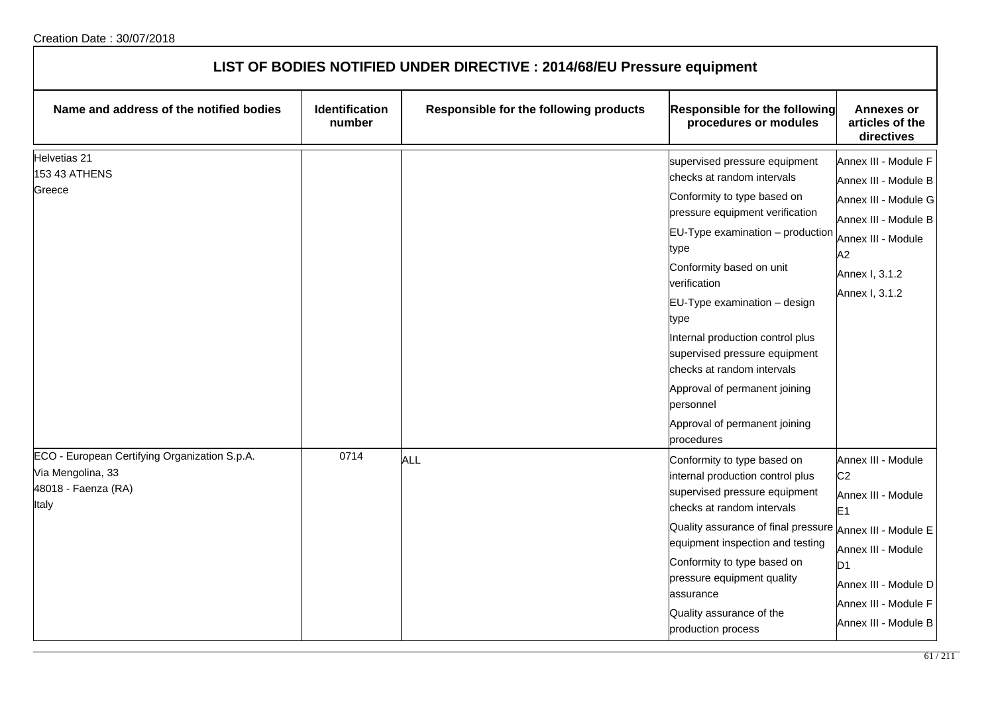| LIST OF BODIES NOTIFIED UNDER DIRECTIVE : 2014/68/EU Pressure equipment                            |                                 |                                        |                                                                                                                                                                                                                                                                                                                                                                                                                                                                   |                                                                                                                                                                                                          |  |
|----------------------------------------------------------------------------------------------------|---------------------------------|----------------------------------------|-------------------------------------------------------------------------------------------------------------------------------------------------------------------------------------------------------------------------------------------------------------------------------------------------------------------------------------------------------------------------------------------------------------------------------------------------------------------|----------------------------------------------------------------------------------------------------------------------------------------------------------------------------------------------------------|--|
| Name and address of the notified bodies                                                            | <b>Identification</b><br>number | Responsible for the following products | <b>Responsible for the following</b><br>procedures or modules                                                                                                                                                                                                                                                                                                                                                                                                     | <b>Annexes or</b><br>articles of the<br>directives                                                                                                                                                       |  |
| Helvetias 21<br>153 43 ATHENS<br>Greece                                                            |                                 |                                        | supervised pressure equipment<br>checks at random intervals<br>Conformity to type based on<br>pressure equipment verification<br>$EU-Type$ examination $-$ production<br>type<br>Conformity based on unit<br>verification<br>EU-Type examination - design<br>type<br>Internal production control plus<br>supervised pressure equipment<br>checks at random intervals<br>Approval of permanent joining<br>personnel<br>Approval of permanent joining<br>procedures | Annex III - Module F<br>Annex III - Module B<br>Annex III - Module G<br>Annex III - Module B<br>Annex III - Module<br>A2<br>Annex I, 3.1.2<br>Annex I, 3.1.2                                             |  |
| ECO - European Certifying Organization S.p.A.<br>Via Mengolina, 33<br>48018 - Faenza (RA)<br>Italy | 0714                            | ALL                                    | Conformity to type based on<br>internal production control plus<br>supervised pressure equipment<br>checks at random intervals<br>Quality assurance of final pressure<br>equipment inspection and testing<br>Conformity to type based on<br>pressure equipment quality<br>assurance<br>Quality assurance of the<br>production process                                                                                                                             | Annex III - Module<br>C <sub>2</sub><br>Annex III - Module<br>E1<br>Annex III - Module E<br>Annex III - Module<br>D <sub>1</sub><br>Annex III - Module D<br>Annex III - Module F<br>Annex III - Module B |  |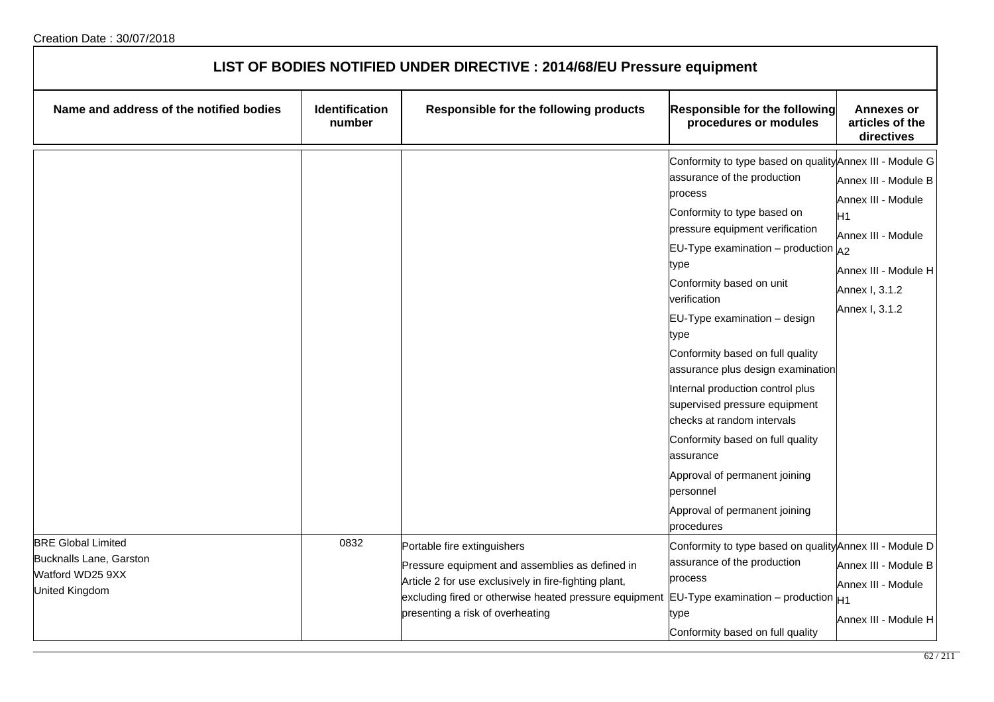| LIST OF BODIES NOTIFIED UNDER DIRECTIVE : 2014/68/EU Pressure equipment                    |                          |                                                                                                                                                                                                                                       |                                                                                                                                                                                                                                                                                                                                                                                                                                                                                                                                                                                                                                      |                                                                                                                                                |
|--------------------------------------------------------------------------------------------|--------------------------|---------------------------------------------------------------------------------------------------------------------------------------------------------------------------------------------------------------------------------------|--------------------------------------------------------------------------------------------------------------------------------------------------------------------------------------------------------------------------------------------------------------------------------------------------------------------------------------------------------------------------------------------------------------------------------------------------------------------------------------------------------------------------------------------------------------------------------------------------------------------------------------|------------------------------------------------------------------------------------------------------------------------------------------------|
| Name and address of the notified bodies                                                    | Identification<br>number | Responsible for the following products                                                                                                                                                                                                | <b>Responsible for the following</b><br>procedures or modules                                                                                                                                                                                                                                                                                                                                                                                                                                                                                                                                                                        | <b>Annexes or</b><br>articles of the<br>directives                                                                                             |
|                                                                                            |                          |                                                                                                                                                                                                                                       | Conformity to type based on quality Annex III - Module G<br>assurance of the production<br>process<br>Conformity to type based on<br>pressure equipment verification<br>EU-Type examination – production $A_2$<br>type<br>Conformity based on unit<br>verification<br>EU-Type examination - design<br>type<br>Conformity based on full quality<br>assurance plus design examination<br>Internal production control plus<br>supervised pressure equipment<br>checks at random intervals<br>Conformity based on full quality<br>assurance<br>Approval of permanent joining<br>personnel<br>Approval of permanent joining<br>procedures | Annex III - Module B<br>Annex III - Module<br>H <sub>1</sub><br>Annex III - Module<br>Annex III - Module H<br>Annex I, 3.1.2<br>Annex I, 3.1.2 |
| <b>BRE Global Limited</b><br>Bucknalls Lane, Garston<br>Watford WD25 9XX<br>United Kingdom | 0832                     | Portable fire extinguishers<br>Pressure equipment and assemblies as defined in<br>Article 2 for use exclusively in fire-fighting plant,<br>excluding fired or otherwise heated pressure equipment<br>presenting a risk of overheating | Conformity to type based on quality Annex III - Module D<br>assurance of the production<br>process<br>EU-Type examination – production $H_1$<br>type<br>Conformity based on full quality                                                                                                                                                                                                                                                                                                                                                                                                                                             | Annex III - Module B<br>Annex III - Module<br>Annex III - Module H                                                                             |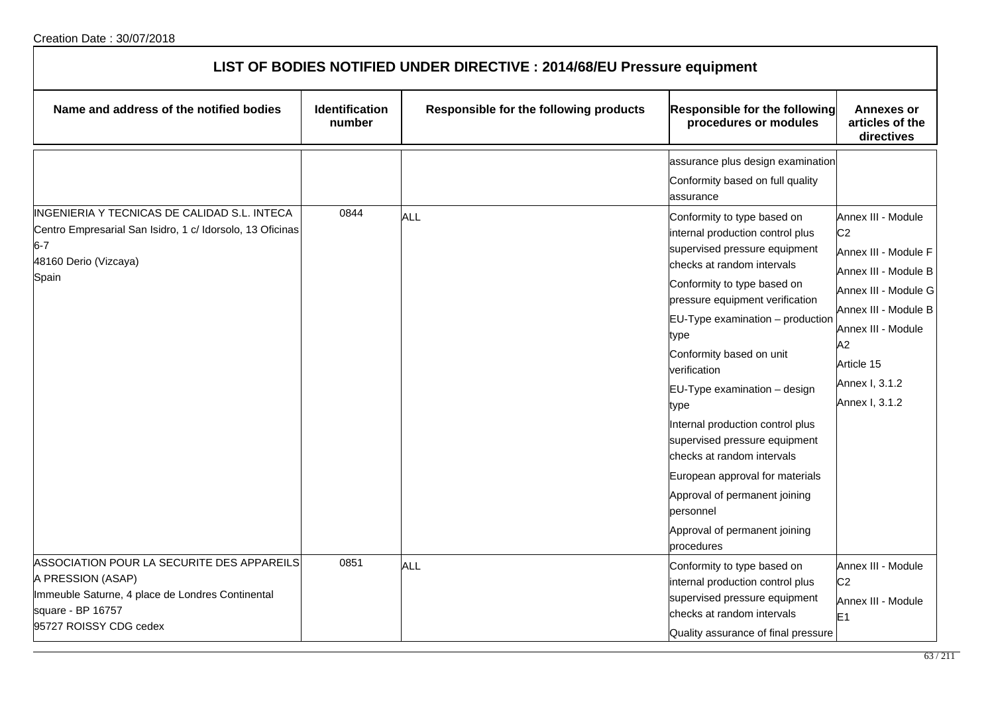| LIST OF BODIES NOTIFIED UNDER DIRECTIVE : 2014/68/EU Pressure equipment                                                                                |                          |                                        |                                                                                                                                                                                                                                                                                                                                                                                                                    |                                                                                                                                                                                                  |  |
|--------------------------------------------------------------------------------------------------------------------------------------------------------|--------------------------|----------------------------------------|--------------------------------------------------------------------------------------------------------------------------------------------------------------------------------------------------------------------------------------------------------------------------------------------------------------------------------------------------------------------------------------------------------------------|--------------------------------------------------------------------------------------------------------------------------------------------------------------------------------------------------|--|
| Name and address of the notified bodies                                                                                                                | Identification<br>number | Responsible for the following products | Responsible for the following<br>procedures or modules                                                                                                                                                                                                                                                                                                                                                             | <b>Annexes or</b><br>articles of the<br>directives                                                                                                                                               |  |
| INGENIERIA Y TECNICAS DE CALIDAD S.L. INTECA<br>Centro Empresarial San Isidro, 1 c/ Idorsolo, 13 Oficinas<br>$6 - 7$<br>48160 Derio (Vizcaya)<br>Spain | 0844                     | <b>ALL</b>                             | assurance plus design examination<br>Conformity based on full quality<br>assurance<br>Conformity to type based on<br>internal production control plus<br>supervised pressure equipment<br>checks at random intervals<br>Conformity to type based on<br>pressure equipment verification<br>$EU-Type$ examination $-$ production<br>type<br>Conformity based on unit<br>verification<br>EU-Type examination - design | Annex III - Module<br>C <sub>2</sub><br>Annex III - Module F<br>Annex III - Module B<br>Annex III - Module G<br>Annex III - Module B<br>Annex III - Module<br>A2<br>Article 15<br>Annex I, 3.1.2 |  |
| ASSOCIATION POUR LA SECURITE DES APPAREILS                                                                                                             | 0851                     |                                        | type<br>Internal production control plus<br>supervised pressure equipment<br>checks at random intervals<br>European approval for materials<br>Approval of permanent joining<br>personnel<br>Approval of permanent joining<br>procedures                                                                                                                                                                            | Annex I, 3.1.2                                                                                                                                                                                   |  |
| A PRESSION (ASAP)<br>Immeuble Saturne, 4 place de Londres Continental<br>square - BP 16757<br>95727 ROISSY CDG cedex                                   |                          | <b>ALL</b>                             | Conformity to type based on<br>internal production control plus<br>supervised pressure equipment<br>checks at random intervals<br>Quality assurance of final pressure                                                                                                                                                                                                                                              | Annex III - Module<br>C <sub>2</sub><br>Annex III - Module<br>E <sub>1</sub>                                                                                                                     |  |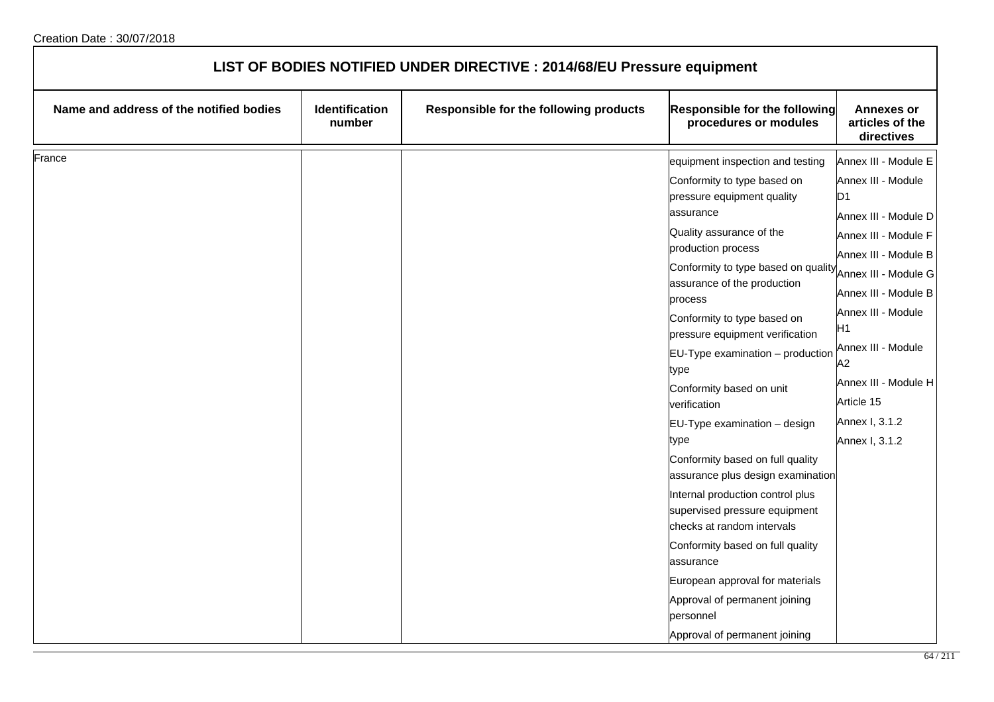| LIST OF BODIES NOTIFIED UNDER DIRECTIVE : 2014/68/EU Pressure equipment |                          |                                        |                                                                                                 |                                                    |
|-------------------------------------------------------------------------|--------------------------|----------------------------------------|-------------------------------------------------------------------------------------------------|----------------------------------------------------|
| Name and address of the notified bodies                                 | Identification<br>number | Responsible for the following products | Responsible for the following<br>procedures or modules                                          | <b>Annexes or</b><br>articles of the<br>directives |
| France                                                                  |                          |                                        | equipment inspection and testing                                                                | Annex III - Module E                               |
|                                                                         |                          |                                        | Conformity to type based on<br>pressure equipment quality<br>assurance                          | Annex III - Module<br>ID1<br>Annex III - Module D  |
|                                                                         |                          |                                        | Quality assurance of the<br>production process                                                  | Annex III - Module F<br>Annex III - Module B       |
|                                                                         |                          |                                        | Conformity to type based on quality<br>assurance of the production<br>process                   | Annex III - Module G<br>Annex III - Module B       |
|                                                                         |                          |                                        | Conformity to type based on<br>pressure equipment verification                                  | Annex III - Module<br>Η1                           |
|                                                                         |                          |                                        | $EU-Type$ examination $-$ production<br>type                                                    | Annex III - Module<br>A2                           |
|                                                                         |                          |                                        | Conformity based on unit<br>verification                                                        | Annex III - Module H<br>Article 15                 |
|                                                                         |                          |                                        | EU-Type examination - design<br>type                                                            | Annex I, 3.1.2<br>Annex I, 3.1.2                   |
|                                                                         |                          |                                        | Conformity based on full quality<br>assurance plus design examination                           |                                                    |
|                                                                         |                          |                                        | Internal production control plus<br>supervised pressure equipment<br>checks at random intervals |                                                    |
|                                                                         |                          |                                        | Conformity based on full quality<br>assurance                                                   |                                                    |
|                                                                         |                          |                                        | European approval for materials<br>Approval of permanent joining<br>personnel                   |                                                    |
|                                                                         |                          |                                        | Approval of permanent joining                                                                   |                                                    |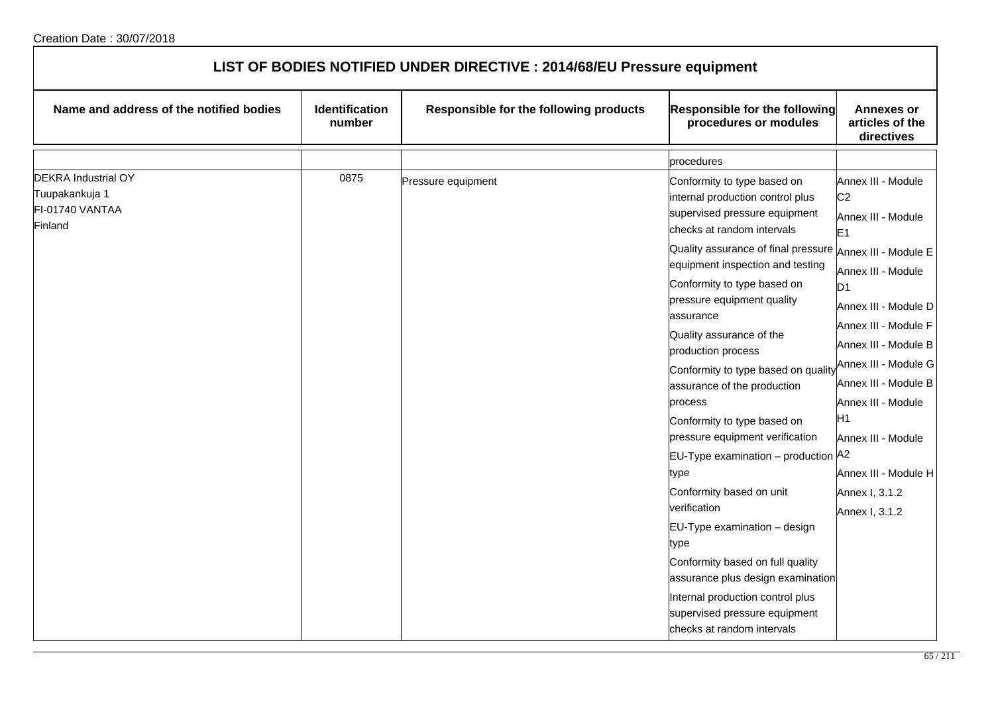| LIST OF BODIES NOTIFIED UNDER DIRECTIVE : 2014/68/EU Pressure equipment    |                          |                                        |                                                                                                                                                                                                                                                                                                                                                                                                                                                                                                                                                                                                                                                                                                                                                                                                                              |                                                                                                                                                                                                                                                                                                                                                                        |
|----------------------------------------------------------------------------|--------------------------|----------------------------------------|------------------------------------------------------------------------------------------------------------------------------------------------------------------------------------------------------------------------------------------------------------------------------------------------------------------------------------------------------------------------------------------------------------------------------------------------------------------------------------------------------------------------------------------------------------------------------------------------------------------------------------------------------------------------------------------------------------------------------------------------------------------------------------------------------------------------------|------------------------------------------------------------------------------------------------------------------------------------------------------------------------------------------------------------------------------------------------------------------------------------------------------------------------------------------------------------------------|
| Name and address of the notified bodies                                    | Identification<br>number | Responsible for the following products | Responsible for the following<br>procedures or modules                                                                                                                                                                                                                                                                                                                                                                                                                                                                                                                                                                                                                                                                                                                                                                       | <b>Annexes or</b><br>articles of the<br>directives                                                                                                                                                                                                                                                                                                                     |
|                                                                            |                          |                                        | procedures                                                                                                                                                                                                                                                                                                                                                                                                                                                                                                                                                                                                                                                                                                                                                                                                                   |                                                                                                                                                                                                                                                                                                                                                                        |
| <b>DEKRA Industrial OY</b><br>Tuupakankuja 1<br>FI-01740 VANTAA<br>Finland | 0875                     | Pressure equipment                     | Conformity to type based on<br>internal production control plus<br>supervised pressure equipment<br>checks at random intervals<br>Quality assurance of final pressure Annex III - Module E<br>equipment inspection and testing<br>Conformity to type based on<br>pressure equipment quality<br>assurance<br>Quality assurance of the<br>production process<br>Conformity to type based on quality<br>assurance of the production<br>process<br>Conformity to type based on<br>pressure equipment verification<br>EU-Type examination - production A2<br>type<br>Conformity based on unit<br>verification<br>EU-Type examination - design<br>type<br>Conformity based on full quality<br>assurance plus design examination<br>Internal production control plus<br>supervised pressure equipment<br>checks at random intervals | Annex III - Module<br>C <sub>2</sub><br>Annex III - Module<br>E <sub>1</sub><br>Annex III - Module<br>D <sub>1</sub><br>Annex III - Module D<br>Annex III - Module F<br>Annex III - Module B<br>Annex III - Module G<br>Annex III - Module B<br>Annex III - Module<br>H <sub>1</sub><br>Annex III - Module<br>Annex III - Module H<br>Annex I, 3.1.2<br>Annex I, 3.1.2 |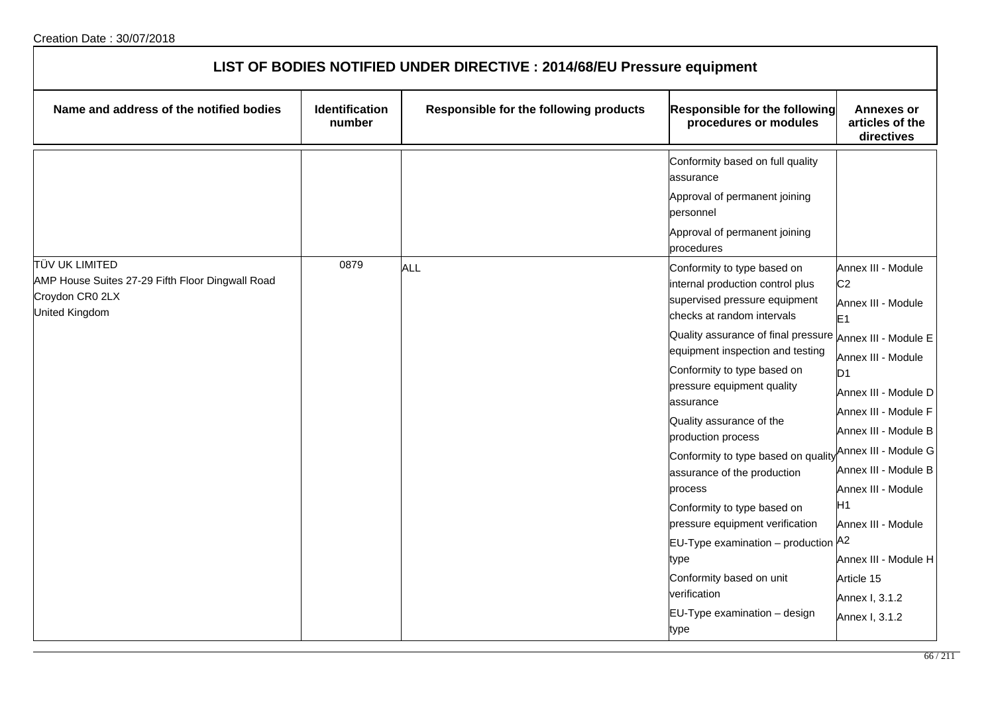| LIST OF BODIES NOTIFIED UNDER DIRECTIVE : 2014/68/EU Pressure equipment                                        |                          |                                        |                                                                                                                                                                                                                                                                                                                                                                                                                                                                                                                                                                                                                             |                                                                                                                                                                                                                                                                                                                                                                                                  |
|----------------------------------------------------------------------------------------------------------------|--------------------------|----------------------------------------|-----------------------------------------------------------------------------------------------------------------------------------------------------------------------------------------------------------------------------------------------------------------------------------------------------------------------------------------------------------------------------------------------------------------------------------------------------------------------------------------------------------------------------------------------------------------------------------------------------------------------------|--------------------------------------------------------------------------------------------------------------------------------------------------------------------------------------------------------------------------------------------------------------------------------------------------------------------------------------------------------------------------------------------------|
| Name and address of the notified bodies                                                                        | Identification<br>number | Responsible for the following products | Responsible for the following<br>procedures or modules                                                                                                                                                                                                                                                                                                                                                                                                                                                                                                                                                                      | <b>Annexes or</b><br>articles of the<br>directives                                                                                                                                                                                                                                                                                                                                               |
|                                                                                                                |                          |                                        | Conformity based on full quality<br>assurance<br>Approval of permanent joining<br>personnel<br>Approval of permanent joining<br>procedures                                                                                                                                                                                                                                                                                                                                                                                                                                                                                  |                                                                                                                                                                                                                                                                                                                                                                                                  |
| <b>TÜV UK LIMITED</b><br>AMP House Suites 27-29 Fifth Floor Dingwall Road<br>Croydon CR0 2LX<br>United Kingdom | 0879                     | <b>ALL</b>                             | Conformity to type based on<br>internal production control plus<br>supervised pressure equipment<br>checks at random intervals<br>Quality assurance of final pressure<br>equipment inspection and testing<br>Conformity to type based on<br>pressure equipment quality<br>assurance<br>Quality assurance of the<br>production process<br>Conformity to type based on quality<br>assurance of the production<br>process<br>Conformity to type based on<br>pressure equipment verification<br>EU-Type examination - production A2<br>type<br>Conformity based on unit<br>verification<br>EU-Type examination - design<br>type | Annex III - Module<br>C <sub>2</sub><br>Annex III - Module<br>E <sub>1</sub><br>Annex III - Module E<br>Annex III - Module<br>D <sub>1</sub><br>Annex III - Module D<br>Annex III - Module F<br>Annex III - Module B<br>Annex III - Module G<br>Annex III - Module B<br>Annex III - Module<br>H1<br>Annex III - Module<br>Annex III - Module H<br>Article 15<br>Annex I, 3.1.2<br>Annex I, 3.1.2 |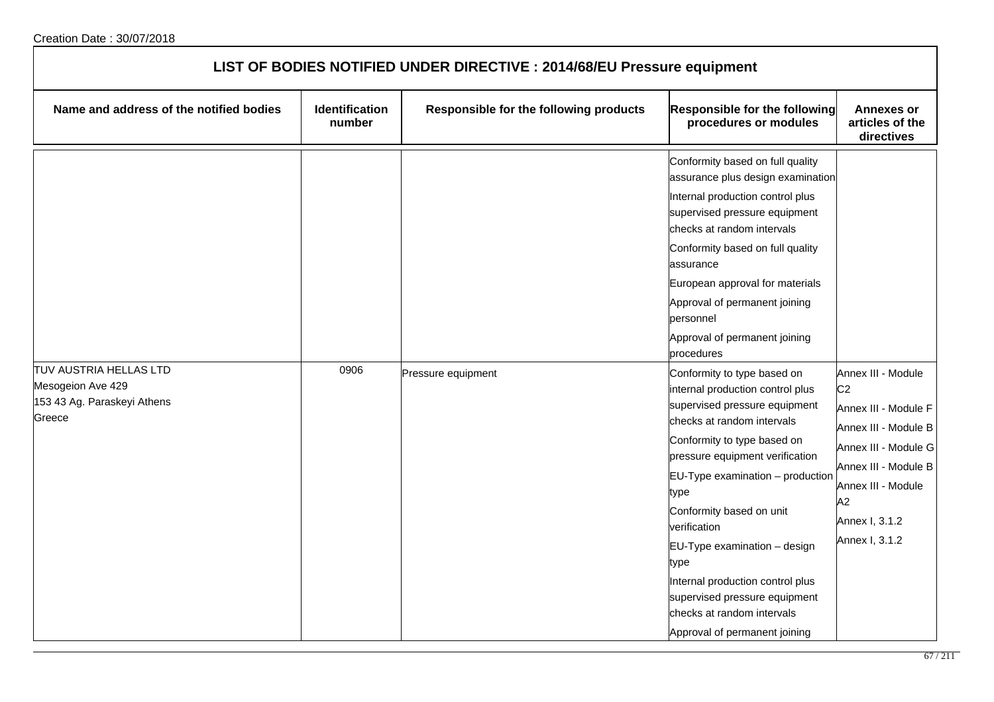| LIST OF BODIES NOTIFIED UNDER DIRECTIVE : 2014/68/EU Pressure equipment |                                 |                                        |                                                                                                                                                                                                                                                                                                                                                                                                                                                                      |                                                                                                                                                                                                      |  |
|-------------------------------------------------------------------------|---------------------------------|----------------------------------------|----------------------------------------------------------------------------------------------------------------------------------------------------------------------------------------------------------------------------------------------------------------------------------------------------------------------------------------------------------------------------------------------------------------------------------------------------------------------|------------------------------------------------------------------------------------------------------------------------------------------------------------------------------------------------------|--|
| Name and address of the notified bodies                                 | <b>Identification</b><br>number | Responsible for the following products | <b>Responsible for the following</b><br>procedures or modules                                                                                                                                                                                                                                                                                                                                                                                                        | <b>Annexes or</b><br>articles of the<br>directives                                                                                                                                                   |  |
| <b>TUV AUSTRIA HELLAS LTD</b>                                           | 0906                            |                                        | Conformity based on full quality<br>assurance plus design examination<br>Internal production control plus<br>supervised pressure equipment<br>checks at random intervals<br>Conformity based on full quality<br>assurance<br>European approval for materials<br>Approval of permanent joining<br>personnel<br>Approval of permanent joining<br>procedures                                                                                                            |                                                                                                                                                                                                      |  |
| Mesogeion Ave 429<br>153 43 Ag. Paraskeyi Athens<br>Greece              |                                 | Pressure equipment                     | Conformity to type based on<br>internal production control plus<br>supervised pressure equipment<br>checks at random intervals<br>Conformity to type based on<br>pressure equipment verification<br>EU-Type examination - production<br>type<br>Conformity based on unit<br>verification<br>EU-Type examination - design<br>type<br>Internal production control plus<br>supervised pressure equipment<br>checks at random intervals<br>Approval of permanent joining | Annex III - Module<br>C <sub>2</sub><br>Annex III - Module F<br>Annex III - Module B<br>Annex III - Module G<br>Annex III - Module B<br>Annex III - Module<br>A2<br>Annex I, 3.1.2<br>Annex I, 3.1.2 |  |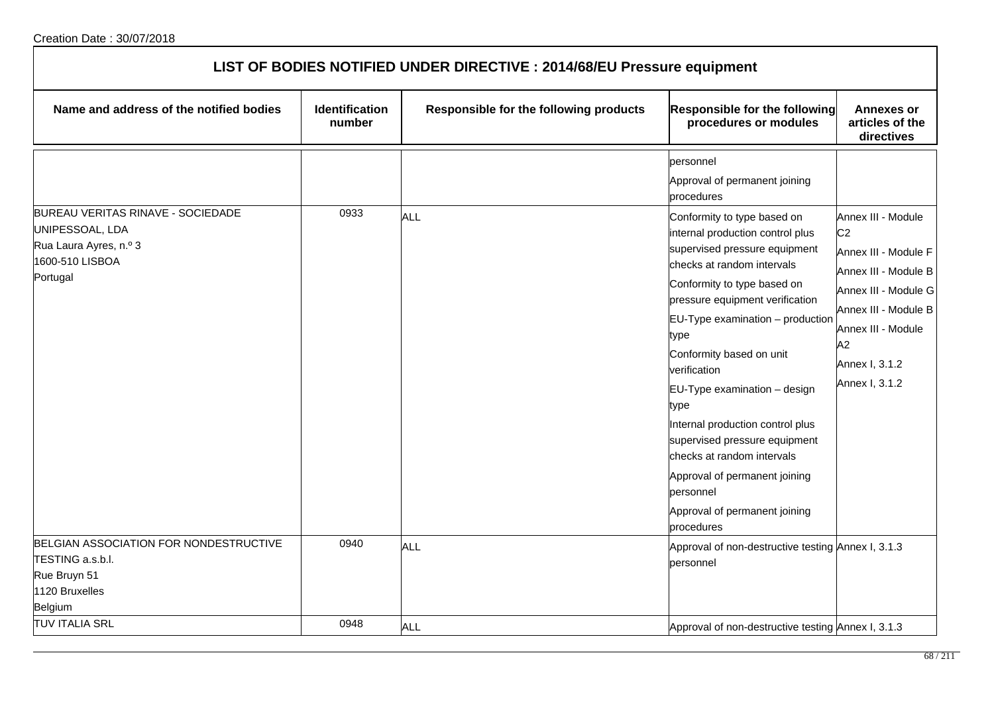| LIST OF BODIES NOTIFIED UNDER DIRECTIVE : 2014/68/EU Pressure equipment                                       |                          |                                        |                                                                                                                                                                                                                                                                                                                                                                                                                                                                                                                                                                                                  |                                                                                                                                                                                                      |  |
|---------------------------------------------------------------------------------------------------------------|--------------------------|----------------------------------------|--------------------------------------------------------------------------------------------------------------------------------------------------------------------------------------------------------------------------------------------------------------------------------------------------------------------------------------------------------------------------------------------------------------------------------------------------------------------------------------------------------------------------------------------------------------------------------------------------|------------------------------------------------------------------------------------------------------------------------------------------------------------------------------------------------------|--|
| Name and address of the notified bodies                                                                       | Identification<br>number | Responsible for the following products | Responsible for the following<br>procedures or modules                                                                                                                                                                                                                                                                                                                                                                                                                                                                                                                                           | <b>Annexes or</b><br>articles of the<br>directives                                                                                                                                                   |  |
| BUREAU VERITAS RINAVE - SOCIEDADE<br>UNIPESSOAL, LDA<br>Rua Laura Ayres, n.º 3<br>1600-510 LISBOA<br>Portugal | 0933                     | <b>ALL</b>                             | personnel<br>Approval of permanent joining<br>procedures<br>Conformity to type based on<br>internal production control plus<br>supervised pressure equipment<br>checks at random intervals<br>Conformity to type based on<br>pressure equipment verification<br>$EU-Type$ examination $-$ production<br>type<br>Conformity based on unit<br>verification<br>EU-Type examination - design<br>type<br>Internal production control plus<br>supervised pressure equipment<br>checks at random intervals<br>Approval of permanent joining<br>bersonnel<br>Approval of permanent joining<br>procedures | Annex III - Module<br>C <sub>2</sub><br>Annex III - Module F<br>Annex III - Module B<br>Annex III - Module G<br>Annex III - Module B<br>Annex III - Module<br>A2<br>Annex I, 3.1.2<br>Annex I, 3.1.2 |  |
| BELGIAN ASSOCIATION FOR NONDESTRUCTIVE<br>TESTING a.s.b.l.<br>Rue Bruyn 51<br>1120 Bruxelles<br>Belgium       | 0940                     | <b>ALL</b>                             | Approval of non-destructive testing Annex I, 3.1.3<br>personnel                                                                                                                                                                                                                                                                                                                                                                                                                                                                                                                                  |                                                                                                                                                                                                      |  |
| <b>TUV ITALIA SRL</b>                                                                                         | 0948                     | <b>ALL</b>                             | Approval of non-destructive testing Annex I, 3.1.3                                                                                                                                                                                                                                                                                                                                                                                                                                                                                                                                               |                                                                                                                                                                                                      |  |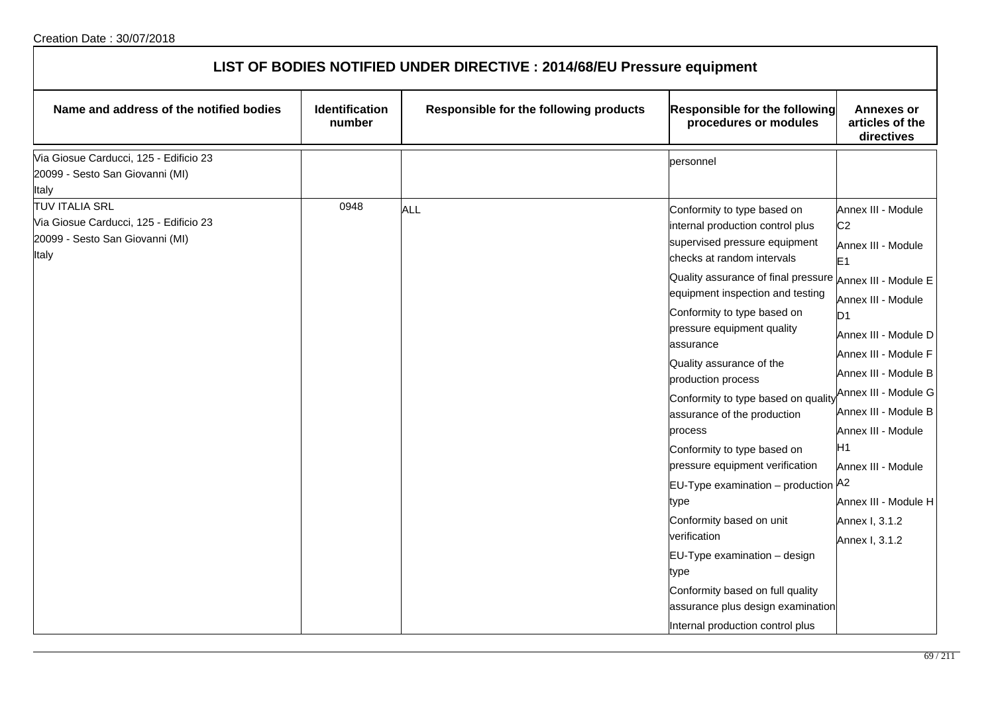| LIST OF BODIES NOTIFIED UNDER DIRECTIVE : 2014/68/EU Pressure equipment                                     |                          |                                        |                                                                                                                                                                                                                                                                                                                                                                                                                                                                                                                                                                                                                                                                                                                                                                            |                                                                                                                                                                                                                                                                                                                                                                              |  |
|-------------------------------------------------------------------------------------------------------------|--------------------------|----------------------------------------|----------------------------------------------------------------------------------------------------------------------------------------------------------------------------------------------------------------------------------------------------------------------------------------------------------------------------------------------------------------------------------------------------------------------------------------------------------------------------------------------------------------------------------------------------------------------------------------------------------------------------------------------------------------------------------------------------------------------------------------------------------------------------|------------------------------------------------------------------------------------------------------------------------------------------------------------------------------------------------------------------------------------------------------------------------------------------------------------------------------------------------------------------------------|--|
| Name and address of the notified bodies                                                                     | Identification<br>number | Responsible for the following products | <b>Responsible for the following</b><br>procedures or modules                                                                                                                                                                                                                                                                                                                                                                                                                                                                                                                                                                                                                                                                                                              | <b>Annexes or</b><br>articles of the<br>directives                                                                                                                                                                                                                                                                                                                           |  |
| Via Giosue Carducci, 125 - Edificio 23<br>20099 - Sesto San Giovanni (MI)<br>Italy                          |                          |                                        | personnel                                                                                                                                                                                                                                                                                                                                                                                                                                                                                                                                                                                                                                                                                                                                                                  |                                                                                                                                                                                                                                                                                                                                                                              |  |
| <b>TUV ITALIA SRL</b><br>Via Giosue Carducci, 125 - Edificio 23<br>20099 - Sesto San Giovanni (MI)<br>Italy | 0948                     | <b>ALL</b>                             | Conformity to type based on<br>internal production control plus<br>supervised pressure equipment<br>checks at random intervals<br>Quality assurance of final pressure $A_{\text{Nnex III}}$ . Module E<br>equipment inspection and testing<br>Conformity to type based on<br>pressure equipment quality<br>lassurance<br>Quality assurance of the<br>production process<br>Conformity to type based on qualit<br>assurance of the production<br>process<br>Conformity to type based on<br>pressure equipment verification<br>$EU-Type$ examination $-$ production<br>type<br>Conformity based on unit<br>verification<br>EU-Type examination - design<br>type<br>Conformity based on full quality<br>assurance plus design examination<br>Internal production control plus | Annex III - Module<br>C <sub>2</sub><br>Annex III - Module<br>E <sub>1</sub><br>Annex III - Module<br>D <sub>1</sub><br>Annex III - Module D<br>Annex III - Module F<br>Annex III - Module B<br>Annex III - Module G<br>Annex III - Module B<br>Annex III - Module<br>H <sub>1</sub><br>Annex III - Module<br>A2<br>Annex III - Module H<br>Annex I, 3.1.2<br>Annex I, 3.1.2 |  |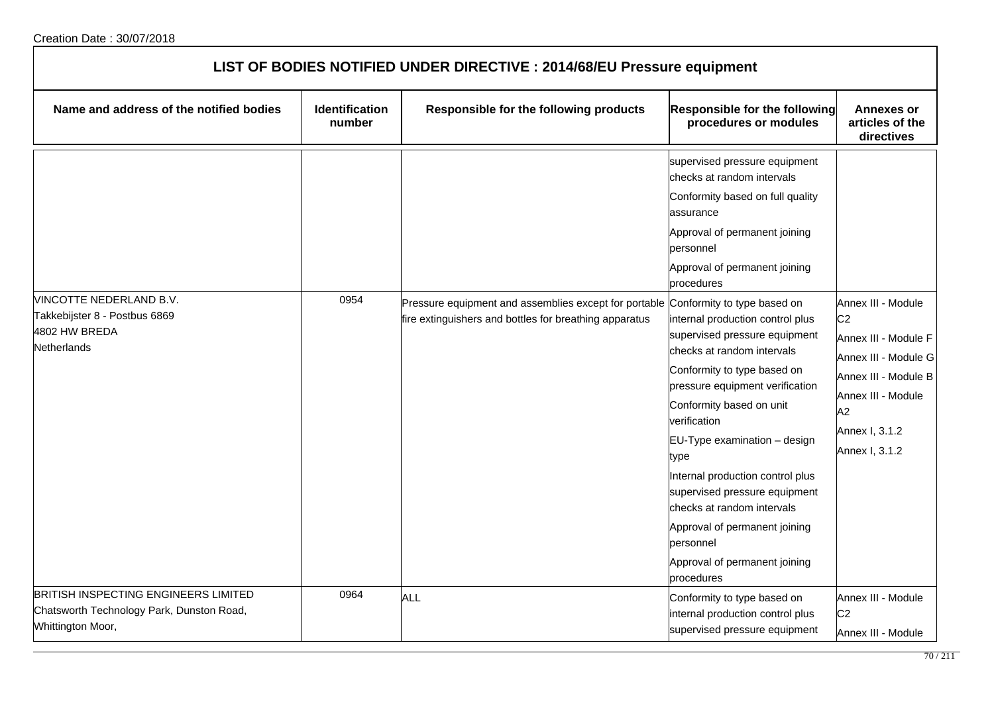| LIST OF BODIES NOTIFIED UNDER DIRECTIVE : 2014/68/EU Pressure equipment                                       |                                 |                                                                                                                                             |                                                                                                                                                                                                                                                                                                                                                                                                                                                                                                                                                                                                                     |                                                                                                                                                                              |  |
|---------------------------------------------------------------------------------------------------------------|---------------------------------|---------------------------------------------------------------------------------------------------------------------------------------------|---------------------------------------------------------------------------------------------------------------------------------------------------------------------------------------------------------------------------------------------------------------------------------------------------------------------------------------------------------------------------------------------------------------------------------------------------------------------------------------------------------------------------------------------------------------------------------------------------------------------|------------------------------------------------------------------------------------------------------------------------------------------------------------------------------|--|
| Name and address of the notified bodies                                                                       | <b>Identification</b><br>number | Responsible for the following products                                                                                                      | <b>Responsible for the following</b><br>procedures or modules                                                                                                                                                                                                                                                                                                                                                                                                                                                                                                                                                       | <b>Annexes or</b><br>articles of the<br>directives                                                                                                                           |  |
| VINCOTTE NEDERLAND B.V.<br>Takkebijster 8 - Postbus 6869<br>4802 HW BREDA<br><b>Netherlands</b>               | 0954                            | Pressure equipment and assemblies except for portable Conformity to type based on<br>fire extinguishers and bottles for breathing apparatus | supervised pressure equipment<br>checks at random intervals<br>Conformity based on full quality<br>assurance<br>Approval of permanent joining<br>personnel<br>Approval of permanent joining<br>procedures<br>internal production control plus<br>supervised pressure equipment<br>checks at random intervals<br>Conformity to type based on<br>pressure equipment verification<br>Conformity based on unit<br>verification<br>EU-Type examination - design<br>type<br>Internal production control plus<br>supervised pressure equipment<br>checks at random intervals<br>Approval of permanent joining<br>personnel | Annex III - Module<br>C <sub>2</sub><br>Annex III - Module F<br>Annex III - Module G<br>Annex III - Module B<br>Annex III - Module<br>A2<br>Annex I, 3.1.2<br>Annex I, 3.1.2 |  |
|                                                                                                               |                                 |                                                                                                                                             | Approval of permanent joining<br>procedures                                                                                                                                                                                                                                                                                                                                                                                                                                                                                                                                                                         |                                                                                                                                                                              |  |
| <b>BRITISH INSPECTING ENGINEERS LIMITED</b><br>Chatsworth Technology Park, Dunston Road,<br>Whittington Moor, | 0964                            | ALL                                                                                                                                         | Conformity to type based on<br>internal production control plus<br>supervised pressure equipment                                                                                                                                                                                                                                                                                                                                                                                                                                                                                                                    | Annex III - Module<br>C <sub>2</sub><br>Annex III - Module                                                                                                                   |  |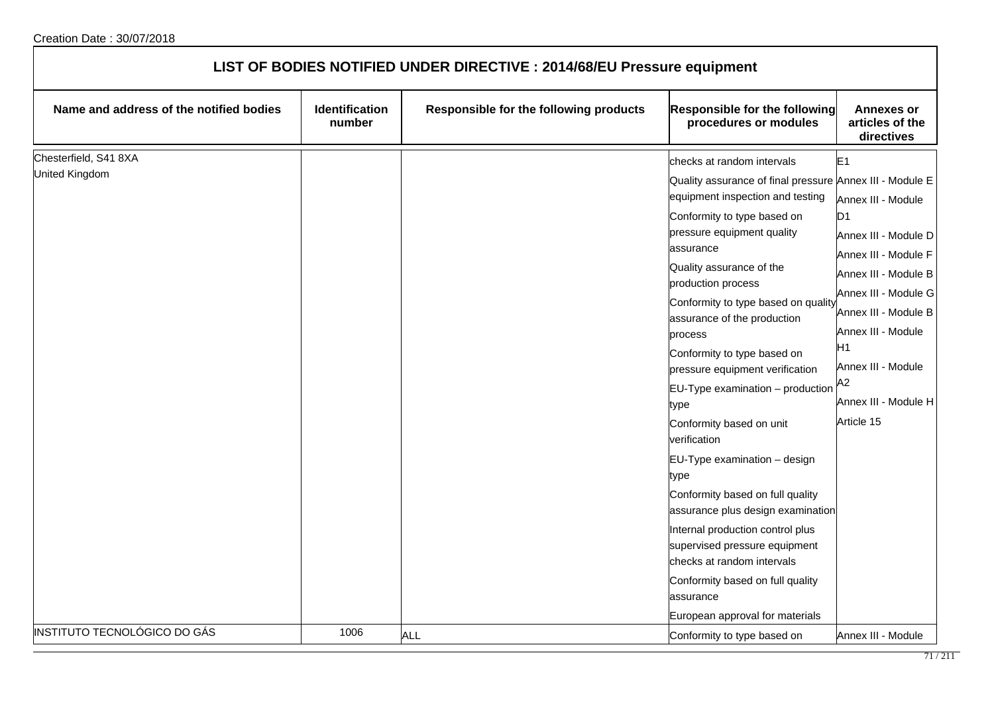| LIST OF BODIES NOTIFIED UNDER DIRECTIVE : 2014/68/EU Pressure equipment |                                 |                                        |                                                                                                                                                                                                                                                                                                                                                                                                                                                                                                                                                                                                                                                                                                                       |                                                                                                                                                                                                                                                                              |  |
|-------------------------------------------------------------------------|---------------------------------|----------------------------------------|-----------------------------------------------------------------------------------------------------------------------------------------------------------------------------------------------------------------------------------------------------------------------------------------------------------------------------------------------------------------------------------------------------------------------------------------------------------------------------------------------------------------------------------------------------------------------------------------------------------------------------------------------------------------------------------------------------------------------|------------------------------------------------------------------------------------------------------------------------------------------------------------------------------------------------------------------------------------------------------------------------------|--|
| Name and address of the notified bodies                                 | <b>Identification</b><br>number | Responsible for the following products | Responsible for the following<br>procedures or modules                                                                                                                                                                                                                                                                                                                                                                                                                                                                                                                                                                                                                                                                | <b>Annexes or</b><br>articles of the<br>directives                                                                                                                                                                                                                           |  |
| Chesterfield, S41 8XA<br>United Kingdom                                 |                                 |                                        | checks at random intervals<br>Quality assurance of final pressure Annex III - Module E<br>equipment inspection and testing<br>Conformity to type based on<br>pressure equipment quality<br>assurance<br>Quality assurance of the<br>production process<br>Conformity to type based on quality<br>assurance of the production<br>process<br>Conformity to type based on<br>pressure equipment verification<br>EU-Type examination - production<br>type<br>Conformity based on unit<br>verification<br>EU-Type examination - design<br>type<br>Conformity based on full quality<br>assurance plus design examination<br>Internal production control plus<br>supervised pressure equipment<br>checks at random intervals | E <sub>1</sub><br>Annex III - Module<br>D <sub>1</sub><br>Annex III - Module D<br>Annex III - Module F<br>Annex III - Module B<br>Annex III - Module G<br>Annex III - Module B<br>Annex III - Module<br>H1<br>Annex III - Module<br>A2<br>Annex III - Module H<br>Article 15 |  |
| INSTITUTO TECNOLÓGICO DO GÁS                                            | 1006                            | <b>ALL</b>                             | Conformity based on full quality<br>assurance<br>European approval for materials<br>Conformity to type based on                                                                                                                                                                                                                                                                                                                                                                                                                                                                                                                                                                                                       | Annex III - Module                                                                                                                                                                                                                                                           |  |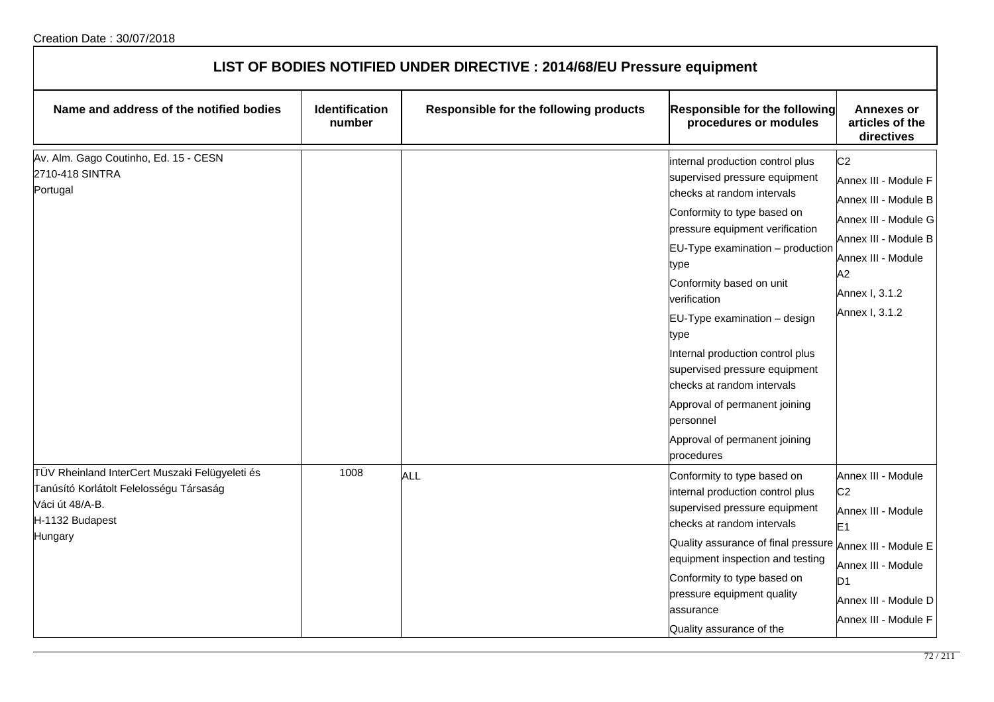| LIST OF BODIES NOTIFIED UNDER DIRECTIVE : 2014/68/EU Pressure equipment                                                                    |                          |                                        |                                                                                                                                                                                                                                                                                                                                                                                                                                                                                                   |                                                                                                                                                                                |  |
|--------------------------------------------------------------------------------------------------------------------------------------------|--------------------------|----------------------------------------|---------------------------------------------------------------------------------------------------------------------------------------------------------------------------------------------------------------------------------------------------------------------------------------------------------------------------------------------------------------------------------------------------------------------------------------------------------------------------------------------------|--------------------------------------------------------------------------------------------------------------------------------------------------------------------------------|--|
| Name and address of the notified bodies                                                                                                    | Identification<br>number | Responsible for the following products | Responsible for the following<br>procedures or modules                                                                                                                                                                                                                                                                                                                                                                                                                                            | <b>Annexes or</b><br>articles of the<br>directives                                                                                                                             |  |
| Av. Alm. Gago Coutinho, Ed. 15 - CESN<br>2710-418 SINTRA<br>Portugal                                                                       |                          |                                        | internal production control plus<br>supervised pressure equipment<br>checks at random intervals<br>Conformity to type based on<br>pressure equipment verification<br>EU-Type examination - production<br>type<br>Conformity based on unit<br>verification<br>EU-Type examination - design<br>type<br>Internal production control plus<br>supervised pressure equipment<br>checks at random intervals<br>Approval of permanent joining<br>personnel<br>Approval of permanent joining<br>procedures | C <sub>2</sub><br>Annex III - Module F<br>Annex III - Module B<br>Annex III - Module G<br>Annex III - Module B<br>Annex III - Module<br>A2<br>Annex I, 3.1.2<br>Annex I, 3.1.2 |  |
| TÜV Rheinland InterCert Muszaki Felügyeleti és<br>Tanúsító Korlátolt Felelosségu Társaság<br>Váci út 48/A-B.<br>H-1132 Budapest<br>Hungary | 1008                     | ALL                                    | Conformity to type based on<br>internal production control plus<br>supervised pressure equipment<br>checks at random intervals<br>Quality assurance of final pressure Annex III - Module E<br>equipment inspection and testing<br>Conformity to type based on<br>pressure equipment quality<br>assurance<br>Quality assurance of the                                                                                                                                                              | Annex III - Module<br>C <sub>2</sub><br>Annex III - Module<br>E <sub>1</sub><br>Annex III - Module<br>D <sub>1</sub><br>Annex III - Module D<br>Annex III - Module F           |  |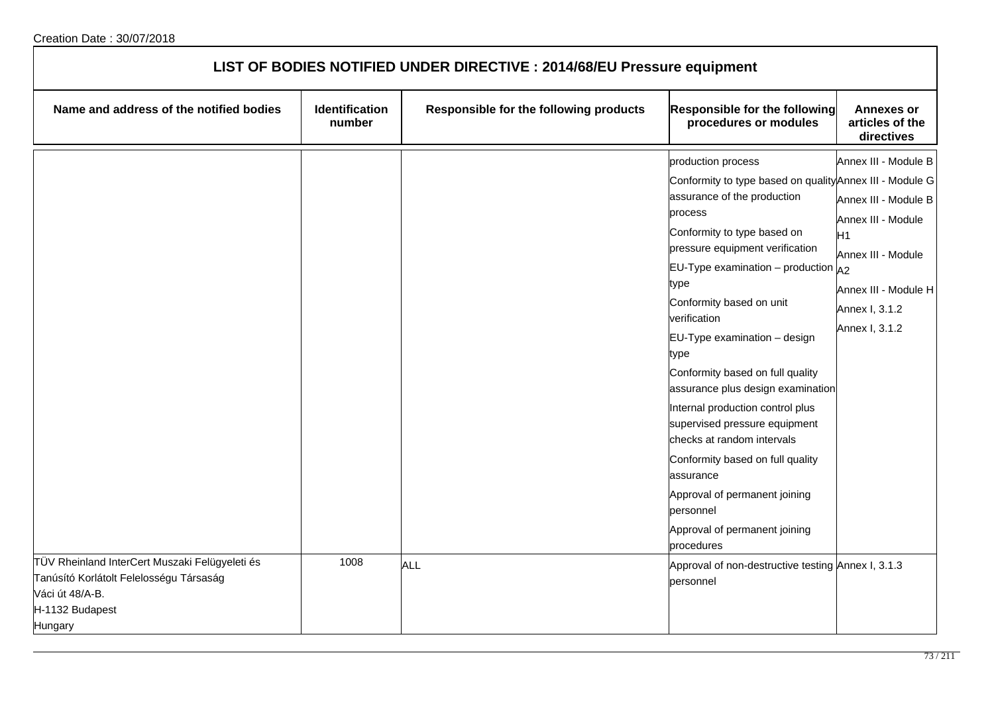| LIST OF BODIES NOTIFIED UNDER DIRECTIVE : 2014/68/EU Pressure equipment                                                                    |                          |                                        |                                                                                                                                                                                                                                                                                                                                                                                                                                                                                                                                                                                                                                              |                                                                                                                                                                        |
|--------------------------------------------------------------------------------------------------------------------------------------------|--------------------------|----------------------------------------|----------------------------------------------------------------------------------------------------------------------------------------------------------------------------------------------------------------------------------------------------------------------------------------------------------------------------------------------------------------------------------------------------------------------------------------------------------------------------------------------------------------------------------------------------------------------------------------------------------------------------------------------|------------------------------------------------------------------------------------------------------------------------------------------------------------------------|
| Name and address of the notified bodies                                                                                                    | Identification<br>number | Responsible for the following products | <b>Responsible for the following</b><br>procedures or modules                                                                                                                                                                                                                                                                                                                                                                                                                                                                                                                                                                                | <b>Annexes or</b><br>articles of the<br>directives                                                                                                                     |
|                                                                                                                                            |                          |                                        | production process<br>Conformity to type based on quality Annex III - Module G<br>assurance of the production<br>process<br>Conformity to type based on<br>pressure equipment verification<br>EU-Type examination – production $A_2$<br>type<br>Conformity based on unit<br>verification<br>EU-Type examination - design<br>type<br>Conformity based on full quality<br>assurance plus design examination<br>Internal production control plus<br>supervised pressure equipment<br>checks at random intervals<br>Conformity based on full quality<br>assurance<br>Approval of permanent joining<br>personnel<br>Approval of permanent joining | Annex III - Module B<br>Annex III - Module B<br>Annex III - Module<br>H <sub>1</sub><br>Annex III - Module<br>Annex III - Module H<br>Annex I, 3.1.2<br>Annex I, 3.1.2 |
| TÜV Rheinland InterCert Muszaki Felügyeleti és<br>Tanúsító Korlátolt Felelosségu Társaság<br>Váci út 48/A-B.<br>H-1132 Budapest<br>Hungary | 1008                     | <b>ALL</b>                             | procedures<br>Approval of non-destructive testing Annex I, 3.1.3<br>personnel                                                                                                                                                                                                                                                                                                                                                                                                                                                                                                                                                                |                                                                                                                                                                        |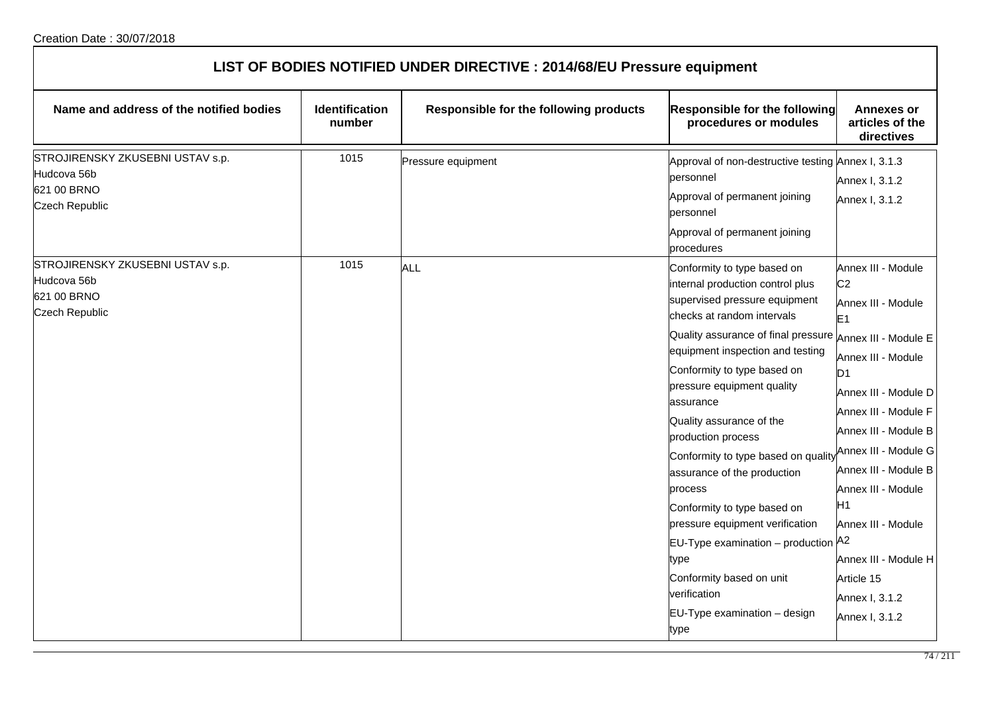| LIST OF BODIES NOTIFIED UNDER DIRECTIVE : 2014/68/EU Pressure equipment                 |                                 |                                        |                                                                                                                                                                                                                                                                                                                                                                                                                                                                                                                                                                                    |                                                                                                                                                                                                                                                                                                                                                                                            |
|-----------------------------------------------------------------------------------------|---------------------------------|----------------------------------------|------------------------------------------------------------------------------------------------------------------------------------------------------------------------------------------------------------------------------------------------------------------------------------------------------------------------------------------------------------------------------------------------------------------------------------------------------------------------------------------------------------------------------------------------------------------------------------|--------------------------------------------------------------------------------------------------------------------------------------------------------------------------------------------------------------------------------------------------------------------------------------------------------------------------------------------------------------------------------------------|
| Name and address of the notified bodies                                                 | <b>Identification</b><br>number | Responsible for the following products | <b>Responsible for the following</b><br>procedures or modules                                                                                                                                                                                                                                                                                                                                                                                                                                                                                                                      | <b>Annexes or</b><br>articles of the<br>directives                                                                                                                                                                                                                                                                                                                                         |
| STROJIRENSKY ZKUSEBNI USTAV s.p.<br>Hudcova 56b<br>621 00 BRNO<br><b>Czech Republic</b> | 1015                            | Pressure equipment                     | Approval of non-destructive testing Annex I, 3.1.3<br>personnel<br>Approval of permanent joining<br>personnel<br>Approval of permanent joining<br>procedures                                                                                                                                                                                                                                                                                                                                                                                                                       | Annex I, 3.1.2<br>Annex I, 3.1.2                                                                                                                                                                                                                                                                                                                                                           |
| STROJIRENSKY ZKUSEBNI USTAV s.p.<br>Hudcova 56b<br>621 00 BRNO<br>Czech Republic        | 1015                            | ALL                                    | Conformity to type based on<br>internal production control plus<br>supervised pressure equipment<br>checks at random intervals<br>Quality assurance of final pressure<br>equipment inspection and testing<br>Conformity to type based on<br>pressure equipment quality<br>assurance<br>Quality assurance of the<br>production process<br>Conformity to type based on qualit<br>assurance of the production<br>process<br>Conformity to type based on<br>pressure equipment verification<br>EU-Type examination - production A2<br>type<br>Conformity based on unit<br>verification | Annex III - Module<br>C <sub>2</sub><br>Annex III - Module<br>E <sub>1</sub><br>Annex III - Module E<br>Annex III - Module<br>D <sub>1</sub><br>Annex III - Module D<br>Annex III - Module F<br>Annex III - Module B<br>Annex III - Module G<br>Annex III - Module B<br>Annex III - Module<br>H <sub>1</sub><br>Annex III - Module<br>Annex III - Module H<br>Article 15<br>Annex I, 3.1.2 |
|                                                                                         |                                 |                                        | EU-Type examination - design<br>type                                                                                                                                                                                                                                                                                                                                                                                                                                                                                                                                               | Annex I, 3.1.2                                                                                                                                                                                                                                                                                                                                                                             |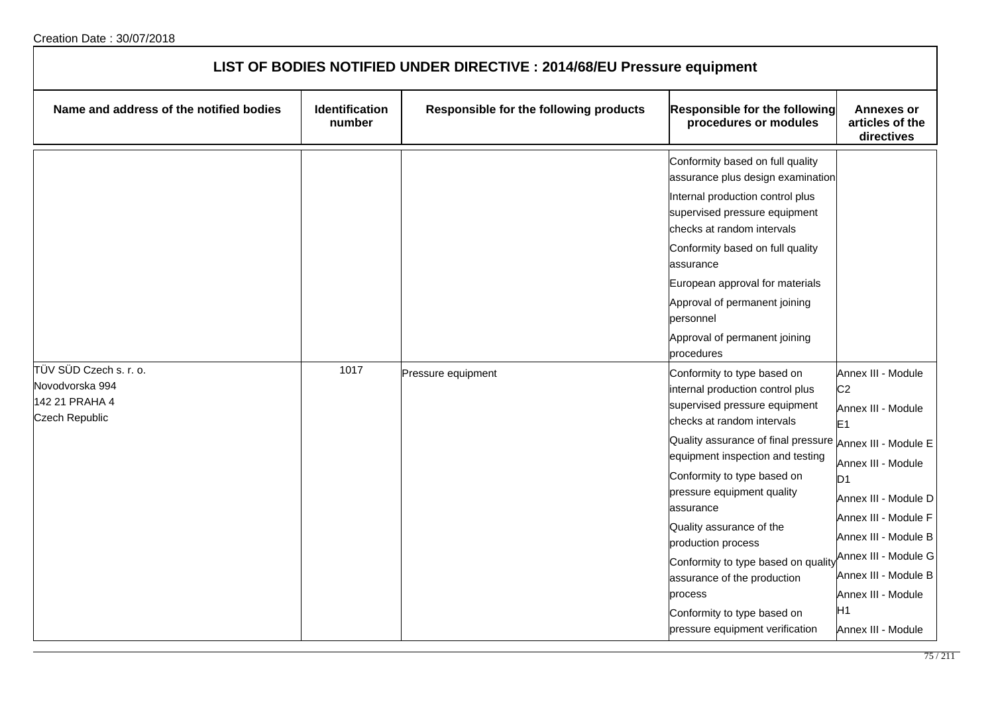| LIST OF BODIES NOTIFIED UNDER DIRECTIVE : 2014/68/EU Pressure equipment       |                                 |                                        |                                                                                                                                                                                                                                                                                                                                                                                                                                                                                                               |                                                                                                                                                                                                                                                                                                             |
|-------------------------------------------------------------------------------|---------------------------------|----------------------------------------|---------------------------------------------------------------------------------------------------------------------------------------------------------------------------------------------------------------------------------------------------------------------------------------------------------------------------------------------------------------------------------------------------------------------------------------------------------------------------------------------------------------|-------------------------------------------------------------------------------------------------------------------------------------------------------------------------------------------------------------------------------------------------------------------------------------------------------------|
| Name and address of the notified bodies                                       | <b>Identification</b><br>number | Responsible for the following products | Responsible for the following<br>procedures or modules                                                                                                                                                                                                                                                                                                                                                                                                                                                        | <b>Annexes or</b><br>articles of the<br>directives                                                                                                                                                                                                                                                          |
|                                                                               |                                 |                                        | Conformity based on full quality<br>assurance plus design examination<br>Internal production control plus<br>supervised pressure equipment<br>checks at random intervals<br>Conformity based on full quality<br>assurance<br>European approval for materials<br>Approval of permanent joining<br>personnel<br>Approval of permanent joining<br>procedures                                                                                                                                                     |                                                                                                                                                                                                                                                                                                             |
| TÜV SÜD Czech s. r. o.<br>Novodvorska 994<br>142 21 PRAHA 4<br>Czech Republic | 1017                            | Pressure equipment                     | Conformity to type based on<br>internal production control plus<br>supervised pressure equipment<br>checks at random intervals<br>Quality assurance of final pressure Annex III - Module E<br>equipment inspection and testing<br>Conformity to type based on<br>pressure equipment quality<br>assurance<br>Quality assurance of the<br>production process<br>Conformity to type based on quality<br>assurance of the production<br>process<br>Conformity to type based on<br>pressure equipment verification | Annex III - Module<br>C <sub>2</sub><br>Annex III - Module<br>E <sub>1</sub><br>Annex III - Module<br>ID <sub>1</sub><br>Annex III - Module D<br>Annex III - Module F<br>Annex III - Module B<br>Annex III - Module G<br>Annex III - Module B<br>Annex III - Module<br>H <sub>1</sub><br>Annex III - Module |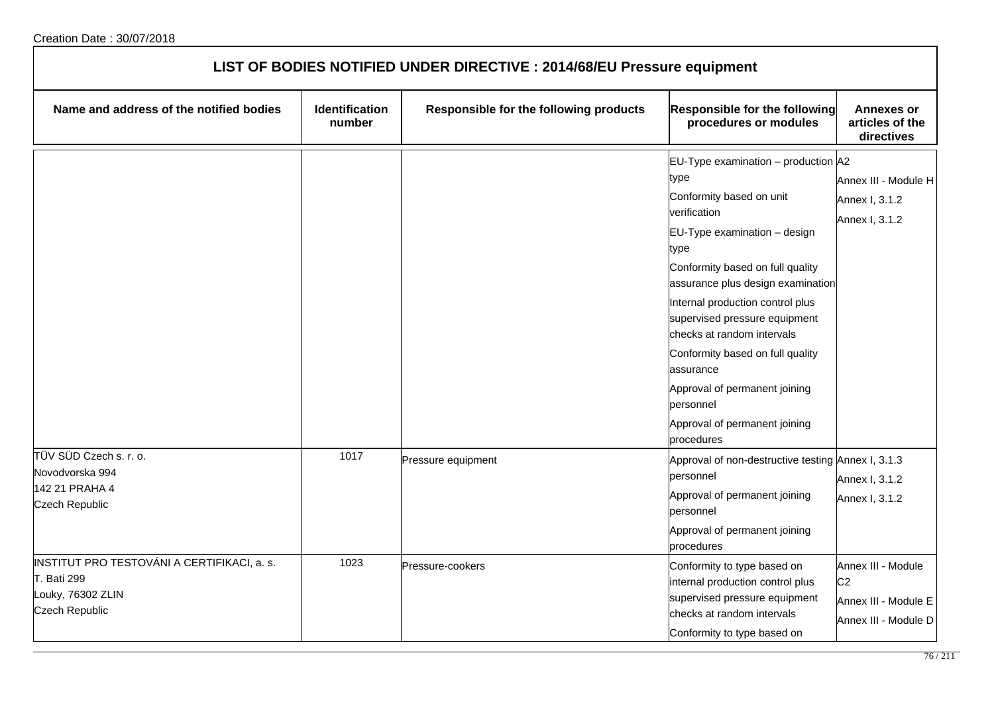| LIST OF BODIES NOTIFIED UNDER DIRECTIVE : 2014/68/EU Pressure equipment                                  |                          |                                        |                                                                                                                                                                          |                                                                                      |
|----------------------------------------------------------------------------------------------------------|--------------------------|----------------------------------------|--------------------------------------------------------------------------------------------------------------------------------------------------------------------------|--------------------------------------------------------------------------------------|
| Name and address of the notified bodies                                                                  | Identification<br>number | Responsible for the following products | Responsible for the following<br>procedures or modules                                                                                                                   | <b>Annexes or</b><br>articles of the<br>directives                                   |
|                                                                                                          |                          |                                        | EU-Type examination - production A2<br>type<br>Conformity based on unit<br>verification<br>$EU-Type$ examination $-$ design<br>type                                      | Annex III - Module H<br>Annex I, 3.1.2<br>Annex I, 3.1.2                             |
|                                                                                                          |                          |                                        | Conformity based on full quality<br>assurance plus design examination<br>Internal production control plus<br>supervised pressure equipment<br>checks at random intervals |                                                                                      |
|                                                                                                          |                          |                                        | Conformity based on full quality<br>assurance<br>Approval of permanent joining<br>personnel<br>Approval of permanent joining<br>procedures                               |                                                                                      |
| TÜV SÜD Czech s. r. o.<br>Novodvorska 994<br>142 21 PRAHA 4<br><b>Czech Republic</b>                     | 1017                     | Pressure equipment                     | Approval of non-destructive testing Annex I, 3.1.3<br>personnel<br>Approval of permanent joining<br>personnel<br>Approval of permanent joining<br>procedures             | Annex I, 3.1.2<br>Annex I, 3.1.2                                                     |
| INSTITUT PRO TESTOVÁNI A CERTIFIKACI, a. s.<br><b>T. Bati 299</b><br>Louky, 76302 ZLIN<br>Czech Republic | 1023                     | Pressure-cookers                       | Conformity to type based on<br>internal production control plus<br>supervised pressure equipment<br>checks at random intervals<br>Conformity to type based on            | Annex III - Module<br>C <sub>2</sub><br>Annex III - Module E<br>Annex III - Module D |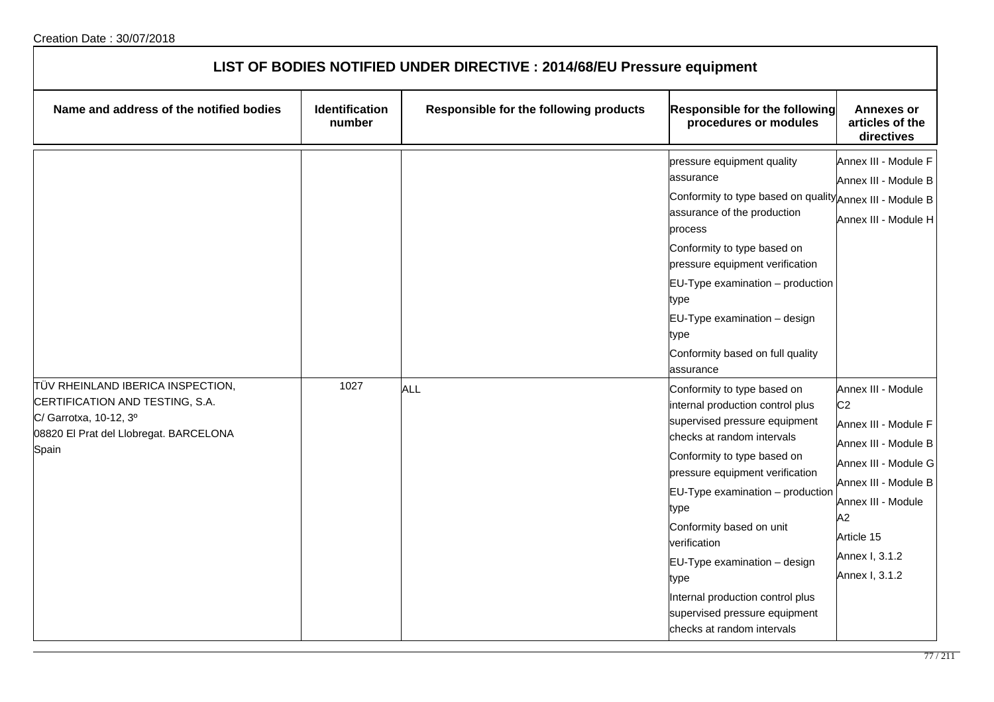| LIST OF BODIES NOTIFIED UNDER DIRECTIVE : 2014/68/EU Pressure equipment                                                                           |                                 |                                        |                                                                                                                                                                                                                                                                                                                                                                                                                                                                                                                                                                                                                                                                                              |                                                                                                                                                                                                                                                                                            |
|---------------------------------------------------------------------------------------------------------------------------------------------------|---------------------------------|----------------------------------------|----------------------------------------------------------------------------------------------------------------------------------------------------------------------------------------------------------------------------------------------------------------------------------------------------------------------------------------------------------------------------------------------------------------------------------------------------------------------------------------------------------------------------------------------------------------------------------------------------------------------------------------------------------------------------------------------|--------------------------------------------------------------------------------------------------------------------------------------------------------------------------------------------------------------------------------------------------------------------------------------------|
| Name and address of the notified bodies                                                                                                           | <b>Identification</b><br>number | Responsible for the following products | Responsible for the following<br>procedures or modules                                                                                                                                                                                                                                                                                                                                                                                                                                                                                                                                                                                                                                       | <b>Annexes or</b><br>articles of the<br>directives                                                                                                                                                                                                                                         |
| TÜV RHEINLAND IBERICA INSPECTION,<br>CERTIFICATION AND TESTING, S.A.<br>C/ Garrotxa, 10-12, 3º<br>08820 El Prat del Llobregat. BARCELONA<br>Spain | 1027                            | ALL                                    | pressure equipment quality<br>assurance<br>Conformity to type based on quality Annex III - Module B<br>assurance of the production<br>process<br>Conformity to type based on<br>pressure equipment verification<br>EU-Type examination - production<br>type<br>EU-Type examination - design<br>type<br>Conformity based on full quality<br>assurance<br>Conformity to type based on<br>internal production control plus<br>supervised pressure equipment<br>checks at random intervals<br>Conformity to type based on<br>pressure equipment verification<br>EU-Type examination - production<br>type<br>Conformity based on unit<br>verification<br>$EU-Type$ examination $-$ design<br>type | Annex III - Module F<br>Annex III - Module B<br>Annex III - Module H<br>Annex III - Module<br>C <sub>2</sub><br>Annex III - Module F<br>Annex III - Module B<br>Annex III - Module G<br>Annex III - Module B<br>Annex III - Module<br>A2<br>Article 15<br>Annex I, 3.1.2<br>Annex I, 3.1.2 |
|                                                                                                                                                   |                                 |                                        | Internal production control plus<br>supervised pressure equipment<br>checks at random intervals                                                                                                                                                                                                                                                                                                                                                                                                                                                                                                                                                                                              |                                                                                                                                                                                                                                                                                            |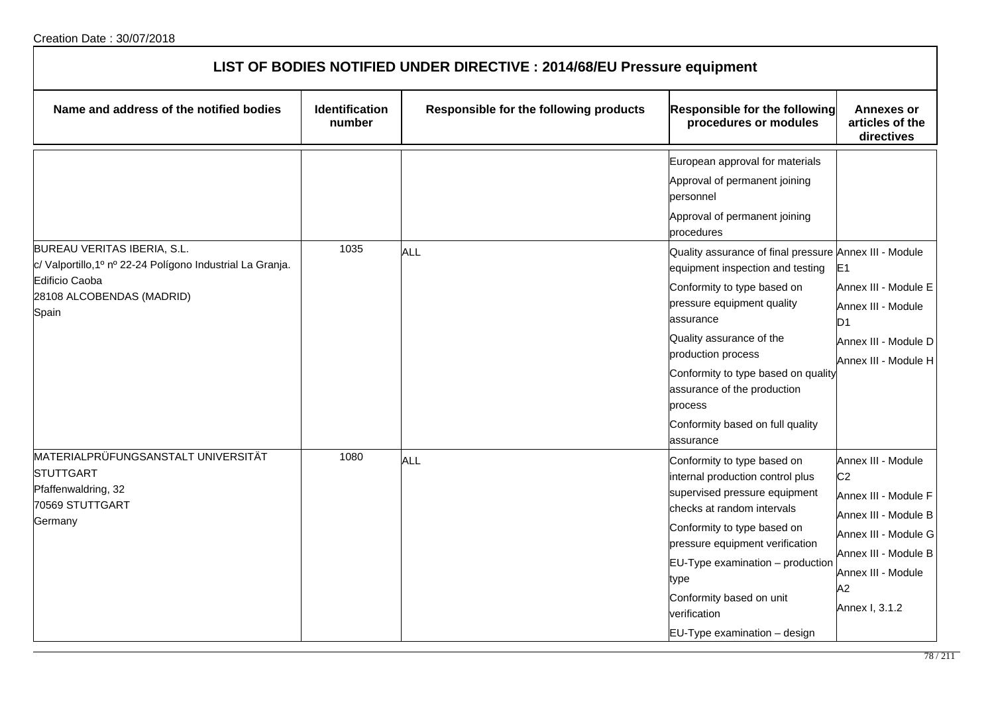| LIST OF BODIES NOTIFIED UNDER DIRECTIVE : 2014/68/EU Pressure equipment                                                                           |                                 |                                        |                                                                                                                                                                                                                                                                                                                                                            |                                                                                                                                                                                    |
|---------------------------------------------------------------------------------------------------------------------------------------------------|---------------------------------|----------------------------------------|------------------------------------------------------------------------------------------------------------------------------------------------------------------------------------------------------------------------------------------------------------------------------------------------------------------------------------------------------------|------------------------------------------------------------------------------------------------------------------------------------------------------------------------------------|
| Name and address of the notified bodies                                                                                                           | <b>Identification</b><br>number | Responsible for the following products | <b>Responsible for the following</b><br>procedures or modules                                                                                                                                                                                                                                                                                              | <b>Annexes or</b><br>articles of the<br>directives                                                                                                                                 |
|                                                                                                                                                   |                                 |                                        | European approval for materials<br>Approval of permanent joining<br>lpersonnel<br>Approval of permanent joining<br>procedures                                                                                                                                                                                                                              |                                                                                                                                                                                    |
| BUREAU VERITAS IBERIA, S.L.<br>c/ Valportillo, 1º nº 22-24 Polígono Industrial La Granja.<br>Edificio Caoba<br>28108 ALCOBENDAS (MADRID)<br>Spain | 1035                            | <b>ALL</b>                             | Quality assurance of final pressure Annex III - Module<br>equipment inspection and testing<br>Conformity to type based on<br>pressure equipment quality<br>lassurance<br>Quality assurance of the<br>production process<br>Conformity to type based on quality<br>assurance of the production<br>process<br>Conformity based on full quality<br>lassurance | E <sub>1</sub><br>Annex III - Module E<br>Annex III - Module<br>D <sub>1</sub><br>Annex III - Module D<br>Annex III - Module H                                                     |
| MATERIALPRÜFUNGSANSTALT UNIVERSITÄT<br><b>STUTTGART</b><br>Pfaffenwaldring, 32<br>70569 STUTTGART<br>Germany                                      | 1080                            | <b>ALL</b>                             | Conformity to type based on<br>internal production control plus<br>supervised pressure equipment<br>checks at random intervals<br>Conformity to type based on<br>pressure equipment verification<br>$EU-Type$ examination $-$ production<br>type<br>Conformity based on unit<br>verification<br>EU-Type examination - design                               | Annex III - Module<br>C <sub>2</sub><br>Annex III - Module F<br>Annex III - Module B<br>Annex III - Module G<br>Annex III - Module B<br>Annex III - Module<br>A2<br>Annex I, 3.1.2 |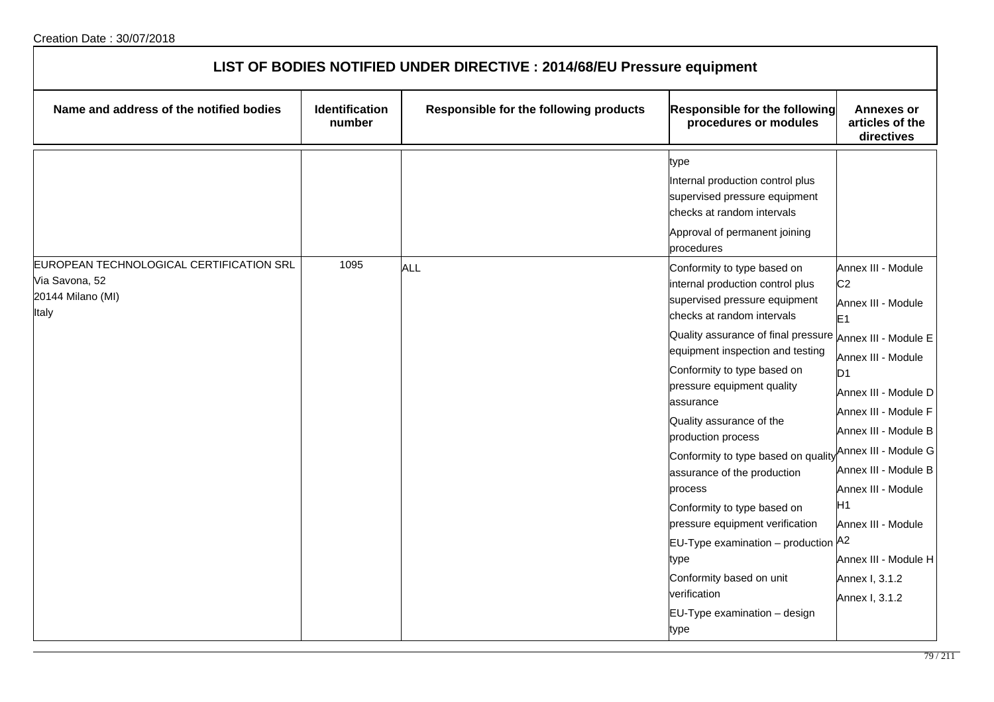| LIST OF BODIES NOTIFIED UNDER DIRECTIVE : 2014/68/EU Pressure equipment                  |                          |                                        |                                                                                                                                                                                                                                                                                                                                                                                                                                   |                                                                                                                                                                                                                                                                                              |
|------------------------------------------------------------------------------------------|--------------------------|----------------------------------------|-----------------------------------------------------------------------------------------------------------------------------------------------------------------------------------------------------------------------------------------------------------------------------------------------------------------------------------------------------------------------------------------------------------------------------------|----------------------------------------------------------------------------------------------------------------------------------------------------------------------------------------------------------------------------------------------------------------------------------------------|
| Name and address of the notified bodies                                                  | Identification<br>number | Responsible for the following products | <b>Responsible for the following</b><br>procedures or modules                                                                                                                                                                                                                                                                                                                                                                     | <b>Annexes or</b><br>articles of the<br>directives                                                                                                                                                                                                                                           |
|                                                                                          |                          |                                        | type<br>Internal production control plus<br>supervised pressure equipment<br>checks at random intervals<br>Approval of permanent joining<br>procedures                                                                                                                                                                                                                                                                            |                                                                                                                                                                                                                                                                                              |
| EUROPEAN TECHNOLOGICAL CERTIFICATION SRL<br>Via Savona, 52<br>20144 Milano (MI)<br>Italy | 1095                     | <b>ALL</b>                             | Conformity to type based on<br>internal production control plus<br>supervised pressure equipment<br>checks at random intervals                                                                                                                                                                                                                                                                                                    | Annex III - Module<br>C <sub>2</sub><br>Annex III - Module<br>E <sub>1</sub>                                                                                                                                                                                                                 |
|                                                                                          |                          |                                        | Quality assurance of final pressure<br>equipment inspection and testing<br>Conformity to type based on<br>pressure equipment quality<br>assurance<br>Quality assurance of the<br>production process<br>Conformity to type based on quality<br>assurance of the production<br>process<br>Conformity to type based on<br>pressure equipment verification<br>EU-Type examination - production A2<br>type<br>Conformity based on unit | Annex III - Module E<br>Annex III - Module<br>D <sub>1</sub><br>Annex III - Module D<br>Annex III - Module F<br>Annex III - Module B<br>Annex III - Module G<br>Annex III - Module B<br>Annex III - Module<br>H <sub>1</sub><br>Annex III - Module<br>Annex III - Module H<br>Annex I, 3.1.2 |
|                                                                                          |                          |                                        | verification<br>EU-Type examination - design<br>type                                                                                                                                                                                                                                                                                                                                                                              | Annex I, 3.1.2                                                                                                                                                                                                                                                                               |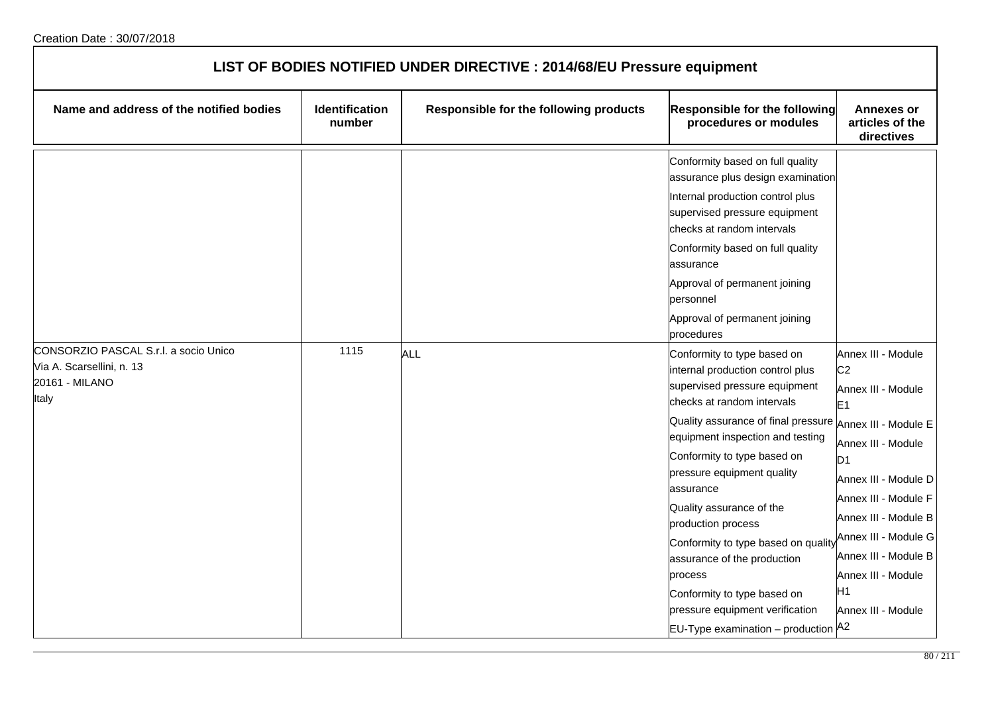| LIST OF BODIES NOTIFIED UNDER DIRECTIVE : 2014/68/EU Pressure equipment                       |                                 |                                        |                                                                                                                                                                                                                                                                                                                                                                                                                                                                                                                                 |                                                                                                                                                                                                                                                                                                                                    |
|-----------------------------------------------------------------------------------------------|---------------------------------|----------------------------------------|---------------------------------------------------------------------------------------------------------------------------------------------------------------------------------------------------------------------------------------------------------------------------------------------------------------------------------------------------------------------------------------------------------------------------------------------------------------------------------------------------------------------------------|------------------------------------------------------------------------------------------------------------------------------------------------------------------------------------------------------------------------------------------------------------------------------------------------------------------------------------|
| Name and address of the notified bodies                                                       | <b>Identification</b><br>number | Responsible for the following products | Responsible for the following<br>procedures or modules                                                                                                                                                                                                                                                                                                                                                                                                                                                                          | <b>Annexes or</b><br>articles of the<br>directives                                                                                                                                                                                                                                                                                 |
|                                                                                               |                                 |                                        | Conformity based on full quality<br>assurance plus design examination<br>Internal production control plus<br>supervised pressure equipment<br>checks at random intervals<br>Conformity based on full quality<br>assurance<br>Approval of permanent joining<br>personnel<br>Approval of permanent joining<br>procedures                                                                                                                                                                                                          |                                                                                                                                                                                                                                                                                                                                    |
| CONSORZIO PASCAL S.r.l. a socio Unico<br>Via A. Scarsellini, n. 13<br>20161 - MILANO<br>Italy | 1115                            | <b>ALL</b>                             | Conformity to type based on<br>internal production control plus<br>supervised pressure equipment<br>checks at random intervals<br>Quality assurance of final pressure<br>equipment inspection and testing<br>Conformity to type based on<br>pressure equipment quality<br>assurance<br>Quality assurance of the<br>production process<br>Conformity to type based on quality<br>assurance of the production<br>process<br>Conformity to type based on<br>pressure equipment verification<br>EU-Type examination - production A2 | Annex III - Module<br>C <sub>2</sub><br>Annex III - Module<br>E <sub>1</sub><br>Annex III - Module E<br>Annex III - Module<br>D <sub>1</sub><br>Annex III - Module D<br>Annex III - Module F<br>Annex III - Module B<br>Annex III - Module G<br>Annex III - Module B<br>Annex III - Module<br>H <sub>1</sub><br>Annex III - Module |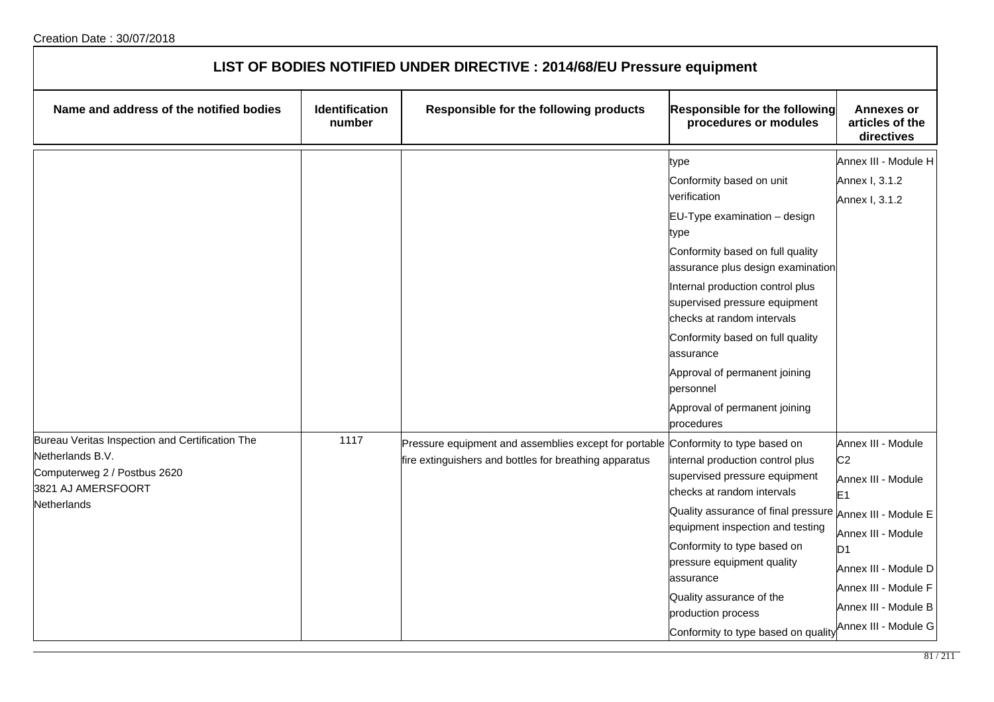| LIST OF BODIES NOTIFIED UNDER DIRECTIVE : 2014/68/EU Pressure equipment                                                                  |                                 |                                                                                                                                             |                                                                                                                                                                                                                                                                                                                                                                                                                    |                                                                                                                                                                                                                                  |
|------------------------------------------------------------------------------------------------------------------------------------------|---------------------------------|---------------------------------------------------------------------------------------------------------------------------------------------|--------------------------------------------------------------------------------------------------------------------------------------------------------------------------------------------------------------------------------------------------------------------------------------------------------------------------------------------------------------------------------------------------------------------|----------------------------------------------------------------------------------------------------------------------------------------------------------------------------------------------------------------------------------|
| Name and address of the notified bodies                                                                                                  | <b>Identification</b><br>number | Responsible for the following products                                                                                                      | <b>Responsible for the following</b><br>procedures or modules                                                                                                                                                                                                                                                                                                                                                      | Annexes or<br>articles of the<br>directives                                                                                                                                                                                      |
|                                                                                                                                          |                                 |                                                                                                                                             | type<br>Conformity based on unit<br>verification<br>EU-Type examination - design<br>type<br>Conformity based on full quality<br>assurance plus design examination<br>Internal production control plus<br>supervised pressure equipment<br>checks at random intervals<br>Conformity based on full quality<br>assurance<br>Approval of permanent joining<br>personnel<br>Approval of permanent joining<br>procedures | Annex III - Module H<br>Annex I, 3.1.2<br>Annex I, 3.1.2                                                                                                                                                                         |
| Bureau Veritas Inspection and Certification The<br>Netherlands B.V.<br>Computerweg 2 / Postbus 2620<br>3821 AJ AMERSFOORT<br>Netherlands | 1117                            | Pressure equipment and assemblies except for portable Conformity to type based on<br>fire extinguishers and bottles for breathing apparatus | internal production control plus<br>supervised pressure equipment<br>checks at random intervals<br>Quality assurance of final pressure<br>equipment inspection and testing<br>Conformity to type based on<br>pressure equipment quality<br>assurance<br>Quality assurance of the<br>production process<br>Conformity to type based on quality                                                                      | Annex III - Module<br>C <sub>2</sub><br>Annex III - Module<br>E1<br>Annex III - Module E<br>Annex III - Module<br>D <sub>1</sub><br>Annex III - Module D<br>Annex III - Module F<br>Annex III - Module B<br>Annex III - Module G |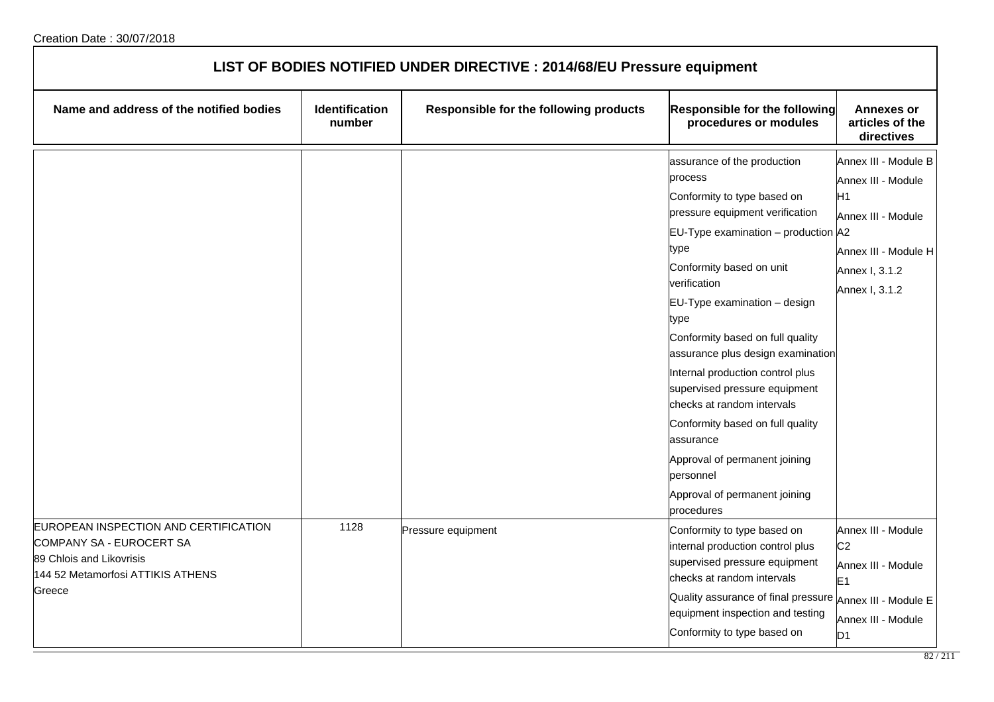| LIST OF BODIES NOTIFIED UNDER DIRECTIVE : 2014/68/EU Pressure equipment                                                                      |                          |                                        |                                                                                                                                                                                                                                                                                                                                                                                                                                                                                                                                                                           |                                                                                                                                    |
|----------------------------------------------------------------------------------------------------------------------------------------------|--------------------------|----------------------------------------|---------------------------------------------------------------------------------------------------------------------------------------------------------------------------------------------------------------------------------------------------------------------------------------------------------------------------------------------------------------------------------------------------------------------------------------------------------------------------------------------------------------------------------------------------------------------------|------------------------------------------------------------------------------------------------------------------------------------|
| Name and address of the notified bodies                                                                                                      | Identification<br>number | Responsible for the following products | <b>Responsible for the following</b><br>procedures or modules                                                                                                                                                                                                                                                                                                                                                                                                                                                                                                             | <b>Annexes or</b><br>articles of the<br>directives                                                                                 |
|                                                                                                                                              |                          |                                        | assurance of the production<br>process<br>Conformity to type based on<br>pressure equipment verification<br>EU-Type examination - production A2<br>type<br>Conformity based on unit<br>verification<br>$EU-Type$ examination $-$ design<br>type<br>Conformity based on full quality<br>assurance plus design examination<br>Internal production control plus<br>supervised pressure equipment<br>checks at random intervals<br>Conformity based on full quality<br>assurance<br>Approval of permanent joining<br>personnel<br>Approval of permanent joining<br>procedures | Annex III - Module B<br>Annex III - Module<br>H1<br>Annex III - Module<br>Annex III - Module H<br>Annex I, 3.1.2<br>Annex I, 3.1.2 |
| EUROPEAN INSPECTION AND CERTIFICATION<br>COMPANY SA - EUROCERT SA<br>89 Chlois and Likovrisis<br>144 52 Metamorfosi ATTIKIS ATHENS<br>Greece | 1128                     | Pressure equipment                     | Conformity to type based on<br>internal production control plus<br>supervised pressure equipment<br>checks at random intervals<br>Quality assurance of final pressure Annex III - Module E<br>equipment inspection and testing<br>Conformity to type based on                                                                                                                                                                                                                                                                                                             | Annex III - Module<br>C <sub>2</sub><br>Annex III - Module<br>E <sub>1</sub><br>Annex III - Module<br>D <sub>1</sub>               |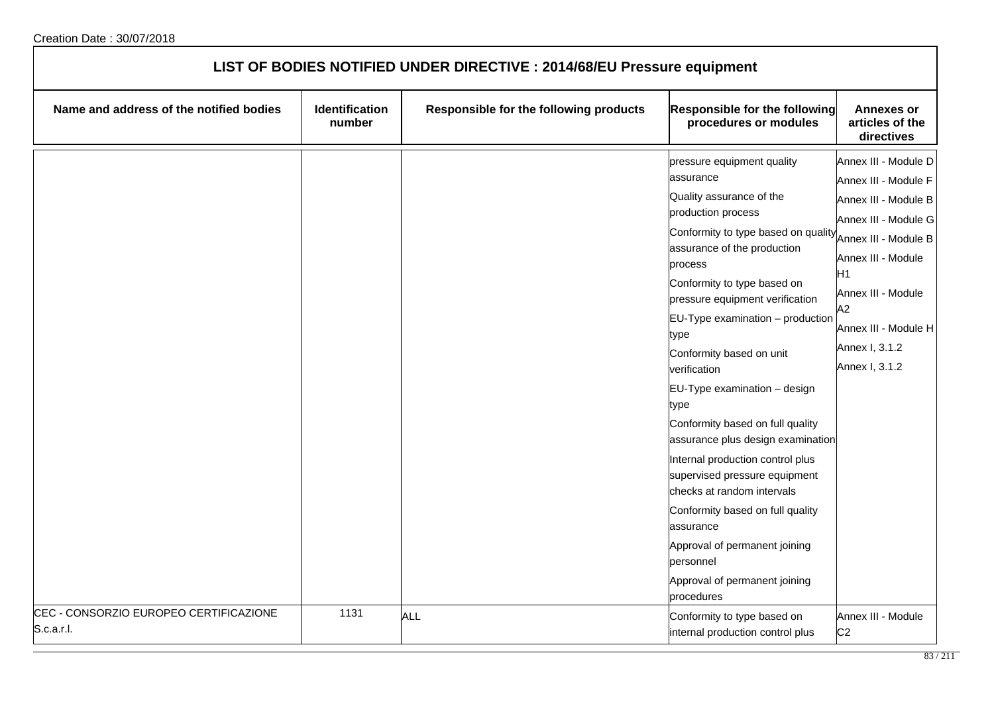| LIST OF BODIES NOTIFIED UNDER DIRECTIVE : 2014/68/EU Pressure equipment |                                 |                                        |                                                                                                                                                                                                                                                                                                                                                                                                                                                                                                                                                                                                                                                                                                            |                                                                                                                                                                                                                                          |
|-------------------------------------------------------------------------|---------------------------------|----------------------------------------|------------------------------------------------------------------------------------------------------------------------------------------------------------------------------------------------------------------------------------------------------------------------------------------------------------------------------------------------------------------------------------------------------------------------------------------------------------------------------------------------------------------------------------------------------------------------------------------------------------------------------------------------------------------------------------------------------------|------------------------------------------------------------------------------------------------------------------------------------------------------------------------------------------------------------------------------------------|
| Name and address of the notified bodies                                 | <b>Identification</b><br>number | Responsible for the following products | <b>Responsible for the following</b><br>procedures or modules                                                                                                                                                                                                                                                                                                                                                                                                                                                                                                                                                                                                                                              | Annexes or<br>articles of the<br>directives                                                                                                                                                                                              |
|                                                                         |                                 |                                        | pressure equipment quality<br>assurance<br>Quality assurance of the<br>production process<br>Conformity to type based on quality<br>assurance of the production<br>process<br>Conformity to type based on<br>pressure equipment verification<br>$EU-Type$ examination $-$ production<br>type<br>Conformity based on unit<br>verification<br>EU-Type examination - design<br>type<br>Conformity based on full quality<br>assurance plus design examination<br>Internal production control plus<br>supervised pressure equipment<br>checks at random intervals<br>Conformity based on full quality<br>assurance<br>Approval of permanent joining<br>personnel<br>Approval of permanent joining<br>procedures | Annex III - Module D<br>Annex III - Module F<br>Annex III - Module B<br>Annex III - Module G<br>Annex III - Module B<br>Annex III - Module<br>H1<br>Annex III - Module<br>A2<br>Annex III - Module H<br>Annex I, 3.1.2<br>Annex I, 3.1.2 |
| CEC - CONSORZIO EUROPEO CERTIFICAZIONE<br>S.c.a.r.l.                    | 1131                            | <b>ALL</b>                             | Conformity to type based on<br>internal production control plus                                                                                                                                                                                                                                                                                                                                                                                                                                                                                                                                                                                                                                            | Annex III - Module<br>C <sub>2</sub>                                                                                                                                                                                                     |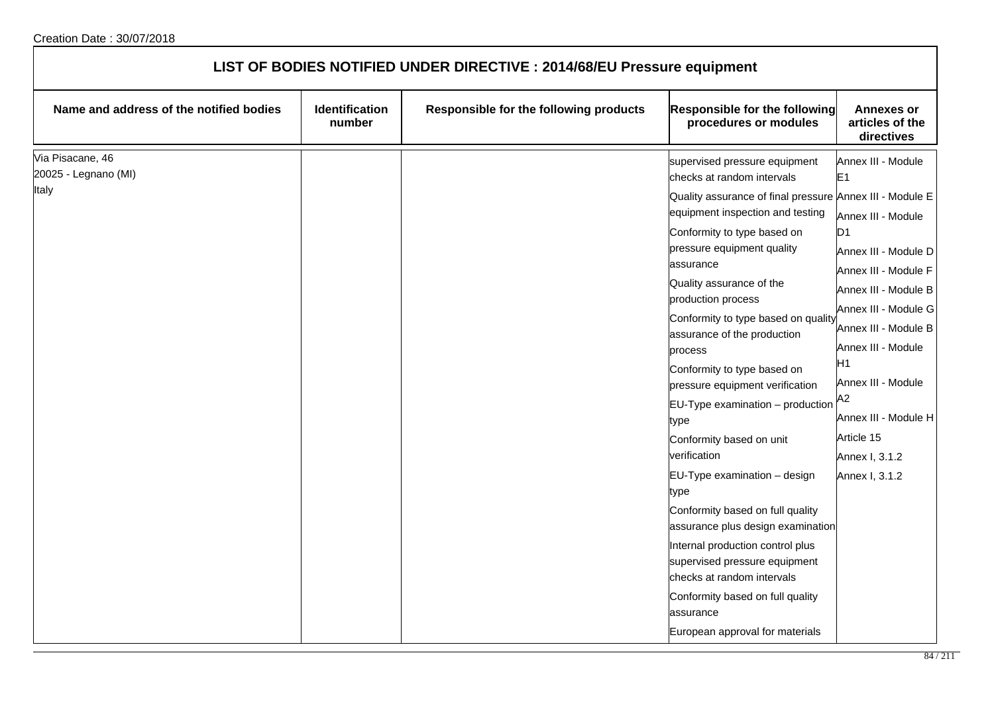| LIST OF BODIES NOTIFIED UNDER DIRECTIVE : 2014/68/EU Pressure equipment |                          |                                        |                                                                                                                                                                                                                                                                                                                                                                                                                                                                                                                                                                                                                                                                                                                                                                                                                                                |                                                                                                                                                                                                                                                                                                                            |
|-------------------------------------------------------------------------|--------------------------|----------------------------------------|------------------------------------------------------------------------------------------------------------------------------------------------------------------------------------------------------------------------------------------------------------------------------------------------------------------------------------------------------------------------------------------------------------------------------------------------------------------------------------------------------------------------------------------------------------------------------------------------------------------------------------------------------------------------------------------------------------------------------------------------------------------------------------------------------------------------------------------------|----------------------------------------------------------------------------------------------------------------------------------------------------------------------------------------------------------------------------------------------------------------------------------------------------------------------------|
| Name and address of the notified bodies                                 | Identification<br>number | Responsible for the following products | <b>Responsible for the following</b><br>procedures or modules                                                                                                                                                                                                                                                                                                                                                                                                                                                                                                                                                                                                                                                                                                                                                                                  | <b>Annexes or</b><br>articles of the<br>directives                                                                                                                                                                                                                                                                         |
| Via Pisacane, 46<br>20025 - Legnano (MI)<br>Italy                       |                          |                                        | supervised pressure equipment<br>checks at random intervals<br>Quality assurance of final pressure Annex III - Module E<br>equipment inspection and testing<br>Conformity to type based on<br>pressure equipment quality<br>assurance<br>Quality assurance of the<br>production process<br>Conformity to type based on quality<br>assurance of the production<br>process<br>Conformity to type based on<br>pressure equipment verification<br>$EU-Type$ examination $-$ production<br>type<br>Conformity based on unit<br>verification<br>EU-Type examination - design<br>type<br>Conformity based on full quality<br>assurance plus design examination<br>Internal production control plus<br>supervised pressure equipment<br>checks at random intervals<br>Conformity based on full quality<br>assurance<br>European approval for materials | Annex III - Module<br>E1<br>Annex III - Module<br>D <sub>1</sub><br>Annex III - Module D<br>Annex III - Module F<br>Annex III - Module B<br>Annex III - Module G<br>Annex III - Module B<br>Annex III - Module<br>H1<br>Annex III - Module<br>A2<br>Annex III - Module H<br>Article 15<br>Annex I, 3.1.2<br>Annex I, 3.1.2 |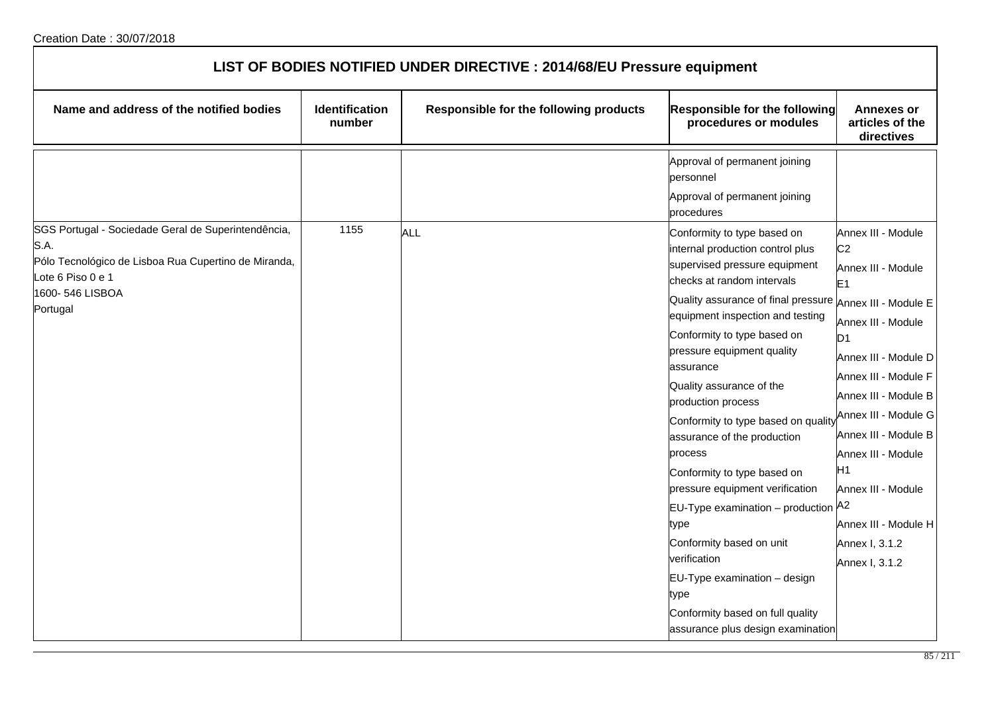| LIST OF BODIES NOTIFIED UNDER DIRECTIVE : 2014/68/EU Pressure equipment                                                                                                 |                          |                                        |                                                                                                                                                                                                                                                                                                                                                                                                                                                                                                                                                                                                                                                                                                                           |                                                                                                                                                                                                                                                                                                                                                |  |
|-------------------------------------------------------------------------------------------------------------------------------------------------------------------------|--------------------------|----------------------------------------|---------------------------------------------------------------------------------------------------------------------------------------------------------------------------------------------------------------------------------------------------------------------------------------------------------------------------------------------------------------------------------------------------------------------------------------------------------------------------------------------------------------------------------------------------------------------------------------------------------------------------------------------------------------------------------------------------------------------------|------------------------------------------------------------------------------------------------------------------------------------------------------------------------------------------------------------------------------------------------------------------------------------------------------------------------------------------------|--|
| Name and address of the notified bodies                                                                                                                                 | Identification<br>number | Responsible for the following products | Responsible for the following<br>procedures or modules                                                                                                                                                                                                                                                                                                                                                                                                                                                                                                                                                                                                                                                                    | <b>Annexes or</b><br>articles of the<br>directives                                                                                                                                                                                                                                                                                             |  |
|                                                                                                                                                                         |                          |                                        | Approval of permanent joining<br>personnel<br>Approval of permanent joining<br>procedures                                                                                                                                                                                                                                                                                                                                                                                                                                                                                                                                                                                                                                 |                                                                                                                                                                                                                                                                                                                                                |  |
| SGS Portugal - Sociedade Geral de Superintendência,<br>S.A.<br>Pólo Tecnológico de Lisboa Rua Cupertino de Miranda,<br>Lote 6 Piso 0 e 1<br>1600-546 LISBOA<br>Portugal | 1155                     | <b>ALL</b>                             | Conformity to type based on<br>internal production control plus<br>supervised pressure equipment<br>checks at random intervals<br>Quality assurance of final pressure Annex III - Module E<br>equipment inspection and testing<br>Conformity to type based on<br>pressure equipment quality<br>assurance<br>Quality assurance of the<br>production process<br>Conformity to type based on quality<br>assurance of the production<br>process<br>Conformity to type based on<br>pressure equipment verification<br>EU-Type examination - production A2<br>type<br>Conformity based on unit<br>verification<br>EU-Type examination - design<br>type<br>Conformity based on full quality<br>assurance plus design examination | Annex III - Module<br>C <sub>2</sub><br>Annex III - Module<br>E1<br>Annex III - Module<br>D <sub>1</sub><br>Annex III - Module D<br>Annex III - Module F<br>Annex III - Module B<br>Annex III - Module G<br>Annex III - Module B<br>Annex III - Module<br>H1<br>Annex III - Module<br>Annex III - Module H<br>Annex I, 3.1.2<br>Annex I, 3.1.2 |  |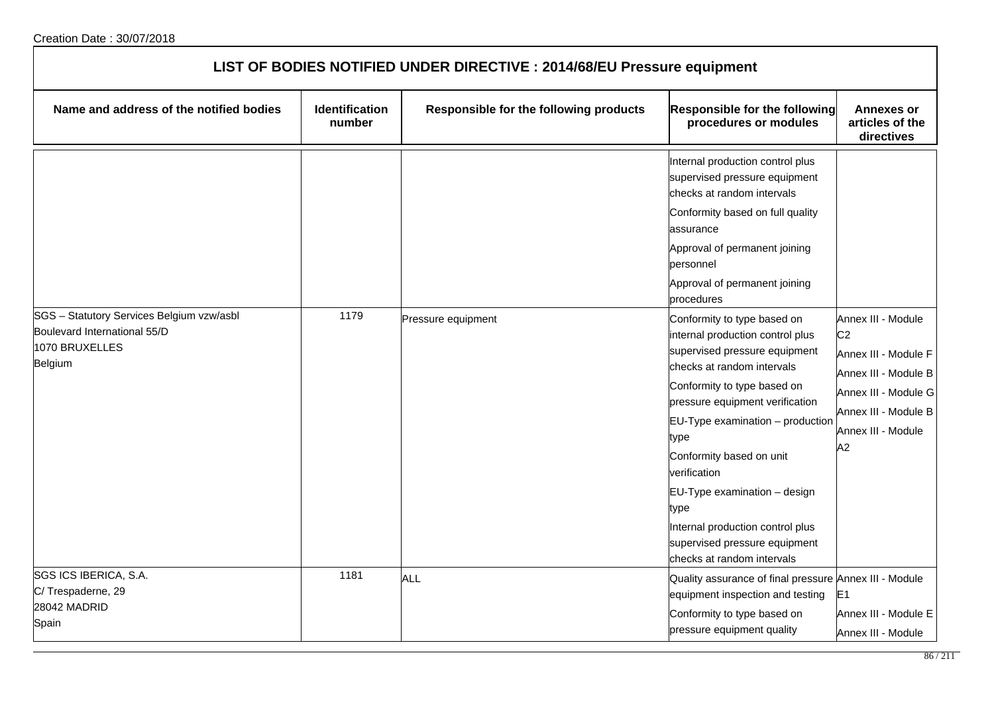| LIST OF BODIES NOTIFIED UNDER DIRECTIVE : 2014/68/EU Pressure equipment                                |                                 |                                        |                                                                                                                                                                                                                                                                                                                                                                                                                                         |                                                                                                                                                                  |  |
|--------------------------------------------------------------------------------------------------------|---------------------------------|----------------------------------------|-----------------------------------------------------------------------------------------------------------------------------------------------------------------------------------------------------------------------------------------------------------------------------------------------------------------------------------------------------------------------------------------------------------------------------------------|------------------------------------------------------------------------------------------------------------------------------------------------------------------|--|
| Name and address of the notified bodies                                                                | <b>Identification</b><br>number | Responsible for the following products | Responsible for the following<br>procedures or modules                                                                                                                                                                                                                                                                                                                                                                                  | <b>Annexes or</b><br>articles of the<br>directives                                                                                                               |  |
|                                                                                                        |                                 |                                        | Internal production control plus<br>supervised pressure equipment<br>checks at random intervals<br>Conformity based on full quality<br>assurance<br>Approval of permanent joining<br>personnel<br>Approval of permanent joining<br>procedures                                                                                                                                                                                           |                                                                                                                                                                  |  |
| SGS - Statutory Services Belgium vzw/asbl<br>Boulevard International 55/D<br>1070 BRUXELLES<br>Belgium | 1179                            | Pressure equipment                     | Conformity to type based on<br>internal production control plus<br>supervised pressure equipment<br>checks at random intervals<br>Conformity to type based on<br>pressure equipment verification<br>$EU-Type$ examination $-$ production<br>type<br>Conformity based on unit<br>verification<br>EU-Type examination - design<br>type<br>Internal production control plus<br>supervised pressure equipment<br>checks at random intervals | Annex III - Module<br>C <sub>2</sub><br>Annex III - Module F<br>Annex III - Module B<br>Annex III - Module G<br>Annex III - Module B<br>Annex III - Module<br>A2 |  |
| SGS ICS IBERICA, S.A.<br>C/Trespaderne, 29<br>28042 MADRID<br>Spain                                    | 1181                            | ALL                                    | Quality assurance of final pressure Annex III - Module<br>equipment inspection and testing<br>Conformity to type based on<br>pressure equipment quality                                                                                                                                                                                                                                                                                 | E1<br>Annex III - Module E<br>Annex III - Module                                                                                                                 |  |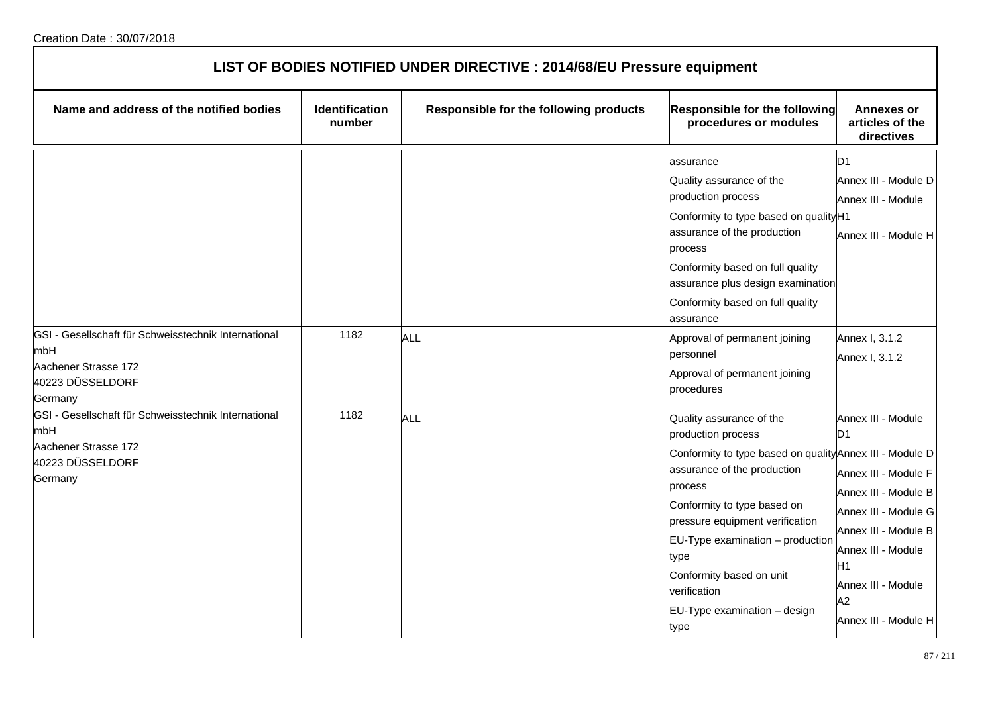| LIST OF BODIES NOTIFIED UNDER DIRECTIVE : 2014/68/EU Pressure equipment                                            |                                 |                                        |                                                                                                                                                                                                                                                                                                                                                        |                                                                                                                                                                                                                      |  |
|--------------------------------------------------------------------------------------------------------------------|---------------------------------|----------------------------------------|--------------------------------------------------------------------------------------------------------------------------------------------------------------------------------------------------------------------------------------------------------------------------------------------------------------------------------------------------------|----------------------------------------------------------------------------------------------------------------------------------------------------------------------------------------------------------------------|--|
| Name and address of the notified bodies                                                                            | <b>Identification</b><br>number | Responsible for the following products | Responsible for the following<br>procedures or modules                                                                                                                                                                                                                                                                                                 | <b>Annexes or</b><br>articles of the<br>directives                                                                                                                                                                   |  |
| GSI - Gesellschaft für Schweisstechnik International<br>mbH                                                        | 1182                            | <b>ALL</b>                             | assurance<br>Quality assurance of the<br>production process<br>Conformity to type based on quality H1<br>assurance of the production<br>process<br>Conformity based on full quality<br>assurance plus design examination<br>Conformity based on full quality<br>assurance<br>Approval of permanent joining<br>personnel                                | D1<br>Annex III - Module D<br>Annex III - Module<br>Annex III - Module H<br>Annex I, 3.1.2                                                                                                                           |  |
| Aachener Strasse 172<br>40223 DÜSSELDORF<br>Germany                                                                |                                 |                                        | Approval of permanent joining<br>procedures                                                                                                                                                                                                                                                                                                            | Annex I, 3.1.2                                                                                                                                                                                                       |  |
| GSI - Gesellschaft für Schweisstechnik International<br>mbH<br>Aachener Strasse 172<br>40223 DÜSSELDORF<br>Germany | 1182                            | <b>ALL</b>                             | Quality assurance of the<br>production process<br>Conformity to type based on quality Annex III - Module D<br>assurance of the production<br>process<br>Conformity to type based on<br>pressure equipment verification<br>EU-Type examination - production<br>type<br>Conformity based on unit<br>verification<br>EU-Type examination - design<br>type | Annex III - Module<br>D1<br>Annex III - Module F<br>Annex III - Module B<br>Annex III - Module G<br>Annex III - Module B<br>Annex III - Module<br>H1<br>Annex III - Module<br>A <sub>2</sub><br>Annex III - Module H |  |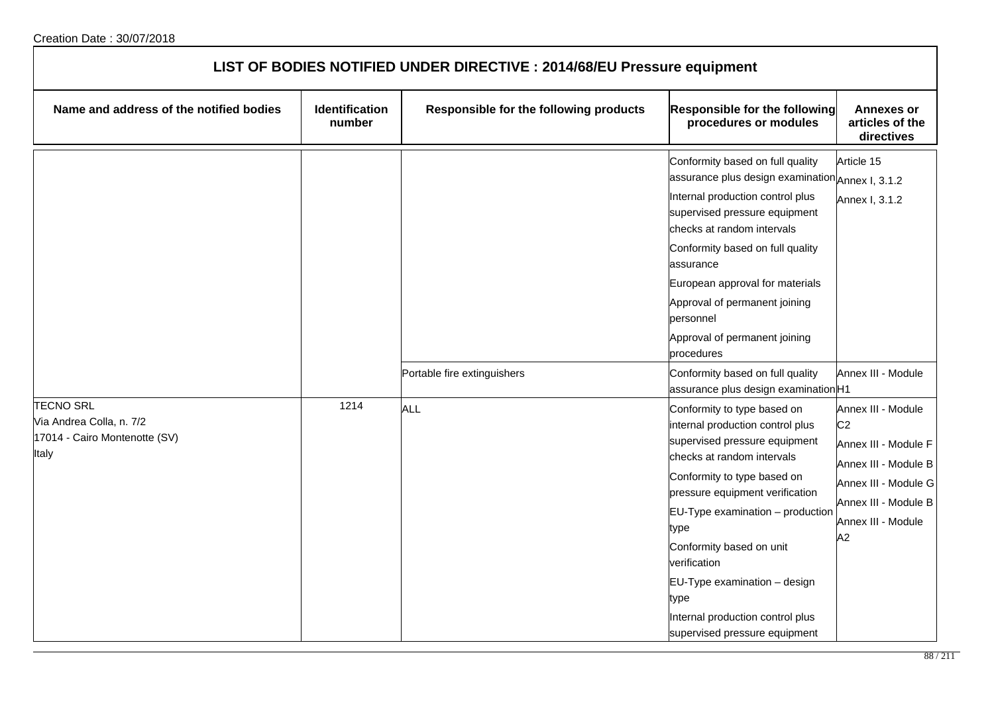| LIST OF BODIES NOTIFIED UNDER DIRECTIVE : 2014/68/EU Pressure equipment                |                                 |                                        |                                                                                                                                                                                                                                                                                                                                                                                                           |                                                                                                                                                                  |  |
|----------------------------------------------------------------------------------------|---------------------------------|----------------------------------------|-----------------------------------------------------------------------------------------------------------------------------------------------------------------------------------------------------------------------------------------------------------------------------------------------------------------------------------------------------------------------------------------------------------|------------------------------------------------------------------------------------------------------------------------------------------------------------------|--|
| Name and address of the notified bodies                                                | <b>Identification</b><br>number | Responsible for the following products | Responsible for the following<br>procedures or modules                                                                                                                                                                                                                                                                                                                                                    | <b>Annexes or</b><br>articles of the<br>directives                                                                                                               |  |
|                                                                                        |                                 |                                        | Conformity based on full quality<br>assurance plus design examination Annex I, 3.1.2<br>Internal production control plus<br>supervised pressure equipment<br>checks at random intervals<br>Conformity based on full quality<br>assurance<br>European approval for materials<br>Approval of permanent joining<br>personnel<br>Approval of permanent joining<br>procedures                                  | Article 15<br>Annex I, 3.1.2                                                                                                                                     |  |
|                                                                                        |                                 | Portable fire extinguishers            | Conformity based on full quality<br>assurance plus design examination H1                                                                                                                                                                                                                                                                                                                                  | Annex III - Module                                                                                                                                               |  |
| <b>TECNO SRL</b><br>Via Andrea Colla, n. 7/2<br>17014 - Cairo Montenotte (SV)<br>Italy | 1214                            | <b>ALL</b>                             | Conformity to type based on<br>internal production control plus<br>supervised pressure equipment<br>checks at random intervals<br>Conformity to type based on<br>pressure equipment verification<br>$EU-Type$ examination $-$ production<br>type<br>Conformity based on unit<br>verification<br>EU-Type examination - design<br>type<br>Internal production control plus<br>supervised pressure equipment | Annex III - Module<br>C <sub>2</sub><br>Annex III - Module F<br>Annex III - Module B<br>Annex III - Module G<br>Annex III - Module B<br>Annex III - Module<br>A2 |  |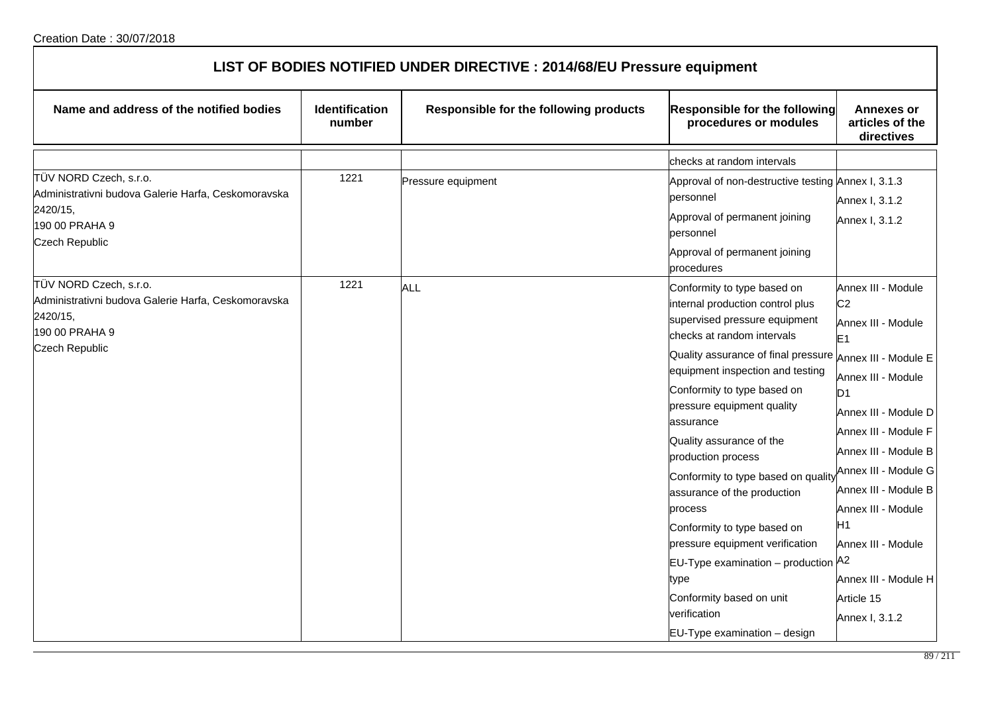| LIST OF BODIES NOTIFIED UNDER DIRECTIVE : 2014/68/EU Pressure equipment                                                              |                          |                                        |                                                                                                                                                                                                                                                                                                                                                                                                                                                                                                                                                                                                          |                                                                                                                                                                                                                                                                                                                                             |  |
|--------------------------------------------------------------------------------------------------------------------------------------|--------------------------|----------------------------------------|----------------------------------------------------------------------------------------------------------------------------------------------------------------------------------------------------------------------------------------------------------------------------------------------------------------------------------------------------------------------------------------------------------------------------------------------------------------------------------------------------------------------------------------------------------------------------------------------------------|---------------------------------------------------------------------------------------------------------------------------------------------------------------------------------------------------------------------------------------------------------------------------------------------------------------------------------------------|--|
| Name and address of the notified bodies                                                                                              | Identification<br>number | Responsible for the following products | Responsible for the following<br>procedures or modules                                                                                                                                                                                                                                                                                                                                                                                                                                                                                                                                                   | <b>Annexes or</b><br>articles of the<br>directives                                                                                                                                                                                                                                                                                          |  |
|                                                                                                                                      |                          |                                        | checks at random intervals                                                                                                                                                                                                                                                                                                                                                                                                                                                                                                                                                                               |                                                                                                                                                                                                                                                                                                                                             |  |
| TÜV NORD Czech, s.r.o.<br>Administrativni budova Galerie Harfa, Ceskomoravska<br>2420/15,<br>190 00 PRAHA 9<br>Czech Republic        | 1221                     | Pressure equipment                     | Approval of non-destructive testing Annex I, 3.1.3<br>personnel<br>Approval of permanent joining<br>personnel<br>Approval of permanent joining<br>procedures                                                                                                                                                                                                                                                                                                                                                                                                                                             | Annex I, 3.1.2<br>Annex I, 3.1.2                                                                                                                                                                                                                                                                                                            |  |
| TÜV NORD Czech, s.r.o.<br>Administrativni budova Galerie Harfa, Ceskomoravska<br>2420/15,<br>190 00 PRAHA 9<br><b>Czech Republic</b> | 1221                     | <b>ALL</b>                             | Conformity to type based on<br>internal production control plus<br>supervised pressure equipment<br>checks at random intervals<br>Quality assurance of final pressure Annex III - Module E<br>equipment inspection and testing<br>Conformity to type based on<br>pressure equipment quality<br>assurance<br>Quality assurance of the<br>production process<br>Conformity to type based on quality<br>assurance of the production<br>process<br>Conformity to type based on<br>pressure equipment verification<br>EU-Type examination - production A2<br>type<br>Conformity based on unit<br>verification | Annex III - Module<br>C <sub>2</sub><br>Annex III - Module<br>E <sub>1</sub><br>Annex III - Module<br>ID1<br>Annex III - Module D<br>Annex III - Module F<br>Annex III - Module B<br>Annex III - Module G<br>Annex III - Module B<br>Annex III - Module<br>H1<br>Annex III - Module<br>Annex III - Module H<br>Article 15<br>Annex I, 3.1.2 |  |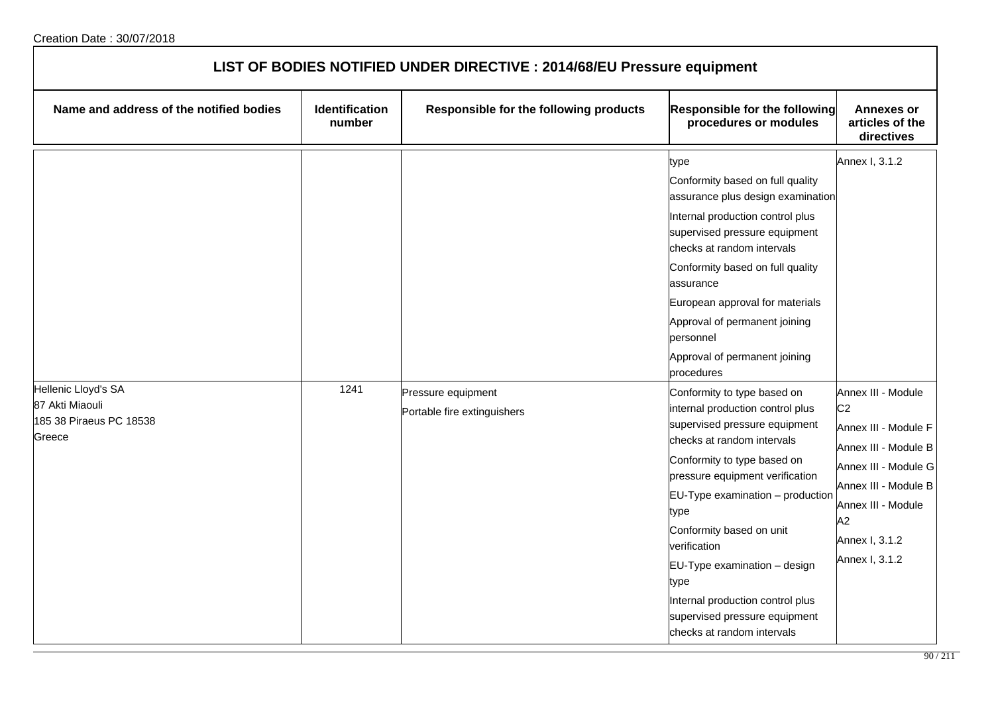| LIST OF BODIES NOTIFIED UNDER DIRECTIVE : 2014/68/EU Pressure equipment |                                 |                                                   |                                                                                                                                                                                                                                                                                                                                                                                                                                      |                                                                                                                                                              |  |
|-------------------------------------------------------------------------|---------------------------------|---------------------------------------------------|--------------------------------------------------------------------------------------------------------------------------------------------------------------------------------------------------------------------------------------------------------------------------------------------------------------------------------------------------------------------------------------------------------------------------------------|--------------------------------------------------------------------------------------------------------------------------------------------------------------|--|
| Name and address of the notified bodies                                 | <b>Identification</b><br>number | Responsible for the following products            | <b>Responsible for the following</b><br>procedures or modules                                                                                                                                                                                                                                                                                                                                                                        | <b>Annexes or</b><br>articles of the<br>directives                                                                                                           |  |
| Hellenic Lloyd's SA<br>87 Akti Miaouli<br>185 38 Piraeus PC 18538       | 1241                            | Pressure equipment<br>Portable fire extinguishers | type<br>Conformity based on full quality<br>assurance plus design examination<br>Internal production control plus<br>supervised pressure equipment<br>checks at random intervals<br>Conformity based on full quality<br>assurance<br>European approval for materials<br>Approval of permanent joining<br>personnel<br>Approval of permanent joining<br>procedures<br>Conformity to type based on<br>internal production control plus | Annex I, 3.1.2<br>Annex III - Module<br>C <sub>2</sub>                                                                                                       |  |
| Greece                                                                  |                                 |                                                   | supervised pressure equipment<br>checks at random intervals<br>Conformity to type based on<br>pressure equipment verification<br>$EU-Type$ examination $-$ production<br>type<br>Conformity based on unit<br>verification<br>$EU-Type$ examination $-$ design<br>type<br>Internal production control plus<br>supervised pressure equipment<br>checks at random intervals                                                             | Annex III - Module F<br>Annex III - Module B<br>Annex III - Module G<br>Annex III - Module B<br>Annex III - Module<br>A2<br>Annex I, 3.1.2<br>Annex I, 3.1.2 |  |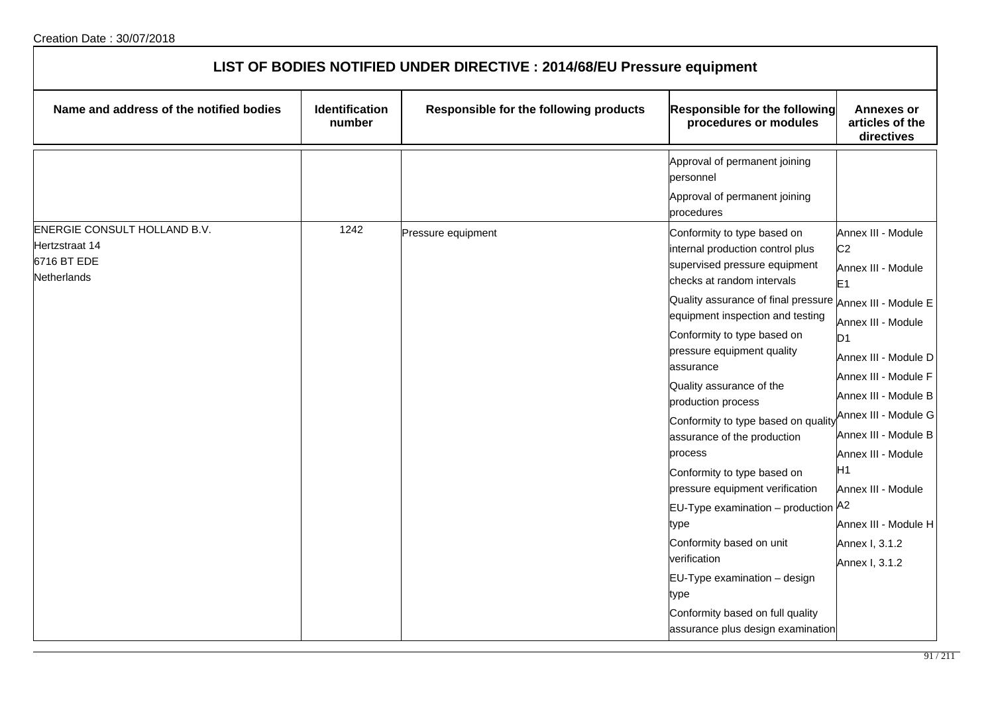| LIST OF BODIES NOTIFIED UNDER DIRECTIVE : 2014/68/EU Pressure equipment             |                                 |                                        |                                                                                                                                                                                                                                                                                                                                                                                                                                                                                                                                                                                  |                                                                                                                                                                                                                                                                                  |  |
|-------------------------------------------------------------------------------------|---------------------------------|----------------------------------------|----------------------------------------------------------------------------------------------------------------------------------------------------------------------------------------------------------------------------------------------------------------------------------------------------------------------------------------------------------------------------------------------------------------------------------------------------------------------------------------------------------------------------------------------------------------------------------|----------------------------------------------------------------------------------------------------------------------------------------------------------------------------------------------------------------------------------------------------------------------------------|--|
| Name and address of the notified bodies                                             | <b>Identification</b><br>number | Responsible for the following products | Responsible for the following<br>procedures or modules                                                                                                                                                                                                                                                                                                                                                                                                                                                                                                                           | <b>Annexes or</b><br>articles of the<br>directives                                                                                                                                                                                                                               |  |
|                                                                                     |                                 |                                        | Approval of permanent joining<br>personnel<br>Approval of permanent joining                                                                                                                                                                                                                                                                                                                                                                                                                                                                                                      |                                                                                                                                                                                                                                                                                  |  |
|                                                                                     |                                 |                                        | procedures                                                                                                                                                                                                                                                                                                                                                                                                                                                                                                                                                                       |                                                                                                                                                                                                                                                                                  |  |
| ENERGIE CONSULT HOLLAND B.V.<br>Hertzstraat 14<br>6716 BT EDE<br><b>Netherlands</b> | 1242                            | Pressure equipment                     | Conformity to type based on<br>internal production control plus<br>supervised pressure equipment                                                                                                                                                                                                                                                                                                                                                                                                                                                                                 | Annex III - Module<br>C <sub>2</sub><br>Annex III - Module                                                                                                                                                                                                                       |  |
|                                                                                     |                                 |                                        | checks at random intervals<br>Quality assurance of final pressure Annex III - Module E<br>equipment inspection and testing<br>Conformity to type based on<br>pressure equipment quality<br>assurance<br>Quality assurance of the<br>production process<br>Conformity to type based on quality<br>assurance of the production<br>process<br>Conformity to type based on<br>pressure equipment verification<br>EU-Type examination - production A2<br>type<br>Conformity based on unit<br>verification<br>EU-Type examination - design<br>type<br>Conformity based on full quality | E1<br>Annex III - Module<br>D <sub>1</sub><br>Annex III - Module D<br>Annex III - Module F<br>Annex III - Module B<br>Annex III - Module G<br>Annex III - Module B<br>Annex III - Module<br>Н1<br>Annex III - Module<br>Annex III - Module H<br>Annex I, 3.1.2<br>Annex I, 3.1.2 |  |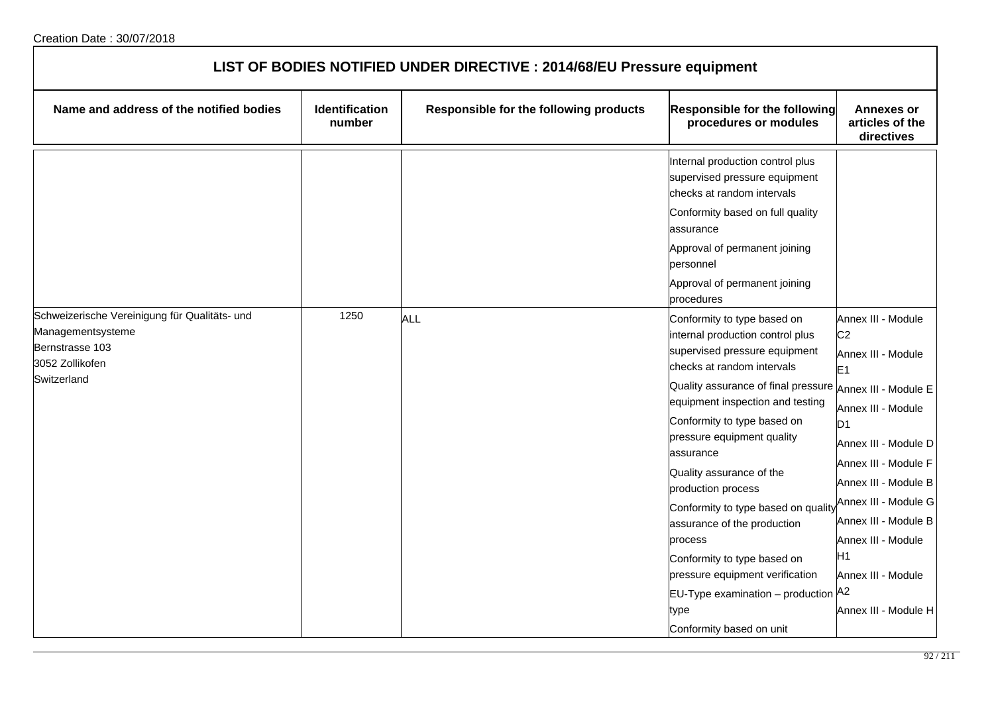| LIST OF BODIES NOTIFIED UNDER DIRECTIVE : 2014/68/EU Pressure equipment                                                 |                                 |                                        |                                                                                                                                                                                                                                                                                                                                                                                                                                                                                                                                                                                          |                                                                                                                                                                                                                                                                                                                        |  |
|-------------------------------------------------------------------------------------------------------------------------|---------------------------------|----------------------------------------|------------------------------------------------------------------------------------------------------------------------------------------------------------------------------------------------------------------------------------------------------------------------------------------------------------------------------------------------------------------------------------------------------------------------------------------------------------------------------------------------------------------------------------------------------------------------------------------|------------------------------------------------------------------------------------------------------------------------------------------------------------------------------------------------------------------------------------------------------------------------------------------------------------------------|--|
| Name and address of the notified bodies                                                                                 | <b>Identification</b><br>number | Responsible for the following products | Responsible for the following<br>procedures or modules                                                                                                                                                                                                                                                                                                                                                                                                                                                                                                                                   | <b>Annexes or</b><br>articles of the<br>directives                                                                                                                                                                                                                                                                     |  |
|                                                                                                                         |                                 |                                        | Internal production control plus<br>supervised pressure equipment<br>checks at random intervals<br>Conformity based on full quality<br>assurance<br>Approval of permanent joining<br>personnel<br>Approval of permanent joining<br>procedures                                                                                                                                                                                                                                                                                                                                            |                                                                                                                                                                                                                                                                                                                        |  |
| Schweizerische Vereinigung für Qualitäts- und<br>Managementsysteme<br>Bernstrasse 103<br>3052 Zollikofen<br>Switzerland | 1250                            | ALL                                    | Conformity to type based on<br>internal production control plus<br>supervised pressure equipment<br>checks at random intervals<br>Quality assurance of final pressure Annex III - Module E<br>equipment inspection and testing<br>Conformity to type based on<br>pressure equipment quality<br>assurance<br>Quality assurance of the<br>production process<br>Conformity to type based on quality<br>assurance of the production<br>process<br>Conformity to type based on<br>pressure equipment verification<br>EU-Type examination - production A2<br>type<br>Conformity based on unit | Annex III - Module<br>C <sub>2</sub><br>Annex III - Module<br>E <sub>1</sub><br>Annex III - Module<br>D <sub>1</sub><br>Annex III - Module D<br>Annex III - Module F<br>Annex III - Module B<br>Annex III - Module G<br>Annex III - Module B<br>Annex III - Module<br>H1<br>Annex III - Module<br>Annex III - Module H |  |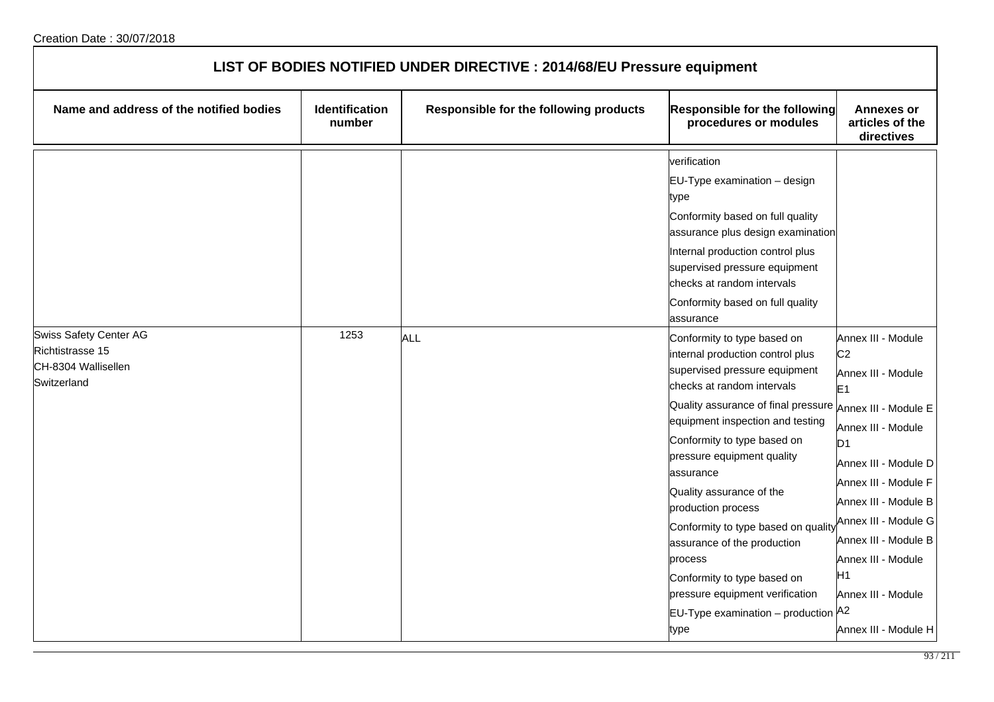| LIST OF BODIES NOTIFIED UNDER DIRECTIVE : 2014/68/EU Pressure equipment                 |                                 |                                        |                                                                                                                                                                                                                                                                                                                                                                                                                                                                                                                                                               |                                                                                                                                                                                                                                                                                                                        |  |
|-----------------------------------------------------------------------------------------|---------------------------------|----------------------------------------|---------------------------------------------------------------------------------------------------------------------------------------------------------------------------------------------------------------------------------------------------------------------------------------------------------------------------------------------------------------------------------------------------------------------------------------------------------------------------------------------------------------------------------------------------------------|------------------------------------------------------------------------------------------------------------------------------------------------------------------------------------------------------------------------------------------------------------------------------------------------------------------------|--|
| Name and address of the notified bodies                                                 | <b>Identification</b><br>number | Responsible for the following products | Responsible for the following<br>procedures or modules                                                                                                                                                                                                                                                                                                                                                                                                                                                                                                        | <b>Annexes or</b><br>articles of the<br>directives                                                                                                                                                                                                                                                                     |  |
|                                                                                         |                                 |                                        | verification<br>$EU$ -Type examination – design<br>type<br>Conformity based on full quality<br>assurance plus design examination<br>Internal production control plus<br>supervised pressure equipment<br>checks at random intervals<br>Conformity based on full quality<br>assurance                                                                                                                                                                                                                                                                          |                                                                                                                                                                                                                                                                                                                        |  |
| <b>Swiss Safety Center AG</b><br>Richtistrasse 15<br>CH-8304 Wallisellen<br>Switzerland | 1253                            | ALL                                    | Conformity to type based on<br>internal production control plus<br>supervised pressure equipment<br>checks at random intervals<br>Quality assurance of final pressure Annex III - Module E<br>equipment inspection and testing<br>Conformity to type based on<br>pressure equipment quality<br>lassurance<br>Quality assurance of the<br>production process<br>Conformity to type based on quality<br>assurance of the production<br>process<br>Conformity to type based on<br>pressure equipment verification<br>EU-Type examination - production A2<br>type | Annex III - Module<br>C <sub>2</sub><br>Annex III - Module<br>E <sub>1</sub><br>Annex III - Module<br>D <sub>1</sub><br>Annex III - Module D<br>Annex III - Module F<br>Annex III - Module B<br>Annex III - Module G<br>Annex III - Module B<br>Annex III - Module<br>H1<br>Annex III - Module<br>Annex III - Module H |  |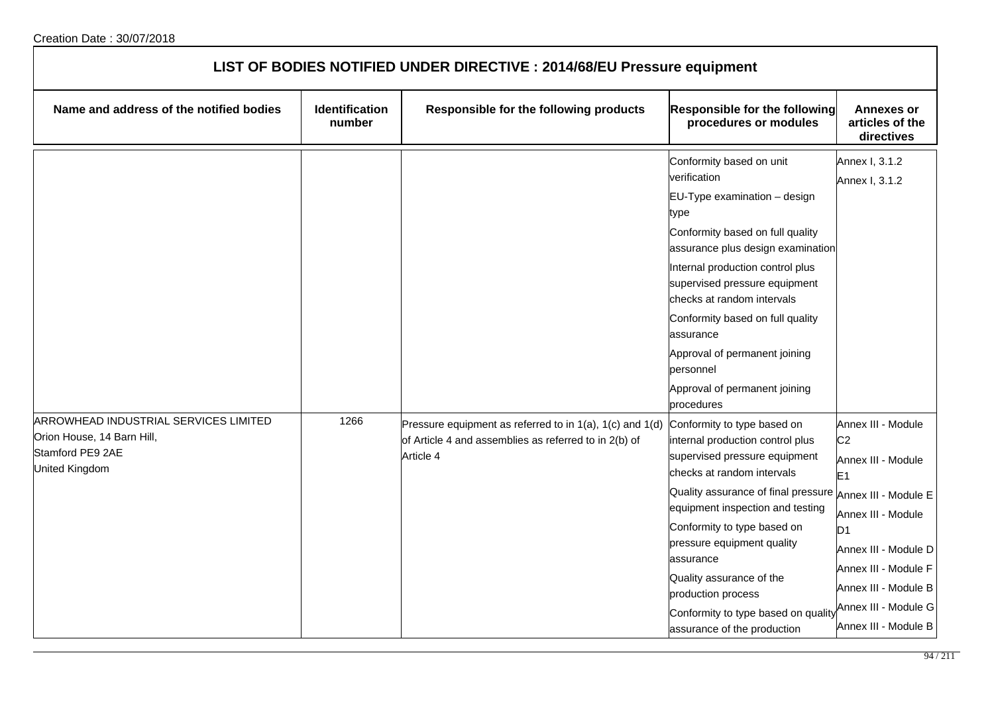| LIST OF BODIES NOTIFIED UNDER DIRECTIVE : 2014/68/EU Pressure equipment                                          |                                 |                                                                                                                                |                                                                                                                                                                                                                                                                                                                                                                                                                                  |                                                                                                                                                                                                                                  |  |
|------------------------------------------------------------------------------------------------------------------|---------------------------------|--------------------------------------------------------------------------------------------------------------------------------|----------------------------------------------------------------------------------------------------------------------------------------------------------------------------------------------------------------------------------------------------------------------------------------------------------------------------------------------------------------------------------------------------------------------------------|----------------------------------------------------------------------------------------------------------------------------------------------------------------------------------------------------------------------------------|--|
| Name and address of the notified bodies                                                                          | <b>Identification</b><br>number | Responsible for the following products                                                                                         | Responsible for the following<br>procedures or modules                                                                                                                                                                                                                                                                                                                                                                           | <b>Annexes or</b><br>articles of the<br>directives                                                                                                                                                                               |  |
|                                                                                                                  |                                 |                                                                                                                                | Conformity based on unit<br>verification<br>EU-Type examination - design<br>type<br>Conformity based on full quality<br>assurance plus design examination<br>Internal production control plus<br>supervised pressure equipment<br>checks at random intervals<br>Conformity based on full quality<br>assurance<br>Approval of permanent joining<br>personnel<br>Approval of permanent joining<br>procedures                       | Annex I, 3.1.2<br>Annex I, 3.1.2                                                                                                                                                                                                 |  |
| ARROWHEAD INDUSTRIAL SERVICES LIMITED<br>Orion House, 14 Barn Hill,<br>Stamford PE9 2AE<br><b>United Kingdom</b> | 1266                            | Pressure equipment as referred to in 1(a), 1(c) and 1(d)<br>of Article 4 and assemblies as referred to in 2(b) of<br>Article 4 | Conformity to type based on<br>internal production control plus<br>supervised pressure equipment<br>checks at random intervals<br>Quality assurance of final pressure Annex III - Module E<br>equipment inspection and testing<br>Conformity to type based on<br>pressure equipment quality<br>assurance<br>Quality assurance of the<br>production process<br>Conformity to type based on quality<br>assurance of the production | Annex III - Module<br>C <sub>2</sub><br>Annex III - Module<br>E <sub>1</sub><br>Annex III - Module<br>D1<br>Annex III - Module D<br>Annex III - Module F<br>Annex III - Module B<br>Annex III - Module G<br>Annex III - Module B |  |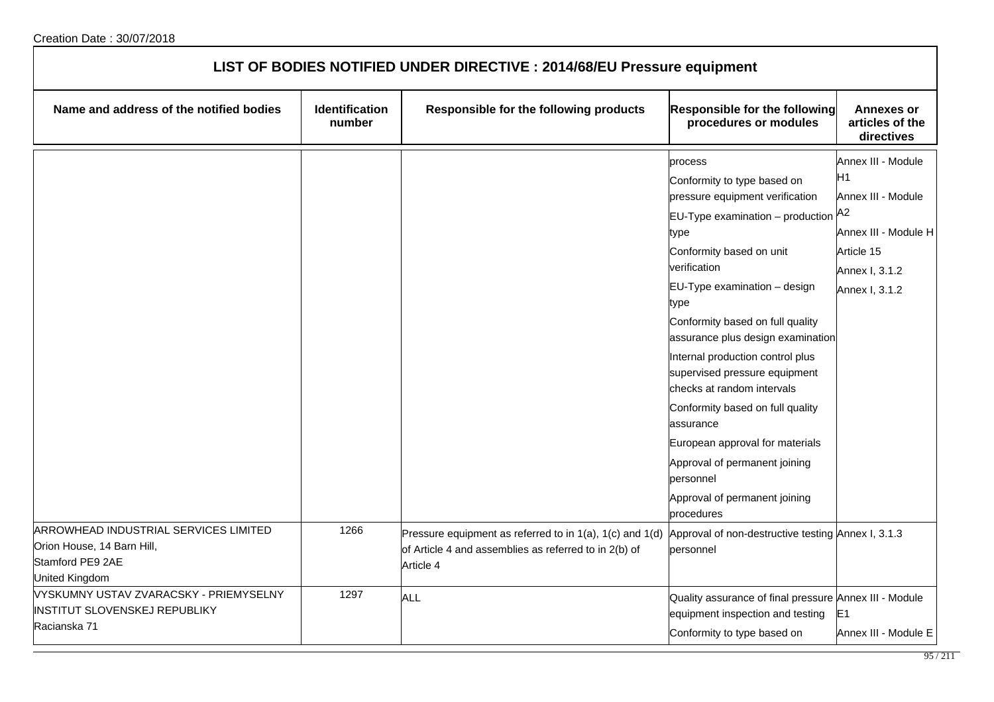| LIST OF BODIES NOTIFIED UNDER DIRECTIVE : 2014/68/EU Pressure equipment                                          |                          |                                                                                                                                |                                                                                                                                                                                                                                                                                                                                                                                                                                                                                                                                                                           |                                                                                                                          |  |
|------------------------------------------------------------------------------------------------------------------|--------------------------|--------------------------------------------------------------------------------------------------------------------------------|---------------------------------------------------------------------------------------------------------------------------------------------------------------------------------------------------------------------------------------------------------------------------------------------------------------------------------------------------------------------------------------------------------------------------------------------------------------------------------------------------------------------------------------------------------------------------|--------------------------------------------------------------------------------------------------------------------------|--|
| Name and address of the notified bodies                                                                          | Identification<br>number | Responsible for the following products                                                                                         | <b>Responsible for the following</b><br>procedures or modules                                                                                                                                                                                                                                                                                                                                                                                                                                                                                                             | <b>Annexes or</b><br>articles of the<br>directives                                                                       |  |
|                                                                                                                  |                          |                                                                                                                                | process<br>Conformity to type based on<br>pressure equipment verification<br>EU-Type examination - production A2<br>type<br>Conformity based on unit<br>verification<br>EU-Type examination - design<br>type<br>Conformity based on full quality<br>assurance plus design examination<br>Internal production control plus<br>supervised pressure equipment<br>checks at random intervals<br>Conformity based on full quality<br>assurance<br>European approval for materials<br>Approval of permanent joining<br>personnel<br>Approval of permanent joining<br>procedures | Annex III - Module<br>H1<br>Annex III - Module<br>Annex III - Module H<br>Article 15<br>Annex I, 3.1.2<br>Annex I, 3.1.2 |  |
| ARROWHEAD INDUSTRIAL SERVICES LIMITED<br>Orion House, 14 Barn Hill,<br>Stamford PE9 2AE<br><b>United Kingdom</b> | 1266                     | Pressure equipment as referred to in 1(a), 1(c) and 1(d)<br>of Article 4 and assemblies as referred to in 2(b) of<br>Article 4 | Approval of non-destructive testing Annex I, 3.1.3<br>personnel                                                                                                                                                                                                                                                                                                                                                                                                                                                                                                           |                                                                                                                          |  |
| VYSKUMNY USTAV ZVARACSKY - PRIEMYSELNY<br>INSTITUT SLOVENSKEJ REPUBLIKY<br>Racianska 71                          | 1297                     | <b>ALL</b>                                                                                                                     | Quality assurance of final pressure Annex III - Module<br>equipment inspection and testing<br>Conformity to type based on                                                                                                                                                                                                                                                                                                                                                                                                                                                 | E1<br>Annex III - Module E                                                                                               |  |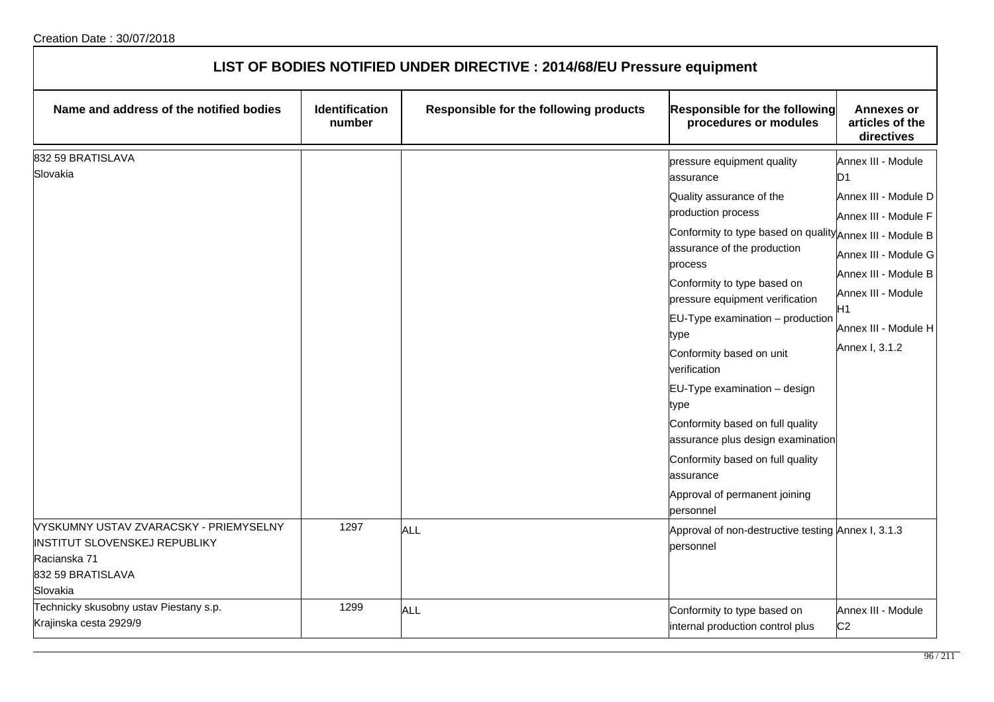| LIST OF BODIES NOTIFIED UNDER DIRECTIVE : 2014/68/EU Pressure equipment                                                                                   |                                 |                                        |                                                                                                                                                                                                                                                                                                                                                                                                                                                                                                                                                                                                                                              |                                                                                                                                                                                                            |  |
|-----------------------------------------------------------------------------------------------------------------------------------------------------------|---------------------------------|----------------------------------------|----------------------------------------------------------------------------------------------------------------------------------------------------------------------------------------------------------------------------------------------------------------------------------------------------------------------------------------------------------------------------------------------------------------------------------------------------------------------------------------------------------------------------------------------------------------------------------------------------------------------------------------------|------------------------------------------------------------------------------------------------------------------------------------------------------------------------------------------------------------|--|
| Name and address of the notified bodies                                                                                                                   | <b>Identification</b><br>number | Responsible for the following products | <b>Responsible for the following</b><br>procedures or modules                                                                                                                                                                                                                                                                                                                                                                                                                                                                                                                                                                                | <b>Annexes or</b><br>articles of the<br>directives                                                                                                                                                         |  |
| 832 59 BRATISLAVA<br>Slovakia<br>VYSKUMNY USTAV ZVARACSKY - PRIEMYSELNY<br>INSTITUT SLOVENSKEJ REPUBLIKY<br>Racianska 71<br>832 59 BRATISLAVA<br>Slovakia | 1297                            | ALL                                    | pressure equipment quality<br>assurance<br>Quality assurance of the<br>production process<br>Conformity to type based on quality Annex III - Module B<br>assurance of the production<br>process<br>Conformity to type based on<br>pressure equipment verification<br>EU-Type examination - production<br>type<br>Conformity based on unit<br>verification<br>EU-Type examination - design<br>type<br>Conformity based on full quality<br>assurance plus design examination<br>Conformity based on full quality<br>assurance<br>Approval of permanent joining<br>personnel<br>Approval of non-destructive testing Annex I, 3.1.3<br>personnel | Annex III - Module<br>D1<br>Annex III - Module D<br>Annex III - Module F<br>Annex III - Module G<br>Annex III - Module B<br>Annex III - Module<br>H <sub>1</sub><br>Annex III - Module H<br>Annex I, 3.1.2 |  |
| Technicky skusobny ustav Piestany s.p.<br>Krajinska cesta 2929/9                                                                                          | 1299                            | ALL                                    | Conformity to type based on<br>internal production control plus                                                                                                                                                                                                                                                                                                                                                                                                                                                                                                                                                                              | Annex III - Module<br>C <sub>2</sub>                                                                                                                                                                       |  |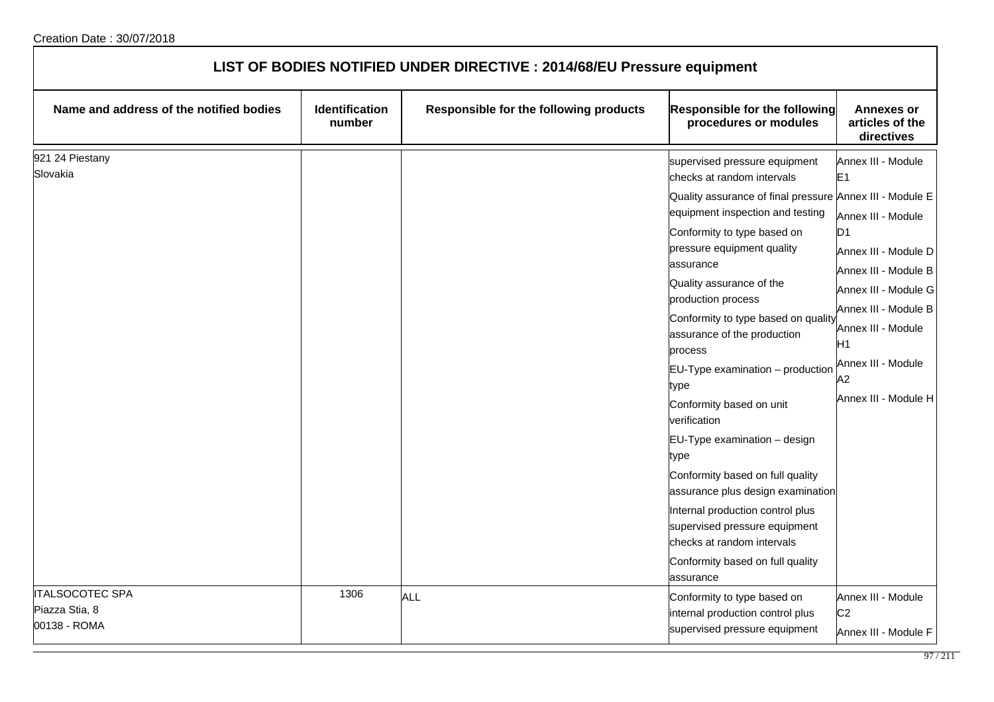| LIST OF BODIES NOTIFIED UNDER DIRECTIVE : 2014/68/EU Pressure equipment |                                 |                                        |                                                                                                                                                                                                                                                                                                                                                                                                                                                                                                                                                                                                                                                                                                                                       |                                                                                                                                                                                                                                                  |
|-------------------------------------------------------------------------|---------------------------------|----------------------------------------|---------------------------------------------------------------------------------------------------------------------------------------------------------------------------------------------------------------------------------------------------------------------------------------------------------------------------------------------------------------------------------------------------------------------------------------------------------------------------------------------------------------------------------------------------------------------------------------------------------------------------------------------------------------------------------------------------------------------------------------|--------------------------------------------------------------------------------------------------------------------------------------------------------------------------------------------------------------------------------------------------|
| Name and address of the notified bodies                                 | <b>Identification</b><br>number | Responsible for the following products | <b>Responsible for the following</b><br>procedures or modules                                                                                                                                                                                                                                                                                                                                                                                                                                                                                                                                                                                                                                                                         | <b>Annexes or</b><br>articles of the<br>directives                                                                                                                                                                                               |
| 921 24 Piestany<br>Slovakia                                             |                                 |                                        | supervised pressure equipment<br>checks at random intervals<br>Quality assurance of final pressure Annex III - Module E<br>equipment inspection and testing<br>Conformity to type based on<br>pressure equipment quality<br>assurance<br>Quality assurance of the<br>production process<br>Conformity to type based on quality<br>assurance of the production<br>process<br>EU-Type examination - production<br>type<br>Conformity based on unit<br>verification<br>EU-Type examination - design<br>type<br>Conformity based on full quality<br>assurance plus design examination<br>Internal production control plus<br>supervised pressure equipment<br>checks at random intervals<br>Conformity based on full quality<br>assurance | Annex III - Module<br>E1<br>Annex III - Module<br>D <sub>1</sub><br>Annex III - Module D<br>Annex III - Module B<br>Annex III - Module G<br>Annex III - Module B<br>Annex III - Module<br>H1<br>Annex III - Module<br>А2<br>Annex III - Module H |
| <b>ITALSOCOTEC SPA</b><br>Piazza Stia, 8<br>00138 - ROMA                | 1306                            | <b>ALL</b>                             | Conformity to type based on<br>internal production control plus<br>supervised pressure equipment                                                                                                                                                                                                                                                                                                                                                                                                                                                                                                                                                                                                                                      | Annex III - Module<br>C <sub>2</sub><br>Annex III - Module F                                                                                                                                                                                     |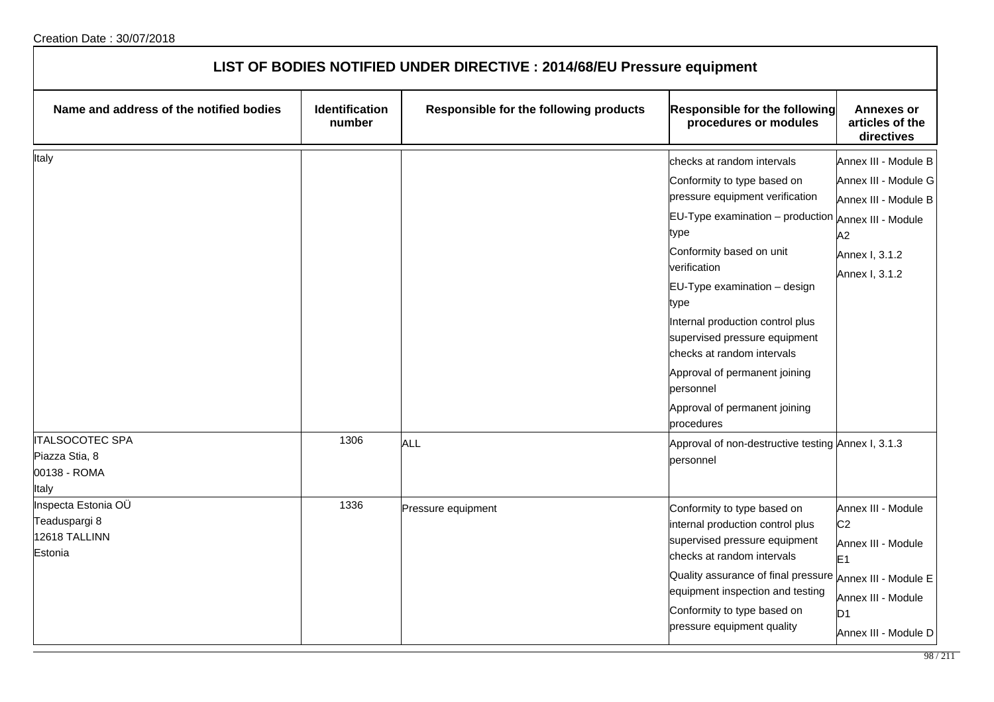| LIST OF BODIES NOTIFIED UNDER DIRECTIVE : 2014/68/EU Pressure equipment |                                 |                                        |                                                                                                                                                                                                                                                                                                                                                                                                                                  |                                                                                                                                                                      |
|-------------------------------------------------------------------------|---------------------------------|----------------------------------------|----------------------------------------------------------------------------------------------------------------------------------------------------------------------------------------------------------------------------------------------------------------------------------------------------------------------------------------------------------------------------------------------------------------------------------|----------------------------------------------------------------------------------------------------------------------------------------------------------------------|
| Name and address of the notified bodies                                 | <b>Identification</b><br>number | Responsible for the following products | <b>Responsible for the following</b><br>procedures or modules                                                                                                                                                                                                                                                                                                                                                                    | <b>Annexes or</b><br>articles of the<br>directives                                                                                                                   |
| Italy<br><b>ITALSOCOTEC SPA</b>                                         | 1306                            | ALL                                    | checks at random intervals<br>Conformity to type based on<br>pressure equipment verification<br>$EU-Type$ examination $-$ production<br>type<br>Conformity based on unit<br>verification<br>EU-Type examination - design<br>type<br>Internal production control plus<br>supervised pressure equipment<br>checks at random intervals<br>Approval of permanent joining<br>personnel<br>Approval of permanent joining<br>procedures | Annex III - Module B<br>Annex III - Module G<br>Annex III - Module B<br>Annex III - Module<br>A2<br>Annex I, 3.1.2<br>Annex I, 3.1.2                                 |
| Piazza Stia, 8<br>00138 - ROMA<br>Italy                                 |                                 |                                        | Approval of non-destructive testing Annex I, 3.1.3<br>personnel                                                                                                                                                                                                                                                                                                                                                                  |                                                                                                                                                                      |
| Inspecta Estonia OÜ<br>Teaduspargi 8<br>12618 TALLINN<br>Estonia        | 1336                            | Pressure equipment                     | Conformity to type based on<br>internal production control plus<br>supervised pressure equipment<br>checks at random intervals<br>Quality assurance of final pressure<br>equipment inspection and testing<br>Conformity to type based on<br>pressure equipment quality                                                                                                                                                           | Annex III - Module<br>C <sub>2</sub><br>Annex III - Module<br>E <sub>1</sub><br>Annex III - Module E<br>Annex III - Module<br>D <sub>1</sub><br>Annex III - Module D |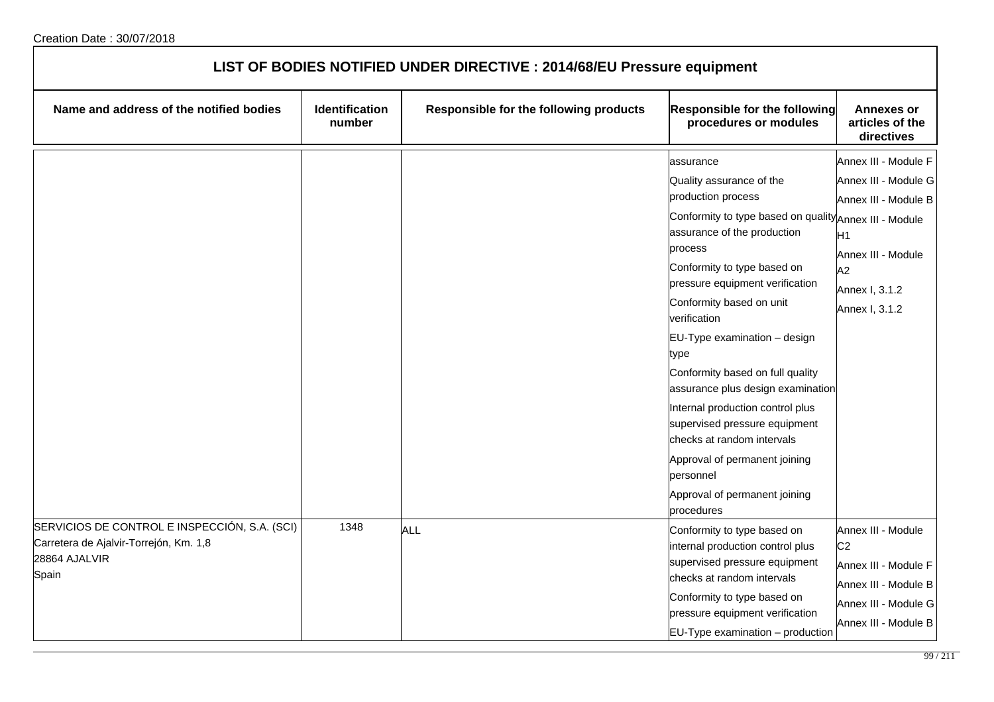| LIST OF BODIES NOTIFIED UNDER DIRECTIVE : 2014/68/EU Pressure equipment                                           |                          |                                        |                                                                                                                                                                                                                                                                                                                                                                                                                                                                                                                                                                                                |                                                                                                                                                        |  |
|-------------------------------------------------------------------------------------------------------------------|--------------------------|----------------------------------------|------------------------------------------------------------------------------------------------------------------------------------------------------------------------------------------------------------------------------------------------------------------------------------------------------------------------------------------------------------------------------------------------------------------------------------------------------------------------------------------------------------------------------------------------------------------------------------------------|--------------------------------------------------------------------------------------------------------------------------------------------------------|--|
| Name and address of the notified bodies                                                                           | Identification<br>number | Responsible for the following products | <b>Responsible for the following</b><br>procedures or modules                                                                                                                                                                                                                                                                                                                                                                                                                                                                                                                                  | <b>Annexes or</b><br>articles of the<br>directives                                                                                                     |  |
|                                                                                                                   |                          |                                        | assurance<br>Quality assurance of the<br>production process<br>Conformity to type based on quality Annex III - Module<br>assurance of the production<br>process<br>Conformity to type based on<br>pressure equipment verification<br>Conformity based on unit<br>verification<br>EU-Type examination - design<br>type<br>Conformity based on full quality<br>assurance plus design examination<br>Internal production control plus<br>supervised pressure equipment<br>checks at random intervals<br>Approval of permanent joining<br>personnel<br>Approval of permanent joining<br>procedures | Annex III - Module F<br>Annex III - Module G<br>Annex III - Module B<br>H1<br>Annex III - Module<br>A <sub>2</sub><br>Annex I, 3.1.2<br>Annex I, 3.1.2 |  |
| SERVICIOS DE CONTROL E INSPECCIÓN, S.A. (SCI)<br>Carretera de Ajalvir-Torrejón, Km. 1,8<br>28864 AJALVIR<br>Spain | 1348                     | <b>ALL</b>                             | Conformity to type based on<br>internal production control plus<br>supervised pressure equipment<br>checks at random intervals<br>Conformity to type based on<br>pressure equipment verification<br>$EU-Type$ examination $-$ production                                                                                                                                                                                                                                                                                                                                                       | Annex III - Module<br>C <sub>2</sub><br>Annex III - Module F<br>Annex III - Module B<br>Annex III - Module G<br>Annex III - Module B                   |  |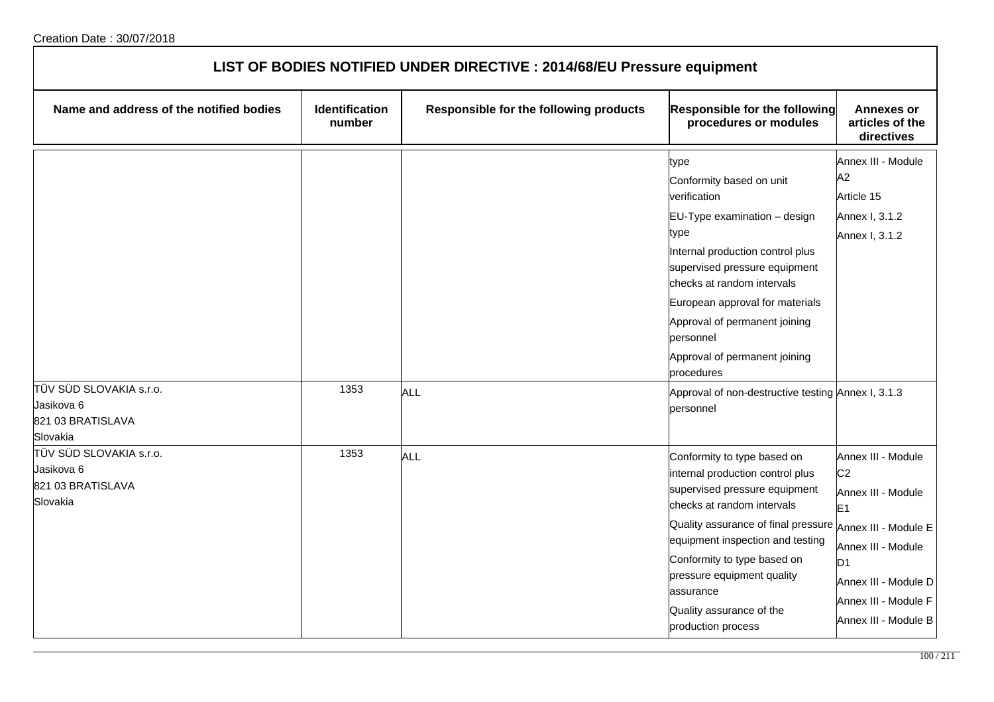| LIST OF BODIES NOTIFIED UNDER DIRECTIVE : 2014/68/EU Pressure equipment |                                 |                                        |                                                                                                                                                                                                                                                                                                                                                                                                |                                                                                                                                                                                                                      |
|-------------------------------------------------------------------------|---------------------------------|----------------------------------------|------------------------------------------------------------------------------------------------------------------------------------------------------------------------------------------------------------------------------------------------------------------------------------------------------------------------------------------------------------------------------------------------|----------------------------------------------------------------------------------------------------------------------------------------------------------------------------------------------------------------------|
| Name and address of the notified bodies                                 | <b>Identification</b><br>number | Responsible for the following products | <b>Responsible for the following</b><br>procedures or modules                                                                                                                                                                                                                                                                                                                                  | <b>Annexes or</b><br>articles of the<br>directives                                                                                                                                                                   |
| TÜV SÜD SLOVAKIA s.r.o.<br>Jasikova 6<br>821 03 BRATISLAVA<br>Slovakia  | 1353                            | ALL                                    | type<br>Conformity based on unit<br>verification<br>EU-Type examination - design<br>type<br>Internal production control plus<br>supervised pressure equipment<br>checks at random intervals<br>European approval for materials<br>Approval of permanent joining<br>personnel<br>Approval of permanent joining<br>procedures<br>Approval of non-destructive testing Annex I, 3.1.3<br>personnel | Annex III - Module<br>A2<br>Article 15<br>Annex I, 3.1.2<br>Annex I, 3.1.2                                                                                                                                           |
| TÜV SÜD SLOVAKIA s.r.o.<br>Jasikova 6<br>821 03 BRATISLAVA<br>Slovakia  | 1353                            | ALL                                    | Conformity to type based on<br>internal production control plus<br>supervised pressure equipment<br>checks at random intervals<br>Quality assurance of final pressure<br>equipment inspection and testing<br>Conformity to type based on<br>pressure equipment quality<br>assurance<br>Quality assurance of the<br>production process                                                          | Annex III - Module<br>C <sub>2</sub><br>Annex III - Module<br>E <sub>1</sub><br>Annex III - Module E<br>Annex III - Module<br>D <sub>1</sub><br>Annex III - Module D<br>Annex III - Module F<br>Annex III - Module B |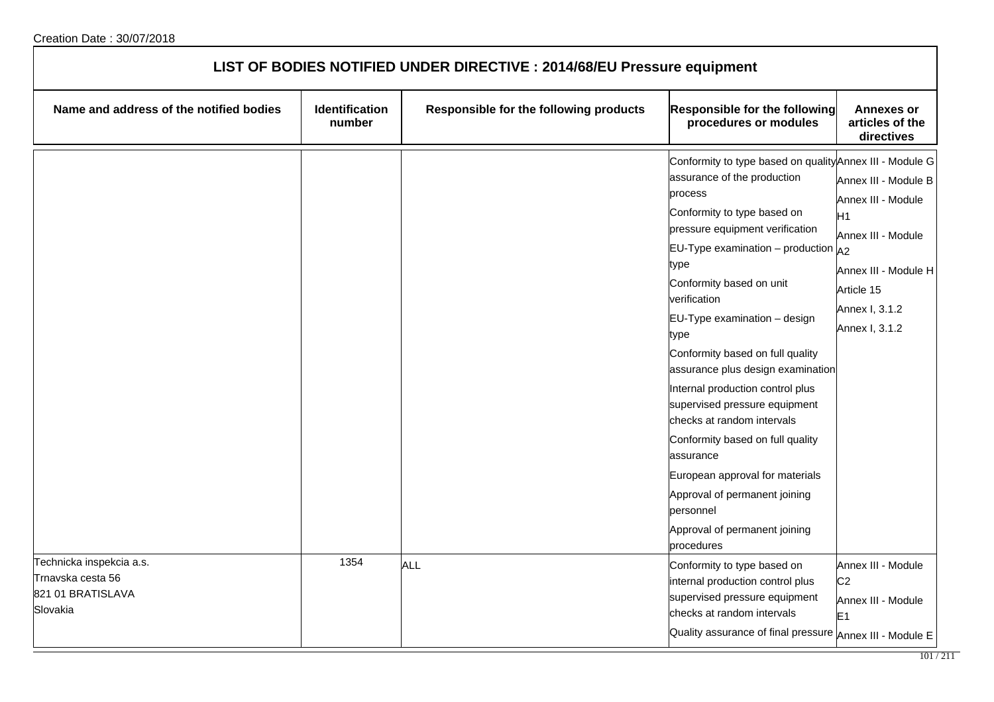| LIST OF BODIES NOTIFIED UNDER DIRECTIVE : 2014/68/EU Pressure equipment        |                          |                                        |                                                                                                                                                                                                                                                                                                                                                                                                                                                                                                                                                                                                                                                                         |                                                                                                                                                  |
|--------------------------------------------------------------------------------|--------------------------|----------------------------------------|-------------------------------------------------------------------------------------------------------------------------------------------------------------------------------------------------------------------------------------------------------------------------------------------------------------------------------------------------------------------------------------------------------------------------------------------------------------------------------------------------------------------------------------------------------------------------------------------------------------------------------------------------------------------------|--------------------------------------------------------------------------------------------------------------------------------------------------|
| Name and address of the notified bodies                                        | Identification<br>number | Responsible for the following products | <b>Responsible for the following</b><br>procedures or modules                                                                                                                                                                                                                                                                                                                                                                                                                                                                                                                                                                                                           | <b>Annexes or</b><br>articles of the<br>directives                                                                                               |
|                                                                                |                          |                                        | Conformity to type based on quality Annex III - Module G<br>assurance of the production<br>process<br>Conformity to type based on<br>pressure equipment verification<br>EU-Type examination – production $A_2$<br>type<br>Conformity based on unit<br>verification<br>EU-Type examination - design<br>type<br>Conformity based on full quality<br>assurance plus design examination<br>Internal production control plus<br>supervised pressure equipment<br>checks at random intervals<br>Conformity based on full quality<br>assurance<br>European approval for materials<br>Approval of permanent joining<br>personnel<br>Approval of permanent joining<br>procedures | Annex III - Module B<br>Annex III - Module<br>H1<br>Annex III - Module<br>Annex III - Module H<br>Article 15<br>Annex I, 3.1.2<br>Annex I, 3.1.2 |
| Technicka inspekcia a.s.<br>Trnavska cesta 56<br>821 01 BRATISLAVA<br>Slovakia | 1354                     | <b>ALL</b>                             | Conformity to type based on<br>internal production control plus<br>supervised pressure equipment<br>checks at random intervals<br>Quality assurance of final pressure Annex III - Module E                                                                                                                                                                                                                                                                                                                                                                                                                                                                              | Annex III - Module<br>C <sub>2</sub><br>Annex III - Module<br>E <sub>1</sub>                                                                     |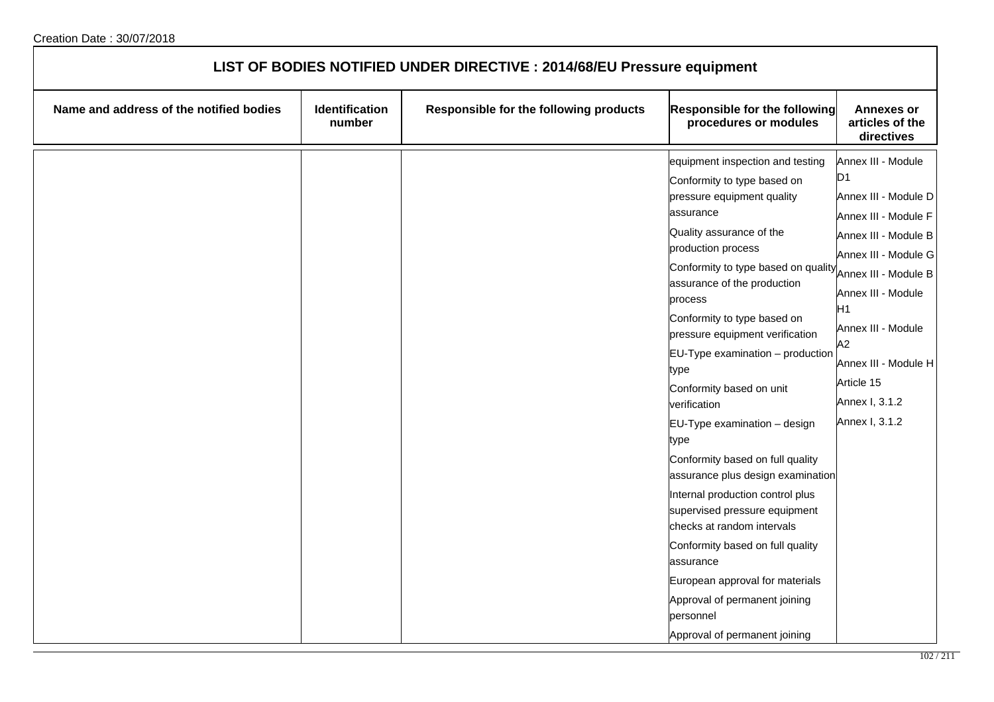| LIST OF BODIES NOTIFIED UNDER DIRECTIVE : 2014/68/EU Pressure equipment |                          |                                        |                                                                                                                                                                                                                                                                                                                                                                                                                                                                                                                                                                                                                                                                                                                                                                                                    |                                                                                                                                                                                                                                                                                                |
|-------------------------------------------------------------------------|--------------------------|----------------------------------------|----------------------------------------------------------------------------------------------------------------------------------------------------------------------------------------------------------------------------------------------------------------------------------------------------------------------------------------------------------------------------------------------------------------------------------------------------------------------------------------------------------------------------------------------------------------------------------------------------------------------------------------------------------------------------------------------------------------------------------------------------------------------------------------------------|------------------------------------------------------------------------------------------------------------------------------------------------------------------------------------------------------------------------------------------------------------------------------------------------|
| Name and address of the notified bodies                                 | Identification<br>number | Responsible for the following products | <b>Responsible for the following</b><br>procedures or modules                                                                                                                                                                                                                                                                                                                                                                                                                                                                                                                                                                                                                                                                                                                                      | <b>Annexes or</b><br>articles of the<br>directives                                                                                                                                                                                                                                             |
|                                                                         |                          |                                        | equipment inspection and testing<br>Conformity to type based on<br>pressure equipment quality<br>assurance<br>Quality assurance of the<br>production process<br>Conformity to type based on quality<br>assurance of the production<br>process<br>Conformity to type based on<br>pressure equipment verification<br>$EU-Type$ examination $-$ production<br>type<br>Conformity based on unit<br>verification<br>EU-Type examination - design<br>type<br>Conformity based on full quality<br>assurance plus design examination<br>Internal production control plus<br>supervised pressure equipment<br>checks at random intervals<br>Conformity based on full quality<br>assurance<br>European approval for materials<br>Approval of permanent joining<br>personnel<br>Approval of permanent joining | Annex III - Module<br>D <sub>1</sub><br>Annex III - Module D<br>Annex III - Module F<br>Annex III - Module B<br>Annex III - Module G<br>Annex III - Module B<br>Annex III - Module<br>H1<br>Annex III - Module<br>А2<br>Annex III - Module H<br>Article 15<br>Annex I, 3.1.2<br>Annex I, 3.1.2 |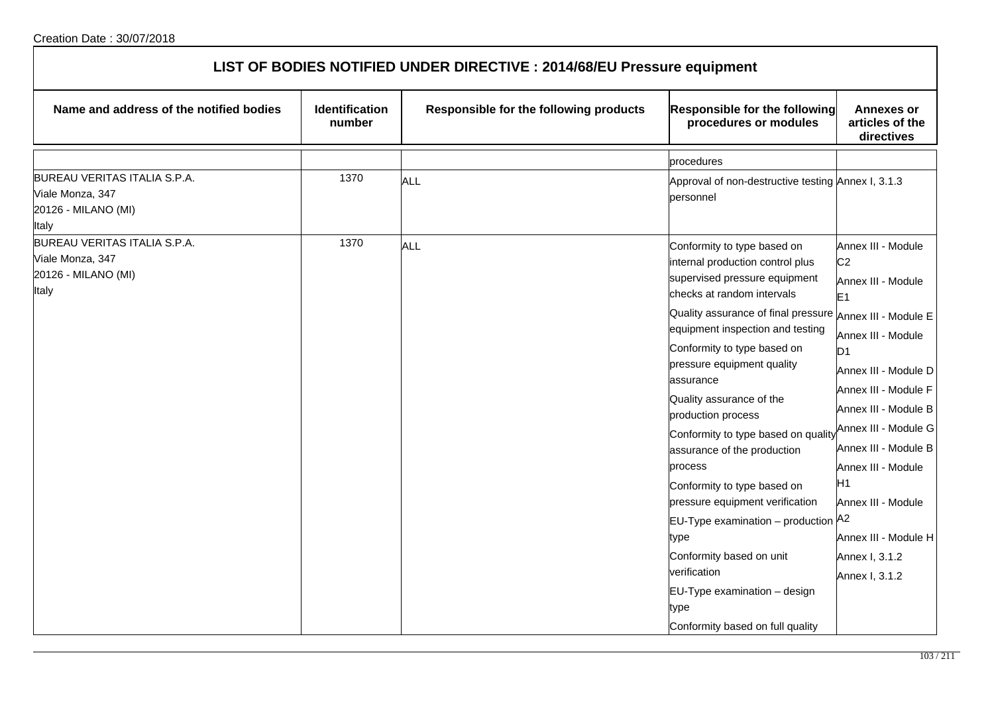| LIST OF BODIES NOTIFIED UNDER DIRECTIVE : 2014/68/EU Pressure equipment                 |                                 |                                        |                                                                                                                                                                                                                                                                                                                                                                                                                                                                                                                                                                                                                                                                                                                |                                                                                                                                                                                                                                                                                                                                                            |  |
|-----------------------------------------------------------------------------------------|---------------------------------|----------------------------------------|----------------------------------------------------------------------------------------------------------------------------------------------------------------------------------------------------------------------------------------------------------------------------------------------------------------------------------------------------------------------------------------------------------------------------------------------------------------------------------------------------------------------------------------------------------------------------------------------------------------------------------------------------------------------------------------------------------------|------------------------------------------------------------------------------------------------------------------------------------------------------------------------------------------------------------------------------------------------------------------------------------------------------------------------------------------------------------|--|
| Name and address of the notified bodies                                                 | <b>Identification</b><br>number | Responsible for the following products | Responsible for the following<br>procedures or modules                                                                                                                                                                                                                                                                                                                                                                                                                                                                                                                                                                                                                                                         | <b>Annexes or</b><br>articles of the<br>directives                                                                                                                                                                                                                                                                                                         |  |
|                                                                                         |                                 |                                        | procedures                                                                                                                                                                                                                                                                                                                                                                                                                                                                                                                                                                                                                                                                                                     |                                                                                                                                                                                                                                                                                                                                                            |  |
| BUREAU VERITAS ITALIA S.P.A.<br>Viale Monza, 347<br>20126 - MILANO (MI)<br><b>Italy</b> | 1370                            | ALL                                    | Approval of non-destructive testing Annex I, 3.1.3<br>personnel                                                                                                                                                                                                                                                                                                                                                                                                                                                                                                                                                                                                                                                |                                                                                                                                                                                                                                                                                                                                                            |  |
| BUREAU VERITAS ITALIA S.P.A.<br>Viale Monza, 347<br>20126 - MILANO (MI)<br>Italy        | 1370                            | <b>ALL</b>                             | Conformity to type based on<br>internal production control plus<br>supervised pressure equipment<br>checks at random intervals<br>Quality assurance of final pressure $ _{\mathsf{Annex\ III}}$ . Module E<br>equipment inspection and testing<br>Conformity to type based on<br>pressure equipment quality<br>assurance<br>Quality assurance of the<br>production process<br>Conformity to type based on quality<br>assurance of the production<br>process<br>Conformity to type based on<br>pressure equipment verification<br><b>EU-Type examination</b> – production $A^2$<br>type<br>Conformity based on unit<br>verification<br>EU-Type examination - design<br>type<br>Conformity based on full quality | Annex III - Module<br>C <sub>2</sub><br>Annex III - Module<br>E1<br>Annex III - Module<br>D <sub>1</sub><br>Annex III - Module D<br>Annex III - Module F<br>Annex III - Module B<br>Annex III - Module G<br>Annex III - Module B<br>Annex III - Module<br>H <sub>1</sub><br>Annex III - Module<br>Annex III - Module H<br>Annex I, 3.1.2<br>Annex I, 3.1.2 |  |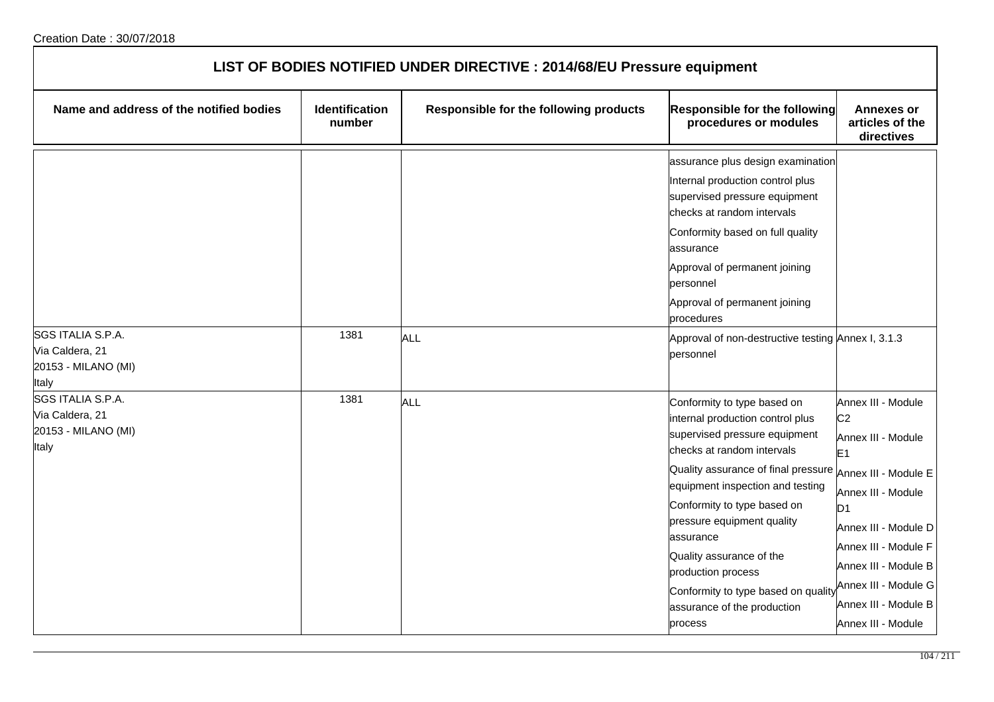| LIST OF BODIES NOTIFIED UNDER DIRECTIVE : 2014/68/EU Pressure equipment |                                 |                                        |                                                                                                                                                                                                                                                                                                                                                                                                                                             |                                                                                                                                                                                                                                                                    |  |
|-------------------------------------------------------------------------|---------------------------------|----------------------------------------|---------------------------------------------------------------------------------------------------------------------------------------------------------------------------------------------------------------------------------------------------------------------------------------------------------------------------------------------------------------------------------------------------------------------------------------------|--------------------------------------------------------------------------------------------------------------------------------------------------------------------------------------------------------------------------------------------------------------------|--|
| Name and address of the notified bodies                                 | <b>Identification</b><br>number | Responsible for the following products | Responsible for the following<br>procedures or modules                                                                                                                                                                                                                                                                                                                                                                                      | <b>Annexes or</b><br>articles of the<br>directives                                                                                                                                                                                                                 |  |
| SGS ITALIA S.P.A.                                                       | 1381                            | ALL                                    | assurance plus design examination<br>Internal production control plus<br>supervised pressure equipment<br>checks at random intervals<br>Conformity based on full quality<br>assurance<br>Approval of permanent joining<br>personnel<br>Approval of permanent joining<br>procedures<br>Approval of non-destructive testing Annex I, 3.1.3                                                                                                    |                                                                                                                                                                                                                                                                    |  |
| Via Caldera, 21<br>20153 - MILANO (MI)<br>Italy                         |                                 |                                        | personnel                                                                                                                                                                                                                                                                                                                                                                                                                                   |                                                                                                                                                                                                                                                                    |  |
| SGS ITALIA S.P.A.<br>Via Caldera, 21<br>20153 - MILANO (MI)<br>Italy    | 1381                            | <b>ALL</b>                             | Conformity to type based on<br>internal production control plus<br>supervised pressure equipment<br>checks at random intervals<br>Quality assurance of final pressure Annex III - Module E<br>equipment inspection and testing<br>Conformity to type based on<br>pressure equipment quality<br>assurance<br>Quality assurance of the<br>production process<br>Conformity to type based on quality<br>assurance of the production<br>process | Annex III - Module<br>C <sub>2</sub><br>Annex III - Module<br>E <sub>1</sub><br>Annex III - Module<br>D <sub>1</sub><br>Annex III - Module D<br>Annex III - Module F<br>Annex III - Module B<br>Annex III - Module G<br>Annex III - Module B<br>Annex III - Module |  |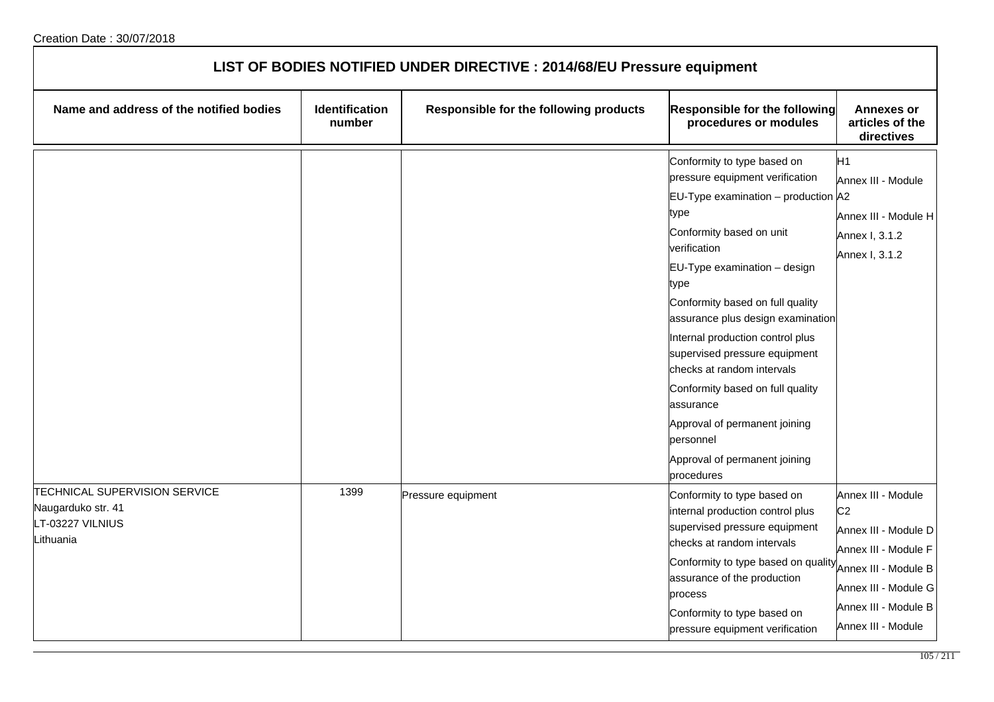| LIST OF BODIES NOTIFIED UNDER DIRECTIVE : 2014/68/EU Pressure equipment                     |                                 |                                        |                                                                                                                                                                                                                                                                                                                                                                                                                                                                                                                                 |                                                                                                                                                                                    |  |
|---------------------------------------------------------------------------------------------|---------------------------------|----------------------------------------|---------------------------------------------------------------------------------------------------------------------------------------------------------------------------------------------------------------------------------------------------------------------------------------------------------------------------------------------------------------------------------------------------------------------------------------------------------------------------------------------------------------------------------|------------------------------------------------------------------------------------------------------------------------------------------------------------------------------------|--|
| Name and address of the notified bodies                                                     | <b>Identification</b><br>number | Responsible for the following products | Responsible for the following<br>procedures or modules                                                                                                                                                                                                                                                                                                                                                                                                                                                                          | <b>Annexes or</b><br>articles of the<br>directives                                                                                                                                 |  |
|                                                                                             |                                 |                                        | Conformity to type based on<br>pressure equipment verification<br>EU-Type examination – production $ A2 $<br>type<br>Conformity based on unit<br>verification<br>EU-Type examination - design<br>type<br>Conformity based on full quality<br>assurance plus design examination<br>Internal production control plus<br>supervised pressure equipment<br>checks at random intervals<br>Conformity based on full quality<br>assurance<br>Approval of permanent joining<br>personnel<br>Approval of permanent joining<br>procedures | H <sub>1</sub><br>Annex III - Module<br>Annex III - Module H<br>Annex I, 3.1.2<br>Annex I, 3.1.2                                                                                   |  |
| <b>TECHNICAL SUPERVISION SERVICE</b><br>Naugarduko str. 41<br>LT-03227 VILNIUS<br>Lithuania | 1399                            | Pressure equipment                     | Conformity to type based on<br>internal production control plus<br>supervised pressure equipment<br>checks at random intervals<br>Conformity to type based on quality<br>assurance of the production<br>process<br>Conformity to type based on<br>pressure equipment verification                                                                                                                                                                                                                                               | Annex III - Module<br>C <sub>2</sub><br>Annex III - Module D<br>Annex III - Module F<br>Annex III - Module B<br>Annex III - Module G<br>Annex III - Module B<br>Annex III - Module |  |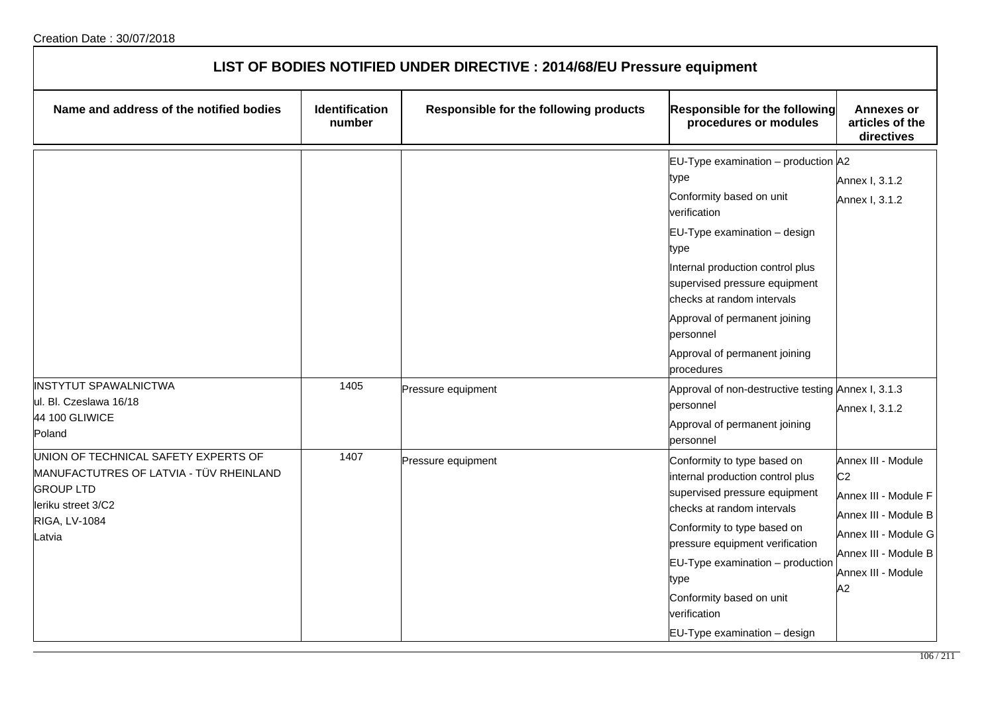| LIST OF BODIES NOTIFIED UNDER DIRECTIVE : 2014/68/EU Pressure equipment                                                                              |                          |                                        |                                                                                                                                                                                                                                                                                                                                 |                                                                                                                                                                  |  |
|------------------------------------------------------------------------------------------------------------------------------------------------------|--------------------------|----------------------------------------|---------------------------------------------------------------------------------------------------------------------------------------------------------------------------------------------------------------------------------------------------------------------------------------------------------------------------------|------------------------------------------------------------------------------------------------------------------------------------------------------------------|--|
| Name and address of the notified bodies                                                                                                              | Identification<br>number | Responsible for the following products | Responsible for the following<br>procedures or modules                                                                                                                                                                                                                                                                          | <b>Annexes or</b><br>articles of the<br>directives                                                                                                               |  |
|                                                                                                                                                      |                          |                                        | EU-Type examination - production A2<br>type<br>Conformity based on unit<br>verification<br>EU-Type examination - design<br>type<br>Internal production control plus<br>supervised pressure equipment<br>checks at random intervals<br>Approval of permanent joining<br>personnel<br>Approval of permanent joining<br>procedures | Annex I, 3.1.2<br>Annex I, 3.1.2                                                                                                                                 |  |
| <b>INSTYTUT SPAWALNICTWA</b><br>ul. Bl. Czeslawa 16/18<br>44 100 GLIWICE<br>Poland                                                                   | 1405                     | Pressure equipment                     | Approval of non-destructive testing Annex I, 3.1.3<br>personnel<br>Approval of permanent joining<br>personnel                                                                                                                                                                                                                   | Annex I, 3.1.2                                                                                                                                                   |  |
| UNION OF TECHNICAL SAFETY EXPERTS OF<br>MANUFACTUTRES OF LATVIA - TÜV RHEINLAND<br><b>GROUP LTD</b><br>leriku street 3/C2<br>RIGA, LV-1084<br>Latvia | 1407                     | Pressure equipment                     | Conformity to type based on<br>internal production control plus<br>supervised pressure equipment<br>checks at random intervals<br>Conformity to type based on<br>pressure equipment verification<br>$EU-Type$ examination $-$ production<br>type<br>Conformity based on unit<br>verification<br>EU-Type examination - design    | Annex III - Module<br>C <sub>2</sub><br>Annex III - Module F<br>Annex III - Module B<br>Annex III - Module G<br>Annex III - Module B<br>Annex III - Module<br>A2 |  |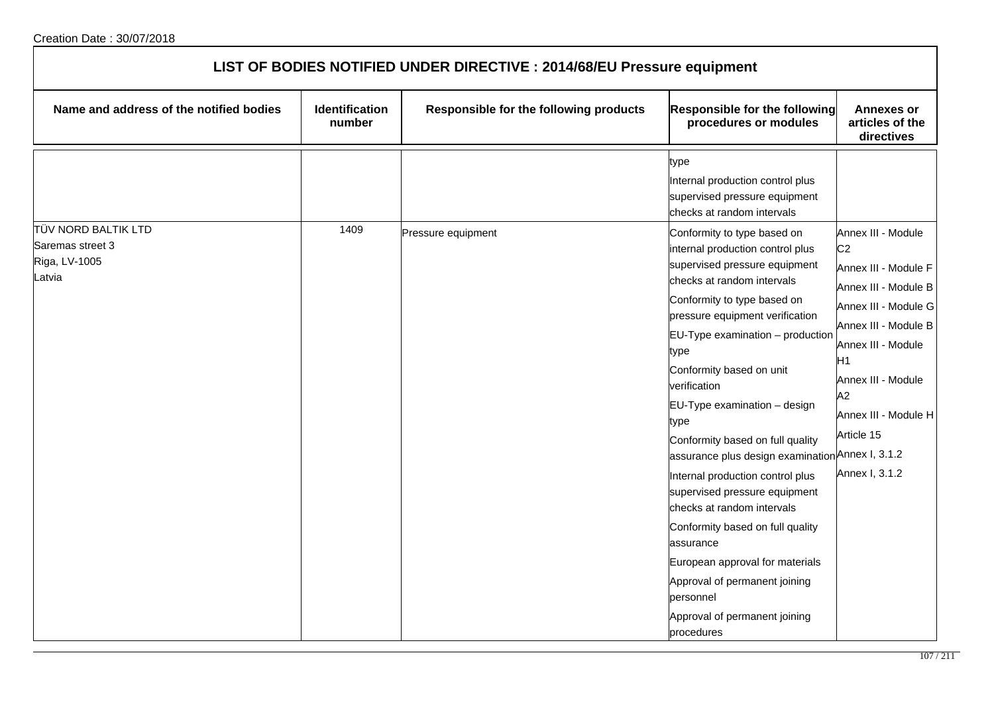| LIST OF BODIES NOTIFIED UNDER DIRECTIVE : 2014/68/EU Pressure equipment |                          |                                        |                                                                                                                                                                                                                                                                                                                                                                                                                                                                                                                                                                                                                                                                                   |                                                                                                                                                                                                                                |  |
|-------------------------------------------------------------------------|--------------------------|----------------------------------------|-----------------------------------------------------------------------------------------------------------------------------------------------------------------------------------------------------------------------------------------------------------------------------------------------------------------------------------------------------------------------------------------------------------------------------------------------------------------------------------------------------------------------------------------------------------------------------------------------------------------------------------------------------------------------------------|--------------------------------------------------------------------------------------------------------------------------------------------------------------------------------------------------------------------------------|--|
| Name and address of the notified bodies                                 | Identification<br>number | Responsible for the following products | <b>Responsible for the following</b><br>procedures or modules                                                                                                                                                                                                                                                                                                                                                                                                                                                                                                                                                                                                                     | <b>Annexes or</b><br>articles of the<br>directives                                                                                                                                                                             |  |
| <b>TÜV NORD BALTIK LTD</b><br>Saremas street 3                          | 1409                     | Pressure equipment                     | type<br>Internal production control plus<br>supervised pressure equipment<br>checks at random intervals<br>Conformity to type based on                                                                                                                                                                                                                                                                                                                                                                                                                                                                                                                                            | Annex III - Module                                                                                                                                                                                                             |  |
| Riga, LV-1005<br>_atvia                                                 |                          |                                        | internal production control plus<br>supervised pressure equipment<br>checks at random intervals<br>Conformity to type based on<br>pressure equipment verification<br>$EU-Type$ examination $-$ production<br>type<br>Conformity based on unit<br>verification<br>EU-Type examination - design<br>type<br>Conformity based on full quality<br>assurance plus design examination Annex I, 3.1.2<br>Internal production control plus<br>supervised pressure equipment<br>checks at random intervals<br>Conformity based on full quality<br>assurance<br>European approval for materials<br>Approval of permanent joining<br>personnel<br>Approval of permanent joining<br>procedures | C <sub>2</sub><br>Annex III - Module F<br>Annex III - Module B<br>Annex III - Module G<br>Annex III - Module B<br>Annex III - Module<br>Η1<br>Annex III - Module<br>A2<br>Annex III - Module H<br>Article 15<br>Annex I, 3.1.2 |  |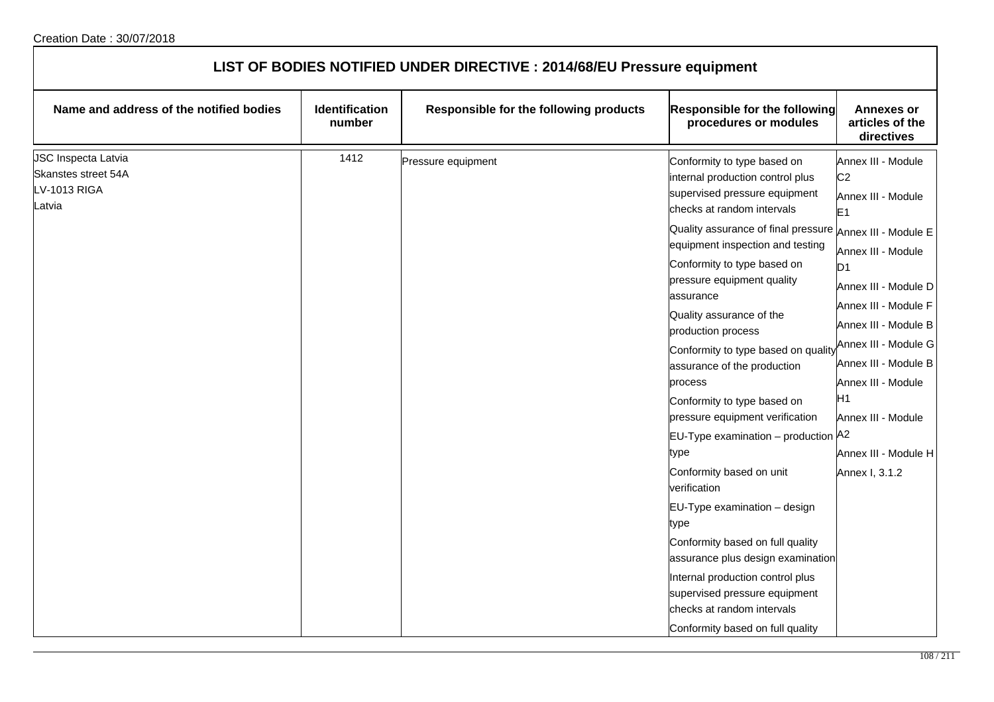| LIST OF BODIES NOTIFIED UNDER DIRECTIVE : 2014/68/EU Pressure equipment     |                                 |                                        |                                                                                                                                                                                                                                                                                                                                                                                                                                                                                                                                                                                                                                                                                                                                                                                                                                             |                                                                                                                                                                                                                                                                                                                                                      |
|-----------------------------------------------------------------------------|---------------------------------|----------------------------------------|---------------------------------------------------------------------------------------------------------------------------------------------------------------------------------------------------------------------------------------------------------------------------------------------------------------------------------------------------------------------------------------------------------------------------------------------------------------------------------------------------------------------------------------------------------------------------------------------------------------------------------------------------------------------------------------------------------------------------------------------------------------------------------------------------------------------------------------------|------------------------------------------------------------------------------------------------------------------------------------------------------------------------------------------------------------------------------------------------------------------------------------------------------------------------------------------------------|
| Name and address of the notified bodies                                     | <b>Identification</b><br>number | Responsible for the following products | <b>Responsible for the following</b><br>procedures or modules                                                                                                                                                                                                                                                                                                                                                                                                                                                                                                                                                                                                                                                                                                                                                                               | <b>Annexes or</b><br>articles of the<br>directives                                                                                                                                                                                                                                                                                                   |
| JSC Inspecta Latvia<br>Skanstes street 54A<br><b>LV-1013 RIGA</b><br>Latvia | 1412                            | Pressure equipment                     | Conformity to type based on<br>internal production control plus<br>supervised pressure equipment<br>checks at random intervals<br>Quality assurance of final pressure<br>equipment inspection and testing<br>Conformity to type based on<br>pressure equipment quality<br>assurance<br>Quality assurance of the<br>production process<br>Conformity to type based on quality<br>assurance of the production<br>process<br>Conformity to type based on<br>pressure equipment verification<br>EU-Type examination - production A2<br>type<br>Conformity based on unit<br>verification<br>EU-Type examination - design<br>type<br>Conformity based on full quality<br>assurance plus design examination<br>Internal production control plus<br>supervised pressure equipment<br>checks at random intervals<br>Conformity based on full quality | Annex III - Module<br>C <sub>2</sub><br>Annex III - Module<br>E <sub>1</sub><br>Annex III - Module E<br>Annex III - Module<br>D1<br>Annex III - Module D<br>Annex III - Module F<br>Annex III - Module B<br>Annex III - Module G<br>Annex III - Module B<br>Annex III - Module<br>H1<br>Annex III - Module<br>Annex III - Module H<br>Annex I, 3.1.2 |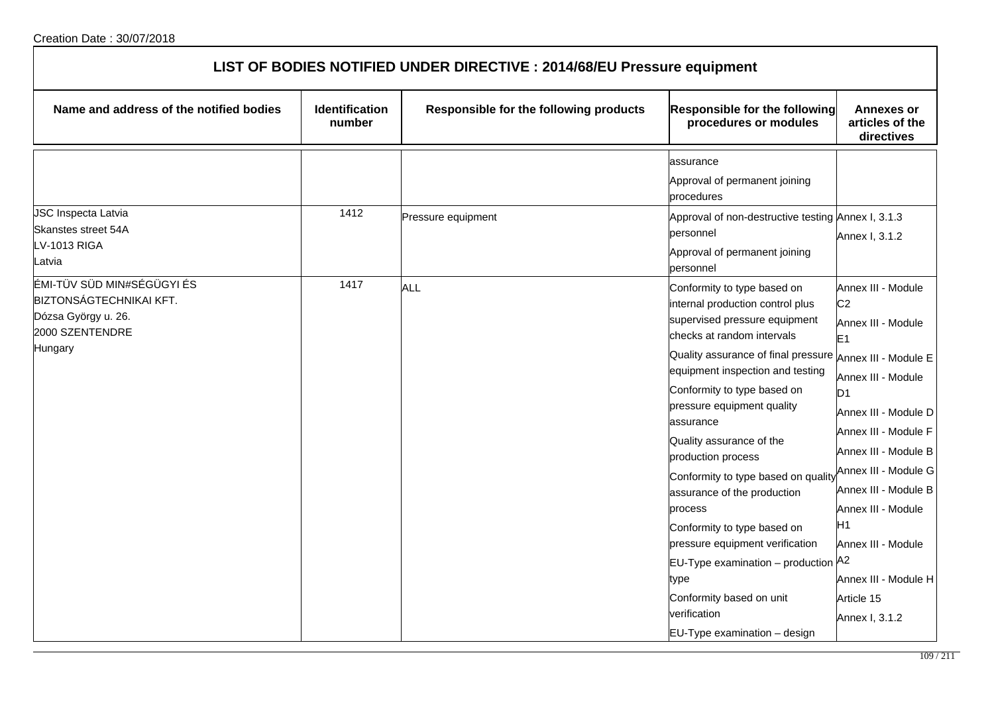| LIST OF BODIES NOTIFIED UNDER DIRECTIVE : 2014/68/EU Pressure equipment                                           |                          |                                        |                                                                                                                                                                                                                                                                                                                                                                                                                                                                                                                                                                                                                                                         |                                                                                                                                                                                                                                                                                                                                                        |
|-------------------------------------------------------------------------------------------------------------------|--------------------------|----------------------------------------|---------------------------------------------------------------------------------------------------------------------------------------------------------------------------------------------------------------------------------------------------------------------------------------------------------------------------------------------------------------------------------------------------------------------------------------------------------------------------------------------------------------------------------------------------------------------------------------------------------------------------------------------------------|--------------------------------------------------------------------------------------------------------------------------------------------------------------------------------------------------------------------------------------------------------------------------------------------------------------------------------------------------------|
| Name and address of the notified bodies                                                                           | Identification<br>number | Responsible for the following products | <b>Responsible for the following</b><br>procedures or modules                                                                                                                                                                                                                                                                                                                                                                                                                                                                                                                                                                                           | <b>Annexes or</b><br>articles of the<br>directives                                                                                                                                                                                                                                                                                                     |
| JSC Inspecta Latvia                                                                                               | 1412                     |                                        | assurance<br>Approval of permanent joining<br>procedures                                                                                                                                                                                                                                                                                                                                                                                                                                                                                                                                                                                                |                                                                                                                                                                                                                                                                                                                                                        |
| Skanstes street 54A<br>LV-1013 RIGA<br>atvia                                                                      |                          | Pressure equipment                     | Approval of non-destructive testing Annex I, 3.1.3<br>personnel<br>Approval of permanent joining<br>personnel                                                                                                                                                                                                                                                                                                                                                                                                                                                                                                                                           | Annex I, 3.1.2                                                                                                                                                                                                                                                                                                                                         |
| ÉMI-TÜV SÜD MIN#SÉGÜGYI ÉS<br><b>BIZTONSÁGTECHNIKAI KFT.</b><br>Dózsa György u. 26.<br>2000 SZENTENDRE<br>Hungary | 1417                     | ALL                                    | Conformity to type based on<br>internal production control plus<br>supervised pressure equipment<br>checks at random intervals<br>Quality assurance of final pressure $ _{\mathsf{Annex}}$ III - Module E<br>equipment inspection and testing<br>Conformity to type based on<br>pressure equipment quality<br>assurance<br>Quality assurance of the<br>production process<br>Conformity to type based on quality<br>assurance of the production<br>process<br>Conformity to type based on<br>pressure equipment verification<br>EU-Type examination - production A2<br>type<br>Conformity based on unit<br>verification<br>EU-Type examination - design | Annex III - Module<br>C <sub>2</sub><br>Annex III - Module<br>E <sub>1</sub><br>Annex III - Module<br>D <sub>1</sub><br>Annex III - Module D<br>Annex III - Module F<br>Annex III - Module B<br>Annex III - Module G<br>Annex III - Module B<br>Annex III - Module<br>H1<br>Annex III - Module<br>Annex III - Module H<br>Article 15<br>Annex I, 3.1.2 |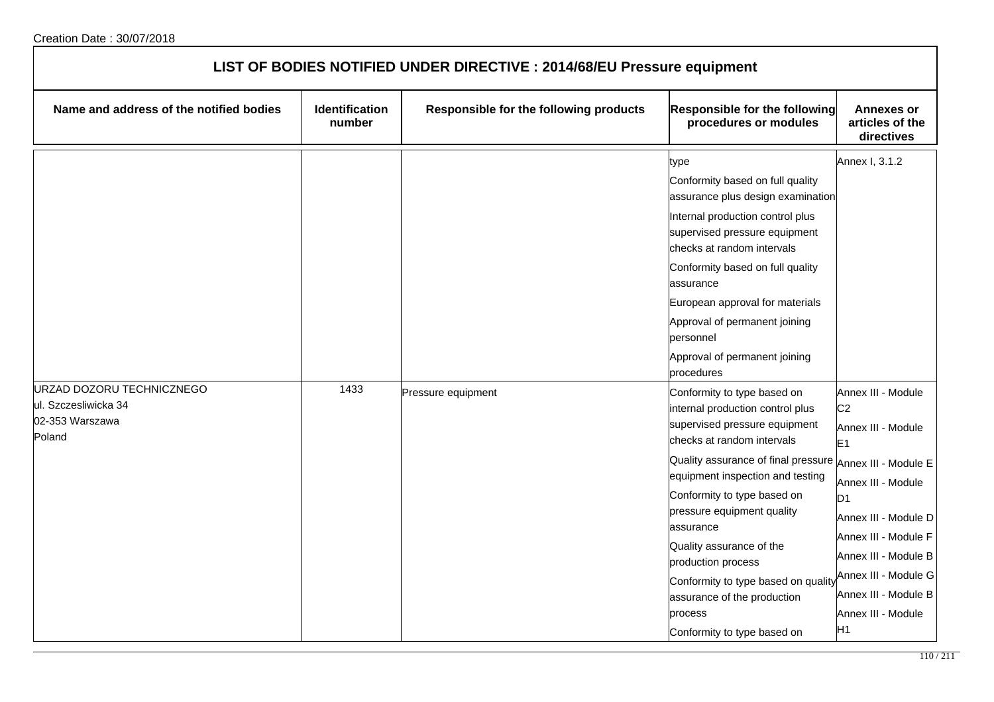| LIST OF BODIES NOTIFIED UNDER DIRECTIVE : 2014/68/EU Pressure equipment        |                                 |                                        |                                                                                                                                                                                                                                                                                                                                                                                                                                                                            |                                                                                                                                                                                                                                                                                      |
|--------------------------------------------------------------------------------|---------------------------------|----------------------------------------|----------------------------------------------------------------------------------------------------------------------------------------------------------------------------------------------------------------------------------------------------------------------------------------------------------------------------------------------------------------------------------------------------------------------------------------------------------------------------|--------------------------------------------------------------------------------------------------------------------------------------------------------------------------------------------------------------------------------------------------------------------------------------|
| Name and address of the notified bodies                                        | <b>Identification</b><br>number | Responsible for the following products | <b>Responsible for the following</b><br>procedures or modules                                                                                                                                                                                                                                                                                                                                                                                                              | <b>Annexes or</b><br>articles of the<br>directives                                                                                                                                                                                                                                   |
|                                                                                |                                 |                                        | type<br>Conformity based on full quality<br>assurance plus design examination<br>Internal production control plus<br>supervised pressure equipment<br>checks at random intervals<br>Conformity based on full quality<br>assurance<br>European approval for materials<br>Approval of permanent joining<br>personnel<br>Approval of permanent joining<br>procedures                                                                                                          | Annex I, 3.1.2                                                                                                                                                                                                                                                                       |
| URZAD DOZORU TECHNICZNEGO<br>ul. Szczesliwicka 34<br>02-353 Warszawa<br>Poland | 1433                            | Pressure equipment                     | Conformity to type based on<br>internal production control plus<br>supervised pressure equipment<br>checks at random intervals<br>Quality assurance of final pressure Annex III - Module E<br>equipment inspection and testing<br>Conformity to type based on<br>pressure equipment quality<br>assurance<br>Quality assurance of the<br>production process<br>Conformity to type based on quality<br>assurance of the production<br>process<br>Conformity to type based on | Annex III - Module<br>C <sub>2</sub><br>Annex III - Module<br>E <sub>1</sub><br>Annex III - Module<br>D <sub>1</sub><br>Annex III - Module D<br>Annex III - Module F<br>Annex III - Module B<br>Annex III - Module G<br>Annex III - Module B<br>Annex III - Module<br>H <sub>1</sub> |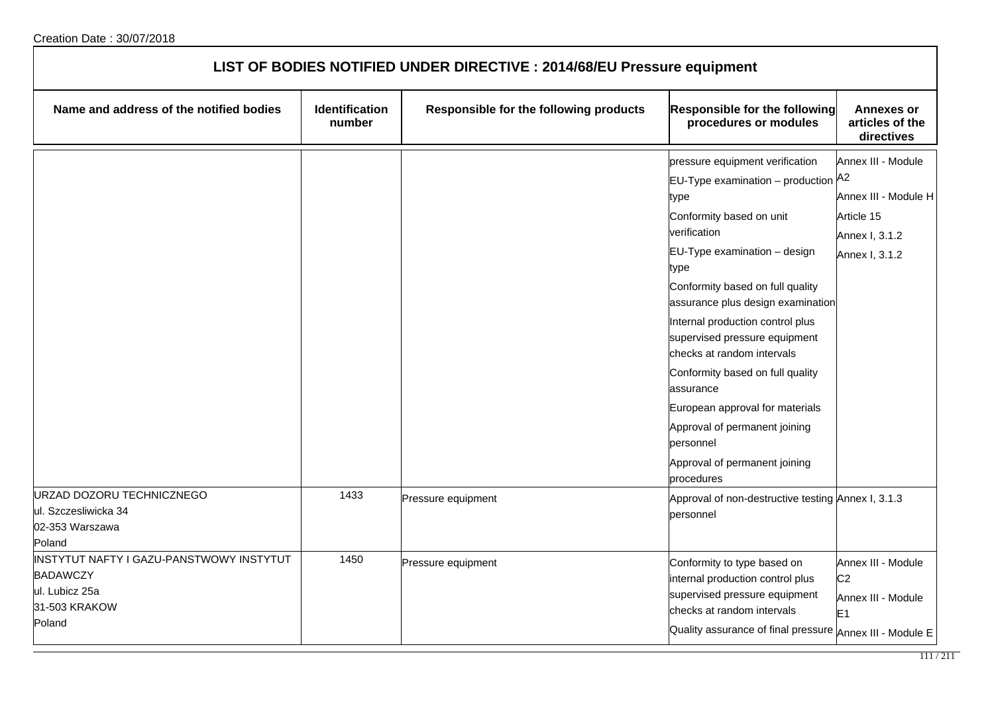| LIST OF BODIES NOTIFIED UNDER DIRECTIVE : 2014/68/EU Pressure equipment                                  |                          |                                        |                                                                                                                                                                                                                                                                                                                                                                                                                                                                                                                                           |                                                                                              |
|----------------------------------------------------------------------------------------------------------|--------------------------|----------------------------------------|-------------------------------------------------------------------------------------------------------------------------------------------------------------------------------------------------------------------------------------------------------------------------------------------------------------------------------------------------------------------------------------------------------------------------------------------------------------------------------------------------------------------------------------------|----------------------------------------------------------------------------------------------|
| Name and address of the notified bodies                                                                  | Identification<br>number | Responsible for the following products | <b>Responsible for the following</b><br>procedures or modules                                                                                                                                                                                                                                                                                                                                                                                                                                                                             | <b>Annexes or</b><br>articles of the<br>directives                                           |
|                                                                                                          |                          |                                        | pressure equipment verification<br><b>EU-Type examination</b> – production $A^2$<br>type<br>Conformity based on unit<br>verification<br>EU-Type examination - design<br>type<br>Conformity based on full quality<br>assurance plus design examination<br>Internal production control plus<br>supervised pressure equipment<br>checks at random intervals<br>Conformity based on full quality<br>assurance<br>European approval for materials<br>Approval of permanent joining<br>personnel<br>Approval of permanent joining<br>procedures | Annex III - Module<br>Annex III - Module H<br>Article 15<br>Annex I, 3.1.2<br>Annex I, 3.1.2 |
| URZAD DOZORU TECHNICZNEGO<br>ul. Szczesliwicka 34<br>02-353 Warszawa<br>Poland                           | 1433                     | Pressure equipment                     | Approval of non-destructive testing Annex I, 3.1.3<br>personnel                                                                                                                                                                                                                                                                                                                                                                                                                                                                           |                                                                                              |
| INSTYTUT NAFTY I GAZU-PANSTWOWY INSTYTUT<br><b>BADAWCZY</b><br>ul. Lubicz 25a<br>31-503 KRAKOW<br>Poland | 1450                     | Pressure equipment                     | Conformity to type based on<br>internal production control plus<br>supervised pressure equipment<br>checks at random intervals<br>Quality assurance of final pressure Annex III - Module E                                                                                                                                                                                                                                                                                                                                                | Annex III - Module<br>C <sub>2</sub><br>Annex III - Module<br>E <sub>1</sub>                 |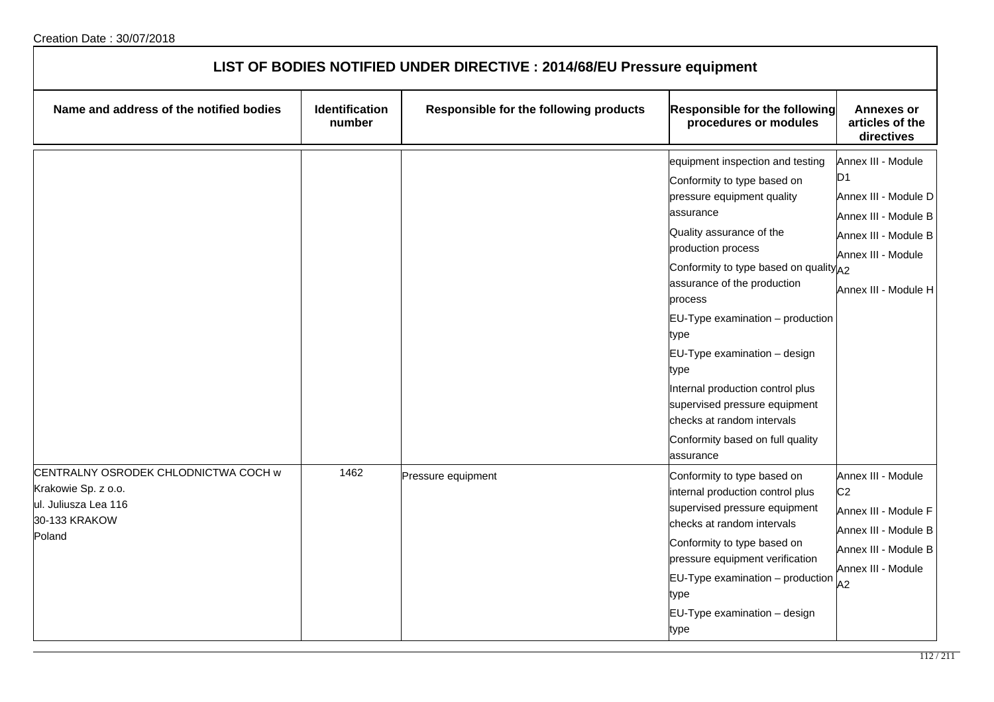| LIST OF BODIES NOTIFIED UNDER DIRECTIVE : 2014/68/EU Pressure equipment                                        |                          |                                        |                                                                                                                                                                                                                                                                                                                                                                                                                                                                                                  |                                                                                                                                                |
|----------------------------------------------------------------------------------------------------------------|--------------------------|----------------------------------------|--------------------------------------------------------------------------------------------------------------------------------------------------------------------------------------------------------------------------------------------------------------------------------------------------------------------------------------------------------------------------------------------------------------------------------------------------------------------------------------------------|------------------------------------------------------------------------------------------------------------------------------------------------|
| Name and address of the notified bodies                                                                        | Identification<br>number | Responsible for the following products | Responsible for the following<br>procedures or modules                                                                                                                                                                                                                                                                                                                                                                                                                                           | <b>Annexes or</b><br>articles of the<br>directives                                                                                             |
|                                                                                                                |                          |                                        | equipment inspection and testing<br>Conformity to type based on<br>pressure equipment quality<br>assurance<br>Quality assurance of the<br>production process<br>Conformity to type based on quality A2<br>assurance of the production<br>process<br>$EU-Type$ examination $-$ production<br>type<br>$EU-Type$ examination $-$ design<br>type<br>Internal production control plus<br>supervised pressure equipment<br>checks at random intervals<br>Conformity based on full quality<br>assurance | Annex III - Module<br>D1<br>Annex III - Module D<br>Annex III - Module B<br>Annex III - Module B<br>Annex III - Module<br>Annex III - Module H |
| CENTRALNY OSRODEK CHLODNICTWA COCH w<br>Krakowie Sp. z o.o.<br>ul. Juliusza Lea 116<br>30-133 KRAKOW<br>Poland | 1462                     | Pressure equipment                     | Conformity to type based on<br>internal production control plus<br>supervised pressure equipment<br>checks at random intervals<br>Conformity to type based on<br>pressure equipment verification<br>$EU-Type$ examination $-$ production<br>type<br>$EU-Type$ examination $-$ design<br>type                                                                                                                                                                                                     | Annex III - Module<br>C <sub>2</sub><br>Annex III - Module F<br>Annex III - Module B<br>Annex III - Module B<br>Annex III - Module<br>A2       |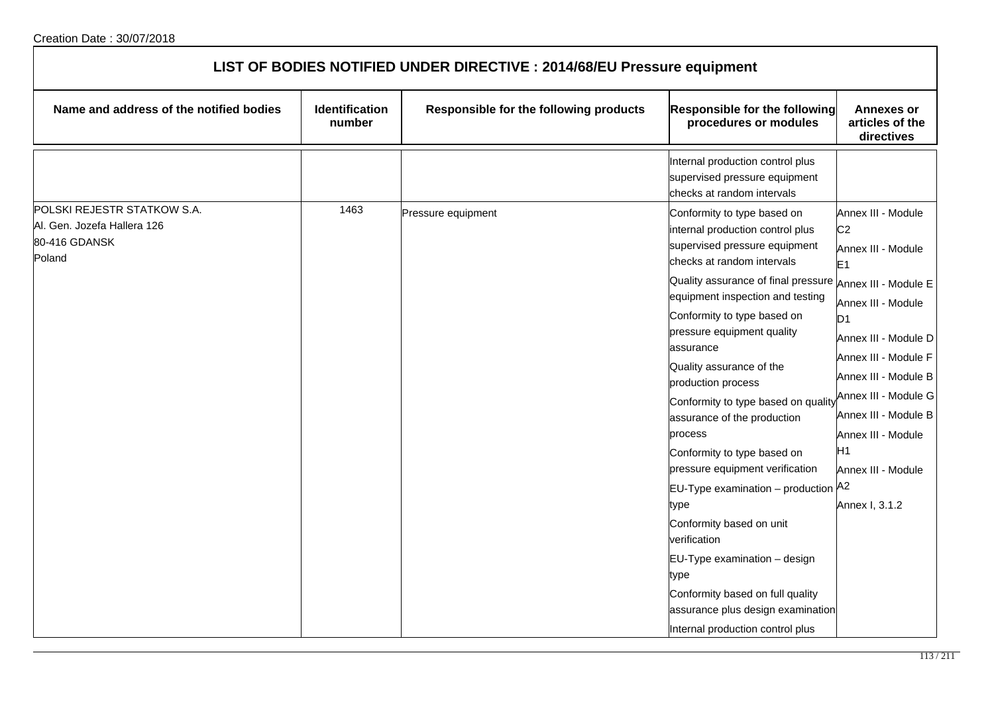| LIST OF BODIES NOTIFIED UNDER DIRECTIVE : 2014/68/EU Pressure equipment               |                          |                                        |                                                                                                                                                                                                                                                                                                                                                                                                                                                                                                                                                                                                                                                                                                                                          |                                                                                                                                                                                                                                                                                                                                          |
|---------------------------------------------------------------------------------------|--------------------------|----------------------------------------|------------------------------------------------------------------------------------------------------------------------------------------------------------------------------------------------------------------------------------------------------------------------------------------------------------------------------------------------------------------------------------------------------------------------------------------------------------------------------------------------------------------------------------------------------------------------------------------------------------------------------------------------------------------------------------------------------------------------------------------|------------------------------------------------------------------------------------------------------------------------------------------------------------------------------------------------------------------------------------------------------------------------------------------------------------------------------------------|
| Name and address of the notified bodies                                               | Identification<br>number | Responsible for the following products | Responsible for the following<br>procedures or modules                                                                                                                                                                                                                                                                                                                                                                                                                                                                                                                                                                                                                                                                                   | <b>Annexes or</b><br>articles of the<br>directives                                                                                                                                                                                                                                                                                       |
|                                                                                       |                          |                                        | Internal production control plus<br>supervised pressure equipment<br>checks at random intervals                                                                                                                                                                                                                                                                                                                                                                                                                                                                                                                                                                                                                                          |                                                                                                                                                                                                                                                                                                                                          |
| POLSKI REJESTR STATKOW S.A.<br>Al. Gen. Jozefa Hallera 126<br>80-416 GDANSK<br>Poland | 1463                     | Pressure equipment                     | Conformity to type based on<br>internal production control plus<br>supervised pressure equipment<br>checks at random intervals<br>Quality assurance of final pressure<br>equipment inspection and testing<br>Conformity to type based on<br>pressure equipment quality<br>assurance<br>Quality assurance of the<br>production process<br>Conformity to type based on quality<br>assurance of the production<br>process<br>Conformity to type based on<br>pressure equipment verification<br>EU-Type examination - production A2<br>type<br>Conformity based on unit<br>verification<br>EU-Type examination - design<br>type<br>Conformity based on full quality<br>assurance plus design examination<br>Internal production control plus | Annex III - Module<br>C <sub>2</sub><br>Annex III - Module<br>E <sub>1</sub><br>Annex III - Module E<br>Annex III - Module<br>D <sub>1</sub><br>Annex III - Module D<br>Annex III - Module F<br>Annex III - Module B<br>Annex III - Module G<br>Annex III - Module B<br>Annex III - Module<br>H1<br>Annex III - Module<br>Annex I, 3.1.2 |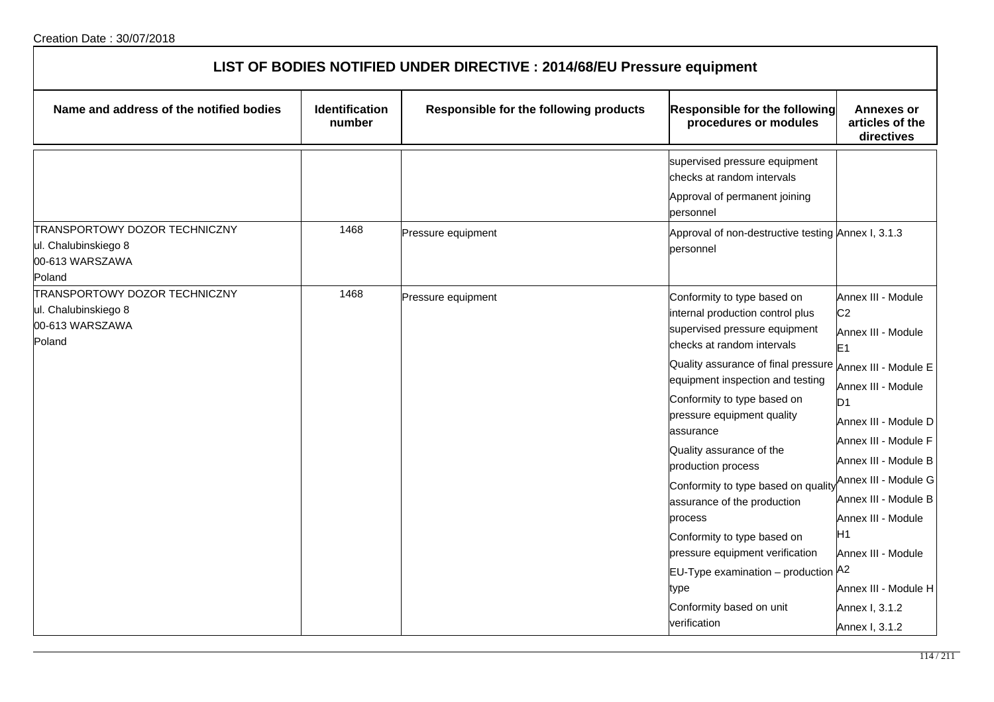| LIST OF BODIES NOTIFIED UNDER DIRECTIVE : 2014/68/EU Pressure equipment            |                                 |                                        |                                                                                                                                                                                                                                                                                                                                                                                                                                                                                                                                                                                                          |                                                                                                                                                                                                                                                                                                                                                            |
|------------------------------------------------------------------------------------|---------------------------------|----------------------------------------|----------------------------------------------------------------------------------------------------------------------------------------------------------------------------------------------------------------------------------------------------------------------------------------------------------------------------------------------------------------------------------------------------------------------------------------------------------------------------------------------------------------------------------------------------------------------------------------------------------|------------------------------------------------------------------------------------------------------------------------------------------------------------------------------------------------------------------------------------------------------------------------------------------------------------------------------------------------------------|
| Name and address of the notified bodies                                            | <b>Identification</b><br>number | Responsible for the following products | Responsible for the following<br>procedures or modules                                                                                                                                                                                                                                                                                                                                                                                                                                                                                                                                                   | <b>Annexes or</b><br>articles of the<br>directives                                                                                                                                                                                                                                                                                                         |
|                                                                                    |                                 |                                        | supervised pressure equipment<br>checks at random intervals<br>Approval of permanent joining<br>personnel                                                                                                                                                                                                                                                                                                                                                                                                                                                                                                |                                                                                                                                                                                                                                                                                                                                                            |
| TRANSPORTOWY DOZOR TECHNICZNY<br>ul. Chalubinskiego 8<br>00-613 WARSZAWA<br>Poland | 1468                            | Pressure equipment                     | Approval of non-destructive testing Annex I, 3.1.3<br>personnel                                                                                                                                                                                                                                                                                                                                                                                                                                                                                                                                          |                                                                                                                                                                                                                                                                                                                                                            |
| TRANSPORTOWY DOZOR TECHNICZNY<br>ul. Chalubinskiego 8<br>00-613 WARSZAWA<br>Poland | 1468                            | Pressure equipment                     | Conformity to type based on<br>internal production control plus<br>supervised pressure equipment<br>checks at random intervals<br>Quality assurance of final pressure Annex III - Module E<br>equipment inspection and testing<br>Conformity to type based on<br>pressure equipment quality<br>assurance<br>Quality assurance of the<br>production process<br>Conformity to type based on quality<br>assurance of the production<br>process<br>Conformity to type based on<br>pressure equipment verification<br>EU-Type examination - production A2<br>type<br>Conformity based on unit<br>verification | Annex III - Module<br>C <sub>2</sub><br>Annex III - Module<br>E <sub>1</sub><br>Annex III - Module<br>D <sub>1</sub><br>Annex III - Module D<br>Annex III - Module F<br>Annex III - Module B<br>Annex III - Module G<br>Annex III - Module B<br>Annex III - Module<br>H1<br>Annex III - Module<br>Annex III - Module H<br>Annex I, 3.1.2<br>Annex I, 3.1.2 |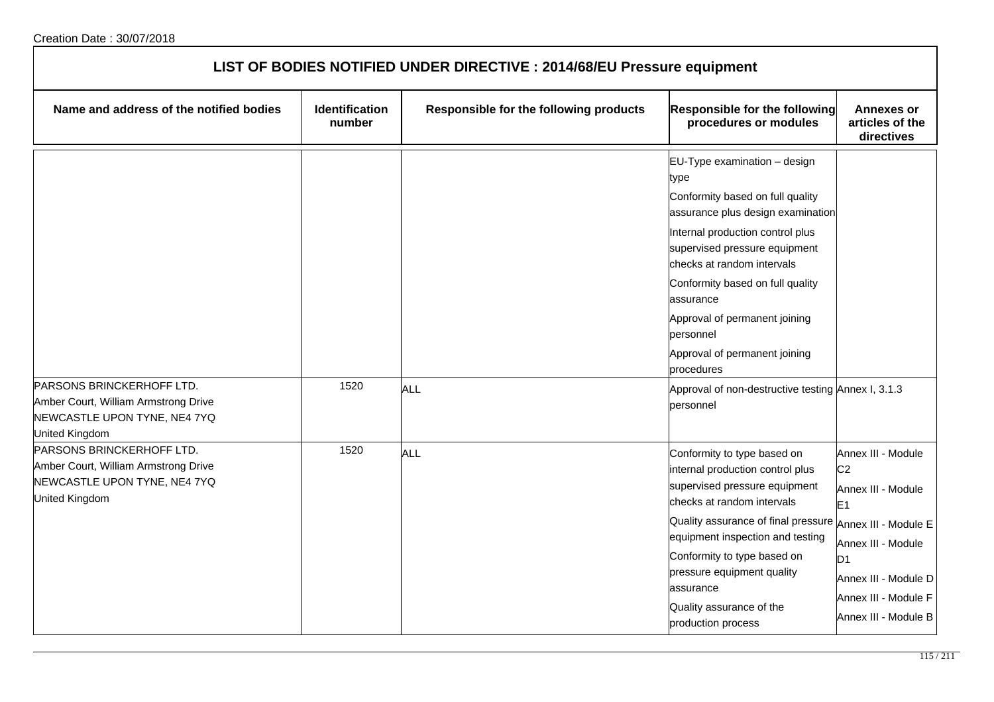| LIST OF BODIES NOTIFIED UNDER DIRECTIVE : 2014/68/EU Pressure equipment                                             |                                 |                                        |                                                                                                                                                                                                                                                                                                                                                                                                                                   |                                                                                                                                                                                              |
|---------------------------------------------------------------------------------------------------------------------|---------------------------------|----------------------------------------|-----------------------------------------------------------------------------------------------------------------------------------------------------------------------------------------------------------------------------------------------------------------------------------------------------------------------------------------------------------------------------------------------------------------------------------|----------------------------------------------------------------------------------------------------------------------------------------------------------------------------------------------|
| Name and address of the notified bodies                                                                             | <b>Identification</b><br>number | Responsible for the following products | Responsible for the following<br>procedures or modules                                                                                                                                                                                                                                                                                                                                                                            | <b>Annexes or</b><br>articles of the<br>directives                                                                                                                                           |
| PARSONS BRINCKERHOFF LTD.<br>Amber Court, William Armstrong Drive<br>NEWCASTLE UPON TYNE, NE4 7YQ<br>United Kingdom | 1520                            | <b>ALL</b>                             | EU-Type examination - design<br>type<br>Conformity based on full quality<br>assurance plus design examination<br>Internal production control plus<br>supervised pressure equipment<br>checks at random intervals<br>Conformity based on full quality<br>assurance<br>Approval of permanent joining<br>personnel<br>Approval of permanent joining<br>procedures<br>Approval of non-destructive testing Annex I, 3.1.3<br>personnel |                                                                                                                                                                                              |
| PARSONS BRINCKERHOFF LTD.<br>Amber Court, William Armstrong Drive<br>NEWCASTLE UPON TYNE, NE4 7YQ<br>United Kingdom | 1520                            | <b>ALL</b>                             | Conformity to type based on<br>internal production control plus<br>supervised pressure equipment<br>checks at random intervals<br>Quality assurance of final pressure $_{\sf{Annex\ III}}$ . Module E<br>equipment inspection and testing<br>Conformity to type based on<br>pressure equipment quality<br>assurance<br>Quality assurance of the<br>production process                                                             | Annex III - Module<br>C <sub>2</sub><br>Annex III - Module<br>E <sub>1</sub><br>Annex III - Module<br>D <sub>1</sub><br>Annex III - Module D<br>Annex III - Module F<br>Annex III - Module B |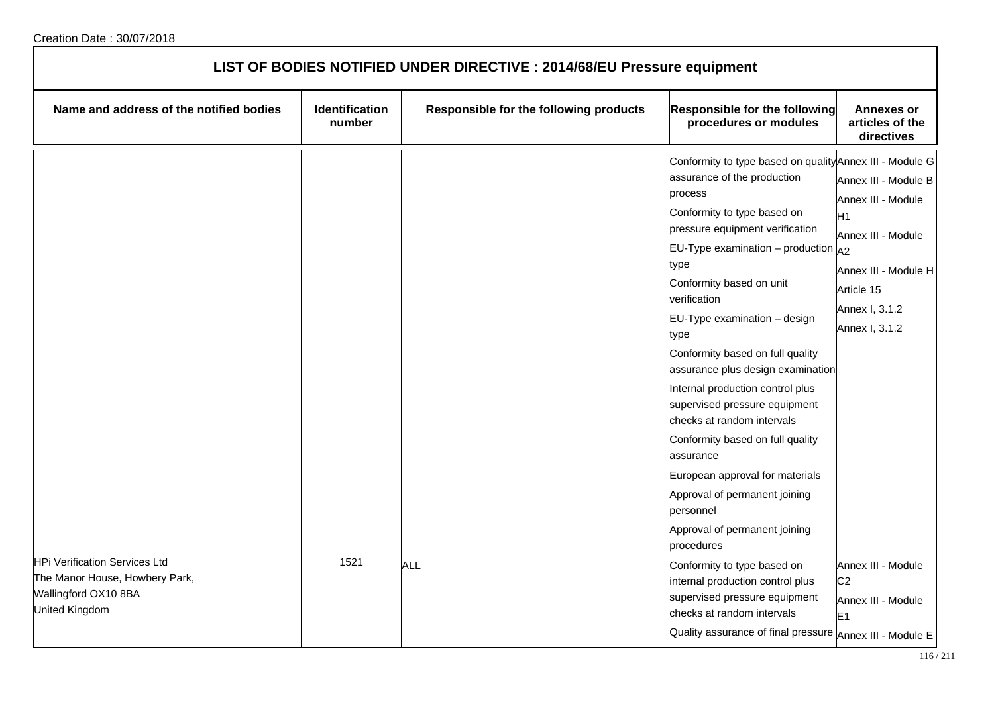| LIST OF BODIES NOTIFIED UNDER DIRECTIVE : 2014/68/EU Pressure equipment                                          |                          |                                        |                                                                                                                                                                                                                                                                                                                                                                                                                                                                                                                                                                                                                                                                         |                                                                                                                                                              |
|------------------------------------------------------------------------------------------------------------------|--------------------------|----------------------------------------|-------------------------------------------------------------------------------------------------------------------------------------------------------------------------------------------------------------------------------------------------------------------------------------------------------------------------------------------------------------------------------------------------------------------------------------------------------------------------------------------------------------------------------------------------------------------------------------------------------------------------------------------------------------------------|--------------------------------------------------------------------------------------------------------------------------------------------------------------|
| Name and address of the notified bodies                                                                          | Identification<br>number | Responsible for the following products | <b>Responsible for the following</b><br>procedures or modules                                                                                                                                                                                                                                                                                                                                                                                                                                                                                                                                                                                                           | <b>Annexes or</b><br>articles of the<br>directives                                                                                                           |
|                                                                                                                  |                          |                                        | Conformity to type based on quality Annex III - Module G<br>assurance of the production<br>process<br>Conformity to type based on<br>pressure equipment verification<br>EU-Type examination – production $A_2$<br>type<br>Conformity based on unit<br>verification<br>EU-Type examination - design<br>type<br>Conformity based on full quality<br>assurance plus design examination<br>Internal production control plus<br>supervised pressure equipment<br>checks at random intervals<br>Conformity based on full quality<br>assurance<br>European approval for materials<br>Approval of permanent joining<br>personnel<br>Approval of permanent joining<br>procedures | Annex III - Module B<br>Annex III - Module<br>H <sub>1</sub><br>Annex III - Module<br>Annex III - Module H<br>Article 15<br>Annex I, 3.1.2<br>Annex I, 3.1.2 |
| <b>HPi Verification Services Ltd</b><br>The Manor House, Howbery Park,<br>Wallingford OX10 8BA<br>United Kingdom | 1521                     | ALL                                    | Conformity to type based on<br>internal production control plus<br>supervised pressure equipment<br>checks at random intervals<br>Quality assurance of final pressure Annex III - Module E                                                                                                                                                                                                                                                                                                                                                                                                                                                                              | Annex III - Module<br>C <sub>2</sub><br>Annex III - Module<br>E <sub>1</sub>                                                                                 |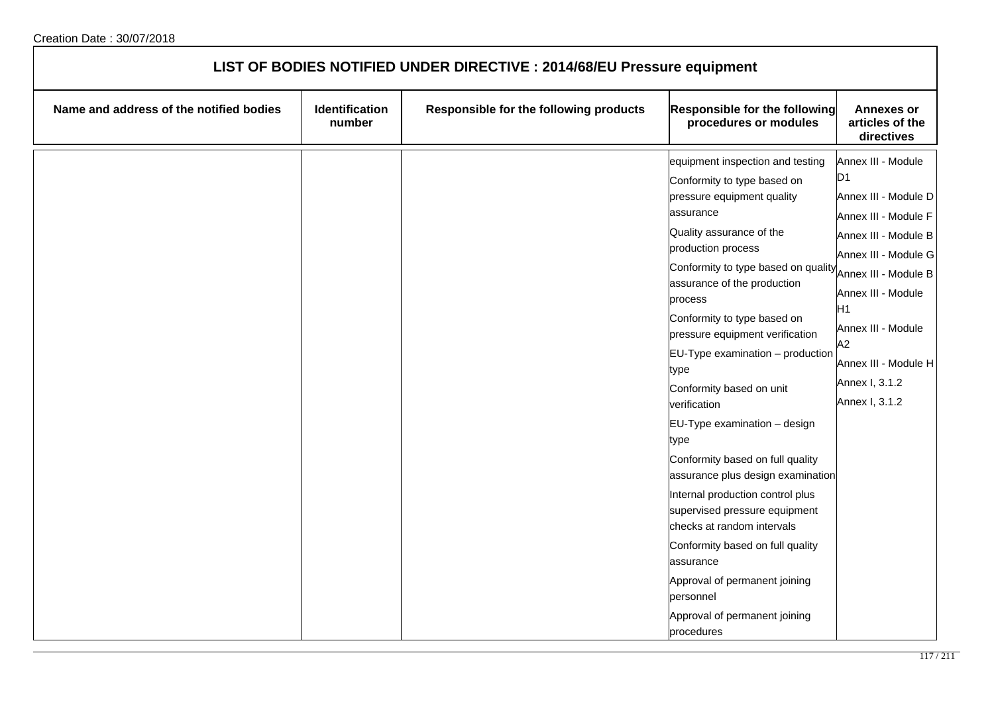| LIST OF BODIES NOTIFIED UNDER DIRECTIVE : 2014/68/EU Pressure equipment |                          |                                        |                                                                                                                                                                                                                                                                                                                                                                                                                                                                                                                                                                                                                                                                                                                                                                           |                                                                                                                                                                                                                                                                                  |
|-------------------------------------------------------------------------|--------------------------|----------------------------------------|---------------------------------------------------------------------------------------------------------------------------------------------------------------------------------------------------------------------------------------------------------------------------------------------------------------------------------------------------------------------------------------------------------------------------------------------------------------------------------------------------------------------------------------------------------------------------------------------------------------------------------------------------------------------------------------------------------------------------------------------------------------------------|----------------------------------------------------------------------------------------------------------------------------------------------------------------------------------------------------------------------------------------------------------------------------------|
| Name and address of the notified bodies                                 | Identification<br>number | Responsible for the following products | Responsible for the following<br>procedures or modules                                                                                                                                                                                                                                                                                                                                                                                                                                                                                                                                                                                                                                                                                                                    | <b>Annexes or</b><br>articles of the<br>directives                                                                                                                                                                                                                               |
|                                                                         |                          |                                        | equipment inspection and testing<br>Conformity to type based on<br>pressure equipment quality<br>assurance<br>Quality assurance of the<br>production process<br>Conformity to type based on quality<br>assurance of the production<br>process<br>Conformity to type based on<br>pressure equipment verification<br>EU-Type examination - production<br>type<br>Conformity based on unit<br>verification<br>EU-Type examination - design<br>type<br>Conformity based on full quality<br>assurance plus design examination<br>Internal production control plus<br>supervised pressure equipment<br>checks at random intervals<br>Conformity based on full quality<br>assurance<br>Approval of permanent joining<br>personnel<br>Approval of permanent joining<br>procedures | Annex III - Module<br>D1<br>Annex III - Module D<br>Annex III - Module F<br>Annex III - Module B<br>Annex III - Module G<br>Annex III - Module B<br>Annex III - Module<br>H <sub>1</sub><br>Annex III - Module<br>A2<br>Annex III - Module H<br>Annex I, 3.1.2<br>Annex I, 3.1.2 |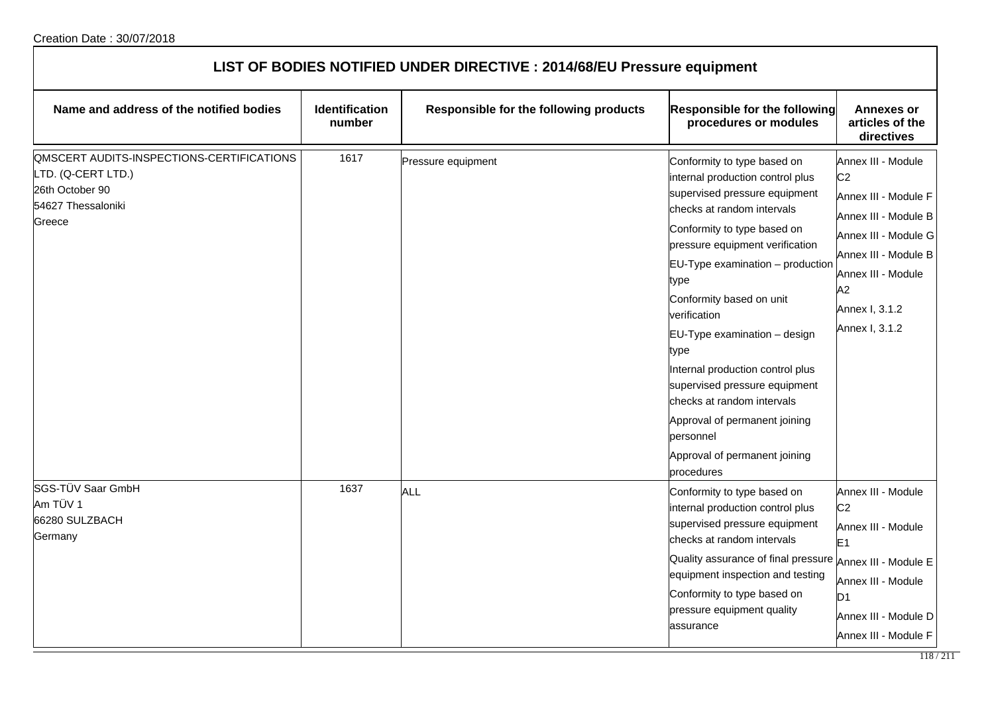| LIST OF BODIES NOTIFIED UNDER DIRECTIVE : 2014/68/EU Pressure equipment                                                  |                          |                                        |                                                                                                                                                                                                                                                                                                                                                                                                                                                                                                                                  |                                                                                                                                                                                                      |  |
|--------------------------------------------------------------------------------------------------------------------------|--------------------------|----------------------------------------|----------------------------------------------------------------------------------------------------------------------------------------------------------------------------------------------------------------------------------------------------------------------------------------------------------------------------------------------------------------------------------------------------------------------------------------------------------------------------------------------------------------------------------|------------------------------------------------------------------------------------------------------------------------------------------------------------------------------------------------------|--|
| Name and address of the notified bodies                                                                                  | Identification<br>number | Responsible for the following products | Responsible for the following<br>procedures or modules                                                                                                                                                                                                                                                                                                                                                                                                                                                                           | <b>Annexes or</b><br>articles of the<br>directives                                                                                                                                                   |  |
| <b>QMSCERT AUDITS-INSPECTIONS-CERTIFICATIONS</b><br>TD. (Q-CERT LTD.)<br>26th October 90<br>54627 Thessaloniki<br>Greece | 1617                     | Pressure equipment                     | Conformity to type based on<br>internal production control plus<br>supervised pressure equipment<br>checks at random intervals<br>Conformity to type based on<br>pressure equipment verification<br>EU-Type examination - production<br>type<br>Conformity based on unit<br>verification<br>EU-Type examination - design<br>type<br>Internal production control plus<br>supervised pressure equipment<br>checks at random intervals<br>Approval of permanent joining<br>personnel<br>Approval of permanent joining<br>procedures | Annex III - Module<br>C <sub>2</sub><br>Annex III - Module F<br>Annex III - Module B<br>Annex III - Module G<br>Annex III - Module B<br>Annex III - Module<br>A2<br>Annex I, 3.1.2<br>Annex I, 3.1.2 |  |
| SGS-TÜV Saar GmbH<br>Am TÜV 1<br>66280 SULZBACH<br>Germany                                                               | 1637                     | ALL                                    | Conformity to type based on<br>internal production control plus<br>supervised pressure equipment<br>checks at random intervals<br>Quality assurance of final pressure Annex III - Module E<br>equipment inspection and testing<br>Conformity to type based on<br>pressure equipment quality<br>assurance                                                                                                                                                                                                                         | Annex III - Module<br>C <sub>2</sub><br>Annex III - Module<br>E <sub>1</sub><br>Annex III - Module<br>D <sub>1</sub><br>Annex III - Module D<br>Annex III - Module F                                 |  |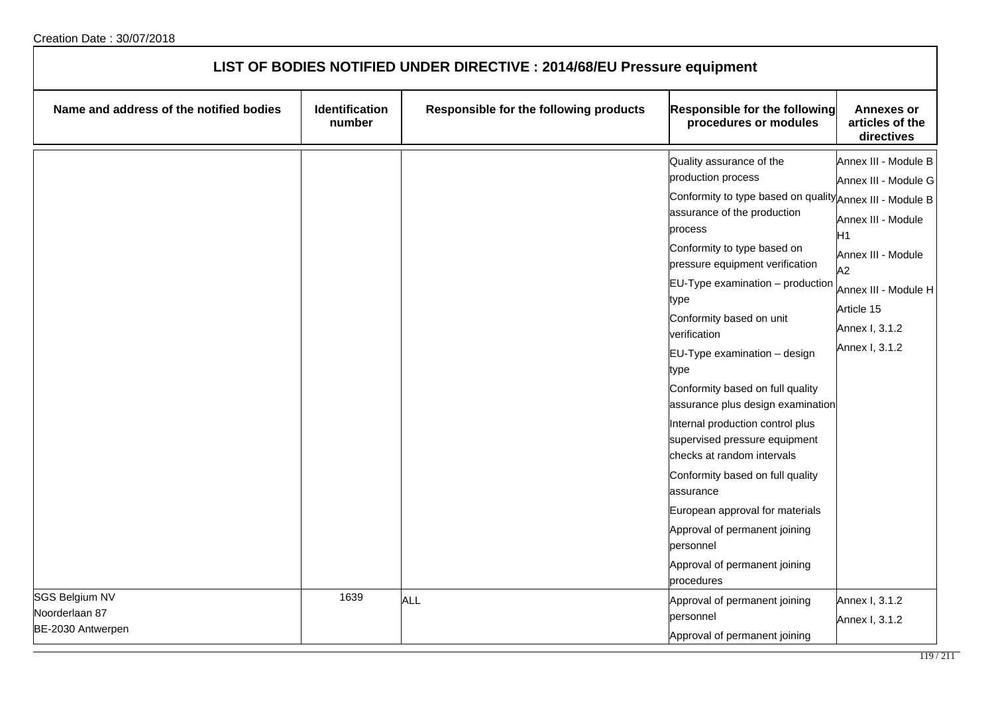| LIST OF BODIES NOTIFIED UNDER DIRECTIVE : 2014/68/EU Pressure equipment |                          |                                        |                                                                                                                                                                                                                                                                                                                                                                                                                                                                                                                                                                                                                                                                                                                         |                                                                                                                                                                                |
|-------------------------------------------------------------------------|--------------------------|----------------------------------------|-------------------------------------------------------------------------------------------------------------------------------------------------------------------------------------------------------------------------------------------------------------------------------------------------------------------------------------------------------------------------------------------------------------------------------------------------------------------------------------------------------------------------------------------------------------------------------------------------------------------------------------------------------------------------------------------------------------------------|--------------------------------------------------------------------------------------------------------------------------------------------------------------------------------|
| Name and address of the notified bodies                                 | Identification<br>number | Responsible for the following products | <b>Responsible for the following</b><br>procedures or modules                                                                                                                                                                                                                                                                                                                                                                                                                                                                                                                                                                                                                                                           | <b>Annexes or</b><br>articles of the<br>directives                                                                                                                             |
|                                                                         |                          |                                        | Quality assurance of the<br>production process<br>Conformity to type based on quality Annex III - Module B<br>assurance of the production<br>process<br>Conformity to type based on<br>pressure equipment verification<br>$EU-Type$ examination $-$ production<br>type<br>Conformity based on unit<br>verification<br>EU-Type examination - design<br>type<br>Conformity based on full quality<br>assurance plus design examination<br>Internal production control plus<br>supervised pressure equipment<br>checks at random intervals<br>Conformity based on full quality<br>assurance<br>European approval for materials<br>Approval of permanent joining<br>personnel<br>Approval of permanent joining<br>procedures | Annex III - Module B<br>Annex III - Module G<br>Annex III - Module<br>H1<br>Annex III - Module<br>A2<br>Annex III - Module H<br>Article 15<br>Annex I, 3.1.2<br>Annex I, 3.1.2 |
| <b>SGS Belgium NV</b><br>Noorderlaan 87<br>BE-2030 Antwerpen            | 1639                     | <b>ALL</b>                             | Approval of permanent joining<br>personnel<br>Approval of permanent joining                                                                                                                                                                                                                                                                                                                                                                                                                                                                                                                                                                                                                                             | Annex I, 3.1.2<br>Annex I, 3.1.2                                                                                                                                               |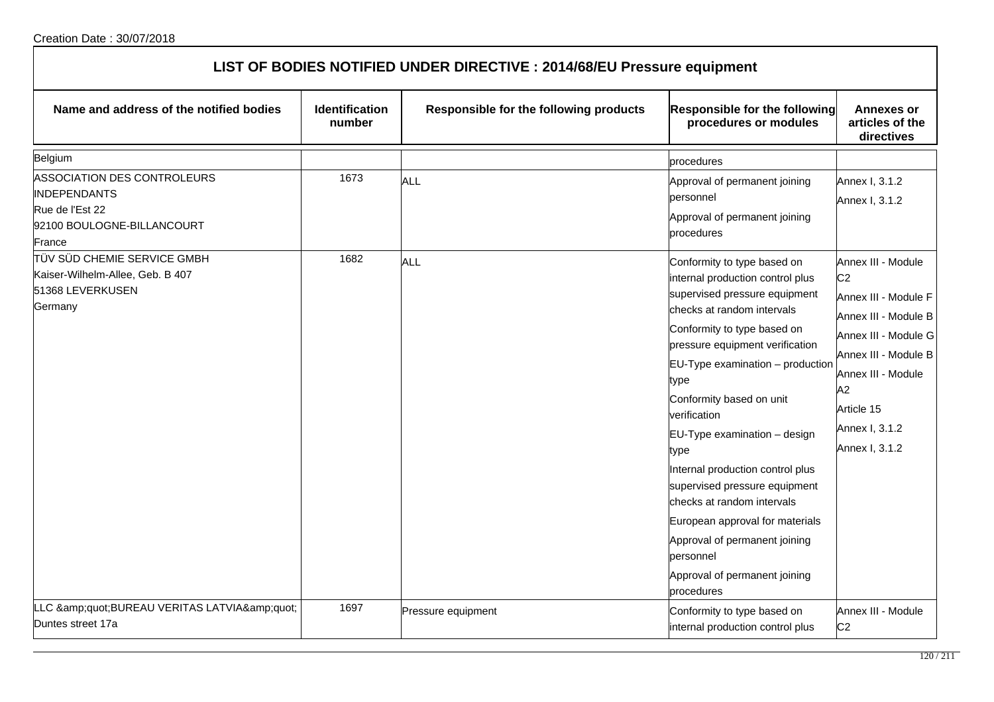| LIST OF BODIES NOTIFIED UNDER DIRECTIVE : 2014/68/EU Pressure equipment |  |  |  |  |  |  |  |
|-------------------------------------------------------------------------|--|--|--|--|--|--|--|
|                                                                         |  |  |  |  |  |  |  |

| Name and address of the notified bodies                                                                                                      | Identification<br>number | Responsible for the following products | <b>Responsible for the following</b><br>procedures or modules                                                                                                                                                                                                                                                                                                                                                                                                                                                                            | <b>Annexes or</b><br>articles of the<br>directives                                                                                                                                           |
|----------------------------------------------------------------------------------------------------------------------------------------------|--------------------------|----------------------------------------|------------------------------------------------------------------------------------------------------------------------------------------------------------------------------------------------------------------------------------------------------------------------------------------------------------------------------------------------------------------------------------------------------------------------------------------------------------------------------------------------------------------------------------------|----------------------------------------------------------------------------------------------------------------------------------------------------------------------------------------------|
| Belgium                                                                                                                                      |                          |                                        | procedures                                                                                                                                                                                                                                                                                                                                                                                                                                                                                                                               |                                                                                                                                                                                              |
| ASSOCIATION DES CONTROLEURS<br><b>INDEPENDANTS</b><br>Rue de l'Est 22<br>92100 BOULOGNE-BILLANCOURT<br>France<br>∏ÜV SÜD CHEMIE SERVICE GMBH | 1673<br>1682             | <b>ALL</b><br><b>ALL</b>               | Approval of permanent joining<br>personnel<br>Approval of permanent joining<br>procedures<br>Conformity to type based on                                                                                                                                                                                                                                                                                                                                                                                                                 | Annex I, 3.1.2<br>Annex I, 3.1.2<br>Annex III - Module                                                                                                                                       |
| Kaiser-Wilhelm-Allee, Geb. B 407<br>51368 LEVERKUSEN<br>Germany                                                                              |                          |                                        | internal production control plus<br>supervised pressure equipment<br>checks at random intervals<br>Conformity to type based on<br>pressure equipment verification<br>$EU-Type$ examination $-$ production<br>type<br>Conformity based on unit<br>verification<br>EU-Type examination - design<br>type<br>Internal production control plus<br>supervised pressure equipment<br>checks at random intervals<br>European approval for materials<br>Approval of permanent joining<br>personnel<br>Approval of permanent joining<br>procedures | C <sub>2</sub><br>Annex III - Module F<br>Annex III - Module B<br>Annex III - Module G<br>Annex III - Module B<br>Annex III - Module<br>A2<br>Article 15<br>Annex I, 3.1.2<br>Annex I, 3.1.2 |
| LLC "BUREAU VERITAS LATVIA"<br>Duntes street 17a                                                                                             | 1697                     | Pressure equipment                     | Conformity to type based on<br>internal production control plus                                                                                                                                                                                                                                                                                                                                                                                                                                                                          | Annex III - Module<br>C <sub>2</sub>                                                                                                                                                         |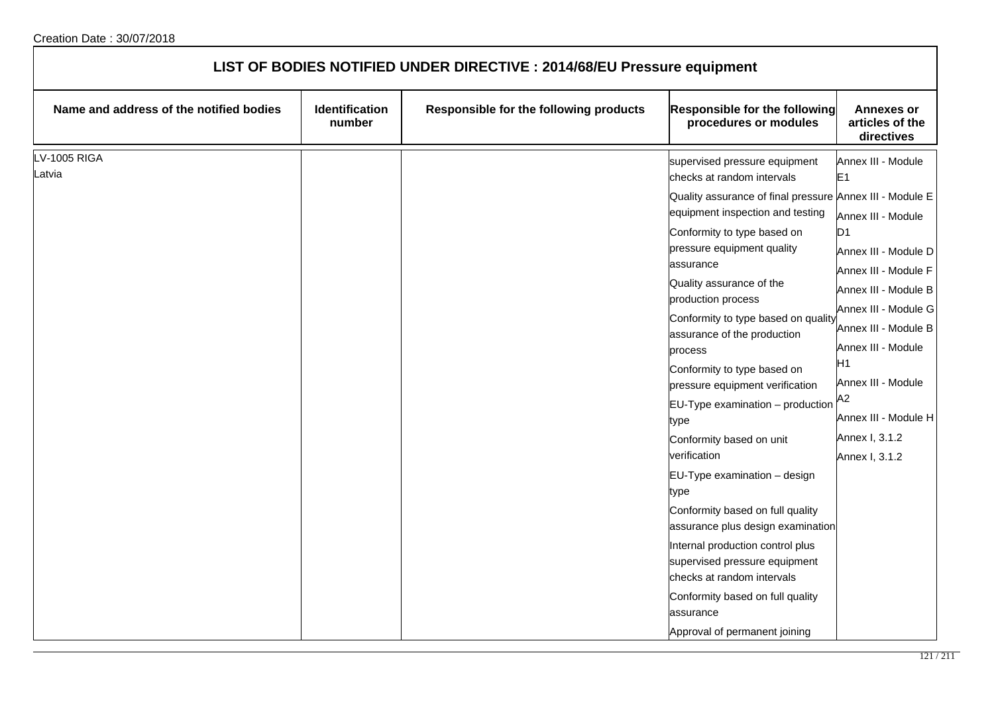| LIST OF BODIES NOTIFIED UNDER DIRECTIVE : 2014/68/EU Pressure equipment |                          |                                        |                                                                                                                                                                                                                                                                                                                                                                                                                                                                                                                                                                                                                                                                                                                                                                                                                                              |                                                                                                                                                                                                                                                                                                                          |
|-------------------------------------------------------------------------|--------------------------|----------------------------------------|----------------------------------------------------------------------------------------------------------------------------------------------------------------------------------------------------------------------------------------------------------------------------------------------------------------------------------------------------------------------------------------------------------------------------------------------------------------------------------------------------------------------------------------------------------------------------------------------------------------------------------------------------------------------------------------------------------------------------------------------------------------------------------------------------------------------------------------------|--------------------------------------------------------------------------------------------------------------------------------------------------------------------------------------------------------------------------------------------------------------------------------------------------------------------------|
| Name and address of the notified bodies                                 | Identification<br>number | Responsible for the following products | Responsible for the following<br>procedures or modules                                                                                                                                                                                                                                                                                                                                                                                                                                                                                                                                                                                                                                                                                                                                                                                       | <b>Annexes or</b><br>articles of the<br>directives                                                                                                                                                                                                                                                                       |
| <b>LV-1005 RIGA</b><br>Latvia                                           |                          |                                        | supervised pressure equipment<br>checks at random intervals<br>Quality assurance of final pressure Annex III - Module E<br>equipment inspection and testing<br>Conformity to type based on<br>pressure equipment quality<br>assurance<br>Quality assurance of the<br>production process<br>Conformity to type based on quality<br>assurance of the production<br>process<br>Conformity to type based on<br>pressure equipment verification<br>$EU-Type$ examination $-$ production<br>type<br>Conformity based on unit<br>verification<br>EU-Type examination - design<br>type<br>Conformity based on full quality<br>assurance plus design examination<br>Internal production control plus<br>supervised pressure equipment<br>checks at random intervals<br>Conformity based on full quality<br>assurance<br>Approval of permanent joining | Annex III - Module<br>E <sub>1</sub><br>Annex III - Module<br>D <sub>1</sub><br>Annex III - Module D<br>Annex III - Module F<br>Annex III - Module B<br>Annex III - Module G<br>Annex III - Module B<br>Annex III - Module<br>H1<br>Annex III - Module<br>A2<br>Annex III - Module H<br>Annex I, 3.1.2<br>Annex I, 3.1.2 |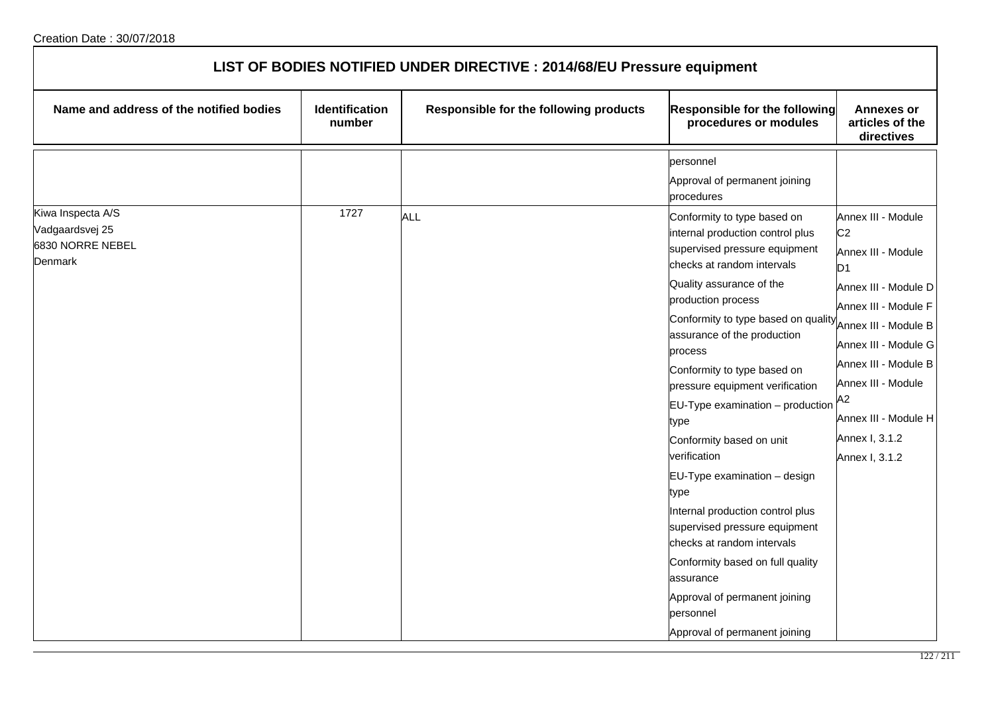| LIST OF BODIES NOTIFIED UNDER DIRECTIVE : 2014/68/EU Pressure equipment |                          |                                        |                                                                                                                                                                                                                                                                                                                                                                                                                                                                                                                                                                                                        |                                                                                                                                                                                                                                                      |  |
|-------------------------------------------------------------------------|--------------------------|----------------------------------------|--------------------------------------------------------------------------------------------------------------------------------------------------------------------------------------------------------------------------------------------------------------------------------------------------------------------------------------------------------------------------------------------------------------------------------------------------------------------------------------------------------------------------------------------------------------------------------------------------------|------------------------------------------------------------------------------------------------------------------------------------------------------------------------------------------------------------------------------------------------------|--|
| Name and address of the notified bodies                                 | Identification<br>number | Responsible for the following products | Responsible for the following<br>procedures or modules                                                                                                                                                                                                                                                                                                                                                                                                                                                                                                                                                 | <b>Annexes or</b><br>articles of the<br>directives                                                                                                                                                                                                   |  |
| Kiwa Inspecta A/S<br>Vadgaardsvej 25                                    | 1727                     | <b>ALL</b>                             | personnel<br>Approval of permanent joining<br>procedures<br>Conformity to type based on<br>internal production control plus                                                                                                                                                                                                                                                                                                                                                                                                                                                                            | Annex III - Module<br>C <sub>2</sub>                                                                                                                                                                                                                 |  |
| 6830 NORRE NEBEL<br><b>Denmark</b>                                      |                          |                                        | supervised pressure equipment<br>checks at random intervals<br>Quality assurance of the<br>production process<br>Conformity to type based on quality<br>assurance of the production<br>process<br>Conformity to type based on<br>pressure equipment verification<br>$EU-Type$ examination $-$ production<br>type<br>Conformity based on unit<br>verification<br>EU-Type examination - design<br>type<br>Internal production control plus<br>supervised pressure equipment<br>checks at random intervals<br>Conformity based on full quality<br>assurance<br>Approval of permanent joining<br>personnel | Annex III - Module<br>D <sub>1</sub><br>Annex III - Module D<br>Annex III - Module F<br>Annex III - Module B<br>Annex III - Module G<br>Annex III - Module B<br>Annex III - Module<br>A2<br>Annex III - Module H<br>Annex I, 3.1.2<br>Annex I, 3.1.2 |  |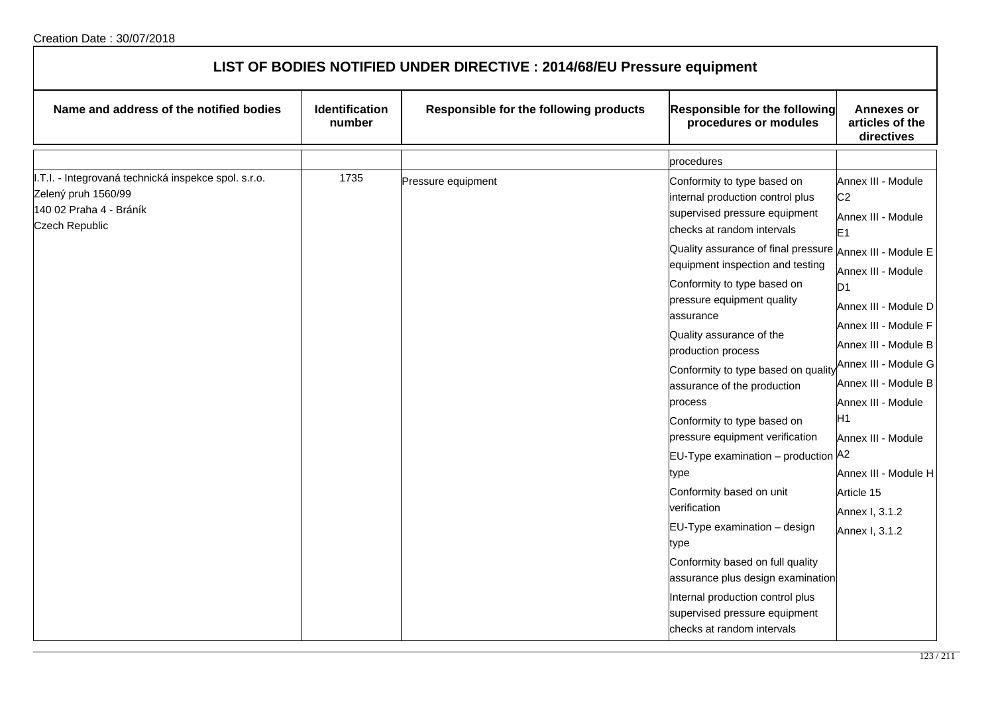| LIST OF BODIES NOTIFIED UNDER DIRECTIVE : 2014/68/EU Pressure equipment                                                  |                                 |                                        |                                                                                                                                                                                                                                                                                                                                                                                                                                                                                                                                                                                                                                                                                                                                                                                                                                         |                                                                                                                                                                                                                                                                                                                                                                          |  |
|--------------------------------------------------------------------------------------------------------------------------|---------------------------------|----------------------------------------|-----------------------------------------------------------------------------------------------------------------------------------------------------------------------------------------------------------------------------------------------------------------------------------------------------------------------------------------------------------------------------------------------------------------------------------------------------------------------------------------------------------------------------------------------------------------------------------------------------------------------------------------------------------------------------------------------------------------------------------------------------------------------------------------------------------------------------------------|--------------------------------------------------------------------------------------------------------------------------------------------------------------------------------------------------------------------------------------------------------------------------------------------------------------------------------------------------------------------------|--|
| Name and address of the notified bodies                                                                                  | <b>Identification</b><br>number | Responsible for the following products | Responsible for the following<br>procedures or modules                                                                                                                                                                                                                                                                                                                                                                                                                                                                                                                                                                                                                                                                                                                                                                                  | <b>Annexes or</b><br>articles of the<br>directives                                                                                                                                                                                                                                                                                                                       |  |
|                                                                                                                          |                                 |                                        | procedures                                                                                                                                                                                                                                                                                                                                                                                                                                                                                                                                                                                                                                                                                                                                                                                                                              |                                                                                                                                                                                                                                                                                                                                                                          |  |
| I.T.I. - Integrovaná technická inspekce spol. s.r.o.<br>Zelený pruh 1560/99<br>140 02 Praha 4 - Bráník<br>Czech Republic | 1735                            | Pressure equipment                     | Conformity to type based on<br>internal production control plus<br>supervised pressure equipment<br>checks at random intervals<br>Quality assurance of final pressure Annex III - Module E<br>equipment inspection and testing<br>Conformity to type based on<br>pressure equipment quality<br>lassurance<br>Quality assurance of the<br>production process<br>Conformity to type based on quality<br>assurance of the production<br>process<br>Conformity to type based on<br>pressure equipment verification<br><b>EU-Type examination</b> – production $A^2$<br>type<br>Conformity based on unit<br>verification<br>EU-Type examination - design<br>type<br>Conformity based on full quality<br>assurance plus design examination<br>Internal production control plus<br>supervised pressure equipment<br>checks at random intervals | Annex III - Module<br>C <sub>2</sub><br>Annex III - Module<br>E <sub>1</sub><br>Annex III - Module<br>D <sub>1</sub><br>Annex III - Module D<br>Annex III - Module F<br>Annex III - Module B<br>Annex III - Module G<br>Annex III - Module B<br>Annex III - Module<br>H1<br>Annex III - Module<br>Annex III - Module H<br>Article 15<br>Annex I, 3.1.2<br>Annex I, 3.1.2 |  |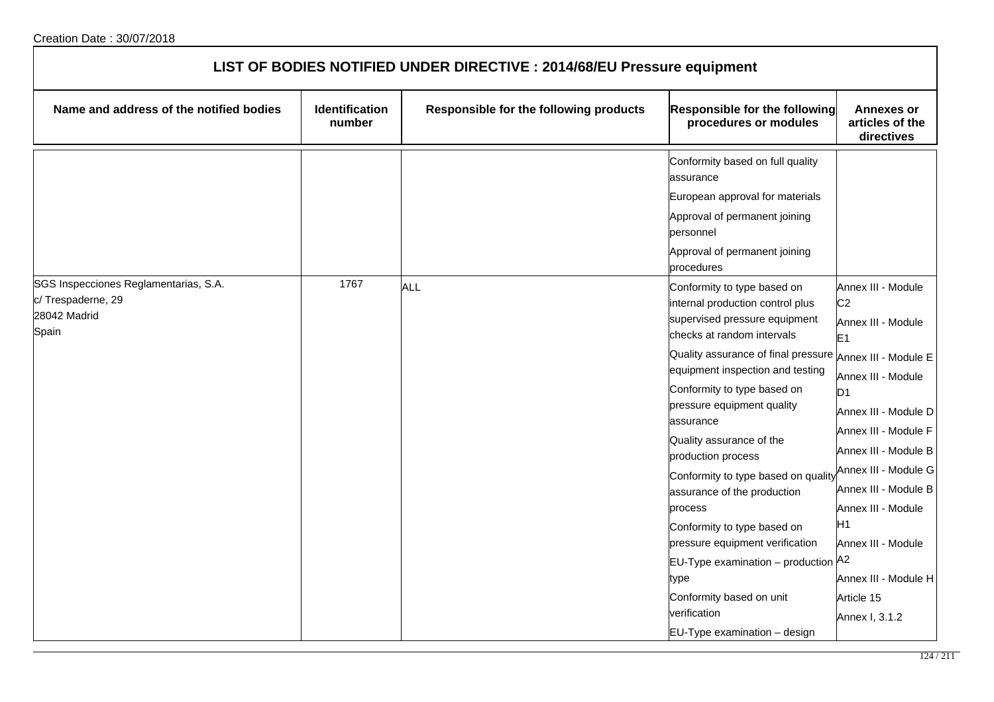| LIST OF BODIES NOTIFIED UNDER DIRECTIVE : 2014/68/EU Pressure equipment             |                                 |                                        |                                                                                                                                                                                                                                                                                                                                                                             |                                                                                                                                                                                                                |  |
|-------------------------------------------------------------------------------------|---------------------------------|----------------------------------------|-----------------------------------------------------------------------------------------------------------------------------------------------------------------------------------------------------------------------------------------------------------------------------------------------------------------------------------------------------------------------------|----------------------------------------------------------------------------------------------------------------------------------------------------------------------------------------------------------------|--|
| Name and address of the notified bodies                                             | <b>Identification</b><br>number | Responsible for the following products | Responsible for the following<br>procedures or modules                                                                                                                                                                                                                                                                                                                      | <b>Annexes or</b><br>articles of the<br>directives                                                                                                                                                             |  |
|                                                                                     |                                 |                                        | Conformity based on full quality<br>assurance                                                                                                                                                                                                                                                                                                                               |                                                                                                                                                                                                                |  |
|                                                                                     |                                 |                                        | European approval for materials                                                                                                                                                                                                                                                                                                                                             |                                                                                                                                                                                                                |  |
|                                                                                     |                                 |                                        | Approval of permanent joining<br>personnel                                                                                                                                                                                                                                                                                                                                  |                                                                                                                                                                                                                |  |
|                                                                                     |                                 |                                        | Approval of permanent joining<br>procedures                                                                                                                                                                                                                                                                                                                                 |                                                                                                                                                                                                                |  |
| SGS Inspecciones Reglamentarias, S.A.<br>c/Trespaderne, 29<br>28042 Madrid<br>Spain | 1767                            | <b>ALL</b>                             | Conformity to type based on<br>internal production control plus<br>supervised pressure equipment<br>checks at random intervals                                                                                                                                                                                                                                              | Annex III - Module<br>C <sub>2</sub><br>Annex III - Module<br>E1                                                                                                                                               |  |
|                                                                                     |                                 |                                        | Quality assurance of final pressure Annex III - Module E<br>equipment inspection and testing<br>Conformity to type based on<br>pressure equipment quality<br>assurance<br>Quality assurance of the<br>production process<br>Conformity to type based on quality<br>assurance of the production<br>process<br>Conformity to type based on<br>pressure equipment verification | Annex III - Module<br>D <sub>1</sub><br>Annex III - Module D<br>Annex III - Module F<br>Annex III - Module B<br>Annex III - Module G<br>Annex III - Module B<br>Annex III - Module<br>Η1<br>Annex III - Module |  |
|                                                                                     |                                 |                                        | EU-Type examination - production A2<br>type<br>Conformity based on unit<br>verification<br>$EU-Type$ examination $-$ design                                                                                                                                                                                                                                                 | Annex III - Module H<br>Article 15<br>Annex I, 3.1.2                                                                                                                                                           |  |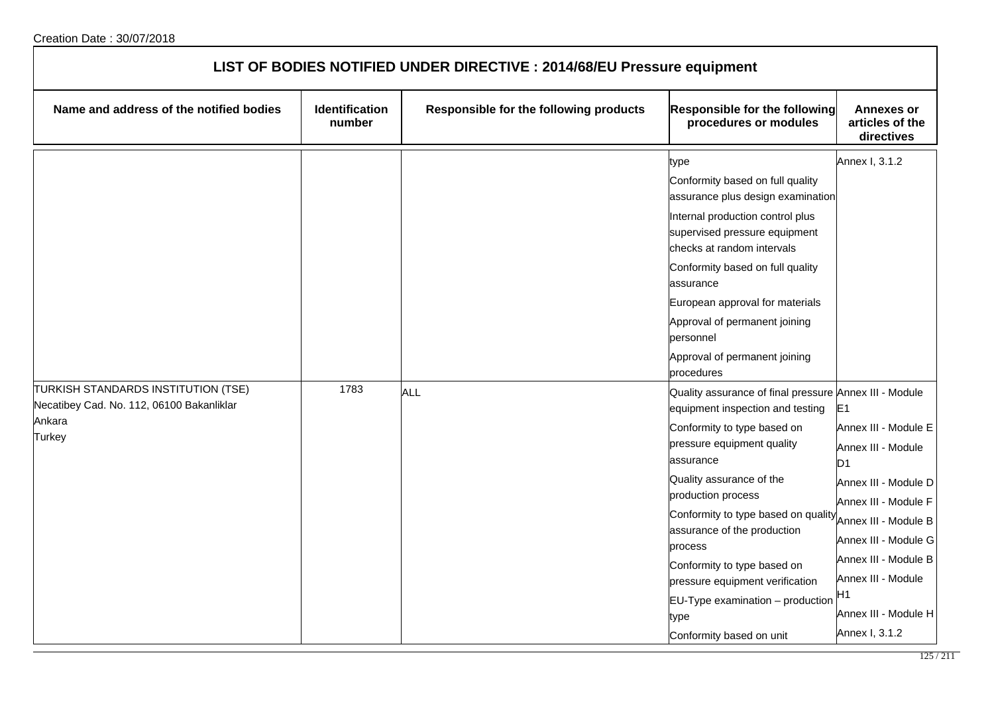| LIST OF BODIES NOTIFIED UNDER DIRECTIVE : 2014/68/EU Pressure equipment |                          |                                        |                                                                                                                                                                                                                                                                                                                                                                                                                             |                                                                                                                                                                                                                                                      |  |
|-------------------------------------------------------------------------|--------------------------|----------------------------------------|-----------------------------------------------------------------------------------------------------------------------------------------------------------------------------------------------------------------------------------------------------------------------------------------------------------------------------------------------------------------------------------------------------------------------------|------------------------------------------------------------------------------------------------------------------------------------------------------------------------------------------------------------------------------------------------------|--|
| Name and address of the notified bodies                                 | Identification<br>number | Responsible for the following products | <b>Responsible for the following</b><br>procedures or modules                                                                                                                                                                                                                                                                                                                                                               | <b>Annexes or</b><br>articles of the<br>directives                                                                                                                                                                                                   |  |
| TURKISH STANDARDS INSTITUTION (TSE)                                     | 1783                     | <b>ALL</b>                             | type<br>Conformity based on full quality<br>assurance plus design examination<br>Internal production control plus<br>supervised pressure equipment<br>checks at random intervals<br>Conformity based on full quality<br>assurance<br>European approval for materials<br>Approval of permanent joining<br>personnel<br>Approval of permanent joining<br>procedures<br>Quality assurance of final pressure Annex III - Module | Annex I, 3.1.2                                                                                                                                                                                                                                       |  |
| Necatibey Cad. No. 112, 06100 Bakanliklar<br>Ankara<br>Turkey           |                          |                                        | equipment inspection and testing<br>Conformity to type based on<br>pressure equipment quality<br>assurance<br>Quality assurance of the<br>production process<br>Conformity to type based on quality<br>assurance of the production<br>process<br>Conformity to type based on<br>pressure equipment verification<br>EU-Type examination - production<br>type<br>Conformity based on unit                                     | E1<br>Annex III - Module E<br>Annex III - Module<br>D1<br>Annex III - Module D<br>Annex III - Module F<br>Annex III - Module B<br>Annex III - Module G<br>Annex III - Module B<br>Annex III - Module<br>Η1<br>Annex III - Module H<br>Annex I, 3.1.2 |  |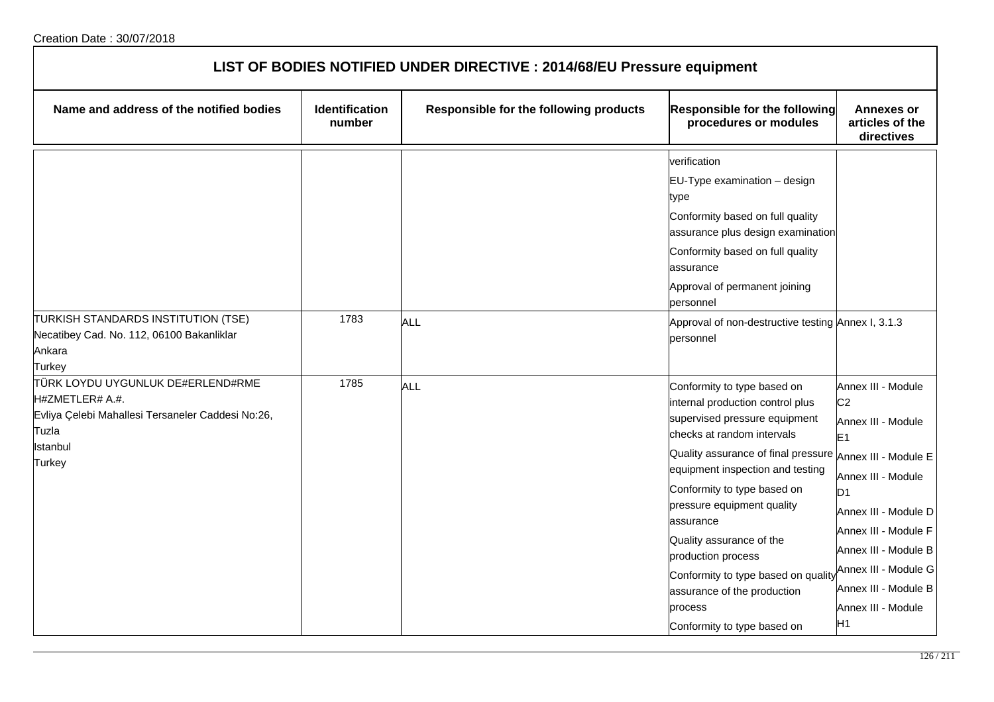| LIST OF BODIES NOTIFIED UNDER DIRECTIVE : 2014/68/EU Pressure equipment                                                                         |                          |                                        |                                                                                                                                                                                                                                                                                                                                                                                                                                                                            |                                                                                                                                                                                                                                                                          |  |
|-------------------------------------------------------------------------------------------------------------------------------------------------|--------------------------|----------------------------------------|----------------------------------------------------------------------------------------------------------------------------------------------------------------------------------------------------------------------------------------------------------------------------------------------------------------------------------------------------------------------------------------------------------------------------------------------------------------------------|--------------------------------------------------------------------------------------------------------------------------------------------------------------------------------------------------------------------------------------------------------------------------|--|
| Name and address of the notified bodies                                                                                                         | Identification<br>number | Responsible for the following products | Responsible for the following<br>procedures or modules                                                                                                                                                                                                                                                                                                                                                                                                                     | <b>Annexes or</b><br>articles of the<br>directives                                                                                                                                                                                                                       |  |
|                                                                                                                                                 |                          |                                        | verification<br>EU-Type examination - design<br>type<br>Conformity based on full quality<br>assurance plus design examination<br>Conformity based on full quality<br>assurance<br>Approval of permanent joining<br>personnel                                                                                                                                                                                                                                               |                                                                                                                                                                                                                                                                          |  |
| TURKISH STANDARDS INSTITUTION (TSE)<br>Necatibey Cad. No. 112, 06100 Bakanliklar<br>Ankara<br>Turkey                                            | 1783                     | <b>ALL</b>                             | Approval of non-destructive testing Annex I, 3.1.3<br>personnel                                                                                                                                                                                                                                                                                                                                                                                                            |                                                                                                                                                                                                                                                                          |  |
| TÜRK LOYDU UYGUNLUK DE#ERLEND#RME<br>H#ZMETLER# A.#.<br>Evliya Çelebi Mahallesi Tersaneler Caddesi No:26,<br>Tuzla<br>Istanbul<br><b>Turkey</b> | 1785                     | ALL                                    | Conformity to type based on<br>internal production control plus<br>supervised pressure equipment<br>checks at random intervals<br>Quality assurance of final pressure Annex III - Module E<br>equipment inspection and testing<br>Conformity to type based on<br>pressure equipment quality<br>assurance<br>Quality assurance of the<br>production process<br>Conformity to type based on quality<br>assurance of the production<br>process<br>Conformity to type based on | Annex III - Module<br>C <sub>2</sub><br>Annex III - Module<br>E1<br>Annex III - Module<br>D <sub>1</sub><br>Annex III - Module D<br>Annex III - Module F<br>Annex III - Module B<br>Annex III - Module G<br>Annex III - Module B<br>Annex III - Module<br>H <sub>1</sub> |  |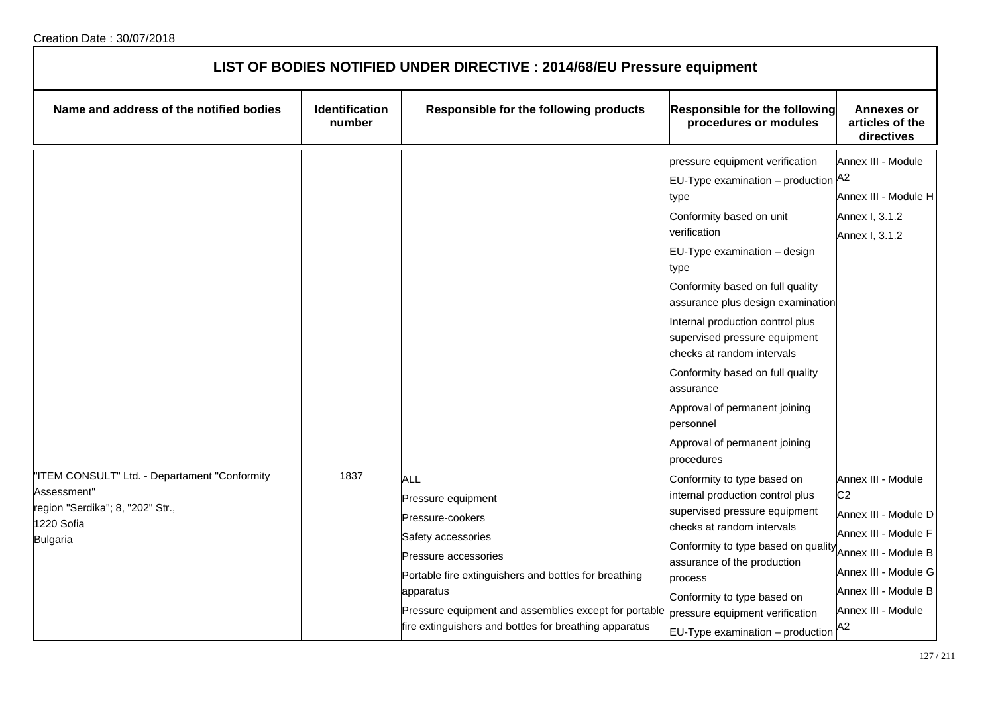| LIST OF BODIES NOTIFIED UNDER DIRECTIVE : 2014/68/EU Pressure equipment                                                           |                                 |                                                                                                                                                                                                                                                                                      |                                                                                                                                                                                                                                                                                                                                                                                                                                                                                                  |                                                                                                                                                                                          |  |
|-----------------------------------------------------------------------------------------------------------------------------------|---------------------------------|--------------------------------------------------------------------------------------------------------------------------------------------------------------------------------------------------------------------------------------------------------------------------------------|--------------------------------------------------------------------------------------------------------------------------------------------------------------------------------------------------------------------------------------------------------------------------------------------------------------------------------------------------------------------------------------------------------------------------------------------------------------------------------------------------|------------------------------------------------------------------------------------------------------------------------------------------------------------------------------------------|--|
| Name and address of the notified bodies                                                                                           | <b>Identification</b><br>number | Responsible for the following products                                                                                                                                                                                                                                               | Responsible for the following<br>procedures or modules                                                                                                                                                                                                                                                                                                                                                                                                                                           | <b>Annexes or</b><br>articles of the<br>directives                                                                                                                                       |  |
|                                                                                                                                   |                                 |                                                                                                                                                                                                                                                                                      | pressure equipment verification<br>EU-Type examination – production $ A2 $<br>type<br>Conformity based on unit<br>verification<br>EU-Type examination - design<br>type<br>Conformity based on full quality<br>assurance plus design examination<br>Internal production control plus<br>supervised pressure equipment<br>checks at random intervals<br>Conformity based on full quality<br>assurance<br>Approval of permanent joining<br>personnel<br>Approval of permanent joining<br>procedures | Annex III - Module<br>Annex III - Module H<br>Annex I, 3.1.2<br>Annex I, 3.1.2                                                                                                           |  |
| "ITEM CONSULT" Ltd. - Departament "Conformity<br>Assessment"<br>region "Serdika"; 8, "202" Str.,<br>1220 Sofia<br><b>Bulgaria</b> | 1837                            | ALL<br>Pressure equipment<br>Pressure-cookers<br>Safety accessories<br>Pressure accessories<br>Portable fire extinguishers and bottles for breathing<br>apparatus<br>Pressure equipment and assemblies except for portable<br>fire extinguishers and bottles for breathing apparatus | Conformity to type based on<br>internal production control plus<br>supervised pressure equipment<br>checks at random intervals<br>Conformity to type based on quality<br>assurance of the production<br>process<br>Conformity to type based on<br>pressure equipment verification<br>EU-Type examination - production                                                                                                                                                                            | Annex III - Module<br>C <sub>2</sub><br>Annex III - Module D<br>Annex III - Module F<br>Annex III - Module B<br>Annex III - Module G<br>Annex III - Module B<br>Annex III - Module<br>A2 |  |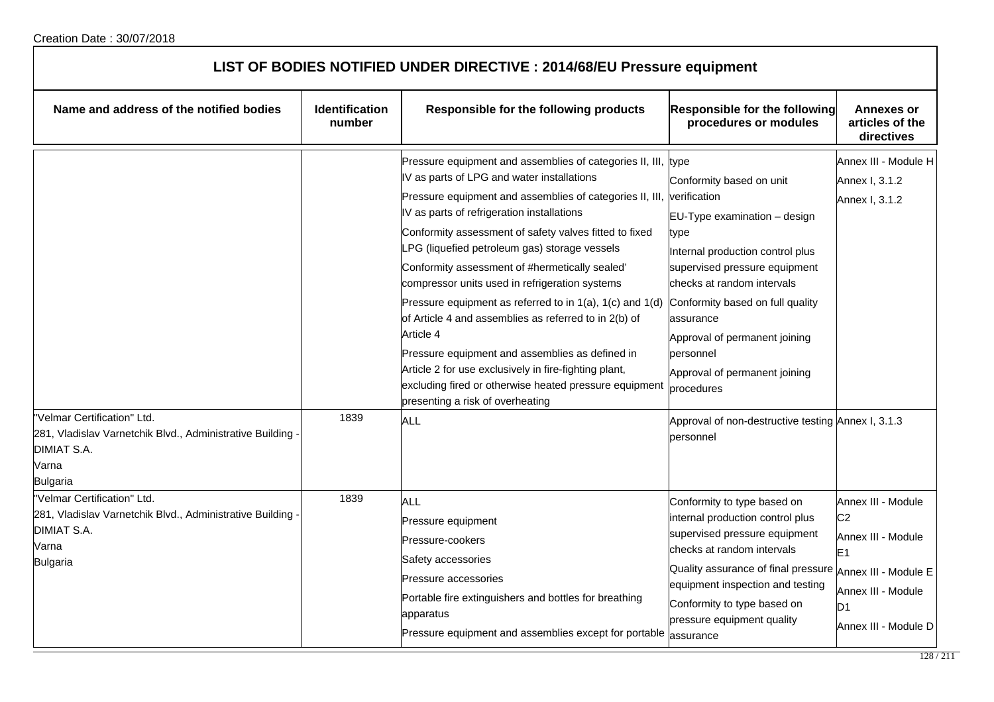| LIST OF BODIES NOTIFIED UNDER DIRECTIVE : 2014/68/EU Pressure equipment                                                            |                                 |                                                                                                                                                                                                                                                                                                                                                                                                                                                                                                                                                                                                                                                                                                                                                                                                                   |                                                                                                                                                                                                                                                                                                                                                                                          |                                                                                                                                              |  |
|------------------------------------------------------------------------------------------------------------------------------------|---------------------------------|-------------------------------------------------------------------------------------------------------------------------------------------------------------------------------------------------------------------------------------------------------------------------------------------------------------------------------------------------------------------------------------------------------------------------------------------------------------------------------------------------------------------------------------------------------------------------------------------------------------------------------------------------------------------------------------------------------------------------------------------------------------------------------------------------------------------|------------------------------------------------------------------------------------------------------------------------------------------------------------------------------------------------------------------------------------------------------------------------------------------------------------------------------------------------------------------------------------------|----------------------------------------------------------------------------------------------------------------------------------------------|--|
| Name and address of the notified bodies                                                                                            | <b>Identification</b><br>number | Responsible for the following products                                                                                                                                                                                                                                                                                                                                                                                                                                                                                                                                                                                                                                                                                                                                                                            | <b>Responsible for the following</b><br>procedures or modules                                                                                                                                                                                                                                                                                                                            | <b>Annexes or</b><br>articles of the<br>directives                                                                                           |  |
| "Velmar Certification" Ltd.<br>281, Vladislav Varnetchik Blvd., Administrative Building<br><b>DIMIAT S.A.</b><br>Varna<br>Bulgaria | 1839                            | Pressure equipment and assemblies of categories II, III, type<br>V as parts of LPG and water installations<br>Pressure equipment and assemblies of categories II, III, verification<br>IV as parts of refrigeration installations<br>Conformity assessment of safety valves fitted to fixed<br>_PG (liquefied petroleum gas) storage vessels<br>Conformity assessment of #hermetically sealed'<br>compressor units used in refrigeration systems<br>Pressure equipment as referred to in $1(a)$ , $1(c)$ and $1(d)$<br>of Article 4 and assemblies as referred to in 2(b) of<br>Article 4<br>Pressure equipment and assemblies as defined in<br>Article 2 for use exclusively in fire-fighting plant,<br>excluding fired or otherwise heated pressure equipment<br>presenting a risk of overheating<br><b>ALL</b> | Conformity based on unit<br>$EU-Type$ examination $-$ design<br>type<br>Internal production control plus<br>supervised pressure equipment<br>checks at random intervals<br>Conformity based on full quality<br>assurance<br>Approval of permanent joining<br>personnel<br>Approval of permanent joining<br>procedures<br>Approval of non-destructive testing Annex I, 3.1.3<br>bersonnel | Annex III - Module H<br>Annex I, 3.1.2<br>Annex I, 3.1.2                                                                                     |  |
| "Velmar Certification" Ltd.<br>281, Vladislav Varnetchik Blvd., Administrative Building<br>DIMIAT S.A.<br>Varna<br><b>Bulgaria</b> | 1839                            | ALL<br>Pressure equipment<br>Pressure-cookers<br>Safety accessories<br>Pressure accessories<br>Portable fire extinguishers and bottles for breathing<br>apparatus<br>Pressure equipment and assemblies except for portable assurance                                                                                                                                                                                                                                                                                                                                                                                                                                                                                                                                                                              | Conformity to type based on<br>internal production control plus<br>supervised pressure equipment<br>lchecks at random intervals<br>Quality assurance of final pressure Annex III - Module E<br>equipment inspection and testing<br>Conformity to type based on<br>pressure equipment quality                                                                                             | Annex III - Module<br>C <sub>2</sub><br>Annex III - Module<br>E <sub>1</sub><br>Annex III - Module<br>D <sub>1</sub><br>Annex III - Module D |  |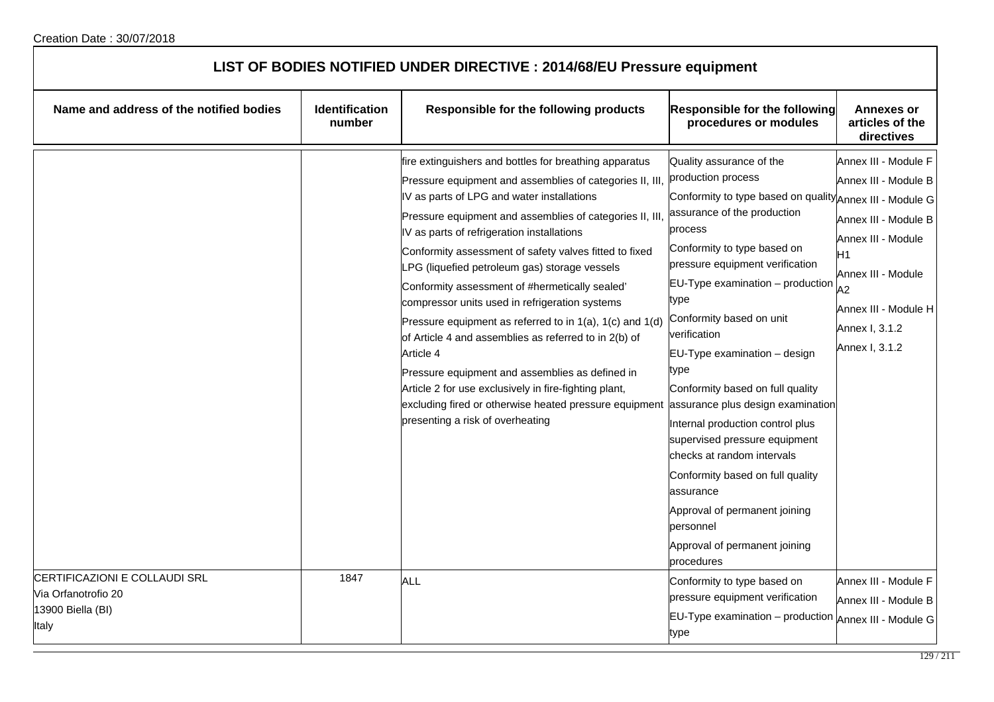| LIST OF BODIES NOTIFIED UNDER DIRECTIVE : 2014/68/EU Pressure equipment |                                 |                                        |                                                        |                                                    |
|-------------------------------------------------------------------------|---------------------------------|----------------------------------------|--------------------------------------------------------|----------------------------------------------------|
| Name and address of the notified bodies                                 | <b>Identification</b><br>number | Responsible for the following products | Responsible for the following<br>procedures or modules | <b>Annexes or</b><br>articles of the<br>directives |

|                                                                                    | number |                                                                                                                                                                                                                                                                                                                                                                                                                                                                                                                                                                                                                                                                                                                                                                                                                                             | procedures or modules                                                                                                                                                                                                                                                                                                                                                                                                                                                                                                                                                                                                                                              | articles of the<br>directives                                                                                                                                                            |
|------------------------------------------------------------------------------------|--------|---------------------------------------------------------------------------------------------------------------------------------------------------------------------------------------------------------------------------------------------------------------------------------------------------------------------------------------------------------------------------------------------------------------------------------------------------------------------------------------------------------------------------------------------------------------------------------------------------------------------------------------------------------------------------------------------------------------------------------------------------------------------------------------------------------------------------------------------|--------------------------------------------------------------------------------------------------------------------------------------------------------------------------------------------------------------------------------------------------------------------------------------------------------------------------------------------------------------------------------------------------------------------------------------------------------------------------------------------------------------------------------------------------------------------------------------------------------------------------------------------------------------------|------------------------------------------------------------------------------------------------------------------------------------------------------------------------------------------|
|                                                                                    |        | fire extinguishers and bottles for breathing apparatus<br>Pressure equipment and assemblies of categories II, III,<br>IV as parts of LPG and water installations<br>Pressure equipment and assemblies of categories II, III<br>IV as parts of refrigeration installations<br>Conformity assessment of safety valves fitted to fixed<br>LPG (liquefied petroleum gas) storage vessels<br>Conformity assessment of #hermetically sealed'<br>compressor units used in refrigeration systems<br>Pressure equipment as referred to in $1(a)$ , $1(c)$ and $1(d)$<br>of Article 4 and assemblies as referred to in 2(b) of<br>Article 4<br>Pressure equipment and assemblies as defined in<br>Article 2 for use exclusively in fire-fighting plant,<br>excluding fired or otherwise heated pressure equipment<br>presenting a risk of overheating | Quality assurance of the<br>production process<br>Conformity to type based on quality Annex III - Module G<br>assurance of the production<br>process<br>Conformity to type based on<br>pressure equipment verification<br>EU-Type examination - production<br>type<br>Conformity based on unit<br>verification<br>EU-Type examination - design<br>type<br>Conformity based on full quality<br>assurance plus design examination<br>Internal production control plus<br>supervised pressure equipment<br>checks at random intervals<br>Conformity based on full quality<br>assurance<br>Approval of permanent joining<br>personnel<br>Approval of permanent joining | Annex III - Module F<br>Annex III - Module B<br>Annex III - Module B<br>Annex III - Module<br>H1<br>Annex III - Module<br>A2<br>Annex III - Module H<br>Annex I, 3.1.2<br>Annex I, 3.1.2 |
| CERTIFICAZIONI E COLLAUDI SRL<br>Via Orfanotrofio 20<br>13900 Biella (BI)<br>Italy | 1847   | ALL                                                                                                                                                                                                                                                                                                                                                                                                                                                                                                                                                                                                                                                                                                                                                                                                                                         | procedures<br>Conformity to type based on<br>pressure equipment verification<br>EU-Type examination - production<br>type                                                                                                                                                                                                                                                                                                                                                                                                                                                                                                                                           | Annex III - Module F<br>Annex III - Module B<br>Annex III - Module G                                                                                                                     |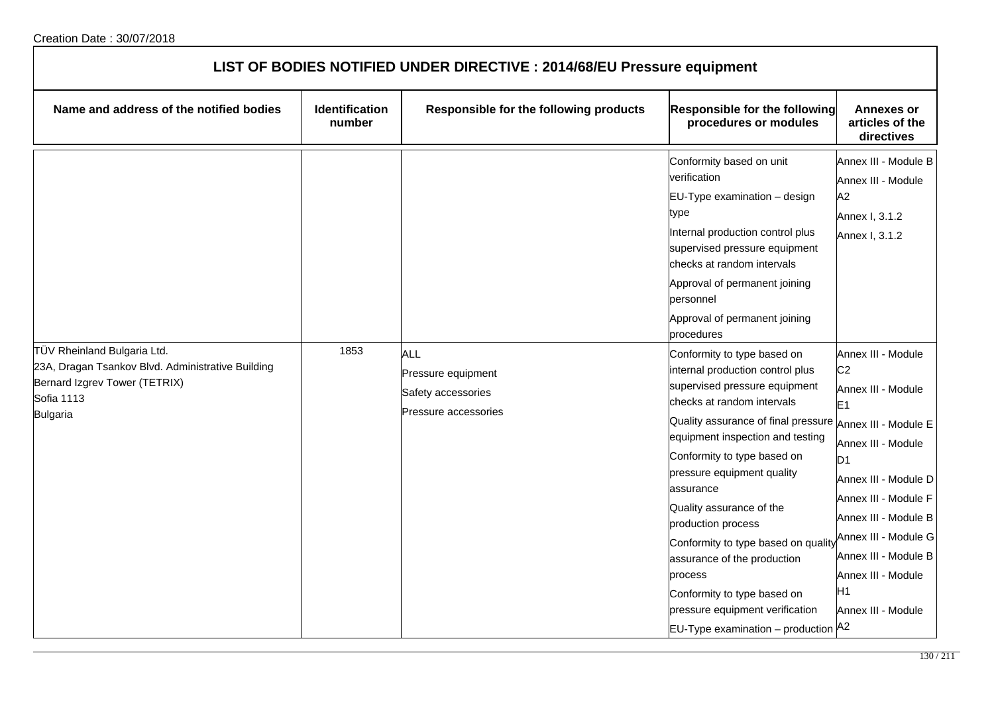| LIST OF BODIES NOTIFIED UNDER DIRECTIVE : 2014/68/EU Pressure equipment                                                                            |                                 |                                                                                |                                                                                                                                                                                                                                                                                                                                                                                                                                                                                                                                 |                                                                                                                                                                                                                                                                                                                        |  |
|----------------------------------------------------------------------------------------------------------------------------------------------------|---------------------------------|--------------------------------------------------------------------------------|---------------------------------------------------------------------------------------------------------------------------------------------------------------------------------------------------------------------------------------------------------------------------------------------------------------------------------------------------------------------------------------------------------------------------------------------------------------------------------------------------------------------------------|------------------------------------------------------------------------------------------------------------------------------------------------------------------------------------------------------------------------------------------------------------------------------------------------------------------------|--|
| Name and address of the notified bodies                                                                                                            | <b>Identification</b><br>number | Responsible for the following products                                         | Responsible for the following<br>procedures or modules                                                                                                                                                                                                                                                                                                                                                                                                                                                                          | <b>Annexes or</b><br>articles of the<br>directives                                                                                                                                                                                                                                                                     |  |
|                                                                                                                                                    |                                 |                                                                                | Conformity based on unit<br>verification<br>EU-Type examination - design<br>type<br>Internal production control plus<br>supervised pressure equipment<br>checks at random intervals<br>Approval of permanent joining<br>personnel<br>Approval of permanent joining<br>procedures                                                                                                                                                                                                                                                | Annex III - Module B<br>Annex III - Module<br>A2<br>Annex I, 3.1.2<br>Annex I, 3.1.2                                                                                                                                                                                                                                   |  |
| TÜV Rheinland Bulgaria Ltd.<br>23A, Dragan Tsankov Blvd. Administrative Building<br>Bernard Izgrev Tower (TETRIX)<br><b>Sofia 1113</b><br>Bulgaria | 1853                            | <b>ALL</b><br>Pressure equipment<br>Safety accessories<br>Pressure accessories | Conformity to type based on<br>internal production control plus<br>supervised pressure equipment<br>checks at random intervals<br>Quality assurance of final pressure<br>equipment inspection and testing<br>Conformity to type based on<br>pressure equipment quality<br>assurance<br>Quality assurance of the<br>production process<br>Conformity to type based on quality<br>assurance of the production<br>process<br>Conformity to type based on<br>pressure equipment verification<br>EU-Type examination - production A2 | Annex III - Module<br>C <sub>2</sub><br>Annex III - Module<br>E1<br>Annex III - Module E<br>Annex III - Module<br>D <sub>1</sub><br>Annex III - Module D<br>Annex III - Module F<br>Annex III - Module B<br>Annex III - Module G<br>Annex III - Module B<br>Annex III - Module<br>H <sub>1</sub><br>Annex III - Module |  |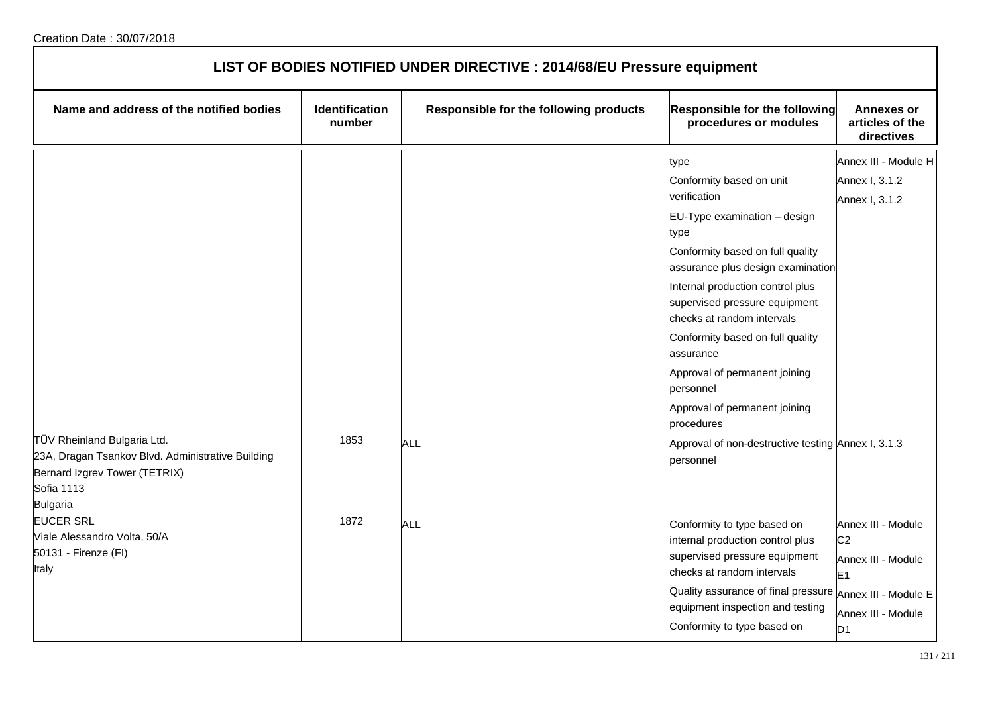| LIST OF BODIES NOTIFIED UNDER DIRECTIVE : 2014/68/EU Pressure equipment                                                                                   |                                 |                                        |                                                                                                 |                                                    |  |
|-----------------------------------------------------------------------------------------------------------------------------------------------------------|---------------------------------|----------------------------------------|-------------------------------------------------------------------------------------------------|----------------------------------------------------|--|
| Name and address of the notified bodies                                                                                                                   | <b>Identification</b><br>number | Responsible for the following products | Responsible for the following<br>procedures or modules                                          | <b>Annexes or</b><br>articles of the<br>directives |  |
|                                                                                                                                                           |                                 |                                        | type                                                                                            | Annex III - Module H                               |  |
|                                                                                                                                                           |                                 |                                        | Conformity based on unit                                                                        | Annex I, 3.1.2                                     |  |
|                                                                                                                                                           |                                 |                                        | verification                                                                                    | Annex I, 3.1.2                                     |  |
|                                                                                                                                                           |                                 |                                        | EU-Type examination - design<br>type                                                            |                                                    |  |
|                                                                                                                                                           |                                 |                                        | Conformity based on full quality<br>assurance plus design examination                           |                                                    |  |
|                                                                                                                                                           |                                 |                                        | Internal production control plus<br>supervised pressure equipment<br>checks at random intervals |                                                    |  |
|                                                                                                                                                           |                                 |                                        | Conformity based on full quality<br>assurance                                                   |                                                    |  |
|                                                                                                                                                           |                                 |                                        | Approval of permanent joining<br>personnel                                                      |                                                    |  |
|                                                                                                                                                           |                                 |                                        | Approval of permanent joining<br>procedures                                                     |                                                    |  |
| TÜV Rheinland Bulgaria Ltd.<br>23A, Dragan Tsankov Blvd. Administrative Building<br>Bernard Izgrev Tower (TETRIX)<br><b>Sofia 1113</b><br><b>Bulgaria</b> | 1853                            | <b>ALL</b>                             | Approval of non-destructive testing Annex I, 3.1.3<br>personnel                                 |                                                    |  |
| <b>EUCER SRL</b>                                                                                                                                          | 1872                            | <b>ALL</b>                             | Conformity to type based on                                                                     | Annex III - Module                                 |  |
| Viale Alessandro Volta, 50/A                                                                                                                              |                                 |                                        | internal production control plus                                                                | C <sub>2</sub>                                     |  |
| 50131 - Firenze (FI)                                                                                                                                      |                                 |                                        | supervised pressure equipment                                                                   | Annex III - Module                                 |  |
| Italy                                                                                                                                                     |                                 |                                        | checks at random intervals                                                                      | E <sub>1</sub>                                     |  |
|                                                                                                                                                           |                                 |                                        | Quality assurance of final pressure                                                             | Annex III - Module E                               |  |
|                                                                                                                                                           |                                 |                                        | equipment inspection and testing<br>Conformity to type based on                                 | Annex III - Module<br>D <sub>1</sub>               |  |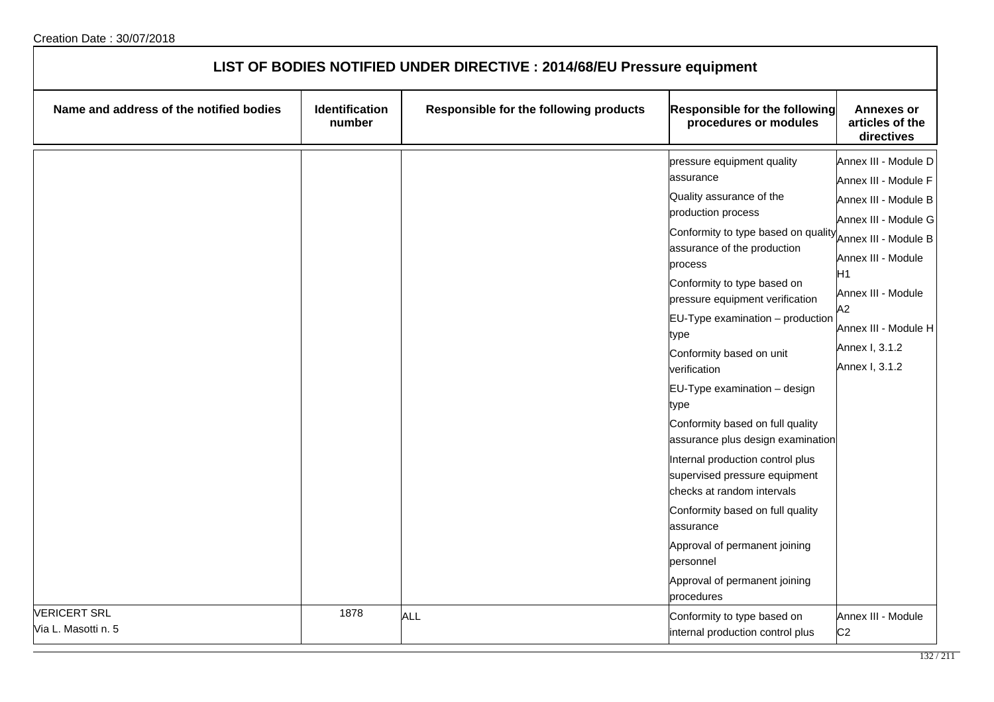| LIST OF BODIES NOTIFIED UNDER DIRECTIVE : 2014/68/EU Pressure equipment |                          |                                        |                                                                                                                                                                                                                                                                                                                                                                                                                                                                                                                                                                                                                                                                                                            |                                                                                                                                                                                                                                                      |
|-------------------------------------------------------------------------|--------------------------|----------------------------------------|------------------------------------------------------------------------------------------------------------------------------------------------------------------------------------------------------------------------------------------------------------------------------------------------------------------------------------------------------------------------------------------------------------------------------------------------------------------------------------------------------------------------------------------------------------------------------------------------------------------------------------------------------------------------------------------------------------|------------------------------------------------------------------------------------------------------------------------------------------------------------------------------------------------------------------------------------------------------|
| Name and address of the notified bodies                                 | Identification<br>number | Responsible for the following products | Responsible for the following<br>procedures or modules                                                                                                                                                                                                                                                                                                                                                                                                                                                                                                                                                                                                                                                     | <b>Annexes or</b><br>articles of the<br>directives                                                                                                                                                                                                   |
|                                                                         |                          |                                        | pressure equipment quality<br>assurance<br>Quality assurance of the<br>production process<br>Conformity to type based on quality<br>assurance of the production<br>process<br>Conformity to type based on<br>pressure equipment verification<br>$EU-Type$ examination $-$ production<br>type<br>Conformity based on unit<br>verification<br>EU-Type examination - design<br>type<br>Conformity based on full quality<br>assurance plus design examination<br>Internal production control plus<br>supervised pressure equipment<br>checks at random intervals<br>Conformity based on full quality<br>assurance<br>Approval of permanent joining<br>personnel<br>Approval of permanent joining<br>procedures | Annex III - Module D<br>Annex III - Module F<br>Annex III - Module B<br>Annex III - Module G<br>Annex III - Module B<br>Annex III - Module<br>H <sub>1</sub><br>Annex III - Module<br>A2<br>Annex III - Module H<br>Annex I, 3.1.2<br>Annex I, 3.1.2 |
| <b>VERICERT SRL</b><br>Via L. Masotti n. 5                              | 1878                     | ALL                                    | Conformity to type based on<br>internal production control plus                                                                                                                                                                                                                                                                                                                                                                                                                                                                                                                                                                                                                                            | Annex III - Module<br>C <sub>2</sub>                                                                                                                                                                                                                 |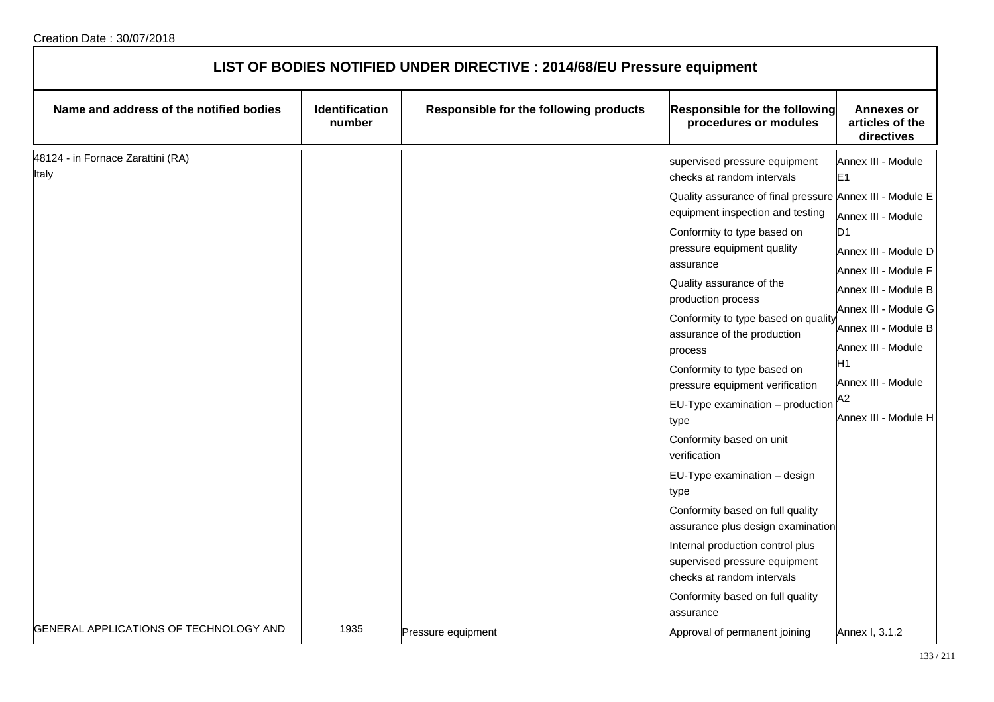| LIST OF BODIES NOTIFIED UNDER DIRECTIVE : 2014/68/EU Pressure equipment |                          |                                        |                                                                                                                                                                                                                                                                                                                                                                                                                                                                                                                                                                                                                                                                                                                                                                                                           |                                                                                                                                                                                                                                                                                      |  |
|-------------------------------------------------------------------------|--------------------------|----------------------------------------|-----------------------------------------------------------------------------------------------------------------------------------------------------------------------------------------------------------------------------------------------------------------------------------------------------------------------------------------------------------------------------------------------------------------------------------------------------------------------------------------------------------------------------------------------------------------------------------------------------------------------------------------------------------------------------------------------------------------------------------------------------------------------------------------------------------|--------------------------------------------------------------------------------------------------------------------------------------------------------------------------------------------------------------------------------------------------------------------------------------|--|
| Name and address of the notified bodies                                 | Identification<br>number | Responsible for the following products | Responsible for the following<br>procedures or modules                                                                                                                                                                                                                                                                                                                                                                                                                                                                                                                                                                                                                                                                                                                                                    | <b>Annexes or</b><br>articles of the<br>directives                                                                                                                                                                                                                                   |  |
| 48124 - in Fornace Zarattini (RA)<br>Italy                              |                          |                                        | supervised pressure equipment<br>checks at random intervals<br>Quality assurance of final pressure Annex III - Module E<br>equipment inspection and testing<br>Conformity to type based on<br>pressure equipment quality<br>assurance<br>Quality assurance of the<br>production process<br>Conformity to type based on quality<br>assurance of the production<br>process<br>Conformity to type based on<br>pressure equipment verification<br>$EU-Type$ examination – production<br>type<br>Conformity based on unit<br>verification<br>EU-Type examination - design<br>type<br>Conformity based on full quality<br>assurance plus design examination<br>Internal production control plus<br>supervised pressure equipment<br>checks at random intervals<br>Conformity based on full quality<br>assurance | Annex III - Module<br>E <sub>1</sub><br>Annex III - Module<br>D <sub>1</sub><br>Annex III - Module D<br>Annex III - Module F<br>Annex III - Module B<br>Annex III - Module G<br>Annex III - Module B<br>Annex III - Module<br>Н1<br>Annex III - Module<br>A2<br>Annex III - Module H |  |
| GENERAL APPLICATIONS OF TECHNOLOGY AND                                  | 1935                     | Pressure equipment                     | Approval of permanent joining                                                                                                                                                                                                                                                                                                                                                                                                                                                                                                                                                                                                                                                                                                                                                                             | Annex I, 3.1.2                                                                                                                                                                                                                                                                       |  |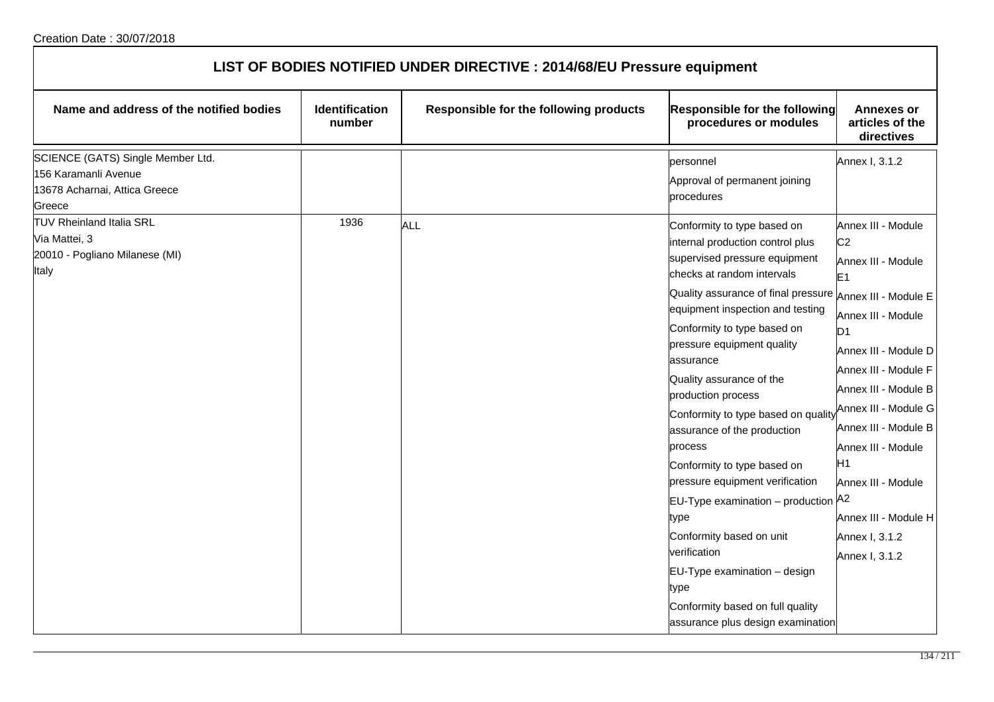| LIST OF BODIES NOTIFIED UNDER DIRECTIVE : 2014/68/EU Pressure equipment                              |                                 |                                        |                                                                                                                                                                               |                                                                                                              |  |
|------------------------------------------------------------------------------------------------------|---------------------------------|----------------------------------------|-------------------------------------------------------------------------------------------------------------------------------------------------------------------------------|--------------------------------------------------------------------------------------------------------------|--|
| Name and address of the notified bodies                                                              | <b>Identification</b><br>number | Responsible for the following products | Responsible for the following<br>procedures or modules                                                                                                                        | <b>Annexes or</b><br>articles of the<br>directives                                                           |  |
| SCIENCE (GATS) Single Member Ltd.<br>156 Karamanli Avenue<br>13678 Acharnai, Attica Greece<br>Greece |                                 |                                        | personnel<br>Approval of permanent joining<br>procedures                                                                                                                      | Annex I, 3.1.2                                                                                               |  |
| <b>TUV Rheinland Italia SRL</b><br>Via Mattei, 3<br>20010 - Pogliano Milanese (MI)<br>Italy          | 1936                            | <b>ALL</b>                             | Conformity to type based on<br>internal production control plus<br>supervised pressure equipment<br>checks at random intervals                                                | Annex III - Module<br>C <sub>2</sub><br>Annex III - Module<br>E <sub>1</sub>                                 |  |
|                                                                                                      |                                 |                                        | Quality assurance of final pressure<br>equipment inspection and testing<br>Conformity to type based on<br>pressure equipment quality<br>assurance<br>Quality assurance of the | Annex III - Module E<br>Annex III - Module<br>D <sub>1</sub><br>Annex III - Module D<br>Annex III - Module F |  |
|                                                                                                      |                                 |                                        | production process<br>Conformity to type based on quality<br>assurance of the production<br>process<br>Conformity to type based on                                            | Annex III - Module B<br>Annex III - Module G<br>Annex III - Module B<br>Annex III - Module<br>H1             |  |
|                                                                                                      |                                 |                                        | pressure equipment verification<br>EU-Type examination - production A2<br>type                                                                                                | Annex III - Module<br>Annex III - Module H                                                                   |  |
|                                                                                                      |                                 |                                        | Conformity based on unit<br>verification<br>EU-Type examination - design<br>type<br>Conformity based on full quality<br>assurance plus design examination                     | Annex I, 3.1.2<br>Annex I, 3.1.2                                                                             |  |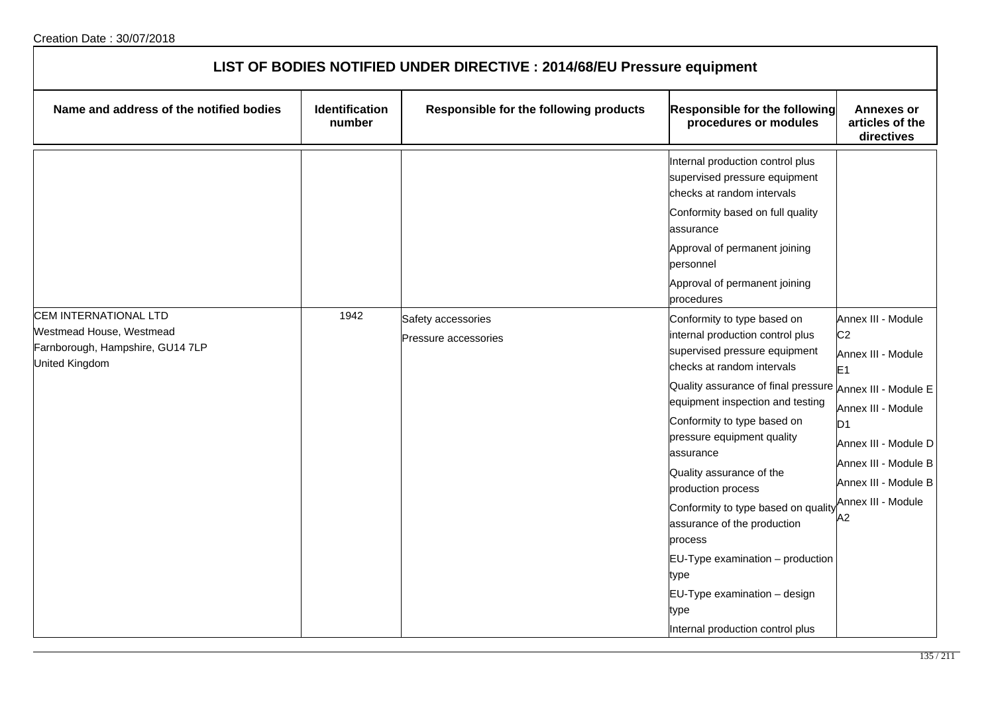| LIST OF BODIES NOTIFIED UNDER DIRECTIVE : 2014/68/EU Pressure equipment                                 |                                 |                                            |                                                                                                                                                                                                                                                                                                                                                                                                                                                                                                                                                |                                                                                                                                                                                                                                                  |  |
|---------------------------------------------------------------------------------------------------------|---------------------------------|--------------------------------------------|------------------------------------------------------------------------------------------------------------------------------------------------------------------------------------------------------------------------------------------------------------------------------------------------------------------------------------------------------------------------------------------------------------------------------------------------------------------------------------------------------------------------------------------------|--------------------------------------------------------------------------------------------------------------------------------------------------------------------------------------------------------------------------------------------------|--|
| Name and address of the notified bodies                                                                 | <b>Identification</b><br>number | Responsible for the following products     | <b>Responsible for the following</b><br>procedures or modules                                                                                                                                                                                                                                                                                                                                                                                                                                                                                  | <b>Annexes or</b><br>articles of the<br>directives                                                                                                                                                                                               |  |
|                                                                                                         |                                 |                                            | Internal production control plus<br>supervised pressure equipment<br>checks at random intervals<br>Conformity based on full quality<br>assurance<br>Approval of permanent joining<br>personnel<br>Approval of permanent joining<br>procedures                                                                                                                                                                                                                                                                                                  |                                                                                                                                                                                                                                                  |  |
| CEM INTERNATIONAL LTD<br>Westmead House, Westmead<br>Farnborough, Hampshire, GU14 7LP<br>United Kingdom | 1942                            | Safety accessories<br>Pressure accessories | Conformity to type based on<br>internal production control plus<br>supervised pressure equipment<br>checks at random intervals<br>Quality assurance of final pressure<br>equipment inspection and testing<br>Conformity to type based on<br>pressure equipment quality<br>assurance<br>Quality assurance of the<br>production process<br>Conformity to type based on quality<br>assurance of the production<br>process<br>EU-Type examination - production<br>type<br>EU-Type examination - design<br>type<br>Internal production control plus | Annex III - Module<br>C <sub>2</sub><br>Annex III - Module<br>E <sub>1</sub><br>Annex III - Module E<br>Annex III - Module<br>D <sub>1</sub><br>Annex III - Module D<br>Annex III - Module B<br>Annex III - Module B<br>Annex III - Module<br>А2 |  |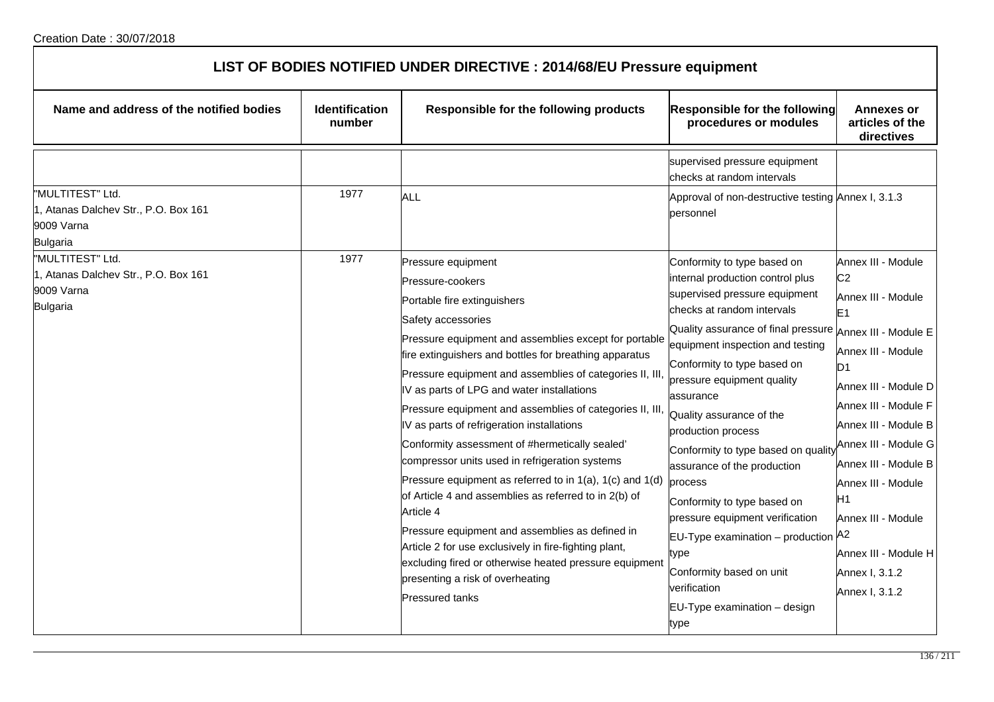| LIST OF BODIES NOTIFIED UNDER DIRECTIVE : 2014/68/EU Pressure equipment                   |                                 |                                                                                                                                                                                                                                                                                                                                                                                                                                                                                                                                                                                                                                                                                                                                                                                                                                                                                                                    |                                                                                                                                                                                                                                                                                                                                                                                                                                                                                                                                                                                                                                       |                                                                                                                                                                                                                                                                                                                                                                                                 |  |  |  |
|-------------------------------------------------------------------------------------------|---------------------------------|--------------------------------------------------------------------------------------------------------------------------------------------------------------------------------------------------------------------------------------------------------------------------------------------------------------------------------------------------------------------------------------------------------------------------------------------------------------------------------------------------------------------------------------------------------------------------------------------------------------------------------------------------------------------------------------------------------------------------------------------------------------------------------------------------------------------------------------------------------------------------------------------------------------------|---------------------------------------------------------------------------------------------------------------------------------------------------------------------------------------------------------------------------------------------------------------------------------------------------------------------------------------------------------------------------------------------------------------------------------------------------------------------------------------------------------------------------------------------------------------------------------------------------------------------------------------|-------------------------------------------------------------------------------------------------------------------------------------------------------------------------------------------------------------------------------------------------------------------------------------------------------------------------------------------------------------------------------------------------|--|--|--|
| Name and address of the notified bodies                                                   | <b>Identification</b><br>number | Responsible for the following products                                                                                                                                                                                                                                                                                                                                                                                                                                                                                                                                                                                                                                                                                                                                                                                                                                                                             | <b>Responsible for the following</b><br>procedures or modules                                                                                                                                                                                                                                                                                                                                                                                                                                                                                                                                                                         | Annexes or<br>articles of the<br>directives                                                                                                                                                                                                                                                                                                                                                     |  |  |  |
|                                                                                           |                                 |                                                                                                                                                                                                                                                                                                                                                                                                                                                                                                                                                                                                                                                                                                                                                                                                                                                                                                                    | supervised pressure equipment<br>checks at random intervals                                                                                                                                                                                                                                                                                                                                                                                                                                                                                                                                                                           |                                                                                                                                                                                                                                                                                                                                                                                                 |  |  |  |
| "MULTITEST" Ltd.<br>1, Atanas Dalchev Str., P.O. Box 161<br>9009 Varna<br><b>Bulgaria</b> | 1977                            | ALL                                                                                                                                                                                                                                                                                                                                                                                                                                                                                                                                                                                                                                                                                                                                                                                                                                                                                                                | Approval of non-destructive testing Annex I, 3.1.3<br>personnel                                                                                                                                                                                                                                                                                                                                                                                                                                                                                                                                                                       |                                                                                                                                                                                                                                                                                                                                                                                                 |  |  |  |
| "MULTITEST" Ltd.<br>1, Atanas Dalchev Str., P.O. Box 161<br>9009 Varna<br>Bulgaria        | 1977                            | Pressure equipment<br>Pressure-cookers<br>Portable fire extinguishers<br>Safety accessories<br>Pressure equipment and assemblies except for portable<br>fire extinguishers and bottles for breathing apparatus<br>Pressure equipment and assemblies of categories II, III,<br>IV as parts of LPG and water installations<br>Pressure equipment and assemblies of categories II, III<br>IV as parts of refrigeration installations<br>Conformity assessment of #hermetically sealed'<br>compressor units used in refrigeration systems<br>Pressure equipment as referred to in $1(a)$ , $1(c)$ and $1(d)$<br>of Article 4 and assemblies as referred to in 2(b) of<br>Article 4<br>Pressure equipment and assemblies as defined in<br>Article 2 for use exclusively in fire-fighting plant,<br>excluding fired or otherwise heated pressure equipment<br>presenting a risk of overheating<br><b>Pressured tanks</b> | Conformity to type based on<br>internal production control plus<br>supervised pressure equipment<br>checks at random intervals<br>Quality assurance of final pressure<br>equipment inspection and testing<br>Conformity to type based on<br>pressure equipment quality<br>assurance<br>Quality assurance of the<br>production process<br>Conformity to type based on quality<br>assurance of the production<br>process<br>Conformity to type based on<br>pressure equipment verification<br><b>EU-Type examination</b> – production $A^2$<br>type<br>Conformity based on unit<br>verification<br>EU-Type examination - design<br>type | Annex III - Module<br>C <sub>2</sub><br>Annex III - Module<br>E <sub>1</sub><br>Annex III - Module E<br>Annex III - Module<br>D <sub>1</sub><br>Annex III - Module D<br>Annex III - Module F<br>Annex III - Module B<br>Annex III - Module G <br>Annex III - Module B<br>Annex III - Module<br>H <sub>1</sub><br>Annex III - Module<br>Annex III - Module H<br>Annex I, 3.1.2<br>Annex I, 3.1.2 |  |  |  |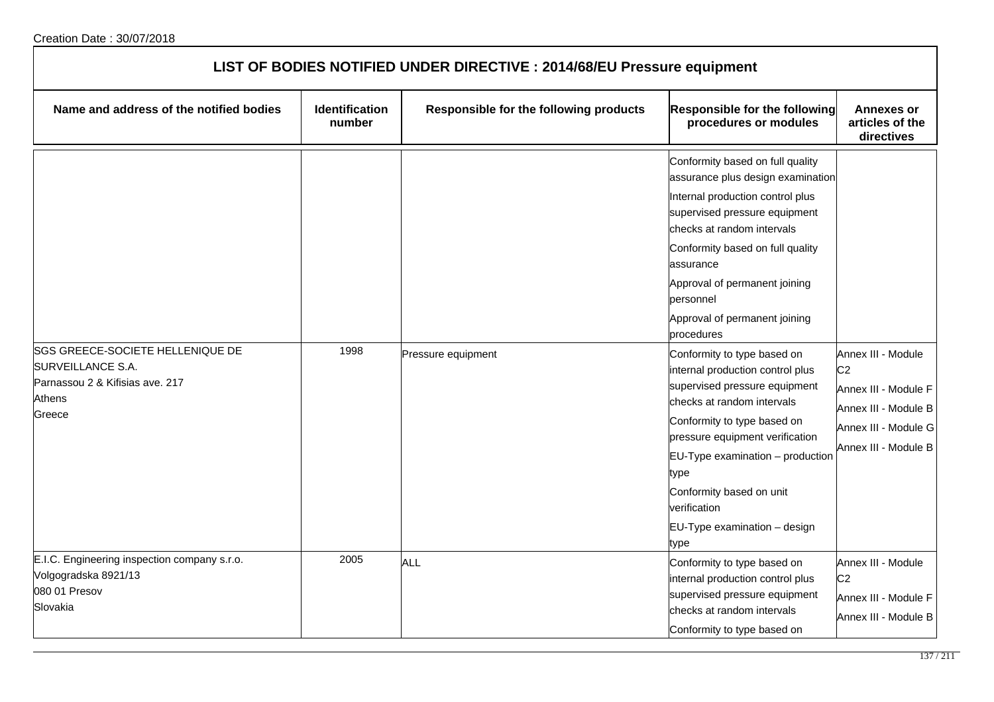| LIST OF BODIES NOTIFIED UNDER DIRECTIVE : 2014/68/EU Pressure equipment                                      |                                 |                                        |                                                                                                                                                                                                                                                                                                                                                                                                                                                                                                                                                                                                                                                            |                                                                                                                                      |  |
|--------------------------------------------------------------------------------------------------------------|---------------------------------|----------------------------------------|------------------------------------------------------------------------------------------------------------------------------------------------------------------------------------------------------------------------------------------------------------------------------------------------------------------------------------------------------------------------------------------------------------------------------------------------------------------------------------------------------------------------------------------------------------------------------------------------------------------------------------------------------------|--------------------------------------------------------------------------------------------------------------------------------------|--|
| Name and address of the notified bodies                                                                      | <b>Identification</b><br>number | Responsible for the following products | <b>Responsible for the following</b><br>procedures or modules                                                                                                                                                                                                                                                                                                                                                                                                                                                                                                                                                                                              | <b>Annexes or</b><br>articles of the<br>directives                                                                                   |  |
| SGS GREECE-SOCIETE HELLENIQUE DE<br>SURVEILLANCE S.A.<br>Parnassou 2 & Kifisias ave. 217<br>Athens<br>Greece | 1998                            | Pressure equipment                     | Conformity based on full quality<br>assurance plus design examination<br>Internal production control plus<br>supervised pressure equipment<br>checks at random intervals<br>Conformity based on full quality<br>assurance<br>Approval of permanent joining<br>personnel<br>Approval of permanent joining<br>procedures<br>Conformity to type based on<br>internal production control plus<br>supervised pressure equipment<br>checks at random intervals<br>Conformity to type based on<br>pressure equipment verification<br>EU-Type examination - production<br>type<br>Conformity based on unit<br>verification<br>EU-Type examination - design<br>type | Annex III - Module<br>C <sub>2</sub><br>Annex III - Module F<br>Annex III - Module B<br>Annex III - Module G<br>Annex III - Module B |  |
| E.I.C. Engineering inspection company s.r.o.<br>Volgogradska 8921/13<br>080 01 Presov<br>Slovakia            | 2005                            | <b>ALL</b>                             | Conformity to type based on<br>internal production control plus<br>supervised pressure equipment<br>checks at random intervals<br>Conformity to type based on                                                                                                                                                                                                                                                                                                                                                                                                                                                                                              | Annex III - Module<br>C <sub>2</sub><br>Annex III - Module F<br>Annex III - Module B                                                 |  |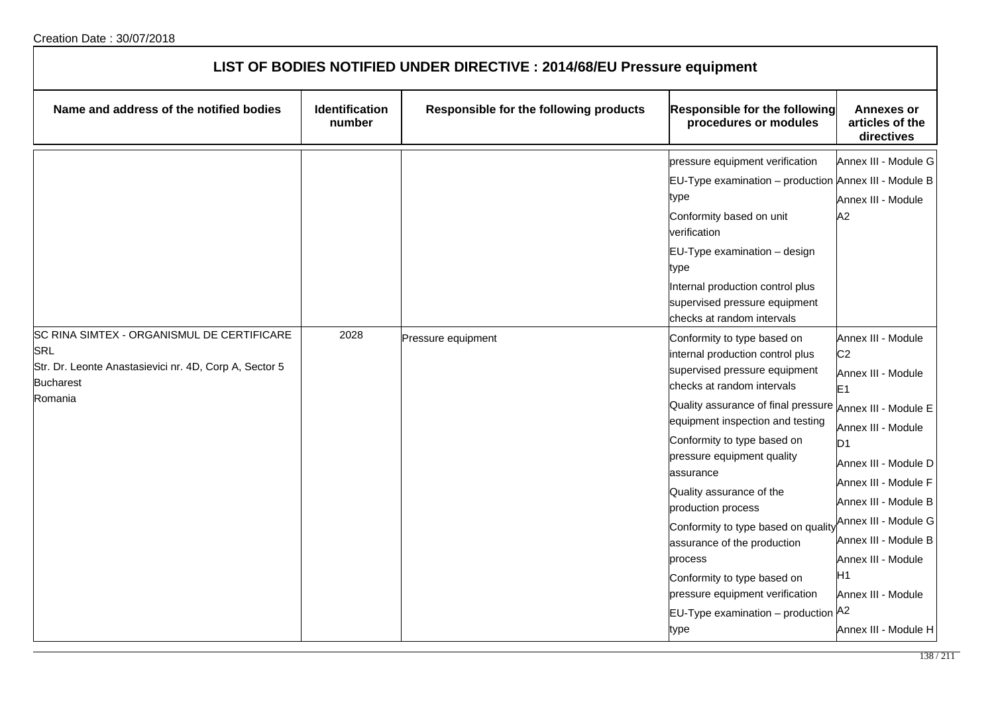| LIST OF BODIES NOTIFIED UNDER DIRECTIVE : 2014/68/EU Pressure equipment                                                                    |                                 |                                               |                                                                                                                                                                                                                                                                                                                                                                                                                                                                                                                                         |                                                                                                                                                                                                                                                                                                                                                |  |
|--------------------------------------------------------------------------------------------------------------------------------------------|---------------------------------|-----------------------------------------------|-----------------------------------------------------------------------------------------------------------------------------------------------------------------------------------------------------------------------------------------------------------------------------------------------------------------------------------------------------------------------------------------------------------------------------------------------------------------------------------------------------------------------------------------|------------------------------------------------------------------------------------------------------------------------------------------------------------------------------------------------------------------------------------------------------------------------------------------------------------------------------------------------|--|
| Name and address of the notified bodies                                                                                                    | <b>Identification</b><br>number | <b>Responsible for the following products</b> | <b>Responsible for the following</b><br>procedures or modules                                                                                                                                                                                                                                                                                                                                                                                                                                                                           | <b>Annexes or</b><br>articles of the<br>directives                                                                                                                                                                                                                                                                                             |  |
|                                                                                                                                            |                                 |                                               | pressure equipment verification<br>EU-Type examination - production Annex III - Module B<br>type<br>Conformity based on unit<br>verification<br>EU-Type examination - design<br>type<br>Internal production control plus<br>supervised pressure equipment<br>checks at random intervals                                                                                                                                                                                                                                                 | Annex III - Module G<br>Annex III - Module<br>А2                                                                                                                                                                                                                                                                                               |  |
| SC RINA SIMTEX - ORGANISMUL DE CERTIFICARE<br>SRL<br>Str. Dr. Leonte Anastasievici nr. 4D, Corp A, Sector 5<br><b>Bucharest</b><br>Romania | 2028                            | Pressure equipment                            | Conformity to type based on<br>internal production control plus<br>supervised pressure equipment<br>checks at random intervals<br>Quality assurance of final pressure<br>equipment inspection and testing<br>Conformity to type based on<br>pressure equipment quality<br>assurance<br>Quality assurance of the<br>production process<br>Conformity to type based on quality<br>assurance of the production<br>process<br>Conformity to type based on<br>pressure equipment verification<br>EU-Type examination - production A2<br>type | Annex III - Module<br>C <sub>2</sub><br>Annex III - Module<br>E <sub>1</sub><br>Annex III - Module E<br>Annex III - Module<br>D <sub>1</sub><br>Annex III - Module D<br>Annex III - Module F<br>Annex III - Module B<br>Annex III - Module G<br>Annex III - Module B<br>Annex III - Module<br>H1<br>Annex III - Module<br>Annex III - Module H |  |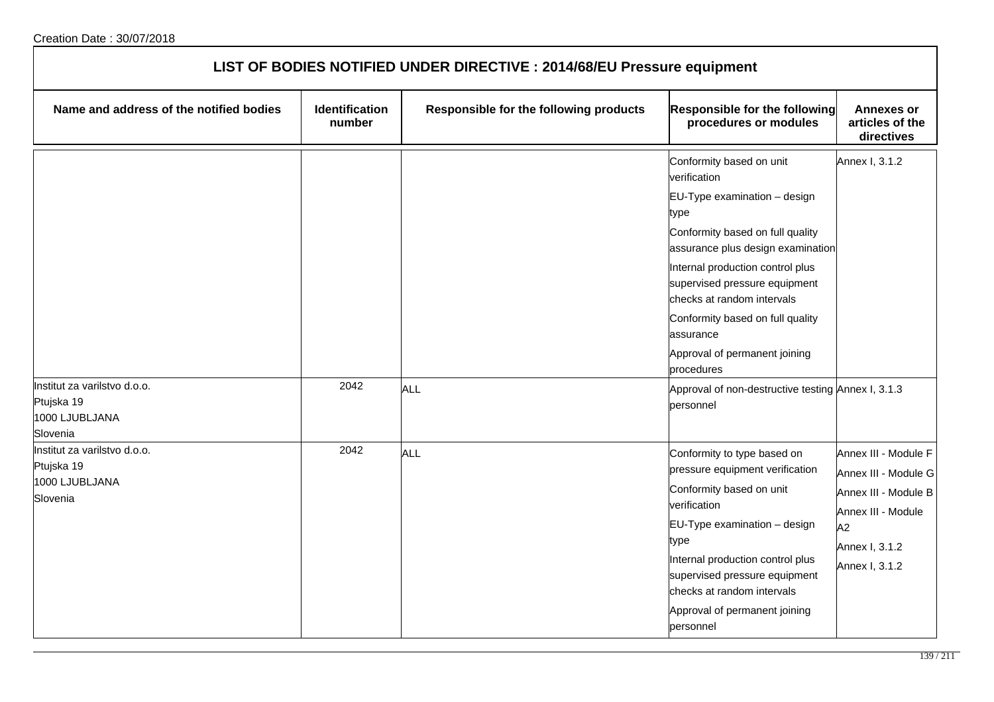| LIST OF BODIES NOTIFIED UNDER DIRECTIVE : 2014/68/EU Pressure equipment  |                                 |                                        |                                                                                                                                                                                                                                                                                                                                                                                                                                     |                                                                                                                                      |  |
|--------------------------------------------------------------------------|---------------------------------|----------------------------------------|-------------------------------------------------------------------------------------------------------------------------------------------------------------------------------------------------------------------------------------------------------------------------------------------------------------------------------------------------------------------------------------------------------------------------------------|--------------------------------------------------------------------------------------------------------------------------------------|--|
| Name and address of the notified bodies                                  | <b>Identification</b><br>number | Responsible for the following products | Responsible for the following<br>procedures or modules                                                                                                                                                                                                                                                                                                                                                                              | <b>Annexes or</b><br>articles of the<br>directives                                                                                   |  |
| Institut za varilstvo d.o.o.<br>Ptujska 19<br>1000 LJUBLJANA<br>Slovenia | 2042                            | <b>ALL</b>                             | Conformity based on unit<br>verification<br>$EU-Type$ examination $-$ design<br>type<br>Conformity based on full quality<br>assurance plus design examination<br>Internal production control plus<br>supervised pressure equipment<br>checks at random intervals<br>Conformity based on full quality<br>assurance<br>Approval of permanent joining<br>procedures<br>Approval of non-destructive testing Annex I, 3.1.3<br>personnel | Annex I, 3.1.2                                                                                                                       |  |
| Institut za varilstvo d.o.o.<br>Ptujska 19<br>1000 LJUBLJANA<br>Slovenia | 2042                            | ALL                                    | Conformity to type based on<br>pressure equipment verification<br>Conformity based on unit<br>verification<br>EU-Type examination - design<br>type<br>Internal production control plus<br>supervised pressure equipment<br>checks at random intervals<br>Approval of permanent joining<br>personnel                                                                                                                                 | Annex III - Module F<br>Annex III - Module G<br>Annex III - Module B<br>Annex III - Module<br>A2<br>Annex I, 3.1.2<br>Annex I, 3.1.2 |  |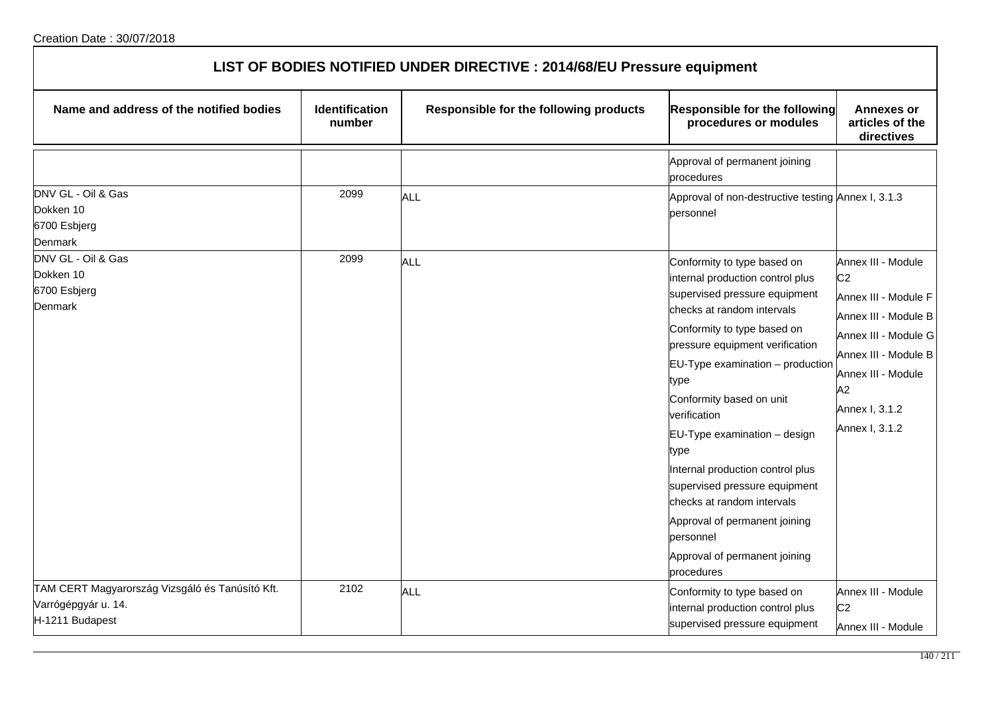| LIST OF BODIES NOTIFIED UNDER DIRECTIVE : 2014/68/EU Pressure equipment                   |                                 |                                        |                                                                                                                                                                                                                                                                                                                                                                                                                                                                                                                                  |                                                                                                                                                                                                      |  |
|-------------------------------------------------------------------------------------------|---------------------------------|----------------------------------------|----------------------------------------------------------------------------------------------------------------------------------------------------------------------------------------------------------------------------------------------------------------------------------------------------------------------------------------------------------------------------------------------------------------------------------------------------------------------------------------------------------------------------------|------------------------------------------------------------------------------------------------------------------------------------------------------------------------------------------------------|--|
| Name and address of the notified bodies                                                   | <b>Identification</b><br>number | Responsible for the following products | Responsible for the following<br>procedures or modules                                                                                                                                                                                                                                                                                                                                                                                                                                                                           | <b>Annexes or</b><br>articles of the<br>directives                                                                                                                                                   |  |
|                                                                                           |                                 |                                        | Approval of permanent joining<br>procedures                                                                                                                                                                                                                                                                                                                                                                                                                                                                                      |                                                                                                                                                                                                      |  |
| DNV GL - Oil & Gas<br>Dokken 10<br>6700 Esbjerg<br>Denmark                                | 2099                            | ALL                                    | Approval of non-destructive testing Annex I, 3.1.3<br>personnel                                                                                                                                                                                                                                                                                                                                                                                                                                                                  |                                                                                                                                                                                                      |  |
| DNV GL - Oil & Gas<br>Dokken 10<br>6700 Esbjerg<br>Denmark                                | 2099                            | <b>ALL</b>                             | Conformity to type based on<br>internal production control plus<br>supervised pressure equipment<br>checks at random intervals<br>Conformity to type based on<br>pressure equipment verification<br>EU-Type examination - production<br>type<br>Conformity based on unit<br>verification<br>EU-Type examination - design<br>type<br>Internal production control plus<br>supervised pressure equipment<br>checks at random intervals<br>Approval of permanent joining<br>personnel<br>Approval of permanent joining<br>procedures | Annex III - Module<br>C <sub>2</sub><br>Annex III - Module F<br>Annex III - Module B<br>Annex III - Module G<br>Annex III - Module B<br>Annex III - Module<br>A2<br>Annex I, 3.1.2<br>Annex I, 3.1.2 |  |
| TAM CERT Magyarország Vizsgáló és Tanúsító Kft.<br>Varrógépgyár u. 14.<br>H-1211 Budapest | 2102                            | ALL                                    | Conformity to type based on<br>internal production control plus<br>supervised pressure equipment                                                                                                                                                                                                                                                                                                                                                                                                                                 | Annex III - Module<br>C <sub>2</sub><br>Annex III - Module                                                                                                                                           |  |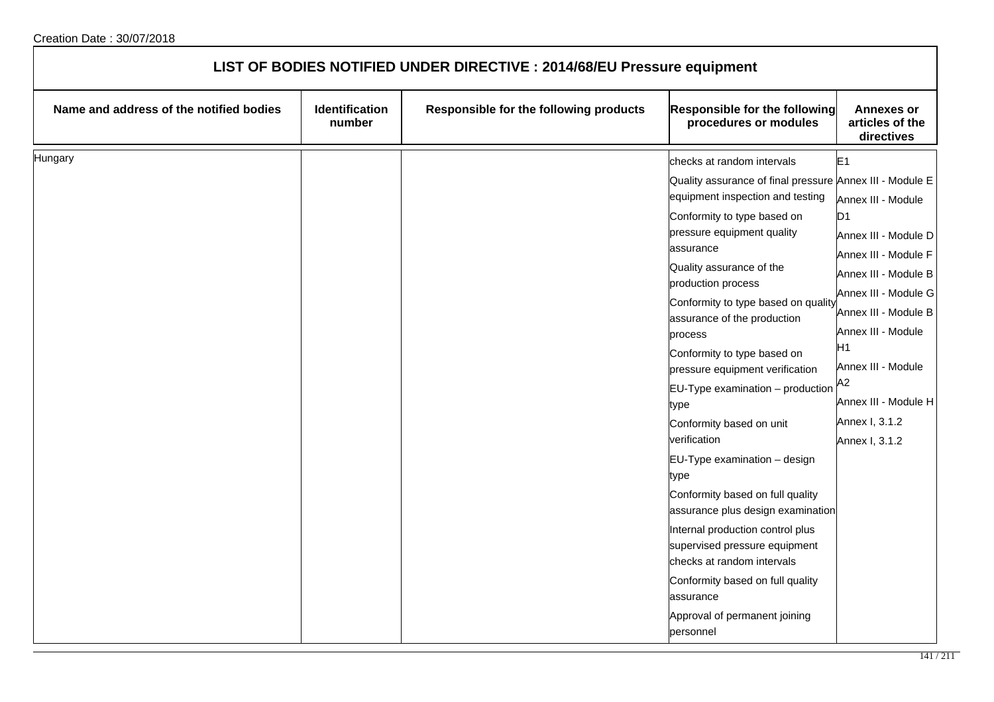| LIST OF BODIES NOTIFIED UNDER DIRECTIVE : 2014/68/EU Pressure equipment |                          |                                        |                                                                                                                                                                                                                                                                                                                                                                                                                                                                                                                                                                                                                                                                                                                                                                        |                                                                                                                                                                                                                                                                                                    |
|-------------------------------------------------------------------------|--------------------------|----------------------------------------|------------------------------------------------------------------------------------------------------------------------------------------------------------------------------------------------------------------------------------------------------------------------------------------------------------------------------------------------------------------------------------------------------------------------------------------------------------------------------------------------------------------------------------------------------------------------------------------------------------------------------------------------------------------------------------------------------------------------------------------------------------------------|----------------------------------------------------------------------------------------------------------------------------------------------------------------------------------------------------------------------------------------------------------------------------------------------------|
| Name and address of the notified bodies                                 | Identification<br>number | Responsible for the following products | <b>Responsible for the following</b><br>procedures or modules                                                                                                                                                                                                                                                                                                                                                                                                                                                                                                                                                                                                                                                                                                          | <b>Annexes or</b><br>articles of the<br>directives                                                                                                                                                                                                                                                 |
| Hungary                                                                 |                          |                                        | checks at random intervals<br>Quality assurance of final pressure Annex III - Module E<br>equipment inspection and testing<br>Conformity to type based on<br>pressure equipment quality<br>assurance<br>Quality assurance of the<br>production process<br>Conformity to type based on quality<br>assurance of the production<br>process<br>Conformity to type based on<br>pressure equipment verification<br>EU-Type examination - production<br>type<br>Conformity based on unit<br>verification<br>EU-Type examination - design<br>type<br>Conformity based on full quality<br>assurance plus design examination<br>Internal production control plus<br>supervised pressure equipment<br>checks at random intervals<br>Conformity based on full quality<br>assurance | E1<br>Annex III - Module<br>D <sub>1</sub><br>Annex III - Module D<br>Annex III - Module F<br>Annex III - Module B<br>Annex III - Module G<br>Annex III - Module B<br>Annex III - Module<br>H <sub>1</sub><br>Annex III - Module<br>A2<br>Annex III - Module H<br>Annex I, 3.1.2<br>Annex I, 3.1.2 |
|                                                                         |                          |                                        | Approval of permanent joining<br>personnel                                                                                                                                                                                                                                                                                                                                                                                                                                                                                                                                                                                                                                                                                                                             |                                                                                                                                                                                                                                                                                                    |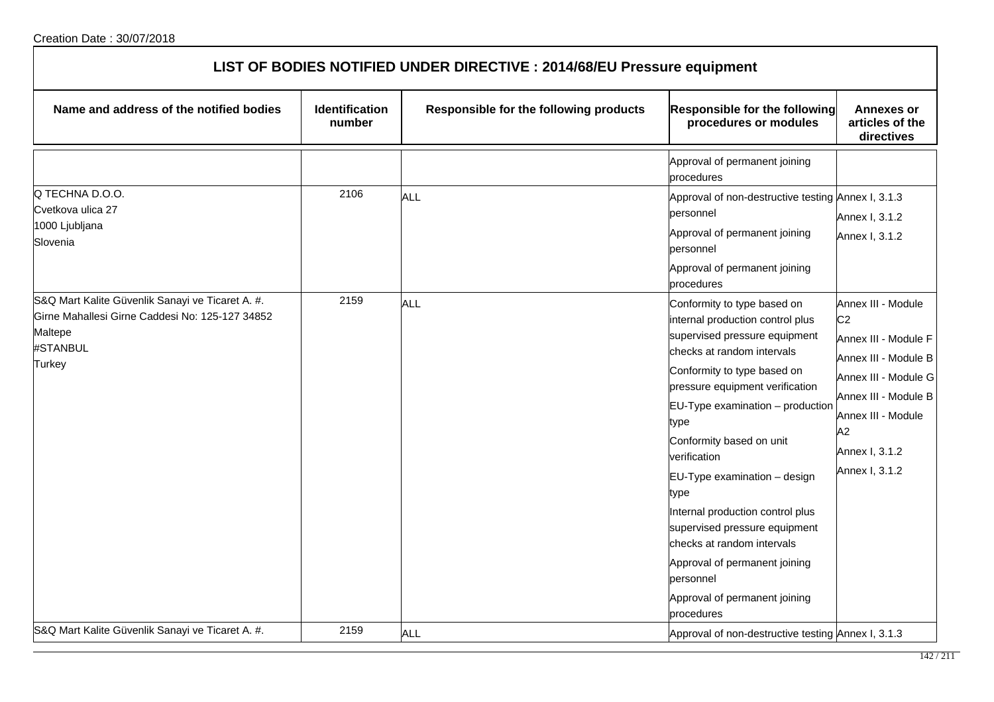| LIST OF BODIES NOTIFIED UNDER DIRECTIVE : 2014/68/EU Pressure equipment                                                              |                                 |                                        |                                                                                                                                                                                                                                                                                                                                                                                                                                                                                                                                      |                                                                                                                                                                                                      |  |
|--------------------------------------------------------------------------------------------------------------------------------------|---------------------------------|----------------------------------------|--------------------------------------------------------------------------------------------------------------------------------------------------------------------------------------------------------------------------------------------------------------------------------------------------------------------------------------------------------------------------------------------------------------------------------------------------------------------------------------------------------------------------------------|------------------------------------------------------------------------------------------------------------------------------------------------------------------------------------------------------|--|
| Name and address of the notified bodies                                                                                              | <b>Identification</b><br>number | Responsible for the following products | Responsible for the following<br>procedures or modules                                                                                                                                                                                                                                                                                                                                                                                                                                                                               | <b>Annexes or</b><br>articles of the<br>directives                                                                                                                                                   |  |
|                                                                                                                                      |                                 |                                        | Approval of permanent joining<br>procedures                                                                                                                                                                                                                                                                                                                                                                                                                                                                                          |                                                                                                                                                                                                      |  |
| Q TECHNA D.O.O.<br>Cvetkova ulica 27<br>1000 Ljubljana<br>Slovenia                                                                   | 2106                            | <b>ALL</b>                             | Approval of non-destructive testing Annex I, 3.1.3<br>bersonnel<br>Approval of permanent joining<br>personnel<br>Approval of permanent joining<br>procedures                                                                                                                                                                                                                                                                                                                                                                         | Annex I, 3.1.2<br>Annex I, 3.1.2                                                                                                                                                                     |  |
| S&Q Mart Kalite Güvenlik Sanayi ve Ticaret A. #.<br>Girne Mahallesi Girne Caddesi No: 125-127 34852<br>Maltepe<br>#STANBUL<br>Turkey | 2159                            | <b>ALL</b>                             | Conformity to type based on<br>internal production control plus<br>supervised pressure equipment<br>checks at random intervals<br>Conformity to type based on<br>pressure equipment verification<br>$EU-Type$ examination $-$ production<br>type<br>Conformity based on unit<br>verification<br>EU-Type examination - design<br>type<br>Internal production control plus<br>supervised pressure equipment<br>checks at random intervals<br>Approval of permanent joining<br>personnel<br>Approval of permanent joining<br>procedures | Annex III - Module<br>C <sub>2</sub><br>Annex III - Module F<br>Annex III - Module B<br>Annex III - Module G<br>Annex III - Module B<br>Annex III - Module<br>A2<br>Annex I, 3.1.2<br>Annex I, 3.1.2 |  |
| S&Q Mart Kalite Güvenlik Sanayi ve Ticaret A. #.                                                                                     | 2159                            | <b>ALL</b>                             | Approval of non-destructive testing Annex I, 3.1.3                                                                                                                                                                                                                                                                                                                                                                                                                                                                                   |                                                                                                                                                                                                      |  |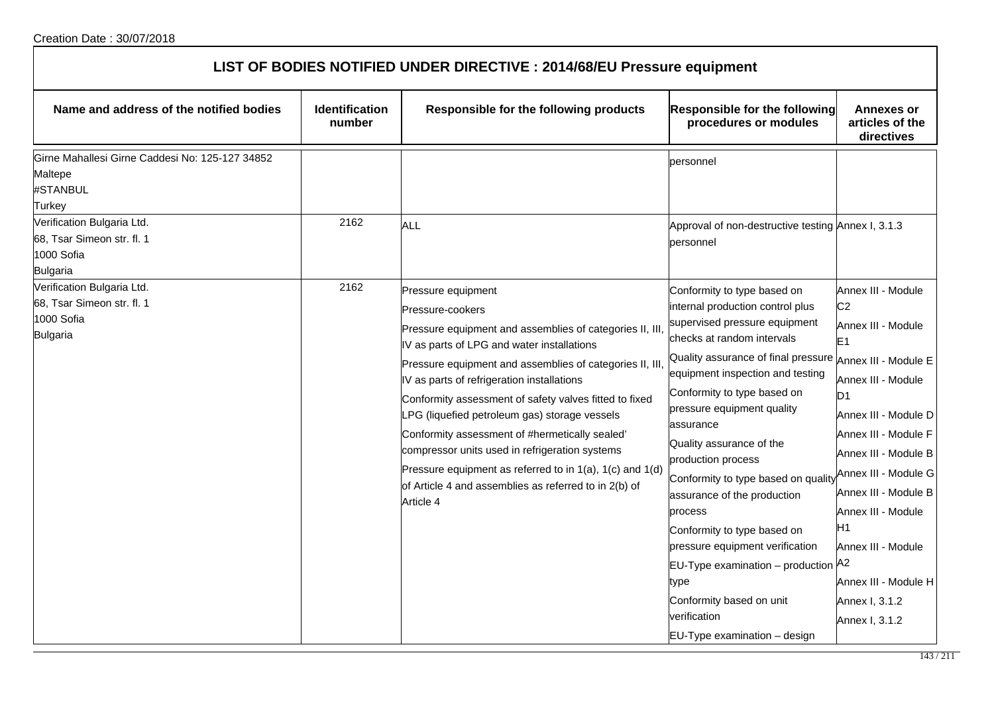| LIST OF BODIES NOTIFIED UNDER DIRECTIVE : 2014/68/EU Pressure equipment |  |
|-------------------------------------------------------------------------|--|
|-------------------------------------------------------------------------|--|

| Name and address of the notified bodies                                                                                                                                       | <b>Identification</b><br>number | Responsible for the following products                                                                                                                                                                                                                                                                                                                                                                                                                                                                                                                                                                      | <b>Responsible for the following</b><br>procedures or modules                                                                                                                                                                                                                                                                                                                                                                                                                                                                                                                                                                                | Annexes or<br>articles of the<br>directives                                                                                                                                                                                                                                                                                                    |
|-------------------------------------------------------------------------------------------------------------------------------------------------------------------------------|---------------------------------|-------------------------------------------------------------------------------------------------------------------------------------------------------------------------------------------------------------------------------------------------------------------------------------------------------------------------------------------------------------------------------------------------------------------------------------------------------------------------------------------------------------------------------------------------------------------------------------------------------------|----------------------------------------------------------------------------------------------------------------------------------------------------------------------------------------------------------------------------------------------------------------------------------------------------------------------------------------------------------------------------------------------------------------------------------------------------------------------------------------------------------------------------------------------------------------------------------------------------------------------------------------------|------------------------------------------------------------------------------------------------------------------------------------------------------------------------------------------------------------------------------------------------------------------------------------------------------------------------------------------------|
| Girne Mahallesi Girne Caddesi No: 125-127 34852<br>Maltepe<br>#STANBUL<br>Turkey<br>Verification Bulgaria Ltd.<br>68, Tsar Simeon str. fl. 1<br>1000 Sofia<br><b>Bulgaria</b> | 2162                            | ALL                                                                                                                                                                                                                                                                                                                                                                                                                                                                                                                                                                                                         | personnel<br>Approval of non-destructive testing Annex I, 3.1.3<br>personnel                                                                                                                                                                                                                                                                                                                                                                                                                                                                                                                                                                 |                                                                                                                                                                                                                                                                                                                                                |
| Verification Bulgaria Ltd.<br>68, Tsar Simeon str. fl. 1<br>1000 Sofia<br><b>Bulgaria</b>                                                                                     | 2162                            | Pressure equipment<br>Pressure-cookers<br>Pressure equipment and assemblies of categories II, III,<br>IV as parts of LPG and water installations<br>Pressure equipment and assemblies of categories II, III,<br>IV as parts of refrigeration installations<br>Conformity assessment of safety valves fitted to fixed<br>_PG (liquefied petroleum gas) storage vessels<br>Conformity assessment of #hermetically sealed'<br>compressor units used in refrigeration systems<br>Pressure equipment as referred to in 1(a), 1(c) and 1(d)<br>of Article 4 and assemblies as referred to in 2(b) of<br>Article 4 | Conformity to type based on<br>internal production control plus<br>supervised pressure equipment<br>checks at random intervals<br>Quality assurance of final pressure Annex III - Module E<br>equipment inspection and testing<br>Conformity to type based on<br>pressure equipment quality<br>assurance<br>Quality assurance of the<br>production process<br>Conformity to type based on quality<br>assurance of the production<br>process<br>Conformity to type based on<br>pressure equipment verification<br>EU-Type examination - production A2<br>type<br>Conformity based on unit<br>verification<br>$EU-Type$ examination $-$ design | Annex III - Module<br>C <sub>2</sub><br>Annex III - Module<br>E <sub>1</sub><br>Annex III - Module<br>D1<br>Annex III - Module D<br>Annex III - Module F<br>Annex III - Module B<br>Annex III - Module G<br>Annex III - Module B<br>Annex III - Module<br>Η1<br>Annex III - Module<br>Annex III - Module H<br>Annex I, 3.1.2<br>Annex I, 3.1.2 |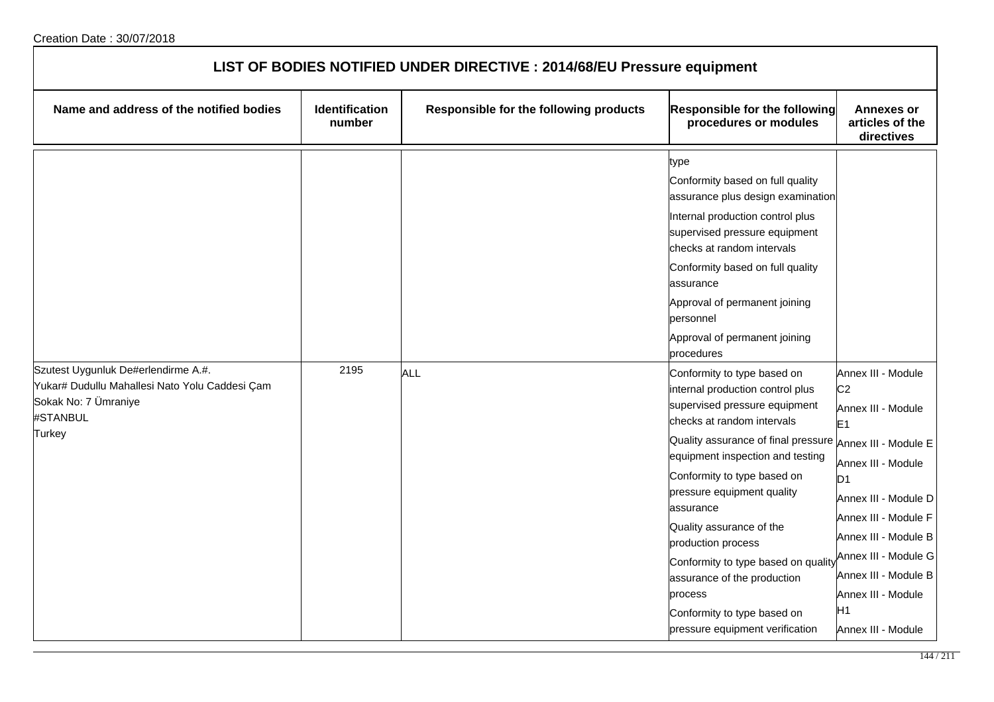| LIST OF BODIES NOTIFIED UNDER DIRECTIVE : 2014/68/EU Pressure equipment                      |                                 |                                        |                                                                                                                                                                                                                                                                                                                                                                                                                                                                                                               |                                                                                                                                                                                                                                                                                    |  |  |  |
|----------------------------------------------------------------------------------------------|---------------------------------|----------------------------------------|---------------------------------------------------------------------------------------------------------------------------------------------------------------------------------------------------------------------------------------------------------------------------------------------------------------------------------------------------------------------------------------------------------------------------------------------------------------------------------------------------------------|------------------------------------------------------------------------------------------------------------------------------------------------------------------------------------------------------------------------------------------------------------------------------------|--|--|--|
| Name and address of the notified bodies                                                      | <b>Identification</b><br>number | Responsible for the following products | <b>Responsible for the following</b><br>procedures or modules                                                                                                                                                                                                                                                                                                                                                                                                                                                 | <b>Annexes or</b><br>articles of the<br>directives                                                                                                                                                                                                                                 |  |  |  |
| Szutest Uygunluk De#erlendirme A.#.                                                          | 2195                            |                                        | type<br>Conformity based on full quality<br>assurance plus design examination<br>Internal production control plus<br>supervised pressure equipment<br>checks at random intervals<br>Conformity based on full quality<br>assurance<br>Approval of permanent joining<br>personnel<br>Approval of permanent joining<br>procedures                                                                                                                                                                                |                                                                                                                                                                                                                                                                                    |  |  |  |
| Yukar# Dudullu Mahallesi Nato Yolu Caddesi Çam<br>Sokak No: 7 Ümraniye<br>#STANBUL<br>Turkey |                                 | <b>ALL</b>                             | Conformity to type based on<br>internal production control plus<br>supervised pressure equipment<br>checks at random intervals<br>Quality assurance of final pressure Annex III - Module E<br>equipment inspection and testing<br>Conformity to type based on<br>pressure equipment quality<br>assurance<br>Quality assurance of the<br>production process<br>Conformity to type based on quality<br>assurance of the production<br>process<br>Conformity to type based on<br>pressure equipment verification | Annex III - Module<br>C <sub>2</sub><br>Annex III - Module<br>E1<br>Annex III - Module<br>D <sub>1</sub><br>Annex III - Module D<br>Annex III - Module F<br>Annex III - Module B<br>Annex III - Module G<br>Annex III - Module B<br>Annex III - Module<br>H1<br>Annex III - Module |  |  |  |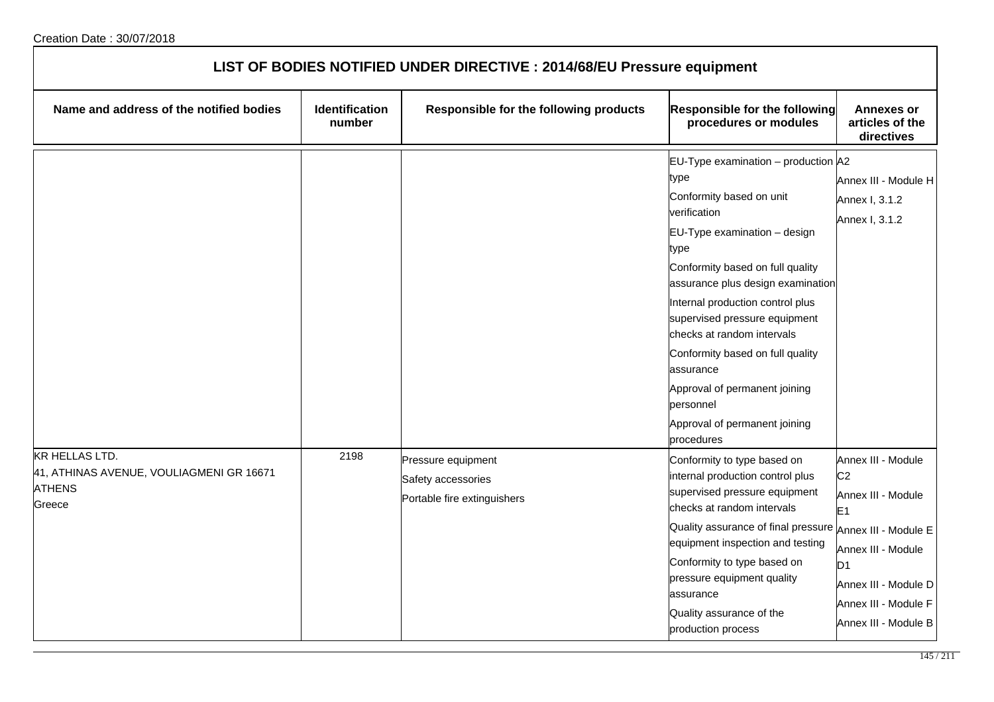| LIST OF BODIES NOTIFIED UNDER DIRECTIVE : 2014/68/EU Pressure equipment                      |                                 |                                                                         |                                                                                                                                                                                                                                                                                                                                                                                                                                                               |                                                                                                                                                                                              |  |
|----------------------------------------------------------------------------------------------|---------------------------------|-------------------------------------------------------------------------|---------------------------------------------------------------------------------------------------------------------------------------------------------------------------------------------------------------------------------------------------------------------------------------------------------------------------------------------------------------------------------------------------------------------------------------------------------------|----------------------------------------------------------------------------------------------------------------------------------------------------------------------------------------------|--|
| Name and address of the notified bodies                                                      | <b>Identification</b><br>number | Responsible for the following products                                  | Responsible for the following<br>procedures or modules                                                                                                                                                                                                                                                                                                                                                                                                        | <b>Annexes or</b><br>articles of the<br>directives                                                                                                                                           |  |
|                                                                                              |                                 |                                                                         | EU-Type examination $-$ production $A2$<br>type<br>Conformity based on unit<br>verification<br>EU-Type examination - design<br>type<br>Conformity based on full quality<br>assurance plus design examination<br>Internal production control plus<br>supervised pressure equipment<br>checks at random intervals<br>Conformity based on full quality<br>assurance<br>Approval of permanent joining<br>personnel<br>Approval of permanent joining<br>procedures | Annex III - Module H<br>Annex I, 3.1.2<br>Annex I, 3.1.2                                                                                                                                     |  |
| <b>KR HELLAS LTD.</b><br>41, ATHINAS AVENUE, VOULIAGMENI GR 16671<br><b>ATHENS</b><br>Greece | 2198                            | Pressure equipment<br>Safety accessories<br>Portable fire extinguishers | Conformity to type based on<br>internal production control plus<br>supervised pressure equipment<br>checks at random intervals<br>Quality assurance of final pressure Annex III - Module E<br>equipment inspection and testing<br>Conformity to type based on<br>pressure equipment quality<br>assurance<br>Quality assurance of the<br>production process                                                                                                    | Annex III - Module<br>C <sub>2</sub><br>Annex III - Module<br>E <sub>1</sub><br>Annex III - Module<br>D <sub>1</sub><br>Annex III - Module D<br>Annex III - Module F<br>Annex III - Module B |  |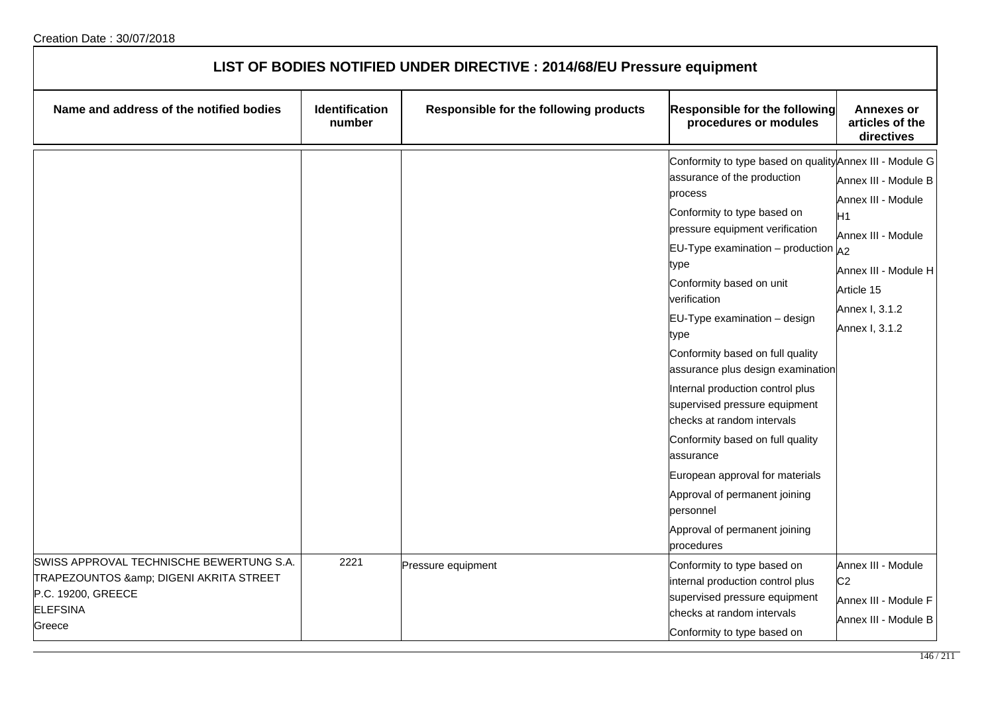| LIST OF BODIES NOTIFIED UNDER DIRECTIVE : 2014/68/EU Pressure equipment                                                            |                          |                                        |                                                                                                                                                                                                                                                                                                                                                                                                                                                                                                                                                                                                                                                                       |                                                                                                                                                        |
|------------------------------------------------------------------------------------------------------------------------------------|--------------------------|----------------------------------------|-----------------------------------------------------------------------------------------------------------------------------------------------------------------------------------------------------------------------------------------------------------------------------------------------------------------------------------------------------------------------------------------------------------------------------------------------------------------------------------------------------------------------------------------------------------------------------------------------------------------------------------------------------------------------|--------------------------------------------------------------------------------------------------------------------------------------------------------|
| Name and address of the notified bodies                                                                                            | Identification<br>number | Responsible for the following products | <b>Responsible for the following</b><br>procedures or modules                                                                                                                                                                                                                                                                                                                                                                                                                                                                                                                                                                                                         | <b>Annexes or</b><br>articles of the<br>directives                                                                                                     |
|                                                                                                                                    |                          |                                        | Conformity to type based on quality Annex III - Module G<br>assurance of the production<br>process<br>Conformity to type based on<br>pressure equipment verification<br>$EU-Type$ examination $-$ production<br>type<br>Conformity based on unit<br>verification<br>EU-Type examination - design<br>type<br>Conformity based on full quality<br>assurance plus design examination<br>Internal production control plus<br>supervised pressure equipment<br>checks at random intervals<br>Conformity based on full quality<br>assurance<br>European approval for materials<br>Approval of permanent joining<br>personnel<br>Approval of permanent joining<br>procedures | Annex III - Module B<br>Annex III - Module<br>H1<br>Annex III - Module<br>A2<br>Annex III - Module H<br>Article 15<br>Annex I, 3.1.2<br>Annex I, 3.1.2 |
| SWISS APPROVAL TECHNISCHE BEWERTUNG S.A.<br>TRAPEZOUNTOS & DIGENI AKRITA STREET<br>P.C. 19200, GREECE<br><b>ELEFSINA</b><br>Greece | 2221                     | Pressure equipment                     | Conformity to type based on<br>internal production control plus<br>supervised pressure equipment<br>checks at random intervals<br>Conformity to type based on                                                                                                                                                                                                                                                                                                                                                                                                                                                                                                         | Annex III - Module<br>C <sub>2</sub><br>Annex III - Module F<br>Annex III - Module B                                                                   |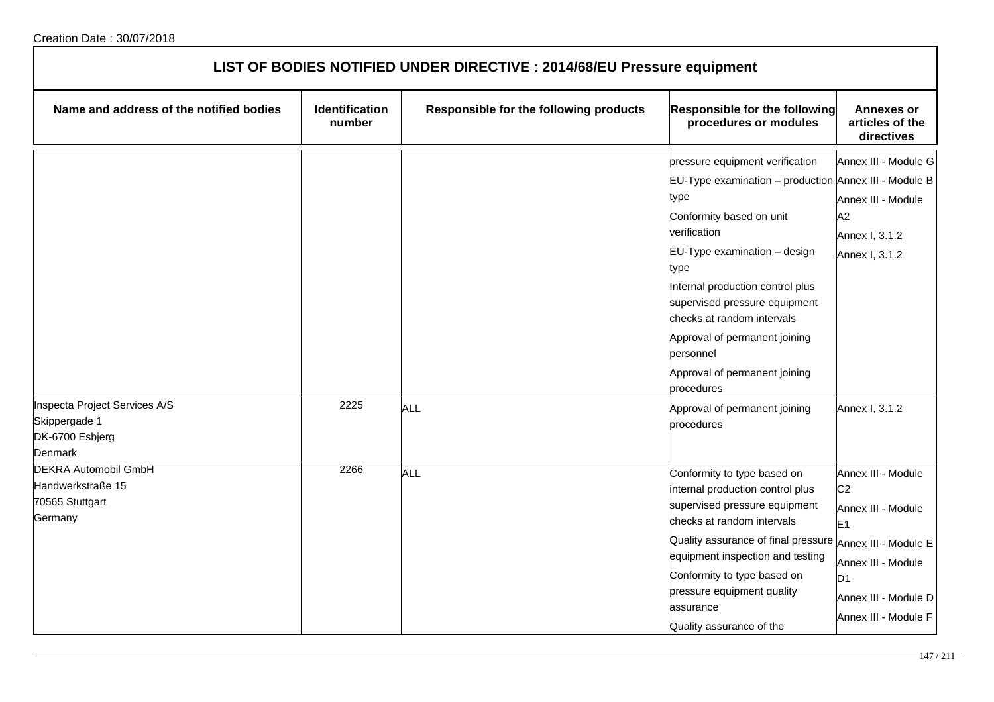| LIST OF BODIES NOTIFIED UNDER DIRECTIVE : 2014/68/EU Pressure equipment        |                                 |                                        |                                                                                                                                                                                                                                                                                                                                                                                                                                        |                                                                                                                                                                      |
|--------------------------------------------------------------------------------|---------------------------------|----------------------------------------|----------------------------------------------------------------------------------------------------------------------------------------------------------------------------------------------------------------------------------------------------------------------------------------------------------------------------------------------------------------------------------------------------------------------------------------|----------------------------------------------------------------------------------------------------------------------------------------------------------------------|
| Name and address of the notified bodies                                        | <b>Identification</b><br>number | Responsible for the following products | Responsible for the following<br>procedures or modules                                                                                                                                                                                                                                                                                                                                                                                 | <b>Annexes or</b><br>articles of the<br>directives                                                                                                                   |
| Inspecta Project Services A/S<br>Skippergade 1<br>DK-6700 Esbjerg<br>Denmark   | 2225                            | <b>ALL</b>                             | pressure equipment verification<br>EU-Type examination - production Annex III - Module B<br>type<br>Conformity based on unit<br>verification<br>$EU$ -Type examination – design<br>type<br>Internal production control plus<br>supervised pressure equipment<br>checks at random intervals<br>Approval of permanent joining<br>personnel<br>Approval of permanent joining<br>procedures<br>Approval of permanent joining<br>procedures | Annex III - Module G<br>Annex III - Module<br>A2<br>Annex I, 3.1.2<br>Annex I, 3.1.2<br>Annex I, 3.1.2                                                               |
| <b>DEKRA Automobil GmbH</b><br>Handwerkstraße 15<br>70565 Stuttgart<br>Germany | 2266                            | <b>ALL</b>                             | Conformity to type based on<br>internal production control plus<br>supervised pressure equipment<br>checks at random intervals<br>Quality assurance of final pressure Annex III - Module E<br>equipment inspection and testing<br>Conformity to type based on<br>pressure equipment quality<br>assurance<br>Quality assurance of the                                                                                                   | Annex III - Module<br>C <sub>2</sub><br>Annex III - Module<br>E <sub>1</sub><br>Annex III - Module<br>D <sub>1</sub><br>Annex III - Module D<br>Annex III - Module F |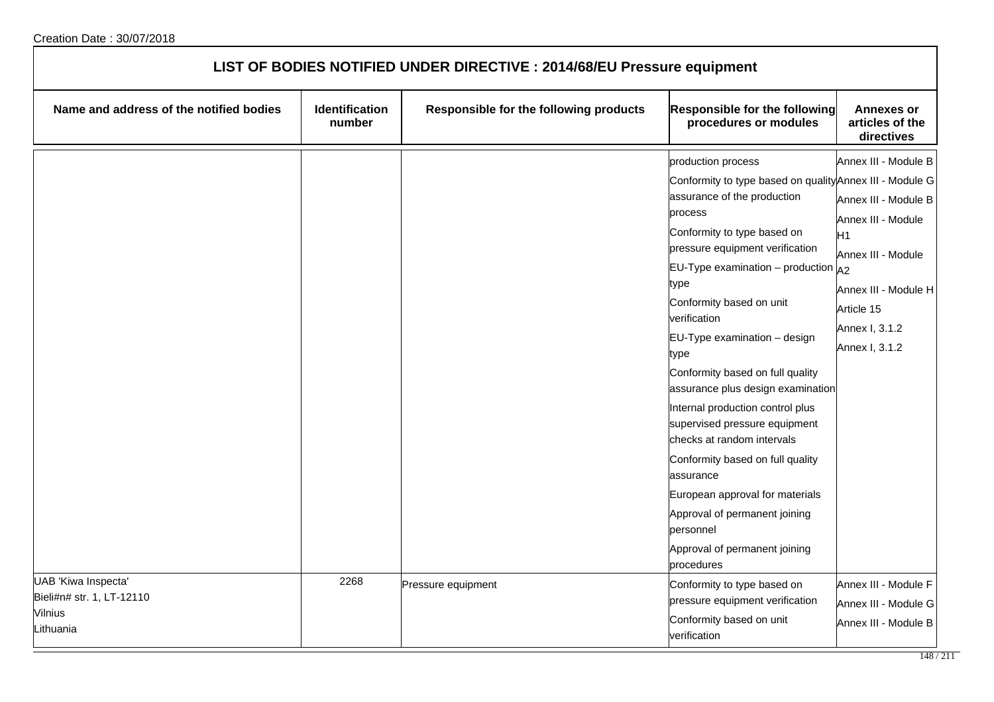| LIST OF BODIES NOTIFIED UNDER DIRECTIVE : 2014/68/EU Pressure equipment  |                          |                                        |                                                                                                                                                                                                                                                                                                                                                                                                                                                                                                                                                                                                                                                                                               |                                                                                                                                                                          |
|--------------------------------------------------------------------------|--------------------------|----------------------------------------|-----------------------------------------------------------------------------------------------------------------------------------------------------------------------------------------------------------------------------------------------------------------------------------------------------------------------------------------------------------------------------------------------------------------------------------------------------------------------------------------------------------------------------------------------------------------------------------------------------------------------------------------------------------------------------------------------|--------------------------------------------------------------------------------------------------------------------------------------------------------------------------|
| Name and address of the notified bodies                                  | Identification<br>number | Responsible for the following products | <b>Responsible for the following</b><br>procedures or modules                                                                                                                                                                                                                                                                                                                                                                                                                                                                                                                                                                                                                                 | <b>Annexes or</b><br>articles of the<br>directives                                                                                                                       |
|                                                                          |                          |                                        | production process<br>Conformity to type based on quality Annex III - Module G<br>assurance of the production<br>process<br>Conformity to type based on<br>pressure equipment verification<br>EU-Type examination – production $A_2$<br>type<br>Conformity based on unit<br>verification<br>EU-Type examination - design<br>type<br>Conformity based on full quality<br>assurance plus design examination<br>Internal production control plus<br>supervised pressure equipment<br>checks at random intervals<br>Conformity based on full quality<br>assurance<br>European approval for materials<br>Approval of permanent joining<br>personnel<br>Approval of permanent joining<br>procedures | Annex III - Module B<br>Annex III - Module B<br>Annex III - Module<br>H1<br>Annex III - Module<br>Annex III - Module H<br>Article 15<br>Annex I, 3.1.2<br>Annex I, 3.1.2 |
| UAB 'Kiwa Inspecta'<br>Bieli#n# str. 1, LT-12110<br>Vilnius<br>Lithuania | 2268                     | Pressure equipment                     | Conformity to type based on<br>pressure equipment verification<br>Conformity based on unit<br>verification                                                                                                                                                                                                                                                                                                                                                                                                                                                                                                                                                                                    | Annex III - Module F<br>Annex III - Module G<br>Annex III - Module B                                                                                                     |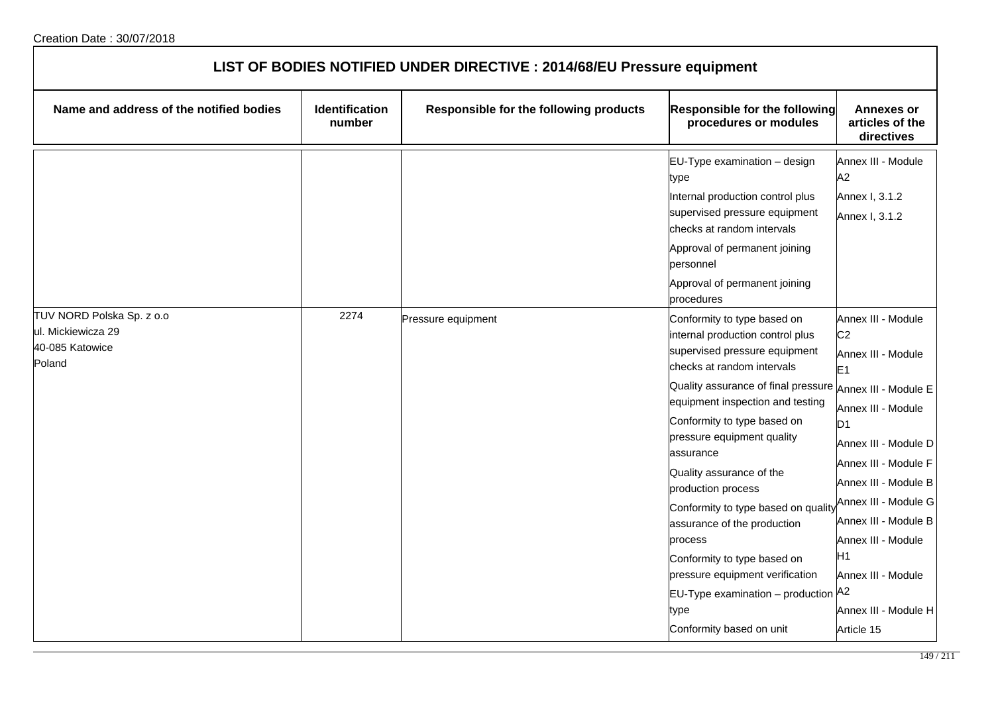| LIST OF BODIES NOTIFIED UNDER DIRECTIVE : 2014/68/EU Pressure equipment      |                                 |                                        |                                                                                                                                                                                                                                                                                                                                                                                                                                                                                                                                                                                                          |                                                                                                                                                                                                                                                                                                                                      |  |
|------------------------------------------------------------------------------|---------------------------------|----------------------------------------|----------------------------------------------------------------------------------------------------------------------------------------------------------------------------------------------------------------------------------------------------------------------------------------------------------------------------------------------------------------------------------------------------------------------------------------------------------------------------------------------------------------------------------------------------------------------------------------------------------|--------------------------------------------------------------------------------------------------------------------------------------------------------------------------------------------------------------------------------------------------------------------------------------------------------------------------------------|--|
| Name and address of the notified bodies                                      | <b>Identification</b><br>number | Responsible for the following products | Responsible for the following<br>procedures or modules                                                                                                                                                                                                                                                                                                                                                                                                                                                                                                                                                   | <b>Annexes or</b><br>articles of the<br>directives                                                                                                                                                                                                                                                                                   |  |
|                                                                              |                                 |                                        | EU-Type examination - design<br>type<br>Internal production control plus<br>supervised pressure equipment<br>checks at random intervals<br>Approval of permanent joining<br>personnel<br>Approval of permanent joining<br>procedures                                                                                                                                                                                                                                                                                                                                                                     | Annex III - Module<br>A2<br>Annex I, 3.1.2<br>Annex I, 3.1.2                                                                                                                                                                                                                                                                         |  |
| TUV NORD Polska Sp. z o.o<br>ul. Mickiewicza 29<br>40-085 Katowice<br>Poland | 2274                            | Pressure equipment                     | Conformity to type based on<br>internal production control plus<br>supervised pressure equipment<br>checks at random intervals<br>Quality assurance of final pressure $_\mathsf{Annex}$ III - Module E<br>equipment inspection and testing<br>Conformity to type based on<br>pressure equipment quality<br>assurance<br>Quality assurance of the<br>production process<br>Conformity to type based on quality<br>assurance of the production<br>process<br>Conformity to type based on<br>pressure equipment verification<br>$EU-Type$ examination – production $A2$<br>type<br>Conformity based on unit | Annex III - Module<br>C <sub>2</sub><br>Annex III - Module<br>E <sub>1</sub><br>Annex III - Module<br>D <sub>1</sub><br>Annex III - Module D<br>Annex III - Module F<br>Annex III - Module B<br>Annex III - Module G<br>Annex III - Module B<br>Annex III - Module<br>Η1<br>Annex III - Module<br>Annex III - Module H<br>Article 15 |  |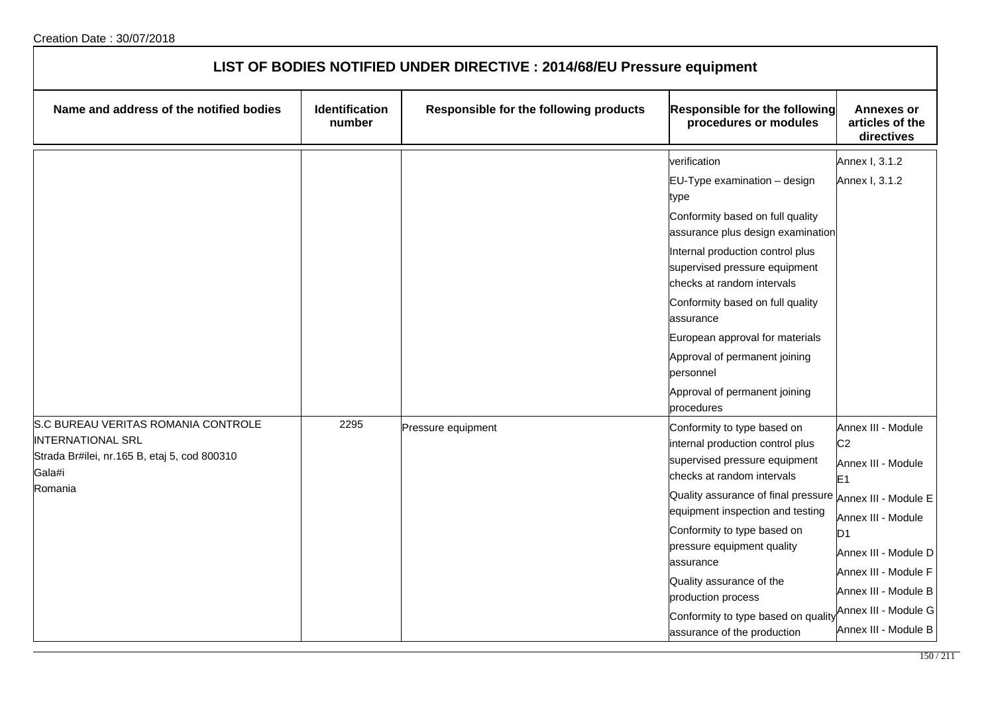| LIST OF BODIES NOTIFIED UNDER DIRECTIVE : 2014/68/EU Pressure equipment                                                   |                                 |                                        |                                                                                                                                |                                                                              |
|---------------------------------------------------------------------------------------------------------------------------|---------------------------------|----------------------------------------|--------------------------------------------------------------------------------------------------------------------------------|------------------------------------------------------------------------------|
| Name and address of the notified bodies                                                                                   | <b>Identification</b><br>number | Responsible for the following products | Responsible for the following<br>procedures or modules                                                                         | <b>Annexes or</b><br>articles of the<br>directives                           |
|                                                                                                                           |                                 |                                        | verification                                                                                                                   | Annex I, 3.1.2                                                               |
|                                                                                                                           |                                 |                                        | EU-Type examination - design<br>type<br>Conformity based on full quality<br>assurance plus design examination                  | Annex I, 3.1.2                                                               |
|                                                                                                                           |                                 |                                        | Internal production control plus<br>supervised pressure equipment<br>checks at random intervals                                |                                                                              |
|                                                                                                                           |                                 |                                        | Conformity based on full quality<br>assurance                                                                                  |                                                                              |
|                                                                                                                           |                                 |                                        | European approval for materials                                                                                                |                                                                              |
|                                                                                                                           |                                 |                                        | Approval of permanent joining<br>personnel                                                                                     |                                                                              |
|                                                                                                                           |                                 |                                        | Approval of permanent joining<br>procedures                                                                                    |                                                                              |
| S.C BUREAU VERITAS ROMANIA CONTROLE<br><b>INTERNATIONAL SRL</b><br>Strada Br#ilei, nr.165 B, etaj 5, cod 800310<br>Gala#i | 2295                            | Pressure equipment                     | Conformity to type based on<br>internal production control plus<br>supervised pressure equipment<br>checks at random intervals | Annex III - Module<br>C <sub>2</sub><br>Annex III - Module<br>E <sub>1</sub> |
| Romania                                                                                                                   |                                 |                                        | Quality assurance of final pressure Annex III - Module E                                                                       |                                                                              |
|                                                                                                                           |                                 |                                        | equipment inspection and testing<br>Conformity to type based on                                                                | Annex III - Module<br>D <sub>1</sub>                                         |
|                                                                                                                           |                                 |                                        | pressure equipment quality<br>assurance                                                                                        | Annex III - Module D                                                         |
|                                                                                                                           |                                 |                                        | Quality assurance of the<br>production process                                                                                 | Annex III - Module F<br>Annex III - Module B                                 |
|                                                                                                                           |                                 |                                        | Conformity to type based on quality<br>assurance of the production                                                             | Annex III - Module G<br>Annex III - Module B                                 |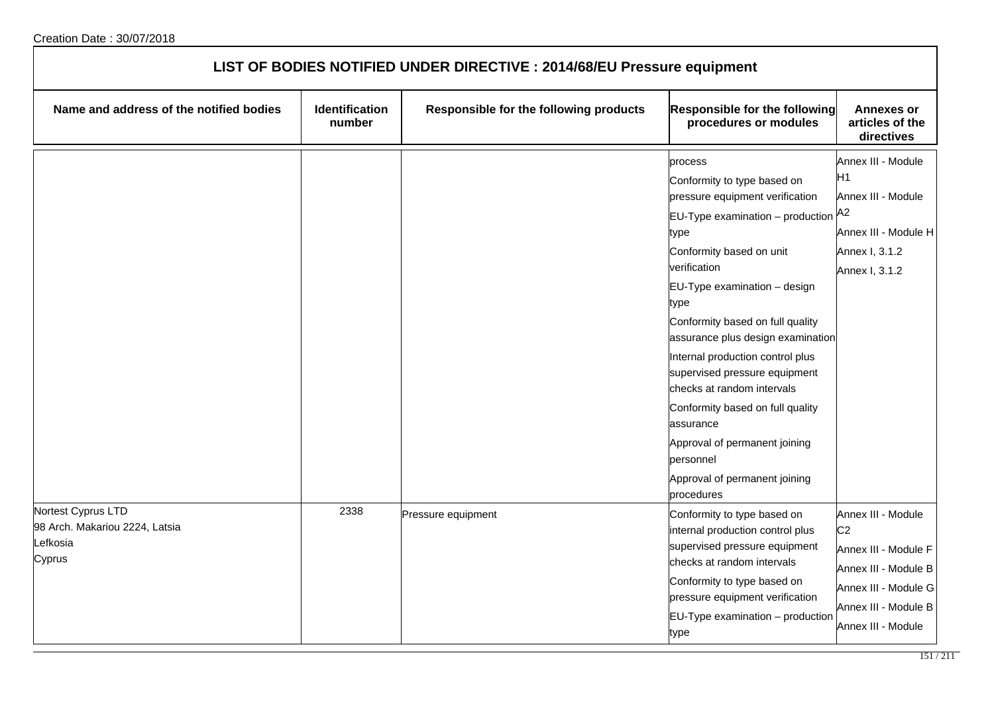| LIST OF BODIES NOTIFIED UNDER DIRECTIVE : 2014/68/EU Pressure equipment          |                                 |                                        |                                                                                                                                                                                                                                                                                                                                                                                                                                                                                                                                            |                                                                                                                                                            |
|----------------------------------------------------------------------------------|---------------------------------|----------------------------------------|--------------------------------------------------------------------------------------------------------------------------------------------------------------------------------------------------------------------------------------------------------------------------------------------------------------------------------------------------------------------------------------------------------------------------------------------------------------------------------------------------------------------------------------------|------------------------------------------------------------------------------------------------------------------------------------------------------------|
| Name and address of the notified bodies                                          | <b>Identification</b><br>number | Responsible for the following products | <b>Responsible for the following</b><br>procedures or modules                                                                                                                                                                                                                                                                                                                                                                                                                                                                              | <b>Annexes or</b><br>articles of the<br>directives                                                                                                         |
|                                                                                  |                                 |                                        | process<br>Conformity to type based on<br>pressure equipment verification<br>$EU-Type$ examination – production $A2$<br>type<br>Conformity based on unit<br>verification<br>EU-Type examination - design<br>type<br>Conformity based on full quality<br>assurance plus design examination<br>Internal production control plus<br>supervised pressure equipment<br>checks at random intervals<br>Conformity based on full quality<br>assurance<br>Approval of permanent joining<br>personnel<br>Approval of permanent joining<br>procedures | Annex III - Module<br>H <sub>1</sub><br>Annex III - Module<br>Annex III - Module H<br>Annex I, 3.1.2<br>Annex I, 3.1.2                                     |
| Nortest Cyprus LTD<br>98 Arch. Makariou 2224, Latsia<br><b>efkosia</b><br>Cyprus | 2338                            | Pressure equipment                     | Conformity to type based on<br>internal production control plus<br>supervised pressure equipment<br>checks at random intervals<br>Conformity to type based on<br>pressure equipment verification<br>EU-Type examination - production<br>type                                                                                                                                                                                                                                                                                               | Annex III - Module<br>C <sub>2</sub><br>Annex III - Module F<br>Annex III - Module B<br>Annex III - Module G<br>Annex III - Module B<br>Annex III - Module |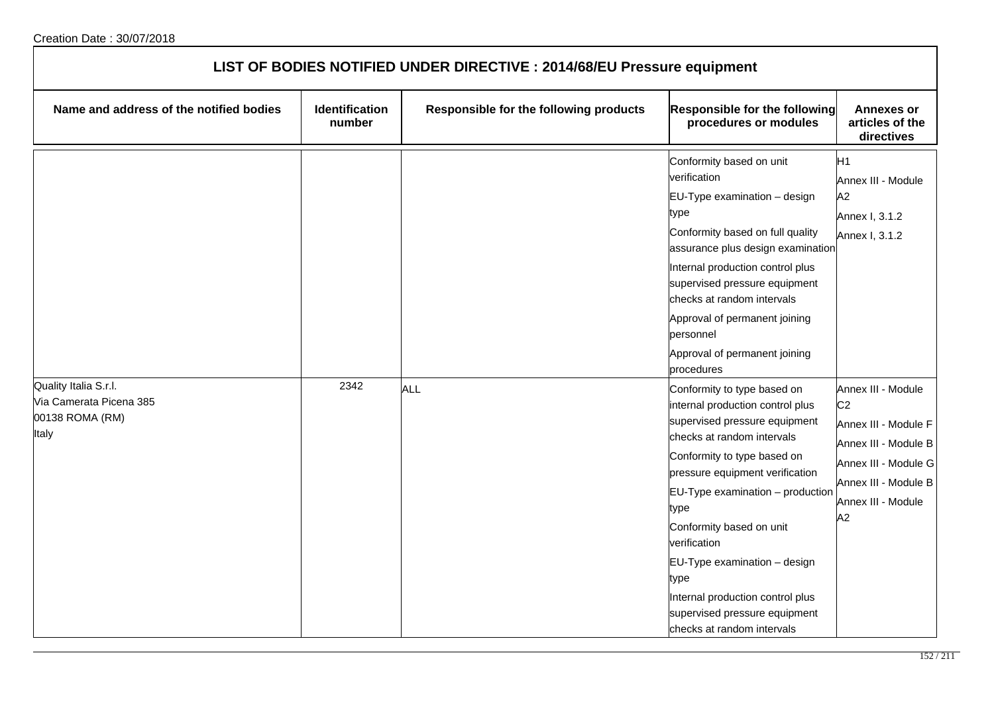| LIST OF BODIES NOTIFIED UNDER DIRECTIVE : 2014/68/EU Pressure equipment      |                          |                                        |                                                                                                                                                                                                                                                                                                                                                                                                                                         |                                                                                                                                                                  |  |
|------------------------------------------------------------------------------|--------------------------|----------------------------------------|-----------------------------------------------------------------------------------------------------------------------------------------------------------------------------------------------------------------------------------------------------------------------------------------------------------------------------------------------------------------------------------------------------------------------------------------|------------------------------------------------------------------------------------------------------------------------------------------------------------------|--|
| Name and address of the notified bodies                                      | Identification<br>number | Responsible for the following products | Responsible for the following<br>procedures or modules                                                                                                                                                                                                                                                                                                                                                                                  | <b>Annexes or</b><br>articles of the<br>directives                                                                                                               |  |
|                                                                              |                          |                                        | Conformity based on unit<br>verification<br>EU-Type examination - design<br>type<br>Conformity based on full quality<br>assurance plus design examination<br>Internal production control plus<br>supervised pressure equipment<br>checks at random intervals<br>Approval of permanent joining<br>personnel<br>Approval of permanent joining<br>procedures                                                                               | H <sub>1</sub><br>Annex III - Module<br>A2<br>Annex I, 3.1.2<br>Annex I, 3.1.2                                                                                   |  |
| Quality Italia S.r.l.<br>Via Camerata Picena 385<br>00138 ROMA (RM)<br>Italy | 2342                     | <b>ALL</b>                             | Conformity to type based on<br>internal production control plus<br>supervised pressure equipment<br>checks at random intervals<br>Conformity to type based on<br>pressure equipment verification<br>$EU-Type$ examination $-$ production<br>type<br>Conformity based on unit<br>verification<br>EU-Type examination - design<br>type<br>Internal production control plus<br>supervised pressure equipment<br>checks at random intervals | Annex III - Module<br>C <sub>2</sub><br>Annex III - Module F<br>Annex III - Module B<br>Annex III - Module G<br>Annex III - Module B<br>Annex III - Module<br>A2 |  |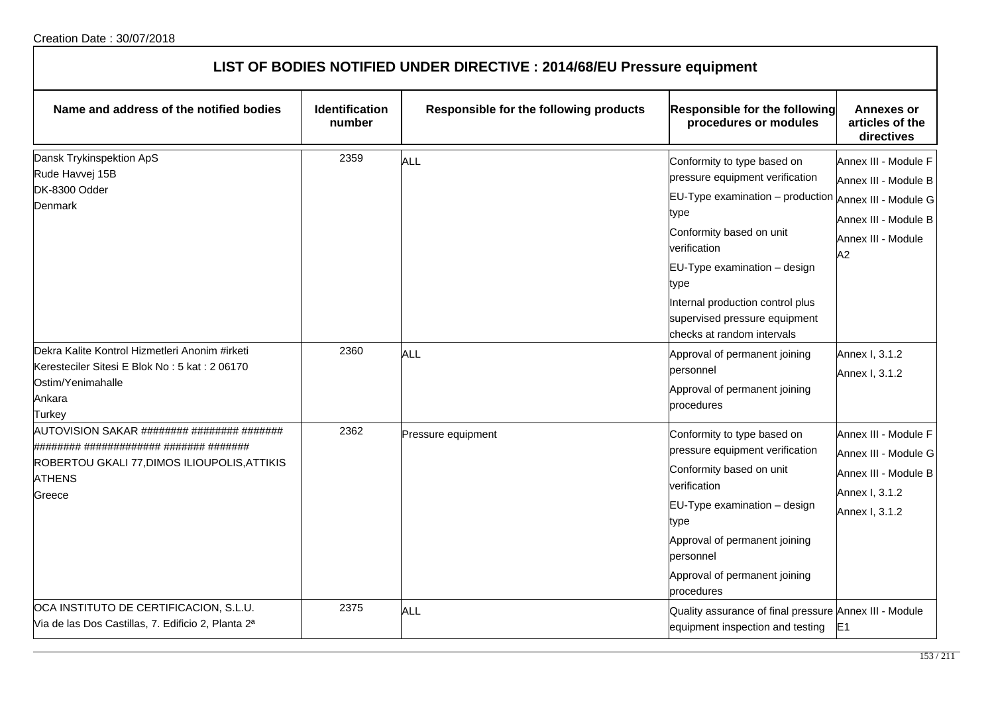| LIST OF BODIES NOTIFIED UNDER DIRECTIVE : 2014/68/EU Pressure equipment                                                                  |                                 |                                        |                                                                                                                                                                                                                                                                                                                        |                                                                                                          |
|------------------------------------------------------------------------------------------------------------------------------------------|---------------------------------|----------------------------------------|------------------------------------------------------------------------------------------------------------------------------------------------------------------------------------------------------------------------------------------------------------------------------------------------------------------------|----------------------------------------------------------------------------------------------------------|
| Name and address of the notified bodies                                                                                                  | <b>Identification</b><br>number | Responsible for the following products | Responsible for the following<br>procedures or modules                                                                                                                                                                                                                                                                 | Annexes or<br>articles of the<br>directives                                                              |
| Dansk Trykinspektion ApS<br>Rude Havvej 15B<br>DK-8300 Odder<br>Denmark                                                                  | 2359                            | <b>ALL</b>                             | Conformity to type based on<br>pressure equipment verification<br>EU-Type examination - production Annex III - Module G<br>type<br>Conformity based on unit<br>verification<br>EU-Type examination - design<br>type<br>Internal production control plus<br>supervised pressure equipment<br>checks at random intervals | Annex III - Module F<br>Annex III - Module B<br>Annex III - Module B<br>Annex III - Module<br>A2         |
| Dekra Kalite Kontrol Hizmetleri Anonim #irketi<br>Keresteciler Sitesi E Blok No: 5 kat: 2 06170<br>Ostim/Yenimahalle<br>Ankara<br>Turkey | 2360                            | ALL                                    | Approval of permanent joining<br>personnel<br>Approval of permanent joining<br>procedures                                                                                                                                                                                                                              | Annex I, 3.1.2<br>Annex I, 3.1.2                                                                         |
| AUTOVISION SAKAR ######## ######## #######<br>ROBERTOU GKALI 77, DIMOS ILIOUPOLIS, ATTIKIS<br><b>ATHENS</b><br>Greece                    | 2362                            | Pressure equipment                     | Conformity to type based on<br>pressure equipment verification<br>Conformity based on unit<br>verification<br>EU-Type examination - design<br>type<br>Approval of permanent joining<br>personnel<br>Approval of permanent joining<br>procedures                                                                        | Annex III - Module F<br>Annex III - Module G<br>Annex III - Module B<br>Annex I, 3.1.2<br>Annex I, 3.1.2 |
| OCA INSTITUTO DE CERTIFICACION, S.L.U.<br>Via de las Dos Castillas, 7. Edificio 2, Planta 2 <sup>a</sup>                                 | 2375                            | ALL                                    | Quality assurance of final pressure Annex III - Module<br>equipment inspection and testing                                                                                                                                                                                                                             | E <sub>1</sub>                                                                                           |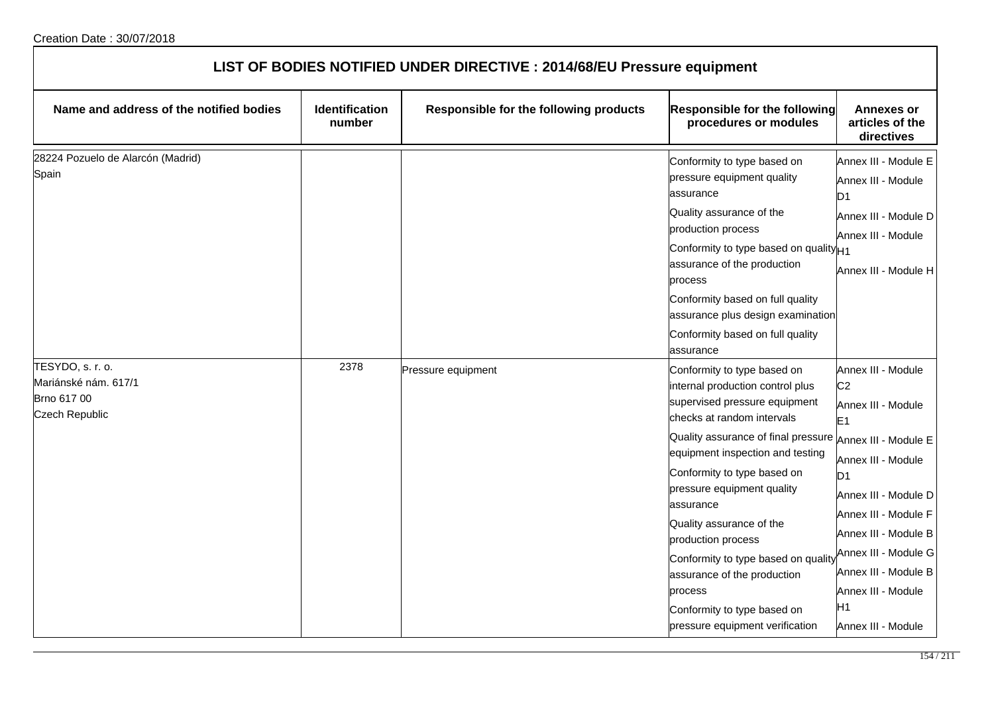| LIST OF BODIES NOTIFIED UNDER DIRECTIVE : 2014/68/EU Pressure equipment   |                                 |                                        |                                                                                                                                                                                                                                                                                                                                                                                                                                                                                          |                                                                                                                                                                                                                                                                                                                        |  |
|---------------------------------------------------------------------------|---------------------------------|----------------------------------------|------------------------------------------------------------------------------------------------------------------------------------------------------------------------------------------------------------------------------------------------------------------------------------------------------------------------------------------------------------------------------------------------------------------------------------------------------------------------------------------|------------------------------------------------------------------------------------------------------------------------------------------------------------------------------------------------------------------------------------------------------------------------------------------------------------------------|--|
| Name and address of the notified bodies                                   | <b>Identification</b><br>number | Responsible for the following products | Responsible for the following<br>procedures or modules                                                                                                                                                                                                                                                                                                                                                                                                                                   | <b>Annexes or</b><br>articles of the<br>directives                                                                                                                                                                                                                                                                     |  |
| 28224 Pozuelo de Alarcón (Madrid)<br>Spain                                |                                 |                                        | Conformity to type based on<br>pressure equipment quality<br>assurance<br>Quality assurance of the<br>production process<br>Conformity to type based on quality <sub>H1</sub><br>assurance of the production<br>process<br>Conformity based on full quality<br>assurance plus design examination<br>Conformity based on full quality<br>assurance                                                                                                                                        | Annex III - Module E<br>Annex III - Module<br>D <sub>1</sub><br>Annex III - Module D<br>Annex III - Module<br>Annex III - Module H                                                                                                                                                                                     |  |
| TESYDO, s. r. o.<br>Mariánské nám. 617/1<br>Brno 617 00<br>Czech Republic | 2378                            | Pressure equipment                     | Conformity to type based on<br>internal production control plus<br>supervised pressure equipment<br>checks at random intervals<br>Quality assurance of final pressure<br>equipment inspection and testing<br>Conformity to type based on<br>pressure equipment quality<br>assurance<br>Quality assurance of the<br>production process<br>Conformity to type based on quality<br>assurance of the production<br>process<br>Conformity to type based on<br>pressure equipment verification | Annex III - Module<br>C <sub>2</sub><br>Annex III - Module<br>E <sub>1</sub><br>Annex III - Module E<br>Annex III - Module<br>D1<br>Annex III - Module D<br>Annex III - Module F<br>Annex III - Module B<br>Annex III - Module G<br>Annex III - Module B<br>Annex III - Module<br>H <sub>1</sub><br>Annex III - Module |  |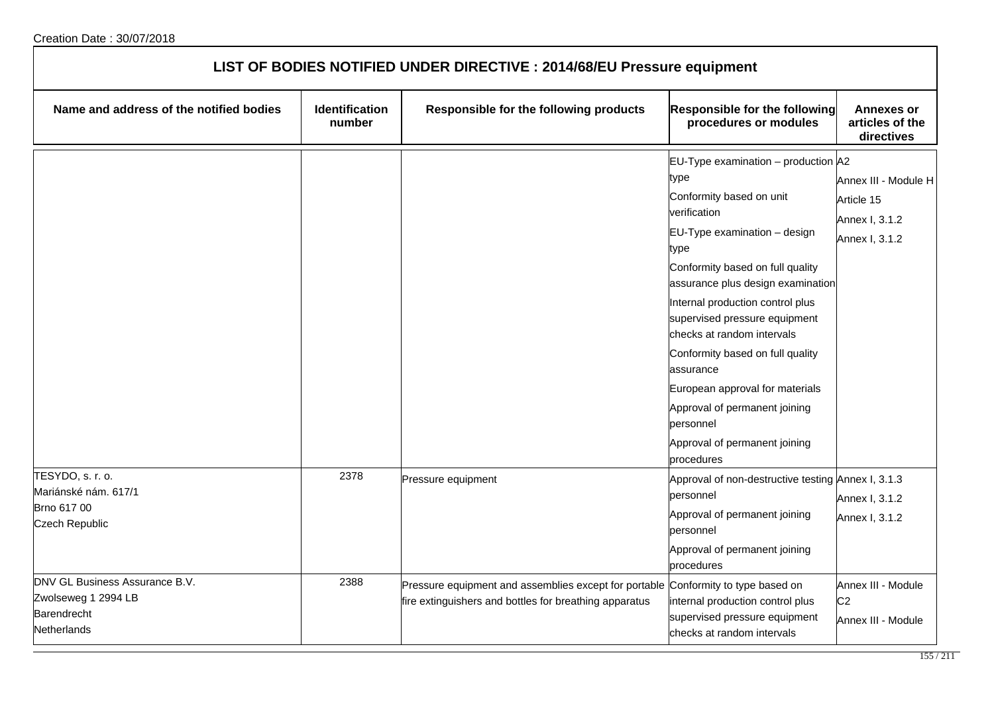| LIST OF BODIES NOTIFIED UNDER DIRECTIVE : 2014/68/EU Pressure equipment             |                                 |                                                                                                                 |                                                                                                                                                                                                                                                                                                                                                                                                                                                                                              |                                                                        |  |
|-------------------------------------------------------------------------------------|---------------------------------|-----------------------------------------------------------------------------------------------------------------|----------------------------------------------------------------------------------------------------------------------------------------------------------------------------------------------------------------------------------------------------------------------------------------------------------------------------------------------------------------------------------------------------------------------------------------------------------------------------------------------|------------------------------------------------------------------------|--|
| Name and address of the notified bodies                                             | <b>Identification</b><br>number | Responsible for the following products                                                                          | Responsible for the following<br>procedures or modules                                                                                                                                                                                                                                                                                                                                                                                                                                       | <b>Annexes or</b><br>articles of the<br>directives                     |  |
|                                                                                     |                                 |                                                                                                                 | EU-Type examination - production A2<br>type<br>Conformity based on unit<br>verification<br>EU-Type examination - design<br>type<br>Conformity based on full quality<br>assurance plus design examination<br>Internal production control plus<br>supervised pressure equipment<br>checks at random intervals<br>Conformity based on full quality<br>assurance<br>European approval for materials<br>Approval of permanent joining<br>personnel<br>Approval of permanent joining<br>procedures | Annex III - Module H<br>Article 15<br>Annex I, 3.1.2<br>Annex I, 3.1.2 |  |
| TESYDO, s. r. o.<br>Mariánské nám. 617/1<br>Brno 617 00<br><b>Czech Republic</b>    | 2378                            | Pressure equipment                                                                                              | Approval of non-destructive testing Annex I, 3.1.3<br>personnel<br>Approval of permanent joining<br>personnel<br>Approval of permanent joining<br>procedures                                                                                                                                                                                                                                                                                                                                 | Annex I, 3.1.2<br>Annex I, 3.1.2                                       |  |
| DNV GL Business Assurance B.V.<br>Zwolseweg 1 2994 LB<br>Barendrecht<br>Netherlands | 2388                            | Pressure equipment and assemblies except for portable<br>fire extinguishers and bottles for breathing apparatus | Conformity to type based on<br>internal production control plus<br>supervised pressure equipment<br>checks at random intervals                                                                                                                                                                                                                                                                                                                                                               | Annex III - Module<br>C <sub>2</sub><br>Annex III - Module             |  |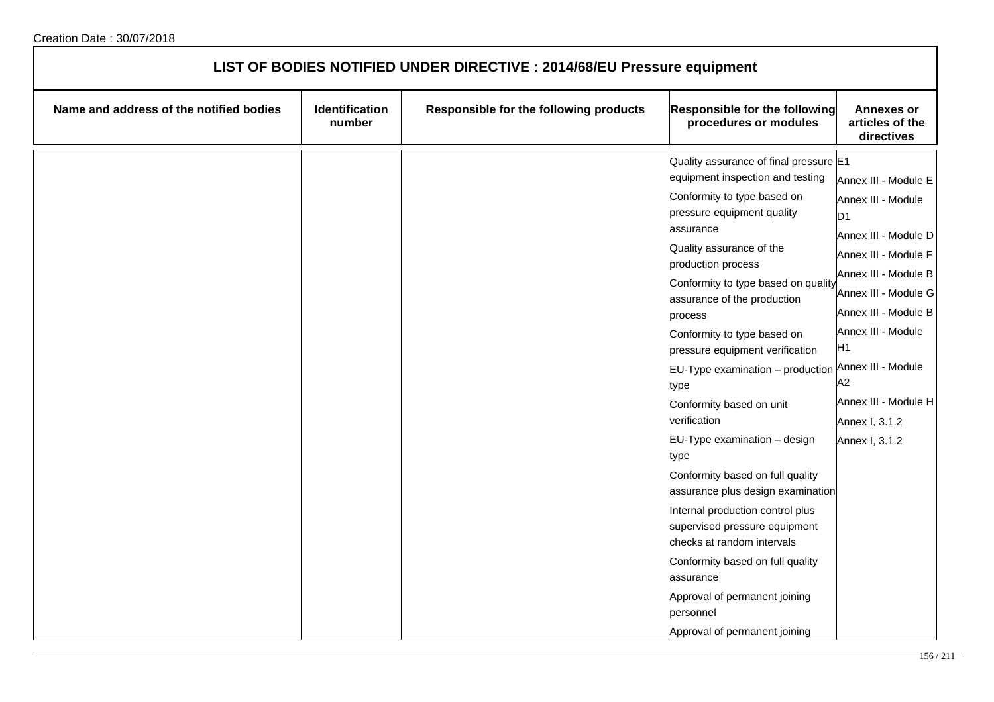| LIST OF BODIES NOTIFIED UNDER DIRECTIVE : 2014/68/EU Pressure equipment |                          |                                        |                                                                                                                                                                                                                                                                                                                                                                                                                                                                                                                                                                                                                                                                                                                                                                                                           |                                                                                                                                                                                                                                                                                              |
|-------------------------------------------------------------------------|--------------------------|----------------------------------------|-----------------------------------------------------------------------------------------------------------------------------------------------------------------------------------------------------------------------------------------------------------------------------------------------------------------------------------------------------------------------------------------------------------------------------------------------------------------------------------------------------------------------------------------------------------------------------------------------------------------------------------------------------------------------------------------------------------------------------------------------------------------------------------------------------------|----------------------------------------------------------------------------------------------------------------------------------------------------------------------------------------------------------------------------------------------------------------------------------------------|
| Name and address of the notified bodies                                 | Identification<br>number | Responsible for the following products | Responsible for the following<br>procedures or modules                                                                                                                                                                                                                                                                                                                                                                                                                                                                                                                                                                                                                                                                                                                                                    | <b>Annexes or</b><br>articles of the<br>directives                                                                                                                                                                                                                                           |
|                                                                         |                          |                                        | Quality assurance of final pressure E1<br>equipment inspection and testing<br>Conformity to type based on<br>pressure equipment quality<br>assurance<br>Quality assurance of the<br>production process<br>Conformity to type based on quality<br>assurance of the production<br>process<br>Conformity to type based on<br>pressure equipment verification<br>$EU-Type$ examination $-$ production<br>type<br>Conformity based on unit<br>verification<br>EU-Type examination - design<br>type<br>Conformity based on full quality<br>assurance plus design examination<br>Internal production control plus<br>supervised pressure equipment<br>checks at random intervals<br>Conformity based on full quality<br>assurance<br>Approval of permanent joining<br>personnel<br>Approval of permanent joining | Annex III - Module E<br>Annex III - Module<br>D1<br>Annex III - Module D<br>Annex III - Module F<br>Annex III - Module B<br>Annex III - Module G<br>Annex III - Module B<br>Annex III - Module<br>H1<br>Annex III - Module<br>A2<br>Annex III - Module H<br>Annex I, 3.1.2<br>Annex I, 3.1.2 |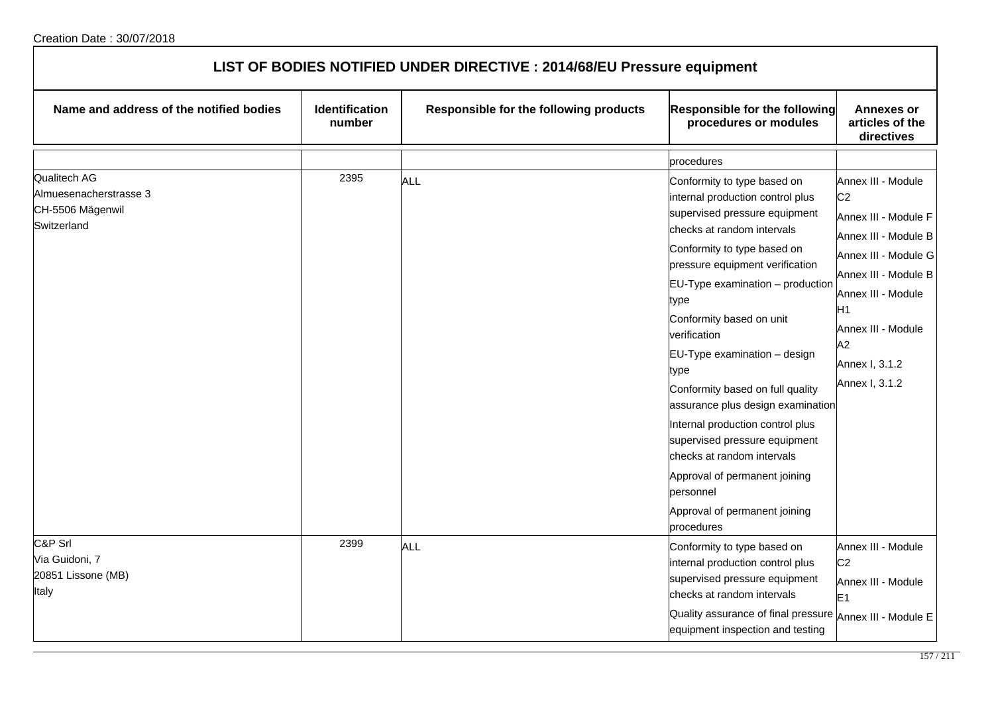| LIST OF BODIES NOTIFIED UNDER DIRECTIVE : 2014/68/EU Pressure equipment   |                          |                                        |                                                                                                                                                                                                                                                                                                                                                                                                                                                                                                                                                                                                               |                                                                                                                                                                                                                                              |  |
|---------------------------------------------------------------------------|--------------------------|----------------------------------------|---------------------------------------------------------------------------------------------------------------------------------------------------------------------------------------------------------------------------------------------------------------------------------------------------------------------------------------------------------------------------------------------------------------------------------------------------------------------------------------------------------------------------------------------------------------------------------------------------------------|----------------------------------------------------------------------------------------------------------------------------------------------------------------------------------------------------------------------------------------------|--|
| Name and address of the notified bodies                                   | Identification<br>number | Responsible for the following products | <b>Responsible for the following</b><br>procedures or modules                                                                                                                                                                                                                                                                                                                                                                                                                                                                                                                                                 | <b>Annexes or</b><br>articles of the<br>directives                                                                                                                                                                                           |  |
|                                                                           |                          |                                        | procedures                                                                                                                                                                                                                                                                                                                                                                                                                                                                                                                                                                                                    |                                                                                                                                                                                                                                              |  |
| Qualitech AG<br>Almuesenacherstrasse 3<br>CH-5506 Mägenwil<br>Switzerland | 2395                     | ALL                                    | Conformity to type based on<br>internal production control plus<br>supervised pressure equipment<br>checks at random intervals<br>Conformity to type based on<br>pressure equipment verification<br>$EU-Type$ examination $-$ production<br>type<br>Conformity based on unit<br>verification<br>EU-Type examination - design<br>type<br>Conformity based on full quality<br>assurance plus design examination<br>Internal production control plus<br>supervised pressure equipment<br>checks at random intervals<br>Approval of permanent joining<br>personnel<br>Approval of permanent joining<br>procedures | Annex III - Module<br>C <sub>2</sub><br>Annex III - Module F<br>Annex III - Module B<br>Annex III - Module G<br>Annex III - Module B<br>Annex III - Module<br>H <sub>1</sub><br>Annex III - Module<br>A2<br>Annex I, 3.1.2<br>Annex I, 3.1.2 |  |
| C&P Srl<br>Via Guidoni, 7<br>20851 Lissone (MB)<br>Italy                  | 2399                     | ALL                                    | Conformity to type based on<br>internal production control plus<br>supervised pressure equipment<br>checks at random intervals<br>Quality assurance of final pressure Annex III - Module E<br>equipment inspection and testing                                                                                                                                                                                                                                                                                                                                                                                | Annex III - Module<br>C <sub>2</sub><br>Annex III - Module<br>E <sub>1</sub>                                                                                                                                                                 |  |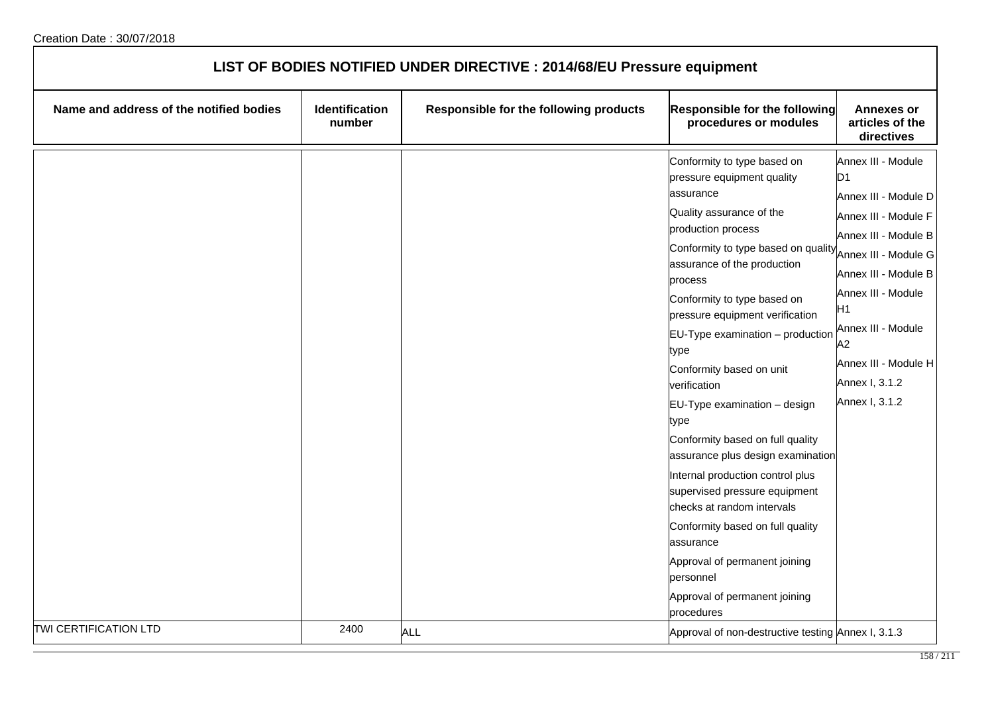| LIST OF BODIES NOTIFIED UNDER DIRECTIVE : 2014/68/EU Pressure equipment |                          |                                        |                                                                                                                                                                                                                                                                                                                                                                                                                                                                                                                                                                                                                                                                                                                                           |                                                                                                                                                                                                                                                                      |
|-------------------------------------------------------------------------|--------------------------|----------------------------------------|-------------------------------------------------------------------------------------------------------------------------------------------------------------------------------------------------------------------------------------------------------------------------------------------------------------------------------------------------------------------------------------------------------------------------------------------------------------------------------------------------------------------------------------------------------------------------------------------------------------------------------------------------------------------------------------------------------------------------------------------|----------------------------------------------------------------------------------------------------------------------------------------------------------------------------------------------------------------------------------------------------------------------|
| Name and address of the notified bodies                                 | Identification<br>number | Responsible for the following products | Responsible for the following<br>procedures or modules                                                                                                                                                                                                                                                                                                                                                                                                                                                                                                                                                                                                                                                                                    | <b>Annexes or</b><br>articles of the<br>directives                                                                                                                                                                                                                   |
|                                                                         |                          |                                        | Conformity to type based on<br>pressure equipment quality<br>assurance<br>Quality assurance of the<br>production process<br>Conformity to type based on quality<br>assurance of the production<br>process<br>Conformity to type based on<br>pressure equipment verification<br>$EU-Type$ examination $-$ production<br>type<br>Conformity based on unit<br>verification<br>EU-Type examination - design<br>type<br>Conformity based on full quality<br>assurance plus design examination<br>Internal production control plus<br>supervised pressure equipment<br>checks at random intervals<br>Conformity based on full quality<br>assurance<br>Approval of permanent joining<br>personnel<br>Approval of permanent joining<br>procedures | Annex III - Module<br>D1<br>Annex III - Module D<br>Annex III - Module F<br>Annex III - Module B<br>Annex III - Module G<br>Annex III - Module B<br>Annex III - Module<br>H1<br>Annex III - Module<br>A2<br>Annex III - Module H<br>Annex I, 3.1.2<br>Annex I, 3.1.2 |
| TWI CERTIFICATION LTD                                                   | 2400                     | <b>ALL</b>                             | Approval of non-destructive testing Annex I, 3.1.3                                                                                                                                                                                                                                                                                                                                                                                                                                                                                                                                                                                                                                                                                        |                                                                                                                                                                                                                                                                      |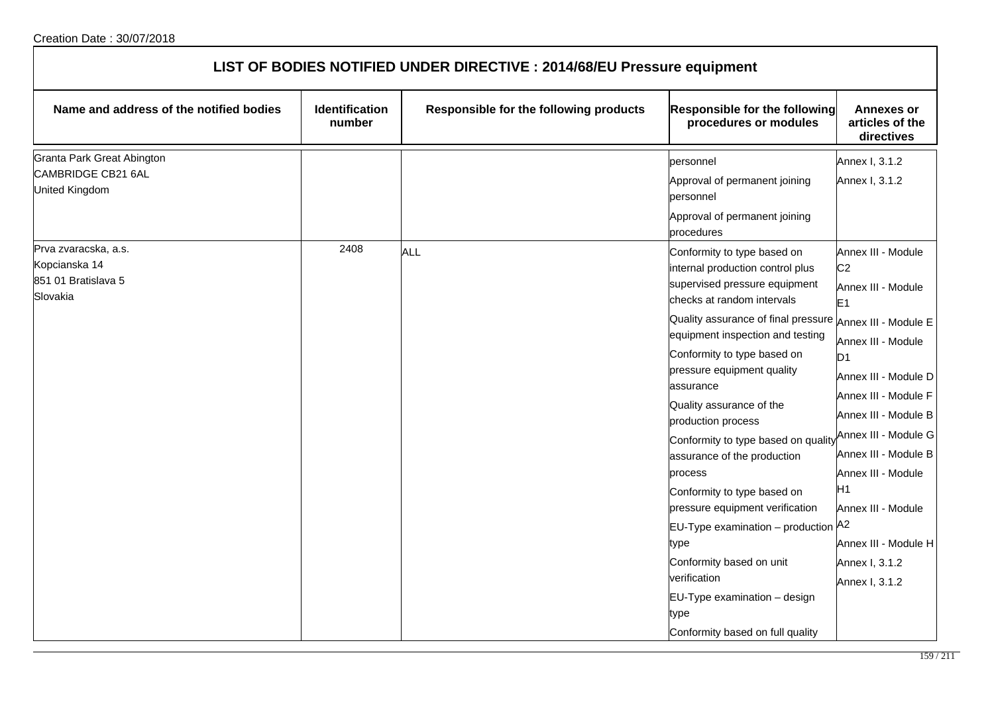| LIST OF BODIES NOTIFIED UNDER DIRECTIVE : 2014/68/EU Pressure equipment  |                          |                                        |                                                                                                                                                                                                                                                                                                                                                                                                                                                                                                                                                                                                                                                  |                                                                                                                                                                                                                                                                                                                                                                        |  |
|--------------------------------------------------------------------------|--------------------------|----------------------------------------|--------------------------------------------------------------------------------------------------------------------------------------------------------------------------------------------------------------------------------------------------------------------------------------------------------------------------------------------------------------------------------------------------------------------------------------------------------------------------------------------------------------------------------------------------------------------------------------------------------------------------------------------------|------------------------------------------------------------------------------------------------------------------------------------------------------------------------------------------------------------------------------------------------------------------------------------------------------------------------------------------------------------------------|--|
| Name and address of the notified bodies                                  | Identification<br>number | Responsible for the following products | Responsible for the following<br>procedures or modules                                                                                                                                                                                                                                                                                                                                                                                                                                                                                                                                                                                           | <b>Annexes or</b><br>articles of the<br>directives                                                                                                                                                                                                                                                                                                                     |  |
| Granta Park Great Abington<br>CAMBRIDGE CB21 6AL<br>United Kingdom       |                          |                                        | personnel<br>Approval of permanent joining<br>personnel<br>Approval of permanent joining<br>procedures                                                                                                                                                                                                                                                                                                                                                                                                                                                                                                                                           | Annex I, 3.1.2<br>Annex I, 3.1.2                                                                                                                                                                                                                                                                                                                                       |  |
| Prva zvaracska, a.s.<br>Kopcianska 14<br>851 01 Bratislava 5<br>Slovakia | 2408                     | ALL                                    | Conformity to type based on<br>internal production control plus<br>supervised pressure equipment<br>checks at random intervals<br>Quality assurance of final pressure Annex III - Module E<br>equipment inspection and testing<br>Conformity to type based on<br>pressure equipment quality<br>assurance<br>Quality assurance of the<br>production process<br>Conformity to type based on quality<br>assurance of the production<br>process<br>Conformity to type based on<br>pressure equipment verification<br>EU-Type examination - production A2<br>type<br>Conformity based on unit<br>verification<br>EU-Type examination - design<br>type | Annex III - Module<br>C <sub>2</sub><br>Annex III - Module<br>E <sub>1</sub><br>Annex III - Module<br>D <sub>1</sub><br>Annex III - Module D<br>Annex III - Module F<br>Annex III - Module B<br>Annex III - Module G<br>Annex III - Module B<br>Annex III - Module<br>H <sub>1</sub><br>Annex III - Module<br>Annex III - Module H<br>Annex I, 3.1.2<br>Annex I, 3.1.2 |  |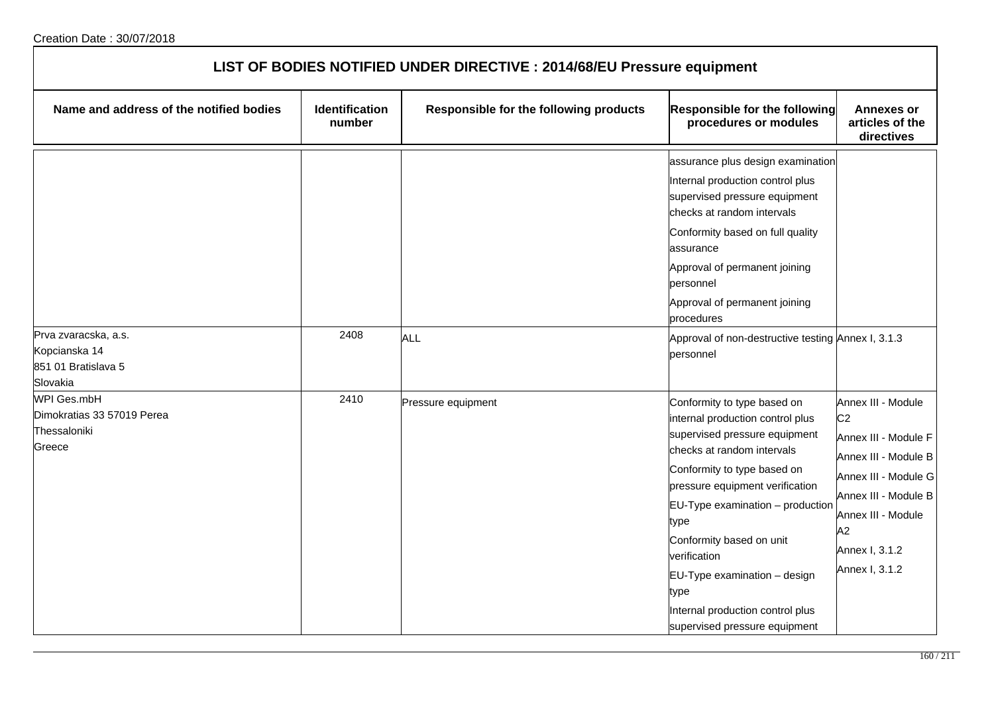| LIST OF BODIES NOTIFIED UNDER DIRECTIVE : 2014/68/EU Pressure equipment         |                                 |                                        |                                                                                                                                                                                                                                                                                                                                                                                                           |                                                                                                                                                                                                      |  |
|---------------------------------------------------------------------------------|---------------------------------|----------------------------------------|-----------------------------------------------------------------------------------------------------------------------------------------------------------------------------------------------------------------------------------------------------------------------------------------------------------------------------------------------------------------------------------------------------------|------------------------------------------------------------------------------------------------------------------------------------------------------------------------------------------------------|--|
| Name and address of the notified bodies                                         | <b>Identification</b><br>number | Responsible for the following products | Responsible for the following<br>procedures or modules                                                                                                                                                                                                                                                                                                                                                    | <b>Annexes or</b><br>articles of the<br>directives                                                                                                                                                   |  |
| Prva zvaracska, a.s.<br>Kopcianska 14<br>851 01 Bratislava 5                    | 2408                            | <b>ALL</b>                             | assurance plus design examination<br>Internal production control plus<br>supervised pressure equipment<br>checks at random intervals<br>Conformity based on full quality<br>lassurance<br>Approval of permanent joining<br>bersonnel<br>Approval of permanent joining<br>procedures<br>Approval of non-destructive testing Annex I, 3.1.3<br>personnel                                                    |                                                                                                                                                                                                      |  |
| Slovakia<br>WPI Ges.mbH<br>Dimokratias 33 57019 Perea<br>Thessaloniki<br>Greece | 2410                            | Pressure equipment                     | Conformity to type based on<br>internal production control plus<br>supervised pressure equipment<br>checks at random intervals<br>Conformity to type based on<br>pressure equipment verification<br>EU-Type examination - production<br>type<br>Conformity based on unit<br>verification<br>$EU-Type$ examination $-$ design<br>type<br>Internal production control plus<br>supervised pressure equipment | Annex III - Module<br>C <sub>2</sub><br>Annex III - Module F<br>Annex III - Module B<br>Annex III - Module G<br>Annex III - Module B<br>Annex III - Module<br>A2<br>Annex I, 3.1.2<br>Annex I, 3.1.2 |  |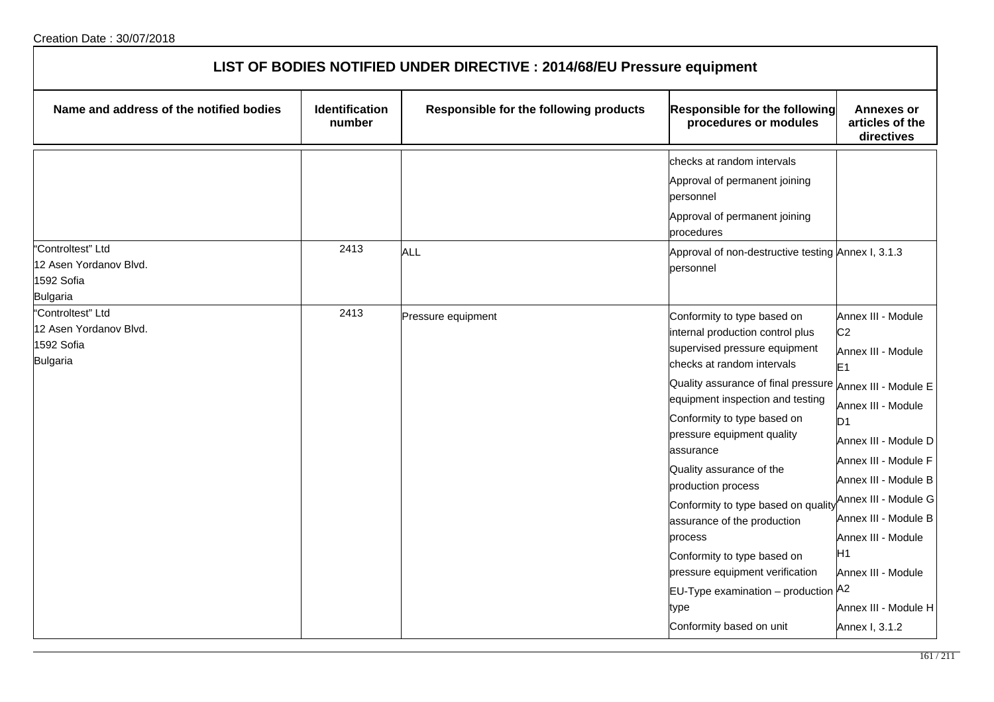| LIST OF BODIES NOTIFIED UNDER DIRECTIVE : 2014/68/EU Pressure equipment      |                                 |                                        |                                                                                                                                                                                                                                                                                                                                                                                                                                                                                                                                                                                              |                                                                                                                                                                                                                                                                                                                              |  |
|------------------------------------------------------------------------------|---------------------------------|----------------------------------------|----------------------------------------------------------------------------------------------------------------------------------------------------------------------------------------------------------------------------------------------------------------------------------------------------------------------------------------------------------------------------------------------------------------------------------------------------------------------------------------------------------------------------------------------------------------------------------------------|------------------------------------------------------------------------------------------------------------------------------------------------------------------------------------------------------------------------------------------------------------------------------------------------------------------------------|--|
| Name and address of the notified bodies                                      | <b>Identification</b><br>number | Responsible for the following products | Responsible for the following<br>procedures or modules                                                                                                                                                                                                                                                                                                                                                                                                                                                                                                                                       | <b>Annexes or</b><br>articles of the<br>directives                                                                                                                                                                                                                                                                           |  |
|                                                                              |                                 |                                        | checks at random intervals<br>Approval of permanent joining<br>personnel<br>Approval of permanent joining<br>procedures                                                                                                                                                                                                                                                                                                                                                                                                                                                                      |                                                                                                                                                                                                                                                                                                                              |  |
| "Controltest" Ltd<br>12 Asen Yordanov Blvd.<br>1592 Sofia<br><b>Bulgaria</b> | 2413                            | <b>ALL</b>                             | Approval of non-destructive testing Annex I, 3.1.3<br>personnel                                                                                                                                                                                                                                                                                                                                                                                                                                                                                                                              |                                                                                                                                                                                                                                                                                                                              |  |
| "Controltest" Ltd<br>12 Asen Yordanov Blvd.<br>1592 Sofia<br><b>Bulgaria</b> | 2413                            | Pressure equipment                     | Conformity to type based on<br>internal production control plus<br>supervised pressure equipment<br>checks at random intervals<br>Quality assurance of final pressure Annex III - Module E<br>equipment inspection and testing<br>Conformity to type based on<br>pressure equipment quality<br>assurance<br>Quality assurance of the<br>production process<br>Conformity to type based on quality<br>assurance of the production<br>process<br>Conformity to type based on<br>pressure equipment verification<br>$EU-Type$ examination – production $A2$<br>type<br>Conformity based on unit | Annex III - Module<br>C <sub>2</sub><br>Annex III - Module<br>E1<br>Annex III - Module<br>D <sub>1</sub><br>Annex III - Module D<br>Annex III - Module F<br>Annex III - Module B<br>Annex III - Module G<br>Annex III - Module B<br>Annex III - Module<br>H1<br>Annex III - Module<br>Annex III - Module H<br>Annex I, 3.1.2 |  |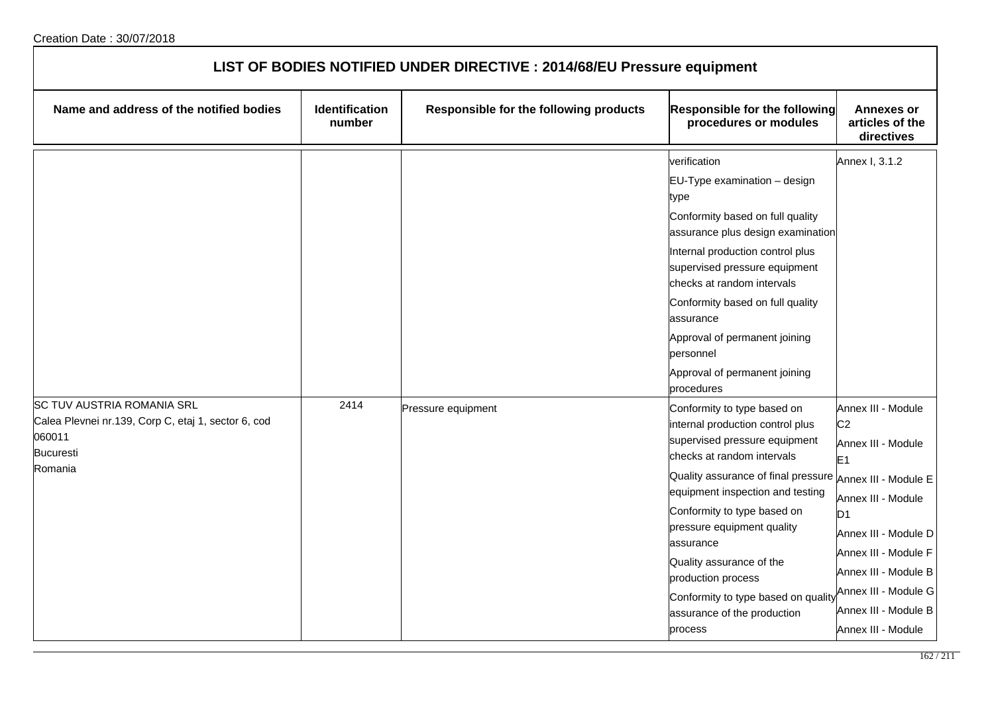| LIST OF BODIES NOTIFIED UNDER DIRECTIVE : 2014/68/EU Pressure equipment                                                           |                                 |                                        |                                                                                                                                                                                                                                                                                                                                                                                                                                             |                                                                                                                                                                                                                                                                    |  |
|-----------------------------------------------------------------------------------------------------------------------------------|---------------------------------|----------------------------------------|---------------------------------------------------------------------------------------------------------------------------------------------------------------------------------------------------------------------------------------------------------------------------------------------------------------------------------------------------------------------------------------------------------------------------------------------|--------------------------------------------------------------------------------------------------------------------------------------------------------------------------------------------------------------------------------------------------------------------|--|
| Name and address of the notified bodies                                                                                           | <b>Identification</b><br>number | Responsible for the following products | <b>Responsible for the following</b><br>procedures or modules                                                                                                                                                                                                                                                                                                                                                                               | <b>Annexes or</b><br>articles of the<br>directives                                                                                                                                                                                                                 |  |
|                                                                                                                                   |                                 |                                        | verification<br>EU-Type examination - design<br>type<br>Conformity based on full quality<br>assurance plus design examination<br>Internal production control plus<br>supervised pressure equipment<br>checks at random intervals<br>Conformity based on full quality<br>assurance<br>Approval of permanent joining<br>personnel<br>Approval of permanent joining<br>procedures                                                              | Annex I, 3.1.2                                                                                                                                                                                                                                                     |  |
| <b>SC TUV AUSTRIA ROMANIA SRL</b><br>Calea Plevnei nr.139, Corp C, etaj 1, sector 6, cod<br>060011<br><b>Bucuresti</b><br>Romania | 2414                            | Pressure equipment                     | Conformity to type based on<br>internal production control plus<br>supervised pressure equipment<br>checks at random intervals<br>Quality assurance of final pressure Annex III - Module E<br>equipment inspection and testing<br>Conformity to type based on<br>pressure equipment quality<br>assurance<br>Quality assurance of the<br>production process<br>Conformity to type based on quality<br>assurance of the production<br>process | Annex III - Module<br>C <sub>2</sub><br>Annex III - Module<br>E <sub>1</sub><br>Annex III - Module<br>D <sub>1</sub><br>Annex III - Module D<br>Annex III - Module F<br>Annex III - Module B<br>Annex III - Module G<br>Annex III - Module B<br>Annex III - Module |  |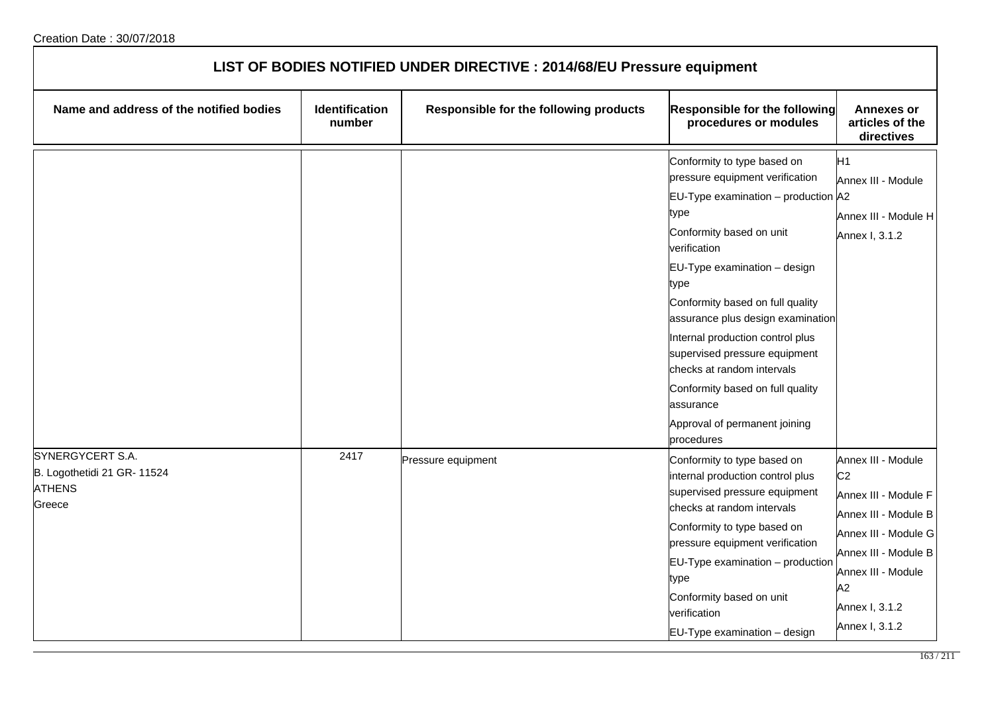| LIST OF BODIES NOTIFIED UNDER DIRECTIVE : 2014/68/EU Pressure equipment    |                                 |                                        |                                                                                                                                                                                                                                                                                                                                                                                                                                                                                   |                                                                                                                                                                                                      |  |
|----------------------------------------------------------------------------|---------------------------------|----------------------------------------|-----------------------------------------------------------------------------------------------------------------------------------------------------------------------------------------------------------------------------------------------------------------------------------------------------------------------------------------------------------------------------------------------------------------------------------------------------------------------------------|------------------------------------------------------------------------------------------------------------------------------------------------------------------------------------------------------|--|
| Name and address of the notified bodies                                    | <b>Identification</b><br>number | Responsible for the following products | <b>Responsible for the following</b><br>procedures or modules                                                                                                                                                                                                                                                                                                                                                                                                                     | <b>Annexes or</b><br>articles of the<br>directives                                                                                                                                                   |  |
|                                                                            |                                 |                                        | Conformity to type based on<br>pressure equipment verification<br>$EU-Type$ examination – production $A2$<br>type<br>Conformity based on unit<br>verification<br>EU-Type examination - design<br>type<br>Conformity based on full quality<br>assurance plus design examination<br>Internal production control plus<br>supervised pressure equipment<br>checks at random intervals<br>Conformity based on full quality<br>assurance<br>Approval of permanent joining<br>procedures | H <sub>1</sub><br>Annex III - Module<br>Annex III - Module H<br>Annex I, 3.1.2                                                                                                                       |  |
| SYNERGYCERT S.A.<br>B. Logothetidi 21 GR- 11524<br><b>ATHENS</b><br>Greece | 2417                            | Pressure equipment                     | Conformity to type based on<br>internal production control plus<br>supervised pressure equipment<br>checks at random intervals<br>Conformity to type based on<br>pressure equipment verification<br>EU-Type examination - production<br>type<br>Conformity based on unit<br>verification<br>EU-Type examination - design                                                                                                                                                          | Annex III - Module<br>C <sub>2</sub><br>Annex III - Module F<br>Annex III - Module B<br>Annex III - Module G<br>Annex III - Module B<br>Annex III - Module<br>A2<br>Annex I, 3.1.2<br>Annex I, 3.1.2 |  |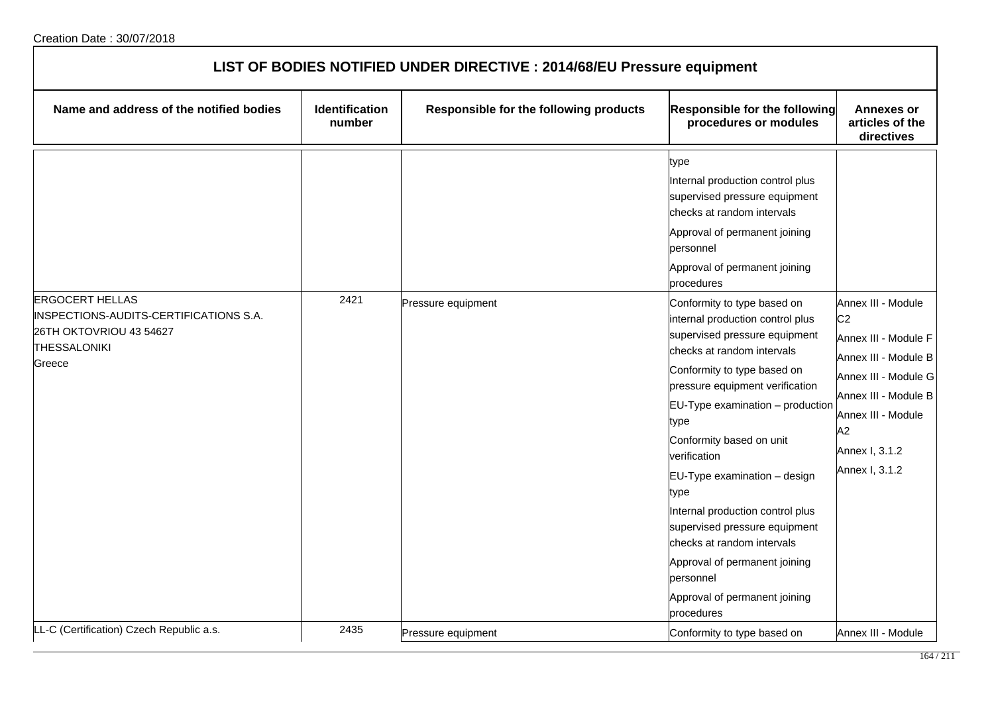| LIST OF BODIES NOTIFIED UNDER DIRECTIVE : 2014/68/EU Pressure equipment                                                      |                                 |                                        |                                                                                                                                                                                                                                                                                                                                                                                                                                                                                                                                                                                                                                                                                                                                          |                                                                                                                                                                                                      |  |
|------------------------------------------------------------------------------------------------------------------------------|---------------------------------|----------------------------------------|------------------------------------------------------------------------------------------------------------------------------------------------------------------------------------------------------------------------------------------------------------------------------------------------------------------------------------------------------------------------------------------------------------------------------------------------------------------------------------------------------------------------------------------------------------------------------------------------------------------------------------------------------------------------------------------------------------------------------------------|------------------------------------------------------------------------------------------------------------------------------------------------------------------------------------------------------|--|
| Name and address of the notified bodies                                                                                      | <b>Identification</b><br>number | Responsible for the following products | <b>Responsible for the following</b><br>procedures or modules                                                                                                                                                                                                                                                                                                                                                                                                                                                                                                                                                                                                                                                                            | <b>Annexes or</b><br>articles of the<br>directives                                                                                                                                                   |  |
| <b>ERGOCERT HELLAS</b><br>INSPECTIONS-AUDITS-CERTIFICATIONS S.A.<br>26TH OKTOVRIOU 43 54627<br><b>THESSALONIKI</b><br>Greece | 2421                            | Pressure equipment                     | type<br>Internal production control plus<br>supervised pressure equipment<br>checks at random intervals<br>Approval of permanent joining<br>personnel<br>Approval of permanent joining<br>procedures<br>Conformity to type based on<br>internal production control plus<br>supervised pressure equipment<br>checks at random intervals<br>Conformity to type based on<br>pressure equipment verification<br>EU-Type examination - production<br>type<br>Conformity based on unit<br>verification<br>EU-Type examination - design<br>type<br>Internal production control plus<br>supervised pressure equipment<br>checks at random intervals<br>Approval of permanent joining<br>personnel<br>Approval of permanent joining<br>procedures | Annex III - Module<br>C <sub>2</sub><br>Annex III - Module F<br>Annex III - Module B<br>Annex III - Module G<br>Annex III - Module B<br>Annex III - Module<br>A2<br>Annex I, 3.1.2<br>Annex I, 3.1.2 |  |
| LL-C (Certification) Czech Republic a.s.                                                                                     | 2435                            | Pressure equipment                     | Conformity to type based on                                                                                                                                                                                                                                                                                                                                                                                                                                                                                                                                                                                                                                                                                                              | Annex III - Module                                                                                                                                                                                   |  |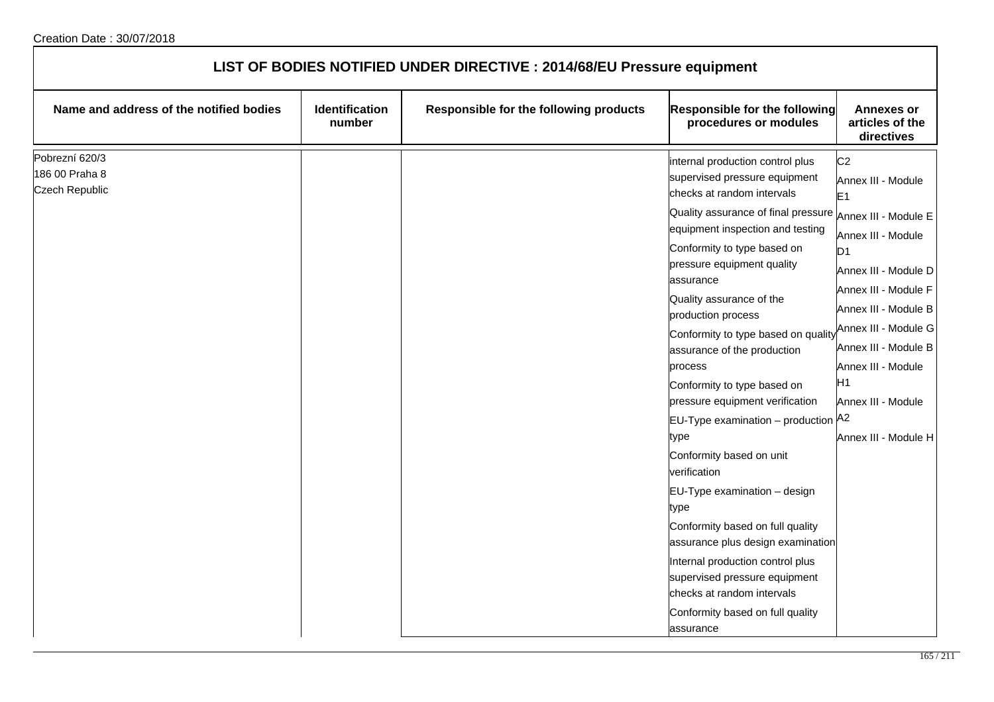| LIST OF BODIES NOTIFIED UNDER DIRECTIVE : 2014/68/EU Pressure equipment |                                 |                                        |                                                                                                                                                                                                                                                                                                                                                                                                                                                                                                                                                                                                                                                                                                                                                                                                                                                  |                                                                                                                                                                                                                                                                                                  |  |
|-------------------------------------------------------------------------|---------------------------------|----------------------------------------|--------------------------------------------------------------------------------------------------------------------------------------------------------------------------------------------------------------------------------------------------------------------------------------------------------------------------------------------------------------------------------------------------------------------------------------------------------------------------------------------------------------------------------------------------------------------------------------------------------------------------------------------------------------------------------------------------------------------------------------------------------------------------------------------------------------------------------------------------|--------------------------------------------------------------------------------------------------------------------------------------------------------------------------------------------------------------------------------------------------------------------------------------------------|--|
| Name and address of the notified bodies                                 | <b>Identification</b><br>number | Responsible for the following products | Responsible for the following<br>procedures or modules                                                                                                                                                                                                                                                                                                                                                                                                                                                                                                                                                                                                                                                                                                                                                                                           | <b>Annexes or</b><br>articles of the<br>directives                                                                                                                                                                                                                                               |  |
| Pobrezní 620/3<br>186 00 Praha 8<br><b>Czech Republic</b>               |                                 |                                        | internal production control plus<br>supervised pressure equipment<br>checks at random intervals<br>Quality assurance of final pressure Annex III - Module E<br>equipment inspection and testing<br>Conformity to type based on<br>pressure equipment quality<br>assurance<br>Quality assurance of the<br>production process<br>Conformity to type based on quality<br>assurance of the production<br>process<br>Conformity to type based on<br>pressure equipment verification<br>EU-Type examination – production $A2$<br>type<br>Conformity based on unit<br>verification<br>EU-Type examination - design<br>type<br>Conformity based on full quality<br>assurance plus design examination<br>Internal production control plus<br>supervised pressure equipment<br>checks at random intervals<br>Conformity based on full quality<br>assurance | C <sub>2</sub><br>Annex III - Module<br>E <sub>1</sub><br>Annex III - Module<br>D <sub>1</sub><br>Annex III - Module D<br>Annex III - Module F<br>Annex III - Module B<br>Annex III - Module G<br>Annex III - Module B<br>Annex III - Module<br>H1<br>Annex III - Module<br>Annex III - Module H |  |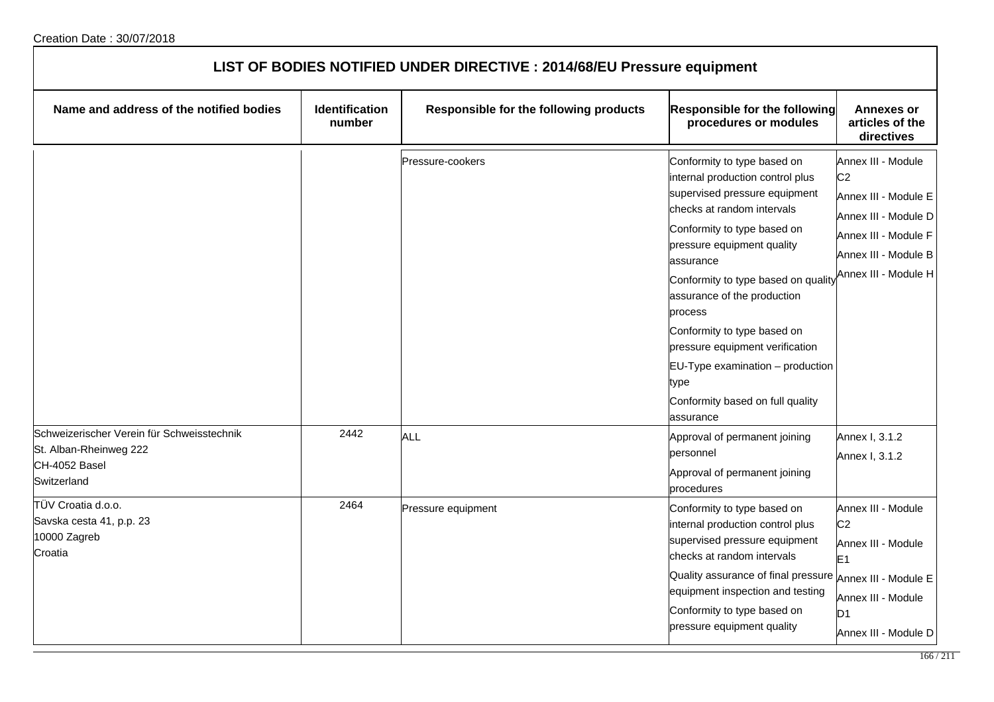| LIST OF BODIES NOTIFIED UNDER DIRECTIVE : 2014/68/EU Pressure equipment                              |                                 |                                        |                                                                                                                                                                                                                                                                                                                                                                                                                                                               |                                                                                                                                                                      |  |
|------------------------------------------------------------------------------------------------------|---------------------------------|----------------------------------------|---------------------------------------------------------------------------------------------------------------------------------------------------------------------------------------------------------------------------------------------------------------------------------------------------------------------------------------------------------------------------------------------------------------------------------------------------------------|----------------------------------------------------------------------------------------------------------------------------------------------------------------------|--|
| Name and address of the notified bodies                                                              | <b>Identification</b><br>number | Responsible for the following products | <b>Responsible for the following</b><br>procedures or modules                                                                                                                                                                                                                                                                                                                                                                                                 | <b>Annexes or</b><br>articles of the<br>directives                                                                                                                   |  |
|                                                                                                      |                                 | Pressure-cookers                       | Conformity to type based on<br>internal production control plus<br>supervised pressure equipment<br>checks at random intervals<br>Conformity to type based on<br>pressure equipment quality<br>assurance<br>Conformity to type based on quality<br>assurance of the production<br>process<br>Conformity to type based on<br>pressure equipment verification<br>$EU-Type$ examination $-$ production<br>type<br>Conformity based on full quality<br>lassurance | Annex III - Module<br>C <sub>2</sub><br>Annex III - Module E<br>Annex III - Module D<br>Annex III - Module F<br>Annex III - Module B<br>Annex III - Module H         |  |
| Schweizerischer Verein für Schweisstechnik<br>St. Alban-Rheinweg 222<br>CH-4052 Basel<br>Switzerland | 2442                            | ALL                                    | Approval of permanent joining<br>personnel<br>Approval of permanent joining<br>procedures                                                                                                                                                                                                                                                                                                                                                                     | Annex I, 3.1.2<br>Annex I, 3.1.2                                                                                                                                     |  |
| TÜV Croatia d.o.o.<br>Savska cesta 41, p.p. 23<br>10000 Zagreb<br>Croatia                            | 2464                            | Pressure equipment                     | Conformity to type based on<br>internal production control plus<br>supervised pressure equipment<br>checks at random intervals<br>Quality assurance of final pressure<br>equipment inspection and testing<br>Conformity to type based on<br>pressure equipment quality                                                                                                                                                                                        | Annex III - Module<br>C <sub>2</sub><br>Annex III - Module<br>E <sub>1</sub><br>Annex III - Module E<br>Annex III - Module<br>D <sub>1</sub><br>Annex III - Module D |  |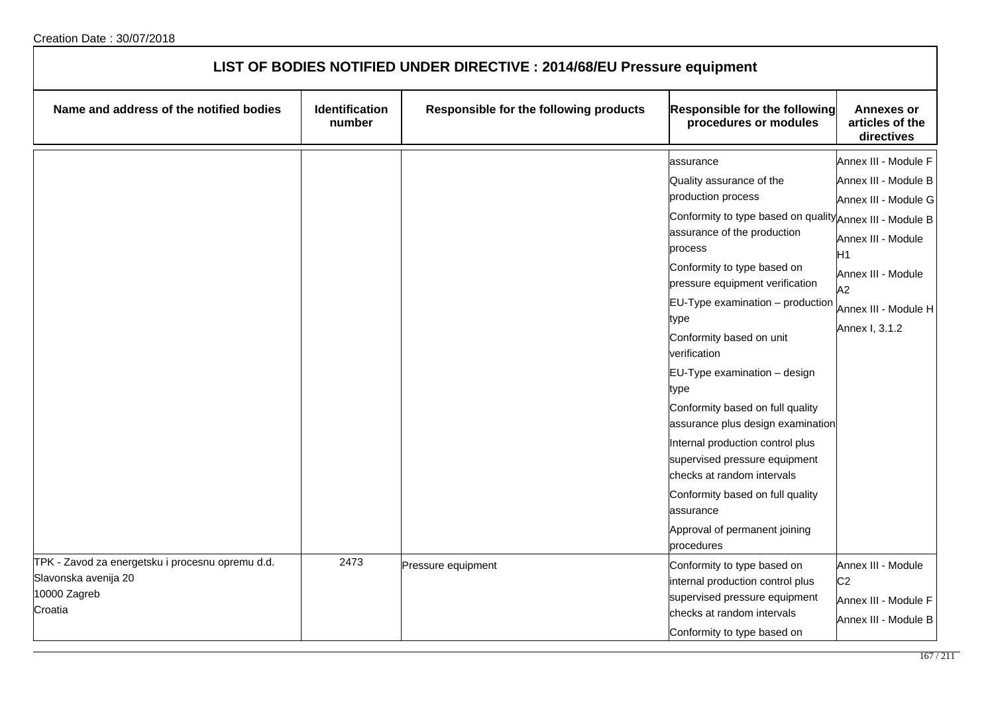| LIST OF BODIES NOTIFIED UNDER DIRECTIVE : 2014/68/EU Pressure equipment                             |                          |                                        |                                                                                                                                                                                                                                                                                                                                                                                                                                                                                                                                                                                                                                                 |                                                                                                                                                                        |  |
|-----------------------------------------------------------------------------------------------------|--------------------------|----------------------------------------|-------------------------------------------------------------------------------------------------------------------------------------------------------------------------------------------------------------------------------------------------------------------------------------------------------------------------------------------------------------------------------------------------------------------------------------------------------------------------------------------------------------------------------------------------------------------------------------------------------------------------------------------------|------------------------------------------------------------------------------------------------------------------------------------------------------------------------|--|
| Name and address of the notified bodies                                                             | Identification<br>number | Responsible for the following products | <b>Responsible for the following</b><br>procedures or modules                                                                                                                                                                                                                                                                                                                                                                                                                                                                                                                                                                                   | <b>Annexes or</b><br>articles of the<br>directives                                                                                                                     |  |
|                                                                                                     |                          |                                        | assurance<br>Quality assurance of the<br>production process<br>Conformity to type based on quality Annex III - Module B<br>assurance of the production<br>process<br>Conformity to type based on<br>pressure equipment verification<br>EU-Type examination - production<br>type<br>Conformity based on unit<br>verification<br>EU-Type examination - design<br>type<br>Conformity based on full quality<br>assurance plus design examination<br>Internal production control plus<br>supervised pressure equipment<br>checks at random intervals<br>Conformity based on full quality<br>assurance<br>Approval of permanent joining<br>procedures | Annex III - Module F<br>Annex III - Module B<br>Annex III - Module G<br>Annex III - Module<br>H1<br>Annex III - Module<br>A2<br>Annex III - Module H<br>Annex I, 3.1.2 |  |
| TPK - Zavod za energetsku i procesnu opremu d.d.<br>Slavonska avenija 20<br>10000 Zagreb<br>Croatia | 2473                     | Pressure equipment                     | Conformity to type based on<br>internal production control plus<br>supervised pressure equipment<br>checks at random intervals<br>Conformity to type based on                                                                                                                                                                                                                                                                                                                                                                                                                                                                                   | Annex III - Module<br>C <sub>2</sub><br>Annex III - Module F<br>Annex III - Module B                                                                                   |  |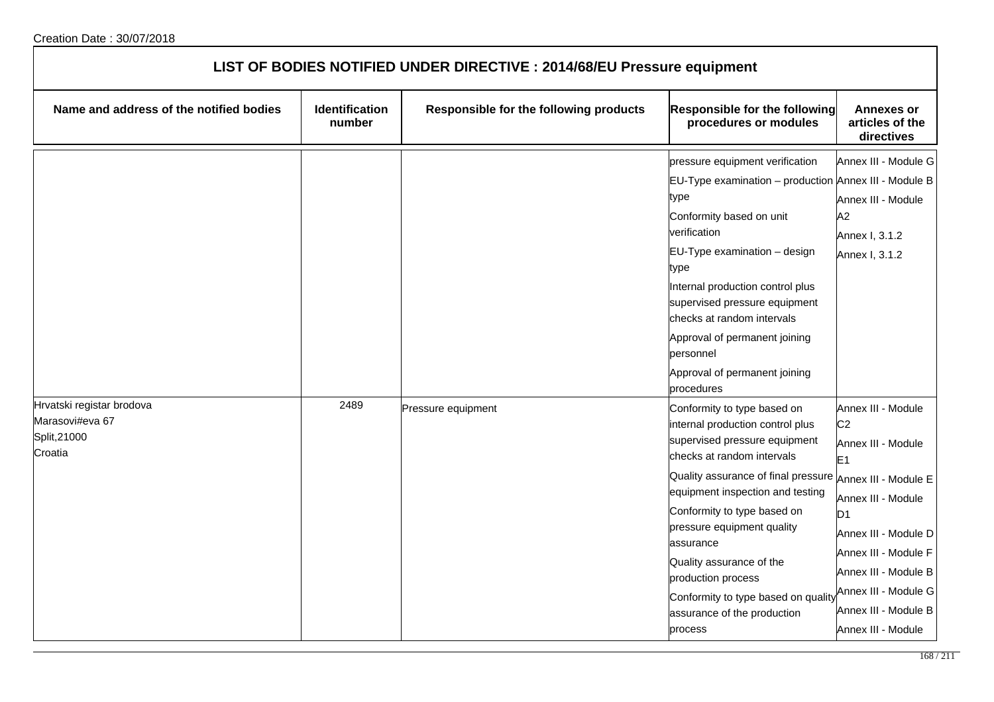| LIST OF BODIES NOTIFIED UNDER DIRECTIVE : 2014/68/EU Pressure equipment |                          |                                        |                                                                                                                                                                                                                                                                                                                                                                                                                        |                                                                                                                                                                                                                                                                                            |  |
|-------------------------------------------------------------------------|--------------------------|----------------------------------------|------------------------------------------------------------------------------------------------------------------------------------------------------------------------------------------------------------------------------------------------------------------------------------------------------------------------------------------------------------------------------------------------------------------------|--------------------------------------------------------------------------------------------------------------------------------------------------------------------------------------------------------------------------------------------------------------------------------------------|--|
| Name and address of the notified bodies                                 | Identification<br>number | Responsible for the following products | <b>Responsible for the following</b><br>procedures or modules                                                                                                                                                                                                                                                                                                                                                          | <b>Annexes or</b><br>articles of the<br>directives                                                                                                                                                                                                                                         |  |
|                                                                         |                          |                                        | pressure equipment verification<br>EU-Type examination - production Annex III - Module B<br>type<br>Conformity based on unit<br>verification<br>EU-Type examination - design<br>type<br>Internal production control plus<br>supervised pressure equipment<br>checks at random intervals<br>Approval of permanent joining<br>personnel<br>Approval of permanent joining<br>procedures                                   | Annex III - Module G<br>Annex III - Module<br>A2<br>Annex I, 3.1.2<br>Annex I, 3.1.2                                                                                                                                                                                                       |  |
| Hrvatski registar brodova<br>Marasovi#eva 67<br>Split, 21000<br>Croatia | 2489                     | Pressure equipment                     | Conformity to type based on<br>internal production control plus<br>supervised pressure equipment<br>checks at random intervals<br>Quality assurance of final pressure<br>equipment inspection and testing<br>Conformity to type based on<br>pressure equipment quality<br>assurance<br>Quality assurance of the<br>production process<br>Conformity to type based on quality<br>assurance of the production<br>process | Annex III - Module<br>C <sub>2</sub><br>Annex III - Module<br>E <sub>1</sub><br>Annex III - Module E<br>Annex III - Module<br>D <sub>1</sub><br>Annex III - Module D<br>Annex III - Module F<br>Annex III - Module B<br>Annex III - Module G<br>Annex III - Module B<br>Annex III - Module |  |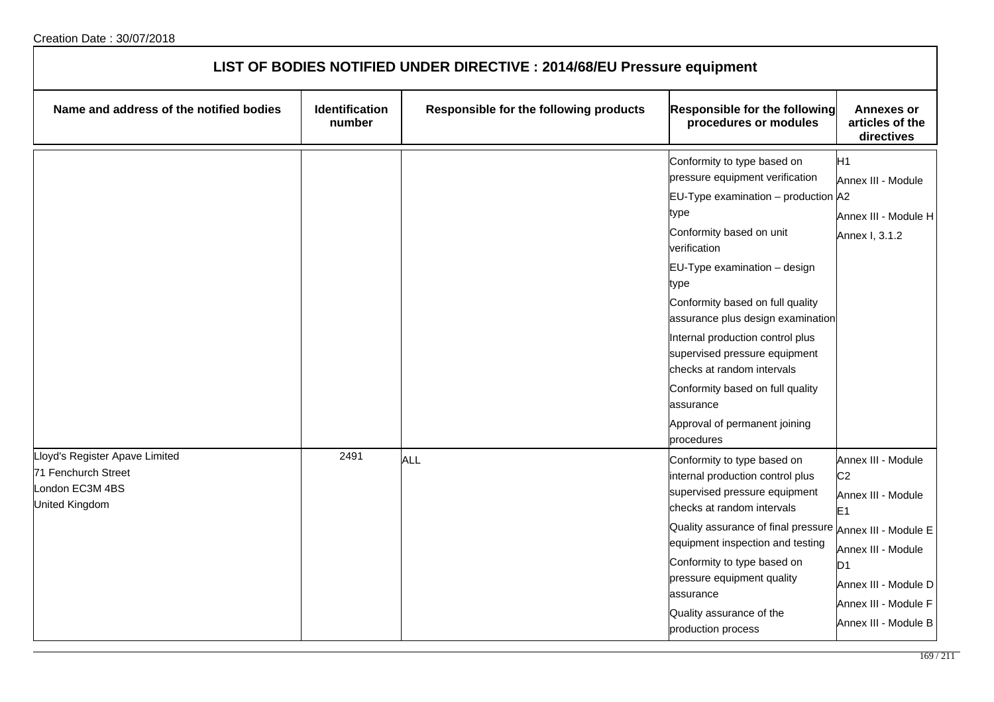| LIST OF BODIES NOTIFIED UNDER DIRECTIVE : 2014/68/EU Pressure equipment                           |                          |                                        |                                                                                                                                                                                                                                                                                                                                                                                                                                                                                   |                                                                                                                                                                                              |
|---------------------------------------------------------------------------------------------------|--------------------------|----------------------------------------|-----------------------------------------------------------------------------------------------------------------------------------------------------------------------------------------------------------------------------------------------------------------------------------------------------------------------------------------------------------------------------------------------------------------------------------------------------------------------------------|----------------------------------------------------------------------------------------------------------------------------------------------------------------------------------------------|
| Name and address of the notified bodies                                                           | Identification<br>number | Responsible for the following products | Responsible for the following<br>procedures or modules                                                                                                                                                                                                                                                                                                                                                                                                                            | <b>Annexes or</b><br>articles of the<br>directives                                                                                                                                           |
|                                                                                                   |                          |                                        | Conformity to type based on<br>pressure equipment verification<br>EU-Type examination – production $ $ A2<br>type<br>Conformity based on unit<br>verification<br>EU-Type examination - design<br>type<br>Conformity based on full quality<br>assurance plus design examination<br>Internal production control plus<br>supervised pressure equipment<br>checks at random intervals<br>Conformity based on full quality<br>assurance<br>Approval of permanent joining<br>procedures | H1<br>Annex III - Module<br>Annex III - Module H<br>Annex I, 3.1.2                                                                                                                           |
| Lloyd's Register Apave Limited<br>71 Fenchurch Street<br>London EC3M 4BS<br><b>United Kingdom</b> | 2491                     | <b>ALL</b>                             | Conformity to type based on<br>internal production control plus<br>supervised pressure equipment<br>checks at random intervals<br>Quality assurance of final pressure Annex III - Module E<br>equipment inspection and testing<br>Conformity to type based on<br>pressure equipment quality<br>assurance<br>Quality assurance of the<br>production process                                                                                                                        | Annex III - Module<br>C <sub>2</sub><br>Annex III - Module<br>E <sub>1</sub><br>Annex III - Module<br>D <sub>1</sub><br>Annex III - Module D<br>Annex III - Module F<br>Annex III - Module B |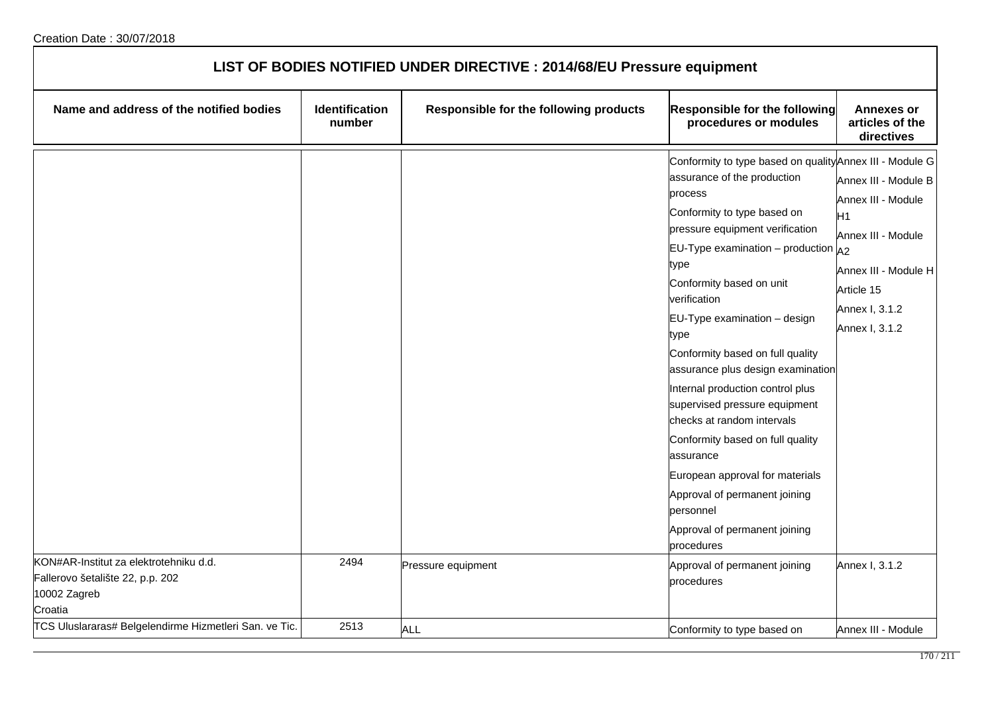| LIST OF BODIES NOTIFIED UNDER DIRECTIVE : 2014/68/EU Pressure equipment                               |                                 |                                        |                                                                                                                                                                                                                                                                                                                                                                                                                                                                                                                                                                                                                                                                   |                                                                                                                                                                    |
|-------------------------------------------------------------------------------------------------------|---------------------------------|----------------------------------------|-------------------------------------------------------------------------------------------------------------------------------------------------------------------------------------------------------------------------------------------------------------------------------------------------------------------------------------------------------------------------------------------------------------------------------------------------------------------------------------------------------------------------------------------------------------------------------------------------------------------------------------------------------------------|--------------------------------------------------------------------------------------------------------------------------------------------------------------------|
| Name and address of the notified bodies                                                               | <b>Identification</b><br>number | Responsible for the following products | <b>Responsible for the following</b><br>procedures or modules                                                                                                                                                                                                                                                                                                                                                                                                                                                                                                                                                                                                     | <b>Annexes or</b><br>articles of the<br>directives                                                                                                                 |
|                                                                                                       |                                 |                                        | Conformity to type based on quality Annex III - Module G<br>assurance of the production<br>process<br>Conformity to type based on<br>pressure equipment verification<br>EU-Type examination - production<br>type<br>Conformity based on unit<br>verification<br>EU-Type examination - design<br>type<br>Conformity based on full quality<br>assurance plus design examination<br>Internal production control plus<br>supervised pressure equipment<br>checks at random intervals<br>Conformity based on full quality<br>assurance<br>European approval for materials<br>Approval of permanent joining<br>personnel<br>Approval of permanent joining<br>procedures | Annex III - Module B<br>Annex III - Module<br>H1<br>Annex III - Module<br>A <sub>2</sub><br>Annex III - Module H<br>Article 15<br>Annex I, 3.1.2<br>Annex I, 3.1.2 |
| KON#AR-Institut za elektrotehniku d.d.<br>Fallerovo šetalište 22, p.p. 202<br>10002 Zagreb<br>Croatia | 2494                            | Pressure equipment                     | Approval of permanent joining<br>procedures                                                                                                                                                                                                                                                                                                                                                                                                                                                                                                                                                                                                                       | Annex I, 3.1.2                                                                                                                                                     |
| TCS Uluslararas# Belgelendirme Hizmetleri San. ve Tic.                                                | 2513                            | <b>ALL</b>                             | Conformity to type based on                                                                                                                                                                                                                                                                                                                                                                                                                                                                                                                                                                                                                                       | Annex III - Module                                                                                                                                                 |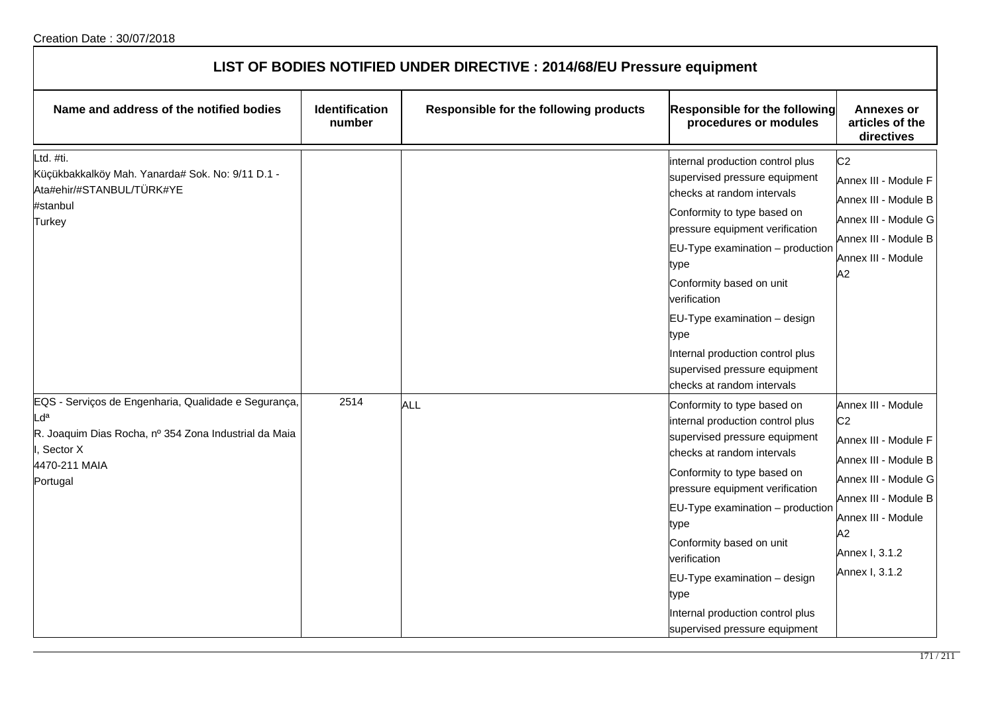| LIST OF BODIES NOTIFIED UNDER DIRECTIVE : 2014/68/EU Pressure equipment                                                                                                  |                          |                                        |                                                                                                                                                                                                                                                                                                                                                                                                           |                                                                                                                                                                                                      |
|--------------------------------------------------------------------------------------------------------------------------------------------------------------------------|--------------------------|----------------------------------------|-----------------------------------------------------------------------------------------------------------------------------------------------------------------------------------------------------------------------------------------------------------------------------------------------------------------------------------------------------------------------------------------------------------|------------------------------------------------------------------------------------------------------------------------------------------------------------------------------------------------------|
| Name and address of the notified bodies                                                                                                                                  | Identification<br>number | Responsible for the following products | <b>Responsible for the following</b><br>procedures or modules                                                                                                                                                                                                                                                                                                                                             | <b>Annexes or</b><br>articles of the<br>directives                                                                                                                                                   |
| td. #ti.<br>Küçükbakkalköy Mah. Yanarda# Sok. No: 9/11 D.1 -<br>Ata#ehir/#STANBUL/TÜRK#YE<br>#stanbul<br>Turkey                                                          |                          |                                        | internal production control plus<br>supervised pressure equipment<br>checks at random intervals<br>Conformity to type based on<br>pressure equipment verification<br>$EU-Type$ examination $-$ production<br>type<br>Conformity based on unit<br>verification<br>EU-Type examination - design<br>type<br>Internal production control plus<br>supervised pressure equipment<br>checks at random intervals  | C <sub>2</sub><br>Annex III - Module F<br>Annex III - Module B<br>Annex III - Module G<br>Annex III - Module B<br>Annex III - Module<br>A2                                                           |
| EQS - Serviços de Engenharia, Qualidade e Segurança,<br>d <sup>a</sup><br>R. Joaquim Dias Rocha, nº 354 Zona Industrial da Maia<br>Sector X<br>4470-211 MAIA<br>Portugal | 2514                     | ALL                                    | Conformity to type based on<br>internal production control plus<br>supervised pressure equipment<br>checks at random intervals<br>Conformity to type based on<br>pressure equipment verification<br>$EU-Type$ examination $-$ production<br>type<br>Conformity based on unit<br>verification<br>EU-Type examination - design<br>type<br>Internal production control plus<br>supervised pressure equipment | Annex III - Module<br>C <sub>2</sub><br>Annex III - Module F<br>Annex III - Module B<br>Annex III - Module G<br>Annex III - Module B<br>Annex III - Module<br>A2<br>Annex I, 3.1.2<br>Annex I, 3.1.2 |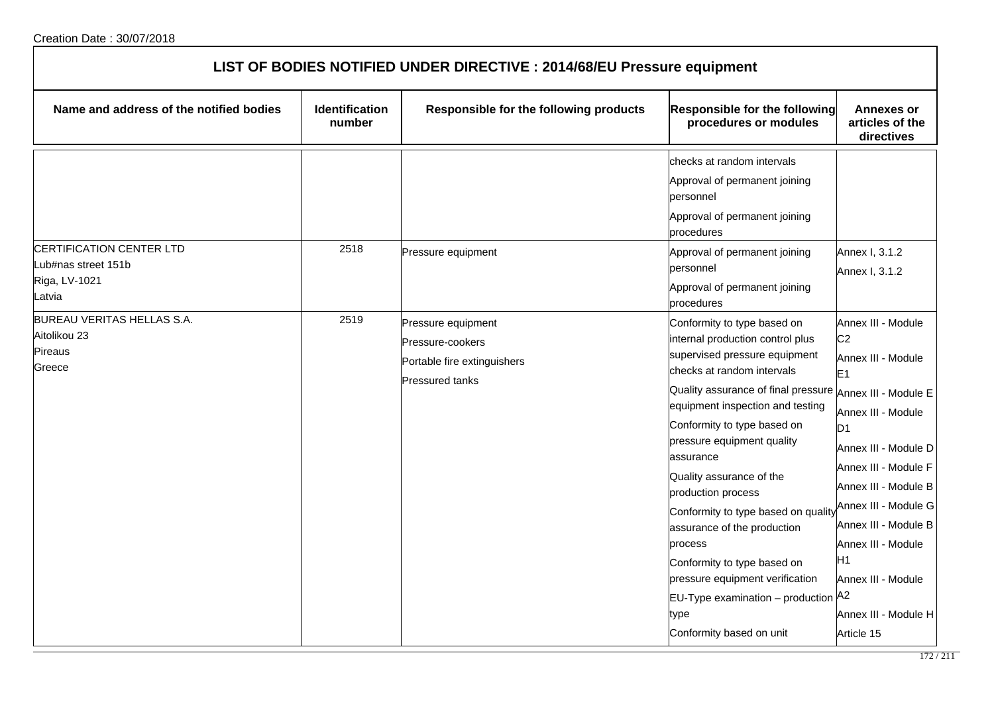| LIST OF BODIES NOTIFIED UNDER DIRECTIVE : 2014/68/EU Pressure equipment    |                                 |                                                                                                 |                                                                                                                                                                                                                                                                                                                                                                                                                                                                                                                                                                                           |                                                                                                                                                                                                                                                                                                                                      |  |
|----------------------------------------------------------------------------|---------------------------------|-------------------------------------------------------------------------------------------------|-------------------------------------------------------------------------------------------------------------------------------------------------------------------------------------------------------------------------------------------------------------------------------------------------------------------------------------------------------------------------------------------------------------------------------------------------------------------------------------------------------------------------------------------------------------------------------------------|--------------------------------------------------------------------------------------------------------------------------------------------------------------------------------------------------------------------------------------------------------------------------------------------------------------------------------------|--|
| Name and address of the notified bodies                                    | <b>Identification</b><br>number | Responsible for the following products                                                          | <b>Responsible for the following</b><br>procedures or modules                                                                                                                                                                                                                                                                                                                                                                                                                                                                                                                             | <b>Annexes or</b><br>articles of the<br>directives                                                                                                                                                                                                                                                                                   |  |
|                                                                            |                                 |                                                                                                 | checks at random intervals<br>Approval of permanent joining<br>bersonnel<br>Approval of permanent joining<br>procedures                                                                                                                                                                                                                                                                                                                                                                                                                                                                   |                                                                                                                                                                                                                                                                                                                                      |  |
| CERTIFICATION CENTER LTD<br>Lub#nas street 151b<br>Riga, LV-1021<br>Latvia | 2518                            | Pressure equipment                                                                              | Approval of permanent joining<br>bersonnel<br>Approval of permanent joining<br>procedures                                                                                                                                                                                                                                                                                                                                                                                                                                                                                                 | Annex I, 3.1.2<br>Annex I, 3.1.2                                                                                                                                                                                                                                                                                                     |  |
| BUREAU VERITAS HELLAS S.A.<br>Aitolikou 23<br>Pireaus<br>Greece            | 2519                            | Pressure equipment<br>Pressure-cookers<br>Portable fire extinguishers<br><b>Pressured tanks</b> | Conformity to type based on<br>internal production control plus<br>supervised pressure equipment<br>checks at random intervals<br>Quality assurance of final pressure Annex III - Module E<br>equipment inspection and testing<br>Conformity to type based on<br>pressure equipment quality<br>lassurance<br>Quality assurance of the<br>production process<br>Conformity to type based on quality<br>assurance of the production<br>process<br>Conformity to type based on<br>pressure equipment verification<br>EU-Type examination - production A2<br>type<br>Conformity based on unit | Annex III - Module<br>C <sub>2</sub><br>Annex III - Module<br>E <sub>1</sub><br>Annex III - Module<br>D <sub>1</sub><br>Annex III - Module D<br>Annex III - Module F<br>Annex III - Module B<br>Annex III - Module G<br>Annex III - Module B<br>Annex III - Module<br>H1<br>Annex III - Module<br>Annex III - Module H<br>Article 15 |  |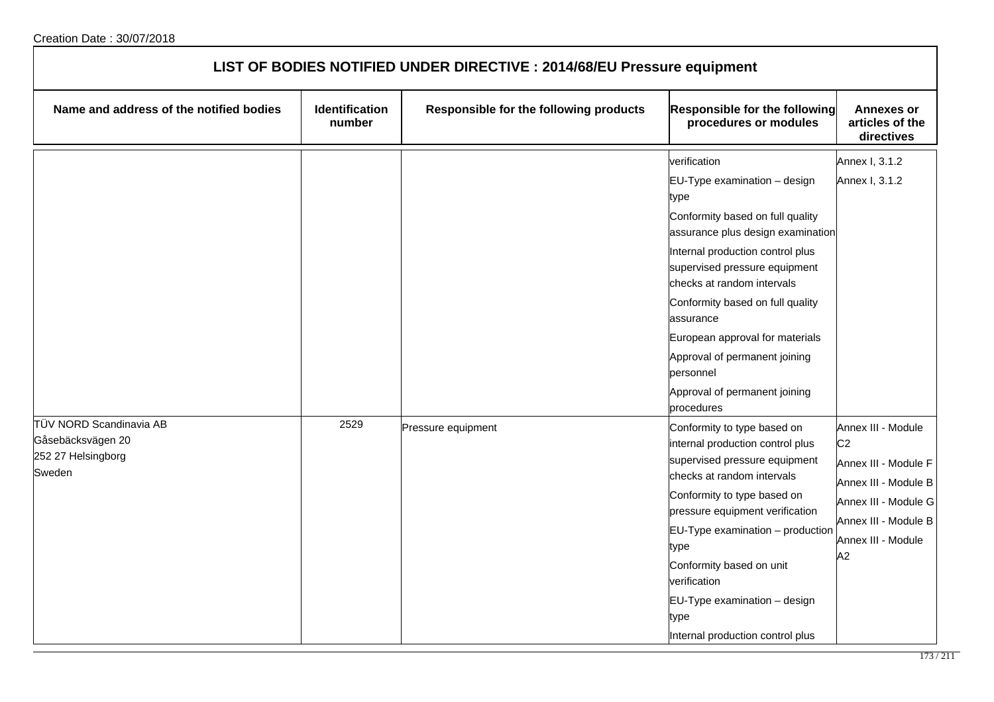| LIST OF BODIES NOTIFIED UNDER DIRECTIVE : 2014/68/EU Pressure equipment      |                                 |                                        |                                                                                                                                                                                                                                                                                                                                                                                                                       |                                                                                                                                                                  |
|------------------------------------------------------------------------------|---------------------------------|----------------------------------------|-----------------------------------------------------------------------------------------------------------------------------------------------------------------------------------------------------------------------------------------------------------------------------------------------------------------------------------------------------------------------------------------------------------------------|------------------------------------------------------------------------------------------------------------------------------------------------------------------|
| Name and address of the notified bodies                                      | <b>Identification</b><br>number | Responsible for the following products | Responsible for the following<br>procedures or modules                                                                                                                                                                                                                                                                                                                                                                | <b>Annexes or</b><br>articles of the<br>directives                                                                                                               |
|                                                                              |                                 |                                        | verification<br>$EU-Type$ examination $-$ design<br>type<br>Conformity based on full quality<br>assurance plus design examination<br>Internal production control plus<br>supervised pressure equipment<br>checks at random intervals<br>Conformity based on full quality<br>assurance<br>European approval for materials<br>Approval of permanent joining<br>personnel<br>Approval of permanent joining<br>procedures | Annex I, 3.1.2<br>Annex I, 3.1.2                                                                                                                                 |
| TÜV NORD Scandinavia AB<br>Gåsebäcksvägen 20<br>252 27 Helsingborg<br>Sweden | 2529                            | Pressure equipment                     | Conformity to type based on<br>internal production control plus<br>supervised pressure equipment<br>checks at random intervals<br>Conformity to type based on<br>pressure equipment verification<br>EU-Type examination - production<br>type<br>Conformity based on unit<br>verification<br>EU-Type examination - design<br>type<br>Internal production control plus                                                  | Annex III - Module<br>C <sub>2</sub><br>Annex III - Module F<br>Annex III - Module B<br>Annex III - Module G<br>Annex III - Module B<br>Annex III - Module<br>A2 |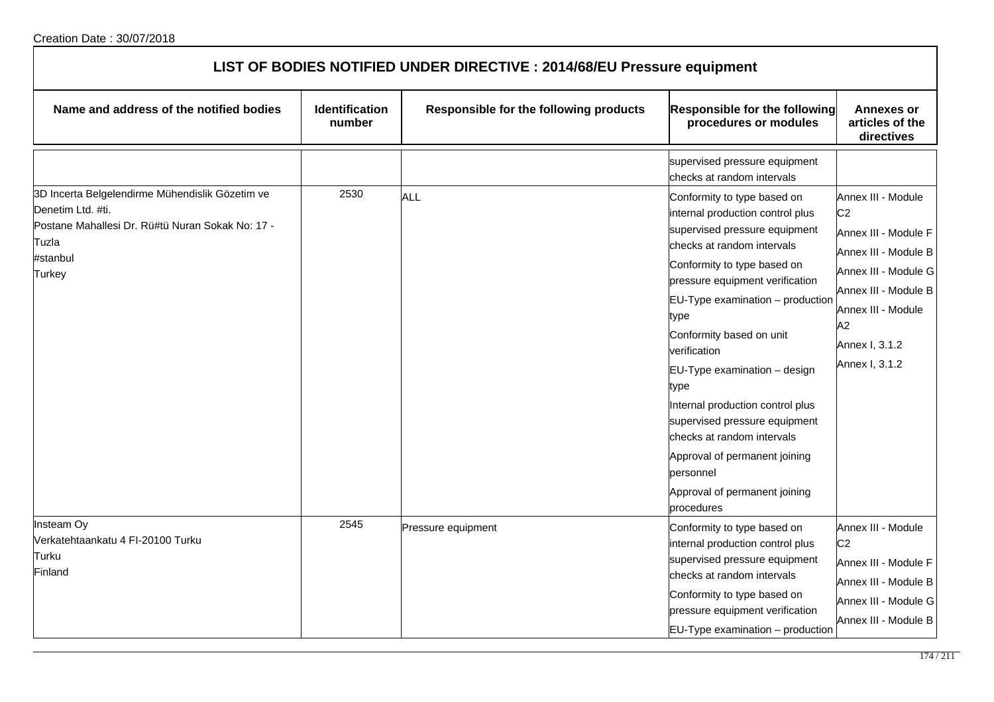| LIST OF BODIES NOTIFIED UNDER DIRECTIVE : 2014/68/EU Pressure equipment                                                                                        |                          |                                        |                                                                                                                                                                                                                                                                                                                                                                                                                                                                                                                                  |                                                                                                                                                                                                      |  |
|----------------------------------------------------------------------------------------------------------------------------------------------------------------|--------------------------|----------------------------------------|----------------------------------------------------------------------------------------------------------------------------------------------------------------------------------------------------------------------------------------------------------------------------------------------------------------------------------------------------------------------------------------------------------------------------------------------------------------------------------------------------------------------------------|------------------------------------------------------------------------------------------------------------------------------------------------------------------------------------------------------|--|
| Name and address of the notified bodies                                                                                                                        | Identification<br>number | Responsible for the following products | <b>Responsible for the following</b><br>procedures or modules                                                                                                                                                                                                                                                                                                                                                                                                                                                                    | <b>Annexes or</b><br>articles of the<br>directives                                                                                                                                                   |  |
|                                                                                                                                                                |                          |                                        | supervised pressure equipment<br>checks at random intervals                                                                                                                                                                                                                                                                                                                                                                                                                                                                      |                                                                                                                                                                                                      |  |
| 3D Incerta Belgelendirme Mühendislik Gözetim ve<br>Denetim Ltd. #ti.<br>Postane Mahallesi Dr. Rü#tü Nuran Sokak No: 17 -<br>Tuzla<br>#stanbul<br><b>Turkey</b> | 2530                     | <b>ALL</b>                             | Conformity to type based on<br>internal production control plus<br>supervised pressure equipment<br>checks at random intervals<br>Conformity to type based on<br>pressure equipment verification<br>EU-Type examination - production<br>type<br>Conformity based on unit<br>verification<br>EU-Type examination - design<br>type<br>Internal production control plus<br>supervised pressure equipment<br>checks at random intervals<br>Approval of permanent joining<br>personnel<br>Approval of permanent joining<br>procedures | Annex III - Module<br>C <sub>2</sub><br>Annex III - Module F<br>Annex III - Module B<br>Annex III - Module G<br>Annex III - Module B<br>Annex III - Module<br>A2<br>Annex I, 3.1.2<br>Annex I, 3.1.2 |  |
| Insteam Oy<br>Verkatehtaankatu 4 FI-20100 Turku<br>Turku<br>Finland                                                                                            | 2545                     | Pressure equipment                     | Conformity to type based on<br>internal production control plus<br>supervised pressure equipment<br>checks at random intervals<br>Conformity to type based on<br>pressure equipment verification<br>$EU-Type$ examination $-$ production                                                                                                                                                                                                                                                                                         | Annex III - Module<br>C <sub>2</sub><br>Annex III - Module F<br>Annex III - Module B<br>Annex III - Module G<br>Annex III - Module B                                                                 |  |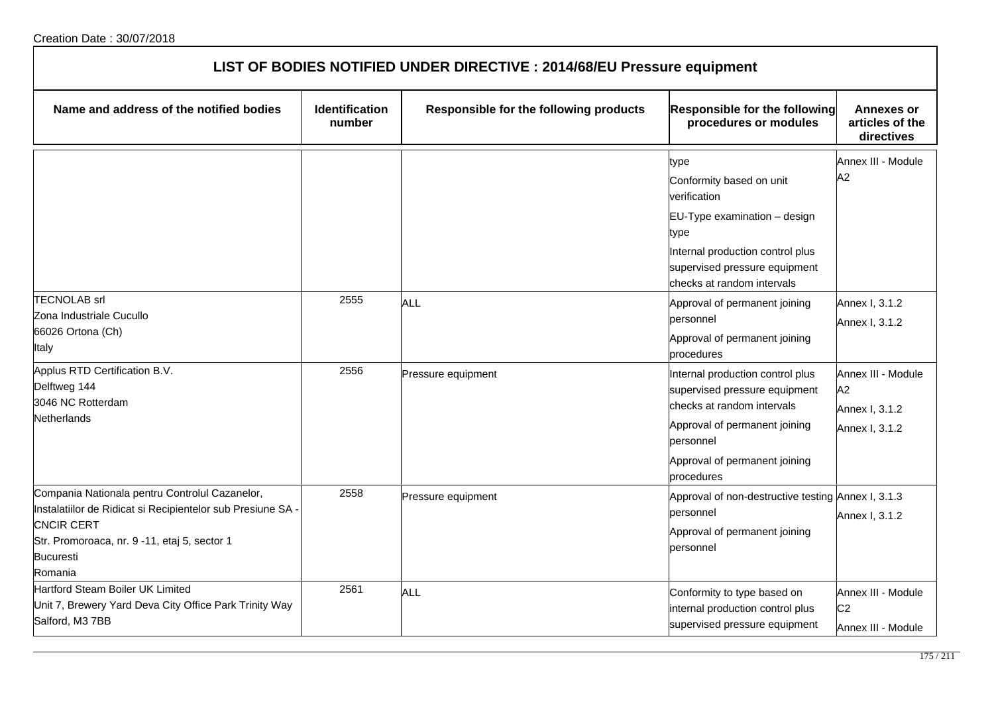| LIST OF BODIES NOTIFIED UNDER DIRECTIVE : 2014/68/EU Pressure equipment                                                                                                                                           |                                 |                                        |                                                                                                                                                                                                                              |                                                              |
|-------------------------------------------------------------------------------------------------------------------------------------------------------------------------------------------------------------------|---------------------------------|----------------------------------------|------------------------------------------------------------------------------------------------------------------------------------------------------------------------------------------------------------------------------|--------------------------------------------------------------|
| Name and address of the notified bodies                                                                                                                                                                           | <b>Identification</b><br>number | Responsible for the following products | <b>Responsible for the following</b><br>procedures or modules                                                                                                                                                                | <b>Annexes or</b><br>articles of the<br>directives           |
| <b>TECNOLAB</b> srl<br>Zona Industriale Cucullo                                                                                                                                                                   | 2555                            | ALL                                    | type<br>Conformity based on unit<br>verification<br>EU-Type examination - design<br>type<br>Internal production control plus<br>supervised pressure equipment<br>checks at random intervals<br>Approval of permanent joining | Annex III - Module<br>A2<br>Annex I, 3.1.2                   |
| 66026 Ortona (Ch)<br>Italy                                                                                                                                                                                        |                                 |                                        | personnel<br>Approval of permanent joining<br>procedures                                                                                                                                                                     | Annex I, 3.1.2                                               |
| Applus RTD Certification B.V.<br>Delftweg 144<br>3046 NC Rotterdam<br>Netherlands                                                                                                                                 | 2556                            | Pressure equipment                     | Internal production control plus<br>supervised pressure equipment<br>checks at random intervals<br>Approval of permanent joining<br>personnel<br>Approval of permanent joining<br>procedures                                 | Annex III - Module<br>A2<br>Annex I, 3.1.2<br>Annex I, 3.1.2 |
| Compania Nationala pentru Controlul Cazanelor,<br>Instalatiilor de Ridicat si Recipientelor sub Presiune SA -<br><b>CNCIR CERT</b><br>Str. Promoroaca, nr. 9 -11, etaj 5, sector 1<br><b>Bucuresti</b><br>Romania | 2558                            | Pressure equipment                     | Approval of non-destructive testing Annex I, 3.1.3<br>personnel<br>Approval of permanent joining<br>personnel                                                                                                                | Annex I, 3.1.2                                               |
| Hartford Steam Boiler UK Limited<br>Unit 7, Brewery Yard Deva City Office Park Trinity Way<br>Salford, M3 7BB                                                                                                     | 2561                            | <b>ALL</b>                             | Conformity to type based on<br>internal production control plus<br>supervised pressure equipment                                                                                                                             | Annex III - Module<br>C <sub>2</sub><br>Annex III - Module   |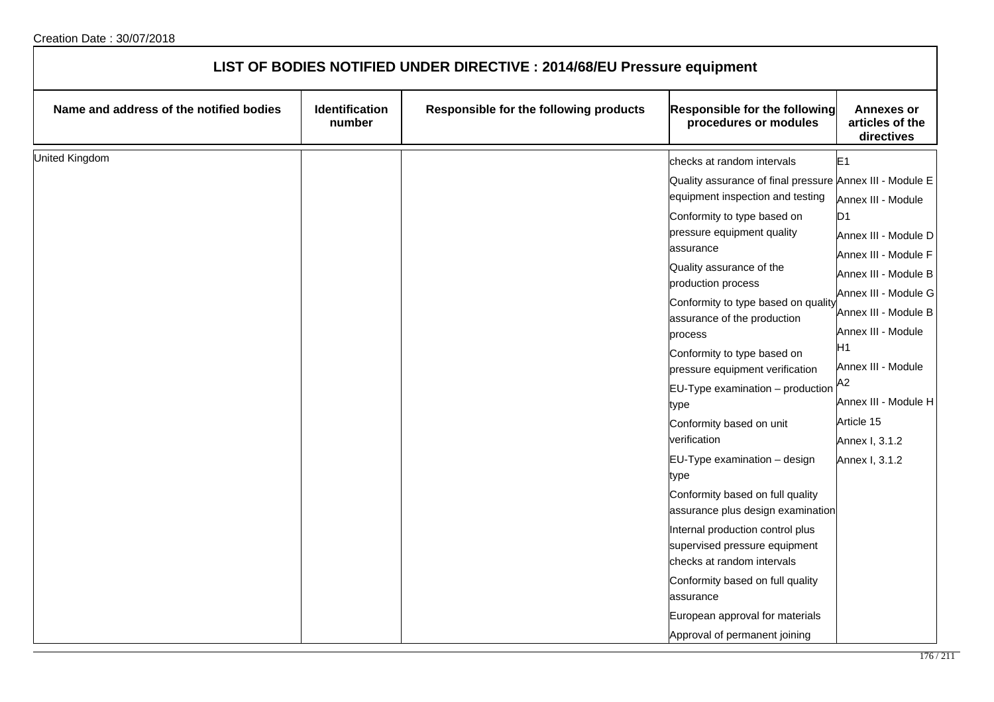| LIST OF BODIES NOTIFIED UNDER DIRECTIVE : 2014/68/EU Pressure equipment |                                 |                                        |                                                                                                                                                                                                                                                                                                                                                                                                                                                                                                                                                                                                                                                                                                                                                               |                                                                                                                                                                                                                                                                                                                              |
|-------------------------------------------------------------------------|---------------------------------|----------------------------------------|---------------------------------------------------------------------------------------------------------------------------------------------------------------------------------------------------------------------------------------------------------------------------------------------------------------------------------------------------------------------------------------------------------------------------------------------------------------------------------------------------------------------------------------------------------------------------------------------------------------------------------------------------------------------------------------------------------------------------------------------------------------|------------------------------------------------------------------------------------------------------------------------------------------------------------------------------------------------------------------------------------------------------------------------------------------------------------------------------|
| Name and address of the notified bodies                                 | <b>Identification</b><br>number | Responsible for the following products | Responsible for the following<br>procedures or modules                                                                                                                                                                                                                                                                                                                                                                                                                                                                                                                                                                                                                                                                                                        | <b>Annexes or</b><br>articles of the<br>directives                                                                                                                                                                                                                                                                           |
| <b>United Kingdom</b>                                                   |                                 |                                        | checks at random intervals<br>Quality assurance of final pressure Annex III - Module E<br>equipment inspection and testing<br>Conformity to type based on<br>pressure equipment quality<br>assurance<br>Quality assurance of the<br>production process<br>Conformity to type based on quality<br>assurance of the production<br>process<br>Conformity to type based on<br>pressure equipment verification<br>$EU-Type$ examination $-$ production<br>type<br>Conformity based on unit<br>verification<br>EU-Type examination - design<br>type<br>Conformity based on full quality<br>assurance plus design examination<br>Internal production control plus<br>supervised pressure equipment<br>checks at random intervals<br>Conformity based on full quality | E <sub>1</sub><br>Annex III - Module<br>D <sub>1</sub><br>Annex III - Module D<br>Annex III - Module F<br>Annex III - Module B<br>Annex III - Module G<br>Annex III - Module B<br>Annex III - Module<br>H1<br>Annex III - Module<br>A <sub>2</sub><br>Annex III - Module H<br>Article 15<br>Annex I, 3.1.2<br>Annex I, 3.1.2 |
|                                                                         |                                 |                                        | assurance<br>European approval for materials<br>Approval of permanent joining                                                                                                                                                                                                                                                                                                                                                                                                                                                                                                                                                                                                                                                                                 |                                                                                                                                                                                                                                                                                                                              |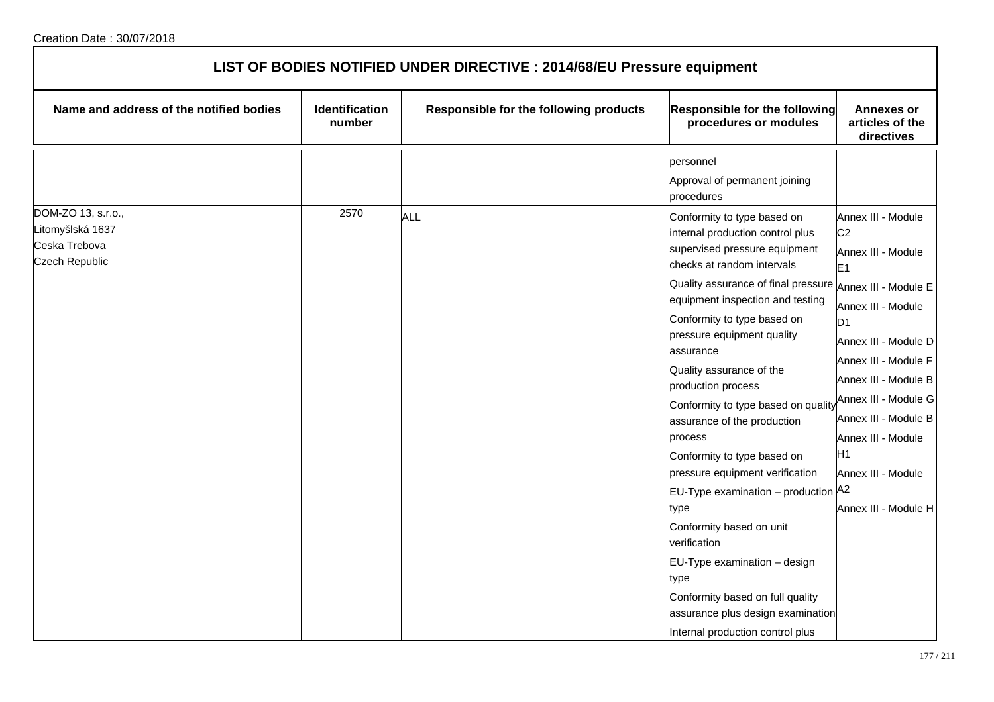| LIST OF BODIES NOTIFIED UNDER DIRECTIVE : 2014/68/EU Pressure equipment |                          |                                        |                                                                                                                                                                                                                                                                                                                                                                                                                                                                                                                                                                                                                                                                        |                                                                                                                                                                                                                                                                                 |  |
|-------------------------------------------------------------------------|--------------------------|----------------------------------------|------------------------------------------------------------------------------------------------------------------------------------------------------------------------------------------------------------------------------------------------------------------------------------------------------------------------------------------------------------------------------------------------------------------------------------------------------------------------------------------------------------------------------------------------------------------------------------------------------------------------------------------------------------------------|---------------------------------------------------------------------------------------------------------------------------------------------------------------------------------------------------------------------------------------------------------------------------------|--|
| Name and address of the notified bodies                                 | Identification<br>number | Responsible for the following products | Responsible for the following<br>procedures or modules                                                                                                                                                                                                                                                                                                                                                                                                                                                                                                                                                                                                                 | <b>Annexes or</b><br>articles of the<br>directives                                                                                                                                                                                                                              |  |
| DOM-ZO 13, s.r.o.,<br>Litomyšlská 1637                                  | 2570                     | <b>ALL</b>                             | personnel<br>Approval of permanent joining<br>procedures<br>Conformity to type based on<br>internal production control plus                                                                                                                                                                                                                                                                                                                                                                                                                                                                                                                                            | Annex III - Module<br>C <sub>2</sub>                                                                                                                                                                                                                                            |  |
| Ceska Trebova<br><b>Czech Republic</b>                                  |                          |                                        | supervised pressure equipment<br>checks at random intervals<br>Quality assurance of final pressure $ _{\mathsf{Annex\ III}}$ . Module E<br>equipment inspection and testing<br>Conformity to type based on<br>pressure equipment quality<br>assurance<br>Quality assurance of the<br>production process<br>Conformity to type based on quality<br>assurance of the production<br>process<br>Conformity to type based on<br>pressure equipment verification<br>EU-Type examination - production A2<br>type<br>Conformity based on unit<br>verification<br>EU-Type examination - design<br>type<br>Conformity based on full quality<br>assurance plus design examination | Annex III - Module<br>E <sub>1</sub><br>Annex III - Module<br>ID <sub>1</sub><br>Annex III - Module D<br>Annex III - Module F<br>Annex III - Module B<br>Annex III - Module G<br>Annex III - Module B<br>Annex III - Module<br>H1<br>Annex III - Module<br>Annex III - Module H |  |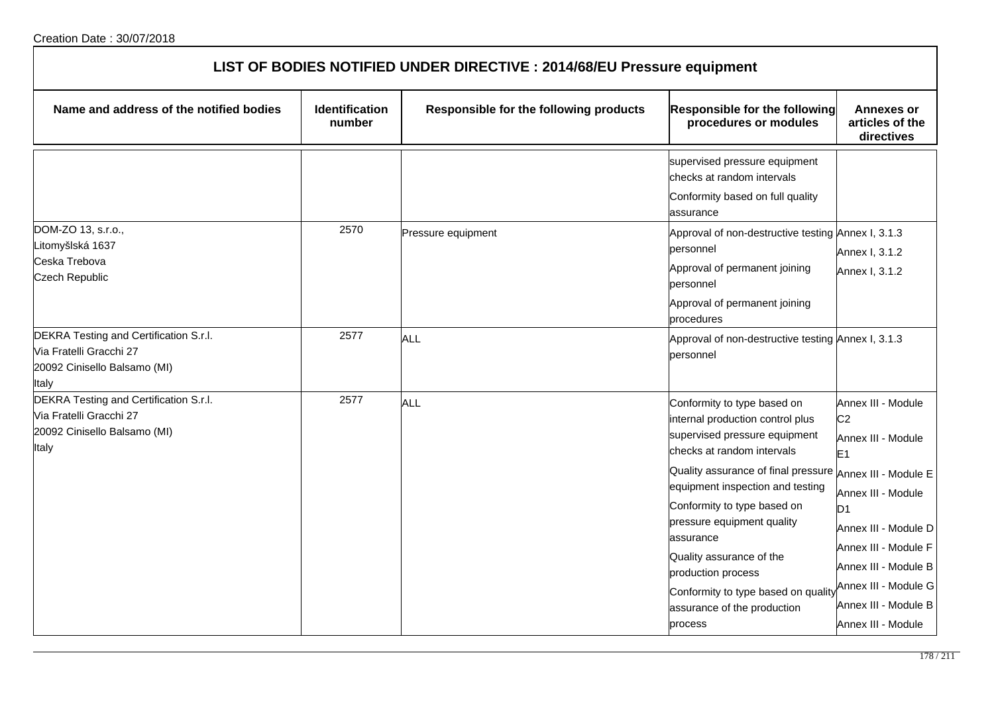| <b>Identification</b><br>number | Responsible for the following products | Responsible for the following<br>procedures or modules                                                                                                                                                                                                                                                                                                                                                      | <b>Annexes or</b><br>articles of the<br>directives                                                                                                                                                                                                                                         |
|---------------------------------|----------------------------------------|-------------------------------------------------------------------------------------------------------------------------------------------------------------------------------------------------------------------------------------------------------------------------------------------------------------------------------------------------------------------------------------------------------------|--------------------------------------------------------------------------------------------------------------------------------------------------------------------------------------------------------------------------------------------------------------------------------------------|
|                                 |                                        | supervised pressure equipment<br>checks at random intervals<br>Conformity based on full quality<br>assurance                                                                                                                                                                                                                                                                                                |                                                                                                                                                                                                                                                                                            |
| 2570                            | Pressure equipment                     | Approval of non-destructive testing Annex I, 3.1.3<br>personnel<br>Approval of permanent joining<br>personnel<br>Approval of permanent joining<br>procedures                                                                                                                                                                                                                                                | Annex I, 3.1.2<br>Annex I, 3.1.2                                                                                                                                                                                                                                                           |
| 2577                            | ALL                                    | Approval of non-destructive testing Annex I, 3.1.3<br>personnel                                                                                                                                                                                                                                                                                                                                             |                                                                                                                                                                                                                                                                                            |
| 2577                            | ALL                                    | Conformity to type based on<br>internal production control plus<br>supervised pressure equipment<br>checks at random intervals<br>Quality assurance of final pressure<br>equipment inspection and testing<br>Conformity to type based on<br>pressure equipment quality<br>assurance<br>Quality assurance of the<br>production process<br>Conformity to type based on quality<br>assurance of the production | Annex III - Module<br>C <sub>2</sub><br>Annex III - Module<br>E <sub>1</sub><br>Annex III - Module E<br>Annex III - Module<br>D <sub>1</sub><br>Annex III - Module D<br>Annex III - Module F<br>Annex III - Module B<br>Annex III - Module G<br>Annex III - Module B<br>Annex III - Module |
|                                 |                                        |                                                                                                                                                                                                                                                                                                                                                                                                             | process                                                                                                                                                                                                                                                                                    |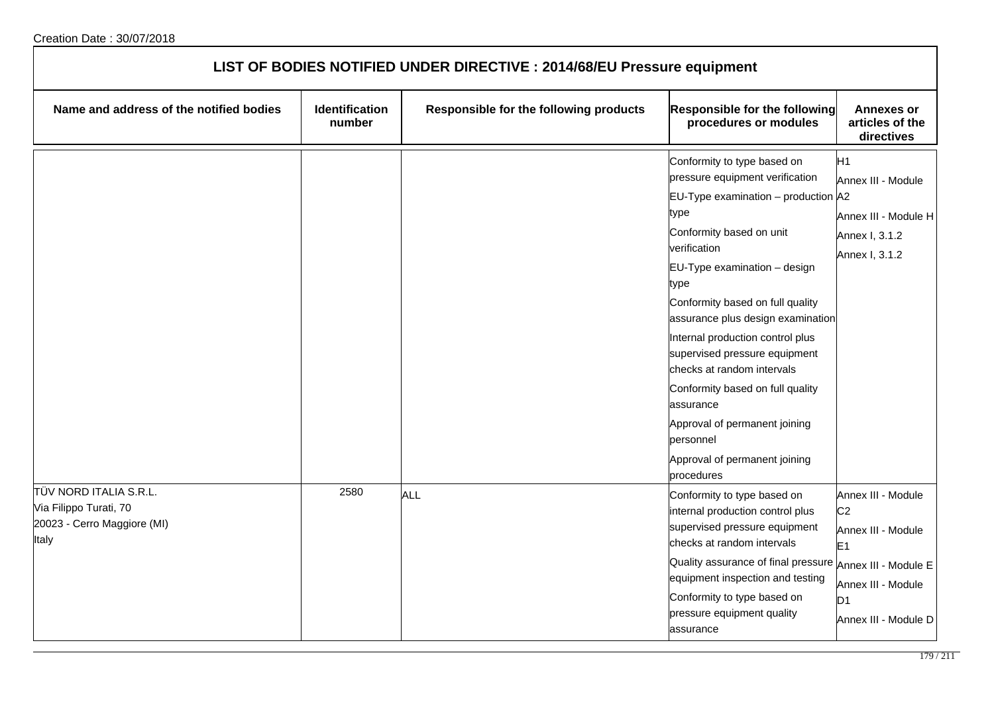| LIST OF BODIES NOTIFIED UNDER DIRECTIVE : 2014/68/EU Pressure equipment                  |                          |                                        |                                                                                                                                                                                                                                                                                                                                                                                                                                                                                                                             |                                                                                                                                                                      |  |
|------------------------------------------------------------------------------------------|--------------------------|----------------------------------------|-----------------------------------------------------------------------------------------------------------------------------------------------------------------------------------------------------------------------------------------------------------------------------------------------------------------------------------------------------------------------------------------------------------------------------------------------------------------------------------------------------------------------------|----------------------------------------------------------------------------------------------------------------------------------------------------------------------|--|
| Name and address of the notified bodies                                                  | Identification<br>number | Responsible for the following products | <b>Responsible for the following</b><br>procedures or modules                                                                                                                                                                                                                                                                                                                                                                                                                                                               | <b>Annexes or</b><br>articles of the<br>directives                                                                                                                   |  |
|                                                                                          |                          |                                        | Conformity to type based on<br>pressure equipment verification<br>EU-Type examination - production A2<br>type<br>Conformity based on unit<br>verification<br>EU-Type examination - design<br>type<br>Conformity based on full quality<br>assurance plus design examination<br>Internal production control plus<br>supervised pressure equipment<br>checks at random intervals<br>Conformity based on full quality<br>assurance<br>Approval of permanent joining<br>personnel<br>Approval of permanent joining<br>procedures | H1<br>Annex III - Module<br>Annex III - Module H<br>Annex I, 3.1.2<br>Annex I, 3.1.2                                                                                 |  |
| TÜV NORD ITALIA S.R.L.<br>Via Filippo Turati, 70<br>20023 - Cerro Maggiore (MI)<br>Italy | 2580                     | <b>ALL</b>                             | Conformity to type based on<br>internal production control plus<br>supervised pressure equipment<br>checks at random intervals<br>Quality assurance of final pressure<br>equipment inspection and testing<br>Conformity to type based on<br>pressure equipment quality<br>assurance                                                                                                                                                                                                                                         | Annex III - Module<br>C <sub>2</sub><br>Annex III - Module<br>E <sub>1</sub><br>Annex III - Module E<br>Annex III - Module<br>D <sub>1</sub><br>Annex III - Module D |  |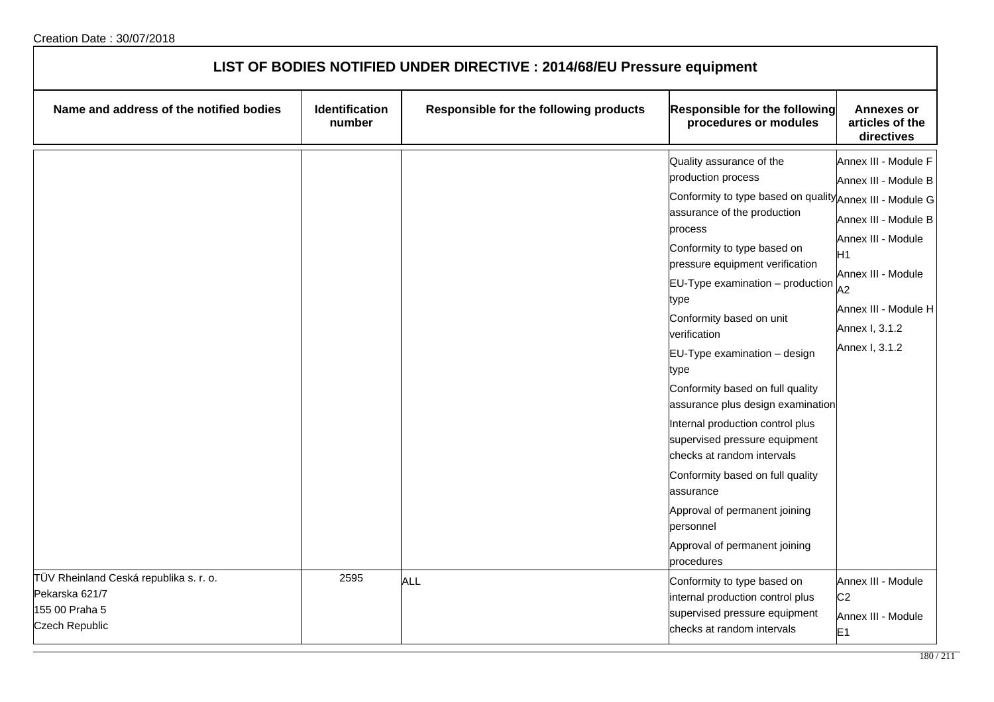| LIST OF BODIES NOTIFIED UNDER DIRECTIVE : 2014/68/EU Pressure equipment                             |                          |                                        |                                                                                                                                                                                                                                                                                                                                                                                                                                                                                                                                                                                                                                                                                  |                                                                                                                                                                                                      |
|-----------------------------------------------------------------------------------------------------|--------------------------|----------------------------------------|----------------------------------------------------------------------------------------------------------------------------------------------------------------------------------------------------------------------------------------------------------------------------------------------------------------------------------------------------------------------------------------------------------------------------------------------------------------------------------------------------------------------------------------------------------------------------------------------------------------------------------------------------------------------------------|------------------------------------------------------------------------------------------------------------------------------------------------------------------------------------------------------|
| Name and address of the notified bodies                                                             | Identification<br>number | Responsible for the following products | <b>Responsible for the following</b><br>procedures or modules                                                                                                                                                                                                                                                                                                                                                                                                                                                                                                                                                                                                                    | <b>Annexes or</b><br>articles of the<br>directives                                                                                                                                                   |
|                                                                                                     |                          |                                        | Quality assurance of the<br>production process<br>Conformity to type based on quality Annex III - Module G<br>assurance of the production<br>process<br>Conformity to type based on<br>pressure equipment verification<br>EU-Type examination - production<br>type<br>Conformity based on unit<br>verification<br>EU-Type examination - design<br>type<br>Conformity based on full quality<br>assurance plus design examination<br>Internal production control plus<br>supervised pressure equipment<br>checks at random intervals<br>Conformity based on full quality<br>assurance<br>Approval of permanent joining<br>personnel<br>Approval of permanent joining<br>procedures | Annex III - Module F<br>Annex III - Module B<br>Annex III - Module B<br>Annex III - Module<br>H <sub>1</sub><br>Annex III - Module<br>A2<br>Annex III - Module H<br>Annex I, 3.1.2<br>Annex I, 3.1.2 |
| TÜV Rheinland Ceská republika s. r. o.<br>Pekarska 621/7<br>155 00 Praha 5<br><b>Czech Republic</b> | 2595                     | <b>ALL</b>                             | Conformity to type based on<br>internal production control plus<br>supervised pressure equipment<br>checks at random intervals                                                                                                                                                                                                                                                                                                                                                                                                                                                                                                                                                   | Annex III - Module<br>C <sub>2</sub><br>Annex III - Module<br>E <sub>1</sub>                                                                                                                         |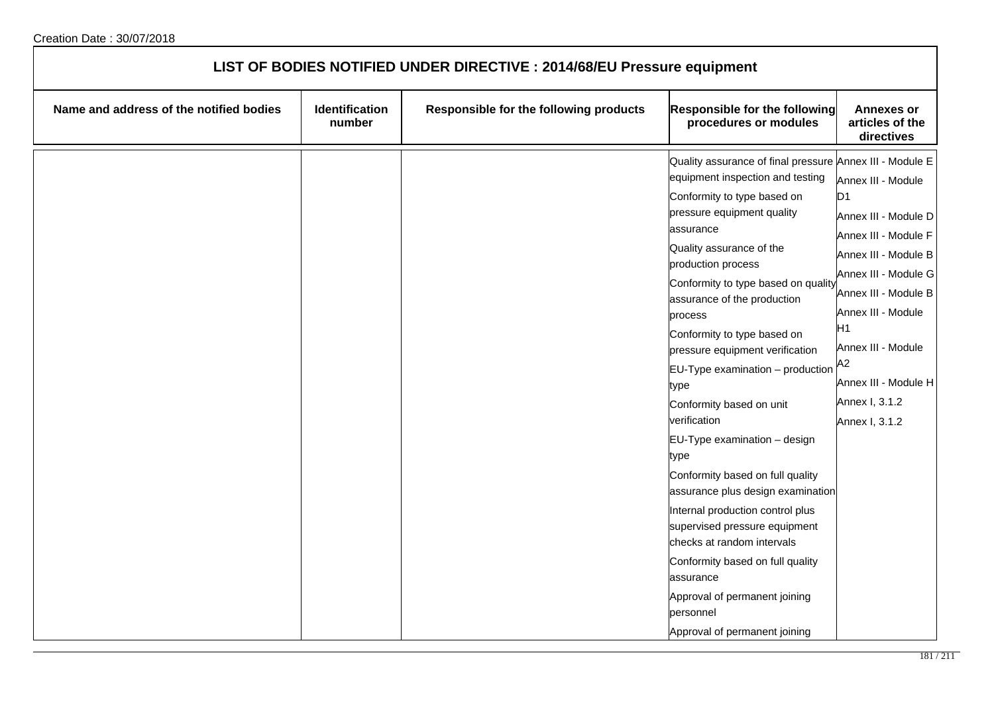| LIST OF BODIES NOTIFIED UNDER DIRECTIVE : 2014/68/EU Pressure equipment |                          |                                        |                                                                                                                                                                                                                                                                                                                                                                                                                                                                                                                                                                                                                                                                                                                                                                                                                             |                                                                                                                                                                                                                                                                                                          |  |
|-------------------------------------------------------------------------|--------------------------|----------------------------------------|-----------------------------------------------------------------------------------------------------------------------------------------------------------------------------------------------------------------------------------------------------------------------------------------------------------------------------------------------------------------------------------------------------------------------------------------------------------------------------------------------------------------------------------------------------------------------------------------------------------------------------------------------------------------------------------------------------------------------------------------------------------------------------------------------------------------------------|----------------------------------------------------------------------------------------------------------------------------------------------------------------------------------------------------------------------------------------------------------------------------------------------------------|--|
| Name and address of the notified bodies                                 | Identification<br>number | Responsible for the following products | <b>Responsible for the following</b><br>procedures or modules                                                                                                                                                                                                                                                                                                                                                                                                                                                                                                                                                                                                                                                                                                                                                               | <b>Annexes or</b><br>articles of the<br>directives                                                                                                                                                                                                                                                       |  |
|                                                                         |                          |                                        | Quality assurance of final pressure Annex III - Module E<br>equipment inspection and testing<br>Conformity to type based on<br>pressure equipment quality<br>assurance<br>Quality assurance of the<br>production process<br>Conformity to type based on quality<br>assurance of the production<br>process<br>Conformity to type based on<br>pressure equipment verification<br>$EU-Type$ examination $-$ production<br>type<br>Conformity based on unit<br>verification<br>EU-Type examination - design<br>type<br>Conformity based on full quality<br>assurance plus design examination<br>Internal production control plus<br>supervised pressure equipment<br>checks at random intervals<br>Conformity based on full quality<br>assurance<br>Approval of permanent joining<br>personnel<br>Approval of permanent joining | Annex III - Module<br>D <sub>1</sub><br>Annex III - Module D<br>Annex III - Module F<br>Annex III - Module B<br>Annex III - Module G<br>Annex III - Module B<br>Annex III - Module<br>H <sub>1</sub><br>Annex III - Module<br>A <sub>2</sub><br>Annex III - Module H<br>Annex I, 3.1.2<br>Annex I, 3.1.2 |  |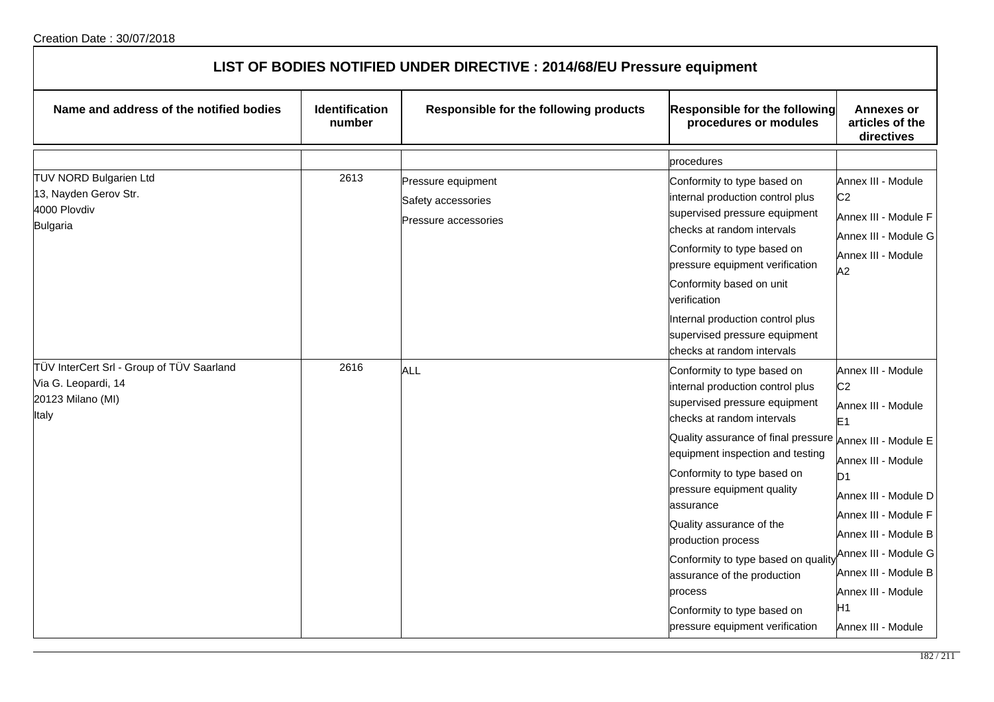| LIST OF BODIES NOTIFIED UNDER DIRECTIVE : 2014/68/EU Pressure equipment                        |                          |                                                                  |                                                                                                                                                                                                                                                                                                                                                                                                                                                                                          |                                                                                                                                                                                                                                                                                                                                    |  |  |
|------------------------------------------------------------------------------------------------|--------------------------|------------------------------------------------------------------|------------------------------------------------------------------------------------------------------------------------------------------------------------------------------------------------------------------------------------------------------------------------------------------------------------------------------------------------------------------------------------------------------------------------------------------------------------------------------------------|------------------------------------------------------------------------------------------------------------------------------------------------------------------------------------------------------------------------------------------------------------------------------------------------------------------------------------|--|--|
| Name and address of the notified bodies                                                        | Identification<br>number | Responsible for the following products                           | <b>Responsible for the following</b><br>procedures or modules                                                                                                                                                                                                                                                                                                                                                                                                                            | <b>Annexes or</b><br>articles of the<br>directives                                                                                                                                                                                                                                                                                 |  |  |
|                                                                                                |                          |                                                                  | procedures                                                                                                                                                                                                                                                                                                                                                                                                                                                                               |                                                                                                                                                                                                                                                                                                                                    |  |  |
| <b>TUV NORD Bulgarien Ltd</b><br>13, Nayden Gerov Str.<br>4000 Plovdiv<br><b>Bulgaria</b>      | 2613                     | Pressure equipment<br>Safety accessories<br>Pressure accessories | Conformity to type based on<br>internal production control plus<br>supervised pressure equipment<br>checks at random intervals<br>Conformity to type based on<br>pressure equipment verification<br>Conformity based on unit<br>verification<br>Internal production control plus<br>supervised pressure equipment<br>checks at random intervals                                                                                                                                          | Annex III - Module<br>C <sub>2</sub><br>Annex III - Module F<br>Annex III - Module G<br>Annex III - Module<br>A2                                                                                                                                                                                                                   |  |  |
| TÜV InterCert Srl - Group of TÜV Saarland<br>Via G. Leopardi, 14<br>20123 Milano (MI)<br>Italy | 2616                     | ALL                                                              | Conformity to type based on<br>internal production control plus<br>supervised pressure equipment<br>checks at random intervals<br>Quality assurance of final pressure<br>equipment inspection and testing<br>Conformity to type based on<br>pressure equipment quality<br>assurance<br>Quality assurance of the<br>production process<br>Conformity to type based on quality<br>assurance of the production<br>process<br>Conformity to type based on<br>pressure equipment verification | Annex III - Module<br>C <sub>2</sub><br>Annex III - Module<br>E <sub>1</sub><br>Annex III - Module E<br>Annex III - Module<br>D <sub>1</sub><br>Annex III - Module D<br>Annex III - Module F<br>Annex III - Module B<br>Annex III - Module G<br>Annex III - Module B<br>Annex III - Module<br>H <sub>1</sub><br>Annex III - Module |  |  |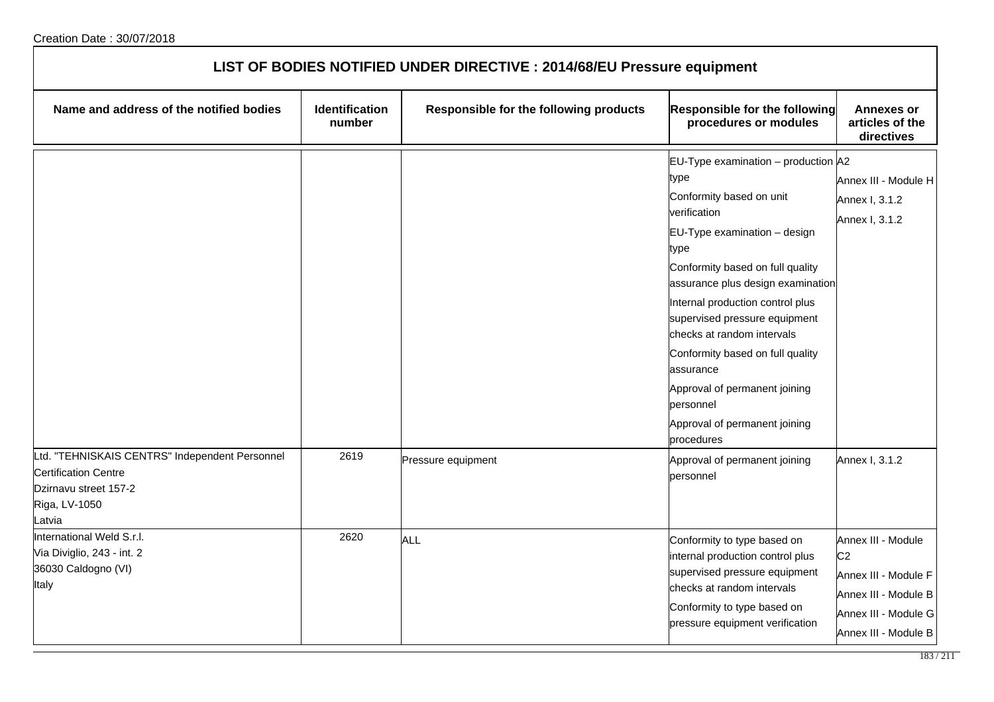| LIST OF BODIES NOTIFIED UNDER DIRECTIVE : 2014/68/EU Pressure equipment                 |                                 |                                        |                                                                                                                                                                                                                                                                                                                                                                                                                                                                                            |                                                                                                                                      |  |
|-----------------------------------------------------------------------------------------|---------------------------------|----------------------------------------|--------------------------------------------------------------------------------------------------------------------------------------------------------------------------------------------------------------------------------------------------------------------------------------------------------------------------------------------------------------------------------------------------------------------------------------------------------------------------------------------|--------------------------------------------------------------------------------------------------------------------------------------|--|
| Name and address of the notified bodies                                                 | <b>Identification</b><br>number | Responsible for the following products | Responsible for the following<br>procedures or modules                                                                                                                                                                                                                                                                                                                                                                                                                                     | <b>Annexes or</b><br>articles of the<br>directives                                                                                   |  |
| Ltd. "TEHNISKAIS CENTRS" Independent Personnel<br><b>Certification Centre</b>           | 2619                            | Pressure equipment                     | EU-Type examination - production A2<br>type<br>Conformity based on unit<br>verification<br>EU-Type examination - design<br>type<br>Conformity based on full quality<br>assurance plus design examination<br>Internal production control plus<br>supervised pressure equipment<br>checks at random intervals<br>Conformity based on full quality<br>assurance<br>Approval of permanent joining<br>personnel<br>Approval of permanent joining<br>procedures<br>Approval of permanent joining | Annex III - Module H<br>Annex I, 3.1.2<br>Annex I, 3.1.2<br>Annex I, 3.1.2                                                           |  |
| Dzirnavu street 157-2<br>Riga, LV-1050<br>atvia                                         |                                 |                                        | personnel                                                                                                                                                                                                                                                                                                                                                                                                                                                                                  |                                                                                                                                      |  |
| International Weld S.r.l.<br>Via Diviglio, 243 - int. 2<br>36030 Caldogno (VI)<br>Italy | 2620                            | <b>ALL</b>                             | Conformity to type based on<br>internal production control plus<br>supervised pressure equipment<br>checks at random intervals<br>Conformity to type based on<br>pressure equipment verification                                                                                                                                                                                                                                                                                           | Annex III - Module<br>C <sub>2</sub><br>Annex III - Module F<br>Annex III - Module B<br>Annex III - Module G<br>Annex III - Module B |  |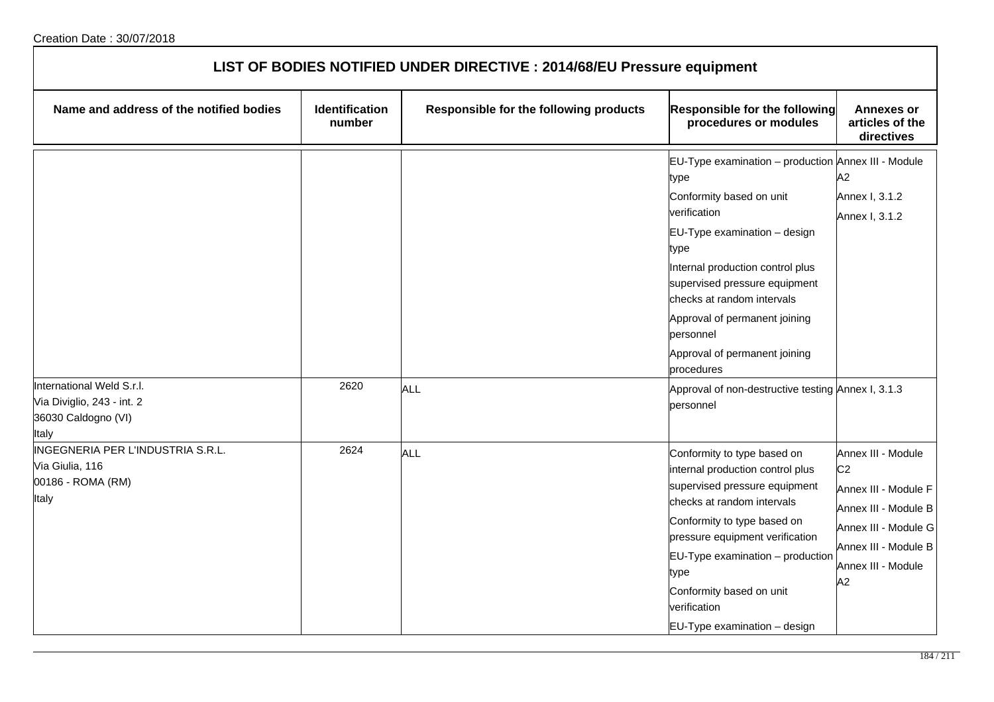| LIST OF BODIES NOTIFIED UNDER DIRECTIVE : 2014/68/EU Pressure equipment                 |                                 |                                        |                                                                                                                                                                                                                                                                                                                                                                                                                    |                                                                                                                                                                  |  |
|-----------------------------------------------------------------------------------------|---------------------------------|----------------------------------------|--------------------------------------------------------------------------------------------------------------------------------------------------------------------------------------------------------------------------------------------------------------------------------------------------------------------------------------------------------------------------------------------------------------------|------------------------------------------------------------------------------------------------------------------------------------------------------------------|--|
| Name and address of the notified bodies                                                 | <b>Identification</b><br>number | Responsible for the following products | <b>Responsible for the following</b><br>procedures or modules                                                                                                                                                                                                                                                                                                                                                      | <b>Annexes or</b><br>articles of the<br>directives                                                                                                               |  |
| International Weld S.r.l.<br>Via Diviglio, 243 - int. 2<br>36030 Caldogno (VI)<br>Italy | 2620                            | ALL                                    | EU-Type examination - production Annex III - Module<br>type<br>Conformity based on unit<br>verification<br>EU-Type examination - design<br>type<br>Internal production control plus<br>supervised pressure equipment<br>checks at random intervals<br>Approval of permanent joining<br>personnel<br>Approval of permanent joining<br>procedures<br>Approval of non-destructive testing Annex I, 3.1.3<br>personnel | A2<br>Annex I, 3.1.2<br>Annex I, 3.1.2                                                                                                                           |  |
| INGEGNERIA PER L'INDUSTRIA S.R.L.<br>Via Giulia, 116<br>00186 - ROMA (RM)<br>Italy      | 2624                            | ALL                                    | Conformity to type based on<br>internal production control plus<br>supervised pressure equipment<br>checks at random intervals<br>Conformity to type based on<br>pressure equipment verification<br>$EU-Type$ examination $-$ production<br>type<br>Conformity based on unit<br>verification<br>EU-Type examination - design                                                                                       | Annex III - Module<br>C <sub>2</sub><br>Annex III - Module F<br>Annex III - Module B<br>Annex III - Module G<br>Annex III - Module B<br>Annex III - Module<br>A2 |  |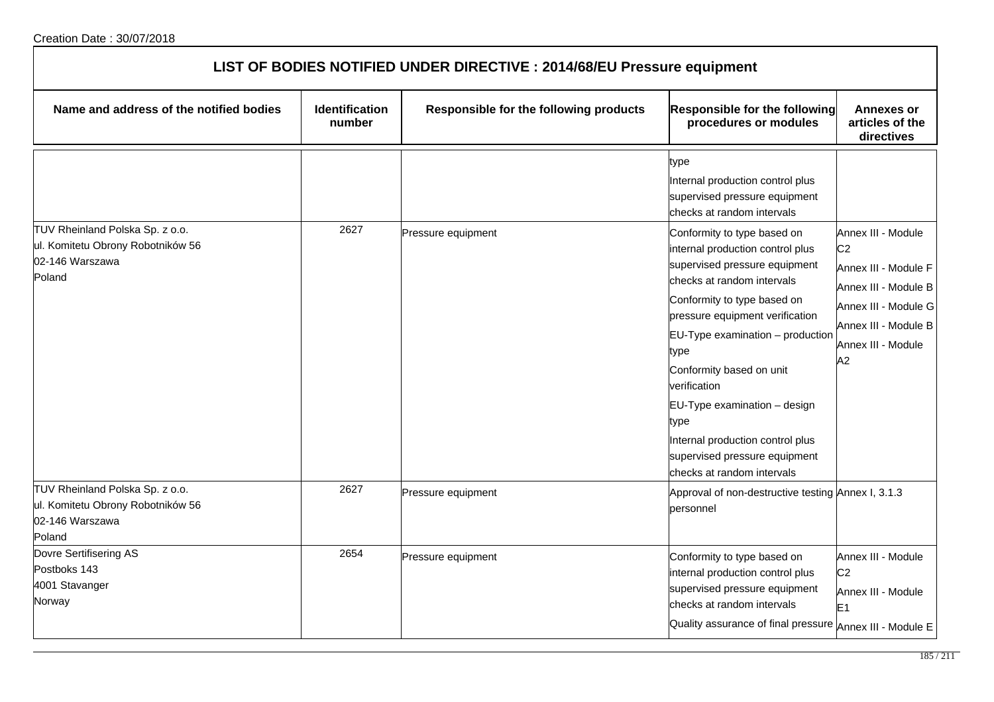| LIST OF BODIES NOTIFIED UNDER DIRECTIVE : 2014/68/EU Pressure equipment                           |                                 |                                        |                                                                                                                                                                                                                                                                                                                                                                                                                                     |                                                                                                                                                                  |  |
|---------------------------------------------------------------------------------------------------|---------------------------------|----------------------------------------|-------------------------------------------------------------------------------------------------------------------------------------------------------------------------------------------------------------------------------------------------------------------------------------------------------------------------------------------------------------------------------------------------------------------------------------|------------------------------------------------------------------------------------------------------------------------------------------------------------------|--|
| Name and address of the notified bodies                                                           | <b>Identification</b><br>number | Responsible for the following products | <b>Responsible for the following</b><br>procedures or modules                                                                                                                                                                                                                                                                                                                                                                       | Annexes or<br>articles of the<br>directives                                                                                                                      |  |
|                                                                                                   |                                 |                                        | type<br>Internal production control plus<br>supervised pressure equipment<br>checks at random intervals                                                                                                                                                                                                                                                                                                                             |                                                                                                                                                                  |  |
| TUV Rheinland Polska Sp. z o.o.<br>ul. Komitetu Obrony Robotników 56<br>02-146 Warszawa<br>Poland | 2627                            | Pressure equipment                     | Conformity to type based on<br>internal production control plus<br>supervised pressure equipment<br>checks at random intervals<br>Conformity to type based on<br>pressure equipment verification<br>EU-Type examination - production<br>type<br>Conformity based on unit<br>verification<br>EU-Type examination - design<br>type<br>Internal production control plus<br>supervised pressure equipment<br>checks at random intervals | Annex III - Module<br>C <sub>2</sub><br>Annex III - Module F<br>Annex III - Module B<br>Annex III - Module G<br>Annex III - Module B<br>Annex III - Module<br>A2 |  |
| TUV Rheinland Polska Sp. z o.o.<br>ul. Komitetu Obrony Robotników 56<br>02-146 Warszawa<br>Poland | 2627                            | Pressure equipment                     | Approval of non-destructive testing Annex I, 3.1.3<br>personnel                                                                                                                                                                                                                                                                                                                                                                     |                                                                                                                                                                  |  |
| Dovre Sertifisering AS<br>Postboks 143<br>4001 Stavanger<br>Norway                                | 2654                            | Pressure equipment                     | Conformity to type based on<br>internal production control plus<br>supervised pressure equipment<br>checks at random intervals<br>Quality assurance of final pressure Annex III - Module E                                                                                                                                                                                                                                          | Annex III - Module<br>C <sub>2</sub><br>Annex III - Module<br>E <sub>1</sub>                                                                                     |  |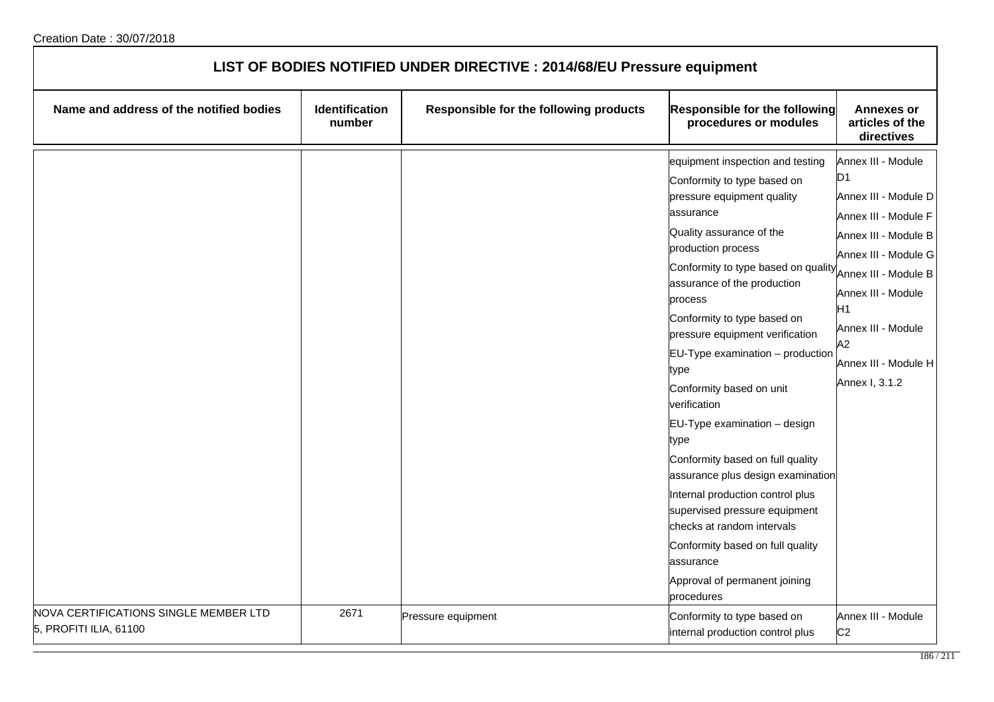| LIST OF BODIES NOTIFIED UNDER DIRECTIVE : 2014/68/EU Pressure equipment |                          |                                        |                                                                                                                                                                                                                                                                                                                                                                                                                                                                                                                                                                                                                                                                                                                                 |                                                                                                                                                                                                                                                                            |  |
|-------------------------------------------------------------------------|--------------------------|----------------------------------------|---------------------------------------------------------------------------------------------------------------------------------------------------------------------------------------------------------------------------------------------------------------------------------------------------------------------------------------------------------------------------------------------------------------------------------------------------------------------------------------------------------------------------------------------------------------------------------------------------------------------------------------------------------------------------------------------------------------------------------|----------------------------------------------------------------------------------------------------------------------------------------------------------------------------------------------------------------------------------------------------------------------------|--|
| Name and address of the notified bodies                                 | Identification<br>number | Responsible for the following products | <b>Responsible for the following</b><br>procedures or modules                                                                                                                                                                                                                                                                                                                                                                                                                                                                                                                                                                                                                                                                   | <b>Annexes or</b><br>articles of the<br>directives                                                                                                                                                                                                                         |  |
|                                                                         |                          |                                        | equipment inspection and testing<br>Conformity to type based on<br>pressure equipment quality<br>assurance<br>Quality assurance of the<br>production process<br>Conformity to type based on quality<br>assurance of the production<br>process<br>Conformity to type based on<br>pressure equipment verification<br>$EU-Type$ examination $-$ production<br>type<br>Conformity based on unit<br>verification<br>EU-Type examination - design<br>type<br>Conformity based on full quality<br>assurance plus design examination<br>Internal production control plus<br>supervised pressure equipment<br>checks at random intervals<br>Conformity based on full quality<br>assurance<br>Approval of permanent joining<br>procedures | Annex III - Module<br>D <sub>1</sub><br>Annex III - Module D<br>Annex III - Module F<br>Annex III - Module B<br>Annex III - Module G<br>Annex III - Module B<br>Annex III - Module<br>H <sub>1</sub><br>Annex III - Module<br>A2<br>Annex III - Module H<br>Annex I, 3.1.2 |  |
| NOVA CERTIFICATIONS SINGLE MEMBER LTD<br>5, PROFITI ILIA, 61100         | 2671                     | Pressure equipment                     | Conformity to type based on<br>internal production control plus                                                                                                                                                                                                                                                                                                                                                                                                                                                                                                                                                                                                                                                                 | Annex III - Module<br>C <sub>2</sub>                                                                                                                                                                                                                                       |  |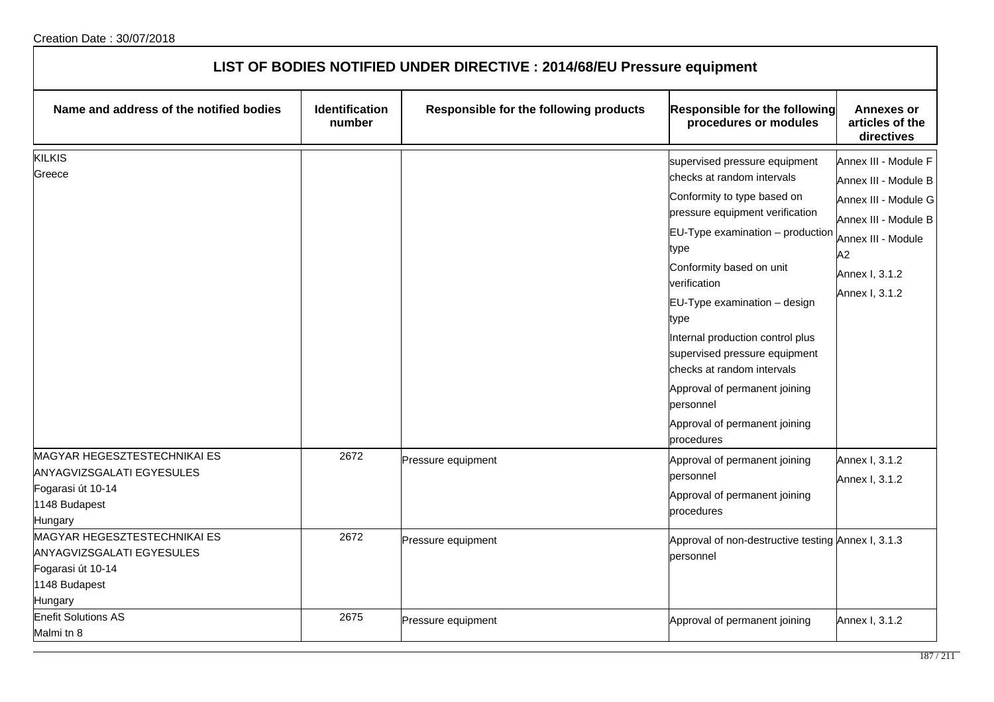| LIST OF BODIES NOTIFIED UNDER DIRECTIVE : 2014/68/EU Pressure equipment                                                                  |                                 |                                        |                                                                                                                                                                                                                                                                                                                                                                                                                                                                                                                                                                |                                                                                                                                                                                                  |  |
|------------------------------------------------------------------------------------------------------------------------------------------|---------------------------------|----------------------------------------|----------------------------------------------------------------------------------------------------------------------------------------------------------------------------------------------------------------------------------------------------------------------------------------------------------------------------------------------------------------------------------------------------------------------------------------------------------------------------------------------------------------------------------------------------------------|--------------------------------------------------------------------------------------------------------------------------------------------------------------------------------------------------|--|
| Name and address of the notified bodies                                                                                                  | <b>Identification</b><br>number | Responsible for the following products | <b>Responsible for the following</b><br>procedures or modules                                                                                                                                                                                                                                                                                                                                                                                                                                                                                                  | <b>Annexes or</b><br>articles of the<br>directives                                                                                                                                               |  |
| <b>KILKIS</b><br>Greece<br><b>MAGYAR HEGESZTESTECHNIKAI ES</b><br><b>ANYAGVIZSGALATI EGYESULES</b><br>Fogarasi út 10-14<br>1148 Budapest | 2672                            | Pressure equipment                     | supervised pressure equipment<br>checks at random intervals<br>Conformity to type based on<br>pressure equipment verification<br>$EU-Type$ examination $-$ production<br>type<br>Conformity based on unit<br>verification<br>EU-Type examination - design<br>type<br>Internal production control plus<br>supervised pressure equipment<br>checks at random intervals<br>Approval of permanent joining<br>personnel<br>Approval of permanent joining<br>procedures<br>Approval of permanent joining<br>personnel<br>Approval of permanent joining<br>procedures | Annex III - Module F<br>Annex III - Module B<br>Annex III - Module G<br>Annex III - Module B<br>Annex III - Module<br>A2<br>Annex I, 3.1.2<br>Annex I, 3.1.2<br>Annex I, 3.1.2<br>Annex I, 3.1.2 |  |
| Hungary<br>MAGYAR HEGESZTESTECHNIKAI ES<br><b>ANYAGVIZSGALATI EGYESULES</b><br>Fogarasi út 10-14<br>1148 Budapest<br>Hungary             | 2672                            | Pressure equipment                     | Approval of non-destructive testing Annex I, 3.1.3<br>personnel                                                                                                                                                                                                                                                                                                                                                                                                                                                                                                |                                                                                                                                                                                                  |  |
| <b>Enefit Solutions AS</b><br>Malmi tn 8                                                                                                 | 2675                            | Pressure equipment                     | Approval of permanent joining                                                                                                                                                                                                                                                                                                                                                                                                                                                                                                                                  | Annex I, 3.1.2                                                                                                                                                                                   |  |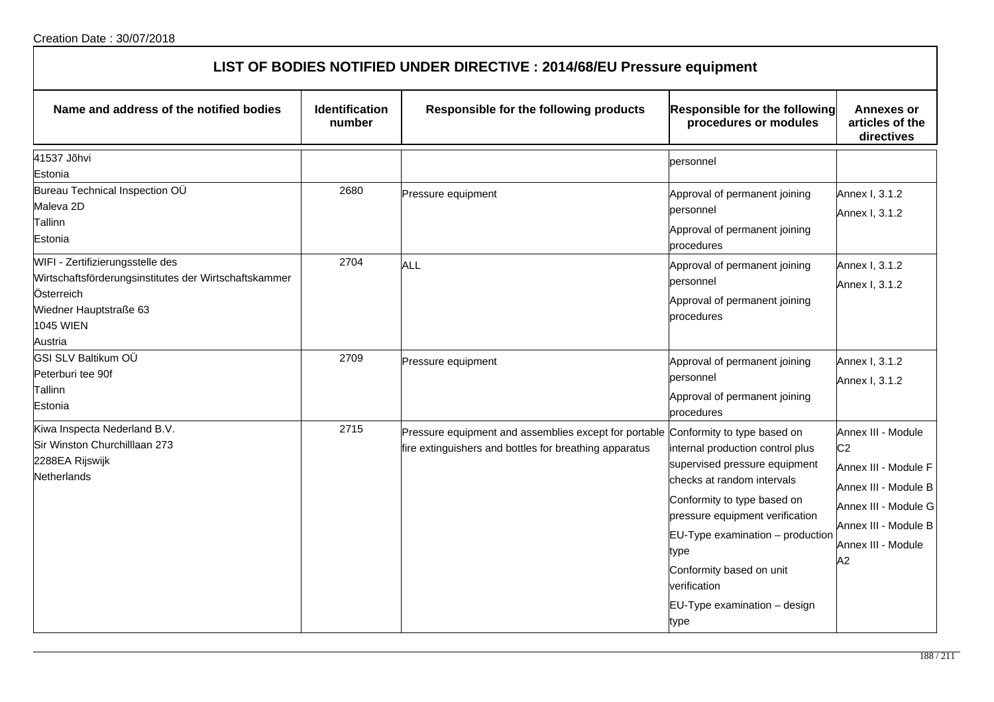| Name and address of the notified bodies                                                                                                                   | Identification<br>number | Responsible for the following products                                                                                                      | <b>Responsible for the following</b><br>procedures or modules                                                                                                                                                                                                                                     | <b>Annexes or</b><br>articles of the<br>directives                                                                                                               |
|-----------------------------------------------------------------------------------------------------------------------------------------------------------|--------------------------|---------------------------------------------------------------------------------------------------------------------------------------------|---------------------------------------------------------------------------------------------------------------------------------------------------------------------------------------------------------------------------------------------------------------------------------------------------|------------------------------------------------------------------------------------------------------------------------------------------------------------------|
| 41537 Jõhvi<br>Estonia                                                                                                                                    |                          |                                                                                                                                             | personnel                                                                                                                                                                                                                                                                                         |                                                                                                                                                                  |
| Bureau Technical Inspection OÜ<br>Maleva 2D<br>Tallinn<br>Estonia                                                                                         | 2680                     | Pressure equipment                                                                                                                          | Approval of permanent joining<br>personnel<br>Approval of permanent joining<br>procedures                                                                                                                                                                                                         | Annex I, 3.1.2<br>Annex I, 3.1.2                                                                                                                                 |
| WIFI - Zertifizierungsstelle des<br>Wirtschaftsförderungsinstitutes der Wirtschaftskammer<br>Österreich<br>Wiedner Hauptstraße 63<br>1045 WIEN<br>Austria | 2704                     | ALL                                                                                                                                         | Approval of permanent joining<br>personnel<br>Approval of permanent joining<br>procedures                                                                                                                                                                                                         | Annex I, 3.1.2<br>Annex I, 3.1.2                                                                                                                                 |
| GSI SLV Baltikum OÜ<br>Peterburi tee 90f<br>Tallinn<br>Estonia                                                                                            | 2709                     | Pressure equipment                                                                                                                          | Approval of permanent joining<br>personnel<br>Approval of permanent joining<br>procedures                                                                                                                                                                                                         | Annex I, 3.1.2<br>Annex I, 3.1.2                                                                                                                                 |
| Kiwa Inspecta Nederland B.V.<br>Sir Winston Churchilllaan 273<br>2288EA Rijswijk<br>Netherlands                                                           | 2715                     | Pressure equipment and assemblies except for portable Conformity to type based on<br>fire extinguishers and bottles for breathing apparatus | internal production control plus<br>supervised pressure equipment<br>checks at random intervals<br>Conformity to type based on<br>pressure equipment verification<br>EU-Type examination - production<br>type<br>Conformity based on unit<br>verification<br>EU-Type examination - design<br>type | Annex III - Module<br>C <sub>2</sub><br>Annex III - Module F<br>Annex III - Module B<br>Annex III - Module G<br>Annex III - Module B<br>Annex III - Module<br>A2 |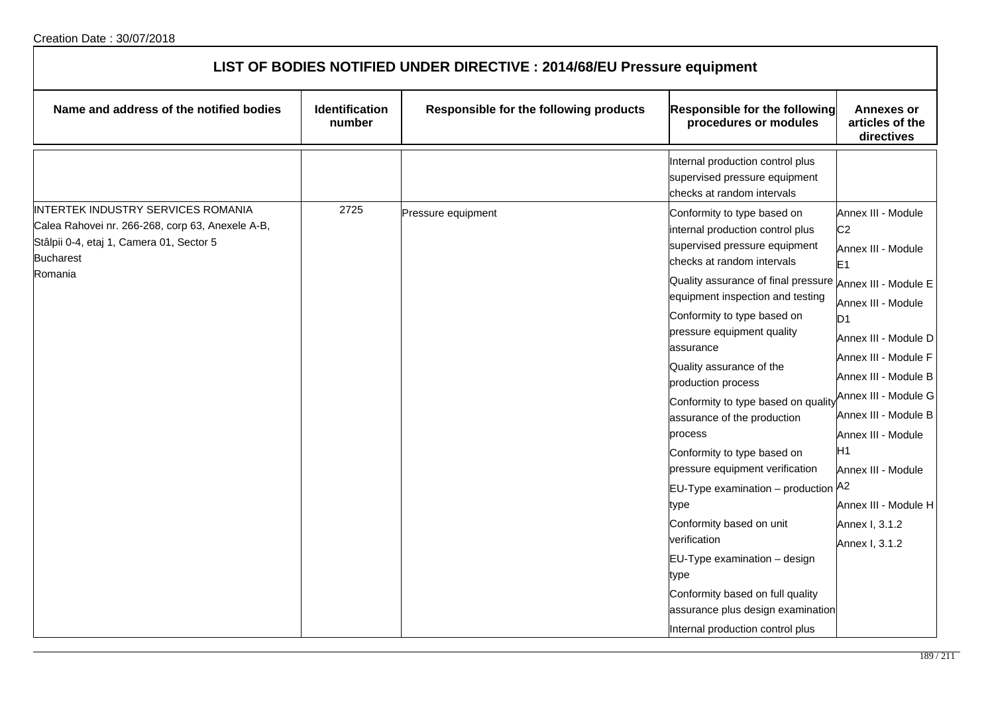| LIST OF BODIES NOTIFIED UNDER DIRECTIVE : 2014/68/EU Pressure equipment                                                                                           |                          |                                        |                                                                                                                                                                                                                                                                                                                                                                                                                                                                                                                                                                                                                                                                                                                                                                      |                                                                                                                                                                                                                                                                                                                                                                         |  |
|-------------------------------------------------------------------------------------------------------------------------------------------------------------------|--------------------------|----------------------------------------|----------------------------------------------------------------------------------------------------------------------------------------------------------------------------------------------------------------------------------------------------------------------------------------------------------------------------------------------------------------------------------------------------------------------------------------------------------------------------------------------------------------------------------------------------------------------------------------------------------------------------------------------------------------------------------------------------------------------------------------------------------------------|-------------------------------------------------------------------------------------------------------------------------------------------------------------------------------------------------------------------------------------------------------------------------------------------------------------------------------------------------------------------------|--|
| Name and address of the notified bodies                                                                                                                           | Identification<br>number | Responsible for the following products | Responsible for the following<br>procedures or modules                                                                                                                                                                                                                                                                                                                                                                                                                                                                                                                                                                                                                                                                                                               | <b>Annexes or</b><br>articles of the<br>directives                                                                                                                                                                                                                                                                                                                      |  |
|                                                                                                                                                                   |                          |                                        | Internal production control plus<br>supervised pressure equipment<br>checks at random intervals                                                                                                                                                                                                                                                                                                                                                                                                                                                                                                                                                                                                                                                                      |                                                                                                                                                                                                                                                                                                                                                                         |  |
| INTERTEK INDUSTRY SERVICES ROMANIA<br>Calea Rahovei nr. 266-268, corp 63, Anexele A-B,<br>Stâlpii 0-4, etaj 1, Camera 01, Sector 5<br><b>Bucharest</b><br>Romania | 2725                     | Pressure equipment                     | Conformity to type based on<br>internal production control plus<br>supervised pressure equipment<br>checks at random intervals<br>Quality assurance of final pressure <i>Annex III - Module E</i><br>equipment inspection and testing<br>Conformity to type based on<br>pressure equipment quality<br>assurance<br>Quality assurance of the<br>production process<br>Conformity to type based on quality<br>assurance of the production<br>process<br>Conformity to type based on<br>pressure equipment verification<br>EU-Type examination - production A2<br>type<br>Conformity based on unit<br>verification<br>EU-Type examination - design<br>type<br>Conformity based on full quality<br>assurance plus design examination<br>Internal production control plus | Annex III - Module<br>C <sub>2</sub><br>Annex III - Module<br>E <sub>1</sub><br>Annex III - Module<br>ID <sub>1</sub><br>Annex III - Module D<br>Annex III - Module F<br>Annex III - Module B<br>Annex III - Module G<br>Annex III - Module B<br>Annex III - Module<br>H <sub>1</sub><br>Annex III - Module<br>Annex III - Module H<br>Annex I, 3.1.2<br>Annex I, 3.1.2 |  |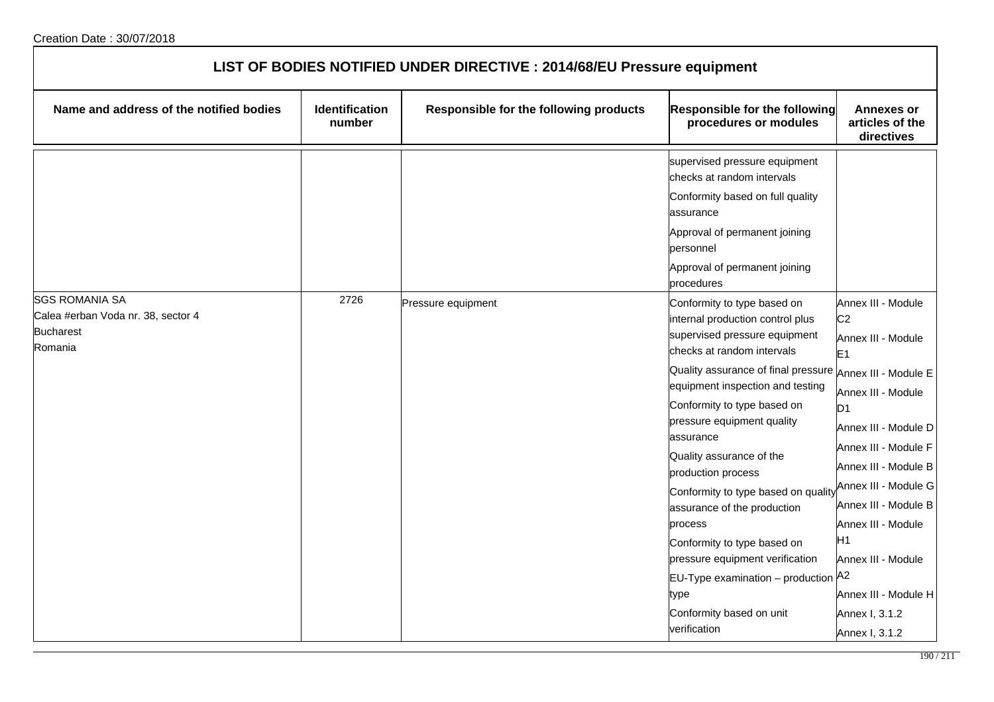| LIST OF BODIES NOTIFIED UNDER DIRECTIVE : 2014/68/EU Pressure equipment                    |                                 |                                        |                                                                                                                                                                                                                                                                                                                                                                                                                                                                                                                                                                                                       |                                                                                                                                                                                                                                                                                                                                                                   |  |
|--------------------------------------------------------------------------------------------|---------------------------------|----------------------------------------|-------------------------------------------------------------------------------------------------------------------------------------------------------------------------------------------------------------------------------------------------------------------------------------------------------------------------------------------------------------------------------------------------------------------------------------------------------------------------------------------------------------------------------------------------------------------------------------------------------|-------------------------------------------------------------------------------------------------------------------------------------------------------------------------------------------------------------------------------------------------------------------------------------------------------------------------------------------------------------------|--|
| Name and address of the notified bodies                                                    | <b>Identification</b><br>number | Responsible for the following products | Responsible for the following<br>procedures or modules                                                                                                                                                                                                                                                                                                                                                                                                                                                                                                                                                | <b>Annexes or</b><br>articles of the<br>directives                                                                                                                                                                                                                                                                                                                |  |
|                                                                                            |                                 |                                        | supervised pressure equipment<br>checks at random intervals<br>Conformity based on full quality<br>assurance<br>Approval of permanent joining<br>personnel<br>Approval of permanent joining<br>procedures                                                                                                                                                                                                                                                                                                                                                                                             |                                                                                                                                                                                                                                                                                                                                                                   |  |
| <b>SGS ROMANIA SA</b><br>Calea #erban Voda nr. 38, sector 4<br><b>Bucharest</b><br>Romania | 2726                            | Pressure equipment                     | Conformity to type based on<br>internal production control plus<br>supervised pressure equipment<br>checks at random intervals<br>Quality assurance of final pressure Annex III - Module E<br>equipment inspection and testing<br>Conformity to type based on<br>pressure equipment quality<br>assurance<br>Quality assurance of the<br>production process<br>Conformity to type based on quality<br>assurance of the production<br>process<br>Conformity to type based on<br>pressure equipment verification<br>EU-Type examination - production<br>type<br>Conformity based on unit<br>verification | Annex III - Module<br>C <sub>2</sub><br>Annex III - Module<br>E <sub>1</sub><br>Annex III - Module<br>D <sub>1</sub><br>Annex III - Module D<br>Annex III - Module F<br>Annex III - Module B<br>Annex III - Module G<br>Annex III - Module B<br>Annex III - Module<br>lΗ1<br>Annex III - Module<br>Α2<br>Annex III - Module H<br>Annex I, 3.1.2<br>Annex I, 3.1.2 |  |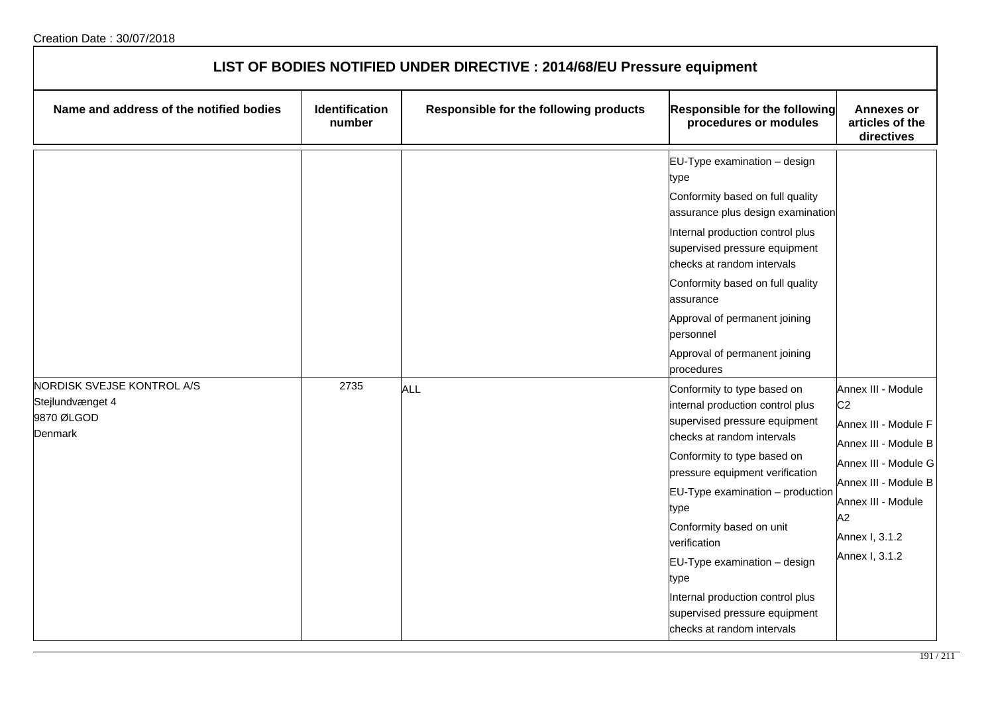| LIST OF BODIES NOTIFIED UNDER DIRECTIVE : 2014/68/EU Pressure equipment |                                 |                                        |                                                                                                                                                                                                                                                                                                                                                                                                                                                                                                                                                                                                                                                                                                    |                                                                                                                                                                                                      |  |
|-------------------------------------------------------------------------|---------------------------------|----------------------------------------|----------------------------------------------------------------------------------------------------------------------------------------------------------------------------------------------------------------------------------------------------------------------------------------------------------------------------------------------------------------------------------------------------------------------------------------------------------------------------------------------------------------------------------------------------------------------------------------------------------------------------------------------------------------------------------------------------|------------------------------------------------------------------------------------------------------------------------------------------------------------------------------------------------------|--|
| Name and address of the notified bodies                                 | <b>Identification</b><br>number | Responsible for the following products | <b>Responsible for the following</b><br>procedures or modules                                                                                                                                                                                                                                                                                                                                                                                                                                                                                                                                                                                                                                      | <b>Annexes or</b><br>articles of the<br>directives                                                                                                                                                   |  |
| NORDISK SVEJSE KONTROL A/S<br>Stejlundvænget 4<br>9870 ØLGOD<br>Denmark | 2735                            | <b>ALL</b>                             | EU-Type examination - design<br>type<br>Conformity based on full quality<br>assurance plus design examination<br>Internal production control plus<br>supervised pressure equipment<br>checks at random intervals<br>Conformity based on full quality<br>assurance<br>Approval of permanent joining<br>personnel<br>Approval of permanent joining<br>procedures<br>Conformity to type based on<br>internal production control plus<br>supervised pressure equipment<br>checks at random intervals<br>Conformity to type based on<br>pressure equipment verification<br>EU-Type examination - production<br>type<br>Conformity based on unit<br>verification<br>EU-Type examination - design<br>type | Annex III - Module<br>C <sub>2</sub><br>Annex III - Module F<br>Annex III - Module B<br>Annex III - Module G<br>Annex III - Module B<br>Annex III - Module<br>A2<br>Annex I, 3.1.2<br>Annex I, 3.1.2 |  |
|                                                                         |                                 |                                        | Internal production control plus<br>supervised pressure equipment<br>checks at random intervals                                                                                                                                                                                                                                                                                                                                                                                                                                                                                                                                                                                                    |                                                                                                                                                                                                      |  |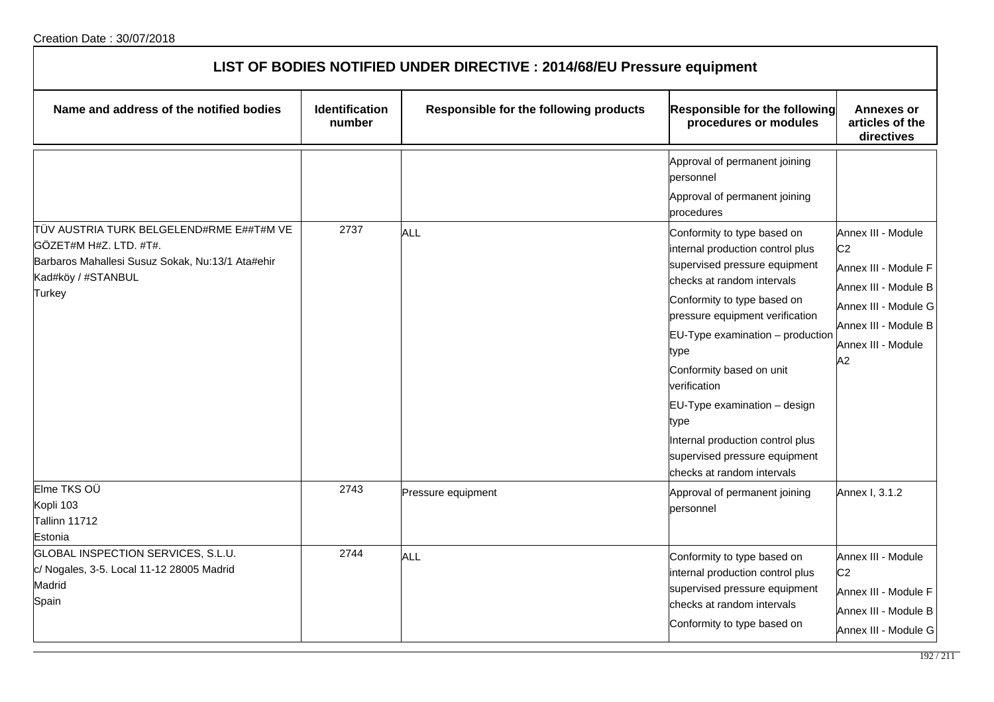| LIST OF BODIES NOTIFIED UNDER DIRECTIVE : 2014/68/EU Pressure equipment                                                                                       |                                 |                                        |                                                                                                                                                                                                                                                                                                                                                                                                                                     |                                                                                                                                                                  |  |
|---------------------------------------------------------------------------------------------------------------------------------------------------------------|---------------------------------|----------------------------------------|-------------------------------------------------------------------------------------------------------------------------------------------------------------------------------------------------------------------------------------------------------------------------------------------------------------------------------------------------------------------------------------------------------------------------------------|------------------------------------------------------------------------------------------------------------------------------------------------------------------|--|
| Name and address of the notified bodies                                                                                                                       | <b>Identification</b><br>number | Responsible for the following products | <b>Responsible for the following</b><br>procedures or modules                                                                                                                                                                                                                                                                                                                                                                       | <b>Annexes or</b><br>articles of the<br>directives                                                                                                               |  |
|                                                                                                                                                               |                                 |                                        | Approval of permanent joining<br>personnel<br>Approval of permanent joining<br>procedures                                                                                                                                                                                                                                                                                                                                           |                                                                                                                                                                  |  |
| TÜV AUSTRIA TURK BELGELEND#RME E##T#M VE<br>GÖZET#M H#Z. LTD. #T#.<br>Barbaros Mahallesi Susuz Sokak, Nu:13/1 Ata#ehir<br>Kad#köy / #STANBUL<br><b>Turkey</b> | 2737                            | ALL                                    | Conformity to type based on<br>internal production control plus<br>supervised pressure equipment<br>checks at random intervals<br>Conformity to type based on<br>pressure equipment verification<br>EU-Type examination - production<br>type<br>Conformity based on unit<br>verification<br>EU-Type examination - design<br>type<br>Internal production control plus<br>supervised pressure equipment<br>checks at random intervals | Annex III - Module<br>C <sub>2</sub><br>Annex III - Module F<br>Annex III - Module B<br>Annex III - Module G<br>Annex III - Module B<br>Annex III - Module<br>A2 |  |
| Elme TKS OÜ<br>Kopli 103<br><b>Tallinn 11712</b><br>Estonia                                                                                                   | 2743                            | Pressure equipment                     | Approval of permanent joining<br>personnel                                                                                                                                                                                                                                                                                                                                                                                          | Annex I, 3.1.2                                                                                                                                                   |  |
| GLOBAL INSPECTION SERVICES, S.L.U.<br>c/ Nogales, 3-5. Local 11-12 28005 Madrid<br>Madrid<br>Spain                                                            | 2744                            | <b>ALL</b>                             | Conformity to type based on<br>internal production control plus<br>supervised pressure equipment<br>checks at random intervals<br>Conformity to type based on                                                                                                                                                                                                                                                                       | Annex III - Module<br>C <sub>2</sub><br>Annex III - Module F<br>Annex III - Module B<br>Annex III - Module G                                                     |  |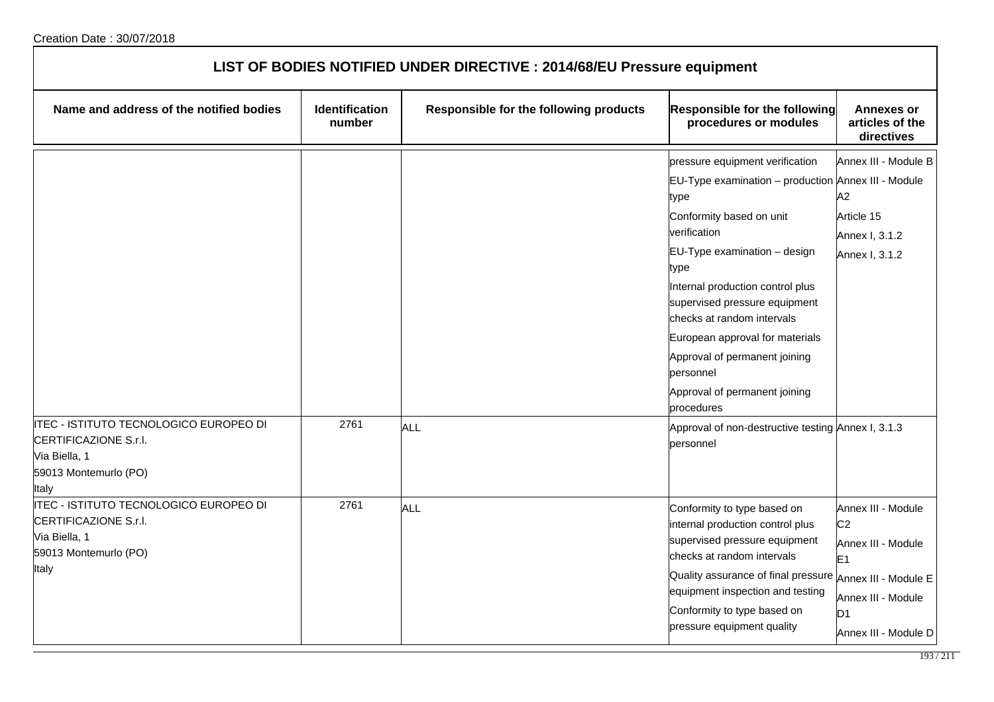| LIST OF BODIES NOTIFIED UNDER DIRECTIVE : 2014/68/EU Pressure equipment                                                                                      |                                 |                                        |                                                                                                                                                                                                                                                                                                                                                                                                                       |                                                                                                                                                |
|--------------------------------------------------------------------------------------------------------------------------------------------------------------|---------------------------------|----------------------------------------|-----------------------------------------------------------------------------------------------------------------------------------------------------------------------------------------------------------------------------------------------------------------------------------------------------------------------------------------------------------------------------------------------------------------------|------------------------------------------------------------------------------------------------------------------------------------------------|
| Name and address of the notified bodies                                                                                                                      | <b>Identification</b><br>number | Responsible for the following products | <b>Responsible for the following</b><br>procedures or modules                                                                                                                                                                                                                                                                                                                                                         | <b>Annexes or</b><br>articles of the<br>directives                                                                                             |
|                                                                                                                                                              |                                 |                                        | pressure equipment verification<br>EU-Type examination - production Annex III - Module<br>type<br>Conformity based on unit<br>verification<br>EU-Type examination - design<br>type<br>Internal production control plus<br>supervised pressure equipment<br>checks at random intervals<br>European approval for materials<br>Approval of permanent joining<br>personnel<br>Approval of permanent joining<br>procedures | Annex III - Module B<br>A2<br>Article 15<br>Annex I, 3.1.2<br>Annex I, 3.1.2                                                                   |
| ITEC - ISTITUTO TECNOLOGICO EUROPEO DI<br>CERTIFICAZIONE S.r.I.<br>Via Biella, 1<br>59013 Montemurlo (PO)<br>Italy<br>ITEC - ISTITUTO TECNOLOGICO EUROPEO DI | 2761<br>2761                    | ALL<br>ALL                             | Approval of non-destructive testing Annex I, 3.1.3<br>personnel<br>Conformity to type based on                                                                                                                                                                                                                                                                                                                        | Annex III - Module                                                                                                                             |
| CERTIFICAZIONE S.r.I.<br>Via Biella, 1<br>59013 Montemurlo (PO)<br><b>Italy</b>                                                                              |                                 |                                        | internal production control plus<br>supervised pressure equipment<br>checks at random intervals<br>Quality assurance of final pressure<br>equipment inspection and testing<br>Conformity to type based on<br>pressure equipment quality                                                                                                                                                                               | C <sub>2</sub><br>Annex III - Module<br>E <sub>1</sub><br>Annex III - Module E<br>Annex III - Module<br>D <sub>1</sub><br>Annex III - Module D |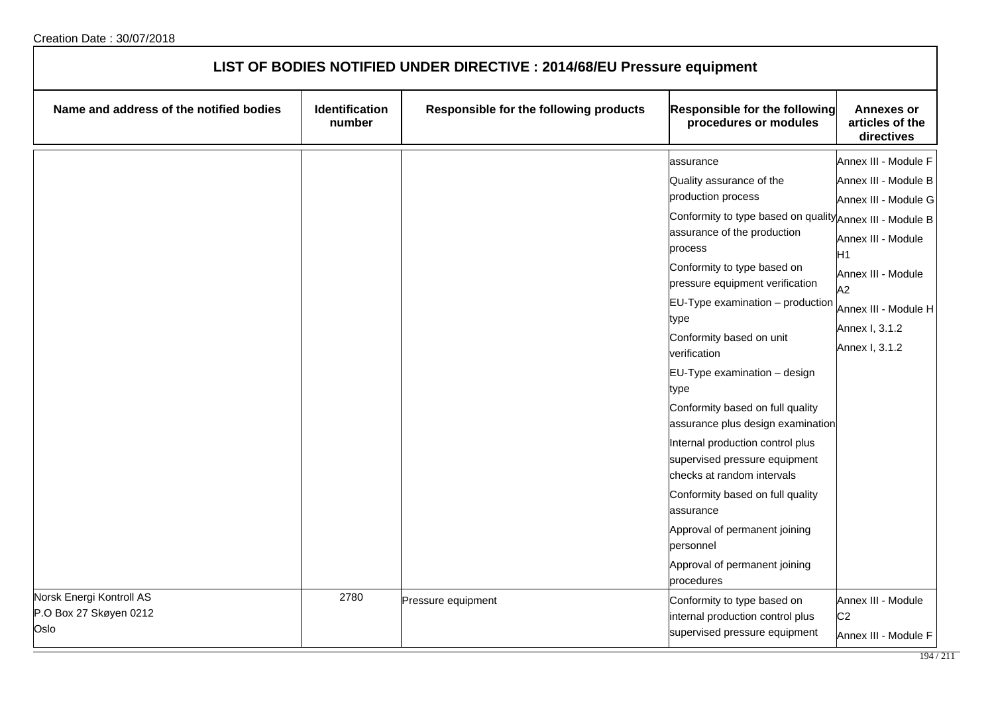| LIST OF BODIES NOTIFIED UNDER DIRECTIVE : 2014/68/EU Pressure equipment |                          |                                        |                                                                                                                                                                                                                                                                                                                                                                                                                                                                                                                                                                                                                                                                                                   |                                                                                                                                                                                                      |
|-------------------------------------------------------------------------|--------------------------|----------------------------------------|---------------------------------------------------------------------------------------------------------------------------------------------------------------------------------------------------------------------------------------------------------------------------------------------------------------------------------------------------------------------------------------------------------------------------------------------------------------------------------------------------------------------------------------------------------------------------------------------------------------------------------------------------------------------------------------------------|------------------------------------------------------------------------------------------------------------------------------------------------------------------------------------------------------|
| Name and address of the notified bodies                                 | Identification<br>number | Responsible for the following products | <b>Responsible for the following</b><br>procedures or modules                                                                                                                                                                                                                                                                                                                                                                                                                                                                                                                                                                                                                                     | <b>Annexes or</b><br>articles of the<br>directives                                                                                                                                                   |
|                                                                         |                          |                                        | assurance<br>Quality assurance of the<br>production process<br>Conformity to type based on quality Annex III - Module B<br>assurance of the production<br>process<br>Conformity to type based on<br>pressure equipment verification<br>$EU-Type$ examination $-$ production<br>type<br>Conformity based on unit<br>verification<br>EU-Type examination - design<br>type<br>Conformity based on full quality<br>assurance plus design examination<br>Internal production control plus<br>supervised pressure equipment<br>checks at random intervals<br>Conformity based on full quality<br>assurance<br>Approval of permanent joining<br>personnel<br>Approval of permanent joining<br>procedures | Annex III - Module F<br>Annex III - Module B<br>Annex III - Module G<br>Annex III - Module<br>H <sub>1</sub><br>Annex III - Module<br>A2<br>Annex III - Module H<br>Annex I, 3.1.2<br>Annex I, 3.1.2 |
| Norsk Energi Kontroll AS<br>P.O Box 27 Skøyen 0212<br>Oslo              | 2780                     | Pressure equipment                     | Conformity to type based on<br>internal production control plus<br>supervised pressure equipment                                                                                                                                                                                                                                                                                                                                                                                                                                                                                                                                                                                                  | Annex III - Module<br>C <sub>2</sub><br>Annex III - Module F                                                                                                                                         |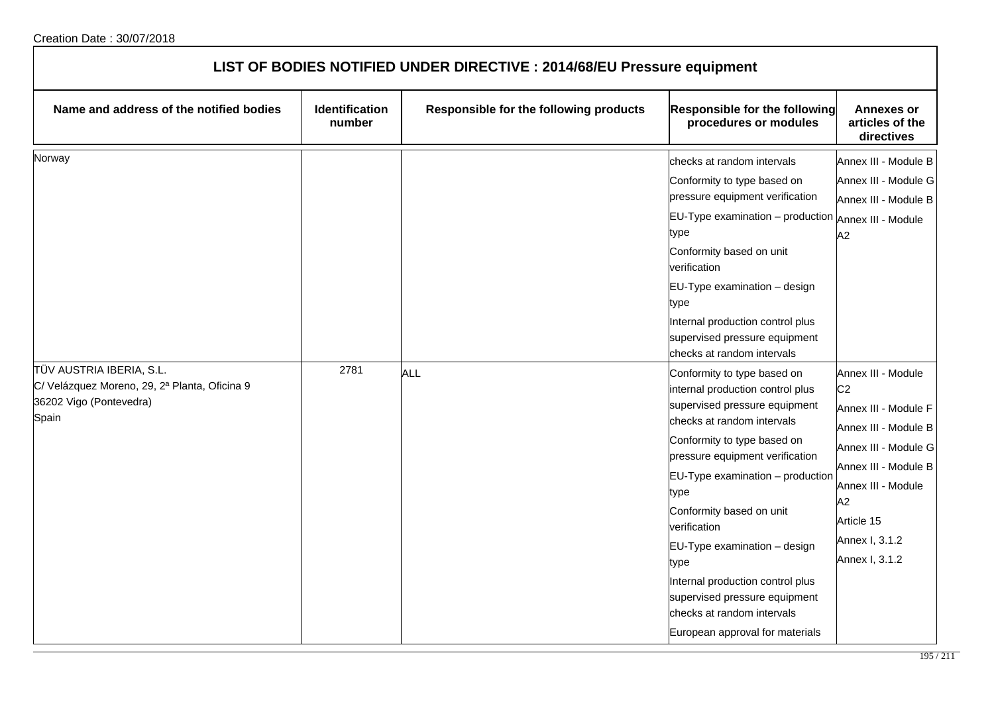| LIST OF BODIES NOTIFIED UNDER DIRECTIVE : 2014/68/EU Pressure equipment                                                 |                                 |                                        |                                                                                                                                                                                                                                                                                                                                                                                                                                                                                                                                                                                                                                                                                                                                                                                                                   |                                                                                                                                                                                                                                                                                                                        |
|-------------------------------------------------------------------------------------------------------------------------|---------------------------------|----------------------------------------|-------------------------------------------------------------------------------------------------------------------------------------------------------------------------------------------------------------------------------------------------------------------------------------------------------------------------------------------------------------------------------------------------------------------------------------------------------------------------------------------------------------------------------------------------------------------------------------------------------------------------------------------------------------------------------------------------------------------------------------------------------------------------------------------------------------------|------------------------------------------------------------------------------------------------------------------------------------------------------------------------------------------------------------------------------------------------------------------------------------------------------------------------|
| Name and address of the notified bodies                                                                                 | <b>Identification</b><br>number | Responsible for the following products | Responsible for the following<br>procedures or modules                                                                                                                                                                                                                                                                                                                                                                                                                                                                                                                                                                                                                                                                                                                                                            | <b>Annexes or</b><br>articles of the<br>directives                                                                                                                                                                                                                                                                     |
| Norway<br>TÜV AUSTRIA IBERIA, S.L.<br>C/ Velázquez Moreno, 29, 2ª Planta, Oficina 9<br>36202 Vigo (Pontevedra)<br>Spain | 2781                            | <b>ALL</b>                             | checks at random intervals<br>Conformity to type based on<br>pressure equipment verification<br>$EU-Type$ examination $-$ production<br>type<br>Conformity based on unit<br>verification<br>EU-Type examination - design<br>type<br>Internal production control plus<br>supervised pressure equipment<br>checks at random intervals<br>Conformity to type based on<br>internal production control plus<br>supervised pressure equipment<br>checks at random intervals<br>Conformity to type based on<br>pressure equipment verification<br>$EU-Type$ examination $-$ production<br>type<br>Conformity based on unit<br>verification<br>EU-Type examination - design<br>type<br>Internal production control plus<br>supervised pressure equipment<br>checks at random intervals<br>European approval for materials | Annex III - Module B<br>Annex III - Module G<br>Annex III - Module B<br>Annex III - Module<br>A2<br>Annex III - Module<br>C <sub>2</sub><br>Annex III - Module F<br>Annex III - Module B<br>Annex III - Module G<br>Annex III - Module B<br>Annex III - Module<br>A2<br>Article 15<br>Annex I, 3.1.2<br>Annex I, 3.1.2 |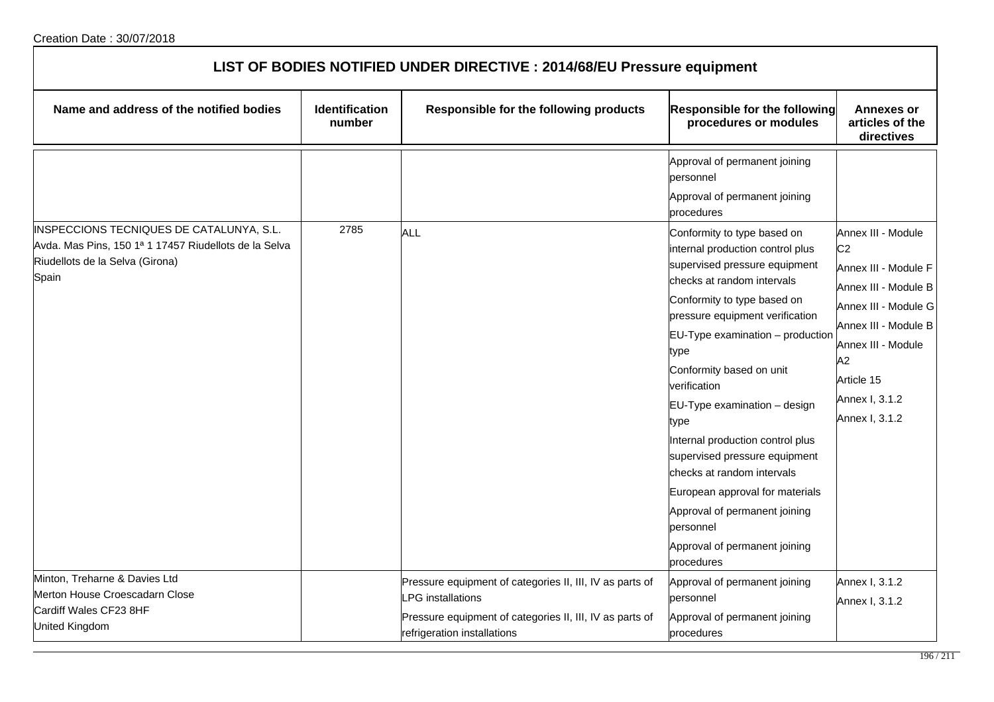| LIST OF BODIES NOTIFIED UNDER DIRECTIVE : 2014/68/EU Pressure equipment                                                                       |                          |                                                                                                                                                                                |                                                                                                                                                                                                                                                                                                                                                                                                                                                                                                                                                                     |                                                                                                                                                                                                                    |  |
|-----------------------------------------------------------------------------------------------------------------------------------------------|--------------------------|--------------------------------------------------------------------------------------------------------------------------------------------------------------------------------|---------------------------------------------------------------------------------------------------------------------------------------------------------------------------------------------------------------------------------------------------------------------------------------------------------------------------------------------------------------------------------------------------------------------------------------------------------------------------------------------------------------------------------------------------------------------|--------------------------------------------------------------------------------------------------------------------------------------------------------------------------------------------------------------------|--|
| Name and address of the notified bodies                                                                                                       | Identification<br>number | Responsible for the following products                                                                                                                                         | <b>Responsible for the following</b><br>procedures or modules                                                                                                                                                                                                                                                                                                                                                                                                                                                                                                       | <b>Annexes or</b><br>articles of the<br>directives                                                                                                                                                                 |  |
|                                                                                                                                               |                          |                                                                                                                                                                                | Approval of permanent joining<br>personnel<br>Approval of permanent joining<br>procedures                                                                                                                                                                                                                                                                                                                                                                                                                                                                           |                                                                                                                                                                                                                    |  |
| INSPECCIONS TECNIQUES DE CATALUNYA, S.L.<br>Avda. Mas Pins, 150 1ª 1 17457 Riudellots de la Selva<br>Riudellots de la Selva (Girona)<br>Spain | 2785                     | ALL                                                                                                                                                                            | Conformity to type based on<br>internal production control plus<br>supervised pressure equipment<br>checks at random intervals<br>Conformity to type based on<br>pressure equipment verification<br>EU-Type examination - production<br>type<br>Conformity based on unit<br>verification<br>EU-Type examination - design<br>type<br>Internal production control plus<br>supervised pressure equipment<br>checks at random intervals<br>European approval for materials<br>Approval of permanent joining<br>personnel<br>Approval of permanent joining<br>procedures | Annex III - Module<br>C <sub>2</sub><br>Annex III - Module F<br>Annex III - Module B<br>Annex III - Module G<br>Annex III - Module B<br>Annex III - Module<br>A2<br>Article 15<br>Annex I, 3.1.2<br>Annex I, 3.1.2 |  |
| Minton, Treharne & Davies Ltd<br>Merton House Croescadarn Close<br>Cardiff Wales CF23 8HF<br>United Kingdom                                   |                          | Pressure equipment of categories II, III, IV as parts of<br><b>PG</b> installations<br>Pressure equipment of categories II, III, IV as parts of<br>refrigeration installations | Approval of permanent joining<br>personnel<br>Approval of permanent joining<br>procedures                                                                                                                                                                                                                                                                                                                                                                                                                                                                           | Annex I, 3.1.2<br>Annex I, 3.1.2                                                                                                                                                                                   |  |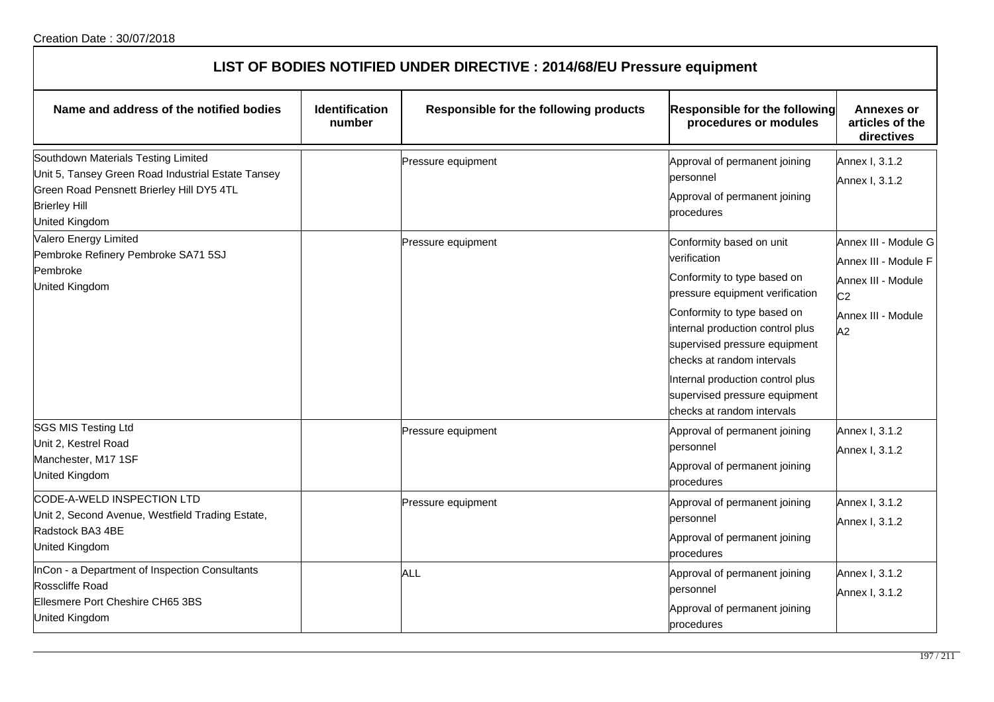| LIST OF BODIES NOTIFIED UNDER DIRECTIVE : 2014/68/EU Pressure equipment                                                                                                          |                                 |                                        |                                                                                                                                                                                                                                                                                                                                                 |                                                                                                                  |
|----------------------------------------------------------------------------------------------------------------------------------------------------------------------------------|---------------------------------|----------------------------------------|-------------------------------------------------------------------------------------------------------------------------------------------------------------------------------------------------------------------------------------------------------------------------------------------------------------------------------------------------|------------------------------------------------------------------------------------------------------------------|
| Name and address of the notified bodies                                                                                                                                          | <b>Identification</b><br>number | Responsible for the following products | <b>Responsible for the following</b><br>procedures or modules                                                                                                                                                                                                                                                                                   | <b>Annexes or</b><br>articles of the<br>directives                                                               |
| Southdown Materials Testing Limited<br>Unit 5, Tansey Green Road Industrial Estate Tansey<br>Green Road Pensnett Brierley Hill DY5 4TL<br><b>Brierley Hill</b><br>United Kingdom |                                 | Pressure equipment                     | Approval of permanent joining<br>personnel<br>Approval of permanent joining<br>procedures                                                                                                                                                                                                                                                       | Annex I, 3.1.2<br>Annex I, 3.1.2                                                                                 |
| <b>Valero Energy Limited</b><br>Pembroke Refinery Pembroke SA71 5SJ<br>Pembroke<br><b>United Kingdom</b>                                                                         |                                 | Pressure equipment                     | Conformity based on unit<br>verification<br>Conformity to type based on<br>pressure equipment verification<br>Conformity to type based on<br>internal production control plus<br>supervised pressure equipment<br>checks at random intervals<br>Internal production control plus<br>supervised pressure equipment<br>checks at random intervals | Annex III - Module G<br>Annex III - Module F<br>Annex III - Module<br>C <sub>2</sub><br>Annex III - Module<br>A2 |
| <b>SGS MIS Testing Ltd</b><br>Unit 2, Kestrel Road<br>Manchester, M17 1SF<br>United Kingdom<br>CODE-A-WELD INSPECTION LTD                                                        |                                 | Pressure equipment                     | Approval of permanent joining<br>personnel<br>Approval of permanent joining<br>procedures                                                                                                                                                                                                                                                       | Annex I, 3.1.2<br>Annex I, 3.1.2                                                                                 |
| Unit 2, Second Avenue, Westfield Trading Estate,<br>Radstock BA3 4BE<br><b>United Kingdom</b>                                                                                    |                                 | Pressure equipment                     | Approval of permanent joining<br>personnel<br>Approval of permanent joining<br>procedures                                                                                                                                                                                                                                                       | Annex I, 3.1.2<br>Annex I, 3.1.2                                                                                 |
| InCon - a Department of Inspection Consultants<br>Rosscliffe Road<br>Ellesmere Port Cheshire CH65 3BS<br><b>United Kingdom</b>                                                   |                                 | ALL                                    | Approval of permanent joining<br>personnel<br>Approval of permanent joining<br>$\sim$ $\sim$ $\sim$ $\sim$ $\sim$                                                                                                                                                                                                                               | Annex I, 3.1.2<br>Annex I, 3.1.2                                                                                 |

procedures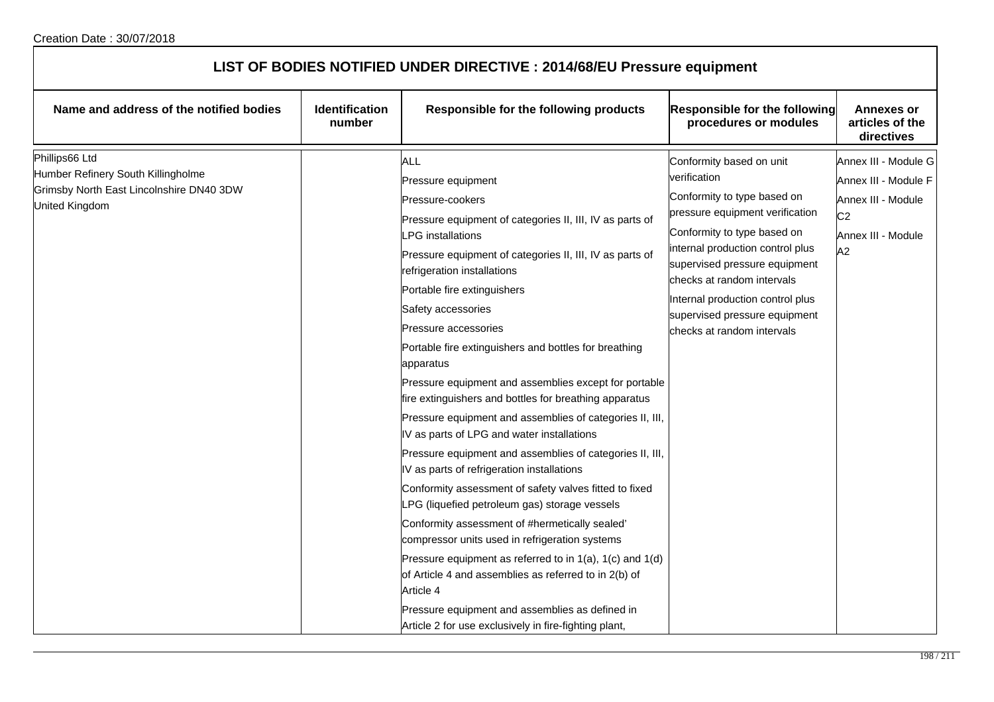| LIST OF BODIES NOTIFIED UNDER DIRECTIVE : 2014/68/EU Pressure equipment                                            |                                 |                                                                                                                                                                                                                                                                                                                                                                                                                                                                                                                                                                                                                                                                                                                                                                                                                                                                                                                                                                                                                                                                                                                                                                                                |                                                                                                                                                                                                                                                                                                                                                 |                                                                                                                  |  |
|--------------------------------------------------------------------------------------------------------------------|---------------------------------|------------------------------------------------------------------------------------------------------------------------------------------------------------------------------------------------------------------------------------------------------------------------------------------------------------------------------------------------------------------------------------------------------------------------------------------------------------------------------------------------------------------------------------------------------------------------------------------------------------------------------------------------------------------------------------------------------------------------------------------------------------------------------------------------------------------------------------------------------------------------------------------------------------------------------------------------------------------------------------------------------------------------------------------------------------------------------------------------------------------------------------------------------------------------------------------------|-------------------------------------------------------------------------------------------------------------------------------------------------------------------------------------------------------------------------------------------------------------------------------------------------------------------------------------------------|------------------------------------------------------------------------------------------------------------------|--|
| Name and address of the notified bodies                                                                            | <b>Identification</b><br>number | Responsible for the following products                                                                                                                                                                                                                                                                                                                                                                                                                                                                                                                                                                                                                                                                                                                                                                                                                                                                                                                                                                                                                                                                                                                                                         | Responsible for the following<br>procedures or modules                                                                                                                                                                                                                                                                                          | <b>Annexes or</b><br>articles of the<br>directives                                                               |  |
| Phillips66 Ltd<br>Humber Refinery South Killingholme<br>Grimsby North East Lincolnshire DN40 3DW<br>United Kingdom |                                 | ALL<br>Pressure equipment<br>Pressure-cookers<br>Pressure equipment of categories II, III, IV as parts of<br><b>LPG</b> installations<br>Pressure equipment of categories II, III, IV as parts of<br>refrigeration installations<br>Portable fire extinguishers<br>Safety accessories<br>Pressure accessories<br>Portable fire extinguishers and bottles for breathing<br>apparatus<br>Pressure equipment and assemblies except for portable<br>fire extinguishers and bottles for breathing apparatus<br>Pressure equipment and assemblies of categories II, III,<br>IV as parts of LPG and water installations<br>Pressure equipment and assemblies of categories II, III,<br>IV as parts of refrigeration installations<br>Conformity assessment of safety valves fitted to fixed<br>LPG (liquefied petroleum gas) storage vessels<br>Conformity assessment of #hermetically sealed'<br>compressor units used in refrigeration systems<br>Pressure equipment as referred to in $1(a)$ , $1(c)$ and $1(d)$<br>of Article 4 and assemblies as referred to in 2(b) of<br>Article 4<br>Pressure equipment and assemblies as defined in<br>Article 2 for use exclusively in fire-fighting plant, | Conformity based on unit<br>verification<br>Conformity to type based on<br>pressure equipment verification<br>Conformity to type based on<br>internal production control plus<br>supervised pressure equipment<br>checks at random intervals<br>Internal production control plus<br>supervised pressure equipment<br>checks at random intervals | Annex III - Module G<br>Annex III - Module F<br>Annex III - Module<br>C <sub>2</sub><br>Annex III - Module<br>A2 |  |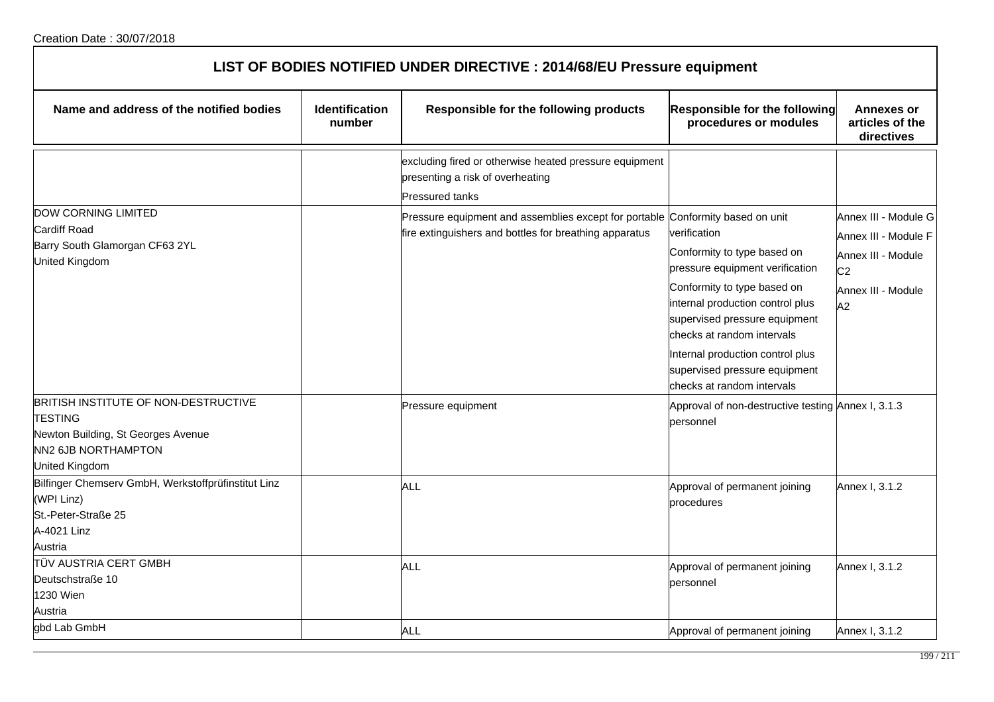| LIST OF BODIES NOTIFIED UNDER DIRECTIVE : 2014/68/EU Pressure equipment                                                               |                                 |                                                                                                                                          |                                                                                                                                                                                                                                                                                                                     |                                                                                                                  |  |
|---------------------------------------------------------------------------------------------------------------------------------------|---------------------------------|------------------------------------------------------------------------------------------------------------------------------------------|---------------------------------------------------------------------------------------------------------------------------------------------------------------------------------------------------------------------------------------------------------------------------------------------------------------------|------------------------------------------------------------------------------------------------------------------|--|
| Name and address of the notified bodies                                                                                               | <b>Identification</b><br>number | Responsible for the following products                                                                                                   | <b>Responsible for the following</b><br>procedures or modules                                                                                                                                                                                                                                                       | <b>Annexes or</b><br>articles of the<br>directives                                                               |  |
|                                                                                                                                       |                                 | excluding fired or otherwise heated pressure equipment<br>presenting a risk of overheating<br><b>Pressured tanks</b>                     |                                                                                                                                                                                                                                                                                                                     |                                                                                                                  |  |
| <b>DOW CORNING LIMITED</b><br><b>Cardiff Road</b><br>Barry South Glamorgan CF63 2YL<br><b>United Kingdom</b>                          |                                 | Pressure equipment and assemblies except for portable Conformity based on unit<br>fire extinguishers and bottles for breathing apparatus | verification<br>Conformity to type based on<br>pressure equipment verification<br>Conformity to type based on<br>internal production control plus<br>supervised pressure equipment<br>checks at random intervals<br>Internal production control plus<br>supervised pressure equipment<br>checks at random intervals | Annex III - Module G<br>Annex III - Module F<br>Annex III - Module<br>C <sub>2</sub><br>Annex III - Module<br>A2 |  |
| BRITISH INSTITUTE OF NON-DESTRUCTIVE<br><b>TESTING</b><br>Newton Building, St Georges Avenue<br>NN2 6JB NORTHAMPTON<br>United Kingdom |                                 | Pressure equipment                                                                                                                       | Approval of non-destructive testing Annex I, 3.1.3<br>personnel                                                                                                                                                                                                                                                     |                                                                                                                  |  |
| Bilfinger Chemserv GmbH, Werkstoffprüfinstitut Linz<br>(WPI Linz)<br>St.-Peter-Straße 25<br>A-4021 Linz<br>Austria                    |                                 | ALL                                                                                                                                      | Approval of permanent joining<br>procedures                                                                                                                                                                                                                                                                         | Annex I, 3.1.2                                                                                                   |  |
| <b>TÜV AUSTRIA CERT GMBH</b><br>Deutschstraße 10<br>1230 Wien<br>Austria                                                              |                                 | ALL                                                                                                                                      | Approval of permanent joining<br>personnel                                                                                                                                                                                                                                                                          | Annex I, 3.1.2                                                                                                   |  |
| gbd Lab GmbH                                                                                                                          |                                 | ALL                                                                                                                                      | Approval of permanent joining                                                                                                                                                                                                                                                                                       | Annex I, 3.1.2                                                                                                   |  |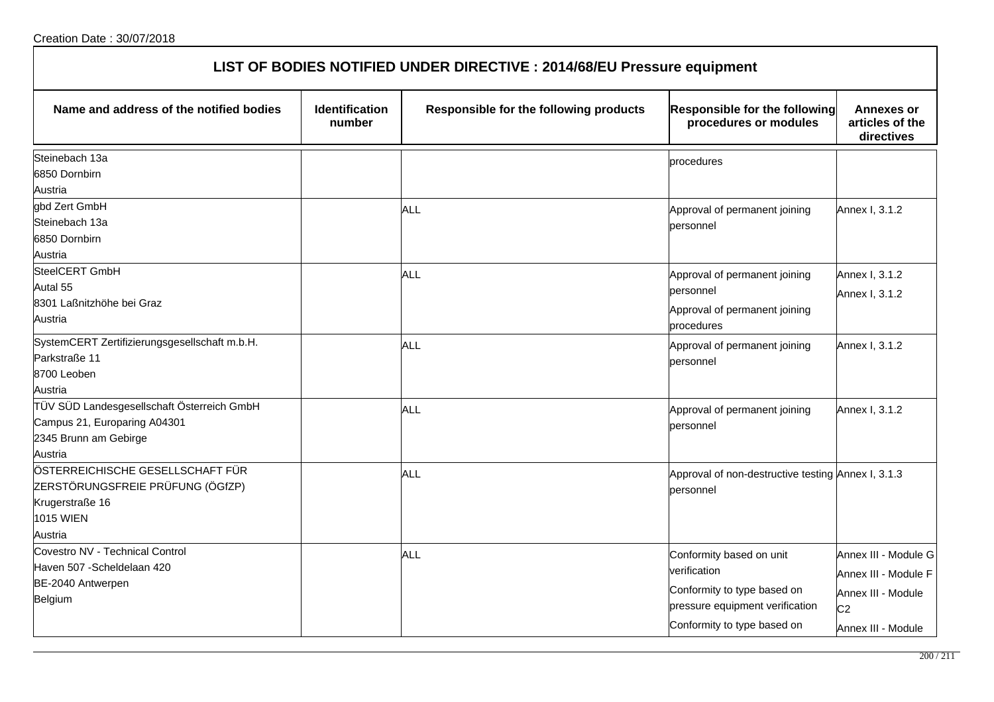| LIST OF BODIES NOTIFIED UNDER DIRECTIVE : 2014/68/EU Pressure equipment |  |
|-------------------------------------------------------------------------|--|
|-------------------------------------------------------------------------|--|

| Name and address of the notified bodies       | Identification<br>number | Responsible for the following products | <b>Responsible for the following</b><br>procedures or modules | <b>Annexes or</b><br>articles of the<br>directives |
|-----------------------------------------------|--------------------------|----------------------------------------|---------------------------------------------------------------|----------------------------------------------------|
| Steinebach 13a                                |                          |                                        | procedures                                                    |                                                    |
| 6850 Dornbirn                                 |                          |                                        |                                                               |                                                    |
| Austria                                       |                          |                                        |                                                               |                                                    |
| gbd Zert GmbH                                 |                          | ALL                                    | Approval of permanent joining                                 | Annex I, 3.1.2                                     |
| Steinebach 13a                                |                          |                                        | personnel                                                     |                                                    |
| 6850 Dornbirn                                 |                          |                                        |                                                               |                                                    |
| Austria                                       |                          |                                        |                                                               |                                                    |
| SteelCERT GmbH                                |                          | <b>ALL</b>                             | Approval of permanent joining                                 | Annex I, 3.1.2                                     |
| Autal 55                                      |                          |                                        | personnel                                                     | Annex I, 3.1.2                                     |
| 8301 Laßnitzhöhe bei Graz                     |                          |                                        | Approval of permanent joining                                 |                                                    |
| Austria                                       |                          |                                        | procedures                                                    |                                                    |
| SystemCERT Zertifizierungsgesellschaft m.b.H. |                          | <b>ALL</b>                             | Approval of permanent joining                                 | Annex I, 3.1.2                                     |
| Parkstraße 11                                 |                          |                                        | personnel                                                     |                                                    |
| 8700 Leoben                                   |                          |                                        |                                                               |                                                    |
| Austria                                       |                          |                                        |                                                               |                                                    |
| TÜV SÜD Landesgesellschaft Österreich GmbH    |                          | <b>ALL</b>                             | Approval of permanent joining                                 | Annex I, 3.1.2                                     |
| Campus 21, Europaring A04301                  |                          |                                        | personnel                                                     |                                                    |
| 2345 Brunn am Gebirge                         |                          |                                        |                                                               |                                                    |
| Austria                                       |                          |                                        |                                                               |                                                    |
| ÖSTERREICHISCHE GESELLSCHAFT FÜR              |                          | <b>ALL</b>                             | Approval of non-destructive testing Annex I, 3.1.3            |                                                    |
| ZERSTÖRUNGSFREIE PRÜFUNG (ÖGfZP)              |                          |                                        | bersonnel                                                     |                                                    |
| Krugerstraße 16                               |                          |                                        |                                                               |                                                    |
| <b>1015 WIEN</b>                              |                          |                                        |                                                               |                                                    |
| Austria                                       |                          |                                        |                                                               |                                                    |
| Covestro NV - Technical Control               |                          | <b>ALL</b>                             | Conformity based on unit                                      | Annex III - Module G                               |
| Haven 507 - Scheldelaan 420                   |                          |                                        | verification                                                  | Annex III - Module F                               |
| BE-2040 Antwerpen                             |                          |                                        | Conformity to type based on                                   | Annex III - Module                                 |
| Belgium                                       |                          |                                        | pressure equipment verification                               | C <sub>2</sub>                                     |
|                                               |                          |                                        | Conformity to type based on                                   |                                                    |
|                                               |                          |                                        |                                                               | Annex III - Module                                 |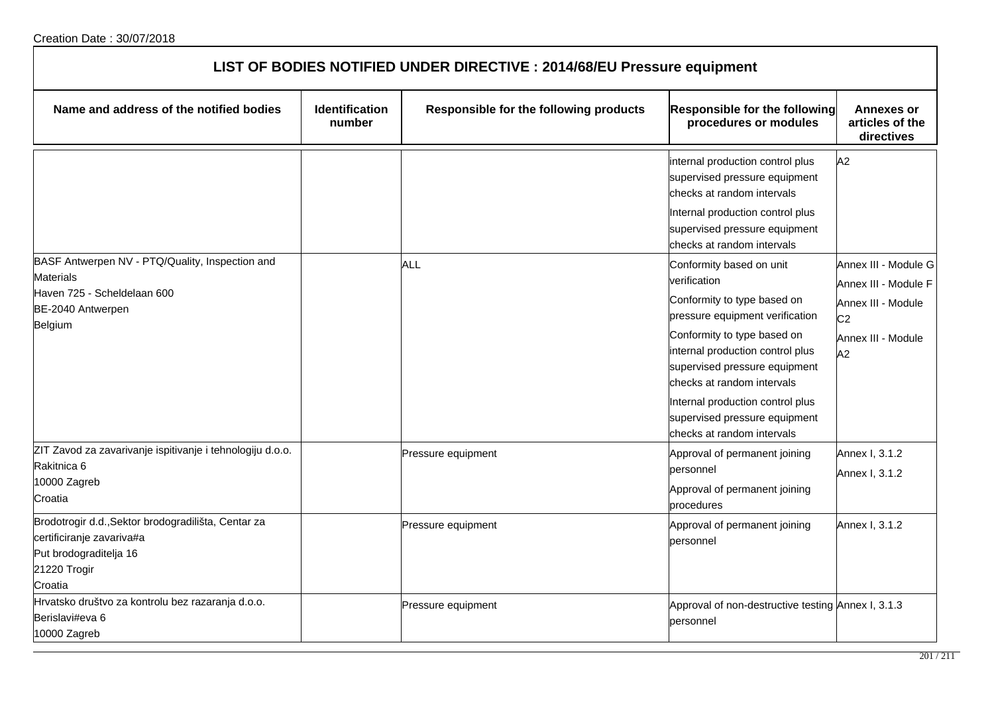| LIST OF BODIES NOTIFIED UNDER DIRECTIVE : 2014/68/EU Pressure equipment                                                               |                                 |                                        |                                                                                                                                                                                                                                                                                                                                                 |                                                                                                                  |  |
|---------------------------------------------------------------------------------------------------------------------------------------|---------------------------------|----------------------------------------|-------------------------------------------------------------------------------------------------------------------------------------------------------------------------------------------------------------------------------------------------------------------------------------------------------------------------------------------------|------------------------------------------------------------------------------------------------------------------|--|
| Name and address of the notified bodies                                                                                               | <b>Identification</b><br>number | Responsible for the following products | Responsible for the following<br>procedures or modules                                                                                                                                                                                                                                                                                          | <b>Annexes or</b><br>articles of the<br>directives                                                               |  |
|                                                                                                                                       |                                 |                                        | internal production control plus<br>supervised pressure equipment<br>checks at random intervals<br>Internal production control plus<br>supervised pressure equipment<br>checks at random intervals                                                                                                                                              | A2                                                                                                               |  |
| BASF Antwerpen NV - PTQ/Quality, Inspection and<br><b>Materials</b><br>Haven 725 - Scheldelaan 600<br>BE-2040 Antwerpen<br>Belgium    |                                 | ALL                                    | Conformity based on unit<br>verification<br>Conformity to type based on<br>pressure equipment verification<br>Conformity to type based on<br>internal production control plus<br>supervised pressure equipment<br>checks at random intervals<br>Internal production control plus<br>supervised pressure equipment<br>checks at random intervals | Annex III - Module G<br>Annex III - Module F<br>Annex III - Module<br>C <sub>2</sub><br>Annex III - Module<br>A2 |  |
| ZIT Zavod za zavarivanje ispitivanje i tehnologiju d.o.o.<br>Rakitnica 6<br>10000 Zagreb<br>Croatia                                   |                                 | Pressure equipment                     | Approval of permanent joining<br>bersonnel<br>Approval of permanent joining<br>procedures                                                                                                                                                                                                                                                       | Annex I, 3.1.2<br>Annex I, 3.1.2                                                                                 |  |
| Brodotrogir d.d., Sektor brodogradilišta, Centar za<br>certificiranje zavariva#a<br>Put brodograditelja 16<br>21220 Trogir<br>Croatia |                                 | Pressure equipment                     | Approval of permanent joining<br>personnel                                                                                                                                                                                                                                                                                                      | Annex I, 3.1.2                                                                                                   |  |
| Hrvatsko društvo za kontrolu bez razaranja d.o.o.<br>Berislavi#eva 6<br>10000 Zagreb                                                  |                                 | Pressure equipment                     | Approval of non-destructive testing Annex I, 3.1.3<br>personnel                                                                                                                                                                                                                                                                                 |                                                                                                                  |  |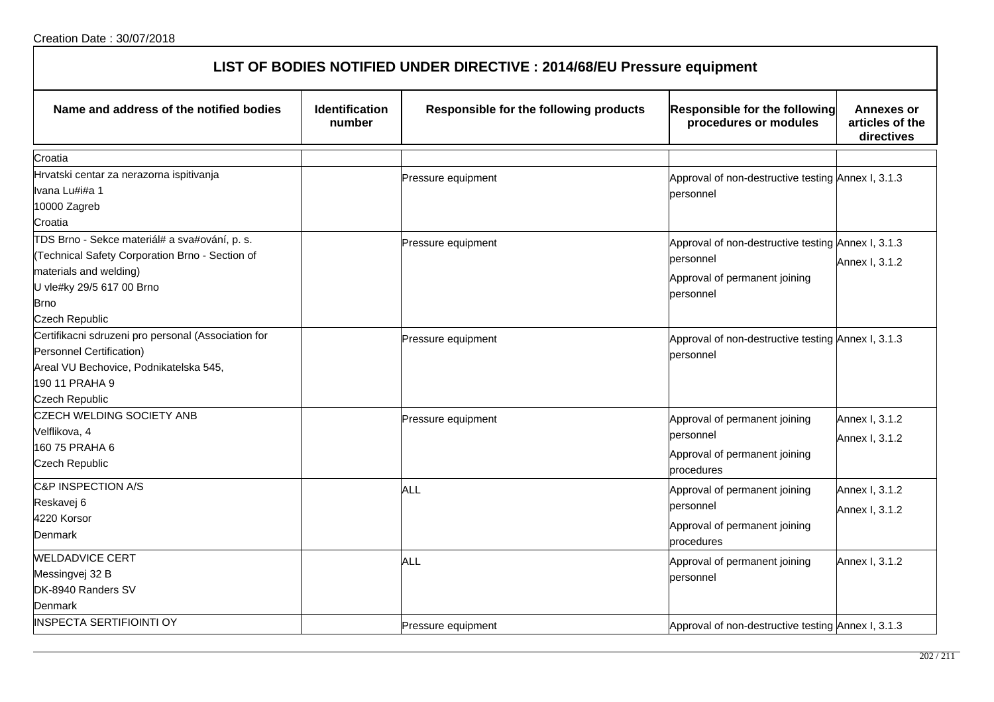Messingvej 32 B DK-8940 Randers SV

Denmark

| Creation Date: 30/07/2018                                               |                                 |                                        |                                                               |                                                    |  |
|-------------------------------------------------------------------------|---------------------------------|----------------------------------------|---------------------------------------------------------------|----------------------------------------------------|--|
| LIST OF BODIES NOTIFIED UNDER DIRECTIVE : 2014/68/EU Pressure equipment |                                 |                                        |                                                               |                                                    |  |
| Name and address of the notified bodies                                 | <b>Identification</b><br>number | Responsible for the following products | <b>Responsible for the following</b><br>procedures or modules | <b>Annexes or</b><br>articles of the<br>directives |  |
| Croatia                                                                 |                                 |                                        |                                                               |                                                    |  |
| Hrvatski centar za nerazorna ispitivanja                                |                                 | Pressure equipment                     | Approval of non-destructive testing Annex I, 3.1.3            |                                                    |  |
| Ivana Lu#i#a 1                                                          |                                 |                                        | personnel                                                     |                                                    |  |
| 10000 Zagreb                                                            |                                 |                                        |                                                               |                                                    |  |
| Croatia                                                                 |                                 |                                        |                                                               |                                                    |  |
| TDS Brno - Sekce materiál# a sva#ování, p. s.                           |                                 | Pressure equipment                     | Approval of non-destructive testing Annex I, 3.1.3            |                                                    |  |
| (Technical Safety Corporation Brno - Section of                         |                                 |                                        | personnel                                                     | Annex I, 3.1.2                                     |  |
| materials and welding)                                                  |                                 |                                        | Approval of permanent joining                                 |                                                    |  |
| U vle#ky 29/5 617 00 Brno                                               |                                 |                                        | personnel                                                     |                                                    |  |
| Brno                                                                    |                                 |                                        |                                                               |                                                    |  |
| <b>Czech Republic</b>                                                   |                                 |                                        |                                                               |                                                    |  |
| Certifikacni sdruzeni pro personal (Association for                     |                                 | Pressure equipment                     | Approval of non-destructive testing Annex I, 3.1.3            |                                                    |  |
| Personnel Certification)                                                |                                 |                                        | lpersonnel                                                    |                                                    |  |
| Areal VU Bechovice, Podnikatelska 545,                                  |                                 |                                        |                                                               |                                                    |  |
| 190 11 PRAHA 9                                                          |                                 |                                        |                                                               |                                                    |  |
| <b>Czech Republic</b>                                                   |                                 |                                        |                                                               |                                                    |  |
| <b>CZECH WELDING SOCIETY ANB</b>                                        |                                 | Pressure equipment                     | Approval of permanent joining                                 | Annex I, 3.1.2                                     |  |
| Velflikova, 4                                                           |                                 |                                        | personnel                                                     | Annex I, 3.1.2                                     |  |
| 160 75 PRAHA 6                                                          |                                 |                                        | Approval of permanent joining                                 |                                                    |  |
| <b>Czech Republic</b>                                                   |                                 |                                        | procedures                                                    |                                                    |  |
| C&P INSPECTION A/S                                                      |                                 | ALL                                    | Approval of permanent joining                                 | Annex I, 3.1.2                                     |  |
| Reskavej 6                                                              |                                 |                                        | personnel                                                     | Annex I, 3.1.2                                     |  |
| 4220 Korsor                                                             |                                 |                                        | Approval of permanent joining                                 |                                                    |  |
| <b>Denmark</b>                                                          |                                 |                                        | procedures                                                    |                                                    |  |
| <b>WELDADVICE CERT</b>                                                  |                                 | $\Delta$ ll                            | Annroval of nermanent ioining                                 | Annav 1 3 1 2                                      |  |

INSPECTA SERTIFIOINTI OY **Pressure equipment** Approval of non-destructive testing Annex I, 3.1.3

ALL **ALL A**pproval of permanent joining

personnel

Annex I, 3.1.2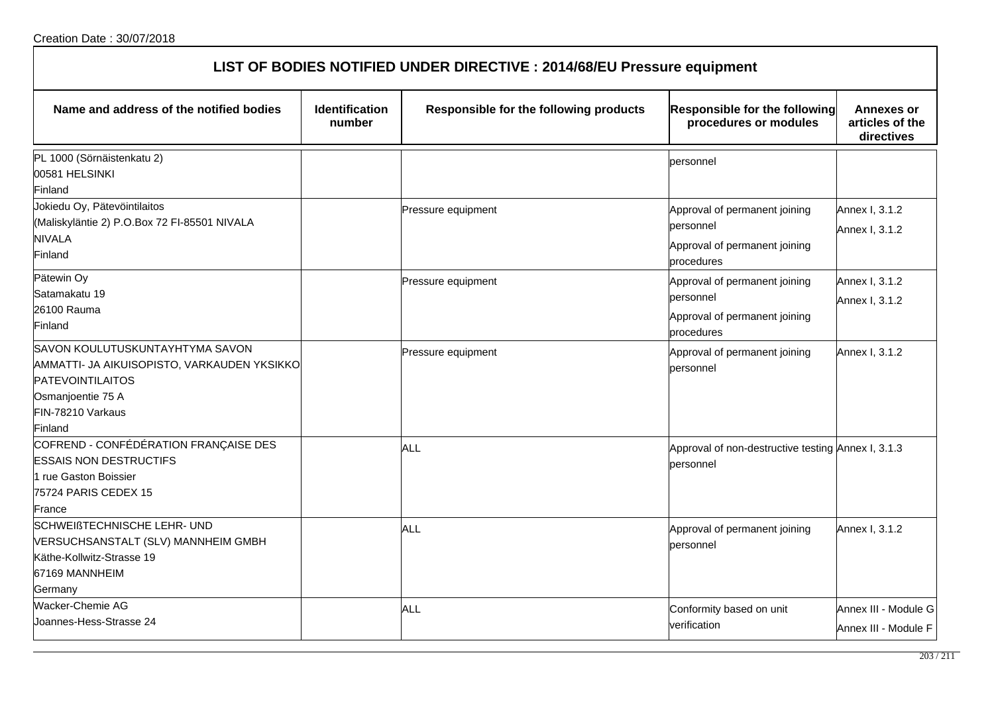| LIST OF BODIES NOTIFIED UNDER DIRECTIVE : 2014/68/EU Pressure equipment                                                                                        |                                 |                                        |                                                                                           |                                                    |  |
|----------------------------------------------------------------------------------------------------------------------------------------------------------------|---------------------------------|----------------------------------------|-------------------------------------------------------------------------------------------|----------------------------------------------------|--|
| Name and address of the notified bodies                                                                                                                        | <b>Identification</b><br>number | Responsible for the following products | Responsible for the following<br>procedures or modules                                    | <b>Annexes or</b><br>articles of the<br>directives |  |
| PL 1000 (Sörnäistenkatu 2)<br>00581 HELSINKI<br>Finland                                                                                                        |                                 |                                        | personnel                                                                                 |                                                    |  |
| Jokiedu Oy, Pätevöintilaitos<br>(Maliskyläntie 2) P.O.Box 72 FI-85501 NIVALA<br><b>NIVALA</b><br>Finland                                                       |                                 | Pressure equipment                     | Approval of permanent joining<br>personnel<br>Approval of permanent joining<br>procedures | Annex I, 3.1.2<br>Annex I, 3.1.2                   |  |
| Pätewin Oy<br>Satamakatu 19<br>26100 Rauma<br>Finland                                                                                                          |                                 | Pressure equipment                     | Approval of permanent joining<br>personnel<br>Approval of permanent joining<br>procedures | Annex I, 3.1.2<br>Annex I, 3.1.2                   |  |
| SAVON KOULUTUSKUNTAYHTYMA SAVON<br>AMMATTI- JA AIKUISOPISTO, VARKAUDEN YKSIKKO<br><b>PATEVOINTILAITOS</b><br>Osmanjoentie 75 A<br>FIN-78210 Varkaus<br>Finland |                                 | Pressure equipment                     | Approval of permanent joining<br>bersonnel                                                | Annex I, 3.1.2                                     |  |
| COFREND - CONFÉDÉRATION FRANÇAISE DES<br><b>ESSAIS NON DESTRUCTIFS</b><br>1 rue Gaston Boissier<br>75724 PARIS CEDEX 15<br>France                              |                                 | <b>ALL</b>                             | Approval of non-destructive testing Annex I, 3.1.3<br>personnel                           |                                                    |  |
| <b>SCHWEIßTECHNISCHE LEHR- UND</b><br>VERSUCHSANSTALT (SLV) MANNHEIM GMBH<br>Käthe-Kollwitz-Strasse 19<br>67169 MANNHEIM<br>Germany                            |                                 | ALL                                    | Approval of permanent joining<br>personnel                                                | Annex I, 3.1.2                                     |  |
| Wacker-Chemie AG<br>Joannes-Hess-Strasse 24                                                                                                                    |                                 | ALL                                    | Conformity based on unit<br>verification                                                  | Annex III - Module G<br>Annex III - Module F       |  |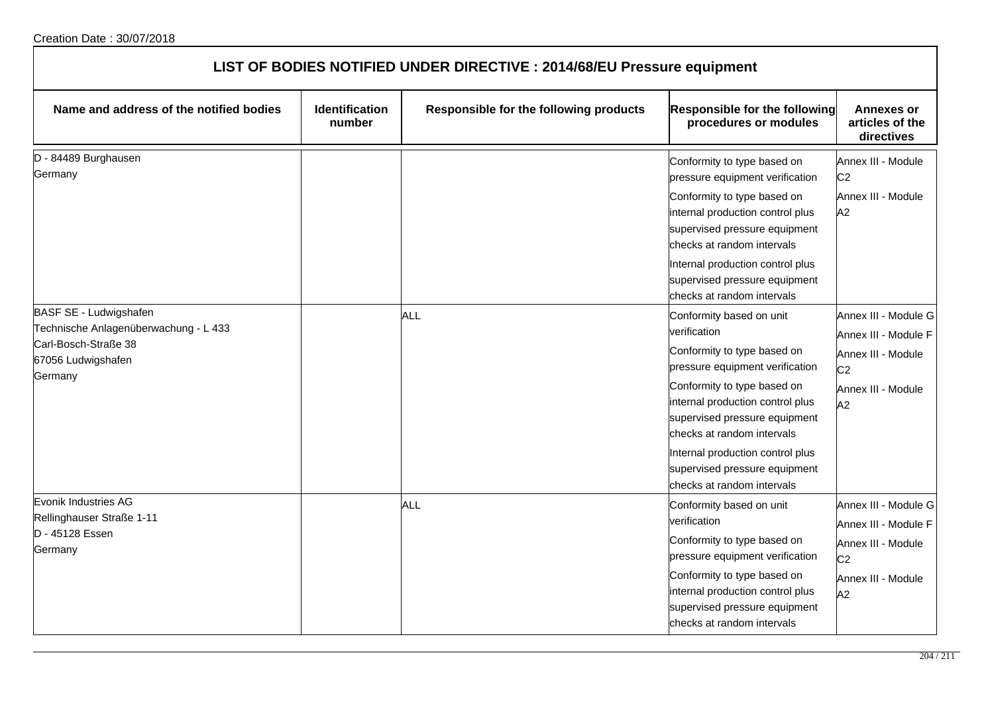| LIST OF BODIES NOTIFIED UNDER DIRECTIVE : 2014/68/EU Pressure equipment                                                  |                                 |                                        |                                                                                                                                                                                                                                                                                                                                                 |                                                                                                                  |  |
|--------------------------------------------------------------------------------------------------------------------------|---------------------------------|----------------------------------------|-------------------------------------------------------------------------------------------------------------------------------------------------------------------------------------------------------------------------------------------------------------------------------------------------------------------------------------------------|------------------------------------------------------------------------------------------------------------------|--|
| Name and address of the notified bodies                                                                                  | <b>Identification</b><br>number | Responsible for the following products | Responsible for the following<br>procedures or modules                                                                                                                                                                                                                                                                                          | <b>Annexes or</b><br>articles of the<br>directives                                                               |  |
| D - 84489 Burghausen<br>Germany                                                                                          |                                 |                                        | Conformity to type based on<br>pressure equipment verification<br>Conformity to type based on<br>internal production control plus<br>supervised pressure equipment<br>checks at random intervals<br>Internal production control plus<br>supervised pressure equipment<br>checks at random intervals                                             | Annex III - Module<br>C <sub>2</sub><br>Annex III - Module<br>A2                                                 |  |
| BASF SE - Ludwigshafen<br>Technische Anlagenüberwachung - L 433<br>Carl-Bosch-Straße 38<br>67056 Ludwigshafen<br>Germany |                                 | ALL                                    | Conformity based on unit<br>verification<br>Conformity to type based on<br>pressure equipment verification<br>Conformity to type based on<br>internal production control plus<br>supervised pressure equipment<br>checks at random intervals<br>Internal production control plus<br>supervised pressure equipment<br>checks at random intervals | Annex III - Module G<br>Annex III - Module F<br>Annex III - Module<br>C <sub>2</sub><br>Annex III - Module<br>A2 |  |
| Evonik Industries AG<br>Rellinghauser Straße 1-11<br>D - 45128 Essen<br>Germany                                          |                                 | ALL                                    | Conformity based on unit<br>verification<br>Conformity to type based on<br>pressure equipment verification<br>Conformity to type based on<br>internal production control plus<br>supervised pressure equipment<br>checks at random intervals                                                                                                    | Annex III - Module G<br>Annex III - Module F<br>Annex III - Module<br>C <sub>2</sub><br>Annex III - Module<br>A2 |  |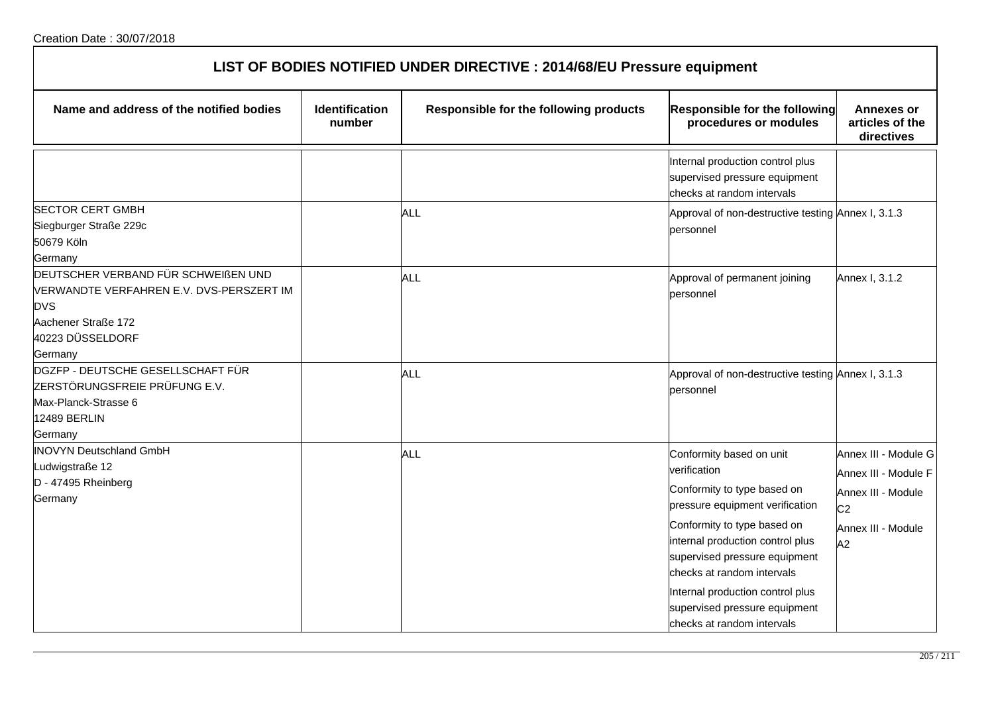| LIST OF BODIES NOTIFIED UNDER DIRECTIVE : 2014/68/EU Pressure equipment                                                                             |                                 |                                        |                                                                                                                                                                                                                                                                                                                                                 |                                                                                                                  |  |
|-----------------------------------------------------------------------------------------------------------------------------------------------------|---------------------------------|----------------------------------------|-------------------------------------------------------------------------------------------------------------------------------------------------------------------------------------------------------------------------------------------------------------------------------------------------------------------------------------------------|------------------------------------------------------------------------------------------------------------------|--|
| Name and address of the notified bodies                                                                                                             | <b>Identification</b><br>number | Responsible for the following products | <b>Responsible for the following</b><br>procedures or modules                                                                                                                                                                                                                                                                                   | <b>Annexes or</b><br>articles of the<br>directives                                                               |  |
|                                                                                                                                                     |                                 |                                        | Internal production control plus<br>supervised pressure equipment<br>checks at random intervals                                                                                                                                                                                                                                                 |                                                                                                                  |  |
| <b>SECTOR CERT GMBH</b><br>Siegburger Straße 229c<br>50679 Köln<br>Germany                                                                          |                                 | ALL                                    | Approval of non-destructive testing Annex I, 3.1.3<br>personnel                                                                                                                                                                                                                                                                                 |                                                                                                                  |  |
| DEUTSCHER VERBAND FÜR SCHWEIßEN UND<br>VERWANDTE VERFAHREN E.V. DVS-PERSZERT IM<br><b>DVS</b><br>Aachener Straße 172<br>40223 DÜSSELDORF<br>Germany |                                 | <b>ALL</b>                             | Approval of permanent joining<br>personnel                                                                                                                                                                                                                                                                                                      | Annex I, 3.1.2                                                                                                   |  |
| DGZFP - DEUTSCHE GESELLSCHAFT FÜR<br>ZERSTÖRUNGSFREIE PRÜFUNG E.V.<br>Max-Planck-Strasse 6<br>12489 BERLIN<br>Germany                               |                                 | ALL                                    | Approval of non-destructive testing Annex I, 3.1.3<br>personnel                                                                                                                                                                                                                                                                                 |                                                                                                                  |  |
| <b>INOVYN Deutschland GmbH</b><br>udwigstraße 12<br>D - 47495 Rheinberg<br>Germany                                                                  |                                 | ALL                                    | Conformity based on unit<br>verification<br>Conformity to type based on<br>pressure equipment verification<br>Conformity to type based on<br>internal production control plus<br>supervised pressure equipment<br>checks at random intervals<br>Internal production control plus<br>supervised pressure equipment<br>checks at random intervals | Annex III - Module G<br>Annex III - Module F<br>Annex III - Module<br>C <sub>2</sub><br>Annex III - Module<br>A2 |  |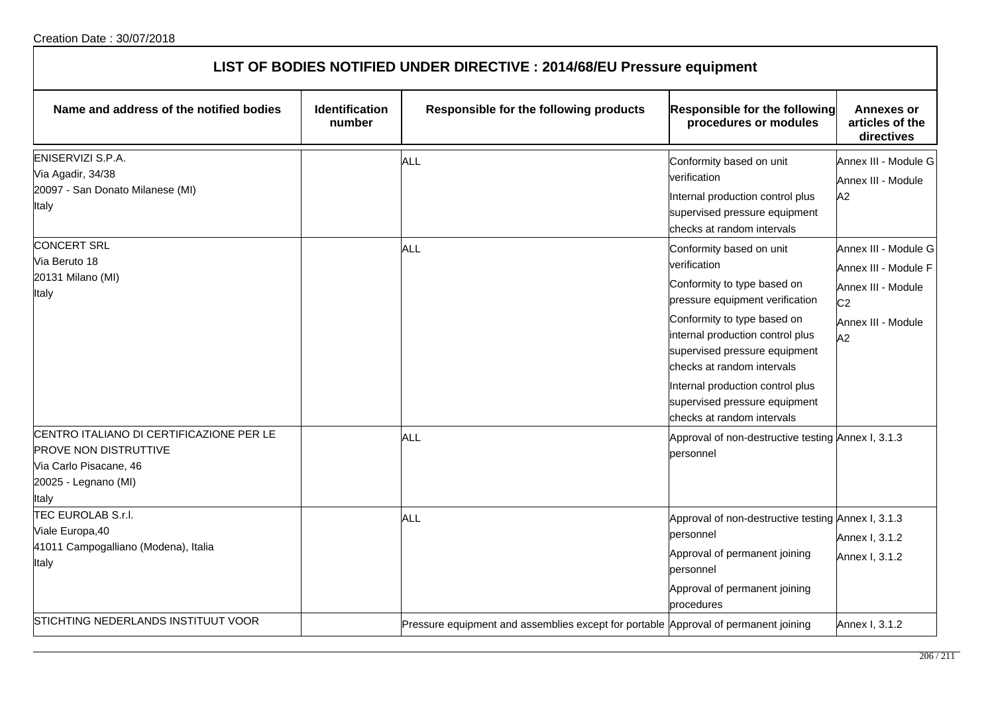| LIST OF BODIES NOTIFIED UNDER DIRECTIVE : 2014/68/EU Pressure equipment                                                             |                                 |                                                                                     |                                                                                                                                                                                                                                                                                                                                                 |                                                                                                                  |  |
|-------------------------------------------------------------------------------------------------------------------------------------|---------------------------------|-------------------------------------------------------------------------------------|-------------------------------------------------------------------------------------------------------------------------------------------------------------------------------------------------------------------------------------------------------------------------------------------------------------------------------------------------|------------------------------------------------------------------------------------------------------------------|--|
| Name and address of the notified bodies                                                                                             | <b>Identification</b><br>number | Responsible for the following products                                              | Responsible for the following<br>procedures or modules                                                                                                                                                                                                                                                                                          | <b>Annexes or</b><br>articles of the<br>directives                                                               |  |
| ENISERVIZI S.P.A.<br>Via Agadir, 34/38<br>20097 - San Donato Milanese (MI)<br>Italy                                                 |                                 | ALL                                                                                 | Conformity based on unit<br>verification<br>Internal production control plus<br>supervised pressure equipment<br>checks at random intervals                                                                                                                                                                                                     | Annex III - Module G<br>Annex III - Module<br>A2                                                                 |  |
| <b>CONCERT SRL</b><br>Via Beruto 18<br>20131 Milano (MI)<br>Italy                                                                   |                                 | <b>ALL</b>                                                                          | Conformity based on unit<br>verification<br>Conformity to type based on<br>pressure equipment verification<br>Conformity to type based on<br>internal production control plus<br>supervised pressure equipment<br>checks at random intervals<br>Internal production control plus<br>supervised pressure equipment<br>checks at random intervals | Annex III - Module G<br>Annex III - Module F<br>Annex III - Module<br>C <sub>2</sub><br>Annex III - Module<br>A2 |  |
| CENTRO ITALIANO DI CERTIFICAZIONE PER LE<br><b>PROVE NON DISTRUTTIVE</b><br>Via Carlo Pisacane, 46<br>20025 - Legnano (MI)<br>Italy |                                 | ALL                                                                                 | Approval of non-destructive testing Annex I, 3.1.3<br>personnel                                                                                                                                                                                                                                                                                 |                                                                                                                  |  |
| TEC EUROLAB S.r.l.<br>Viale Europa, 40<br>41011 Campogalliano (Modena), Italia<br>Italy                                             |                                 | <b>ALL</b>                                                                          | Approval of non-destructive testing Annex I, 3.1.3<br>personnel<br>Approval of permanent joining<br>personnel<br>Approval of permanent joining<br>procedures                                                                                                                                                                                    | Annex I, 3.1.2<br>Annex I, 3.1.2                                                                                 |  |
| STICHTING NEDERLANDS INSTITUUT VOOR                                                                                                 |                                 | Pressure equipment and assemblies except for portable Approval of permanent joining |                                                                                                                                                                                                                                                                                                                                                 | Annex I. 3.1.2                                                                                                   |  |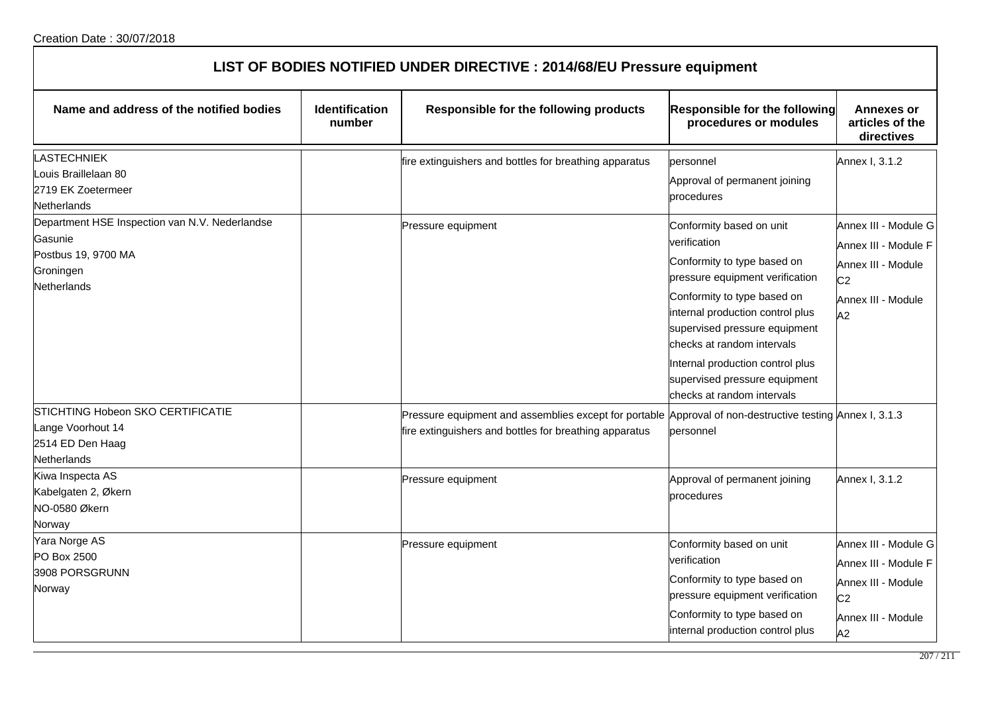| LIST OF BODIES NOTIFIED UNDER DIRECTIVE : 2014/68/EU Pressure equipment |  |
|-------------------------------------------------------------------------|--|
|-------------------------------------------------------------------------|--|

| Name and address of the notified bodies                                                                      | <b>Identification</b><br>number | Responsible for the following products                                                                                                                             | <b>Responsible for the following</b><br>procedures or modules                                                                                                                                                                                                                                                                                   | Annexes or<br>articles of the<br>directives                                                                      |
|--------------------------------------------------------------------------------------------------------------|---------------------------------|--------------------------------------------------------------------------------------------------------------------------------------------------------------------|-------------------------------------------------------------------------------------------------------------------------------------------------------------------------------------------------------------------------------------------------------------------------------------------------------------------------------------------------|------------------------------------------------------------------------------------------------------------------|
| <b>LASTECHNIEK</b><br>Louis Braillelaan 80<br>2719 EK Zoetermeer<br>Netherlands                              |                                 | fire extinguishers and bottles for breathing apparatus                                                                                                             | personnel<br>Approval of permanent joining<br>procedures                                                                                                                                                                                                                                                                                        | Annex I, 3.1.2                                                                                                   |
| Department HSE Inspection van N.V. Nederlandse<br>Gasunie<br>Postbus 19, 9700 MA<br>Groningen<br>Netherlands |                                 | Pressure equipment                                                                                                                                                 | Conformity based on unit<br>verification<br>Conformity to type based on<br>pressure equipment verification<br>Conformity to type based on<br>internal production control plus<br>supervised pressure equipment<br>checks at random intervals<br>Internal production control plus<br>supervised pressure equipment<br>checks at random intervals | Annex III - Module G<br>Annex III - Module F<br>Annex III - Module<br>C <sub>2</sub><br>Annex III - Module<br>A2 |
| STICHTING Hobeon SKO CERTIFICATIE<br>Lange Voorhout 14<br>2514 ED Den Haag<br><b>Netherlands</b>             |                                 | Pressure equipment and assemblies except for portable Approval of non-destructive testing Annex I, 3.1.3<br>fire extinguishers and bottles for breathing apparatus | personnel                                                                                                                                                                                                                                                                                                                                       |                                                                                                                  |
| Kiwa Inspecta AS<br>Kabelgaten 2, Økern<br>NO-0580 Økern<br>Norway                                           |                                 | Pressure equipment                                                                                                                                                 | Approval of permanent joining<br>procedures                                                                                                                                                                                                                                                                                                     | Annex I, 3.1.2                                                                                                   |
| Yara Norge AS<br>PO Box 2500<br>3908 PORSGRUNN<br>Norway                                                     |                                 | Pressure equipment                                                                                                                                                 | Conformity based on unit<br>verification<br>Conformity to type based on<br>pressure equipment verification<br>Conformity to type based on<br>internal production control plus                                                                                                                                                                   | Annex III - Module G<br>Annex III - Module F<br>Annex III - Module<br>C <sub>2</sub><br>Annex III - Module<br>A2 |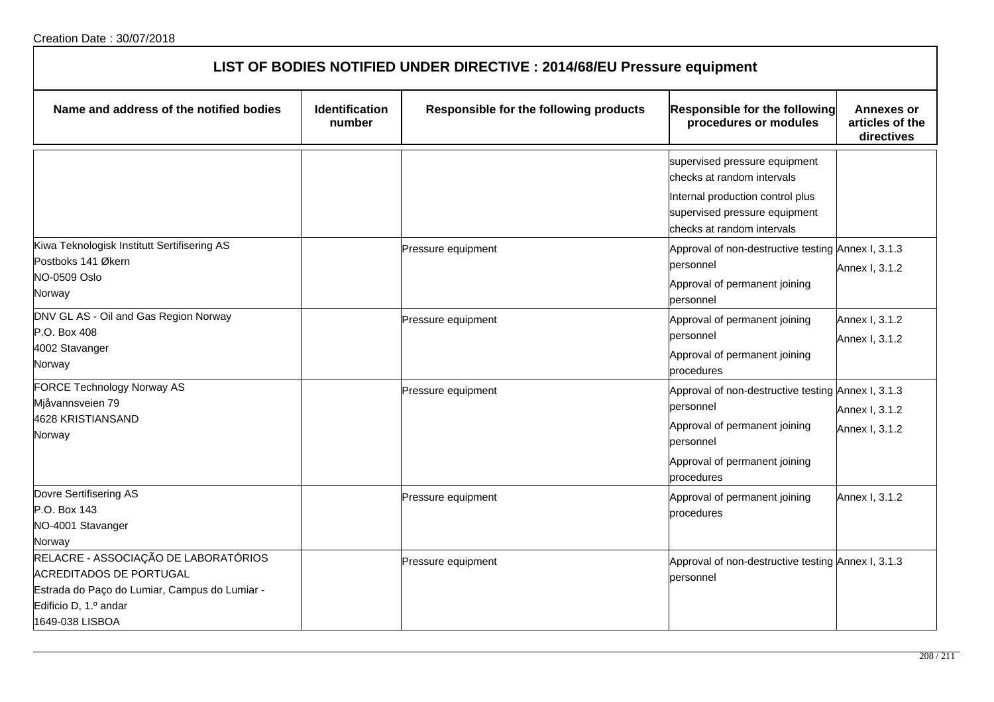| LIST OF BODIES NOTIFIED UNDER DIRECTIVE : 2014/68/EU Pressure equipment                                                                                             |                                 |                                        |                                                                                                                                                                |                                                    |  |
|---------------------------------------------------------------------------------------------------------------------------------------------------------------------|---------------------------------|----------------------------------------|----------------------------------------------------------------------------------------------------------------------------------------------------------------|----------------------------------------------------|--|
| Name and address of the notified bodies                                                                                                                             | <b>Identification</b><br>number | Responsible for the following products | Responsible for the following<br>procedures or modules                                                                                                         | <b>Annexes or</b><br>articles of the<br>directives |  |
|                                                                                                                                                                     |                                 |                                        | supervised pressure equipment<br>checks at random intervals<br>Internal production control plus<br>supervised pressure equipment<br>checks at random intervals |                                                    |  |
| Kiwa Teknologisk Institutt Sertifisering AS<br>Postboks 141 Økern<br><b>NO-0509 Oslo</b><br>Norway                                                                  |                                 | Pressure equipment                     | Approval of non-destructive testing Annex I, 3.1.3<br>personnel<br>Approval of permanent joining<br>personnel                                                  | Annex I, 3.1.2                                     |  |
| DNV GL AS - Oil and Gas Region Norway<br>P.O. Box 408<br>4002 Stavanger<br>Norway                                                                                   |                                 | Pressure equipment                     | Approval of permanent joining<br>bersonnel<br>Approval of permanent joining<br>procedures                                                                      | Annex I, 3.1.2<br>Annex I, 3.1.2                   |  |
| FORCE Technology Norway AS<br>Mjåvannsveien 79<br>4628 KRISTIANSAND<br>Norway                                                                                       |                                 | Pressure equipment                     | Approval of non-destructive testing Annex I, 3.1.3<br>personnel<br>Approval of permanent joining<br>bersonnel<br>Approval of permanent joining<br>procedures   | Annex I, 3.1.2<br>Annex I, 3.1.2                   |  |
| Dovre Sertifisering AS<br>P.O. Box 143<br>NO-4001 Stavanger<br>Norway                                                                                               |                                 | Pressure equipment                     | Approval of permanent joining<br>procedures                                                                                                                    | Annex I, 3.1.2                                     |  |
| RELACRE - ASSOCIAÇÃO DE LABORATÓRIOS<br><b>ACREDITADOS DE PORTUGAL</b><br>Estrada do Paço do Lumiar, Campus do Lumiar -<br>Edificio D, 1.º andar<br>1649-038 LISBOA |                                 | Pressure equipment                     | Approval of non-destructive testing Annex I, 3.1.3<br>personnel                                                                                                |                                                    |  |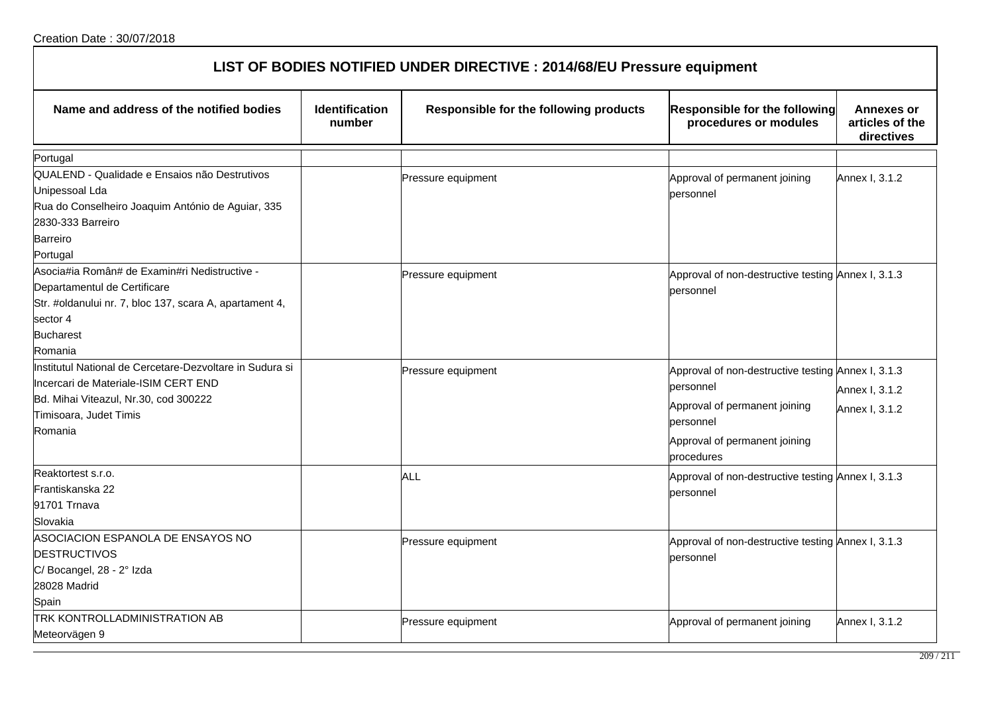| LIST OF BODIES NOTIFIED UNDER DIRECTIVE : 2014/68/EU Pressure equipment |                                 |                                        |                                                        |                                                    |  |
|-------------------------------------------------------------------------|---------------------------------|----------------------------------------|--------------------------------------------------------|----------------------------------------------------|--|
| Name and address of the notified bodies                                 | <b>Identification</b><br>number | Responsible for the following products | Responsible for the following<br>procedures or modules | <b>Annexes or</b><br>articles of the<br>directives |  |
| Portugal                                                                |                                 |                                        |                                                        |                                                    |  |
| QUALEND - Qualidade e Ensaios não Destrutivos<br>Unipessoal Lda         |                                 | Pressure equipment                     | Approval of permanent joining<br>personnel             | Annex I, 3.1.2                                     |  |
| Rua do Conselheiro Joaquim António de Aguiar, 335                       |                                 |                                        |                                                        |                                                    |  |
| 2830-333 Barreiro                                                       |                                 |                                        |                                                        |                                                    |  |
| <b>Barreiro</b>                                                         |                                 |                                        |                                                        |                                                    |  |
| Portugal                                                                |                                 |                                        |                                                        |                                                    |  |
| Asocia#ia Român# de Examin#ri Nedistructive -                           |                                 | Pressure equipment                     | Approval of non-destructive testing Annex I, 3.1.3     |                                                    |  |
| Departamentul de Certificare                                            |                                 |                                        | personnel                                              |                                                    |  |
| Str. #oldanului nr. 7, bloc 137, scara A, apartament 4,                 |                                 |                                        |                                                        |                                                    |  |
| sector 4                                                                |                                 |                                        |                                                        |                                                    |  |
| <b>Bucharest</b>                                                        |                                 |                                        |                                                        |                                                    |  |
| Romania                                                                 |                                 |                                        |                                                        |                                                    |  |
| Institutul National de Cercetare-Dezvoltare in Sudura si                |                                 | Pressure equipment                     | Approval of non-destructive testing Annex I, 3.1.3     |                                                    |  |
| Incercari de Materiale-ISIM CERT END                                    |                                 |                                        | personnel                                              | Annex I, 3.1.2                                     |  |
| Bd. Mihai Viteazul, Nr.30, cod 300222                                   |                                 |                                        | Approval of permanent joining                          |                                                    |  |
| Timisoara, Judet Timis                                                  |                                 |                                        | personnel                                              | Annex I, 3.1.2                                     |  |
| Romania                                                                 |                                 |                                        |                                                        |                                                    |  |
|                                                                         |                                 |                                        | Approval of permanent joining<br>procedures            |                                                    |  |
| Reaktortest s.r.o.                                                      |                                 | ALL                                    | Approval of non-destructive testing Annex I, 3.1.3     |                                                    |  |
| Frantiskanska 22                                                        |                                 |                                        | personnel                                              |                                                    |  |
| 91701 Trnava                                                            |                                 |                                        |                                                        |                                                    |  |
| Slovakia                                                                |                                 |                                        |                                                        |                                                    |  |
| ASOCIACION ESPANOLA DE ENSAYOS NO                                       |                                 | Pressure equipment                     | Approval of non-destructive testing Annex I, 3.1.3     |                                                    |  |
| <b>DESTRUCTIVOS</b>                                                     |                                 |                                        | personnel                                              |                                                    |  |
| C/ Bocangel, 28 - 2° Izda                                               |                                 |                                        |                                                        |                                                    |  |
| 28028 Madrid                                                            |                                 |                                        |                                                        |                                                    |  |
| Spain                                                                   |                                 |                                        |                                                        |                                                    |  |
| TRK KONTROLLADMINISTRATION AB                                           |                                 | Pressure equipment                     | Approval of permanent joining                          | Annex I, 3.1.2                                     |  |
| Meteorvägen 9                                                           |                                 |                                        |                                                        |                                                    |  |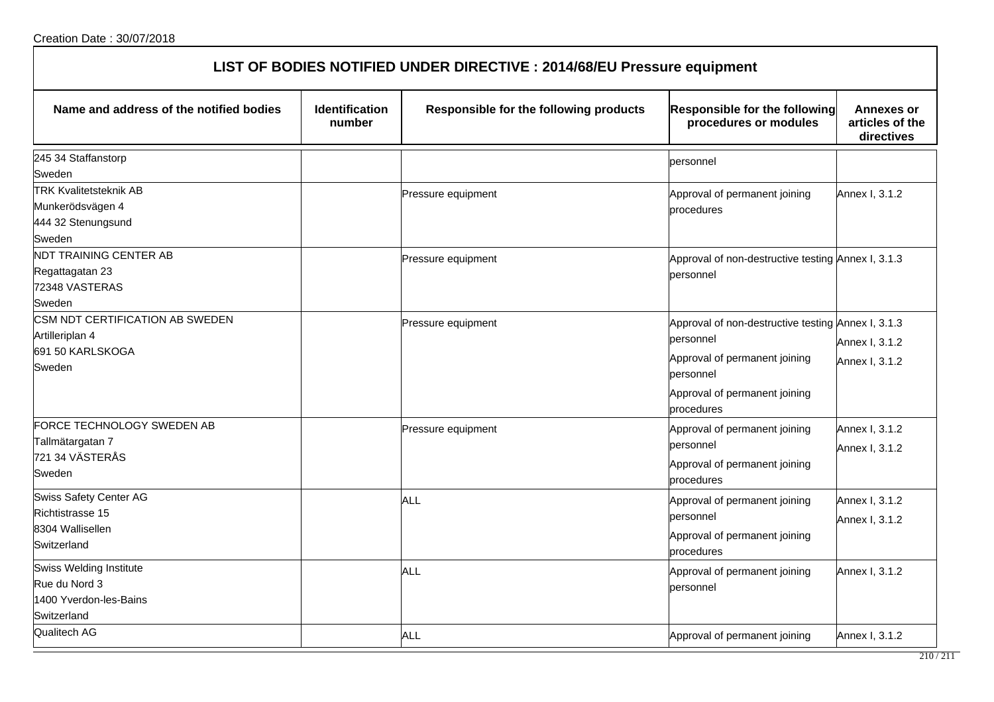| LIST OF BODIES NOTIFIED UNDER DIRECTIVE : 2014/68/EU Pressure equipment |  |
|-------------------------------------------------------------------------|--|
|-------------------------------------------------------------------------|--|

| Name and address of the notified bodies                                                  | <b>Identification</b><br>number | Responsible for the following products | Responsible for the following<br>procedures or modules                                                                                                       | Annexes or<br>articles of the<br>directives |
|------------------------------------------------------------------------------------------|---------------------------------|----------------------------------------|--------------------------------------------------------------------------------------------------------------------------------------------------------------|---------------------------------------------|
| 245 34 Staffanstorp<br>Sweden                                                            |                                 |                                        | personnel                                                                                                                                                    |                                             |
| <b>TRK Kvalitetsteknik AB</b><br>Munkerödsvägen 4<br>444 32 Stenungsund<br>Sweden        |                                 | Pressure equipment                     | Approval of permanent joining<br>procedures                                                                                                                  | Annex I, 3.1.2                              |
| <b>NDT TRAINING CENTER AB</b><br>Regattagatan 23<br>72348 VASTERAS<br>Sweden             |                                 | Pressure equipment                     | Approval of non-destructive testing Annex I, 3.1.3<br>personnel                                                                                              |                                             |
| CSM NDT CERTIFICATION AB SWEDEN<br>Artilleriplan 4<br>691 50 KARLSKOGA<br>Sweden         |                                 | Pressure equipment                     | Approval of non-destructive testing Annex I, 3.1.3<br>personnel<br>Approval of permanent joining<br>personnel<br>Approval of permanent joining<br>procedures | Annex I, 3.1.2<br>Annex I, 3.1.2            |
| FORCE TECHNOLOGY SWEDEN AB<br>Tallmätargatan 7<br>721 34 VÄSTERÅS<br>Sweden              |                                 | Pressure equipment                     | Approval of permanent joining<br>personnel<br>Approval of permanent joining<br>procedures                                                                    | Annex I, 3.1.2<br>Annex I, 3.1.2            |
| <b>Swiss Safety Center AG</b><br>Richtistrasse 15<br>8304 Wallisellen<br>Switzerland     |                                 | <b>ALL</b>                             | Approval of permanent joining<br>lpersonnel<br>Approval of permanent joining<br>procedures                                                                   | Annex I, 3.1.2<br>Annex I, 3.1.2            |
| <b>Swiss Welding Institute</b><br>Rue du Nord 3<br>1400 Yverdon-les-Bains<br>Switzerland |                                 | ALL                                    | Approval of permanent joining<br>lpersonnel                                                                                                                  | Annex I, 3.1.2                              |
| Qualitech AG                                                                             |                                 | ALL                                    | Approval of permanent joining                                                                                                                                | Annex I, 3.1.2                              |